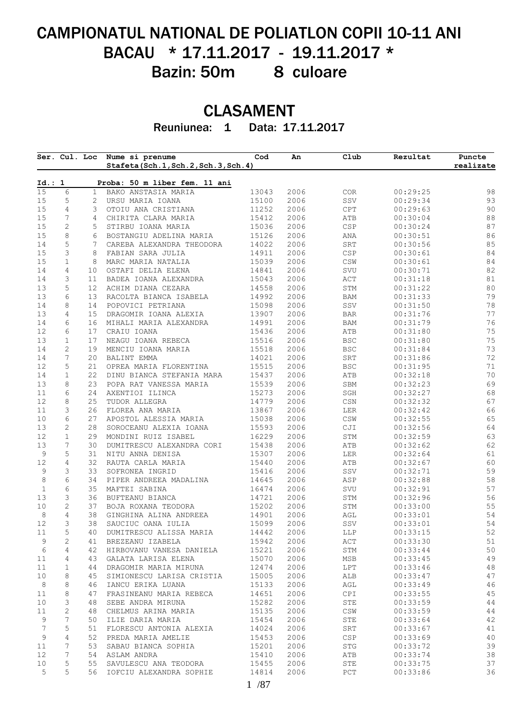# CAMPIONATUL NATIONAL DE POLIATLON COPII 10-11 ANI BACAU \* 17.11.2017 - 19.11.2017 \* Bazin: 50m 8 culoare

## CLASAMENT

Reuniunea: 1 Data: 17.11.2017

|               | Ser. Cul. Loc     |                | Nume si prenume<br>Stafeta(Sch.1, Sch.2, Sch.3, Sch.4) | Cod            | An           | Club                             | Rezultat             | Puncte<br>realizate |
|---------------|-------------------|----------------|--------------------------------------------------------|----------------|--------------|----------------------------------|----------------------|---------------------|
| Id.: 1        |                   |                | Proba: 50 m liber fem. 11 ani                          |                |              |                                  |                      |                     |
| 15            | $\epsilon$        | $\mathbf{1}$   | BAKO ANSTASIA MARIA                                    | 13043          | 2006         | COR                              | 00:29:25             | 98                  |
| 15            | 5                 | $\overline{c}$ | URSU MARIA IOANA                                       | 15100          | 2006         | SSV                              | 00:29:34             | 93                  |
| 15            | 4                 | 3              | OTOIU ANA CRISTIANA                                    | 11252          | 2006         | CPT                              | 00:29:63             | 90                  |
| 15            | 7                 | 4              | CHIRITA CLARA MARIA                                    | 15412          | 2006         | ATB                              | 00:30:04             | $8\,8$              |
| 15            | $\mathbf{2}$      | 5              | STIRBU IOANA MARIA                                     | 15036          | 2006         | $_{\tt CSP}$                     | 00:30:24             | 87                  |
| 15            | 8                 | 6              | BOSTANGIU ADELINA MARIA                                | 15126          | 2006         | ANA                              | 00:30:51             | 86                  |
| 14            | $\mathsf S$       | 7              | CAREBA ALEXANDRA THEODORA                              | 14022          | 2006         | SRT                              | 00:30:56             | 85                  |
| 15            | 3                 | 8              | FABIAN SARA JULIA                                      | 14911          | 2006         | CSP                              | 00:30:61             | 84<br>$8\,4$        |
| 15<br>14      | $\mathbf{1}$<br>4 | 8<br>10        | MARC MARIA NATALIA<br>OSTAFI DELIA ELENA               | 15039<br>14841 | 2006<br>2006 | $\mathbb{CSW}$<br>SVU            | 00:30:61<br>00:30:71 | 82                  |
| 14            | 3                 | 11             | BADEA IOANA ALEXANDRA                                  | 15043          | 2006         | $\mathtt{ACT}$                   | 00:31:18             | 81                  |
| 13            | 5                 | 12             | ACHIM DIANA CEZARA                                     | 14558          | 2006         | STM                              | 00:31:22             | 80                  |
| 13            | 6                 | 13             | RACOLTA BIANCA ISABELA                                 | 14992          | 2006         | BAM                              | 00:31:33             | 79                  |
| 14            | 8                 | 14             | POPOVICI PETRIANA                                      | 15098          | 2006         | SSV                              | 00:31:50             | 78                  |
| 13            | 4                 | 15             | DRAGOMIR IOANA ALEXIA                                  | 13907          | 2006         | <b>BAR</b>                       | 00:31:76             | 77                  |
| 14            | 6                 | 16             | MIHALI MARIA ALEXANDRA                                 | 14991          | 2006         | BAM                              | 00:31:79             | 76                  |
| 12            | 6                 | 17             | CRAIU IOANA                                            | 15436          | 2006         | ATB                              | 00:31:80             | 75                  |
| 13            | $\mathbf{1}$      | 17             | NEAGU IOANA REBECA                                     | 15516          | 2006         | <b>BSC</b>                       | 00:31:80             | 75                  |
| 14            | $\mathbf{2}$      | 19             | MENCIU IOANA MARIA                                     | 15518          | 2006         | <b>BSC</b>                       | 00:31:84             | 73                  |
| 14            | 7                 | 20             | BALINT EMMA                                            | 14021          | 2006         | SRT                              | 00:31:86             | 72                  |
| 12            | 5                 | 21             | OPREA MARIA FLORENTINA                                 | 15515          | 2006         | <b>BSC</b>                       | 00:31:95             | 71                  |
| 14            | $\mathbf 1$       | 22             | DINU BIANCA STEFANIA MARA                              | 15437          | 2006         | ATB                              | 00:32:18             | 70                  |
| 13            | 8                 | 23             | POPA RAT VANESSA MARIA                                 | 15539          | 2006         | SBM                              | 00:32:23             | 69                  |
| 11            | 6                 | 24             | AXENTIOI ILINCA                                        | 15273          | 2006         | SGH                              | 00:32:27             | 68                  |
| 12            | 8                 | 25             | TUDOR ALLEGRA                                          | 14779          | 2006         | $\mathbb{C}\mathbb{S}\mathbb{N}$ | 00:32:32             | 67                  |
| 11            | 3                 | 26             | FLOREA ANA MARIA                                       | 13867          | 2006         | LER                              | 00:32:42             | 66                  |
| 10            | 6                 | 27             | APOSTOL ALESSIA MARIA                                  | 15038          | 2006         | $\mathbb{CSW}$                   | 00:32:55             | 65                  |
| 13            | $\mathbf{2}$      | 28             | SOROCEANU ALEXIA IOANA                                 | 15593          | 2006         | CJI                              | 00:32:56             | 64                  |
| 12            | $\mathbf{1}$      | 29             | MONDINI RUIZ ISABEL                                    | 16229          | 2006         | STM                              | 00:32:59             | 63                  |
| 13            | 7                 | 30             | DUMITRESCU ALEXANDRA CORI                              | 15438          | 2006         | ATB                              | 00:32:62             | 62                  |
| 9             | 5                 | 31             | NITU ANNA DENISA                                       | 15307          | 2006         | LER                              | 00:32:64             | 61                  |
| 12            | $\overline{4}$    | 32             | RAUTA CARLA MARIA                                      | 15440          | 2006         | ATB                              | 00:32:67             | 60                  |
| $\mathsf 9$   | 3                 | 33             | SOFRONEA INGRID                                        | 15416          | 2006         | SSV                              | 00:32:71             | 59                  |
| 8             | 6                 | 34             | PIPER ANDREEA MADALINA                                 | 14645          | 2006         | ASP                              | 00:32:88             | 58                  |
| $\mathbbm{1}$ | 6                 | 35             | MAFTEI SABINA                                          | 16474          | 2006         | SVU                              | 00:32:91             | 57                  |
| 13            | 3                 | 36             | BUFTEANU BIANCA                                        | 14721          | 2006         | STM                              | 00:32:96             | 56                  |
| 10            | 2                 | 37             | BOJA ROXANA TEODORA                                    | 15202          | 2006         | STM                              | 00:33:00             | 55                  |
| 8             | $\overline{4}$    | 38             | GINGHINA ALINA ANDREEA                                 | 14901          | 2006         | AGL                              | 00:33:01             | 54                  |
| 12            | 3                 | 38             | SAUCIUC OANA IULIA                                     | 15099          | 2006         | SSV                              | 00:33:01             | 54                  |
| 11            | 5                 | 40             | DUMITRESCU ALISSA MARIA                                | 14442          | 2006         | <b>LLP</b>                       | 00:33:15             | 52                  |
| 9             | $\mathbf{2}$      | 41             | BREZEANU IZABELA                                       | 15942          | 2006         | ACT                              | 00:33:30             | 51                  |
| $\epsilon$    | 4                 | 42             | HIRBOVANU VANESA DANIELA                               | 15221          | 2006         | STM                              | 00:33:44             | 50                  |
| 11            | 4                 | 43             | GALATA LARISA ELENA                                    | 15070          | 2006         | MSB                              | 00:33:45             | 49                  |
| 11            | 1                 | 44             | DRAGOMIR MARIA MIRUNA                                  | 12474          | 2006         | LPT                              | 00:33:46             | 48                  |
| 10            | 8                 | 45             | SIMIONESCU LARISA CRISTIA                              | 15005          | 2006         | ALB                              | 00:33:47             | 47                  |
| 8             | 8                 | 46             | IANCU ERIKA LUANA                                      | 15133          | 2006         | AGL                              | 00:33:49             | 46                  |
| 11            | 8                 | 47             | FRASINEANU MARIA REBECA                                | 14651          | 2006         | CPI                              | 00:33:55             | 45                  |
| 10            | 3                 | 48             | SEBE ANDRA MIRUNA                                      | 15282          | 2006         | STE                              | 00:33:59             | $4\,4$              |
| 11            | $\mathbf{2}$      | 48             | CHELMUS ARINA MARIA                                    | 15135          | 2006         | $\mathbb{CSW}$                   | 00:33:59             | $4\,4$              |
| 9             | 7                 | 50             | ILIE DARIA MARIA                                       | 15454          | 2006         | STE                              | 00:33:64             | 42                  |
| 7             | 5                 | 51             | FLORESCU ANTONIA ALEXIA                                | 14024          | 2006         | SRT                              | 00:33:67             | 41                  |
| 9             | 4                 | 52             | PREDA MARIA AMELIE                                     | 15453          | 2006         | CSP                              | 00:33:69             | 40                  |
| 11            | 7                 | 53             | SABAU BIANCA SOPHIA                                    | 15201          | 2006         | STG                              | 00:33:72             | 39                  |
| 12            | 7                 | 54             | ASLAM ANDRA                                            | 15410          | 2006         | ATB                              | 00:33:74             | 38                  |
|               | 5                 | 55             | SAVULESCU ANA TEODORA                                  | 15455          | 2006         | STE                              | 00:33:75             | 37                  |
| 10<br>5       | 5                 | 56             | IOFCIU ALEXANDRA SOPHIE                                | 14814          | 2006         | PCT                              | 00:33:86             | 36                  |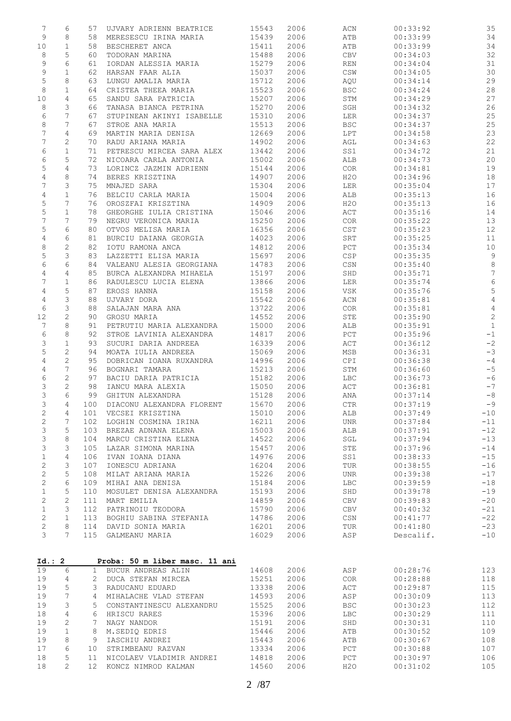| $\boldsymbol{7}$          | 6                | 57                             | UJVARY ADRIENN BEATRICE                              | 15543          | 2006         | ACN                   | 00:33:92             | 35                       |
|---------------------------|------------------|--------------------------------|------------------------------------------------------|----------------|--------------|-----------------------|----------------------|--------------------------|
| $\mathsf 9$               | 8                | 58                             | MERESESCU IRINA MARIA                                | 15439          | 2006         | ATB                   | 00:33:99             | 34                       |
| 10                        | $\mathbf 1$      | 58                             | BESCHERET ANCA                                       | 15411          | 2006         | ATB                   | 00:33:99             | 34                       |
| 8                         | 5                | 60                             | TODORAN MARINA                                       | 15488          | 2006         | CBV                   | 00:34:03             | 32                       |
| 9                         | 6                | 61                             | IORDAN ALESSIA MARIA                                 | 15279          | 2006         | REN                   | 00:34:04             | 31                       |
| 9<br>$\mathsf S$          | $\mathbf 1$<br>8 | 62<br>63                       | HARSAN FAAR ALIA<br>LUNGU AMALIA MARIA               | 15037<br>15712 | 2006<br>2006 | $\mathbb{CSW}$<br>AQU | 00:34:05<br>00:34:14 | 30<br>29                 |
| 8                         | $\mathbf 1$      | 64                             | CRISTEA THEEA MARIA                                  | 15523          | 2006         | <b>BSC</b>            | 00:34:24             | 28                       |
| 10                        | $\overline{4}$   | 65                             | SANDU SARA PATRICIA                                  | 15207          | 2006         | STM                   | 00:34:29             | 27                       |
| 8                         | 3                | 66                             | TANASA BIANCA PETRINA                                | 15270          | 2006         | SGH                   | 00:34:32             | 26                       |
| 6                         | 7                | 67                             | STUPINEAN AKINYI ISABELLE                            | 15310          | 2006         | LER                   | 00:34:37             | 25                       |
| 8                         | 7                | 67                             | STROE ANA MARIA                                      | 15513          | 2006         | <b>BSC</b>            | 00:34:37             | 25                       |
| 7                         | $\overline{4}$   | 69                             | MARTIN MARIA DENISA                                  | 12669          | 2006         | LPT                   | 00:34:58             | 23                       |
| 7                         | $\mathbf{2}$     | 70                             | RADU ARIANA MARIA                                    | 14902          | 2006         | AGL                   | 00:34:63             | 22                       |
| 6                         | $\mathbf 1$      | 71                             | PETRESCU MIRCEA SARA ALEX                            | 13442          | 2006         | SS1                   | 00:34:72             | $2\sqrt{1}$              |
| 6                         | 5                | 72                             | NICOARA CARLA ANTONIA                                | 15002          | 2006         | ALB                   | 00:34:73             | 20                       |
| 5<br>4                    | 4<br>8           | 73<br>74                       | LORINCZ JAZMIN ADRIENN<br>BERES KRISZTINA            | 15144<br>14907 | 2006<br>2006 | COR<br>H2O            | 00:34:81<br>00:34:96 | 19<br>18                 |
| 7                         | 3                | 75                             | MNAJED SARA                                          | 15304          | 2006         | LER                   | 00:35:04             | 17                       |
| $\overline{4}$            | $\mathbf 1$      | 76                             | BELCIU CARLA MARIA                                   | 15004          | 2006         | ALB                   | 00:35:13             | 16                       |
| 5                         | 7                | 76                             | OROSZFAI KRISZTINA                                   | 14909          | 2006         | H2O                   | 00:35:13             | 16                       |
| 5                         | $\mathbf 1$      | 78                             | GHEORGHE IULIA CRISTINA                              | 15046          | 2006         | ACT                   | 00:35:16             | 14                       |
| 7                         | 7                | 79                             | NEGRU VERONICA MARIA                                 | 15250          | 2006         | COR                   | 00:35:22             | 13                       |
| $\mathsf S$               | 6                | 80                             | OTVOS MELISA MARIA                                   | 16356          | 2006         | $_{\tt CST}$          | 00:35:23             | 12                       |
| 4                         | 6                | 81                             | BURCIU DAIANA GEORGIA                                | 14023          | 2006         | SRT                   | 00:35:25             | 11                       |
| 8                         | $\sqrt{2}$       | 82                             | IOTU RAMONA ANCA                                     | 14812          | 2006         | $PCT$                 | 00:35:34             | 10                       |
| 5                         | 3                | 83                             | LAZZETTI ELISA MARIA                                 | 15697          | 2006         | CSP                   | 00:35:35             | $\overline{9}$           |
| 6                         | 6                | 84                             | VALEANU ALESIA GEORGIANA                             | 14783          | 2006         | CSN                   | 00:35:40             | $\,8\,$                  |
| 4                         | $\overline{4}$   | 85                             | BURCA ALEXANDRA MIHAELA                              | 15197          | 2006         | SHD                   | 00:35:71             | $\sqrt{ }$               |
| 7                         | $\mathbf 1$      | 86                             | RADULESCU LUCIA ELENA                                | 13866          | 2006         | LER                   | 00:35:74             | $\sqrt{6}$               |
| 4                         | 5                | 87                             | EROSS HANNA                                          | 15158          | 2006         | VSK                   | 00:35:76             | 5                        |
| 4<br>6                    | 3<br>3           | 88                             | UJVARY DORA                                          | 15542<br>13722 | 2006<br>2006 | ACN<br>COR            | 00:35:81<br>00:35:81 | $\sqrt{4}$<br>$\sqrt{4}$ |
| 12                        | $\sqrt{2}$       | 88<br>90                       | SALAJAN MARA ANA<br>GROSU MARIA                      | 14552          | 2006         | STE                   | 00:35:90             | $\overline{c}$           |
| 7                         | 8                | 91                             | PETRUTIU MARIA ALEXANDRA                             | 15000          | 2006         | ALB                   | 00:35:91             | $\mathbf{1}$             |
| 6                         | 8                | 92                             | STROE LAVINIA ALEXANDRA                              | 14817          | 2006         | $_{\rm PCT}$          | 00:35:96             | $^{\rm -1}$              |
| $\ensuremath{\mathsf{3}}$ | $\mathbf 1$      | 93                             | SUCURI DARIA ANDREEA                                 | 16339          | 2006         | ACT                   | 00:36:12             | $-2$                     |
| 5                         | $\mathbf{2}$     | 94                             | MOATA IULIA ANDREEA                                  | 15069          | 2006         | MSB                   | 00:36:31             | $-3$                     |
| $\overline{4}$            | $\mathbf{2}$     | 95                             | DOBRICAN IOANA RUXANDRA                              | 14996          | 2006         | CPI                   | 00:36:38             | $-4$                     |
| 4                         | 7                | 96                             | BOGNARI TAMARA                                       | 15213          | 2006         | STM                   | 00:36:60             | $-5$                     |
| 6                         | $\mathbf{2}$     | 97                             | BACIU DARIA PATRICIA                                 | 15182          | 2006         | LBC                   | 00:36:73             | $-6$                     |
| 3                         | $\sqrt{2}$       | 98                             | IANCU MARA ALEXIA                                    | 15050          | 2006         | ACT                   | 00:36:81             | $-7$                     |
| 3                         | 6                | 99                             | GHITUN ALEXANDRA                                     | 15128          | 2006         | ANA                   | 00:37:14             | $-8$                     |
| 3                         | $\overline{4}$   | 100                            | DIACONU ALEXANDRA FLORENT                            | 15670          | 2006         | $\mathsf{CTR}$        | 00:37:19             | $-9$                     |
| $\mathbf{2}$              | 4                |                                | 101 VECSEI KRISZTINA                                 | 15010          | 2006         | ALB                   | 00:37:49             | $-10$                    |
| $\sqrt{2}$                | 7                | 102                            | LOGHIN COSMINA IRINA                                 | 16211          | 2006         | <b>UNR</b>            | 00:37:84             | $-11$                    |
| 3                         | 5                | 103                            | BREZAE ADNANA ELENA                                  | 15003          | 2006         | ALB                   | 00:37:91             | $-12$                    |
| 3                         | 8                | 104                            | MARCU CRISTINA ELENA                                 | 14522          | 2006         | SGL                   | 00:37:94             | $-13$                    |
| $\ensuremath{\mathsf{3}}$ | 3<br>4           | 105<br>106                     | LAZAR SIMONA MARINA<br>IVAN IOANA DIANA              | 15457<br>14976 | 2006<br>2006 | STE<br>SS1            | 00:37:96<br>00:38:33 | $-14$<br>$-15$           |
| $\mathbf 1$<br>$\sqrt{2}$ | 3                | 107                            | IONESCU ADRIANA                                      | 16204          | 2006         | TUR                   | 00:38:55             | $-16$                    |
| $\mathbf{2}$              | 5                | 108                            | MILAT ARIANA MARIA                                   | 15226          | 2006         | <b>UNR</b>            | 00:39:38             | $-17$                    |
| $\mathbf{2}$              | 6                | 109                            | MIHAI ANA DENISA                                     | 15184          | 2006         | <b>LBC</b>            | 00:39:59             | $-18$                    |
| $\mathbf 1$               | 5                | 110                            | MOSULET DENISA ALEXANDRA                             | 15193          | 2006         | SHD                   | 00:39:78             | $-19$                    |
| $\mathbf{2}$              | $\mathbf{2}$     | 111                            | MART EMILIA                                          | 14859          | 2006         | CBV                   | 00:39:83             | $-20$                    |
| $\mathbf 1$               | 3                | 112                            | PATRINOIU TEODORA                                    | 15790          | 2006         | <b>CBV</b>            | 00:40:32             | $-21$                    |
| $\mathbf{2}$              | $\mathbf 1$      | 113                            | BOGHIU SABINA STEFANIA                               | 14786          | 2006         | CSN                   | 00:41:77             | $-22$                    |
| $\mathbf{2}$              | 8                | 114                            | DAVID SONIA MARIA                                    | 16201          | 2006         | TUR                   | 00:41:80             | $-23$                    |
| 3                         | 7                | 115                            | GALMEANU MARIA                                       | 16029          | 2006         | ASP                   | Descalif.            | $-10$                    |
|                           |                  |                                |                                                      |                |              |                       |                      |                          |
|                           |                  |                                |                                                      |                |              |                       |                      |                          |
| 19                        | Id.: 2<br>6      |                                | Proba: 50 m liber masc. 11 ani<br>BUCUR ANDREAS ALIN |                | 2006         |                       | 00:28:76             | 123                      |
| 19                        | 4                | $\mathbf{1}$<br>$\overline{2}$ | DUCA STEFAN MIRCEA                                   | 14608<br>15251 | 2006         | ASP<br>COR            | 00:28:88             | 118                      |
| 19                        | 5                | 3                              | RADUCANU EDUARD                                      | 13338          | 2006         | ACT                   | 00:29:87             | 115                      |
| 19                        | 7                | 4                              | MIHALACHE VLAD STEFAN                                | 14593          | 2006         | ASP                   | 00:30:09             | 113                      |
| 19                        | 3                | 5                              | CONSTANTINESCU ALEXANDRU                             | 15525          | 2006         | <b>BSC</b>            | 00:30:23             | 112                      |
| 18                        | 4                | 6                              | HRISCU RARES                                         | 15396          | 2006         | LBC                   | 00:30:29             | 111                      |
| 19                        | 2                | 7                              | NAGY NANDOR                                          | 15191          | 2006         | SHD                   | 00:30:31             | 110                      |
| 19                        | $\mathbf{1}$     | 8                              | M.SEDIQ EDRIS                                        | 15446          | 2006         | ATB                   | 00:30:52             | 109                      |
| 19                        | 8                | 9                              | IASCHIU ANDREI                                       | 15443          | 2006         | ATB                   | 00:30:67             | 108                      |
| 17                        | 6                | 10                             | STRIMBEANU RAZVAN                                    | 13334          | 2006         | PCT                   | 00:30:88             | 107                      |
| 18                        | 5                | 11                             | NICOLAEV VLADIMIR ANDREI                             | 14818          | 2006         | PCT                   | 00:30:97             | 106                      |
| 18                        | 2                | 12                             | KONCZ NIMROD KALMAN                                  | 14560          | 2006         | H2O                   | 00:31:02             | 105                      |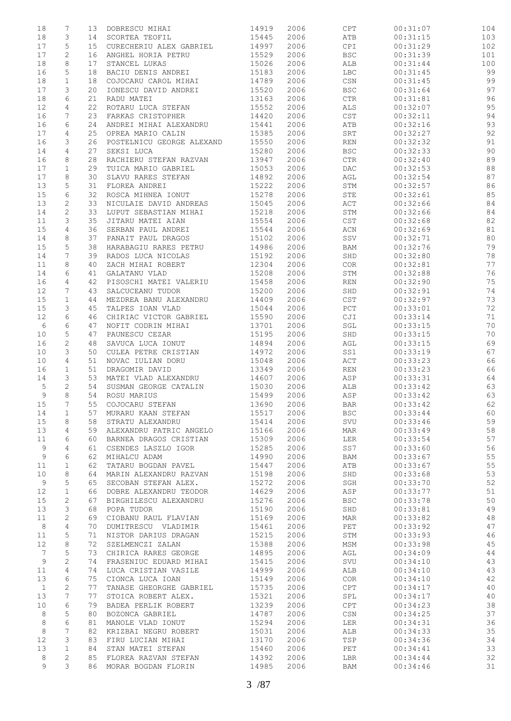| 18           | 7            | 13 | DOBRESCU MIHAI            | 14919 | 2006 | CPT                              | 00:31:07 | 104 |
|--------------|--------------|----|---------------------------|-------|------|----------------------------------|----------|-----|
| 18           | 3            | 14 | SCORTEA TEOFIL            | 15445 | 2006 | ATB                              | 00:31:15 | 103 |
| 17           | 5            | 15 | CURECHERIU ALEX GABRIEL   | 14997 | 2006 | CPI                              | 00:31:29 | 102 |
| 17           | 2            | 16 | ANGHEL HORIA PETRU        | 15529 | 2006 | $_{\rm BSC}$                     | 00:31:39 | 101 |
| 18           | 8            | 17 | STANCEL LUKAS             | 15026 | 2006 | ALB                              | 00:31:44 | 100 |
| 16           | 5            | 18 | BACIU DENIS ANDREI        | 15183 | 2006 | <b>LBC</b>                       | 00:31:45 | 99  |
| 18           | $\mathbf 1$  | 18 | COJOCARU CAROL MIHAI      | 14789 | 2006 | $\mathbb{C}\mathbb{S}\mathbb{N}$ | 00:31:45 | 99  |
| 17           | 3            | 20 | IONESCU DAVID ANDREI      | 15520 | 2006 | <b>BSC</b>                       | 00:31:64 | 97  |
| 18           | 6            | 21 | RADU MATEI                | 13163 | 2006 | $\mathsf{CTR}\xspace$            | 00:31:81 | 96  |
| 12           | 4            | 22 | ROTARU LUCA STEFAN        | 15552 | 2006 | ALS                              | 00:32:07 | 95  |
| 16           | 7            | 23 | FARKAS CRISTOPHER         | 14420 | 2006 | CST                              | 00:32:11 | 94  |
| 16           | 6            | 24 | ANDREI MIHAI ALEXANDRU    | 15441 | 2006 | ATB                              | 00:32:16 | 93  |
| 17           | 4            | 25 | OPREA MARIO CALIN         | 15385 | 2006 | ${\tt SRT}$                      | 00:32:27 | 92  |
| 16           | 3            | 26 | POSTELNICU GEORGE ALEXAND | 15550 | 2006 | REN                              | 00:32:32 | 91  |
| 14           | 4            | 27 | SEKSI LUCA                | 15280 | 2006 | <b>BSC</b>                       | 00:32:33 | 90  |
| 16           | 8            | 28 | RACHIERU STEFAN RAZVAN    | 13947 | 2006 | $\mathsf{CTR}\xspace$            | 00:32:40 | 89  |
| 17           | $\mathbf{1}$ | 29 | TUICA MARIO GABRIEL       | 15053 | 2006 | DAC                              | 00:32:53 | 88  |
| 17           | 8            | 30 | SLAVU RARES STEFAN        | 14892 | 2006 | AGL                              | 00:32:54 | 87  |
| 13           | 5            | 31 | FLOREA ANDREI             | 15222 | 2006 | STM                              | 00:32:57 | 86  |
| 15           | 6            | 32 | ROSCA MIHNEA IONUT        | 15278 | 2006 | STE                              | 00:32:61 | 85  |
| 13           | $\mathbf{2}$ | 33 | NICULAIE DAVID ANDREAS    | 15045 | 2006 | ACT                              | 00:32:66 | 84  |
| 14           | $\mathbf{2}$ | 33 | LUPUT SEBASTIAN MIHAI     | 15218 | 2006 | STM                              | 00:32:66 | 84  |
| 11           | 3            | 35 | JITARU MATEI AIAN         | 15554 | 2006 | $_{\tt CST}$                     | 00:32:68 | 82  |
| 15           | 4            | 36 | SERBAN PAUL ANDREI        | 15544 | 2006 | ACN                              | 00:32:69 | 81  |
| 14           | 8            | 37 | PANAIT PAUL DRAGOS        | 15102 | 2006 | SSV                              | 00:32:71 | 80  |
| 15           | 5            | 38 | HARABAGIU RARES PETRU     | 14986 | 2006 | BAM                              | 00:32:76 | 79  |
| 14           | 7            | 39 | RADOS LUCA NICOLAS        | 15192 | 2006 | SHD                              | 00:32:80 | 78  |
| 11           | 8            | 40 | ZACH MIHAI ROBERT         | 12304 | 2006 | COR                              |          | 77  |
|              |              |    |                           |       |      |                                  | 00:32:81 |     |
| 14           | 6            | 41 | GALATANU VLAD             | 15208 | 2006 | STM                              | 00:32:88 | 76  |
| 16           | 4            | 42 | PISOSCHI MATEI VALERIU    | 15458 | 2006 | REN                              | 00:32:90 | 75  |
| 12           | 7            | 43 | SALCUCEANU TUDOR          | 15200 | 2006 | SHD                              | 00:32:91 | 74  |
| 15           | $\mathbf{1}$ | 44 | MEZDREA BANU ALEXANDRU    | 14409 | 2006 | CST                              | 00:32:97 | 73  |
| 15           | 3            | 45 | TALPES IOAN VLAD          | 15044 | 2006 | PCT                              | 00:33:01 | 72  |
| 12           | 6            | 46 | CHIRIAC VICTOR GABRIEL    | 15590 | 2006 | CJI                              | 00:33:14 | 71  |
| 6            | 6            | 47 | NOFIT CODRIN MIHAI        | 13701 | 2006 | SGL                              | 00:33:15 | 70  |
| 10           | 5            | 47 | PAUNESCU CEZAR            | 15195 | 2006 | SHD                              | 00:33:15 | 70  |
| 16           | 2            | 48 | SAVUCA LUCA IONUT         | 14894 | 2006 | AGL                              | 00:33:15 | 69  |
| 10           | 3            | 50 | CULEA PETRE CRISTIAN      | 14972 | 2006 | SS1                              | 00:33:19 | 67  |
| 10           | 4            | 51 | NOVAC IULIAN DORU         | 15048 | 2006 | ACT                              | 00:33:23 | 66  |
| 16           | 1            | 51 | DRAGOMIR DAVID            | 13349 | 2006 | REN                              | 00:33:23 | 66  |
| 14           | 3            | 53 | MATEI VLAD ALEXANDRU      | 14607 | 2006 | ASP                              | 00:33:31 | 64  |
| 5            | 2            | 54 | SUSMAN GEORGE CATALIN     | 15030 | 2006 | ALB                              | 00:33:42 | 63  |
| 9            | 8            | 54 | ROSU MARIUS               | 15499 | 2006 | ASP                              | 00:33:42 | 63  |
| 15           | 7            | 55 | COJOCARU STEFAN           | 13690 | 2006 | <b>BAR</b>                       | 00:33:42 | 62  |
| 14           | 1            | 57 | MURARU KAAN STEFAN        | 15517 | 2006 | <b>BSC</b>                       | 00:33:44 | 60  |
| 15           | 8            | 58 | STRATU ALEXANDRU          | 15414 | 2006 | SVU                              | 00:33:46 | 59  |
| 13           | 4            | 59 | ALEXANDRU PATRIC ANGELO   | 15166 | 2006 | MAR                              | 00:33:49 | 58  |
| 11           | 6            | 60 | BARNEA DRAGOS CRISTIAN    | 15309 | 2006 | LER                              | 00:33:54 | 57  |
| 9            | 4            | 61 | CSENDES LASZLO IGOR       | 15285 | 2006 | SS7                              | 00:33:60 | 56  |
| 9            | 6            | 62 | MIHALCU ADAM              | 14990 | 2006 | BAM                              | 00:33:67 | 55  |
| 11           | $\mathbf 1$  | 62 | TATARU BOGDAN PAVEL       | 15447 | 2006 | ATB                              | 00:33:67 | 55  |
| 10           | 8            | 64 | MARIN ALEXANDRU RAZVAN    | 15198 | 2006 | SHD                              | 00:33:68 | 53  |
| 9            | 5            | 65 | SECOBAN STEFAN ALEX.      | 15272 | 2006 | SGH                              | 00:33:70 | 52  |
| 12           | $\mathbf 1$  | 66 | DOBRE ALEXANDRU TEODOR    | 14629 | 2006 | ASP                              | 00:33:77 | 51  |
| 15           | $\mathbf{2}$ | 67 | BIRGHILESCU ALEXANDRU     | 15276 | 2006 | <b>BSC</b>                       | 00:33:78 | 50  |
| 13           | 3            | 68 | POPA TUDOR                | 15190 | 2006 | SHD                              | 00:33:81 | 49  |
| 11           | 2            | 69 | CIOBANU RAUL FLAVIAN      | 15169 | 2006 | MAR                              | 00:33:82 | 48  |
| $\,8\,$      | 4            | 70 | DUMITRESCU VLADIMIR       | 15461 | 2006 | PET                              | 00:33:92 | 47  |
| 11           | 5            | 71 | NISTOR DARIUS DRAGAN      | 15215 | 2006 | STM                              | 00:33:93 | 46  |
| 12           | 8            | 72 | SZELMENCZI ZALAN          | 15388 | 2006 | MSM                              | 00:33:98 | 45  |
| 7            | 5            | 73 | CHIRICA RARES GEORGE      | 14895 | 2006 | AGL                              | 00:34:09 | 44  |
| 9            | 2            | 74 | FRASENIUC EDUARD MIHAI    | 15415 | 2006 | SVU                              | 00:34:10 | 43  |
| 11           | 4            | 74 | LUCA CRISTIAN VASILE      | 14999 | 2006 | ALB                              | 00:34:10 | 43  |
| 13           | 6            | 75 | CIONCA LUCA IOAN          | 15149 | 2006 | COR                              | 00:34:10 | 42  |
| $\mathbf{1}$ | $\mathbf{2}$ | 77 | TANASE GHEORGHE GABRIEL   | 15735 | 2006 | CPT                              | 00:34:17 | 40  |
| 13           | 7            | 77 | STOICA ROBERT ALEX.       | 15321 | 2006 | SPL                              | 00:34:17 | 40  |
| 10           | 6            | 79 | BADEA PERLIK ROBERT       | 13239 | 2006 | CPT                              | 00:34:23 | 38  |
| 8            | 5            | 80 | BOZONCA GABRIEL           | 14787 | 2006 | CSN                              | 00:34:25 | 37  |
| 8            | 6            | 81 | MANOLE VLAD IONUT         | 15294 | 2006 | LER                              | 00:34:31 | 36  |
| 8            | 7            | 82 | KRIZBAI NEGRU ROBERT      | 15031 | 2006 | ALB                              | 00:34:33 | 35  |
| 12           | 3            | 83 | FIRU LUCIAN MIHAI         | 13170 | 2006 | TSP                              | 00:34:36 | 34  |
| 13           | $\mathbf 1$  | 84 | STAN MATEI STEFAN         | 15460 | 2006 | PET                              | 00:34:41 | 33  |
| 8            | $\mathbf{2}$ | 85 | FLOREA RAZVAN STEFAN      | 14392 | 2006 | LBR                              | 00:34:44 | 32  |
| 9            | 3            | 86 | MORAR BOGDAN FLORIN       | 14985 | 2006 | BAM                              | 00:34:46 | 31  |
|              |              |    |                           |       |      |                                  |          |     |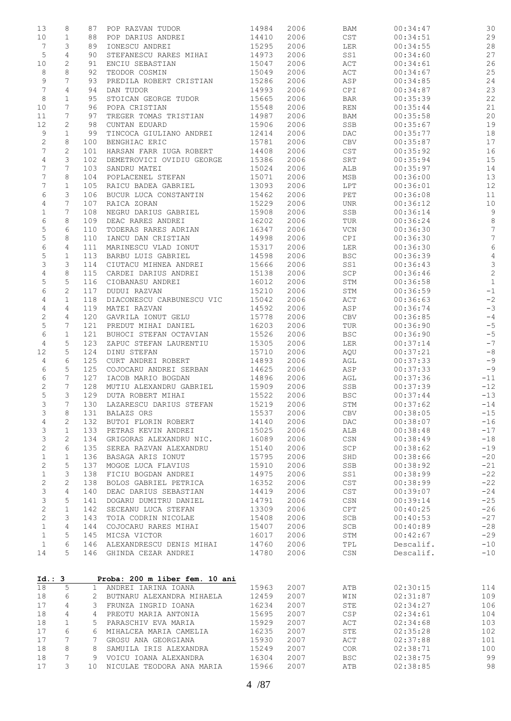| 13             | 8              | 87           | POP RAZVAN TUDOR                         | 14984          | 2006         | BAM            | 00:34:47             | 30                             |
|----------------|----------------|--------------|------------------------------------------|----------------|--------------|----------------|----------------------|--------------------------------|
| 10             | 1              | 88           | POP DARIUS ANDREI                        | 14410          | 2006         | CST            | 00:34:51             | 29                             |
| 7              | 3              | 89           | IONESCU ANDREI                           | 15295          | 2006         | LER            | 00:34:55             | $2\,8$                         |
| $\mathsf S$    | $\overline{4}$ | 90           | STEFANESCU RARES MIHAI                   | 14973          | 2006         | SS1            | 00:34:60             | 27                             |
| 10             | $\mathbf{2}$   | 91           | ENCIU SEBASTIAN                          | 15047          | 2006         | ACT            | 00:34:61             | 26                             |
| 8              | 8              | 92           | TEODOR COSMIN                            | 15049          | 2006         | ACT            | 00:34:67             | 25                             |
| 9              | 7              | 93           | PREDILA ROBERT CRISTIAN                  | 15286          | 2006         | ASP            | 00:34:85             | 24                             |
| $\overline{7}$ | 4              | 94           | DAN TUDOR                                | 14993          | 2006         | CPI            | 00:34:87             | 23                             |
| 8              | $\mathbf{1}$   | 95           | STOICAN GEORGE TUDOR                     | 15665          | 2006         | <b>BAR</b>     | 00:35:39             | 22                             |
| 10             | 7              | 96           | POPA CRISTIAN                            | 15548          | 2006         | <b>REN</b>     | 00:35:44             | $2\sqrt{1}$                    |
| 11             | 7              | 97           | TREGER TOMAS TRISTIAN                    | 14987          | 2006         | BAM            | 00:35:58             | $20$                           |
| 12             | 2              | 98           | CUNTAN EDUARD                            | 15906          | 2006         | SSB            | 00:35:67             | 19                             |
| 9              | $\mathbf{1}$   | 99           | TINCOCA GIULIANO ANDREI                  | 12414          | 2006         | DAC            | 00:35:77             | 18                             |
| 2              | 8              | 100          | BENGHIAC ERIC                            | 15781          | 2006         | CBV            | 00:35:87             | 17                             |
| 7              | $\mathbf{2}$   | 101          | HARSAN FARR IUGA ROBERT                  | 14408          | 2006         | CST            | 00:35:92             | 16                             |
| $\overline{4}$ | 3              | 102          | DEMETROVICI OVIDIU GEORGE                | 15386          | 2006         | SRT            | 00:35:94             | 15                             |
| 7              | 7              | 103          | SANDRU MATEI                             | 15024          | 2006         | ALB            | 00:35:97             | 14                             |
| 7              | 8              | 104          | POPLACENEL STEFAN                        | 15071          | 2006         | MSB            | 00:36:00             | 13                             |
| 7              | $\mathbf 1$    | 105          | RAICU BADEA GABRIEL                      | 13093          | 2006         | LPT            | 00:36:01             | 12                             |
| 6              | 3              | 106          | BUCUR LUCA CONSTANTIN                    | 15462          | 2006         | PET            | 00:36:08             | 11                             |
| 4              | 7              | 107          | RAICA ZORAN                              | 15229          | 2006         | <b>UNR</b>     | 00:36:12             | $10$                           |
| 1              | 7              | 108          | NEGRU DARIUS GABRIEL                     | 15908          | 2006         | SSB            | 00:36:14             | $\mathsf 9$                    |
| 6              | 8              | 109          | DEAC RARES ANDREI                        | 16202          | 2006         | TUR            | 00:36:24             | $\,8\,$                        |
| 5              | 6              | 110          | TODERAS RARES ADRIAN                     | 16347          | 2006         | VCN            | 00:36:30             | $7\phantom{.0}$                |
| 5              | 8              | 110          | IANCU DAN CRISTIAN                       | 14998          | 2006         | CPI            | 00:36:30             | $7\phantom{.0}$                |
| 6              | 4              | 111          | MARINESCU VLAD IONUT                     | 15317          | 2006         | LER            | 00:36:30             | $\sqrt{6}$                     |
| 5              | $\mathbf{1}$   | 113          | BARBU LUIS GABRIEL                       | 14598          | 2006         | <b>BSC</b>     | 00:36:39             | $\sqrt{4}$                     |
| 3              | 3              | 114          | CIUTACU MIHNEA ANDREI                    | 15666          | 2006         | SS1            | 00:36:43             | $\ensuremath{\mathsf{3}}$      |
| $\overline{4}$ | 8<br>5         | 115<br>116   | CARDEI DARIUS ANDREI<br>CIOBANASU ANDREI | 15138<br>16012 | 2006<br>2006 | SCP<br>STM     | 00:36:46<br>00:36:58 | $\overline{c}$<br>$\mathbf{1}$ |
| 5<br>6         | $\mathbf{2}$   | 117          | DUDUI RAZVAN                             | 15210          | 2006         | STM            | 00:36:59             | $-1$                           |
| 4              | $\mathbf{1}$   | 118          | DIACONESCU CARBUNESCU VIC                | 15042          | 2006         | ACT            | 00:36:63             | $^{\rm -2}$                    |
| 4              | 4              | 119          | MATEI RAZVAN                             | 14592          | 2006         | ASP            | 00:36:74             | $-3$                           |
| $\sqrt{2}$     | 4              | 120          | GAVRILA IONUT GELU                       | 15778          | 2006         | CBV            | 00:36:85             | $-4$                           |
| $\mathsf S$    | 7              | 121          | PREDUT MIHAI DANIEL                      | 16203          | 2006         | TUR            | 00:36:90             | $-5$                           |
| 6              | $\mathbf{1}$   | 121          | BUHOCI STEFAN OCTAVIAN                   | 15526          | 2006         | <b>BSC</b>     | 00:36:90             | $-5$                           |
| 4              | 5              | 123          | ZAPUC STEFAN LAURENTIU                   | 15305          | 2006         | LER            | 00:37:14             | $-7$                           |
| 12             | 5              | 124          | DINU STEFAN                              | 15710          | 2006         | AQU            | 00:37:21             | $-8$                           |
| 4              | 6              | 125          | CURT ANDREI ROBERT                       | 14893          | 2006         | AGL            | 00:37:33             | $-9$                           |
| 6              | 5              | 125          | COJOCARU ANDREI SERBAN                   | 14625          | 2006         | ASP            | 00:37:33             | $-9$                           |
| 6              | 7              | 127          | IACOB MARIO BOGDAN                       | 14896          | 2006         | AGL            | 00:37:36             | $-11$                          |
| $\mathbf{2}$   | 7              | 128          | MUTIU ALEXANDRU GABRIEL                  | 15909          | 2006         | SSB            | 00:37:39             | $-12$                          |
| 5              | 3              | 129          | DUTA ROBERT MIHAI                        | 15522          | 2006         | <b>BSC</b>     | 00:37:44             | $-13$                          |
| 3              | 7              | 130          | LAZARESCU DARIUS STEFAN                  | 15219          | 2006         | STM            | 00:37:62             | $-14$                          |
| 3              | 8              | 131          | <b>BALAZS ORS</b>                        | 15537          | 2006         | CBV            | 00:38:05             | $-15$                          |
| $\overline{4}$ | 2              | 132          | BUTOI FLORIN ROBERT                      | 14140          | 2006         | DAC            | 00:38:07             | $-16$                          |
| 3              | $\mathbf{1}$   | 133          | PETRAS KEVIN ANDREI                      | 15025          | 2006         | ALB            | 00:38:48             | $-17$                          |
| 3              | $\mathbf{2}$   | 134          | GRIGORAS ALEXANDRU NIC.                  | 16089          | 2006         | CSN            | 00:38:49             | $-18$                          |
| 2              | 6              | 135          | SEREA RAZVAN ALEXANDRU                   | 15140          | 2006         | SCP            | 00:38:62             | $-19$                          |
| $\mathbf 1$    | $\mathbf 1$    | 136          | BASAGA ARIS IONUT                        | 15795          | 2006         | SHD            | 00:38:66             | $-20$                          |
| $\sqrt{2}$     | 5              | 137          | MOGOE LUCA FLAVIUS                       | 15910          | 2006         | SSB            | 00:38:92             | $-21$                          |
| $\mathbf{1}$   | 3              | 138          | FICIU BOGDAN ANDREI                      | 14975          | 2006         | SS1            | 00:38:99             | $-22$                          |
| 2              | 2              | 138          | BOLOS GABRIEL PETRICA                    | 16352          | 2006         | CST            | 00:38:99             | $-22$                          |
| 3              | 4              | 140          | DEAC DARIUS SEBASTIAN                    | 14419          | 2006         | CST            | 00:39:07             | $-24$                          |
| 3              | 5              | 141          | DOGARU DUMITRU DANIEL                    | 14791          | 2006         | $\mathbb{CSN}$ | 00:39:14             | $-25$                          |
| 2              | $\mathbf 1$    | 142          | SECEANU LUCA STEFAN                      | 13309          | 2006         | CPT            | 00:40:25             | $-26$                          |
| $\mathbf{2}$   | 3              | 143          | TOIA CODRIN NICOLAE                      | 15408          | 2006         | SCB            | 00:40:53             | $-27$                          |
| $\mathbf 1$    | 4              | 144          | COJOCARU RARES MIHAI                     | 15407          | 2006         | SCB            | 00:40:89             | $-28$                          |
| $\mathbf{1}$   | 5              | 145          | MICSA VICTOR                             | 16017          | 2006         | STM            | 00:42:67             | $-29$                          |
| $\mathbf{1}$   | 6              | 146          | ALEXANDRESCU DENIS MIHAI                 | 14760          | 2006         | TPL            | Descalif.            | $-10$                          |
| 14             | 5              | 146          | GHINDA CEZAR ANDREI                      | 14780          | 2006         | CSN            | Descalif.            | $-10$                          |
| Id.: 3         |                |              | Proba: 200 m liber fem. 10 ani           |                |              |                |                      |                                |
| 18             | 5              | $\mathbf{1}$ | ANDREI IARINA IOANA                      | 15963          | 2007         | ATB            | 02:30:15             | 114                            |
| 18             | 6              | 2            | BUTNARU ALEXANDRA MIHAELA                | 12459          | 2007         | WIN            | 02:31:87             | 109                            |
| 17             | 4              | 3            | FRUNZA INGRID IOANA                      | 16234          | 2007         | STE            | 02:34:27             | 106                            |
| 18             | 4              | 4            | PREOTU MARIA ANTONIA                     | 15695          | 2007         | <b>CSP</b>     | 02:34:61             | 104                            |
| 18             | 1              | 5            | PARASCHIV EVA MARIA                      | 15929          | 2007         | ACT            | 02:34:68             | 103                            |
| 17             | 6              | 6            | MIHALCEA MARIA CAMELIA                   | 16235          | 2007         | STE            | 02:35:28             | 102                            |
| 17             | 7              | 7            | GROSU ANA GEORGIANA                      | 15930          | 2007         | ACT            | 02:37:88             | 101                            |
| 18             | 8              | 8            | SAMUILA IRIS ALEXANDRA                   | 15249          | 2007         | COR.           | 02:38:71             | 100                            |
| 18             | 7              | 9            | VOICU IOANA ALEXANDRA                    | 16304          | 2007         | <b>BSC</b>     | 02:38:75             | 99                             |
| 17             | 3              | 10           | NICULAE TEODORA ANA MARIA                | 15966          | 2007         | ATB            | 02:38:85             | 98                             |
|                |                |              |                                          |                |              |                |                      |                                |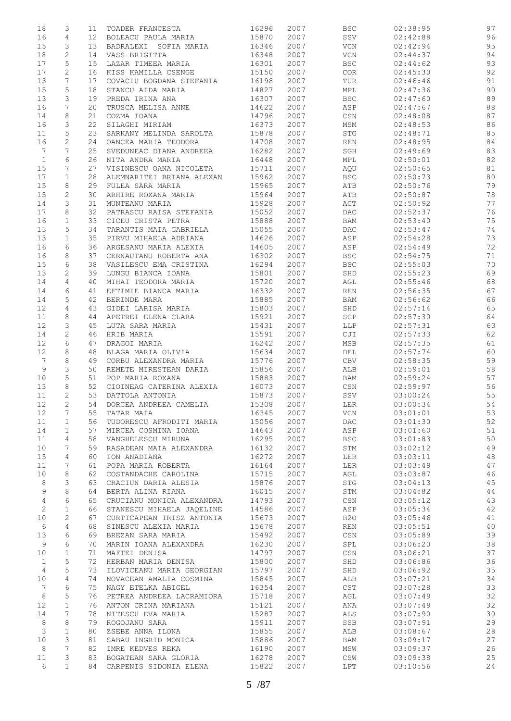| 18             | 3              | 11              | TOADER FRANCESCA          | 16296 | 2007 | <b>BSC</b>                       | 02:38:95 | 97 |
|----------------|----------------|-----------------|---------------------------|-------|------|----------------------------------|----------|----|
| 16             | 4              | 12 <sub>1</sub> | BOLEACU PAULA MARIA       | 15870 | 2007 | SSV                              | 02:42:88 | 96 |
| 15             | 3              | 13              | BADRALEXI SOFIA MARIA     | 16346 | 2007 | <b>VCN</b>                       | 02:42:94 | 95 |
| 18             | $\mathbf{2}$   | 14              | VASS BRIGITTA             | 16348 | 2007 | VCN                              | 02:44:37 | 94 |
| 17             | 5              | 15 <sub>1</sub> | LAZAR TIMEEA MARIA        | 16301 | 2007 | <b>BSC</b>                       | 02:44:62 | 93 |
| 17             | 2              | 16              | KISS KAMILLA CSENGE       | 15150 | 2007 | COR                              | 02:45:30 | 92 |
| 13             |                |                 |                           |       | 2007 |                                  |          | 91 |
|                | 7              | 17              | COVACIU BOGDANA STEFANIA  | 16198 |      | TUR                              | 02:46:46 |    |
| 15             | 5              | 18              | STANCU AIDA MARIA         | 14827 | 2007 | MPL                              | 02:47:36 | 90 |
| 13             | 3              | 19              | PREDA IRINA ANA           | 16307 | 2007 | <b>BSC</b>                       | 02:47:60 | 89 |
| 16             | 7              | 20              | TRUSCA MELISA ANNE        | 14622 | 2007 | ASP                              | 02:47:67 | 88 |
| 14             | 8              | 21              | COZMA IOANA               | 14796 | 2007 | CSN                              | 02:48:08 | 87 |
| 16             | 3              | 22              | SILAGHI MIRIAM            | 16373 | 2007 | MSM                              | 02:48:53 | 86 |
| 11             | 5              | 23              | SARKANY MELINDA SAROLTA   | 15878 | 2007 | <b>STG</b>                       | 02:48:71 | 85 |
| 16             | $\mathbf{2}$   | 24              | OANCEA MARIA TEODORA      | 14708 | 2007 | REN                              | 02:48:95 | 84 |
| 7              | 7              | 25              | SVEDUNEAC DIANA ANDREEA   | 16282 | 2007 | SGH                              | 02:49:69 | 83 |
| $1\,$          | 6              | 26              | NITA ANDRA MARIA          | 16448 | 2007 | MPL                              | 02:50:01 | 82 |
|                | 7              |                 |                           |       | 2007 |                                  |          |    |
| 15             |                | 27              | VISINESCU OANA NICOLETA   | 15711 |      | AQU                              | 02:50:65 | 81 |
| 17             | $\mathbf{1}$   | 28              | ALEMNARITEI BRIANA ALEXAN | 15962 | 2007 | <b>BSC</b>                       | 02:50:73 | 80 |
| 15             | 8              | 29              | FULEA SARA MARIA          | 15965 | 2007 | ATB                              | 02:50:76 | 79 |
| 15             | 2              | 30              | ARHIRE ROXANA MARIA       | 15964 | 2007 | ATB                              | 02:50:87 | 78 |
| 14             | 3              | 31              | MUNTEANU MARIA            | 15928 | 2007 | ACT                              | 02:50:92 | 77 |
| 17             | 8              | 32              | PATRASCU RAISA STEFANIA   | 15052 | 2007 | DAC                              | 02:52:37 | 76 |
| 16             | $\mathbf{1}$   | 33              | CICEU CRISTA PETRA        | 15888 | 2007 | BAM                              | 02:53:40 | 75 |
| 13             | 5              | 34              | TARANTIS MAIA GABRIELA    | 15055 | 2007 | $\mathop{\rm DAC}$               | 02:53:47 | 74 |
| 13             | $\mathbf{1}$   | 35              | PIRVU MIHAELA ADRIANA     | 14626 | 2007 | ASP                              | 02:54:28 | 73 |
| 16             | 6              | 36              | ARGESANU MARIA ALEXIA     | 14605 | 2007 | ASP                              | 02:54:49 | 72 |
| 16             | 8              | 37              | CERNAUTANU ROBERTA ANA    | 16302 | 2007 | <b>BSC</b>                       | 02:54:75 | 71 |
|                |                |                 |                           |       |      |                                  |          |    |
| 15             | 6              | 38              | VASILESCU EMA CRISTINA    | 16294 | 2007 | $_{\rm BSC}$                     | 02:55:03 | 70 |
| 13             | $\mathbf{2}$   | 39              | LUNGU BIANCA IOANA        | 15801 | 2007 | SHD                              | 02:55:23 | 69 |
| 14             | 4              | 40              | MIHAI TEODORA MARIA       | 15720 | 2007 | AGL                              | 02:55:46 | 68 |
| 14             | 6              | 41              | EFTIMIE BIANCA MARIA      | 16332 | 2007 | REN                              | 02:56:35 | 67 |
| 14             | 5              | 42              | BERINDE MARA              | 15885 | 2007 | BAM                              | 02:56:62 | 66 |
| 12             | 4              | 43              | GIDEI LARISA MARIA        | 15803 | 2007 | SHD                              | 02:57:14 | 65 |
| 11             | 8              | 44              | APETREI ELENA CLARA       | 15921 | 2007 | $\operatorname{SCP}$             | 02:57:30 | 64 |
| 12             | 3              | 45              | LUTA SARA MARIA           | 15431 | 2007 | <b>LLP</b>                       | 02:57:31 | 63 |
| 14             | $\overline{c}$ | 46              | HRIB MARIA                | 15591 | 2007 | CJI                              | 02:57:33 | 62 |
| 12             | 6              | 47              | DRAGOI MARIA              | 16242 | 2007 | MSB                              | 02:57:35 | 61 |
| 12             | 8              | 48              | BLAGA MARIA OLIVIA        | 15634 | 2007 | DEL                              | 02:57:74 | 60 |
|                |                |                 |                           |       |      |                                  |          |    |
| 7              | 8              | 49              | CORBU ALEXANDRA MARIA     | 15776 | 2007 | CBV                              | 02:58:35 | 59 |
| 9              | 3              | 50              | REMETE MIRESTEAN DARIA    | 15856 | 2007 | ALB                              | 02:59:01 | 58 |
| 10             | 5              | 51              | POP MARIA ROXANA          | 15883 | 2007 | BAM                              | 02:59:24 | 57 |
| 13             | 8              | 52              | CIOINEAG CATERINA ALEXIA  | 16073 | 2007 | CSN                              | 02:59:97 | 56 |
| 11             | $\mathbf{2}$   | 53              | DATTOLA ANTONIA           | 15873 | 2007 | SSV                              | 03:00:24 | 55 |
| 12             | $\overline{2}$ | 54              | DORCEA ANDREEA CAMELIA    | 15308 | 2007 | <b>LER</b>                       | 03:00:34 | 54 |
| 12             | 7              | 55              | TATAR MAIA                | 16345 | 2007 | VCN                              | 03:01:01 | 53 |
| 11             | $\mathbf 1$    | 56              | TUDORESCU AFRODITI MARIA  | 15056 | 2007 | DAC                              | 03:01:30 | 52 |
| 14             | $\mathbf 1$    | 57              | MIRCEA COSMINA IOANA      | 14643 | 2007 | ASP                              | 03:01:60 | 51 |
| 11             | 4              | 58              | VANGHELESCU MIRUNA        | 16295 | 2007 | <b>BSC</b>                       | 03:01:83 | 50 |
| 10             | 7              | 59              | RASADEAN MAIA ALEXANDRA   | 16132 | 2007 | STM                              | 03:02:12 | 49 |
|                |                |                 |                           |       |      |                                  |          |    |
| 15             | 4              | 60              | ION ANADIANA              | 16272 | 2007 | LER                              | 03:03:11 | 48 |
| 11             | 7              | 61              | POPA MARIA ROBERTA        | 16164 | 2007 | LER                              | 03:03:49 | 47 |
| 10             | 8              | 62              | COSTANDACHE CAROLINA      | 15715 | 2007 | AGL                              | 03:03:87 | 46 |
| 8              | 3              | 63              | CRACIUN DARIA ALESIA      | 15876 | 2007 | STG                              | 03:04:13 | 45 |
| 9              | 8              | 64              | BERTA ALINA RIANA         | 16015 | 2007 | STM                              | 03:04:82 | 44 |
| $\overline{4}$ | 6              | 65              | CRUCIANU MONICA ALEXANDRA | 14793 | 2007 | CSN                              | 03:05:12 | 43 |
| $\mathbf{2}$   | $\mathbf 1$    | 66              | STANESCU MIHAELA JAQELINE | 14586 | 2007 | ASP                              | 03:05:34 | 42 |
| 10             | $\mathbf{2}$   | 67              | CURTICAPEAN IRISZ ANTONIA | 15673 | 2007 | H2O                              | 03:05:46 | 41 |
| 6              | $\overline{4}$ | 68              | SINESCU ALEXIA MARIA      | 15678 | 2007 | $\mathop{\rm REN}\nolimits$      | 03:05:51 | 40 |
| 13             | 6              | 69              | BREZAN SARA MARIA         | 15492 | 2007 | $\mathbb{C}\mathbb{S}\mathbb{N}$ | 03:05:89 | 39 |
| 9              | 6              | 70              | MARIN IOANA ALEXANDRA     | 16230 | 2007 | SPL                              | 03:06:20 | 38 |
|                |                |                 |                           |       |      |                                  |          |    |
| 10             | $\mathbf 1$    | 71              | MAFTEI DENISA             | 14797 | 2007 | CSN                              | 03:06:21 | 37 |
| $\mathbf{1}$   | 5              | 72              | HERBAN MARIA DENISA       | 15800 | 2007 | SHD                              | 03:06:86 | 36 |
| 4              | 5              | 73              | ILOVICEANU MARIA GEORGIAN | 15797 | 2007 | SHD                              | 03:06:92 | 35 |
| 10             | $\overline{4}$ | 74              | NOVACEAN AMALIA COSMINA   | 15845 | 2007 | ALB                              | 03:07:21 | 34 |
| 7              | 6              | 75              | NAGY ETELKA ABIGEL        | 16354 | 2007 | CST                              | 03:07:28 | 33 |
| $\,8\,$        | 5              | 76              | PETREA ANDREEA LACRAMIORA | 15718 | 2007 | AGL                              | 03:07:49 | 32 |
| 12             | $\mathbf{1}$   | 76              | ANTON CRINA MARIANA       | 15121 | 2007 | ANA                              | 03:07:49 | 32 |
| 14             | 7              | 78              | NITESCU EVA MARIA         | 15287 | 2007 | ALS                              | 03:07:90 | 30 |
| $\,8\,$        | 8              | 79              | ROGOJANU SARA             | 15911 | 2007 | SSB                              | 03:07:91 | 29 |
| 3              | $\mathbf 1$    | 80              | ZSEBE ANNA ILONA          | 15855 | 2007 | ALB                              | 03:08:67 | 28 |
| 10             | 3              | 81              | SABAU INGRID MONICA       | 15886 | 2007 |                                  | 03:09:17 | 27 |
|                | 7              |                 |                           |       |      | BAM                              |          |    |
| 8              |                | 82              | IMRE KEDVES REKA          | 16190 | 2007 | MSW                              | 03:09:37 | 26 |
| 11             | 3              | 83              | BOGATEAN SARA GLORIA      | 16278 | 2007 | $\mathbb{CSW}$                   | 03:09:38 | 25 |
| 6              | $\mathbf{1}$   | 84              | CARPENIS SIDONIA ELENA    | 15822 | 2007 | LPT                              | 03:10:56 | 24 |
|                |                |                 |                           |       |      |                                  |          |    |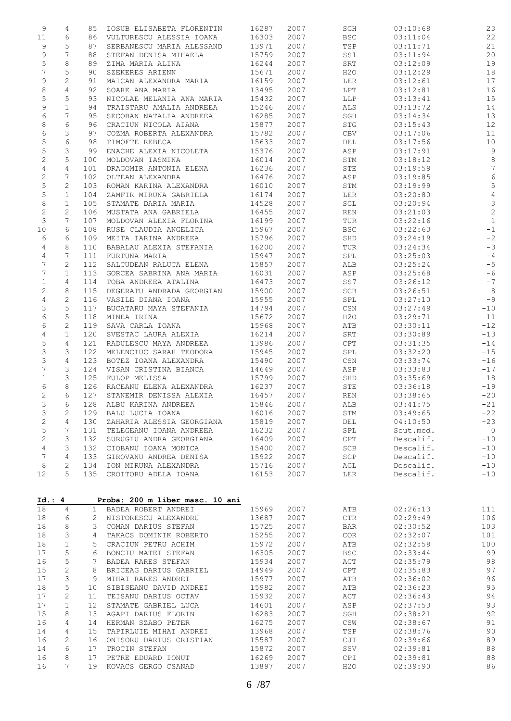| 9            | 4              | 85           | IOSUB ELISABETA FLORENTIN                 | 16287          | 2007         | SGH            | 03:10:68             | 23             |
|--------------|----------------|--------------|-------------------------------------------|----------------|--------------|----------------|----------------------|----------------|
| 11           | 6              | 86           | VULTURESCU ALESSIA IOANA                  | 16303          | 2007         | BSC            | 03:11:04             | 22             |
| 9            | 5              | 87           | SERBANESCU MARIA ALESSAND                 | 13971          | 2007         | TSP            | 03:11:71             | 21             |
| 9            | 7              | 88           | STEFAN DENISA MIHAELA                     | 15759          | 2007         | SS1            | 03:11:94             | 20             |
| 5            | 8              | 89           | ZIMA MARIA ALINA                          | 16244          | 2007         | SRT            | 03:12:09             | 19             |
| 7            | 5              | 90           | SZEKERES ARIENN                           | 15671          | 2007         | H20            | 03:12:29             | 18             |
| 9            | $\overline{c}$ | 91           | MAICAN ALEXANDRA MARIA                    | 16159          | 2007         | LER            | 03:12:61             | 17             |
| $\,8\,$      | 4              | 92           | SOARE ANA MARIA                           | 13495          | 2007         | LPT            | 03:12:81             | 16             |
| 5            | 5              | 93           | NICOLAE MELANIA ANA MARIA                 | 15432          | 2007         | LLP            | 03:13:41             | 15             |
| 9            | $\mathbf{1}$   | 94           | TRAISTARU AMALIA ANDREEA                  | 15246          | 2007         | ALS            | 03:13:72             | 14             |
| 6            | 7              | 95           | SECOBAN NATALIA ANDREEA                   | 16285          | 2007         | SGH            | 03:14:34             | 13             |
| 8            | 6              | 96           | CRACIUN NICOLA AIANA                      | 15877          | 2007         | STG            | 03:15:43             | 12             |
| 6            | 3              | 97           | COZMA ROBERTA ALEXANDRA                   | 15782          | 2007         | CBV            | 03:17:06             | 11             |
| 5            | 6              | 98           | TIMOFTE REBECA                            | 15633          | 2007         | DEL            | 03:17:56             | 10             |
| 5            | 3              | 99           | ENACHE ALEXIA NICOLETA                    | 15376          | 2007         | ASP            | 03:17:91             | $\overline{9}$ |
| $\mathbf{2}$ | 5              | 100          | MOLDOVAN IASMINA                          | 16014          | 2007         | STM            | 03:18:12             | $\,8\,$        |
| 4            | 4              | 101          | DRAGOMIR ANTONIA ELENA                    | 16236          | 2007         | STE            | 03:19:59             | $\overline{7}$ |
| $\sqrt{2}$   | 7              | 102          | OLTEAN ALEXANDRA                          | 16476          | 2007         | ASP            | 03:19:85             | $\epsilon$     |
| 5            | 2              | 103          | ROMAN KARINA ALEXANDRA                    | 16010          | 2007         | STM            | 03:19:99             | 5              |
| 5            | $\mathbf 1$    | 104          | ZAMFIR MIRUNA GABRIELA                    | 16174          | 2007         | LER            | 03:20:80             | $\sqrt{4}$     |
| $\,8\,$      | $\mathbf{1}$   | 105          | STAMATE DARIA MARIA                       | 14528          | 2007         | SGL            | 03:20:94             | $\mathcal{S}$  |
| $\sqrt{2}$   | 2              | 106          | MUSTATA ANA GABRIELA                      | 16455          | 2007         | REN            | 03:21:03             | $\overline{c}$ |
| 3            | 7              | 107          | MOLDOVAN ALEXIA FLORINA                   | 16199          | 2007         | TUR            | 03:22:16             | $\mathbf{1}$   |
| 10           | 6              | 108          | RUSE CLAUDIA ANGELICA                     | 15967          | 2007         | <b>BSC</b>     | 03:22:63             | $^{\rm -1}$    |
| 6            | 6              | 109          | MEITA IARINA ANDREEA                      | 15796          | 2007         | SHD            | 03:24:19             | $-2$           |
| 4            | 8              | 110          | BABALAU ALEXIA STEFANIA                   | 16200          | 2007         | TUR            | 03:24:34             | $-3$           |
| 4            | 7              | 111          | FURTUNA MARIA                             | 15947          | 2007         | SPL            | 03:25:03             | $-4$           |
| 7            | $\mathbf{2}$   | 112          | SALCUDEAN RALUCA ELENA                    | 15857          | 2007         | ALB            | 03:25:24             | $-5$           |
| 7            | $\mathbf{1}$   | 113          | GORCEA SABRINA ANA MARIA                  | 16031          | 2007         | ASP            | 03:25:68             | $-6$           |
| $\mathbf 1$  | 4              | 114          | TOBA ANDREEA ATALINA                      | 16473          | 2007         | SS7            | 03:26:12             | $-7$           |
| 2            | 8              | 115          | DEGERATU ANDRADA GEORGIAN                 | 15900          | 2007         | SCB            | 03:26:51             | $-8$           |
| 4            | 2              | 116          | VASILE DIANA IOANA                        | 15955          | 2007         | SPL            | 03:27:10             | $-9$           |
| 3            | 5              | 117          | BUCATARU MAYA STEFANIA                    | 14794          | 2007         | CSN            | 03:27:49             | $-10$          |
| 6            | 5              | 118          | MINEA IRINA                               | 15672          | 2007         | H2O            | 03:29:71             | $-11$          |
| 6            | $\mathbf{2}$   | 119          | SAVA CARLA IOANA                          | 15968          | 2007         | ATB            | 03:30:11             | $-12$          |
| 4            | $\mathbf{1}$   | 120          | SVESTAC LAURA ALEXIA                      | 16214          | 2007         | SRT            | 03:30:89             | $-13$          |
| 5            | 4              | 121          | RADULESCU MAYA ANDREEA                    | 13986          | 2007         | CPT            | 03:31:35             | $-14$          |
| 3            | 3              | 122          | MELENCIUC SARAH TEODORA                   | 15945          | 2007         | SPL            | 03:32:20             | $-15$          |
| 3            | 4              | 123          | BOTEZ IOANA ALEXANDRA                     | 15490          | 2007         | $\mathbb{CSN}$ | 03:33:74             | $-16$          |
| 7            | 3              | 124          | VISAN CRISTINA BIANCA                     | 14649          | 2007         | ASP            | 03:33:83             | $-17$          |
| $\mathbf 1$  | 3              | 125          | FULOP MELISSA                             | 15799          | 2007         | SHD            | 03:35:69             | $-18$          |
| 6            | 8              | 126          | RACEANU ELENA ALEXANDRA                   | 16237          | 2007         | STE            | 03:36:18             | $-19$          |
| 2            | 6              | 127          | STANEMIR DENISSA ALEXIA                   | 16457          | 2007         | REN            | 03:38:65             | $-20$          |
| 3            | 6              | 128          | ALBU KARINA ANDREEA                       | 15846          | 2007         | ALB            | 03:41:75             | $-21$          |
| 3            | 2              | 129          | BALU LUCIA IOANA                          | 16016          | 2007         | STM            | 03:49:65             | $-22$          |
| $\sqrt{2}$   | 4              | 130          | ZAHARIA ALESSIA GEORGIANA                 | 15819          | 2007         | DEL            | 04:10:50             | $-23$          |
| 5            | 7              | 131          | TELEGEANU IOANA ANDREEA                   | 16232          | 2007         | SPL            | Scut.med.            | $\overline{0}$ |
| $\mathbf{2}$ | 3              | 132          | SURUGIU ANDRA GEORGIANA                   | 16409          | 2007         | CPT            | Descalif.            | $-10$          |
| 4            | 3              | 132          | CIOBANU IOANA MONICA                      | 15400          | 2007         | SCB            | Descalif.            | $-10$          |
| 7            | 4              | 133          | GIROVANU ANDREA DENISA                    | 15922          | 2007         | SCP            | Descalif.            | $-10$          |
| 8            | 2              | 134          | ION MIRUNA ALEXANDRA                      | 15716          | 2007         | AGL            | Descalif.            | $-10$          |
| 12           | 5              | 135          | CROITORU ADELA IOANA                      | 16153          | 2007         | LER            | Descalif.            | $-10$          |
| Id.: 4       |                |              |                                           |                |              |                |                      |                |
| 18           |                |              | Proba: 200 m liber masc. 10 ani           |                |              |                |                      |                |
|              | 4              | $\mathbf{1}$ | BADEA ROBERT ANDREI                       | 15969          | 2007         | ATB            | 02:26:13             | 111            |
| 18           | 6              | $\mathbf{2}$ | NISTORESCU ALEXANDRU                      | 13687          | 2007         | $_{\rm CTR}$   | 02:29:49             | 106            |
| 18           | 8              | 3            | COMAN DARIUS STEFAN                       | 15725          | 2007         | <b>BAR</b>     | 02:30:52             | 103            |
| 18           | 3              | 4            | TAKACS DOMINIK ROBERTO                    | 15255          | 2007         | COR            | 02:32:07             | 101            |
| 18           | $\mathbf{1}$   | 5            | CRACIUN PETRU ACHIM                       | 15972          | 2007         | ATB            | 02:32:58             | 100            |
| 17           | 5              | 6            | BONCIU MATEI STEFAN                       | 16305          | 2007         | <b>BSC</b>     | 02:33:44             | 99             |
| 16           | 5              | 7            | BADEA RARES STEFAN                        | 15934          | 2007         | ACT            | 02:35:79             | 98             |
| 15           | 2              | 8            | BRICEAG DARIUS GABRIEL                    | 14949          | 2007         | CPT            | 02:35:83             | 97             |
| 17           | 3              | 9            | MIHAI RARES ANDREI                        | 15977          | 2007         | ATB            | 02:36:02             | 96             |
| 18           | 5              | 10           | SIBISEANU DAVID ANDREI                    | 15982          | 2007         | ATB            | 02:36:23             | 95             |
| 17           | 2              | 11           | TEISANU DARIUS OCTAV                      | 15932          | 2007         | ACT            | 02:36:43             | 94             |
| 17           | $\mathbf{1}$   | 12           | STAMATE GABRIEL LUCA                      | 14601          | 2007         | ASP            | 02:37:53             | 93             |
| 15           | 8              | 13           | AGAPI DARIUS FLORIN                       | 16283          | 2007         | SGH            | 02:38:21             | 92             |
| 16           | 4              | 14           | HERMAN SZABO PETER                        | 16275          | 2007         | CSW            | 02:38:67             | 91             |
| 14           | 4              | 15           | TAPIRLUIE MIHAI ANDREI                    | 13968          | 2007         | TSP            | 02:38:76             | 90             |
| 16           | 2              | 16           | ONISORU DARIUS CRISTIAN                   | 15587          | 2007         | CJI            | 02:39:66             | 89             |
| 14           | 6              | 17           | TROCIN STEFAN                             | 15872          | 2007         | SSV            | 02:39:81             | $8\,8$         |
| 16<br>16     | 8<br>7         | 17<br>19     | PETRE EDUARD IONUT<br>KOVACS GERGO CSANAD | 16269<br>13897 | 2007<br>2007 | CPI<br>H2O     | 02:39:81<br>02:39:90 | 88<br>86       |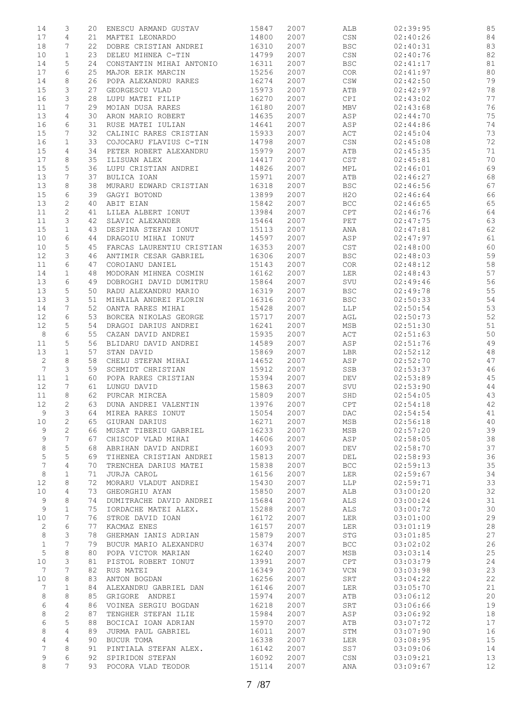| 14             | 3               | 20 | ENESCU ARMAND GUSTAV      | 15847 | 2007 | ALB                              | 02:39:95 | 85 |
|----------------|-----------------|----|---------------------------|-------|------|----------------------------------|----------|----|
| 17             | 4               | 21 | MAFTEI LEONARDO           | 14800 | 2007 | CSN                              | 02:40:26 | 84 |
|                |                 |    |                           |       |      |                                  |          |    |
| 18             | 7               | 22 | DOBRE CRISTIAN ANDREI     | 16310 | 2007 | $_{\rm BSC}$                     | 02:40:31 | 83 |
| 10             | $\mathbf{1}$    | 23 | DELEU MIHNEA C-TIN        | 14799 | 2007 | $\mathbb{C}\mathbb{S}\mathbb{N}$ | 02:40:76 | 82 |
| 14             | 5               | 24 | CONSTANTIN MIHAI ANTONIO  | 16311 | 2007 | <b>BSC</b>                       | 02:41:17 | 81 |
|                |                 |    |                           |       |      |                                  |          |    |
| 17             | 6               | 25 | MAJOR ERIK MARCIN         | 15256 | 2007 | COR                              | 02:41:97 | 80 |
| 14             | 8               | 26 | POPA ALEXANDRU RARES      | 16274 | 2007 | $\mathbb{CSW}$                   | 02:42:50 | 79 |
| 15             | 3               | 27 | GEORGESCU VLAD            | 15973 | 2007 | ATB                              | 02:42:97 | 78 |
| 16             | 3               | 28 | LUPU MATEI FILIP          | 16270 | 2007 | CPI                              | 02:43:02 | 77 |
|                |                 |    |                           |       |      |                                  |          |    |
| 11             | 7               | 29 | MOIAN DUSA RARES          | 16180 | 2007 | MBV                              | 02:43:68 | 76 |
| 13             | 4               | 30 | ARON MARIO ROBERT         | 14635 | 2007 | ASP                              | 02:44:70 | 75 |
| 16             | 6               | 31 | RUSE MATEI IULIAN         | 14641 | 2007 | ASP                              | 02:44:86 | 74 |
|                |                 |    |                           |       |      |                                  |          |    |
| 15             | 7               | 32 | CALINIC RARES CRISTIAN    | 15933 | 2007 | ACT                              | 02:45:04 | 73 |
| 16             | $\mathbf{1}$    | 33 | COJOCARU FLAVIUS C-TIN    | 14798 | 2007 | $\mathbb{C}\mathbb{S}\mathbb{N}$ | 02:45:08 | 72 |
| 15             | 4               | 34 | PETER ROBERT ALEXANDRU    | 15979 | 2007 | ATB                              | 02:45:35 | 71 |
|                |                 |    |                           |       |      |                                  |          |    |
| 17             | 8               | 35 | ILISUAN ALEX              | 14417 | 2007 | CST                              | 02:45:81 | 70 |
| 15             | 5               | 36 | LUPU CRISTIAN ANDREI      | 14826 | 2007 | MPL                              | 02:46:01 | 69 |
| 13             | 7               | 37 | BULICA IOAN               | 15971 | 2007 | ATB                              | 02:46:27 | 68 |
| 13             | 8               | 38 | MURARU EDWARD CRISTIAN    | 16318 | 2007 | <b>BSC</b>                       | 02:46:56 | 67 |
|                |                 |    |                           |       |      |                                  |          |    |
| 15             | 6               | 39 | GAGYI BOTOND              | 13899 | 2007 | H2O                              | 02:46:64 | 66 |
| 13             | 2               | 40 | ABIT EIAN                 | 15842 | 2007 | <b>BCC</b>                       | 02:46:65 | 65 |
| 11             | $\mathbf{2}$    | 41 | LILEA ALBERT IONUT        | 13984 | 2007 | CPT                              | 02:46:76 | 64 |
|                |                 |    |                           |       |      |                                  |          |    |
| 11             | 3               | 42 | SLAVIC ALEXANDER          | 15464 | 2007 | PET                              | 02:47:75 | 63 |
| 15             | $\mathbf{1}$    | 43 | DESPINA STEFAN IONUT      | 15113 | 2007 | ANA                              | 02:47:81 | 62 |
| 10             | 6               | 44 | DRAGOIU MIHAI IONUT       | 14597 | 2007 | ASP                              | 02:47:97 | 61 |
|                |                 |    |                           |       |      |                                  |          |    |
| 10             | 5               | 45 | FARCAS LAURENTIU CRISTIAN | 16353 | 2007 | CST                              | 02:48:00 | 60 |
| 12             | 3               | 46 | ANTIMIR CESAR GABRIEL     | 16306 | 2007 | <b>BSC</b>                       | 02:48:03 | 59 |
| 11             | 6               | 47 | COROIANU DANIEL           | 15143 | 2007 | COR                              | 02:48:12 | 58 |
|                |                 |    |                           |       |      |                                  |          |    |
| 14             | $\mathbf 1$     | 48 | MODORAN MIHNEA COSMIN     | 16162 | 2007 | LER                              | 02:48:43 | 57 |
| 13             | 6               | 49 | DOBROGHI DAVID DUMITRU    | 15864 | 2007 | $\operatorname{SVU}$             | 02:49:46 | 56 |
| 13             | 5               | 50 | RADU ALEXANDRU MARIO      | 16319 | 2007 | <b>BSC</b>                       | 02:49:78 | 55 |
| 13             | 3               | 51 | MIHAILA ANDREI FLORIN     | 16316 | 2007 | <b>BSC</b>                       | 02:50:33 | 54 |
|                |                 |    |                           |       |      |                                  |          |    |
| 14             | 7               | 52 | OANTA RARES MIHAI         | 15428 | 2007 | LLP                              | 02:50:54 | 53 |
| 12             | 6               | 53 | BORCEA NIKOLAS GEORGE     | 15717 | 2007 | AGL                              | 02:50:73 | 52 |
| 12             | 5               | 54 | DRAGOI DARIUS ANDREI      | 16241 | 2007 | MSB                              | 02:51:30 | 51 |
|                |                 |    |                           |       |      |                                  |          |    |
| $\,8\,$        | 6               | 55 | CAZAN DAVID ANDREI        | 15935 | 2007 | $\mathtt{ACT}$                   | 02:51:63 | 50 |
| 11             | 5               | 56 | BLIDARU DAVID ANDREI      | 14589 | 2007 | ASP                              | 02:51:76 | 49 |
| 13             | $\mathbf 1$     | 57 | STAN DAVID                | 15869 | 2007 | LBR                              | 02:52:12 | 48 |
|                | 8               | 58 | CHELU STEFAN MIHAI        | 14652 | 2007 | ASP                              | 02:52:70 | 47 |
| 2              |                 |    |                           |       |      |                                  |          |    |
| $\overline{7}$ | 3               | 59 | SCHMIDT CHRISTIAN         | 15912 | 2007 | SSB                              | 02:53:37 | 46 |
| 11             | $\mathbf{1}$    | 60 | POPA RARES CRISTIAN       | 15394 | 2007 | DEV                              | 02:53:89 | 45 |
| 12             | 7               | 61 | LUNGU DAVID               | 15863 | 2007 | SVU                              | 02:53:90 | 44 |
|                |                 |    |                           |       |      |                                  |          |    |
| 11             | 8               | 62 | PURCAR MIRCEA             | 15809 | 2007 | SHD                              | 02:54:05 | 43 |
| 12             | $\mathfrak{D}$  | 63 | DUNA ANDREI VALENTIN      | 13976 | 2007 | CPT                              | 02:54:18 | 42 |
| 9              | 3               | 64 | MIREA RARES IONUT         | 15054 | 2007 | DAC                              | 02:54:54 | 41 |
|                |                 |    |                           | 16271 |      |                                  | 02:56:18 |    |
| $10$           | 2               | 65 | GIURAN DARIUS             |       | 2007 | MSB                              |          | 40 |
| 9              | 2               | 66 | MUSAT TIBERIU GABRIEL     | 16233 | 2007 | MSB                              | 02:57:20 | 39 |
| $\mathsf 9$    | 7               | 67 | CHISCOP VLAD MIHAI        | 14606 | 2007 | ASP                              | 02:58:05 | 38 |
| 8              | 5               | 68 | ABRIHAN DAVID ANDREI      | 16093 | 2007 | DEV                              | 02:58:70 | 37 |
|                |                 |    |                           |       |      |                                  |          |    |
| 5              | 5               | 69 | TIHENEA CRISTIAN ANDREI   | 15813 | 2007 | DEL                              | 02:58:93 | 36 |
| 7              | $\overline{4}$  | 70 | TRENCHEA DARIUS MATEI     | 15838 | 2007 | <b>BCC</b>                       | 02:59:13 | 35 |
| 8              | $\mathbf 1$     | 71 | JURJA CAROL               | 16156 | 2007 | LER                              | 02:59:67 | 34 |
|                |                 |    |                           |       |      |                                  |          |    |
| 12             | 8               | 72 | MORARU VLADUT ANDREI      | 15430 | 2007 | LLP                              | 02:59:71 | 33 |
| 10             | 4               | 73 | GHEORGHIU AYAN            | 15850 | 2007 | ALB                              | 03:00:20 | 32 |
| 9              | 8               | 74 | DUMITRACHE DAVID ANDREI   | 15684 | 2007 | ALS                              | 03:00:24 | 31 |
| 9              | $\mathbf{1}$    | 75 | IORDACHE MATEI ALEX.      | 15288 | 2007 | ALS                              | 03:00:72 | 30 |
|                |                 |    |                           |       |      |                                  |          |    |
| 10             | 7               | 76 | STROE DAVID IOAN          | 16172 | 2007 | LER                              | 03:01:00 | 29 |
| $\mathbf{2}$   | 6               | 77 | KACMAZ ENES               | 16157 | 2007 | LER                              | 03:01:19 | 28 |
| 8              | 3               | 78 | GHERMAN IANIS ADRIAN      | 15879 | 2007 | STG                              | 03:01:85 | 27 |
|                |                 |    |                           |       |      |                                  |          |    |
| $\mathbf 1$    | 7               | 79 | BUCUR MARIO ALEXANDRU     | 16374 | 2007 | $_{\rm BCC}$                     | 03:02:02 | 26 |
| $\mathsf S$    | $\,8\,$         | 80 | POPA VICTOR MARIAN        | 16240 | 2007 | MSB                              | 03:03:14 | 25 |
| 10             | 3               | 81 | PISTOL ROBERT IONUT       | 13991 | 2007 | CPT                              | 03:03:79 | 24 |
| 7              | 7               | 82 | RUS MATEI                 | 16349 | 2007 | $\ensuremath{\text{VCN}}$        | 03:03:98 | 23 |
|                |                 |    |                           |       |      |                                  |          |    |
| 10             | 8               | 83 | ANTON BOGDAN              | 16256 | 2007 | SRT                              | 03:04:22 | 22 |
| 7              | $\mathbf 1$     | 84 | ALEXANDRU GABRIEL DAN     | 16146 | 2007 | LER                              | 03:05:70 | 21 |
| 8              | 8               | 85 | GRIGORE ANDREI            | 15974 | 2007 | ATB                              | 03:06:12 | 20 |
|                |                 |    |                           |       |      |                                  |          | 19 |
| 6              | $\overline{4}$  | 86 | VOINEA SERGIU BOGDAN      | 16218 | 2007 | SRT                              | 03:06:66 |    |
| 8              | $\mathbf{2}$    | 87 | TENGHER STEFAN ILIE       | 15984 | 2007 | ASP                              | 03:06:92 | 18 |
| 6              | 5               | 88 | BOCICAI IOAN ADRIAN       | 15970 | 2007 | ATB                              | 03:07:72 | 17 |
| 8              | $\overline{4}$  | 89 | JURMA PAUL GABRIEL        | 16011 | 2007 | STM                              | 03:07:90 | 16 |
|                |                 |    |                           |       |      |                                  |          |    |
| 4              | $\overline{4}$  | 90 | BUCUR TOMA                | 16338 | 2007 | <b>LER</b>                       | 03:08:95 | 15 |
| 7              | 8               | 91 | PINTIALA STEFAN ALEX.     | 16142 | 2007 | SS7                              | 03:09:06 | 14 |
| 9              | 6               | 92 | SPIRIDON STEFAN           | 16092 | 2007 | $\mathbb{C}\mathbb{S}\mathbb{N}$ | 03:09:21 | 13 |
| 8              | $7\overline{ }$ | 93 | POCORA VLAD TEODOR        | 15114 | 2007 |                                  |          | 12 |
|                |                 |    |                           |       |      | ANA                              | 03:09:67 |    |
|                |                 |    |                           |       |      |                                  |          |    |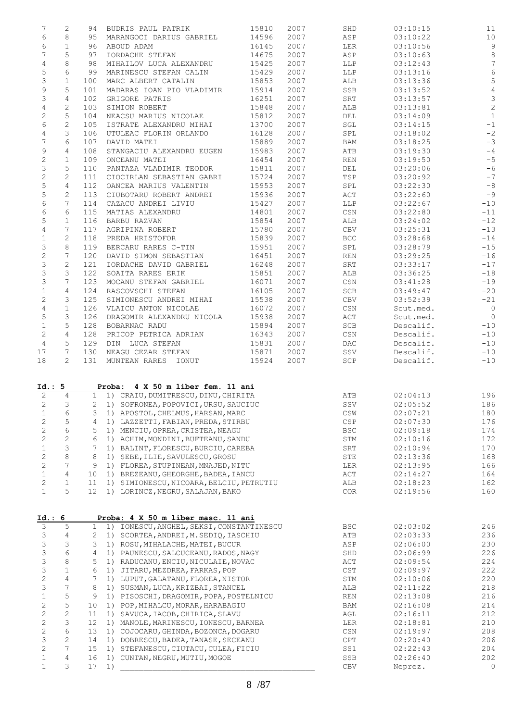| 7                                    | 2                     |                 | 94 BUDRIS PAUL PATRIK                                                      | 15810 | 2007 | SHD              | 03:10:15            | 11              |
|--------------------------------------|-----------------------|-----------------|----------------------------------------------------------------------------|-------|------|------------------|---------------------|-----------------|
| 6                                    | 8                     |                 | 95 MARANGOCI DARIUS GABRIEL                                                | 14596 | 2007 | ASP              | 03:10:22            | 10              |
| 6                                    | $\mathbf{1}$          | 96              | ABOUD ADAM                                                                 | 16145 | 2007 | LER              | 03:10:56            | $\overline{9}$  |
| 7                                    | 5                     | 97              | IORDACHE STEFAN                                                            | 14675 | 2007 | ASP              | 03:10:63            | $\,8\,$         |
| 4                                    | 8                     | 98              | MIHAILOV LUCA ALEXANDRU                                                    | 15425 | 2007 | LLP              | 03:12:43            | $7\phantom{.0}$ |
| 5                                    | 6                     | 99              | MARINESCU STEFAN CALIN                                                     | 15429 | 2007 | LLP              | 03:13:16            | $\sqrt{6}$      |
| 3                                    | $\mathbf{1}$          | 100             | MARC ALBERT CATALIN                                                        | 15853 | 2007 | ALB              | 03:13:36            | 5               |
|                                      | 5                     |                 |                                                                            |       |      |                  |                     | $\sqrt{4}$      |
| 9                                    |                       | 101             | MADARAS IOAN PIO VLADIMIR                                                  | 15914 | 2007 | SSB              | 03:13:52            |                 |
| 3                                    | 4                     | 102             | GRIGORE PATRIS                                                             | 16251 | 2007 | SRT              | 03:13:57            | $\frac{3}{2}$   |
| 4                                    | $\mathbf{2}$          | 103             | SIMION ROBERT                                                              | 15848 | 2007 | ALB              | 03:13:81            |                 |
| 2                                    | 5                     | 104             | NEACSU MARIUS NICOLAE                                                      | 15812 | 2007 | DEL              | 03:14:09            | $\mathbf{1}$    |
| 6                                    | 2                     | 105             | ISTRATE ALEXANDRU MIHAI                                                    | 13700 | 2007 | SGL              | 03:14:15            | $-1$            |
| 4                                    | 3                     | 106             | UTULEAC FLORIN ORLANDO                                                     | 16128 | 2007 | SPL              | 03:18:02            | $-2$            |
| 7                                    | 6                     | 107             | DAVID MATEI                                                                | 15889 | 2007 | BAM              | 03:18:25            | $-3$            |
| 9                                    | $\overline{4}$        | 108             | STANGACIU ALEXANDRU EUGEN                                                  | 15983 | 2007 | ATB              | 03:19:30            | $-4$            |
| $\mathbf{2}$                         | $\mathbf{1}$          | 109             | ONCEANU MATEI                                                              | 16454 | 2007 | REN              | 03:19:50            | $-5$            |
| 3                                    | 5                     | 110             | PANTAZA VLADIMIR TEODOR                                                    | 15811 | 2007 | DEL              | 03:20:06            | $-6$            |
| $\mathbf{2}$                         | $\mathbf{2}^{\prime}$ | 111             | CIOCIRLAN SEBASTIAN GABRI                                                  | 15724 | 2007 | TSP              | 03:20:92            | $-7$            |
|                                      | 4                     | 112             | OANCEA MARIUS VALENTIN                                                     | 15953 | 2007 | SPL              | 03:22:30            | $-8$            |
| 5<br>5                               |                       |                 |                                                                            |       |      |                  |                     |                 |
|                                      | 2                     | 113             | CIUBOTARU ROBERT ANDREI                                                    | 15936 | 2007 | ACT              | 03:22:60            | $-9$            |
| 6                                    | 7                     | 114             | CAZACU ANDREI LIVIU                                                        | 15427 | 2007 | LLP              | 03:22:67            | $-10$           |
| 6                                    | 6                     | 115             | MATIAS ALEXANDRU                                                           | 14801 | 2007 | CSN              | 03:22:80            | $-11$           |
| 5                                    | $\mathbf{1}$          | 116             | BARBU RAZVAN                                                               | 15854 | 2007 | ALB              | 03:24:02            | $-12$           |
| $\overline{4}$                       | 7                     | 117             | AGRIPINA ROBERT                                                            | 15780 | 2007 | CBV              | 03:25:31            | $-13$           |
| $\mathbf 1$                          | $\mathbf{2}$          | 118             | PREDA HRISTOFOR                                                            | 15839 | 2007 | BCC              | 03:28:68            | $-14$           |
| 3                                    | 8                     | 119             | BERCARU RARES C-TIN                                                        | 15951 | 2007 | SPL              | 03:28:79            | $-15$           |
| $\mathbf{2}$                         | 7                     | 120             | DAVID SIMON SEBASTIAN                                                      | 16451 | 2007 | REN              | 03:29:25            | $-16$           |
| 3                                    | $\mathbf{2}$          | 121             | IORDACHE DAVID GABRIEL                                                     | 16248 | 2007 | SRT              | 03:33:17            | $-17$           |
| 3                                    | 3                     | 122             | SOAITA RARES ERIK                                                          | 15851 | 2007 | ALB              | 03:36:25            | $-18$           |
| 3                                    | 7                     | 123             | MOCANU STEFAN GABRIEL                                                      | 16071 | 2007 | $\mathbb{CSN}{}$ | 03:41:28            | $-19$           |
| $\mathbf 1$                          | $\overline{4}$        | 124             | RASCOVSCHI STEFAN                                                          | 16105 | 2007 | SCB              | 03:49:47            | $-20$           |
|                                      | 3                     |                 |                                                                            |       |      |                  |                     |                 |
| 2                                    |                       | 125             | SIMIONESCU ANDREI MIHAI                                                    | 15538 | 2007 | CBV              | 03:52:39            | $-21$           |
| $\overline{4}$                       | $\mathbf{1}$          | 126             | VLAICU ANTON NICOLAE                                                       | 16072 | 2007 | $\mathbb{CSN}{}$ | Scut.med.           | $\overline{0}$  |
| 5                                    | 3                     | 126             | DRAGOMIR ALEXANDRU NICOLA                                                  | 15938 | 2007 | ACT              | Scut.med.           | $\overline{0}$  |
| $\mathbf{1}$                         | 5                     | 128             | BOBARNAC RADU                                                              | 15894 | 2007 | SCB              | Descalif.           | $-10$           |
| $\mathbf{2}$                         | 4                     | 128             | PRICOP PETRICA ADRIAN                                                      | 16343 | 2007 | CSN              | Descalif.           | $-10$           |
| 4                                    | 5                     | 129             | DIN LUCA STEFAN                                                            | 15831 | 2007 | DAC              | Descalif.           | $-10$           |
| 17                                   | 7                     | 130             | NEAGU CEZAR STEFAN                                                         | 15871 | 2007 | SSV              | Descalif.           | $-10$           |
| 18                                   | $\mathbf{2}^{\prime}$ | 131             | MUNTEAN RARES IONUT                                                        | 15924 | 2007 | SCP              | Descalif.           | $-10$           |
| Id.: 5<br>2                          | $\overline{4}$        |                 | Proba: 4 X 50 m liber fem. 11 ani<br>1 1) CRAIU, DUMITRESCU, DINU, CHIRITA |       |      | ATB              | 02:04:13            | 196             |
| 2                                    | 3                     | $\overline{2}$  | 1) SOFRONEA, POPOVICI, URSU, SAUCIUC                                       |       |      | SSV              | 02:05:52            | 186             |
|                                      | 6                     | 3               | 1) APOSTOL, CHELMUS, HARSAN, MARC                                          |       |      | $\mathbb{CSW}$   | 02:07:21            | 180             |
| $\mathbf 1$<br>$\overline{c}$        | $\mathsf S$           | 4               | 1) LAZZETTI, FABIAN, PREDA, STIRBU                                         |       |      | CSP              | 02:07:30            | 176             |
|                                      | $\epsilon$            | 5               | 1) MENCIU, OPREA, CRISTEA, NEAGU                                           |       |      | <b>BSC</b>       | 02:09:18            | 174             |
| $\mathbf{2}$                         |                       |                 |                                                                            |       |      |                  |                     |                 |
| $\mathbf{2}$                         | $\mathbf{2}$          | 6               | 1) ACHIM, MONDINI, BUFTEANU, SANDU                                         |       |      | STM              | 02:10:16            | 172             |
| $\mathbf 1$                          | 3                     | 7               | 1) BALINT, FLORESCU, BURCIU, CAREBA                                        |       |      | SRT              | 02:10:94            | 170             |
| $\mathbf{2}$                         | 8                     | 8               | 1) SEBE, ILIE, SAVULESCU, GROSU                                            |       |      | STE              | 02:13:36            | 168             |
| $\mathbf{2}$                         | $7\phantom{.}$        | 9               | 1) FLOREA, STUPINEAN, MNAJED, NITU                                         |       |      | LER              | 02:13:95            | 166             |
| $\mathbf 1$                          | $\overline{4}$        | 10              | 1) BREZEANU, GHEORGHE, BADEA, IANCU                                        |       |      | ACT              | 02:14:27            | 164             |
| $\mathbf{2}$                         | $\mathbf 1$           | 11              | 1) SIMIONESCU, NICOARA, BELCIU, PETRUTIU                                   |       |      | ALB              | 02:18:23            | 162             |
| $\mathbf 1$                          | 5                     |                 | 1) LORINCZ, NEGRU, SALAJAN, BAKO                                           |       |      |                  |                     |                 |
|                                      |                       | 12 <sup>°</sup> |                                                                            |       |      | COR              | 02:19:56            | 160             |
|                                      |                       |                 |                                                                            |       |      |                  |                     |                 |
|                                      |                       |                 | Proba: 4 X 50 m liber masc. 11 ani                                         |       |      |                  |                     |                 |
|                                      | 5                     | $\mathbf{1}$    | 1) IONESCU, ANGHEL, SEKSI, CONSTANTINESCU                                  |       |      | <b>BSC</b>       | 02:03:02            | 246             |
|                                      | 4                     | $\mathbf{2}$    | 1) SCORTEA, ANDREI, M. SEDIQ, IASCHIU                                      |       |      | ATB              | 02:03:33            | 236             |
|                                      | 3                     | 3               | 1) ROSU, MIHALACHE, MATEI, BUCUR                                           |       |      | ASP              | 02:06:00            | 230             |
|                                      | $\epsilon$            | 4               | 1) PAUNESCU, SALCUCEANU, RADOS, NAGY                                       |       |      | SHD              | 02:06:99            | 226             |
|                                      | 8                     | 5               | 1) RADUCANU, ENCIU, NICULAIE, NOVAC                                        |       |      | ACT              | 02:09:54            | 224             |
| 3<br>3<br>3<br>3<br>3<br>3           | $\mathbf 1$           | 6               | 1) JITARU, MEZDREA, FARKAS, POP                                            |       |      | CST              | 02:09:97            | 222             |
|                                      | $\overline{4}$        | 7               | 1) LUPUT, GALATANU, FLOREA, NISTOR                                         |       |      | STM              | 02:10:06            | 220             |
| $\overline{c}$<br>3                  | $\overline{7}$        | 8               | 1) SUSMAN, LUCA, KRIZBAI, STANCEL                                          |       |      | ALB              | 02:11:22            | 218             |
| $\mathbf 1$                          | 5                     | 9               | 1) PISOSCHI, DRAGOMIR, POPA, POSTELNICU                                    |       |      | REN              | 02:13:08            | 216             |
|                                      | 5                     | 10              | 1) POP, MIHALCU, MORAR, HARABAGIU                                          |       |      | BAM              | 02:16:08            | 214             |
|                                      | $\mathbf{2}$          | 11              | 1) SAVUCA, IACOB, CHIRICA, SLAVU                                           |       |      | AGL              | 02:16:11            | 212             |
| $\mathbf{2}$<br>$\mathbf{2}$         | 3                     | 12              | 1) MANOLE, MARINESCU, IONESCU, BARNEA                                      |       |      | LER              | 02:18:81            |                 |
| $\mathbf{2}$                         |                       | 13              |                                                                            |       |      |                  |                     | 210             |
|                                      | 6                     |                 | 1) COJOCARU, GHINDA, BOZONCA, DOGARU                                       |       |      | CSN              | 02:19:97            | 208             |
|                                      | $\mathbf{2}$          | 14              | 1) DOBRESCU, BADEA, TANASE, SECEANU                                        |       |      | CPT              | 02:20:40            | 206             |
| $\mathbf{2}$<br>3<br>$\mathbf{2}$    | $7\phantom{.}$        | 15              | 1) STEFANESCU, CIUTACU, CULEA, FICIU                                       |       |      | SS1              | 02:22:43            | 204             |
| Id.: 6<br>$\mathbf 1$<br>$\mathbf 1$ | 4<br>3                | 16<br>17        | 1) CUNTAN, NEGRU, MUTIU, MOGOE<br>1)                                       |       |      | SSB<br>CBV       | 02:26:40<br>Neprez. | 202<br>$\circ$  |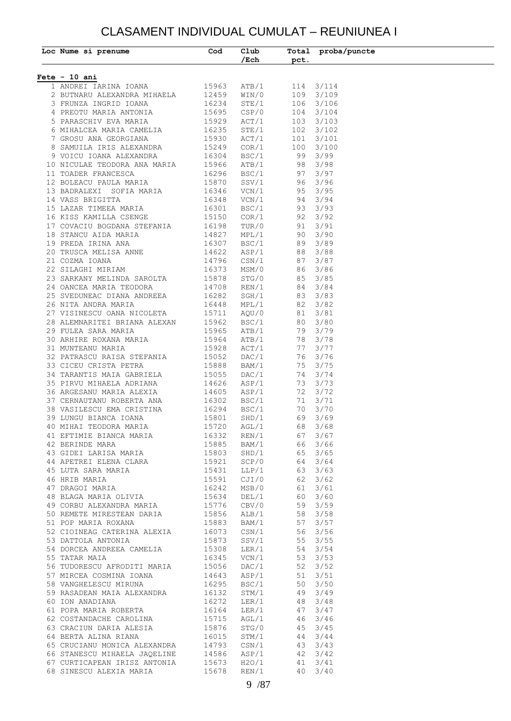### CLASAMENT INDIVIDUAL CUMULAT – REUNIUNEA I

| Loc Nume si prenume                                                                                                                                                                                                                          | Cod | Club<br>$/$ Ech                |                                | Total proba/puncte<br>pct. |
|----------------------------------------------------------------------------------------------------------------------------------------------------------------------------------------------------------------------------------------------|-----|--------------------------------|--------------------------------|----------------------------|
|                                                                                                                                                                                                                                              |     |                                |                                |                            |
| $Fete - 10 ani$                                                                                                                                                                                                                              |     |                                |                                |                            |
| 1 ANDREI IARINA IOANA 15963<br>2 BUTNARU ALEXANDRA MIHAELA 12459                                                                                                                                                                             |     | ATB/1<br>WIN/0                 |                                | 114 3/114<br>109 3/109     |
|                                                                                                                                                                                                                                              |     |                                |                                | 106 3/106                  |
| 3 FRUNZA INGRID IOANA 16234<br>4 PREOTU MARIA ANTONIA 15695<br>5 PARASCHIV EVA MARIA 15929                                                                                                                                                   |     | STE/1<br>csp/0<br>CSP/0        |                                | $104$ $3/104$              |
|                                                                                                                                                                                                                                              |     | ACT/1                          |                                | $103 \quad 3/103$          |
|                                                                                                                                                                                                                                              |     |                                |                                | $102 \quad 3/102$          |
| 6 MIHALCEA MARIA CAMELIA 16235<br>7 GROSU ANA GEORGIANA 15930<br>8 SAMUILA IRIS ALEXANDRA 15249                                                                                                                                              |     | STE/1<br>ACT/1<br>COR/1        |                                | $101 \quad 3/101$          |
|                                                                                                                                                                                                                                              |     |                                |                                | 100 3/100                  |
| 8 SAMULLA IRIS ALEXANDRA (1924)<br>9 VOICU IOANA ALEXANDRA (16304)<br>10 NICULAE TEODORA ANA MARIA (15966)<br>11 TOADER FRANCESCA (16296)<br>12 BOLEACU PAULA MARIA (15870)<br>13 BADRALEXI SOFIA MARIA (16346)<br>14 VASS BRIGITTA (16348   |     |                                | BSC/1 99 3/99                  |                            |
|                                                                                                                                                                                                                                              |     | ATB/1                          | 98 3/98                        |                            |
|                                                                                                                                                                                                                                              |     |                                | BSC/1 97 3/97                  |                            |
|                                                                                                                                                                                                                                              |     |                                | SSV/1 96 3/96                  |                            |
|                                                                                                                                                                                                                                              |     |                                | $VCN/1$ 95 3/95                |                            |
|                                                                                                                                                                                                                                              |     | VCN/1                          | 94 3/94                        |                            |
|                                                                                                                                                                                                                                              |     |                                | BSC/1 93 3/93                  |                            |
| 15 BEAR TIMEER MANIA<br>16 KISS KAMILLA CSENGE<br>17 COVACIU BOGDANA STEFANIA<br>16198<br>18 STANCU AIDA MARIA<br>161987<br>19 PREDA IRINA ANA<br>20 TRUSCA MELISA ANNE<br>21 COZMA IOANA<br>22 SILAGHI MIRIAM<br>23 SILAGHI MIRIAM<br>16373 |     |                                | COR/1 92 3/92                  |                            |
|                                                                                                                                                                                                                                              |     |                                | TUR/0 91 3/91<br>MPL/1 90 3/90 |                            |
|                                                                                                                                                                                                                                              |     |                                |                                |                            |
|                                                                                                                                                                                                                                              |     | BSC/1                          | 89 3/89                        |                            |
|                                                                                                                                                                                                                                              |     |                                | ASP/1 88 3/88<br>CSN/1 87 3/87 |                            |
|                                                                                                                                                                                                                                              |     |                                | MSM/0 86 3/86                  |                            |
|                                                                                                                                                                                                                                              |     |                                |                                |                            |
|                                                                                                                                                                                                                                              |     | REN/1                          | $STG/0$ 85 3/85<br>84 3/84     |                            |
| 23 SARKANY MELINDA SAROLTA 15878<br>24 OANCEA MARIA TEODORA 14708<br>25 SVEDUNEAC DIANA ANDREEA 16282                                                                                                                                        |     |                                | SGH/1 83 3/83                  |                            |
|                                                                                                                                                                                                                                              |     |                                | MPL/1 82 3/82                  |                            |
|                                                                                                                                                                                                                                              |     |                                |                                |                            |
|                                                                                                                                                                                                                                              |     | $5/82$<br>BSC/1 80 1<br>ATP /  |                                |                            |
|                                                                                                                                                                                                                                              |     |                                | ATB/1 79 3/79                  |                            |
|                                                                                                                                                                                                                                              |     |                                | 78 3/78                        |                            |
|                                                                                                                                                                                                                                              |     | ATB/1<br>ACT/1                 |                                | 77 3/77                    |
| 32 PATRASCU RAISA STEFANIA 15052                                                                                                                                                                                                             |     | DAC/1                          |                                | 76 3/76                    |
| 33 CICEU CRISTA PETRA 15888 BAM/1<br>34 TARANTIS MAIA GABRIELA 15888 BAM/1<br>35 PIRVU MIHAELA ADRIANA 14626 ASP/1<br>36 ARGESANU MARIA ALEXIA 14605 ASP/1<br>37 CERNAUTANU ROBERTA ANA 16302 BSC/1<br>38 VASILESCU EMA CRISTINA 16294 B     |     |                                |                                | 75 3/75                    |
|                                                                                                                                                                                                                                              |     |                                |                                | 74 3/74                    |
|                                                                                                                                                                                                                                              |     |                                |                                | 73 3/73                    |
|                                                                                                                                                                                                                                              |     |                                |                                | 72 3/72                    |
|                                                                                                                                                                                                                                              |     |                                |                                | 71 3/71                    |
|                                                                                                                                                                                                                                              |     |                                |                                | 70 3/70                    |
|                                                                                                                                                                                                                                              |     |                                | 69 3/69                        |                            |
| 40 MIHAI TEODORA MARIA 15720 AGL/1                                                                                                                                                                                                           |     |                                | 68 3/68                        |                            |
|                                                                                                                                                                                                                                              |     | REN/1                          | 67 3/67                        |                            |
|                                                                                                                                                                                                                                              |     |                                | BAM/1 66 3/66                  |                            |
|                                                                                                                                                                                                                                              |     | $\frac{1}{\text{SHD}}$ /1      | 65 3/65                        |                            |
|                                                                                                                                                                                                                                              |     | SCP/0<br>LLP/1                 | 64 3/64<br>63 3/63             |                            |
|                                                                                                                                                                                                                                              |     |                                |                                |                            |
|                                                                                                                                                                                                                                              |     |                                | CJI/0 62 3/62                  |                            |
|                                                                                                                                                                                                                                              |     |                                | MSB/0 61 3/61<br>DEL/1 60 3/60 |                            |
|                                                                                                                                                                                                                                              |     | CBV/0                          | 59 3/59                        |                            |
|                                                                                                                                                                                                                                              |     |                                |                                |                            |
|                                                                                                                                                                                                                                              |     |                                | ALB/1 58 3/58<br>BAM/1 57 3/57 |                            |
|                                                                                                                                                                                                                                              |     |                                | CSN/1 56 3/56                  |                            |
|                                                                                                                                                                                                                                              |     |                                |                                |                            |
|                                                                                                                                                                                                                                              |     | SSV/1 55 3/55<br>LER/1 54 3/54 |                                |                            |
|                                                                                                                                                                                                                                              |     |                                | $VCN/1$ 53 3/53                |                            |
| 56 TUDORESCU AFRODITI MARIA 15056<br>57 MIRCEA COSMINA IOANA 14643<br>58 VANGHELESCU MIRUNA 16295                                                                                                                                            |     | DAC/1                          | 52 3/52                        |                            |
|                                                                                                                                                                                                                                              |     | ASP/1                          | 51 3/51                        |                            |
|                                                                                                                                                                                                                                              |     | BSC/1                          | 50 3/50                        |                            |
|                                                                                                                                                                                                                                              |     |                                | STM/1 49 3/49                  |                            |
|                                                                                                                                                                                                                                              |     |                                | LER/1 48 3/48<br>LER/1 47 3/47 |                            |
|                                                                                                                                                                                                                                              |     |                                |                                |                            |
|                                                                                                                                                                                                                                              |     | AGL/1                          | 46 3/46                        |                            |
|                                                                                                                                                                                                                                              |     | STG/0                          | $45 \quad 3/45$                |                            |
| 30 VANGHELESCO MIKONA 16295<br>59 RASADEAN MAIA ALEXANDRA 16132<br>60 ION ANADIANA 16272<br>61 POPA MARIA ROBERTA 16164<br>62 COSTANDACHE CAROLINA 15715<br>63 CRACIUN DARIA ALESIA 15876<br>64 BERTA ALINA RIANA 16015<br>65 CRUCIANU MONIC |     | STM/1                          | $44 \quad 3/44$                |                            |
|                                                                                                                                                                                                                                              |     |                                | CSN/1 43 3/43                  |                            |
| 66 STANESCU MIHAELA JAQELINE 14586 ASP/1 42 3/42<br>67 CURTICAPEAN IRISZ ANTONIA 15673 H2O/1 41 3/41<br>68 SINESCU ALEXIA MARIA 15678 REN/1 40 3/40                                                                                          |     |                                |                                |                            |
|                                                                                                                                                                                                                                              |     |                                |                                |                            |
|                                                                                                                                                                                                                                              |     |                                |                                |                            |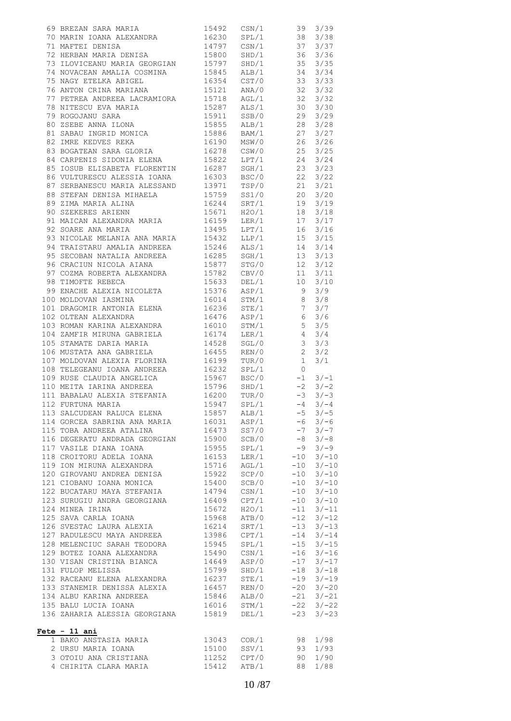| 69 BREZAN SARA MARIA $15492$ CSN/1 39 3/39<br>70 MARIN IOANA ALEXANDRA $16230$ SPL/1 38 3/38<br>71 MAFTEI DENISA $14797$ CSN/1 37 3/37<br>72 HERBAN MARIA DENISA $15800$ SHD/1 36 3/36<br>73 ILOVICEANU MARIA GEORGIAN $15797$ SHD/1 3         |                |       |       |         |
|------------------------------------------------------------------------------------------------------------------------------------------------------------------------------------------------------------------------------------------------|----------------|-------|-------|---------|
|                                                                                                                                                                                                                                                |                |       |       |         |
|                                                                                                                                                                                                                                                |                |       |       |         |
|                                                                                                                                                                                                                                                |                |       |       |         |
|                                                                                                                                                                                                                                                |                |       |       |         |
|                                                                                                                                                                                                                                                |                |       |       |         |
|                                                                                                                                                                                                                                                |                |       |       |         |
|                                                                                                                                                                                                                                                |                |       |       |         |
|                                                                                                                                                                                                                                                |                |       |       |         |
|                                                                                                                                                                                                                                                |                |       |       |         |
|                                                                                                                                                                                                                                                |                |       |       |         |
| 77 PETREA ANDREEA LACRAMIORA 15718 AGL/1 32 3/32<br>78 NITESCU EVA MARIA 15718 AGL/1 32 3/32<br>79 ROGOJANU SARA 15911 SSB/0 29 3/29<br>80 ZSEBE ANNA LLONA 15855 ALB/1 28 3/29<br>80 ZSEBE ANNA 15855 ALB/1 28 3/28                           |                |       |       |         |
|                                                                                                                                                                                                                                                |                |       |       |         |
|                                                                                                                                                                                                                                                |                |       |       |         |
|                                                                                                                                                                                                                                                |                |       |       |         |
|                                                                                                                                                                                                                                                |                |       |       |         |
|                                                                                                                                                                                                                                                |                |       |       |         |
| 81 SABAU INGRID MONICA<br>81 SABAU INGRID MONICA<br>82 IMRE KEDVES REKA<br>83 BOGATEAN SARA GLORIA<br>83 GOGATEAN SARA GLORIA<br>84 CARPENIS SIDONIA ELENA<br>85 IOSUB ELISABETA FLORENTIN<br>85 IOSUB ELISABETA FLORENTIN<br>86 VULTURESCU AL |                |       |       |         |
|                                                                                                                                                                                                                                                |                |       |       |         |
|                                                                                                                                                                                                                                                |                |       |       |         |
|                                                                                                                                                                                                                                                |                |       |       |         |
|                                                                                                                                                                                                                                                |                |       |       |         |
| 88 STEFAN DENISA MIHAELA $15759$ SS1/0 $20$ 3/20<br>89 ZIMA MARIA ALINA $16244$ SRT/1 $19$ 3/19<br>90 SZEKERES ARIENN $15671$ H2O/1 $18$ 3/18                                                                                                  |                |       |       |         |
|                                                                                                                                                                                                                                                |                |       |       |         |
|                                                                                                                                                                                                                                                |                |       |       |         |
|                                                                                                                                                                                                                                                |                |       |       |         |
|                                                                                                                                                                                                                                                |                |       |       |         |
|                                                                                                                                                                                                                                                |                |       |       |         |
|                                                                                                                                                                                                                                                |                |       |       |         |
|                                                                                                                                                                                                                                                |                |       |       |         |
|                                                                                                                                                                                                                                                |                |       |       |         |
|                                                                                                                                                                                                                                                |                |       |       |         |
|                                                                                                                                                                                                                                                |                |       |       |         |
|                                                                                                                                                                                                                                                |                |       |       |         |
|                                                                                                                                                                                                                                                |                |       |       |         |
|                                                                                                                                                                                                                                                |                |       |       |         |
|                                                                                                                                                                                                                                                |                |       |       |         |
|                                                                                                                                                                                                                                                |                |       |       |         |
|                                                                                                                                                                                                                                                |                |       |       |         |
|                                                                                                                                                                                                                                                |                |       |       | 3/3     |
|                                                                                                                                                                                                                                                |                |       |       |         |
| 105 STAMATE DARIA MARIA 14528 SGL/0 3<br>106 MUSTATA ANA GABRIELA 16455 REN/0 2<br>107 MOLDOVAN ALEXIA FLORINA 16199 TUR/0 1                                                                                                                   |                |       |       | 3/2     |
|                                                                                                                                                                                                                                                |                |       |       | 3/1     |
| 108 TELEGEANU IOANA ANDREEA $16232$ SPL/1 0<br>109 RUSE CLAUDIA ANGELICA 15967 BSC/0 -1 3/-1<br>110 MEITA IARINA ANDREEA 15967 BSC/0 -2 3/-2<br>111 BABALAU ALEXIA STEFANIA 16200 TUR/0 -3 3/-3<br>112 FURTUNA MARIA 15947 SPL/1 -4 3/         |                |       |       |         |
|                                                                                                                                                                                                                                                |                |       |       |         |
|                                                                                                                                                                                                                                                |                |       |       |         |
|                                                                                                                                                                                                                                                |                |       |       |         |
|                                                                                                                                                                                                                                                |                |       |       |         |
| 113 SALCUDEAN RALUCA ELENA                                                                                                                                                                                                                     | 15857          | ALB/1 | $-5$  | $3/-5$  |
| 114 GORCEA SABRINA ANA MARIA 16031                                                                                                                                                                                                             |                | ASP/1 | -6    | $3/-6$  |
| 115 TOBA ANDREEA ATALINA                                                                                                                                                                                                                       | 16473          | SS7/0 | $-7$  | $3/-7$  |
|                                                                                                                                                                                                                                                | 15900          |       |       |         |
| 116 DEGERATU ANDRADA GEORGIAN                                                                                                                                                                                                                  |                | SCB/0 | $-8$  | $3/-8$  |
| 117 VASILE DIANA IOANA                                                                                                                                                                                                                         | 15955          | SPL/1 | -9    | $3/-9$  |
| 118 CROITORU ADELA IOANA                                                                                                                                                                                                                       | 16153          | LER/1 | $-10$ | $3/-10$ |
| 119 ION MIRUNA ALEXANDRA                                                                                                                                                                                                                       | 15716          | AGL/1 | $-10$ | $3/-10$ |
| 120 GIROVANU ANDREA DENISA                                                                                                                                                                                                                     | 15922          | SCP/0 | $-10$ | $3/-10$ |
| 121 CIOBANU IOANA MONICA                                                                                                                                                                                                                       | 15400          | SCB/0 | $-10$ | $3/-10$ |
|                                                                                                                                                                                                                                                | 14794          | CSN/1 | $-10$ | $3/-10$ |
| 122 BUCATARU MAYA STEFANIA<br>123 SURUGIU ANDRA GEORGIANA                                                                                                                                                                                      | 16409          | CPT/1 | $-10$ | $3/-10$ |
| 124 MINEA IRINA                                                                                                                                                                                                                                | 15672          | H2O/1 | $-11$ | $3/-11$ |
| 125 SAVA CARLA IOANA                                                                                                                                                                                                                           | 15968          | ATB/0 | $-12$ | $3/-12$ |
|                                                                                                                                                                                                                                                |                |       |       |         |
| 126 SVESTAC LAURA ALEXIA                                                                                                                                                                                                                       | 16214          | SRT/1 | $-13$ | $3/-13$ |
| 127 RADULESCU MAYA ANDREEA 13986                                                                                                                                                                                                               |                | CPT/1 | $-14$ | $3/-14$ |
| 128 MELENCIUC SARAH TEODORA                                                                                                                                                                                                                    | 15945          | SPL/1 | $-15$ | $3/-15$ |
| 129 BOTEZ IOANA ALEXANDRA                                                                                                                                                                                                                      | 15490          | CSN/1 | $-16$ | $3/-16$ |
| 130 VISAN CRISTINA BIANCA                                                                                                                                                                                                                      | 14649          | ASP/0 | $-17$ | $3/-17$ |
| 131 FULOP MELISSA                                                                                                                                                                                                                              | 15799          | SHD/1 | $-18$ | $3/-18$ |
| 132 RACEANU ELENA ALEXANDRA                                                                                                                                                                                                                    |                | STE/1 | -19   | $3/-19$ |
| 133 STANEMIR DENISSA ALEXIA                                                                                                                                                                                                                    | 16237<br>16457 | REN/0 | $-20$ | $3/-20$ |
| 134 ALBU KARINA ANDREEA                                                                                                                                                                                                                        | 15846          | ALB/0 | $-21$ | $3/-21$ |
|                                                                                                                                                                                                                                                |                |       | $-22$ |         |
| 135 BALU LUCIA IOANA                                                                                                                                                                                                                           | 16016          | STM/1 |       | $3/-22$ |
| 136 ZAHARIA ALESSIA GEORGIANA 15819                                                                                                                                                                                                            |                | DEL/1 | $-23$ | $3/-23$ |
| Fete - 11 ani<br>1 BAKO ANSTASIA MARIA                                                                                                                                                                                                         | 13043          | COR/1 | 98    | 1/98    |
|                                                                                                                                                                                                                                                |                |       |       |         |
| 2 URSU MARIA IOANA                                                                                                                                                                                                                             | 15100          | SSV/1 | 93    | 1/93    |
| 3 OTOIU ANA CRISTIANA                                                                                                                                                                                                                          | 11252          | CPT/0 | 90    | 1/90    |
| 4 CHIRITA CLARA MARIA                                                                                                                                                                                                                          | 15412          | ATB/1 | 88    | 1/88    |
|                                                                                                                                                                                                                                                |                |       |       |         |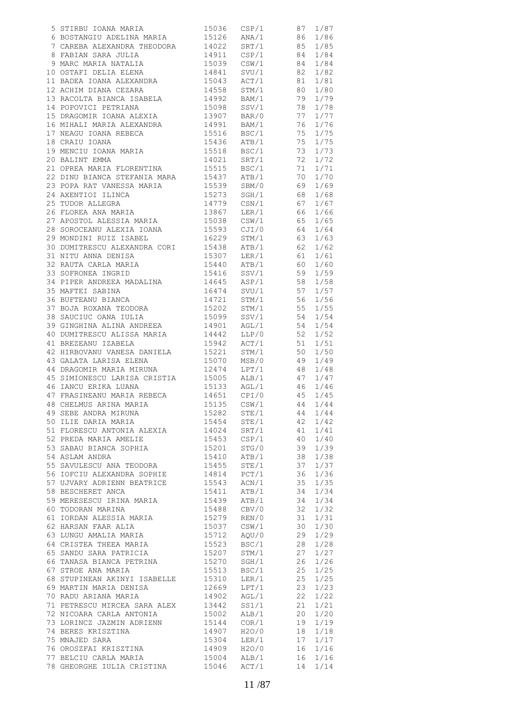| 39 GINGHINA ALINA ANDREEA $14901$ AGL/1 54 1/54<br>40 DUMITRESCU ALISSA MARIA $14442$ LLP/0 52 1/52<br>42 HIRBOVANU VANESA DANIELA 15942 ACT/1 51 1/51<br>42 HIRBOVANU VANESA DANIELA 15221 STM/1 50 1/50<br>43 GALATA LARISA ELENA 15 |             |                |    |      |
|----------------------------------------------------------------------------------------------------------------------------------------------------------------------------------------------------------------------------------------|-------------|----------------|----|------|
|                                                                                                                                                                                                                                        |             |                |    |      |
|                                                                                                                                                                                                                                        |             |                |    |      |
|                                                                                                                                                                                                                                        |             |                |    |      |
| 47 FRASINEANU MARIA REBECA<br>47 FRASINEANU MARIA REBECA<br>48 CHELMUS ARINA MARIA<br>49 SEBE ANDRA MIRUNA<br>49 SEBE ANDRA MIRUNA<br>49 SEBE ANDRA MIRUNA<br>44 1/44<br>50 ILIE DARIA MARIA<br>44 1/44                                |             |                |    |      |
|                                                                                                                                                                                                                                        |             |                |    |      |
|                                                                                                                                                                                                                                        |             |                |    |      |
|                                                                                                                                                                                                                                        |             |                |    |      |
| 50 ILIE DARIA MARIA                                                                                                                                                                                                                    | 15454       | STE/1          | 42 | 1/42 |
|                                                                                                                                                                                                                                        |             | SRT/1          | 41 | 1/41 |
| 51 FLORESCU ANTONIA ALEXIA 14024 SRT/1<br>52 PREDA MARIA AMELIE 15453 CSP/1                                                                                                                                                            |             |                | 40 | 1/40 |
|                                                                                                                                                                                                                                        |             | STG/0          |    |      |
| 53 SABAU BIANCA SOPHIA 15201                                                                                                                                                                                                           |             |                | 39 | 1/39 |
|                                                                                                                                                                                                                                        |             | ATB/1          | 38 | 1/38 |
|                                                                                                                                                                                                                                        |             |                | 37 | 1/37 |
| 56 IOFCIU ALEXANDRA SOPHIE 14814 PCT/1                                                                                                                                                                                                 |             |                | 36 | 1/36 |
| 57 UJVARY ADRIENN BEATRICE 15543                                                                                                                                                                                                       |             | ACN/1          | 35 | 1/35 |
|                                                                                                                                                                                                                                        |             |                | 34 | 1/34 |
|                                                                                                                                                                                                                                        |             |                | 34 | 1/34 |
| 60 TODORAN MARINA                                                                                                                                                                                                                      |             |                |    | 1/32 |
|                                                                                                                                                                                                                                        | 15488 CBV/0 |                | 32 |      |
| 51 IORDAN ALESSIA MARIA 15279 REN/0<br>62 HARSAN FAAR ALIA 15037 CSW/1                                                                                                                                                                 |             |                | 31 | 1/31 |
| 62 HARSAN FAAR ALIA                                                                                                                                                                                                                    |             |                | 30 | 1/30 |
| 63 LUNGU AMALIA MARIA 15712 AQU/0                                                                                                                                                                                                      |             |                | 29 | 1/29 |
|                                                                                                                                                                                                                                        |             |                | 28 | 1/28 |
|                                                                                                                                                                                                                                        |             |                | 27 | 1/27 |
| 63 LUNGU AWALLA WANTA $15523$ BSC/1<br>65 SANDU SARA PATRICIA 15207 STM/1<br>66 TANASA BIANCA PETRINA 15270 SGH/1<br>67 STROE ANA MARIA 15513 BSC/1                                                                                    |             |                |    |      |
|                                                                                                                                                                                                                                        |             |                | 26 | 1/26 |
|                                                                                                                                                                                                                                        |             |                | 25 | 1/25 |
| 68 STUPINEAN AKINYI ISABELLE 15310<br>69 MARTIN MARIA DENISA 12669<br>70 RADU ARIANA MARIA 14902                                                                                                                                       |             | $\text{LER}/1$ | 25 | 1/25 |
|                                                                                                                                                                                                                                        |             | LPT/1          | 23 | 1/23 |
|                                                                                                                                                                                                                                        |             | AGL/1          | 22 | 1/22 |
|                                                                                                                                                                                                                                        |             | SS1/1          | 21 | 1/21 |
| 71 PETRESCU MIRCEA SARA ALEX 13442<br>72 NICOARA CARLA ANTONIA 15002                                                                                                                                                                   |             |                |    |      |
|                                                                                                                                                                                                                                        |             | ALB/1          | 20 | 1/20 |
| 73 LORINCZ JAZMIN ADRIENN 15144                                                                                                                                                                                                        |             | COR/1          | 19 | 1/19 |
| 14 BERES KRISZTINA († 14907)<br>15 MNAJED SARA († 15304)                                                                                                                                                                               |             | H2O/0          | 18 | 1/18 |
| 75 MNAJED SARA                                                                                                                                                                                                                         | 15304       | $\text{LER}/1$ | 17 | 1/17 |
|                                                                                                                                                                                                                                        |             |                | 16 | 1/16 |
| 1990 HERALD 1990 HERALD 1990 HOLD 1990 HOLD 1990 HOLD 1990 HOLD 1990 HOLD 1990 HOLD 1990 HOLD 1990 HOLD 1990 HOLD 1990 HOLD 1990 HOLD 1990 HOLD 1990 HOLD 1990 HOLD 1990 HOLD 1990 HOLD 1990 HOLD 1990 HOLD 1990 HOLD 1990 HOL         |             |                | 16 | 1/16 |
|                                                                                                                                                                                                                                        |             |                | 14 | 1/14 |
|                                                                                                                                                                                                                                        |             |                |    |      |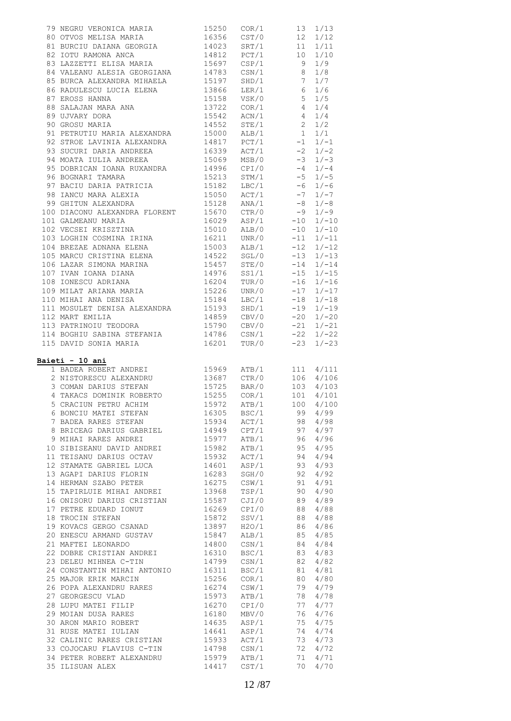| 85 BURCA ALEXANDRA MIHAELA<br>85 BURCA ALEXANDRA MIHAELA<br>86 RADULESCU LUCIA ELENA<br>88 SALAAN MARA ANA<br>88 SALAAN MARA ANA<br>89 UJVARY DORA<br>89 UJVARY DORA<br>89 OGNO MARIA ALEXANDRA<br>89 OGNO ANA<br>89 OGNO ANA<br>89 OGNO ANA<br>89 O |                |                  |          |              |
|------------------------------------------------------------------------------------------------------------------------------------------------------------------------------------------------------------------------------------------------------|----------------|------------------|----------|--------------|
|                                                                                                                                                                                                                                                      |                |                  |          |              |
|                                                                                                                                                                                                                                                      |                |                  |          |              |
|                                                                                                                                                                                                                                                      |                |                  |          |              |
|                                                                                                                                                                                                                                                      |                |                  |          |              |
|                                                                                                                                                                                                                                                      |                |                  |          |              |
|                                                                                                                                                                                                                                                      |                |                  |          |              |
|                                                                                                                                                                                                                                                      |                |                  |          |              |
|                                                                                                                                                                                                                                                      |                |                  |          |              |
|                                                                                                                                                                                                                                                      |                |                  |          |              |
|                                                                                                                                                                                                                                                      |                |                  |          |              |
|                                                                                                                                                                                                                                                      |                |                  |          |              |
|                                                                                                                                                                                                                                                      |                |                  |          |              |
|                                                                                                                                                                                                                                                      |                |                  |          |              |
|                                                                                                                                                                                                                                                      |                |                  |          |              |
|                                                                                                                                                                                                                                                      |                |                  |          |              |
|                                                                                                                                                                                                                                                      |                |                  |          |              |
|                                                                                                                                                                                                                                                      |                |                  |          |              |
|                                                                                                                                                                                                                                                      |                |                  |          |              |
|                                                                                                                                                                                                                                                      |                |                  |          |              |
|                                                                                                                                                                                                                                                      |                |                  |          |              |
|                                                                                                                                                                                                                                                      |                |                  |          |              |
| 103 MARCU CRISTINA ELENA<br>105 MARCU CRISTINA ELENA<br>14522 SGL/0 -13 1/-13<br>16 LAZAR SIMONA MARINA<br>15457 STE/0 -14 1/-14<br>167 IVAN JOANA DIANA<br>14976 SS1/1 -15 1/-15<br>16204 TUR/0 -16 1/-15<br>109 MILAT ARIANA MARIA<br>16204 TU     |                |                  |          |              |
|                                                                                                                                                                                                                                                      |                |                  |          |              |
|                                                                                                                                                                                                                                                      |                |                  |          |              |
|                                                                                                                                                                                                                                                      |                |                  |          |              |
|                                                                                                                                                                                                                                                      |                |                  |          |              |
|                                                                                                                                                                                                                                                      |                |                  |          |              |
|                                                                                                                                                                                                                                                      |                |                  |          |              |
|                                                                                                                                                                                                                                                      |                |                  |          |              |
|                                                                                                                                                                                                                                                      |                |                  |          |              |
|                                                                                                                                                                                                                                                      |                |                  |          |              |
| 112 MART EMILIA 14859 CBV/0 -20 1/-20<br>113 PATRINOIU TEODORA 15790 CBV/0 -21 1/-21<br>114 BOGHIU SABINA STEFANIA 14786 CSN/1 -22 1/-22                                                                                                             |                |                  |          |              |
| 115 DAVID SONIA MARIA 16201 TUR/0 -23<br>Baieti - 10 ani                                                                                                                                                                                             |                |                  |          | $1/-23$      |
|                                                                                                                                                                                                                                                      |                |                  |          |              |
|                                                                                                                                                                                                                                                      |                |                  |          |              |
|                                                                                                                                                                                                                                                      |                |                  |          |              |
|                                                                                                                                                                                                                                                      |                |                  |          |              |
| <b>Leti - 10 ani</b><br>1 BADEA ROBERT ANDREI<br>2 NISTORESCU ALEXANDRU<br>3 COMAN DARIUS STEFAN 15725 BAR/0 106 4/106<br>4 TAKACS DOMINIK ROBERTO 15255 COR/1 101 4/101<br>5 CRACIUN PETRU ACHIM 15972 ATB/1 100 4/100<br>15255 COR/1 101 4/10      |                |                  |          |              |
| 6 BONCIU MATEI STEFAN                                                                                                                                                                                                                                | 16305          | BSC/1            | 99       | 4/99         |
| 7 BADEA RARES STEFAN                                                                                                                                                                                                                                 | 15934          | ACT/1            | 98       | 4/98         |
| 8 BRICEAG DARIUS GABRIEL 14949                                                                                                                                                                                                                       |                | CPT/1            | 97       | 4/97         |
| 9 MIHAI RARES ANDREI                                                                                                                                                                                                                                 | 15977          | ATB/1            | 96       | 4/96         |
| 10 SIBISEANU DAVID ANDREI 15982                                                                                                                                                                                                                      |                | ATB/1            | 95       | 4/95         |
| 11 TEISANU DARIUS OCTAV 15932                                                                                                                                                                                                                        |                | ACT/1            | 94       | 4/94         |
|                                                                                                                                                                                                                                                      | 14601          | ASP/1            | 93       | 4/93         |
| 12 STAMATE GABRIEL LUCA<br>13 AGAPI DARIUS FLORIN                                                                                                                                                                                                    |                | SGH/0            | 92       | 4/92         |
| 14 HERMAN SZABO PETER                                                                                                                                                                                                                                | 16283<br>16275 | CSW/1            | 91       | 4/91         |
|                                                                                                                                                                                                                                                      |                | TSP/1            | 90       | 4/90         |
|                                                                                                                                                                                                                                                      |                | CJI/0            | 89       | 4/89         |
|                                                                                                                                                                                                                                                      |                |                  | 88       | 4/88         |
| 15 TAPIRLUIE MIHAI ANDREI 13968<br>16 ONISORU DARIUS CRISTIAN 15587<br>17 PETRE EDUARD IONUT 16269                                                                                                                                                   |                | CPI/0            |          |              |
| 18 TROCIN STEFAN                                                                                                                                                                                                                                     | 15872          | SSV/1            | 88       | 4/88         |
| 19 KOVACS GERGO CSANAD                                                                                                                                                                                                                               | 13897          | H2O/1            | 86       | 4/86         |
| 20 ENESCU ARMAND GUSTAV 15847                                                                                                                                                                                                                        |                | ALB/1            | 85       | 4/85         |
| 21 MAFTEI LEONARDO                                                                                                                                                                                                                                   | 14800          | CSN/1            | 84       | 4/84         |
| 22 DOBRE CRISTIAN ANDREI                                                                                                                                                                                                                             |                | BSC/1            | 83       | 4/83         |
| 23 DELEU MIHNEA C-TIN                                                                                                                                                                                                                                | 16310<br>14799 | $\texttt{CSN}/1$ | 82       | 4/82         |
| 24 CONSTANTIN MIHAI ANTONIO 16311                                                                                                                                                                                                                    |                | BSC/1            | 81       | 4/81         |
| 25 MAJOR ERIK MARCIN                                                                                                                                                                                                                                 | 15256          | COR/1            | 80       | 4/80         |
| 26 POPA ALEXANDRU RARES                                                                                                                                                                                                                              | 16274          | $\texttt{CSW}/1$ | 79       | 4/79         |
| 27 GEORGESCU VLAD                                                                                                                                                                                                                                    | 15973          | ATB/1            | 78       | 4/78         |
|                                                                                                                                                                                                                                                      | 16270          | CPI/0            | 77       | 4/77         |
| 28 LUPU MATEI FILIP<br>22 MATEI DIGA DADRO<br>29 MOIAN DUSA RARES                                                                                                                                                                                    | 16180          | MBV/0            | 76       | 4/76         |
| 30 ARON MARIO ROBERT 14635                                                                                                                                                                                                                           |                | ASP/1            | 75       | 4/75         |
| 31 RUSE MATEI IULIAN                                                                                                                                                                                                                                 | 14641          | ASP/1            | 74       | 4/74         |
|                                                                                                                                                                                                                                                      |                | ACT/1            | 73       | 4/73         |
|                                                                                                                                                                                                                                                      |                | $\texttt{CSN}/1$ | 72       | 4/72         |
| 32 CALINIC RARES CRISTIAN<br>33 COJOCARU FLAVIUS C-TIN                                                                                                                                                                                               | 15933<br>14798 |                  |          |              |
| 34 PETER ROBERT ALEXANDRU 15979<br>35 ILISUAN ALEX                                                                                                                                                                                                   | 14417          | ATB/1<br>CST/1   | 71<br>70 | 4/71<br>4/70 |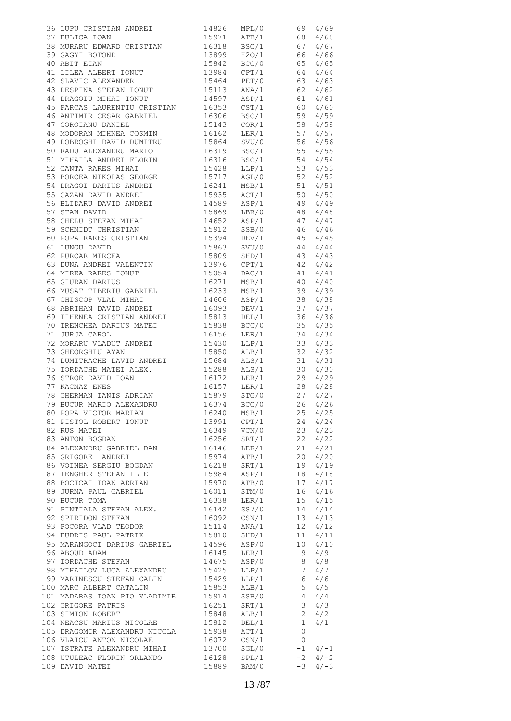| 36 LUPU CRISTIAN ANDREI 1971 ATB/1 68 4/69<br>37 BULICA IOAN 15971 ATB/1 68 4/68                                                                                                                                                                     |                            |                  |                |        |
|------------------------------------------------------------------------------------------------------------------------------------------------------------------------------------------------------------------------------------------------------|----------------------------|------------------|----------------|--------|
|                                                                                                                                                                                                                                                      |                            |                  |                |        |
| 38 MURARU EDWARD CRISTIAN 16318 BSC/1 67 4/67                                                                                                                                                                                                        |                            |                  |                |        |
| 39 GAGYI BOTOND 13899 H2O/1 66 4/66<br>40 ABIT EIAN 15842 BCC/0 65 4/65<br>41 LILEA ALBERT IONUT 13984 CPT/1 64 4/64<br>42 SLAVIC ALEXANDER 15464 PET/0 63 4/63<br>43 DESPINA STEFAN IONUT 15113 ANA/1 62 4/62<br>44 DEACOL MIHAI IONUT              |                            |                  |                |        |
|                                                                                                                                                                                                                                                      |                            |                  |                |        |
|                                                                                                                                                                                                                                                      |                            |                  |                |        |
|                                                                                                                                                                                                                                                      |                            |                  |                |        |
|                                                                                                                                                                                                                                                      |                            |                  |                |        |
|                                                                                                                                                                                                                                                      |                            |                  |                |        |
|                                                                                                                                                                                                                                                      |                            |                  |                |        |
|                                                                                                                                                                                                                                                      |                            |                  |                |        |
| 45 FARCAS LAURENTIU CRISTIAN 16353 CST/1 60 4/60<br>46 ANTIMIR CESAR GABRIEL 16306 BSC/1 59 4/59<br>47 COROIANU DANIEL 15143 COR/1 58 4/58                                                                                                           |                            |                  |                |        |
|                                                                                                                                                                                                                                                      |                            |                  |                |        |
|                                                                                                                                                                                                                                                      |                            |                  |                |        |
| 47 COROTANU DANIEL (1999)<br>48 MODORAN MIHNEA COSMIN (19162 LER/19 57 4/57<br>49 DOBROGHI DAVID DUMITRU (19864 SVU/0 56 4/56<br>50 RADU ALEXANDRU MARIO (19319 BSC/1 55 4/55<br>51 MIHAILA ANDREI FLORIN (19316 BSC/1 54 4/54                       |                            |                  |                |        |
|                                                                                                                                                                                                                                                      |                            |                  |                |        |
|                                                                                                                                                                                                                                                      |                            |                  |                |        |
|                                                                                                                                                                                                                                                      |                            |                  |                |        |
|                                                                                                                                                                                                                                                      |                            |                  |                |        |
|                                                                                                                                                                                                                                                      |                            |                  |                |        |
|                                                                                                                                                                                                                                                      |                            |                  |                |        |
|                                                                                                                                                                                                                                                      |                            |                  |                |        |
|                                                                                                                                                                                                                                                      |                            |                  |                |        |
|                                                                                                                                                                                                                                                      |                            |                  |                |        |
|                                                                                                                                                                                                                                                      |                            |                  |                |        |
|                                                                                                                                                                                                                                                      |                            |                  |                |        |
|                                                                                                                                                                                                                                                      |                            |                  |                |        |
|                                                                                                                                                                                                                                                      |                            |                  |                |        |
| 39 SCHMIDT CHRISTIAN<br>60 POPA RARES CRISTIAN<br>61 LUNGU DAVID<br>62 PURCAR MIRCEA<br>62 PURCAR MIRCEA<br>62 PURCAR MIRCEA<br>63 DUNA ANDREI VALENTIN<br>63 DUNA ANDREI VALENTIN<br>64 4/44<br>64 MIREA RARES IONUT<br>15976 CPT/1<br>165 GUIRAN D |                            |                  |                |        |
|                                                                                                                                                                                                                                                      |                            |                  |                |        |
|                                                                                                                                                                                                                                                      |                            |                  |                |        |
|                                                                                                                                                                                                                                                      |                            |                  |                |        |
|                                                                                                                                                                                                                                                      |                            |                  |                |        |
|                                                                                                                                                                                                                                                      |                            |                  |                |        |
|                                                                                                                                                                                                                                                      |                            |                  |                |        |
|                                                                                                                                                                                                                                                      |                            |                  |                |        |
|                                                                                                                                                                                                                                                      |                            |                  |                |        |
| 68 ABRIHAN DAVID ANDREI 16093 DEV/1 37 4/37                                                                                                                                                                                                          |                            |                  |                |        |
|                                                                                                                                                                                                                                                      |                            |                  |                |        |
| 69 TIHENEA CRISTIAN ANDREI 15813 DEL/1 36 4/36<br>70 TRENCHEA DARIUS MATEI 15838 BCC/0 35 4/35<br>71 JURJA CAROL 16156 LER/1 34 4/34                                                                                                                 |                            |                  |                |        |
|                                                                                                                                                                                                                                                      |                            |                  |                |        |
|                                                                                                                                                                                                                                                      |                            |                  |                |        |
|                                                                                                                                                                                                                                                      |                            |                  |                |        |
|                                                                                                                                                                                                                                                      |                            |                  |                |        |
|                                                                                                                                                                                                                                                      |                            |                  |                |        |
|                                                                                                                                                                                                                                                      |                            |                  |                |        |
| 75 IORDACHE MATEI ALEX. 15288 ALS/1 30 4/30                                                                                                                                                                                                          |                            |                  |                |        |
|                                                                                                                                                                                                                                                      |                            |                  |                |        |
| 76 STROE DAVID IOAN<br>77 KACMAZ ENES<br>77 KACMAZ ENES<br>78 GHERMAN IANIS ADRIAN<br>79 BUCUR MARIO ALEXANDRU 16374 BCC/0 27 4/27<br>79 BUCUR MARIO ALEXANDRU 16374 BCC/0 26 4/26                                                                   |                            |                  |                |        |
|                                                                                                                                                                                                                                                      |                            |                  |                |        |
|                                                                                                                                                                                                                                                      |                            |                  |                |        |
| 80 POPA VICTOR MARIAN                                                                                                                                                                                                                                | 16240                      | MSB/1            | 25             | 4/25   |
| 81 PISTOL ROBERT IONUT                                                                                                                                                                                                                               | 13991 CPT/1                |                  | 24             | 4/24   |
|                                                                                                                                                                                                                                                      |                            |                  |                |        |
| 82 RUS MATEI                                                                                                                                                                                                                                         | 16349                      | VCN/0            | 23             | 4/23   |
| 83 ANTON BOGDAN                                                                                                                                                                                                                                      | 16256 SRT/1                |                  | 22             | 4/22   |
| 84 ALEXANDRU GABRIEL DAN 16146 LER/1                                                                                                                                                                                                                 |                            |                  | 21             | 4/21   |
| 85 GRIGORE ANDREI                                                                                                                                                                                                                                    | 15974                      | ATB/1            | 20             | 4/20   |
| 86 VOINEA SERGIU BOGDAN                                                                                                                                                                                                                              |                            |                  | 19             | 4/19   |
| 87 TENGHER STEFAN ILIE                                                                                                                                                                                                                               | 16218 SRT/1<br>15984 ASP/1 |                  | 18             | 4/18   |
|                                                                                                                                                                                                                                                      |                            |                  |                | 4/17   |
| 88 BOCICAI IOAN ADRIAN 15970 ATB/0                                                                                                                                                                                                                   |                            |                  | 17             |        |
| 89 JURMA PAUL GABRIEL                                                                                                                                                                                                                                | 16011<br>16338             | STM/0            | 16             | 4/16   |
| 90 BUCUR TOMA                                                                                                                                                                                                                                        |                            | LER/1            | 15             | 4/15   |
| 91 PINTIALA STEFAN ALEX. 16142 SS7/0                                                                                                                                                                                                                 |                            |                  | 14             | 4/14   |
| 92 SPIRIDON STEFAN                                                                                                                                                                                                                                   | 16092 CSN/1                |                  | 13             | 4/13   |
| 93 POCORA VLAD TEODOR                                                                                                                                                                                                                                | 15114                      | ANA/1            | 12             | 4/12   |
| STRING WARD TEODOR<br>94 BUDRIS PAUL PATRIK<br>95 MARAMARIE                                                                                                                                                                                          | 15810 SHD/1                |                  | 11             | 4/11   |
|                                                                                                                                                                                                                                                      |                            |                  |                |        |
| 95 MARANGOCI DARIUS GABRIEL 14596                                                                                                                                                                                                                    |                            | ASP/0            | 10             | 4/10   |
| 96 ABOUD ADAM                                                                                                                                                                                                                                        | 16145 LER/1<br>14675 ASP/0 |                  | 9              | 4/9    |
| 97 IORDACHE STEFAN                                                                                                                                                                                                                                   |                            |                  | 8              | 4/8    |
| 98 MIHAILOV LUCA ALEXANDRU 15425                                                                                                                                                                                                                     |                            | LLP/1            | 7              | 4/7    |
| 99 MARINESCU STEFAN CALIN 15429                                                                                                                                                                                                                      |                            | LLP/1            | 6              | 4/6    |
| 100 MARC ALBERT CATALIN                                                                                                                                                                                                                              | 15853                      | ALB/1            | 5 <sup>5</sup> | 4/5    |
| 101 MADARAS IOAN PIO VLADIMIR 15914 SSB/0                                                                                                                                                                                                            |                            |                  |                |        |
|                                                                                                                                                                                                                                                      |                            |                  | 4              | 4/4    |
| 102 GRIGORE PATRIS                                                                                                                                                                                                                                   | 16251                      | SRT/1            | $\mathcal{S}$  | 4/3    |
| 103 SIMION ROBERT                                                                                                                                                                                                                                    | 15848                      | ALB/1            | $\overline{2}$ | 4/2    |
| 104 NEACSU MARIUS NICOLAE 15812                                                                                                                                                                                                                      |                            | DEL/1            | $\mathbf{1}$   | 4/1    |
| 105 DRAGOMIR ALEXANDRU NICOLA 15938                                                                                                                                                                                                                  |                            | ACT/1            | $\circ$        |        |
| 106 VLAICU ANTON NICOLAE                                                                                                                                                                                                                             |                            | $\texttt{CSN}/1$ | $\circ$        |        |
| 107 ISTRATE ALEXANDRU MIHAI                                                                                                                                                                                                                          | 16072<br>13700             | SGL/0            | $-1$           | $4/-1$ |
| 108 UTULEAC FLORIN ORLANDO 16128 SPL/1                                                                                                                                                                                                               |                            |                  |                |        |
|                                                                                                                                                                                                                                                      |                            |                  | $-2$           | $4/-2$ |
| 109 DAVID MATEI                                                                                                                                                                                                                                      | 15889                      | BAM/0            | $-3$           | $4/-3$ |
|                                                                                                                                                                                                                                                      |                            |                  |                |        |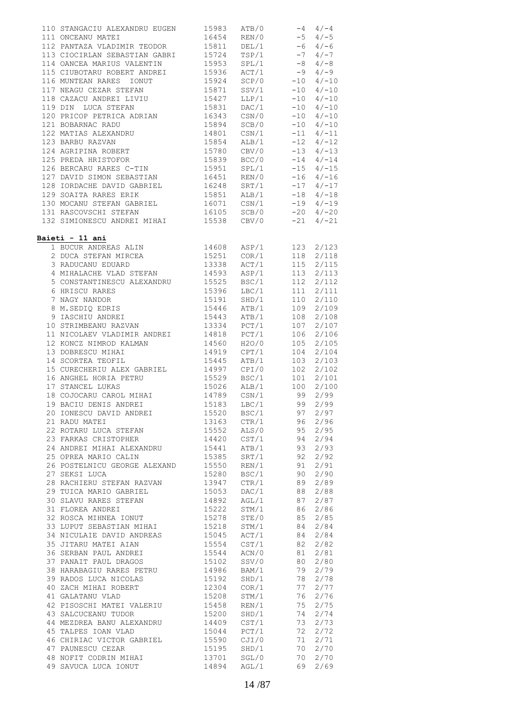| 110 STANGACIU ALEXANDRU EUGEN 15983                                                                                                                    |                                                                         | ATB/0          | $-4$ 4/-4 |                        |
|--------------------------------------------------------------------------------------------------------------------------------------------------------|-------------------------------------------------------------------------|----------------|-----------|------------------------|
| 111 ONCEANU MATEI                                                                                                                                      | $16454$ REN/0 $-5$ 4/-5                                                 |                |           |                        |
| 112 PANTAZA VLADIMIR TEODOR 15811 DEL/1 -6 4/-6<br>113 CIOCIRLAN SEBASTIAN GABRI 15724 TSP/1 -7 4/-7<br>114 OANCEA MARIUS VALENTIN 15953 SPL/1 -8 4/-8 |                                                                         |                |           |                        |
|                                                                                                                                                        |                                                                         |                |           |                        |
|                                                                                                                                                        |                                                                         |                |           |                        |
| 115 CIUBOTARU ROBERT ANDREI 15936 ACT/1                                                                                                                |                                                                         |                | $-9$ 4/-9 |                        |
| 116 MUNTEAN RARES IONUT<br>117 NEAGU CEZAR STEFAN                                                                                                      | 15924 SCP/0<br>15871 SSV/1                                              |                |           | $-10$ 4/-10            |
|                                                                                                                                                        |                                                                         |                |           | $-10$ 4/-10            |
| 118 CAZACU ANDREI LIVIU 15427 LLP/1                                                                                                                    |                                                                         |                |           | $-10$ $4/-10$          |
|                                                                                                                                                        |                                                                         | DAC/1          |           | $-10$ $4/-10$          |
| 119 DIN LUCA STEFAN<br>120 PRICOP PETRICA ADRIAN                                                                                                       | 15831 DAC/1<br>16343 CSN/0                                              |                |           | $-10$ $4/-10$          |
| 121 BOBARNAC RADU                                                                                                                                      | 15894 SCB/0                                                             |                |           | $-10$ 4/-10            |
| 122 MATIAS ALEXANDRU<br>123 BARBU RAZVAN 15854 ALB/1 -12 4/-12<br>124 AGRIPINA ROBERT 15780 CBV/0 -13 4/-13                                            |                                                                         |                |           |                        |
|                                                                                                                                                        |                                                                         |                |           |                        |
|                                                                                                                                                        |                                                                         |                |           |                        |
| 125 PREDA HRISTOFOR                                                                                                                                    |                                                                         |                |           | $-14$ 4/-14            |
| 125 PREDA HRISTOFOR<br>126 BERCARU RARES C-TIN 15951 SPL/1<br>127 DAVID SIMON SEBASTIAN 16451 REN/0                                                    |                                                                         |                |           | $-15$ $4/-15$          |
|                                                                                                                                                        |                                                                         |                |           | $-16$ $4/-16$          |
| 128 IORDACHE DAVID GABRIEL $16248$ SRT/1 $-17$ 4/-17                                                                                                   |                                                                         |                |           |                        |
| 129 SOAITA RARES ERIK                                                                                                                                  |                                                                         |                |           |                        |
|                                                                                                                                                        | 15851 ALB/1 -18 4/-18<br>16071 CSN/1 -19 4/-19<br>16105 SCB/0 -20 4/-20 |                |           |                        |
| 130 MOCANU STEFAN GABRIEL<br>131 RASCOVSCHI STEFAN                                                                                                     |                                                                         |                |           |                        |
| 132 SIMIONESCU ANDREI MIHAI 15538 CBV/0                                                                                                                |                                                                         |                | $-21$     | $4/-21$                |
|                                                                                                                                                        |                                                                         |                |           |                        |
| Baieti - 11 ani                                                                                                                                        |                                                                         |                |           |                        |
| <u>eti – ii ani</u><br>1 BUCUR ANDREAS ALIN 14608 ASP/1<br>2 DUCA STEFAN MIRCEA 15251 COR/1<br>3 RADUCANU EDUARD 13338 ACT/1                           |                                                                         |                |           | 123 2/123              |
|                                                                                                                                                        |                                                                         |                |           | 118 2/118              |
|                                                                                                                                                        |                                                                         |                | 115       | 2/115                  |
| 4 MIHALACHE VLAD STEFAN 14593 ASP/1                                                                                                                    |                                                                         |                | 113       | 2/113                  |
|                                                                                                                                                        |                                                                         |                | 112       | 2/112                  |
|                                                                                                                                                        |                                                                         |                |           | $111 \t2/111$          |
| 5 CONSTANTINESCU ALEXANDRU 15525 BSC/1<br>6 HRISCU RARES 15396 LBC/1<br>7 NAGY NANDOR 15191 SHD/1                                                      |                                                                         |                | 110       | 2/110                  |
|                                                                                                                                                        |                                                                         |                | 109       | 2/109                  |
| 8 M.SEDIQ EDRIS<br>9 IASCHIU ANDREI                                                                                                                    | 15446 ATB/1<br>15443 ATB/1<br>13334 PCT/1                               |                | 108       | 2/108                  |
| 10 STRIMBEANU RAZVAN                                                                                                                                   |                                                                         |                | 107       | 2/107                  |
| 11 NICOLAEV VLADIMIR ANDREI 14818                                                                                                                      |                                                                         | PCT/1          | 106       | 2/106                  |
| 11 NICOLARY VALLATIE<br>12 KONCZ NIMROD KALMAN                                                                                                         |                                                                         |                | 105       | 2/105                  |
| 13 DOBRESCU MIHAI                                                                                                                                      | 14560 H2O/0<br>14919 CPT/1                                              | H2O/0          | 104       | 2/104                  |
| 14 SCORTEA TEOFIL                                                                                                                                      | 15445 ATB/1                                                             |                | 103       | 2/103                  |
| 14 SUORIER IBULLE<br>15 CURECHERIU ALEX GABRIEL 14997 CPI/0<br>16 AMCHEL HORTA PETRU 15529 BSC/1                                                       |                                                                         |                | 102       |                        |
|                                                                                                                                                        |                                                                         | CPI/0          |           | 2/102<br>$101 \t2/101$ |
| 17 STANCEL LUKAS                                                                                                                                       | 15026 ALB/1 100                                                         |                |           |                        |
|                                                                                                                                                        |                                                                         |                |           | 2/100<br>2/99          |
|                                                                                                                                                        |                                                                         |                |           | 2/99                   |
| 20 IONESCU DAVID ANDREI                                                                                                                                |                                                                         |                |           |                        |
|                                                                                                                                                        | 15520                                                                   | BSC/1          | 97        | 2/97                   |
|                                                                                                                                                        | 13163                                                                   | CTR/1          | 96        | 2/96                   |
| 22 ROTARU LUCA STEFAN<br>23 FARKAS CRISTOPHER<br>24 ANDRET VIII                                                                                        | 15552<br>14420                                                          | ALS/0<br>CST/1 | 95        | 2/95                   |
| 24 ANDREI MIHAI ALEXANDRU 15441                                                                                                                        |                                                                         | ATB/1          | 94<br>93  | 2/94<br>2/93           |
| 25 OPREA MARIO CALIN                                                                                                                                   | 15385                                                                   | SRT/1          | 92        | 2/92                   |
| 26 POSTELNICU GEORGE ALEXAND                                                                                                                           | 15550                                                                   |                | 91        | 2/91                   |
| 27 SEKSI LUCA                                                                                                                                          |                                                                         | REN/1<br>BSC/1 | 90        | 2/90                   |
| 28 RACHIERU STEFAN RAZVAN 13947                                                                                                                        | 15280                                                                   | CTR/1          |           | 2/89                   |
|                                                                                                                                                        |                                                                         | DAC/1          | 89        | 2/88                   |
| 29 TUICA MARIO GABRIEL 15053<br>30 SLAVU RARES STEFAN 14892                                                                                            |                                                                         |                | 88        |                        |
|                                                                                                                                                        |                                                                         | AGL/1          | 87        | 2/87                   |
| 31 FLOREA ANDREI                                                                                                                                       | 15222                                                                   | STM/1          | 86        | 2/86                   |
| 32 ROSCA MIHNEA IONUT<br>33 LUPUT SEBASTIAN MIHAI                                                                                                      | 15278<br>15218                                                          | STE/0          | 85        | 2/85                   |
|                                                                                                                                                        |                                                                         | STM/1          | 84        | 2/84                   |
| 34 NICULAIE DAVID ANDREAS 15045                                                                                                                        |                                                                         | ACT/1          | 84        | 2/84                   |
| 35 JITARU MATEI AIAN<br>36 SERBAN PAUL ANDREI                                                                                                          | 15554                                                                   | CST/1          | 82        | 2/82                   |
| 37 PANAIT PAUL DRAGOS 15102                                                                                                                            | 15544                                                                   | ACN/0          | 81        | 2/81                   |
|                                                                                                                                                        |                                                                         | SSV/0          | 80        | 2/80                   |
| 37 FILMLE ET .<br>38 HARABAGIU RARES PETRU 14986                                                                                                       |                                                                         | BAM/1          | 79        | 2/79                   |
| 39 RADOS LUCA NICOLAS<br>40 ZACH MIHAI ROBERT                                                                                                          | 15192                                                                   | SHD/1          | 78        | 2/78                   |
|                                                                                                                                                        | 12304                                                                   | COR/1          | 77        | 2/77                   |
| 41 GALATANU VLAD                                                                                                                                       | 15208                                                                   | STM/1          | 76        | 2/76                   |
| 41 GADALANY YEAR<br>42 PISOSCHI MATEI VALERIU                                                                                                          | 15458                                                                   | REN/1          | 75        | 2/75                   |
| 43 SALCUCEANU TUDOR<br>44 MEZDREA BANU ALEXANDRU                                                                                                       | 15200                                                                   | SHD/1          | 74        | 2/74                   |
|                                                                                                                                                        | 14409                                                                   | CST/1          | 73        | 2/73                   |
| 45 TALPES IOAN VLAD                                                                                                                                    | 15044                                                                   | PCT/1          | 72        | 2/72                   |
| 46 CHIRIAC VICTOR GABRIEL<br>47 PAUNESCU CEZAR                                                                                                         | 15590                                                                   | CJI/0          | 71        | 2/71                   |
| 47 PAUNESCU CEZAR                                                                                                                                      | 15195                                                                   | SHD/1          | 70        | 2/70                   |
| 48 NOFIT CODRIN MIHAI                                                                                                                                  | 13701                                                                   | SGL/0          | 70        | 2/70                   |
| 49 SAVUCA LUCA IONUT                                                                                                                                   | 14894                                                                   | AGL/1          | 69        | 2/69                   |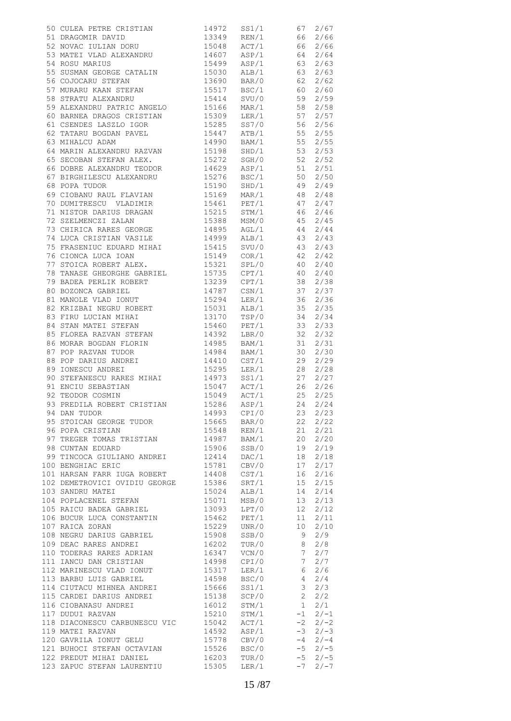| 50 CULEA PETRE CRISTIAN 14972 SS1/1 67 2/67<br>51 DRAGOMIR DAVID 13349 REN/1 66 2/66<br>52 NOVAC IULIAN DORU 15048 ACT/1 66 2/66<br>53 MATEI VLAD ALEXANDRU 14607 ASP/1 64 2/64<br>54 ROSU MARIUS 15499 ASP/1 63 2/63<br>55 SUSMAN GEORG             |                |       |                 |           |
|------------------------------------------------------------------------------------------------------------------------------------------------------------------------------------------------------------------------------------------------------|----------------|-------|-----------------|-----------|
|                                                                                                                                                                                                                                                      |                |       |                 |           |
|                                                                                                                                                                                                                                                      |                |       |                 |           |
| 59 ALEXANDRU PATRIC ANGELO<br>60 BARNEA DRAGOS CRISTIAN 15309 LER/1 57 2/57<br>61 CSENDES LASZLO IGOR 15285 SS7/0 56 2/56                                                                                                                            |                |       |                 |           |
|                                                                                                                                                                                                                                                      |                |       |                 |           |
|                                                                                                                                                                                                                                                      |                |       |                 |           |
|                                                                                                                                                                                                                                                      |                |       |                 |           |
| 62 TATARU BOGDAN PAVEL 15447 ATB/1 55 2/55<br>63 MIHALCU ADAM 14990 BAM/1 55 2/55<br>64 MARIN ALEXANDRU RAZVAN 15198 SHD/1 53 2/53<br>65 SECOBAN STEFAN ALEX. 15272 SGH/0 52 2/52                                                                    |                |       |                 |           |
|                                                                                                                                                                                                                                                      |                |       |                 |           |
|                                                                                                                                                                                                                                                      |                |       |                 |           |
| 66 DOBRE ALEXANDRU TEODOR 19629 ASP/1 51 2/51<br>67 BIRGHILESCU ALEXANDRU 15276 BSC/1 50 2/50<br>68 POPA TUDOR 15190 SHD/1 49 2/49                                                                                                                   |                |       |                 |           |
|                                                                                                                                                                                                                                                      |                |       |                 |           |
| 68 POPA TUDOR                                                                                                                                                                                                                                        |                |       |                 |           |
| 69 CIOBANU RAUL FLAVIAN<br>70 DUMITRESCU VLADIMIR 15169 MAR/1 48 2/48<br>71 NISTOR DARIUS DRAGAN 15215 STM/1 46 2/46                                                                                                                                 |                |       |                 |           |
|                                                                                                                                                                                                                                                      |                |       |                 |           |
|                                                                                                                                                                                                                                                      |                |       |                 |           |
|                                                                                                                                                                                                                                                      |                |       |                 |           |
| TO DUMITRESCU VLADIMIR<br>TO DUMITRESCU VLADIMIR<br>TO THE 15215 STM/1<br>TO STELMENCZI ZALAN<br>TO STELMENCZI ZALAN<br>15388 MSM/0<br>45 2/45                                                                                                       |                |       |                 |           |
|                                                                                                                                                                                                                                                      |                |       |                 |           |
|                                                                                                                                                                                                                                                      |                |       |                 |           |
|                                                                                                                                                                                                                                                      |                |       |                 |           |
|                                                                                                                                                                                                                                                      |                |       |                 |           |
| 76 CIONCA LUCA IOAN<br>77 STOICA ROBERT ALEX.                                                                                                                                                                                                        |                |       |                 |           |
|                                                                                                                                                                                                                                                      |                |       |                 |           |
|                                                                                                                                                                                                                                                      |                |       |                 |           |
| 79 BADEA PERLIK ROBERT 13239 CPT/1 38 2/38<br>80 BOZONCA GABRIEL 14787 CSN/1 37 2/37<br>81 MANOLE VLAD IONUT 15294 LER/1 36 2/36<br>82 KRIZBAI NEGRU ROBERT 15031 ALB/1 35 2/35<br>83 FIRU LUCIAN MIHAI 13170 TSP/0 34 2/34<br>84 STAN M             |                |       |                 |           |
|                                                                                                                                                                                                                                                      |                |       |                 |           |
|                                                                                                                                                                                                                                                      |                |       |                 |           |
|                                                                                                                                                                                                                                                      |                |       |                 |           |
|                                                                                                                                                                                                                                                      |                |       |                 |           |
|                                                                                                                                                                                                                                                      |                |       |                 |           |
|                                                                                                                                                                                                                                                      |                |       |                 |           |
| 85 FLOREA RAZVAN STEFAN 14392 LBR/0 32                                                                                                                                                                                                               |                |       |                 | 2/32      |
|                                                                                                                                                                                                                                                      |                |       |                 |           |
|                                                                                                                                                                                                                                                      |                |       |                 |           |
|                                                                                                                                                                                                                                                      |                |       |                 |           |
|                                                                                                                                                                                                                                                      |                |       |                 |           |
|                                                                                                                                                                                                                                                      |                |       |                 |           |
|                                                                                                                                                                                                                                                      |                |       |                 |           |
| 86 MORAR BOGDAN FLORIN<br>87 POP RAZVAN TUDOR<br>87 POP RAZVAN TUDOR<br>88 POP DARIUS ANDREI<br>89 TONESCU ANDREI<br>89 TONESCU ANDREI<br>89 TONESCU ANDREI<br>89 TONESCU ANDREI<br>89 TONESCU ANDREI<br>89 TONESCU ANDREI<br>89 TONESCU ANDREI<br>8 |                |       |                 |           |
|                                                                                                                                                                                                                                                      |                |       |                 |           |
|                                                                                                                                                                                                                                                      |                |       |                 |           |
|                                                                                                                                                                                                                                                      |                |       |                 |           |
| 94 DAN TUDOR                                                                                                                                                                                                                                         | 14993          | CPI/0 | 23              | 2/23      |
| 95 STOICAN GEORGE TUDOR                                                                                                                                                                                                                              | 15665          | BAR/0 | 22              | 2/22      |
| 96 POPA CRISTIAN                                                                                                                                                                                                                                     |                |       | 21              | 2/21      |
|                                                                                                                                                                                                                                                      | 15548          | REN/1 |                 |           |
| 97 TREGER TOMAS TRISTIAN                                                                                                                                                                                                                             | 14987 BAM/1    |       | 20              | 2/20      |
| 98 CUNTAN EDUARD                                                                                                                                                                                                                                     | 15906 SSB/0    |       | 19              | 2/19      |
| 99 TINCOCA GIULIANO ANDREI 12414                                                                                                                                                                                                                     |                | DAC/1 | 18              | 2/18      |
| 100 BENGHIAC ERIC                                                                                                                                                                                                                                    | 15781          | CBV/0 | 17              | 2/17      |
| 101 HARSAN FARR IUGA ROBERT                                                                                                                                                                                                                          | 14408          | CST/1 | 16              | 2/16      |
|                                                                                                                                                                                                                                                      |                |       |                 |           |
| 102 DEMETROVICI OVIDIU GEORGE 15386                                                                                                                                                                                                                  |                | SRT/1 | 15              | 2/15      |
| 103 SANDRU MATEI                                                                                                                                                                                                                                     | 15024          | ALB/1 | 14              | 2/14      |
| 104 POPLACENEL STEFAN                                                                                                                                                                                                                                | 15071          | MSB/0 | 13              | 2/13      |
| 105 RAICU BADEA GABRIEL                                                                                                                                                                                                                              | 13093          | LPT/0 | 12              | 2/12      |
| 106 BUCUR LUCA CONSTANTIN                                                                                                                                                                                                                            | 15462          | PET/1 | 11              | 2/11      |
|                                                                                                                                                                                                                                                      |                |       |                 |           |
| 107 RAICA ZORAN                                                                                                                                                                                                                                      | 15229          | UNR/0 | 10              | 2/10      |
| 108 NEGRU DARIUS GABRIEL                                                                                                                                                                                                                             | 15908          | SSB/0 | 9               | 2/9       |
| 109 DEAC RARES ANDREI                                                                                                                                                                                                                                | 16202          | TUR/0 | 8               | 2/8       |
| 110 TODERAS RARES ADRIAN                                                                                                                                                                                                                             |                | VCN/0 | $7\phantom{.0}$ | 2/7       |
| 111 IANCU DAN CRISTIAN                                                                                                                                                                                                                               | 16347<br>14998 | CPI/0 | $7^{\circ}$     | 2/7       |
| 112 MARINESCU VLAD IONUT 15317                                                                                                                                                                                                                       |                | LER/1 | 6               | 2/6       |
|                                                                                                                                                                                                                                                      |                |       |                 |           |
| 113 BARBU LUIS GABRIEL                                                                                                                                                                                                                               | 14598          | BSC/0 | $4\overline{ }$ | 2/4       |
| 114 CIUTACU MIHNEA ANDREI                                                                                                                                                                                                                            | 15666          | SS1/1 | 3               | 2/3       |
| 115 CARDEI DARIUS ANDREI 15138                                                                                                                                                                                                                       |                | SCP/0 | $2^{\circ}$     | 2/2       |
| 116 CIOBANASU ANDREI                                                                                                                                                                                                                                 | 16012          | STM/1 | 1               | 2/1       |
| 117 DUDUI RAZVAN                                                                                                                                                                                                                                     | 15210          | STM/1 | $-1$            | $2/-1$    |
|                                                                                                                                                                                                                                                      |                |       |                 |           |
| 118 DIACONESCU CARBUNESCU VIC 15042                                                                                                                                                                                                                  |                | ACT/1 | $-2$            | $2/-2$    |
| 119 MATEI RAZVAN                                                                                                                                                                                                                                     | 14592          | ASP/1 | $-3$            | $2/-3$    |
| 120 GAVRILA IONUT GELU                                                                                                                                                                                                                               | 15778          | CBV/0 | $-4$            | $2/-4$    |
| 121 BUHOCI STEFAN OCTAVIAN 15526                                                                                                                                                                                                                     |                | BSC/0 |                 | $-5$ 2/-5 |
| 122 PREDUT MIHAI DANIEL 16203                                                                                                                                                                                                                        |                | TUR/0 | $-5$            | $2/-5$    |
| 123 ZAPUC STEFAN LAURENTIU                                                                                                                                                                                                                           |                |       |                 |           |
|                                                                                                                                                                                                                                                      | 15305          | LER/1 | $-7$            | $2/-7$    |
|                                                                                                                                                                                                                                                      |                |       |                 |           |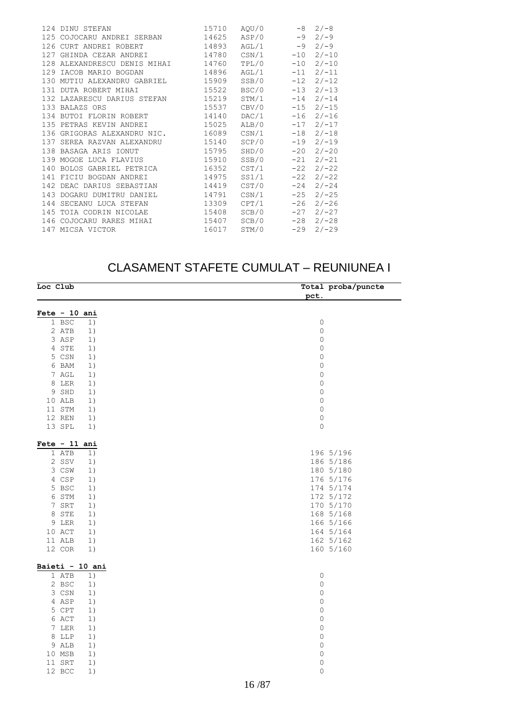|     | 124 DINU STEFAN                    | 15710 | AQU/0          | $-8$  | $2/-8$  |
|-----|------------------------------------|-------|----------------|-------|---------|
|     | 125 COJOCARU ANDREI SERBAN 14625   |       | $ASP/0$ -9     |       | $2/-9$  |
|     | 126 CURT ANDREI ROBERT 14893       |       | AGL/1          | $-9$  | $2/-9$  |
|     | 127 GHINDA CEZAR ANDREI 14780      |       | CSN/1          | $-10$ | $2/-10$ |
|     | 128 ALEXANDRESCU DENIS MIHAI 14760 |       | TPL/0          | $-10$ | $2/-10$ |
|     | 129 IACOB MARIO BOGDAN             | 14896 | AGL/1          | $-11$ | $2/-11$ |
|     | 130 MUTIU ALEXANDRU GABRIEL 15909  |       | SSB/0          | $-12$ | $2/-12$ |
|     | 131 DUTA ROBERT MIHAI              | 15522 | BSC/0          | $-13$ | $2/-13$ |
|     | 132 LAZARESCU DARIUS STEFAN 15219  |       | STM/1          | $-14$ | $2/-14$ |
|     | 133 BALAZS ORS                     | 15537 | CBV/0          | $-15$ | $2/-15$ |
|     | 134 BUTOI FLORIN ROBERT            | 14140 | DAC/1          | $-16$ | $2/-16$ |
|     | 135 PETRAS KEVIN ANDREI            | 15025 | ALB/0          | $-17$ | $2/-17$ |
|     | 136 GRIGORAS ALEXANDRU NIC. 16089  |       | $\text{CNN}/1$ | $-18$ | $2/-18$ |
|     | 137 SEREA RAZVAN ALEXANDRU 15140   |       | SCP/0          | $-19$ | $2/-19$ |
|     | 138 BASAGA ARIS IONUT<br>15795     |       | SHD/0          | $-20$ | $2/-20$ |
|     | 139 MOGOE LUCA FLAVIUS             | 15910 | SSB/0          | $-21$ | $2/-21$ |
|     | 140 BOLOS GABRIEL PETRICA 16352    |       | CST/1          | $-22$ | $2/-22$ |
|     | 141 FICIU BOGDAN ANDREI            | 14975 | SS1/1          | $-22$ | $2/-22$ |
|     | 142 DEAC DARIUS SEBASTIAN 14419    |       | CST/0          | $-24$ | $2/-24$ |
|     | 143 DOGARU DUMITRU DANIEL          | 14791 | CSN/1          | $-25$ | $2/-25$ |
|     | 144 SECEANU LUCA STEFAN            | 13309 | CPT/1          | $-26$ | $2/-26$ |
|     | 145 TOIA CODRIN NICOLAE            | 15408 | SCB/0          | $-27$ | $2/-27$ |
|     | 146 COJOCARU RARES MIHAI 15407     |       | SCB/0          | $-28$ | $2/-28$ |
| 147 | MICSA VICTOR                       | 16017 | STM/0          | $-29$ | $2/-29$ |
|     |                                    |       |                |       |         |

#### CLASAMENT STAFETE CUMULAT – REUNIUNEA I

 $\overline{\phantom{0}}$ 

| Loc Club        | Total proba/puncte  |
|-----------------|---------------------|
|                 | pct.                |
| Fete - 10 ani   |                     |
| 1 BSC<br>1)     | $\mathbb O$         |
| 2 ATB<br>1)     | $\mathbb O$         |
| 3 ASP<br>1)     | $\mathbb O$         |
| 4 STE<br>1)     | $\mathbb O$         |
| 5 CSN<br>1)     | $\mathbf 0$         |
| 6 BAM<br>1)     | $\mathbb O$         |
| 7 AGL<br>1)     | $\mathbb O$         |
| 8 LER<br>1)     | $\mathbb O$         |
| 9 SHD<br>1)     | $\mathbb O$         |
| 10 ALB<br>1)    | 0                   |
| 11 STM<br>1)    | $\mathbb O$         |
| 12 REN<br>1)    | $\mathsf{O}\xspace$ |
| 13 SPL<br>1)    | $\mathbf 0$         |
|                 |                     |
| $Fete - 11 ani$ |                     |
| 1 ATB<br>1)     | 196 5/196           |
| 2 SSV<br>1)     | 186 5/186           |
| 3 CSW<br>1)     | 180 5/180           |
| 4 CSP<br>1)     | 176 5/176           |
| 5 BSC<br>1)     | 174 5/174           |
| 6 STM<br>1)     | 172 5/172           |
| 7 SRT<br>1)     | 170 5/170           |
| 8 STE<br>1)     | 168 5/168           |
| 9 LER<br>1)     | 166 5/166           |
| 10 ACT<br>1)    | 164 5/164           |
| 11 ALB<br>1)    | 162 5/162           |
| 12 COR<br>1)    | 160 5/160           |
| Baieti - 10 ani |                     |
| 1 ATB<br>1)     | $\mathbb O$         |
| 2 BSC<br>1)     | $\circ$             |
| 3 CSN<br>1)     | $\mathbb O$         |
| 4 ASP<br>1)     | 0                   |
| 5 CPT<br>1)     | $\mathbb O$         |
| 6 ACT<br>1)     | $\mathbb O$         |
| 7 LER<br>1)     | $\mathbf 0$         |
| 8 LLP<br>1)     | $\mathsf{O}$        |
| 9 ALB<br>1)     | $\mathsf{O}\xspace$ |
| 10 MSB<br>1)    | $\mathbb O$         |
| 11 SRT<br>1)    | $\mathbb O$         |
| 12 BCC<br>1)    | 0                   |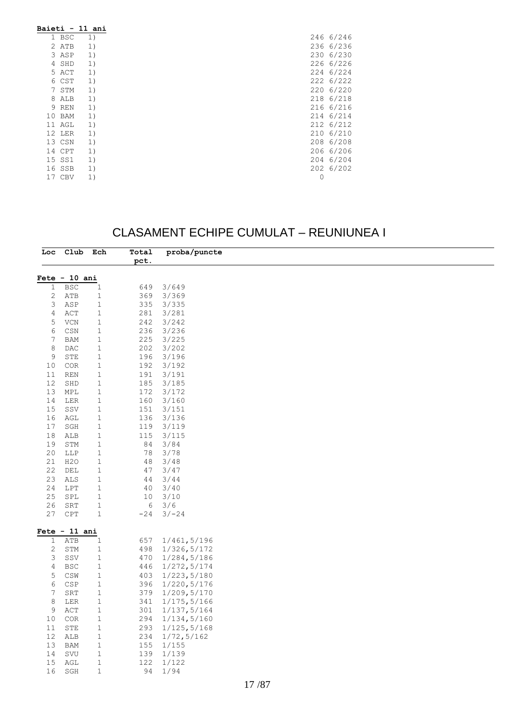| Baieti - 11 ani |    |
|-----------------|----|
| 1 BSC           | 1) |
| 2 ATB           | 1) |
| 3 ASP           | 1) |
| 4 SHD           | 1) |
| 5 ACT           | 1) |
| 6 CST           | 1) |
| 7 STM           | 1) |
| 8 ALB           | 1) |
| 9 REN           | 1) |
| 10 BAM          | 1) |
| 11 AGL          | 1) |
| 12 LER          | 1) |
| 13 CSN          | 1) |
| 14 CPT          | 1) |
| 15 SS1          | 1) |
| 16 SSB          | 1) |
| 17 CBV          | 1) |

### CLASAMENT ECHIPE CUMULAT – REUNIUNEA I

|                 | Loc Club Ech                     |              | Total | proba/puncte |  |
|-----------------|----------------------------------|--------------|-------|--------------|--|
|                 |                                  |              | pct.  |              |  |
|                 | $Fete - 10 ani$                  |              |       |              |  |
| $\mathbf{1}$    | <b>BSC</b>                       | $\mathbf{1}$ | 649   | 3/649        |  |
| $\mathbf{2}$    | ATB                              | $\,1\,$      | 369   | 3/369        |  |
| 3               | ASP                              | $\mathbf{1}$ | 335   | 3/335        |  |
| 4               | $\verb ACT $                     | $\mathbf{1}$ | 281   | 3/281        |  |
| 5               | VCN                              | $\mathbf{1}$ | 242   | 3/242        |  |
| 6               | $\mathbb{C}\mathbb{S}\mathbb{N}$ | $\mathbf 1$  | 236   | 3/236        |  |
| 7               | <b>BAM</b>                       | $\mathbf{1}$ | 225   | 3/225        |  |
| $\,8\,$         | DAC                              | $\mathbf{1}$ | 202   | 3/202        |  |
| 9               | STE                              | $\mathbf{1}$ | 196   | 3/196        |  |
| 10              | $_{\mbox{\scriptsize COR}}$      | $\mathbf{1}$ | 192   | 3/192        |  |
| 11              | REN                              | $\mathbf{1}$ | 191   | 3/191        |  |
| 12              | SHD                              | $\mathbf{1}$ | 185   | 3/185        |  |
| 13              | MPL                              | $\mathbf{1}$ | 172   | 3/172        |  |
| 14              | LER                              | $\mathbf{1}$ | 160   | 3/160        |  |
| 15              | SSV                              | $\mathbf{1}$ | 151   | 3/151        |  |
| 16              | AGL                              | $\mathbf{1}$ | 136   | 3/136        |  |
| 17              | SGH                              | $\mathbf{1}$ | 119   | 3/119        |  |
| 18              | ${\tt ALB}$                      | $\mathbf{1}$ | 115   | 3/115        |  |
| 19              | STM                              | $\mathbf{1}$ | 84    | 3/84         |  |
| 20              | LLP                              | $\mathbf{1}$ | 78    | 3/78         |  |
| 21              | H <sub>2</sub> O                 | $\mathbf{1}$ | 48    | 3/48         |  |
| 22              | DEL                              | $\mathbf{1}$ | 47    | 3/47         |  |
| 23              | ALS                              | $\mathbf{1}$ | 44    | 3/44         |  |
| 24              | LPT                              | $\mathbf{1}$ | 40    | 3/40         |  |
| 25              | SPL                              | $\mathbf{1}$ | 10    | 3/10         |  |
| 26              | ${\tt SRT}$                      | $\mathbf{1}$ | 6     | 3/6          |  |
| 27              | $\mathtt{CPT}$                   | $\,1\,$      | $-24$ | $3/-24$      |  |
|                 |                                  |              |       |              |  |
|                 | Fete $-11$ ani                   |              |       |              |  |
| $\mathbf 1$     | ATB                              | $\mathbf{1}$ | 657   | 1/461,5/196  |  |
| 2               | STM                              | $\mathbf{1}$ | 498   | 1/326, 5/172 |  |
| 3               | SSV                              | $\mathbf{1}$ | 470   | 1/284, 5/186 |  |
| $\overline{4}$  | <b>BSC</b>                       | $\mathbf{1}$ | 446   | 1/272, 5/174 |  |
| 5               | $\mathbb{CSW}$                   | $\mathbf{1}$ | 403   | 1/223, 5/180 |  |
| 6               | CSP                              | $\mathbf{1}$ | 396   | 1/220, 5/176 |  |
| 7               | SRT                              | $1\,$        | 379   | 1/209, 5/170 |  |
| $\,8\,$         | LER                              | $\mathbf{1}$ | 341   | 1/175, 5/166 |  |
| 9               | ACT                              | $\mathbf{1}$ | 301   | 1/137, 5/164 |  |
| 10              | COR                              | $\mathbf{1}$ | 294   | 1/134, 5/160 |  |
| 11              | STE                              | $\mathbf{1}$ | 293   | 1/125, 5/168 |  |
| 12 <sup>°</sup> | ALB                              | $\mathbf{1}$ | 234   | 1/72, 5/162  |  |
| 13              | <b>BAM</b>                       | $\mathbf{1}$ | 155   | 1/155        |  |
| 14              | $\operatorname{SVU}$             | $1\,$        | 139   | 1/139        |  |
| 15              | AGL                              | $\mathbf 1$  | 122   | 1/122        |  |
| 16              | SGH                              | $\mathbf 1$  | 94    | 1/94         |  |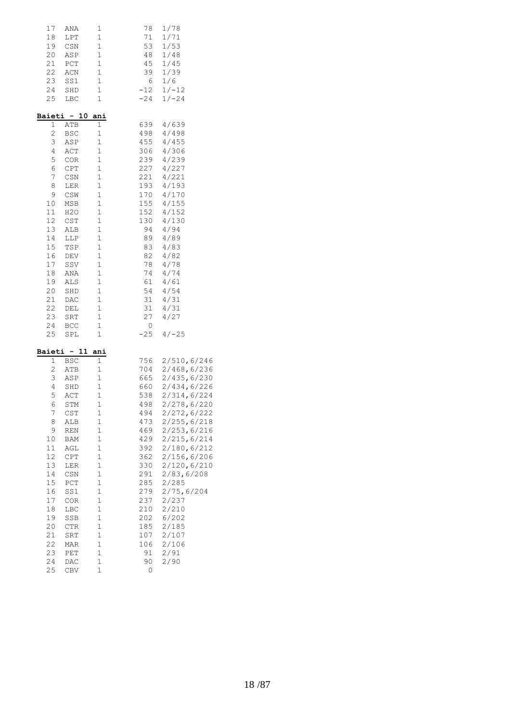| 17             | ANA            | 1           | 78    | $1/78$       |
|----------------|----------------|-------------|-------|--------------|
| 18             | LPT            | $\mathbf 1$ | 71    | 1/71         |
|                | 19 CSN         | 1           | 53    | 1/53         |
| 20             | ${\tt ASP}$    | 1           | 48    | 1/48         |
| 21             | PCT            | $\mathbf 1$ | 45    | 1/45         |
| 22             | ACN            | $\mathbf 1$ | 39    | 1/39         |
| 23             | SS1            | $\mathbf 1$ | 6     | 1/6          |
| 24             | SHD            | 1           | $-12$ | $1/-12$      |
| 25             | LBC            | $\mathbf 1$ | $-24$ | $1/-24$      |
|                |                |             |       |              |
|                | Baieti - 10    | ani         |       |              |
| 1              | ATB            | 1           | 639   | 4/639        |
| 2              | <b>BSC</b>     | 1           | 498   | 4/498        |
| 3              | ASP            | $1\,$       | 455   | 4/455        |
| 4              | ACT            | 1           |       | 306 4/306    |
| 5              | COR            | $\mathbf 1$ | 239   | 4/239        |
| 6              | CPT            | $\mathbf 1$ | 227   | 4/227        |
| $\overline{7}$ | $\mathbb{CSN}$ | $\mathbf 1$ | 221   | 4/221        |
| 8              | LER            | $\mathbf 1$ | 193   | 4/193        |
| 9              | $\mathbb{CSW}$ | 1           | 170   | 4/170        |
| 10             | MSB            | $1\,$       | 155   | 4/155        |
| 11             | H2O            | $\mathbf 1$ |       | 152 4/152    |
| 12             | CST            | 1           | 130   | 4/130        |
| 13             | ALB            | $\mathbf 1$ | 94    | 4/94         |
| 14             | LLP            | $\mathbf 1$ |       | 89 4/89      |
| 15             | TSP            | $\mathbf 1$ | 83    | 4/83         |
| 16             | DEV            | $\mathbf 1$ | 82    | 4/82         |
| 17             | SSV            | 1           | 78    | 4/78         |
| 18             | ANA            | $\mathbf 1$ | 74    | 4/74         |
| 19             | ALS            | 1           | 61    | 4/61         |
| 20             | SHD            | $\mathbf 1$ | 54    | 4/54         |
| 21             | DAC            | 1           | 31    | 4/31         |
| 22             | DEL            | 1           | 31    | 4/31         |
| 23             | SRT            | 1           | 27    | 4/27         |
| 24             | <b>BCC</b>     | $\mathbf 1$ | 0     |              |
| 25             | SPL            | 1           | $-25$ | $4/-25$      |
|                | Baieti - 11    | ani         |       |              |
| 1              | BSC            | 1           | 756   | 2/510, 6/246 |
| 2              | ATB            | 1           | 704   | 2/468, 6/236 |
| 3              | ASP            | $\mathbf 1$ | 665   | 2/435,6/230  |
| 4              | SHD            | $\mathbf 1$ | 660   | 2/434, 6/226 |
| 5              | ACT            | $\mathbf 1$ | 538   | 2/314, 6/224 |
| 6              | STM            | $\mathbf 1$ | 498   | 2/278,6/220  |
| 7              | CST            | 1           | 494   | 2/272,6/222  |
| 8              | ALB            | $\mathbf 1$ | 473   | 2/255, 6/218 |
| 9              | REN            | $\mathbf 1$ | 469   | 2/253,6/216  |
| 10             | BAM            | 1           | 429   | 2/215,6/214  |
| $11\,$         | AGL            | $\mathbf 1$ | 392   | 2/180,6/212  |
| 12             | CPT            | 1           | 362   | 2/156, 6/206 |
| 13             | LER            | $\mathbf 1$ | 330   | 2/120,6/210  |
| 14             | CSN            | 1           | 291   | 2/83,6/208   |
| 15             | PCT            | $\mathbf 1$ | 285   | 2/285        |
| 16             | SS1            | $\mathbf 1$ | 279   | 2/75, 6/204  |
| 17             | COR            | 1           | 237   | 2/237        |
| 18             | LBC            | 1           | 210   | 2/210        |
| 19             | SSB            | $\mathbf 1$ | 202   | 6/202        |
| 20             | CTR            | $\mathbf 1$ | 185   | 2/185        |
| 21             | SRT            | $\mathbf 1$ | 107   | 2/107        |
| 22             | MAR            | 1           | 106   | 2/106        |
| 23             | PET            | $\mathbf 1$ | 91    | 2/91         |
| 24             | DAC            | $\mathbf 1$ | 90    | 2/90         |
| 25             | CBV            | 1           | 0     |              |
|                |                |             |       |              |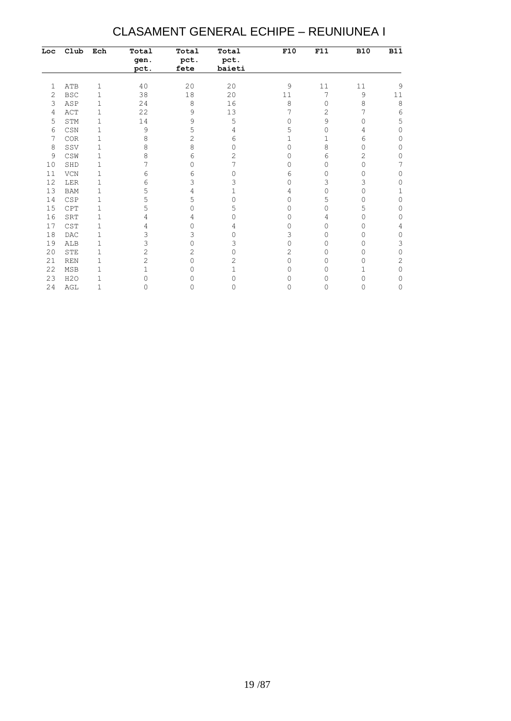#### CLASAMENT GENERAL ECHIPE – REUNIUNEA I

| Loc | Club                             | Ech         | Total<br>gen.<br>pct. | Total<br>pct.<br>fete | Total<br>pct.<br>baieti | F10       | F11            | <b>B10</b> | <b>B11</b> |
|-----|----------------------------------|-------------|-----------------------|-----------------------|-------------------------|-----------|----------------|------------|------------|
| 1   | ATB                              | 1           | 40                    | 20                    | 20                      | 9         | 11             | $1\,1$     | 9          |
| 2   | <b>BSC</b>                       | 1           | 38                    | 18                    | 20                      | 11        | 7              | 9          | 11         |
| 3   | ASP                              | 1           | 24                    | 8                     | 16                      | 8         | 0              | 8          | 8          |
| 4   | ACT                              | 1           | 22                    | 9                     | 13                      |           | $\overline{c}$ |            | 6          |
| 5   | STM                              | 1           | 14                    | 9                     | 5                       | 0         | 9              | 0          | 5          |
| 6   | $\mathbb{C}\mathbb{S}\mathbb{N}$ | 1           | 9                     | 5                     | 4                       | 5         | 0              | 4          | $\Omega$   |
| 7   | COR                              | 1           | 8                     | $\overline{2}$        | 6                       |           | $\mathbf{1}$   | 6          | 0          |
| 8   | SSV                              | 1           | 8                     | 8                     | Ω                       | 0         | 8              | 0          | 0          |
| 9   | CSW                              | 1           | 8                     | 6                     | 2                       | $\bigcap$ | 6              | 2          | 0          |
| 10  | SHD                              | 1           |                       | 0                     |                         | 0         | 0              | 0          | 7          |
| 11  | VCN                              | 1           | 6                     | 6                     | O                       | 6         | 0              | 0          | $\Omega$   |
| 12  | LER                              | 1           | 6                     | 3                     | 3                       | $\Omega$  | 3              | 3          | 0          |
| 13  | <b>BAM</b>                       | 1           | 5                     | 4                     |                         | 4         | 0              | Ω          | 1          |
| 14  | CSP                              | 1           | 5                     | 5                     | 0                       | 0         | 5              | ∩          | 0          |
| 15  | CPT                              | 1           | 5                     | 0                     | 5                       | 0         | 0              | 5          | 0          |
| 16  | SRT                              | 1           |                       | 4                     | ∩                       | 0         | 4              | Ω          | 0          |
| 17  | CST                              | 1           | 4                     | 0                     | 4                       | O         | 0              | O          | 4          |
| 18  | <b>DAC</b>                       | 1           | 3                     | 3                     | O                       | 3         | 0              | 0          | 0          |
| 19  | ALB                              | 1           | 3                     | 0                     | 3                       | $\Omega$  | 0              | 0          | 3          |
| 20  | <b>STE</b>                       | 1           | 2                     | $\overline{2}$        | ∩                       | 2         | 0              | ∩          | $\Omega$   |
| 21  | <b>REN</b>                       | 1           | $\overline{2}$        | 0                     | 2                       | 0         | 0              | 0          | 2          |
| 22  | <b>MSB</b>                       | 1           |                       | O                     | 1                       | 0         | 0              |            | $\Omega$   |
| 23  | H2O                              | 1           | ∩                     | 0                     | N                       | 0         | 0              | 0          | 0          |
| 24  | AGL                              | $\mathbf 1$ | 0                     | 0                     | ∩                       | 0         | 0              | Ω          | 0          |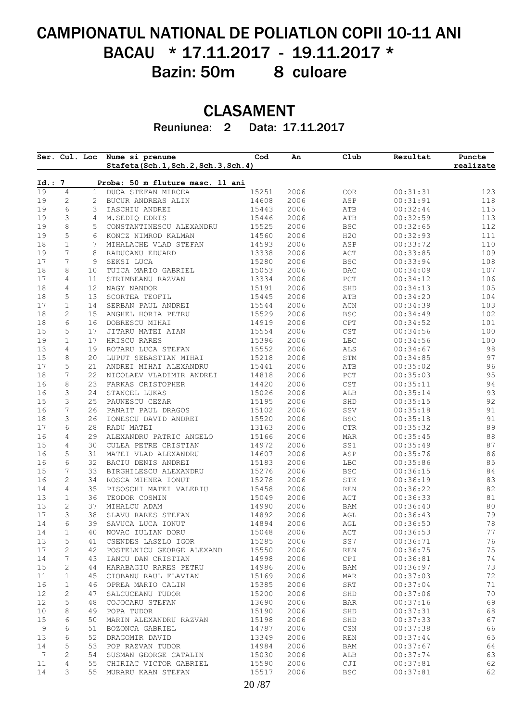## CAMPIONATUL NATIONAL DE POLIATLON COPII 10-11 ANI BACAU \* 17.11.2017 - 19.11.2017 \* Bazin: 50m 8 culoare

## CLASAMENT

Reuniunea: 2 Data: 17.11.2017

|          | Ser. Cul. Loc     |                       | Nume si prenume<br>Stafeta(Sch.1,Sch.2,Sch.3,Sch.4) | Cod            | An           | Club                             | Rezultat             | Puncte<br>realizate |
|----------|-------------------|-----------------------|-----------------------------------------------------|----------------|--------------|----------------------------------|----------------------|---------------------|
| Id.: 7   |                   |                       | Proba: 50 m fluture masc. 11 ani                    |                |              |                                  |                      |                     |
| 19       | 4                 | $\mathbf{1}$          | DUCA STEFAN MIRCEA                                  | 15251          | 2006         | COR                              | 00:31:31             | 123                 |
| 19       | 2                 | $\mathbf{2}^{\prime}$ | BUCUR ANDREAS ALIN                                  | 14608          | 2006         | ASP                              | 00:31:91             | 118                 |
| 19       | 6                 | 3                     | IASCHIU ANDREI                                      | 15443          | 2006         | ATB                              | 00:32:44             | 115                 |
| 19       | 3                 | 4                     | M. SEDIQ EDRIS                                      | 15446          | 2006         | ATB                              | 00:32:59             | 113                 |
| 19       | 8                 | 5                     | CONSTANTINESCU ALEXANDRU                            | 15525          | 2006         | $_{\rm BSC}$                     | 00:32:65             | 112                 |
| 19       | 5                 | 6                     | KONCZ NIMROD KALMAN                                 | 14560          | 2006         | H2O                              | 00:32:93             | 111                 |
| 18       | $\mathbf 1$       | 7                     | MIHALACHE VLAD STEFAN                               | 14593          | 2006         | ASP                              | 00:33:72             | 110                 |
| 19       | 7                 | 8                     | RADUCANU EDUARD                                     | 13338          | 2006         | $\mathtt{ACT}$                   | 00:33:85             | 109                 |
| 17       | 7                 | 9                     | SEKSI LUCA                                          | 15280          | 2006         | <b>BSC</b>                       | 00:33:94             | 108                 |
| 18       | 8                 | 10                    | TUICA MARIO GABRIEL                                 | 15053          | 2006         | $\mathop{\rm DAC}$               | 00:34:09             | 107                 |
| 17       | 4                 | 11                    | STRIMBEANU RAZVAN                                   | 13334          | 2006         | $_{\rm PCT}$                     | 00:34:12             | 106                 |
| 18<br>18 | 4<br>5            | 12<br>13              | NAGY NANDOR<br>SCORTEA TEOFIL                       | 15191<br>15445 | 2006<br>2006 | SHD<br>ATB                       | 00:34:13<br>00:34:20 | 105<br>104          |
| 17       | $\mathbf 1$       | 14                    | SERBAN PAUL ANDREI                                  | 15544          | 2006         | $\mbox{ACN}$                     | 00:34:39             | 103                 |
|          |                   |                       |                                                     |                |              |                                  |                      |                     |
| 18<br>18 | $\mathbf{2}$<br>6 | 15 <sub>1</sub><br>16 | ANGHEL HORIA PETRU<br>DOBRESCU MIHAI                | 15529<br>14919 | 2006<br>2006 | $_{\rm BSC}$<br>CPT              | 00:34:49<br>00:34:52 | 102<br>101          |
| 15       | 5                 | 17                    | JITARU MATEI AIAN                                   | 15554          | 2006         | CST                              | 00:34:56             | 100                 |
| 19       | $\mathbf 1$       | 17                    | HRISCU RARES                                        | 15396          | 2006         | LBC                              | 00:34:56             | 100                 |
| 13       | 4                 | 19                    | ROTARU LUCA STEFAN                                  | 15552          | 2006         | $\mathtt{ALS}$                   | 00:34:67             | 98                  |
| 15       | 8                 | 20                    | LUPUT SEBASTIAN MIHAI                               | 15218          | 2006         | $\operatorname{STM}$             | 00:34:85             | 97                  |
| 17       | 5                 | 21                    | ANDREI MIHAI ALEXANDRU                              | 15441          | 2006         | ATB                              | 00:35:02             | 96                  |
| 18       | 7                 | 22                    | NICOLAEV VLADIMIR ANDREI                            | 14818          | 2006         | $_{\rm PCT}$                     | 00:35:03             | 95                  |
| 16       | 8                 | 23                    | FARKAS CRISTOPHER                                   | 14420          | 2006         | $_{\tt CST}$                     | 00:35:11             | 94                  |
| 16       | 3                 | 24                    | STANCEL LUKAS                                       | 15026          | 2006         | ALB                              | 00:35:14             | 93                  |
| 15       | 3                 | 25                    | PAUNESCU CEZAR                                      | 15195          | 2006         | SHD                              | 00:35:15             | 92                  |
| 16       | 7                 | 26                    | PANAIT PAUL DRAGOS                                  | 15102          | 2006         | SSV                              | 00:35:18             | 91                  |
| 18       | 3                 | 26                    | IONESCU DAVID ANDREI                                | 15520          | 2006         | <b>BSC</b>                       | 00:35:18             | 91                  |
| 17       | 6                 | 28                    | RADU MATEI                                          | 13163          | 2006         | $_{\rm CTR}$                     | 00:35:32             | 89                  |
| 16       | 4                 | 29                    | ALEXANDRU PATRIC ANGELO                             | 15166          | 2006         | MAR                              | 00:35:45             | $8\,8$              |
| 15       | 4                 | 30                    | CULEA PETRE CRISTIAN                                | 14972          | 2006         | SS1                              | 00:35:49             | 87                  |
| 16       | 5                 | 31                    | MATEI VLAD ALEXANDRU                                | 14607          | 2006         | ASP                              | 00:35:76             | 86                  |
| 16       | 6                 | 32                    | BACIU DENIS ANDREI                                  | 15183          | 2006         | LBC                              | 00:35:86             | $8\,5$              |
| 15       | 7                 | 33                    | BIRGHILESCU ALEXANDRU                               | 15276          | 2006         | <b>BSC</b>                       | 00:36:15             | 84                  |
| 16       | 2                 | 34                    | ROSCA MIHNEA IONUT                                  | 15278          | 2006         | ${\tt STE}$                      | 00:36:19             | 83                  |
| 14       | 4                 | 35                    | PISOSCHI MATEI VALERIU                              | 15458          | 2006         | REN                              | 00:36:22             | 82                  |
| 13       | $\mathbf 1$       | 36                    | TEODOR COSMIN                                       | 15049          | 2006         | ACT                              | 00:36:33             | $8\,1$              |
| 13       | 2                 | 37                    | MIHALCU ADAM                                        | 14990          | 2006         | BAM                              | 00:36:40             | 80                  |
| 17       | 3                 | 38                    | SLAVU RARES STEFAN                                  | 14892          | 2006         | AGL                              | 00:36:43             | 79                  |
| 14       | 6                 | 39                    | SAVUCA LUCA IONUT                                   | 14894          | 2006         | AGL                              | 00:36:50             | 78                  |
| 14       | 1                 | 40                    | NOVAC IULIAN DORU                                   | 15048          | 2006         | $\mathbb{A}\mathbb{C}\mathbb{T}$ | 00:36:53             | $7\,7$              |
| 13       | 5                 | 41                    | CSENDES LASZLO IGOR                                 | 15285          | 2006         | SS7                              | 00:36:71             | 76                  |
| 17       | 2                 | 42                    | POSTELNICU GEORGE ALEXAND                           | 15550          | 2006         | $\mathop{\rm REN}\nolimits$      | 00:36:75             | 75                  |
| 14       | 7                 | 43                    | IANCU DAN CRISTIAN                                  | 14998          | 2006         | CPI                              | 00:36:81             | 74                  |
| 15       | 2                 | 44                    | HARABAGIU RARES PETRU                               | 14986          | 2006         | <b>BAM</b>                       | 00:36:97             | 73                  |
| 11       | 1                 | 45                    | CIOBANU RAUL FLAVIAN                                | 15169          | 2006         | <b>MAR</b>                       | 00:37:03             | 72                  |
| 16       | 1                 | 46                    | OPREA MARIO CALIN                                   | 15385          | 2006         | SRT                              | 00:37:04             | 71                  |
| 12       | 2                 | 47                    | SALCUCEANU TUDOR                                    | 15200          | 2006         | SHD                              | 00:37:06             | 70                  |
| 12       | 5                 | 48                    | COJOCARU STEFAN                                     | 13690          | 2006         | <b>BAR</b>                       | 00:37:16             | 69                  |
| 10       | 8                 | 49                    | POPA TUDOR                                          | 15190          | 2006         | SHD                              | 00:37:31             | 68                  |
| 15       | 6                 | 50                    | MARIN ALEXANDRU RAZVAN                              | 15198          | 2006         | SHD                              | 00:37:33             | 67                  |
| 9        | 6                 | 51                    | BOZONCA GABRIEL                                     | 14787          | 2006         | $\mathbb{C}\mathbb{S}\mathbb{N}$ | 00:37:38             | 66                  |
| 13       | 6                 | 52                    | DRAGOMIR DAVID                                      | 13349          | 2006         | REN                              | 00:37:44             | 65                  |
| 14       | 5                 | 53                    | POP RAZVAN TUDOR                                    | 14984          | 2006         | <b>BAM</b>                       | 00:37:67             | 64                  |
| 7        | 2                 | 54                    | SUSMAN GEORGE CATALIN                               | 15030          | 2006         | ALB                              | 00:37:74             | 63                  |
|          | 4                 | 55                    | CHIRIAC VICTOR GABRIEL                              | 15590          | 2006         | CJI                              | 00:37:81             | 62                  |
| 11<br>14 | 3                 | 55                    | MURARU KAAN STEFAN                                  | 15517          | 2006         | <b>BSC</b>                       | 00:37:81             | 62                  |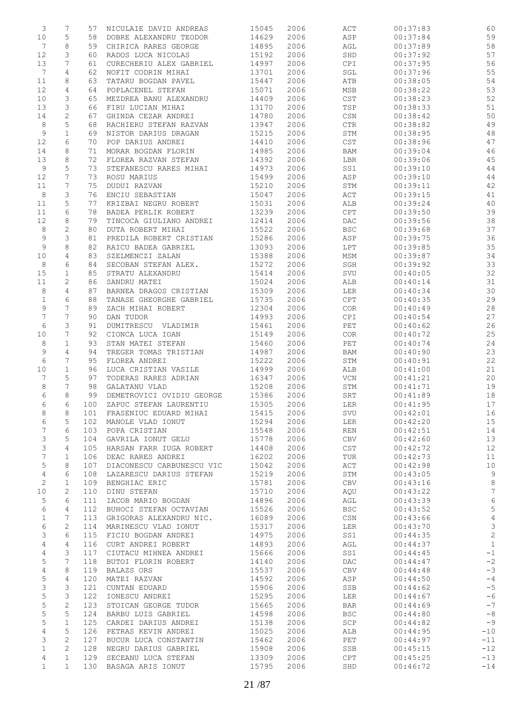| 3                | 7                | 57         | NICULAIE DAVID ANDREAS                       | 15045          | 2006         | ACT                                      | 00:37:83             | 60              |
|------------------|------------------|------------|----------------------------------------------|----------------|--------------|------------------------------------------|----------------------|-----------------|
| $10$             | 5                | 58         | DOBRE ALEXANDRU TEODOR                       | 14629          | 2006         | ASP                                      | 00:37:84             | 59              |
| 7                | 8                | 59         | CHIRICA RARES GEORGE                         | 14895          | 2006         | AGL                                      | 00:37:89             | 58              |
| 12               | 3                | 60         | RADOS LUCA NICOLAS                           | 15192          | 2006         | SHD                                      | 00:37:92             | 57              |
| 13               | 7                | 61         | CURECHERIU ALEX GABRIEL                      | 14997          | 2006         | CPI                                      | 00:37:95             | 56              |
| 7<br>11          | 4<br>8           | 62<br>63   | NOFIT CODRIN MIHAI<br>TATARU BOGDAN PAVEL    | 13701<br>15447 | 2006<br>2006 | SGL<br>ATB                               | 00:37:96<br>00:38:05 | 55<br>54        |
| 12               | 4                | 64         | POPLACENEL STEFAN                            | 15071          | 2006         | MSB                                      | 00:38:22             | 53              |
| 10               | 3                | 65         | MEZDREA BANU ALEXANDRU                       | 14409          | 2006         | $_{\tt CST}$                             | 00:38:23             | 52              |
| 13               | 3                | 66         | FIRU LUCIAN MIHAI                            | 13170          | 2006         | TSP                                      | 00:38:33             | 51              |
| 14               | $\mathbf{2}$     | 67         | GHINDA CEZAR ANDREI                          | 14780          | 2006         | CSN                                      | 00:38:42             | $50$            |
| 8                | 5                | 68         | RACHIERU STEFAN RAZVAN                       | 13947          | 2006         | $\mathsf{CTR}\xspace$                    | 00:38:82             | 49              |
| 9                | $\mathbf 1$      | 69         | NISTOR DARIUS DRAGAN                         | 15215          | 2006         | STM                                      | 00:38:95             | 48              |
| 12               | 6                | 70         | POP DARIUS ANDREI                            | 14410          | 2006         | $_{\tt CST}$                             | 00:38:96             | 47              |
| 14               | 8                | 71         | MORAR BOGDAN FLORIN                          | 14985          | 2006         | BAM                                      | 00:39:04             | 46              |
| 13               | 8                | 72         | FLOREA RAZVAN STEFAN                         | 14392          | 2006         | LBR                                      | 00:39:06             | 45              |
| 9                | 5                | 73         | STEFANESCU RARES MIHAI                       | 14973          | 2006         | SS1                                      | 00:39:10             | $4\,4$          |
| 12               | 7                | 73         | ROSU MARIUS                                  | 15499          | 2006         | ASP                                      | 00:39:10             | $4\,4$          |
| 11<br>8          | 7<br>3           | 75<br>76   | DUDUI RAZVAN<br>ENCIU SEBASTIAN              | 15210<br>15047 | 2006<br>2006 | STM<br>$\mathtt{ACT}$                    | 00:39:11<br>00:39:15 | 42<br>41        |
| 11               | 5                | 77         | KRIZBAI NEGRU ROBERT                         | 15031          | 2006         | ALB                                      | 00:39:24             | 40              |
| 11               | 6                | 78         | BADEA PERLIK ROBERT                          | 13239          | 2006         | CPT                                      | 00:39:50             | 39              |
| 12               | 8                | 79         | TINCOCA GIULIANO ANDREI                      | 12414          | 2006         | DAC                                      | 00:39:56             | 38              |
| 8                | $\overline{c}$   | 80         | DUTA ROBERT MIHAI                            | 15522          | 2006         | $_{\rm BSC}$                             | 00:39:68             | 37              |
| 9                | 3                | 81         | PREDILA ROBERT CRISTIAN                      | 15286          | 2006         | ASP                                      | 00:39:75             | 36              |
| 9                | 8                | 82         | RAICU BADEA GABRIEL                          | 13093          | 2006         | LPT                                      | 00:39:85             | 35              |
| 10               | 4                | 83         | SZELMENCZI ZALAN                             | 15388          | 2006         | MSM                                      | 00:39:87             | 34              |
| $\,8\,$          | 6                | 84         | SECOBAN STEFAN ALEX.                         | 15272          | 2006         | SGH                                      | 00:39:92             | 33              |
| 15               | 1                | 85         | STRATU ALEXANDRU                             | 15414          | 2006         | $\operatorname{SVU}$                     | 00:40:05             | 32              |
| 11               | $\mathbf{2}$     | 86         | SANDRU MATEI                                 | 15024          | 2006         | ALB                                      | 00:40:14             | 31              |
| 8                | $\overline{4}$   | 87         | BARNEA DRAGOS CRISTIAN                       | 15309          | 2006         | LER                                      | 00:40:34             | 30              |
| $\mathbf 1$<br>9 | 6<br>7           | 88<br>89   | TANASE GHEORGHE GABRIEL<br>ZACH MIHAI ROBERT | 15735<br>12304 | 2006<br>2006 | CPT<br>COR                               | 00:40:35<br>00:40:49 | 29<br>28        |
| $\boldsymbol{7}$ | 7                | 90         | DAN TUDOR                                    | 14993          | 2006         | CPI                                      | 00:40:54             | 27              |
| 6                | 3                | 91         | DUMITRESCU VLADIMIR                          | 15461          | 2006         | $\ensuremath{\mathop{\rm PET}\nolimits}$ | 00:40:62             | 26              |
| 10               | 7                | 92         | CIONCA LUCA IOAN                             | 15149          | 2006         | COR                                      | 00:40:72             | 25              |
| 8                | $\mathbf 1$      | 93         | STAN MATEI STEFAN                            | 15460          | 2006         | PET                                      | 00:40:74             | 24              |
| 9                | 4                | 94         | TREGER TOMAS TRISTIAN                        | 14987          | 2006         | BAM                                      | 00:40:90             | 23              |
| 6                | 7                | 95         | FLOREA ANDREI                                | 15222          | 2006         | STM                                      | 00:40:91             | 22              |
| 10               | $\mathbf 1$      | 96         | LUCA CRISTIAN VASILE                         | 14999          | 2006         | ALB                                      | 00:41:00             | 21              |
| 7                | 5                | 97         | TODERAS RARES ADRIAN                         | 16347          | 2006         | $\rm VCN$                                | 00:41:21             | $20$            |
| 8                | 7<br>8           | 98<br>99   | GALATANU VLAD<br>DEMETROVICI OVIDIU GEORGE   | 15208          | 2006         | STM                                      | 00:41:71             | 19              |
| 6<br>6           | 6                | 100        | ZAPUC STEFAN LAURENTIU                       | 15386<br>15305 | 2006<br>2006 | SRT<br><b>LER</b>                        | 00:41:89<br>00:41:95 | 18<br>17        |
| 8                | 8                | 101        | FRASENIUC EDUARD MIHAI                       | 15415          | 2006         | SVU                                      | 00:42:01             | 16              |
| 6                | 5                | 102        | MANOLE VLAD IONUT                            | 15294          | 2006         | LER                                      | 00:42:20             | 15              |
| 7                | 6                | 103        | POPA CRISTIAN                                | 15548          | 2006         | REN                                      | 00:42:51             | 14              |
| 3                | 5                | 104        | GAVRILA IONUT GELU                           | 15778          | 2006         | CBV                                      | 00:42:60             | 13              |
| 3                | 4                | 105        | HARSAN FARR IUGA ROBERT                      | 14408          | 2006         | CST                                      | 00:42:72             | 12              |
| 7                | $\mathbf{1}$     | 106        | DEAC RARES ANDREI                            | 16202          | 2006         | TUR                                      | 00:42:73             | 11              |
| 5                | 8                | 107        | DIACONESCU CARBUNESCU VIC                    | 15042          | 2006         | ACT                                      | 00:42:98             | 10              |
| 4                | 6                | 108        | LAZARESCU DARIUS STEFAN                      | 15219          | 2006         | STM                                      | 00:43:05             | 9               |
| $\mathbf{2}$     | $\mathbf{1}$     | 109        | BENGHIAC ERIC                                | 15781          | 2006         | CBV                                      | 00:43:16             | 8               |
| 10               | $\mathbf{2}$     | 110        | DINU STEFAN                                  | 15710          | 2006         | AQU                                      | 00:43:22             | $7\phantom{.0}$ |
| 5<br>6           | 6<br>4           | 111<br>112 | IACOB MARIO BOGDAN<br>BUHOCI STEFAN OCTAVIAN | 14896<br>15526 | 2006<br>2006 | AGL<br><b>BSC</b>                        | 00:43:39<br>00:43:52 | 6<br>5          |
| 1                | 7                | 113        | GRIGORAS ALEXANDRU NIC.                      | 16089          | 2006         | CSN                                      | 00:43:66             | 4               |
| 6                | $\mathbf{2}$     | 114        | MARINESCU VLAD IONUT                         | 15317          | 2006         | LER                                      | 00:43:70             | 3               |
| 3                | 6                | 115        | FICIU BOGDAN ANDREI                          | 14975          | 2006         | SS1                                      | 00:44:35             | $\mathbf{2}$    |
| 4                | 4                | 116        | CURT ANDREI ROBERT                           | 14893          | 2006         | AGL                                      | 00:44:37             | 1               |
| 4                | 3                | 117        | CIUTACU MIHNEA ANDREI                        | 15666          | 2006         | SS1                                      | 00:44:45             | $-1$            |
| 5                | 7                | 118        | BUTOI FLORIN ROBERT                          | 14140          | 2006         | DAC                                      | 00:44:47             | $-2$            |
| 4                | 8                | 119        | BALAZS ORS                                   | 15537          | 2006         | <b>CBV</b>                               | 00:44:48             | $-3$            |
| $\mathsf S$      | 4                | 120        | MATEI RAZVAN                                 | 14592          | 2006         | ASP                                      | 00:44:50             | $-4$            |
| 3                | 3                | 121        | CUNTAN EDUARD                                | 15906          | 2006         | SSB                                      | 00:44:62             | $-5$            |
| 5                | 3                | 122        | IONESCU ANDREI                               | 15295          | 2006         | LER                                      | 00:44:67             | $-6$            |
| 5                | $\sqrt{2}$       | 123        | STOICAN GEORGE TUDOR                         | 15665          | 2006         | BAR                                      | 00:44:69             | $-7$<br>$-8$    |
| 5<br>5           | 5<br>$\mathbf 1$ | 124<br>125 | BARBU LUIS GABRIEL<br>CARDEI DARIUS ANDREI   | 14598<br>15138 | 2006<br>2006 | <b>BSC</b><br>SCP                        | 00:44:80<br>00:44:82 | $-9$            |
| 4                | 5                | 126        | PETRAS KEVIN ANDREI                          | 15025          | 2006         | ALB                                      | 00:44:95             | $-10$           |
| 3                | $\mathbf{2}$     | 127        | BUCUR LUCA CONSTANTIN                        | 15462          | 2006         | PET                                      | 00:44:97             | $-11$           |
| $\mathbf 1$      | $\mathbf{2}$     | 128        | NEGRU DARIUS GABRIEL                         | 15908          | 2006         | SSB                                      | 00:45:15             | $-12$           |
| 4                | $\mathbf{1}$     | 129        | SECEANU LUCA STEFAN                          | 13309          | 2006         | CPT                                      | 00:45:25             | $-13$           |
| $\mathbf{1}$     | $\mathbf{1}$     | 130        | BASAGA ARIS IONUT                            | 15795          | 2006         | SHD                                      | 00:46:72             | $-14$           |
|                  |                  |            |                                              |                |              |                                          |                      |                 |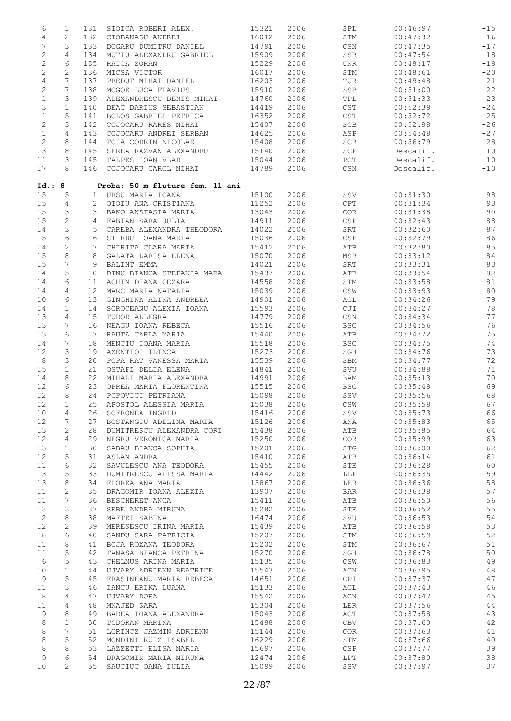| 6                | $\mathbf{1}$   | 131             | STOICA ROBERT ALEX.             | 15321 | 2006 | SPL            | 00:46:97  | $-15$ |
|------------------|----------------|-----------------|---------------------------------|-------|------|----------------|-----------|-------|
| $\overline{4}$   | $\mathbf{2}$   | 132             | CIOBANASU ANDREI                | 16012 | 2006 | STM            | 00:47:32  | $-16$ |
| $\boldsymbol{7}$ | 3              | 133             | DOGARU DUMITRU DANIEL           | 14791 | 2006 | CSN            | 00:47:35  | $-17$ |
| $\sqrt{2}$       | 4              | 134             | MUTIU ALEXANDRU GABRIEL         | 15909 | 2006 | SSB            | 00:47:54  | $-18$ |
|                  |                |                 |                                 |       |      |                |           |       |
| $\mathbf{2}$     | 6              | 135             | RAICA ZORAN                     | 15229 | 2006 | UNR            | 00:48:17  | $-19$ |
| 2                | $\mathbf{2}$   | 136             | MICSA VICTOR                    | 16017 | 2006 | STM            | 00:48:61  | $-20$ |
| $\overline{4}$   | 7              | 137             | PREDUT MIHAI DANIEL             | 16203 | 2006 | TUR            | 00:49:48  | $-21$ |
| $\mathbf{2}$     | 7              | 138             | MOGOE LUCA FLAVIUS              | 15910 | 2006 | SSB            | 00:51:00  | $-22$ |
| $\mathbf 1$      | 3              | 139             | ALEXANDRESCU DENIS MIHAI        | 14760 | 2006 | TPL            | 00:51:33  | $-23$ |
| 3                | $\mathbf 1$    | 140             | DEAC DARIUS SEBASTIAN           | 14419 | 2006 | CST            | 00:52:39  | $-24$ |
| $\mathbf 1$      | 5              | 141             | BOLOS GABRIEL PETRICA           | 16352 | 2006 | CST            | 00:52:72  | $-25$ |
|                  |                |                 |                                 |       |      |                |           |       |
| 2                | 3              | 142             | COJOCARU RARES MIHAI            | 15407 | 2006 | SCB            | 00:52:88  | $-26$ |
| $\mathbf 1$      | $\overline{4}$ | 143             | COJOCARU ANDREI SERBAN          | 14625 | 2006 | ASP            | 00:54:48  | $-27$ |
| 2                | 8              | 144             | TOIA CODRIN NICOLAE             | 15408 | 2006 | SCB            | 00:56:79  | $-28$ |
| 3                | 8              | 145             | SEREA RAZVAN ALEXANDRU          | 15140 | 2006 | SCP            | Descalif. | $-10$ |
| 11               | 3              | 145             | TALPES IOAN VLAD                | 15044 | 2006 | PCT            | Descalif. | $-10$ |
| 17               | 8              |                 | 146 COJOCARU CAROL MIHAI        | 14789 | 2006 | CSN            | Descalif. | $-10$ |
|                  |                |                 |                                 |       |      |                |           |       |
| Id.: 8           |                |                 | Proba: 50 m fluture fem. 11 ani |       |      |                |           |       |
| 15               | 5              | $\mathbf{1}$    | URSU MARIA IOANA                | 15100 | 2006 | SSV            | 00:31:30  | 98    |
| 15               | 4              | $\overline{2}$  | OTOIU ANA CRISTIANA             | 11252 | 2006 | CPT            | 00:31:34  | 93    |
|                  |                |                 |                                 |       |      |                |           |       |
| 15               | 3              | 3               | BAKO ANSTASIA MARIA             | 13043 | 2006 | COR            | 00:31:38  | 90    |
| 15               | $\mathbf{2}$   | 4               | FABIAN SARA JULIA               | 14911 | 2006 | CSP            | 00:32:43  | 88    |
| 14               | 3              | 5               | CAREBA ALEXANDRA THEODORA       | 14022 | 2006 | SRT            | 00:32:60  | 87    |
| 15               | 6              | 6               | STIRBU IOANA MARIA              | 15036 | 2006 | CSP            | 00:32:79  | 86    |
| 14               | $\mathbf{2}$   | 7               | CHIRITA CLARA MARIA             | 15412 | 2006 | ATB            | 00:32:80  | 85    |
| 15               | 8              | 8               | GALATA LARISA ELENA             | 15070 | 2006 | MSB            | 00:33:12  | 84    |
| 15               | 7              | 9               | BALINT EMMA                     | 14021 | 2006 | SRT            | 00:33:31  | 83    |
|                  |                |                 |                                 |       |      |                |           |       |
| 14               | 5              | 10              | DINU BIANCA STEFANIA MARA       | 15437 | 2006 | ATB            | 00:33:54  | 82    |
| 14               | 6              | 11              | ACHIM DIANA CEZARA              | 14558 | 2006 | STM            | 00:33:58  | 81    |
| 14               | 4              | 12              | MARC MARIA NATALIA              | 15039 | 2006 | CSW            | 00:33:93  | 80    |
| 10               | 6              | 13              | GINGHINA ALINA ANDREEA          | 14901 | 2006 | AGL            | 00:34:26  | 79    |
| 14               | 1              | 14              | SOROCEANU ALEXIA IOANA          | 15593 | 2006 | CJI            | 00:34:27  | 78    |
| 13               | 4              | 15 <sub>1</sub> | TUDOR ALLEGRA                   | 14779 | 2006 | CSN            | 00:34:34  | 77    |
| 13               | 7              |                 | NEAGU IOANA REBECA              | 15516 | 2006 | <b>BSC</b>     | 00:34:56  | 76    |
|                  |                | 16              |                                 |       |      |                |           |       |
| 13               | 6              | 17              | RAUTA CARLA MARIA               | 15440 | 2006 | ATB            | 00:34:72  | 75    |
| 14               | 7              | 18              | MENCIU IOANA MARIA              | 15518 | 2006 | <b>BSC</b>     | 00:34:75  | 74    |
| 12               | 3              | 19              | AXENTIOI ILINCA                 | 15273 | 2006 | SGH            | 00:34:76  | 73    |
| 8                | 3              | 20              | POPA RAT VANESSA MARIA          | 15539 | 2006 | SBM            | 00:34:77  | 72    |
| 15               | $\mathbf{1}$   | 21              | OSTAFI DELIA ELENA              | 14841 | 2006 | SVU            | 00:34:88  | 71    |
| 14               | 8              | 22              | MIHALI MARIA ALEXANDRA          | 14991 | 2006 | BAM            | 00:35:13  | 70    |
| 12               | 6              | 23              | OPREA MARIA FLORENTINA          | 15515 | 2006 | <b>BSC</b>     | 00:35:49  | 69    |
|                  |                |                 |                                 |       |      |                |           | 68    |
| 12               | 8              | 24              | POPOVICI PETRIANA               | 15098 | 2006 | SSV            | 00:35:56  |       |
| 12               | $\mathbf{1}$   |                 | 25 APOSTOL ALESSIA MARIA        | 15038 | 2006 | $\mathbb{CSW}$ | 00:35:58  | 67    |
| 10               | 4              | 26              | SOFRONEA INGRID                 | 15416 | 2006 | SSV            | 00:35:73  | 66    |
| 12               | 7              | 27              | BOSTANGIU ADELINA MARIA         | 15126 | 2006 | ANA            | 00:35:83  | 65    |
| 13               | 2              | 28              | DUMITRESCU ALEXANDRA CORI       | 15438 | 2006 | ATB            | 00:35:85  | 64    |
| 12               | 4              | 29              | NEGRU VERONICA MARIA            | 15250 | 2006 | COR            | 00:35:99  | 63    |
| 13               | $\mathbf 1$    | 30              | SABAU BIANCA SOPHIA             | 15201 | 2006 | <b>STG</b>     | 00:36:00  | 62    |
|                  |                |                 |                                 |       |      |                |           |       |
| 12               | 5              | 31              | ASLAM ANDRA                     | 15410 | 2006 | ATB            | 00:36:14  | 61    |
| 11               | 6              | 32              | SAVULESCU ANA TEODORA           | 15455 | 2006 | STE            | 00:36:28  | 60    |
| 13               | 5              | 33              | DUMITRESCU ALISSA MARIA         | 14442 | 2006 | <b>LLP</b>     | 00:36:35  | 59    |
| 13               | 8              | 34              | FLOREA ANA MARIA                | 13867 | 2006 | LER            | 00:36:36  | 58    |
| 11               | 2              | 35              | DRAGOMIR IOANA ALEXIA           | 13907 | 2006 | <b>BAR</b>     | 00:36:38  | 57    |
| 11               | 7              | 36              | BESCHERET ANCA                  | 15411 | 2006 | ATB            | 00:36:50  | 56    |
| 13               | 3              | 37              | SEBE ANDRA MIRUNA               | 15282 | 2006 | STE            | 00:36:52  | 55    |
|                  |                |                 |                                 |       |      |                |           |       |
| $\sqrt{2}$       | 8              | 38              | MAFTEI SABINA                   | 16474 | 2006 | SVU            | 00:36:53  | 54    |
| 12               | 2              | 39              | MERESESCU IRINA MARIA           | 15439 | 2006 | ATB            | 00:36:58  | 53    |
| 8                | 6              | 40              | SANDU SARA PATRICIA             | 15207 | 2006 | STM            | 00:36:59  | 52    |
| 11               | 8              | 41              | BOJA ROXANA TEODORA             | 15202 | 2006 | STM            | 00:36:67  | 51    |
| 11               | 5              | 42              | TANASA BIANCA PETRINA           | 15270 | 2006 | SGH            | 00:36:78  | 50    |
| 6                | 5              | 43              | CHELMUS ARINA MARIA             | 15135 | 2006 | $\mathbb{CSW}$ | 00:36:83  | 49    |
| 10               |                |                 |                                 | 15543 |      | ACN            |           | 48    |
|                  | $\mathbf 1$    | 44              | UJVARY ADRIENN BEATRICE         |       | 2006 |                | 00:36:95  |       |
| 9                | 5              | 45              | FRASINEANU MARIA REBECA         | 14651 | 2006 | CPI            | 00:37:37  | 47    |
| 11               | 3              | 46              | IANCU ERIKA LUANA               | 15133 | 2006 | AGL            | 00:37:43  | 46    |
| 8                | 4              | 47              | UJVARY DORA                     | 15542 | 2006 | ACN            | 00:37:47  | 45    |
| 11               | 4              | 48              | MNAJED SARA                     | 15304 | 2006 | <b>LER</b>     | 00:37:56  | 44    |
| 9                | 8              | 49              | BADEA IOANA ALEXANDRA           | 15043 | 2006 | ACT            | 00:37:58  | 43    |
| 8                | $\mathbf{1}$   | 50              | TODORAN MARINA                  | 15488 | 2006 | CBV            | 00:37:60  | 42    |
|                  | 7              |                 |                                 |       |      |                |           |       |
| 8                |                | 51              | LORINCZ JAZMIN ADRIENN          | 15144 | 2006 | COR            | 00:37:63  | 41    |
| 8                | 5              | 52              | MONDINI RUIZ ISABEL             | 16229 | 2006 | STM            | 00:37:66  | 40    |
| 8                | 8              | 53              | LAZZETTI ELISA MARIA            | 15697 | 2006 | CSP            | 00:37:77  | 39    |
| 9                | 6              | 54              | DRAGOMIR MARIA MIRUNA           | 12474 | 2006 | LPT            | 00:37:80  | 38    |
| 10               | 2              | 55              | SAUCIUC OANA IULIA              | 15099 | 2006 | SSV            | 00:37:97  | 37    |
|                  |                |                 |                                 |       |      |                |           |       |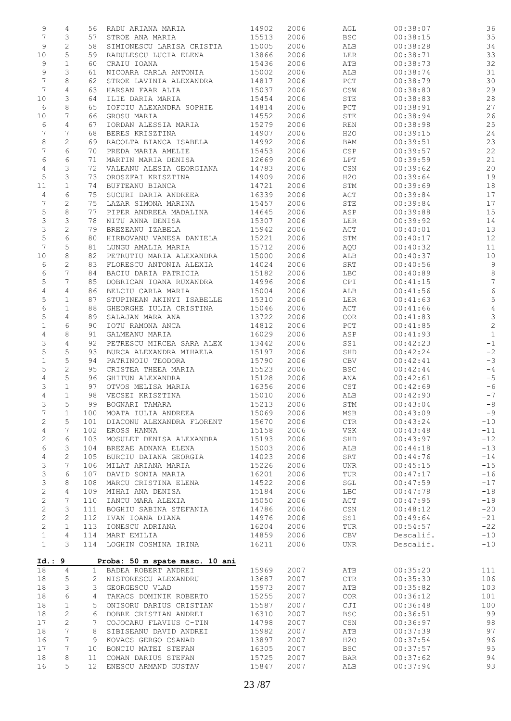| 9              | 4                | 56              | RADU ARIANA MARIA              | 14902 | 2006 | AGL                   | 00:38:07  | 36             |
|----------------|------------------|-----------------|--------------------------------|-------|------|-----------------------|-----------|----------------|
| 7              | 3                | 57              | STROE ANA MARIA                | 15513 | 2006 | <b>BSC</b>            | 00:38:15  | 35             |
| 9              | $\sqrt{2}$       | 58              | SIMIONESCU LARISA CRISTIA      | 15005 | 2006 | ALB                   | 00:38:28  | 34             |
| $10$           | 5                | 59              | RADULESCU LUCIA ELENA          | 13866 | 2006 | LER                   | 00:38:71  | 33             |
| 9              | $\mathbf 1$      | 60              | CRAIU IOANA                    | 15436 | 2006 | ATB                   | 00:38:73  | 32             |
| 9              | 3                | 61              | NICOARA CARLA ANTONIA          | 15002 | 2006 | ALB                   | 00:38:74  | 31             |
| 7              | 8                | 62              | STROE LAVINIA ALEXANDRA        | 14817 | 2006 | $_{\rm PCT}$          | 00:38:79  | 30             |
| $\overline{7}$ | 4                | 63              | HARSAN FAAR ALIA               | 15037 | 2006 | CSW                   | 00:38:80  | 29             |
| 10             | 3                | 64              | ILIE DARIA MARIA               | 15454 | 2006 | STE                   | 00:38:83  | 28             |
|                |                  |                 |                                |       |      |                       |           |                |
| 6              | 8                | 65              | IOFCIU ALEXANDRA SOPHIE        | 14814 | 2006 | $_{\rm PCT}$          | 00:38:91  | 27             |
| 10             | 7                | 66              | GROSU MARIA                    | 14552 | 2006 | STE                   | 00:38:94  | 26             |
| 6              | 4                | 67              | IORDAN ALESSIA MARIA           | 15279 | 2006 | REN                   | 00:38:98  | 25             |
| 7              | 7                | 68              | BERES KRISZTINA                | 14907 | 2006 | H2O                   | 00:39:15  | 24             |
| 8              | 2                | 69              | RACOLTA BIANCA ISABELA         | 14992 | 2006 | BAM                   | 00:39:51  | 23             |
| $\overline{7}$ | 6                | 70              | PREDA MARIA AMELIE             | 15453 | 2006 | CSP                   | 00:39:57  | 22             |
| 6              | 6                | 71              | MARTIN MARIA DENISA            | 12669 | 2006 | LPT                   | 00:39:59  | 21             |
| $\overline{4}$ | 3                | 72              | VALEANU ALESIA GEORGIANA       | 14783 | 2006 | CSN                   | 00:39:62  | 20             |
| $\mathsf S$    | 3                | 73              | OROSZFAI KRISZTINA             | 14909 | 2006 | H2O                   | 00:39:64  | 19             |
| 11             | $\mathbf{1}$     | 74              | BUFTEANU BIANCA                | 14721 | 2006 | STM                   | 00:39:69  | 18             |
| 4              | 6                | 75              | SUCURI DARIA ANDREEA           | 16339 | 2006 | ACT                   | 00:39:84  | 17             |
| $\overline{7}$ | $\overline{c}$   | 75              | LAZAR SIMONA MARINA            | 15457 | 2006 | STE                   | 00:39:84  | 17             |
| 5              | $\,8\,$          | 77              | PIPER ANDREEA MADALINA         | 14645 | 2006 | ASP                   | 00:39:88  | 15             |
| 3              | 3                | 78              | NITU ANNA DENISA               | 15307 | 2006 | LER                   | 00:39:92  | 14             |
| 3              | $\sqrt{2}$       | 79              | BREZEANU IZABELA               | 15942 | 2006 | ACT                   | 00:40:01  | 13             |
| $\mathsf S$    | 6                | 80              | HIRBOVANU VANESA DANIELA       | 15221 | 2006 | STM                   | 00:40:17  | 12             |
|                |                  |                 |                                |       |      |                       |           |                |
| 7              | 5                | 81              | LUNGU AMALIA MARIA             | 15712 | 2006 | AQU                   | 00:40:32  | 11             |
| 10             | 8                | 82              | PETRUTIU MARIA ALEXANDRA       | 15000 | 2006 | ALB                   | 00:40:37  | 10             |
| 6              | $\mathbf{2}$     | 83              | FLORESCU ANTONIA ALEXIA        | 14024 | 2006 | SRT                   | 00:40:56  | $\overline{9}$ |
| 6              | 7                | 84              | BACIU DARIA PATRICIA           | 15182 | 2006 | LBC                   | 00:40:89  | $\,8\,$        |
| 5              | 7                | 85              | DOBRICAN IOANA RUXANDRA        | 14996 | 2006 | CPI                   | 00:41:15  | $\sqrt{ }$     |
| $\overline{4}$ | 4                | 86              | BELCIU CARLA MARIA             | 15004 | 2006 | ALB                   | 00:41:56  | $6\,$          |
| 5              | $\mathbf{1}$     | 87              | STUPINEAN AKINYI ISABELLE      | 15310 | 2006 | LER                   | 00:41:63  | $\mathsf S$    |
| 6              | $\mathbf{1}$     | 88              | GHEORGHE IULIA CRISTINA        | 15046 | 2006 | ACT                   | 00:41:66  | $\sqrt{4}$     |
| 5              | $\overline{4}$   | 89              | SALAJAN MARA ANA               | 13722 | 2006 | COR                   | 00:41:83  | $\mathfrak{Z}$ |
| $\,1$          | 6                | 90              | IOTU RAMONA ANCA               | 14812 | 2006 | PCT                   | 00:41:85  | $\overline{c}$ |
| 4              | 8                | 91              | GALMEANU MARIA                 | 16029 | 2006 | ASP                   | 00:41:93  | $\mathbf{1}$   |
| 3              | 4                | 92              | PETRESCU MIRCEA SARA ALEX      | 13442 | 2006 | SS1                   | 00:42:23  | $-1$           |
| 5              | 5                | 93              | BURCA ALEXANDRA MIHAELA        | 15197 | 2006 | SHD                   | 00:42:24  | $-2$           |
| $\mathbf 1$    | 5                | 94              | PATRINOIU TEODORA              | 15790 | 2006 | CBV                   | 00:42:41  | $-3$           |
|                | $\sqrt{2}$       | 95              | CRISTEA THEEA MARIA            | 15523 | 2006 | <b>BSC</b>            | 00:42:44  | $-4$           |
| 5              |                  |                 | GHITUN ALEXANDRA               |       |      |                       |           | $-5$           |
| 4              | $\mathsf S$      | 96              |                                | 15128 | 2006 | ANA                   | 00:42:61  |                |
| 3              | $\mathbf 1$      | 97              | OTVOS MELISA MARIA             | 16356 | 2006 | CST                   | 00:42:69  | $-6$           |
| 4              | $\mathbf 1$<br>5 | 98<br>99        | VECSEI KRISZTINA               | 15010 | 2006 | ALB                   | 00:42:90  | $-7$           |
| 3              |                  |                 | BOGNARI TAMARA                 | 15213 | 2006 | STM                   | 00:43:04  | $-8$           |
| $\overline{7}$ | $\mathbf 1$      | 100             | MOATA IULIA ANDREEA            | 15069 | 2006 | MSB                   | 00:43:09  | $-9$           |
| $\sqrt{2}$     | 5                | 101             | DIACONU ALEXANDRA FLORENT      | 15670 | 2006 | $\mathsf{CTR}\xspace$ | 00:43:24  | $-10$          |
| 4              | 7                | 102             | EROSS HANNA                    | 15158 | 2006 | VSK                   | 00:43:48  | $-11$          |
| 2              | 6                | 103             | MOSULET DENISA ALEXANDRA       | 15193 | 2006 | SHD                   | 00:43:97  | $-12$          |
| 6              | 3                | 104             | BREZAE ADNANA ELENA            | 15003 | 2006 | ALB                   | 00:44:18  | $-13$          |
| 4              | $\mathbf{2}$     | 105             | BURCIU DAIANA GEORGIA          | 14023 | 2006 | SRT                   | 00:44:76  | $-14$          |
| 3              | 7                | 106             | MILAT ARIANA MARIA             | 15226 | 2006 | <b>UNR</b>            | 00:45:15  | $-15$          |
| 3              | 6                | 107             | DAVID SONIA MARIA              | 16201 | 2006 | TUR                   | 00:47:17  | $-16$          |
| 3              | 8                | 108             | MARCU CRISTINA ELENA           | 14522 | 2006 | SGL                   | 00:47:59  | $-17$          |
| $\mathbf{2}$   | 4                | 109             | MIHAI ANA DENISA               | 15184 | 2006 | LBC                   | 00:47:78  | $-18$          |
| $\mathbf{2}$   | 7                | 110             | IANCU MARA ALEXIA              | 15050 | 2006 | ACT                   | 00:47:95  | $-19$          |
| $\mathbf{2}$   | 3                | 111             | BOGHIU SABINA STEFANIA         | 14786 | 2006 | CSN                   | 00:48:12  | $-20$          |
| $\mathbf{2}$   | $\mathbf{2}$     | 112             | IVAN IOANA DIANA               | 14976 | 2006 | SS1                   | 00:49:64  | $-21$          |
| $\mathbf{2}$   | $\mathbf{1}$     | 113             | IONESCU ADRIANA                | 16204 | 2006 | TUR                   | 00:54:57  | $-22$          |
| $\mathbf 1$    | 4                | 114             | MART EMILIA                    | 14859 | 2006 | CBV                   | Descalif. | $-10$          |
| $\mathbf{1}$   | 3                | 114             | LOGHIN COSMINA IRINA           | 16211 | 2006 | <b>UNR</b>            | Descalif. | $-10$          |
|                |                  |                 |                                |       |      |                       |           |                |
| Id.: 9         |                  |                 | Proba: 50 m spate masc. 10 ani |       |      |                       |           |                |
| 18             | 4                | 1               | BADEA ROBERT ANDREI            | 15969 | 2007 | ATB                   | 00:35:20  | 111            |
| 18             | 5                | $\mathbf{2}^-$  | NISTORESCU ALEXANDRU           | 13687 | 2007 | <b>CTR</b>            | 00:35:30  | 106            |
| 18             | 3                | 3               | GEORGESCU VLAD                 | 15973 | 2007 | ATB                   | 00:35:82  | 103            |
|                |                  |                 |                                |       |      |                       |           |                |
| 18             | 6                | 4               | TAKACS DOMINIK ROBERTO         | 15255 | 2007 | COR                   | 00:36:12  | 101            |
| 18             | $\mathbf 1$      | 5               | ONISORU DARIUS CRISTIAN        | 15587 | 2007 | CJI                   | 00:36:48  | 100            |
| 18             | 2                | 6               | DOBRE CRISTIAN ANDREI          | 16310 | 2007 | <b>BSC</b>            | 00:36:51  | 99             |
| 17             | 2                | 7               | COJOCARU FLAVIUS C-TIN         | 14798 | 2007 | CSN                   | 00:36:97  | 98             |
| 18             | 7                | 8               | SIBISEANU DAVID ANDREI         | 15982 | 2007 | ATB                   | 00:37:39  | 97             |
| 16             | 7                | 9               | KOVACS GERGO CSANAD            | 13897 | 2007 | H2O                   | 00:37:54  | 96             |
| 17             | 7                | 10              | BONCIU MATEI STEFAN            | 16305 | 2007 | <b>BSC</b>            | 00:37:57  | 95             |
| 18             | 8                | 11              | COMAN DARIUS STEFAN            | 15725 | 2007 | <b>BAR</b>            | 00:37:62  | 94             |
| 16             | 5                | 12 <sup>2</sup> | ENESCU ARMAND GUSTAV           | 15847 | 2007 | ALB                   | 00:37:94  | 93             |
|                |                  |                 |                                |       |      |                       |           |                |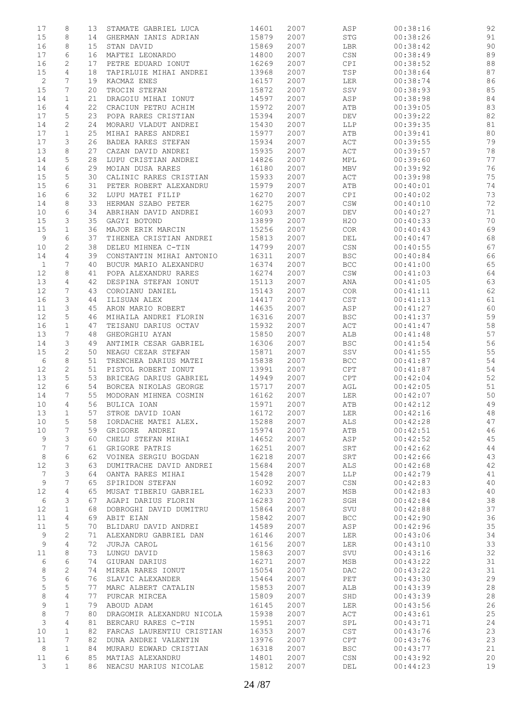| 17           | 8              | 13 | STAMATE GABRIEL LUCA      | 14601 | 2007 | ASP                              | 00:38:16 | 92 |
|--------------|----------------|----|---------------------------|-------|------|----------------------------------|----------|----|
| 15           | 8              | 14 | GHERMAN IANIS ADRIAN      | 15879 | 2007 | STG                              | 00:38:26 | 91 |
|              |                |    |                           |       |      |                                  |          |    |
| 16           | 8              | 15 | STAN DAVID                | 15869 | 2007 | LBR                              | 00:38:42 | 90 |
| 17           | 6              | 16 | MAFTEI LEONARDO           | 14800 | 2007 | $\mathbb{C}\mathbb{S}\mathbb{N}$ | 00:38:49 | 89 |
| 16           | 2              | 17 | PETRE EDUARD IONUT        | 16269 | 2007 | CPI                              | 00:38:52 | 88 |
| 15           | $\overline{4}$ | 18 | TAPIRLUIE MIHAI ANDREI    | 13968 | 2007 | TSP                              | 00:38:64 | 87 |
|              |                |    |                           |       |      |                                  |          |    |
| $\sqrt{2}$   | 7              | 19 | KACMAZ ENES               | 16157 | 2007 | LER                              | 00:38:74 | 86 |
| 15           | 7              | 20 | TROCIN STEFAN             | 15872 | 2007 | SSV                              | 00:38:93 | 85 |
| 14           | $\mathbf{1}$   | 21 | DRAGOIU MIHAI IONUT       | 14597 | 2007 | ASP                              | 00:38:98 | 84 |
|              |                |    |                           |       |      |                                  |          |    |
| 16           | 4              | 22 | CRACIUN PETRU ACHIM       | 15972 | 2007 | ATB                              | 00:39:05 | 83 |
| 17           | 5              | 23 | POPA RARES CRISTIAN       | 15394 | 2007 | DEV                              | 00:39:22 | 82 |
| 14           | 2              | 24 | MORARU VLADUT ANDREI      | 15430 | 2007 | LLP                              | 00:39:35 | 81 |
| 17           | $\mathbf{1}$   | 25 | MIHAI RARES ANDREI        | 15977 | 2007 | ATB                              | 00:39:41 | 80 |
|              |                |    |                           |       |      |                                  |          |    |
| 17           | 3              | 26 | BADEA RARES STEFAN        | 15934 | 2007 | ACT                              | 00:39:55 | 79 |
| 13           | 8              | 27 | CAZAN DAVID ANDREI        | 15935 | 2007 | $\mathtt{ACT}$                   | 00:39:57 | 78 |
| 14           | 5              | 28 | LUPU CRISTIAN ANDREI      | 14826 | 2007 | MPL                              | 00:39:60 | 77 |
| 14           | 6              | 29 | MOIAN DUSA RARES          | 16180 | 2007 | MBV                              | 00:39:92 | 76 |
|              |                |    |                           |       |      |                                  |          |    |
| 15           | 5              | 30 | CALINIC RARES CRISTIAN    | 15933 | 2007 | ACT                              | 00:39:98 | 75 |
| 15           | 6              | 31 | PETER ROBERT ALEXANDRU    | 15979 | 2007 | ATB                              | 00:40:01 | 74 |
| 16           | 6              | 32 | LUPU MATEI FILIP          | 16270 | 2007 | CPI                              | 00:40:02 | 73 |
|              |                |    | HERMAN SZABO PETER        |       |      |                                  |          |    |
| 14           | 8              | 33 |                           | 16275 | 2007 | $\mathbb{CSW}$                   | 00:40:10 | 72 |
| 10           | 6              | 34 | ABRIHAN DAVID ANDREI      | 16093 | 2007 | DEV                              | 00:40:27 | 71 |
| 15           | 3              | 35 | GAGYI BOTOND              | 13899 | 2007 | H2O                              | 00:40:33 | 70 |
| 15           | $\mathbf{1}$   | 36 | MAJOR ERIK MARCIN         | 15256 | 2007 | COR                              | 00:40:43 | 69 |
|              |                |    |                           |       |      |                                  |          |    |
| 9            | 6              | 37 | TIHENEA CRISTIAN ANDREI   | 15813 | 2007 | DEL                              | 00:40:47 | 68 |
| 10           | $\mathbf{2}$   | 38 | DELEU MIHNEA C-TIN        | 14799 | 2007 | CSN                              | 00:40:55 | 67 |
| 14           | 4              | 39 | CONSTANTIN MIHAI ANTONIO  | 16311 | 2007 | <b>BSC</b>                       | 00:40:84 | 66 |
|              |                |    |                           |       |      |                                  | 00:41:00 |    |
| $\mathbf{1}$ | 7              | 40 | BUCUR MARIO ALEXANDRU     | 16374 | 2007 | BCC                              |          | 65 |
| 12           | 8              | 41 | POPA ALEXANDRU RARES      | 16274 | 2007 | $\mathbb{CSW}$                   | 00:41:03 | 64 |
| 13           | 4              | 42 | DESPINA STEFAN IONUT      | 15113 | 2007 | ANA                              | 00:41:05 | 63 |
| 12           | 7              | 43 | COROIANU DANIEL           | 15143 | 2007 | COR                              | 00:41:11 | 62 |
|              |                |    |                           |       |      |                                  |          |    |
| 16           | 3              | 44 | ILISUAN ALEX              | 14417 | 2007 | CST                              | 00:41:13 | 61 |
| 11           | 3              | 45 | ARON MARIO ROBERT         | 14635 | 2007 | ASP                              | 00:41:27 | 60 |
| 12           | 5              | 46 | MIHAILA ANDREI FLORIN     | 16316 | 2007 | <b>BSC</b>                       | 00:41:37 | 59 |
| 16           | $\mathbf{1}$   | 47 | TEISANU DARIUS OCTAV      | 15932 | 2007 | $\mathtt{ACT}$                   | 00:41:47 | 58 |
|              |                |    |                           |       |      |                                  |          |    |
| 13           | 7              | 48 | GHEORGHIU AYAN            | 15850 | 2007 | ALB                              | 00:41:48 | 57 |
| 14           | 3              | 49 | ANTIMIR CESAR GABRIEL     | 16306 | 2007 | <b>BSC</b>                       | 00:41:54 | 56 |
| 15           | $\mathbf{2}$   | 50 | NEAGU CEZAR STEFAN        | 15871 | 2007 | SSV                              | 00:41:55 | 55 |
| 6            | 8              | 51 | TRENCHEA DARIUS MATEI     | 15838 | 2007 | BCC                              | 00:41:87 | 54 |
|              |                |    |                           |       |      |                                  |          |    |
| 12           | 2              | 51 | PISTOL ROBERT IONUT       | 13991 | 2007 | CPT                              | 00:41:87 | 54 |
| 13           | 5              | 53 | BRICEAG DARIUS GABRIEL    | 14949 | 2007 | CPT                              | 00:42:04 | 52 |
| 12           | 6              | 54 | BORCEA NIKOLAS GEORGE     | 15717 | 2007 | AGL                              | 00:42:05 | 51 |
|              |                |    |                           |       |      |                                  |          |    |
| 14           | 7              | 55 | MODORAN MIHNEA COSMIN     | 16162 | 2007 | LER                              | 00:42:07 | 50 |
| 10           | $\overline{4}$ | 56 | BULICA IOAN               | 15971 | 2007 | ATB                              | 00:42:12 | 49 |
| 13           | $\mathbf{1}$   | 57 | STROE DAVID IOAN          | 16172 | 2007 | LER                              | 00:42:16 | 48 |
| 10           | 5              | 58 | IORDACHE MATEI ALEX.      | 15288 | 2007 | ALS                              | 00:42:28 | 47 |
|              |                |    |                           |       |      |                                  |          |    |
| 10           | 7              | 59 | GRIGORE ANDREI            | 15974 | 2007 | ATB                              | 00:42:51 | 46 |
| 9            | 3              | 60 | CHELU STEFAN MIHAI        | 14652 | 2007 | ASP                              | 00:42:52 | 45 |
| 7            | 7              | 61 | GRIGORE PATRIS            | 16251 | 2007 | SRT                              | 00:42:62 | 44 |
| 8            | 6              | 62 | VOINEA SERGIU BOGDAN      | 16218 | 2007 | SRT                              | 00:42:66 | 43 |
|              |                |    |                           |       |      |                                  |          |    |
| 12           | 3              | 63 | DUMITRACHE DAVID ANDREI   | 15684 | 2007 | ALS                              | 00:42:68 | 42 |
| 7            | 3              | 64 | OANTA RARES MIHAI         | 15428 | 2007 | LLP                              | 00:42:79 | 41 |
| 9            | 7              | 65 | SPIRIDON STEFAN           | 16092 | 2007 | $\mathbb{C}\mathbb{S}\mathbb{N}$ | 00:42:83 | 40 |
| 12           | 4              | 65 | MUSAT TIBERIU GABRIEL     | 16233 | 2007 | MSB                              | 00:42:83 | 40 |
|              |                |    |                           |       |      |                                  |          |    |
| 6            | 3              | 67 | AGAPI DARIUS FLORIN       | 16283 | 2007 | SGH                              | 00:42:84 | 38 |
| 12           | $\mathbf{1}$   | 68 | DOBROGHI DAVID DUMITRU    | 15864 | 2007 | SVU                              | 00:42:88 | 37 |
| 11           | 4              | 69 | ABIT EIAN                 | 15842 | 2007 | <b>BCC</b>                       | 00:42:90 | 36 |
| 11           | 5              | 70 | BLIDARU DAVID ANDREI      | 14589 | 2007 | ASP                              | 00:42:96 | 35 |
|              |                |    |                           |       |      |                                  |          |    |
| 9            | 2              | 71 | ALEXANDRU GABRIEL DAN     | 16146 | 2007 | LER                              | 00:43:06 | 34 |
| 9            | 4              | 72 | JURJA CAROL               | 16156 | 2007 | LER                              | 00:43:10 | 33 |
| $1\,1$       | 8              | 73 | LUNGU DAVID               | 15863 | 2007 | SVU                              | 00:43:16 | 32 |
| 6            | 6              | 74 | GIURAN DARIUS             | 16271 | 2007 | MSB                              | 00:43:22 | 31 |
|              |                |    |                           |       |      |                                  |          |    |
| 8            | 2              | 74 | MIREA RARES IONUT         | 15054 | 2007 | $\mathop{\rm DAC}$               | 00:43:22 | 31 |
| 5            | 6              | 76 | SLAVIC ALEXANDER          | 15464 | 2007 | PET                              | 00:43:30 | 29 |
| 5            | 5              | 77 | MARC ALBERT CATALIN       | 15853 | 2007 | ALB                              | 00:43:39 | 28 |
| 8            | 4              | 77 | PURCAR MIRCEA             | 15809 | 2007 | SHD                              | 00:43:39 | 28 |
|              |                |    |                           |       |      |                                  |          |    |
| 9            | $\mathbf{1}$   | 79 | ABOUD ADAM                | 16145 | 2007 | LER                              | 00:43:56 | 26 |
| $\,8\,$      | 7              | 80 | DRAGOMIR ALEXANDRU NICOLA | 15938 | 2007 | $\mathop{\rm ACT}$               | 00:43:61 | 25 |
| 3            | 4              | 81 | BERCARU RARES C-TIN       | 15951 | 2007 | SPL                              | 00:43:71 | 24 |
| 10           | $\mathbf{1}$   | 82 | FARCAS LAURENTIU CRISTIAN | 16353 | 2007 | CST                              | 00:43:76 | 23 |
|              |                |    |                           |       |      |                                  |          |    |
| 11           | 7              | 82 | DUNA ANDREI VALENTIN      | 13976 | 2007 | CPT                              | 00:43:76 | 23 |
| 8            | $\mathbf{1}$   | 84 | MURARU EDWARD CRISTIAN    | 16318 | 2007 | <b>BSC</b>                       | 00:43:77 | 21 |
| 11           | 6              | 85 | MATIAS ALEXANDRU          | 14801 | 2007 | $\mathbb{C}\mathbb{S}\mathbb{N}$ | 00:43:92 | 20 |
|              | $\mathbf{1}$   | 86 | NEACSU MARIUS NICOLAE     | 15812 | 2007 | DEL                              | 00:44:23 | 19 |
| 3            |                |    |                           |       |      |                                  |          |    |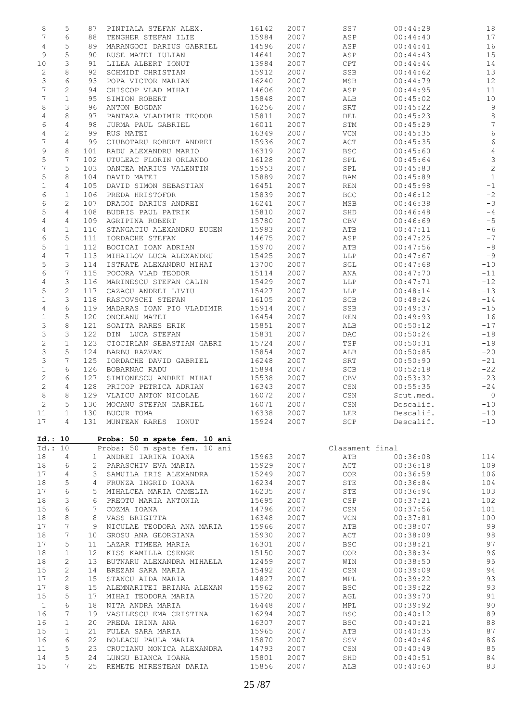| 8               | 5<br>87                         | PINTIALA STEFAN ALEX.         | 16142 | 2007 | SS7                              | 00:44:29  | 18             |
|-----------------|---------------------------------|-------------------------------|-------|------|----------------------------------|-----------|----------------|
| $\overline{7}$  | 6<br>88                         | TENGHER STEFAN ILIE           | 15984 | 2007 | ASP                              | 00:44:40  | 17             |
| $\overline{4}$  | 5<br>89                         | MARANGOCI DARIUS GABRIEL      | 14596 | 2007 | ASP                              | 00:44:41  | 16             |
| 9               | 5<br>90                         | RUSE MATEI IULIAN             | 14641 | 2007 | ASP                              | 00:44:43  | 15             |
| 10              | 3                               | LILEA ALBERT IONUT            | 13984 | 2007 | CPT                              | 00:44:44  | 14             |
|                 | 91                              |                               |       |      |                                  |           |                |
| 2               | 8<br>92                         | SCHMIDT CHRISTIAN             | 15912 | 2007 | SSB                              | 00:44:62  | 13             |
| 3               | 6<br>93                         | POPA VICTOR MARIAN            | 16240 | 2007 | MSB                              | 00:44:79  | 12             |
| $7\overline{ }$ | 2<br>94                         | CHISCOP VLAD MIHAI            | 14606 | 2007 | ASP                              | 00:44:95  | 11             |
| 7               | $\mathbf{1}$<br>95              | SIMION ROBERT                 | 15848 | 2007 | ALB                              | 00:45:02  | 10             |
| 8               | 3<br>96                         | ANTON BOGDAN                  | 16256 | 2007 | SRT                              | 00:45:22  | $\overline{9}$ |
| 4               | 8<br>97                         | PANTAZA VLADIMIR TEODOR       | 15811 | 2007 | DEL                              | 00:45:23  | $\delta$       |
| 6               | 4<br>98                         | JURMA PAUL GABRIEL            | 16011 | 2007 | STM                              | 00:45:29  | $\overline{7}$ |
| $\overline{4}$  | 2<br>99                         | RUS MATEI                     | 16349 | 2007 | VCN                              | 00:45:35  | $\sqrt{6}$     |
|                 |                                 |                               |       |      |                                  |           |                |
| 7               | 4<br>99                         | CIUBOTARU ROBERT ANDREI       | 15936 | 2007 | ACT                              | 00:45:35  | $\epsilon$     |
| 9               | 8<br>101                        | RADU ALEXANDRU MARIO          | 16319 | 2007 | <b>BSC</b>                       | 00:45:60  | $\overline{4}$ |
| 5               | 7<br>102                        | UTULEAC FLORIN ORLANDO        | 16128 | 2007 | SPL                              | 00:45:64  | $\mathcal{S}$  |
| 7               | 5<br>103                        | OANCEA MARIUS VALENTIN        | 15953 | 2007 | SPL                              | 00:45:83  | $\overline{c}$ |
| 5               | 8<br>104                        | DAVID MATEI                   | 15889 | 2007 | BAM                              | 00:45:89  | $\overline{1}$ |
| $\mathbf{1}$    | 4<br>105                        | DAVID SIMON SEBASTIAN         | 16451 | 2007 | REN                              | 00:45:98  | $-1$           |
| 6               | $\mathbf{1}$<br>106             | PREDA HRISTOFOR               | 15839 | 2007 | <b>BCC</b>                       | 00:46:12  | $-2$           |
|                 |                                 |                               |       |      |                                  |           |                |
| 6               | 2<br>107                        | DRAGOI DARIUS ANDREI          | 16241 | 2007 | MSB                              | 00:46:38  | $-3$           |
| 5               | 4<br>108                        | BUDRIS PAUL PATRIK            | 15810 | 2007 | SHD                              | 00:46:48  | $-4$           |
| 4               | 4<br>109                        | AGRIPINA ROBERT               | 15780 | 2007 | CBV                              | 00:46:69  | $-5$           |
| 4               | $\mathbf 1$<br>110              | STANGACIU ALEXANDRU EUGEN     | 15983 | 2007 | ATB                              | 00:47:11  | $-6$           |
| 6               | 5<br>111                        | IORDACHE STEFAN               | 14675 | 2007 | ASP                              | 00:47:25  | $-7$           |
| 5               | $\mathbf{1}$<br>112             | BOCICAI IOAN ADRIAN           | 15970 | 2007 | ATB                              | 00:47:56  | $-8$           |
| 4               | 7<br>113                        | MIHAILOV LUCA ALEXANDRU       | 15425 | 2007 | LLP                              | 00:47:67  | $-9$           |
|                 |                                 |                               |       |      |                                  |           |                |
| 5               | 3<br>114                        | ISTRATE ALEXANDRU MIHAI       | 13700 | 2007 | SGL                              | 00:47:68  | $-10$          |
| 6               | 7<br>115                        | POCORA VLAD TEODOR            | 15114 | 2007 | ANA                              | 00:47:70  | $-11$          |
| 4               | 3<br>116                        | MARINESCU STEFAN CALIN        | 15429 | 2007 | LLP                              | 00:47:71  | $-12$          |
| 5               | $\mathbf{2}$<br>117             | CAZACU ANDREI LIVIU           | 15427 | 2007 | LLP                              | 00:48:14  | $-13$          |
| $\mathbf 1$     | 3<br>118                        | RASCOVSCHI STEFAN             | 16105 | 2007 | SCB                              | 00:48:24  | $-14$          |
| 4               | 6<br>119                        | MADARAS IOAN PIO VLADIMIR     | 15914 | 2007 | SSB                              | 00:49:37  | $-15$          |
| $\mathbf 1$     | 5<br>120                        | ONCEANU MATEI                 | 16454 | 2007 | REN                              | 00:49:93  | $-16$          |
|                 |                                 |                               |       |      |                                  |           |                |
| 3               | 8<br>121                        | SOAITA RARES ERIK             | 15851 | 2007 | ALB                              | 00:50:12  | $-17$          |
| 3               | 3<br>122                        | DIN LUCA STEFAN               | 15831 | 2007 | DAC                              | 00:50:24  | $-18$          |
| $\mathbf{2}$    | $\mathbf 1$<br>123              | CIOCIRLAN SEBASTIAN GABRI     | 15724 | 2007 | TSP                              | 00:50:31  | $-19$          |
| $\mathsf 3$     | 5<br>124                        | BARBU RAZVAN                  | 15854 | 2007 | ALB                              | 00:50:85  | $-20$          |
| 3               | 7<br>125                        | IORDACHE DAVID GABRIEL        | 16248 | 2007 | SRT                              | 00:50:90  | $-21$          |
| $\mathbf 1$     | 6<br>126                        | BOBARNAC RADU                 | 15894 | 2007 | SCB                              | 00:52:18  | $-22$          |
| 2               | 6<br>127                        | SIMIONESCU ANDREI MIHAI       | 15538 | 2007 | CBV                              | 00:53:32  | $-23$          |
|                 | 4                               |                               |       |      |                                  |           |                |
| 2               | 128                             | PRICOP PETRICA ADRIAN         | 16343 | 2007 | CSN                              | 00:55:35  | $-24$          |
| 8               | 8                               | 129 VLAICU ANTON NICOLAE      | 16072 | 2007 | CSN                              | Scut.med. | $\overline{0}$ |
| $\overline{c}$  | 5<br>130                        | MOCANU STEFAN GABRIEL         | 16071 | 2007 | $_{\mbox{\tiny{CSN}}}$           | Descalif. | $-10$          |
| 11              | 1                               | 130 BUCUR TOMA                | 16338 | 2007 | LER                              | Descalif. | $-10$          |
| 17              | 4<br>131                        | MUNTEAN RARES IONUT           | 15924 | 2007 | SCP                              | Descalif. | $-10$          |
| Id.: 10         |                                 | Proba: 50 m spate fem. 10 ani |       |      |                                  |           |                |
| Id.: 10         |                                 | Proba: 50 m spate fem. 10 ani |       |      | Clasament final                  |           |                |
| 18              | 4                               | ANDREI IARINA IOANA<br>$1 -$  | 15963 | 2007 | ATB                              | 00:36:08  | 114            |
| 18              | 6<br>$\mathbf{2}$               | PARASCHIV EVA MARIA           | 15929 | 2007 | $\mathtt{ACT}$                   | 00:36:18  | 109            |
| 17              | 4<br>3                          | SAMUILA IRIS ALEXANDRA        | 15249 | 2007 | COR                              | 00:36:59  | 106            |
| 18              | 5<br>4                          | FRUNZA INGRID IOANA           | 16234 | 2007 | STE                              | 00:36:84  | 104            |
| 17              | 6<br>5                          | MIHALCEA MARIA CAMELIA        | 16235 | 2007 | STE                              | 00:36:94  | 103            |
|                 |                                 |                               |       |      |                                  |           |                |
|                 |                                 | PREOTU MARIA ANTONIA          |       |      | CSP                              | 00:37:21  | 102            |
| 18<br>3         | 6                               |                               | 15695 | 2007 |                                  |           |                |
| 15              | 6<br>7                          | COZMA IOANA                   | 14796 | 2007 | $\mathbb{C}\mathbb{S}\mathbb{N}$ | 00:37:56  | 101            |
| 18              | 8<br>8                          | VASS BRIGITTA                 | 16348 | 2007 | VCN                              | 00:37:81  | 100            |
| 17              | 7<br>9                          | NICULAE TEODORA ANA MARIA     | 15966 | 2007 | ATB                              | 00:38:07  | 99             |
|                 |                                 |                               |       |      |                                  |           |                |
| 18              | 7<br>10                         | GROSU ANA GEORGIANA           | 15930 | 2007 | ACT                              | 00:38:09  | 98             |
| 17              | 5<br>11                         | LAZAR TIMEEA MARIA            | 16301 | 2007 | <b>BSC</b>                       | 00:38:21  | 97             |
| 18              | 1<br>12                         | KISS KAMILLA CSENGE           | 15150 | 2007 | COR                              | 00:38:34  | 96             |
| 18              | $\mathbf{2}$<br>13 <sup>°</sup> | BUTNARU ALEXANDRA MIHAELA     | 12459 | 2007 | WIN                              | 00:38:50  | 95             |
| 15              | $\mathbf{2}$<br>14              | BREZAN SARA MARIA             | 15492 | 2007 | CSN                              | 00:39:09  | 94             |
| 17              | 2<br>15                         | STANCU AIDA MARIA             | 14827 | 2007 | MPL                              | 00:39:22  | 93             |
|                 | 15                              |                               |       |      |                                  |           |                |
| 17              | 8                               | ALEMNARITEI BRIANA ALEXAN     | 15962 | 2007 | <b>BSC</b>                       | 00:39:22  | 93             |
| 15              | 5<br>17                         | MIHAI TEODORA MARIA           | 15720 | 2007 | AGL                              | 00:39:70  | 91             |
| $\mathbf 1$     | 6<br>18                         | NITA ANDRA MARIA              | 16448 | 2007 | MPL                              | 00:39:92  | 90             |
| 16              | 7<br>19                         | VASILESCU EMA CRISTINA        | 16294 | 2007 | <b>BSC</b>                       | 00:40:12  | 89             |
| 16              | $\mathbf{1}$<br>20              | PREDA IRINA ANA               | 16307 | 2007 | <b>BSC</b>                       | 00:40:21  | 88             |
| 15              | 1<br>21                         | FULEA SARA MARIA              | 15965 | 2007 | ATB                              | 00:40:35  |                |
|                 |                                 |                               |       |      |                                  |           | 87             |
| 16              | 6<br>22                         | BOLEACU PAULA MARIA           | 15870 | 2007 | SSV                              | 00:40:46  | 86             |
| 11              | 5<br>23                         | CRUCIANU MONICA ALEXANDRA     | 14793 | 2007 | CSN                              | 00:40:49  | 85             |
| 14              | 5<br>24                         | LUNGU BIANCA IOANA            | 15801 | 2007 | SHD                              | 00:40:51  | 84             |
| 15              | $7\phantom{.}$<br>25            | REMETE MIRESTEAN DARIA        | 15856 | 2007 | ALB                              | 00:40:60  | 83             |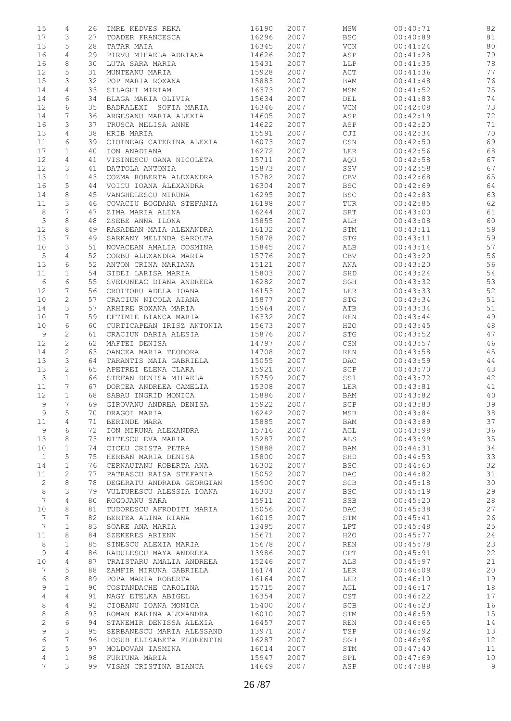| 15           | 4                   | 26       | IMRE KEDVES REKA                               | 16190          | 2007         | MSW               | 00:40:71             | 82       |
|--------------|---------------------|----------|------------------------------------------------|----------------|--------------|-------------------|----------------------|----------|
| 17           | 3                   | 27       | TOADER FRANCESCA                               | 16296          | 2007         | <b>BSC</b>        | 00:40:89             | 81       |
| 13           | 5                   | 28       | TATAR MAIA                                     | 16345          | 2007         | <b>VCN</b>        | 00:41:24             | 80       |
| 16           | $\overline{4}$      | 29       | PIRVU MIHAELA ADRIANA                          | 14626          | 2007         | ASP               | 00:41:28             | 79       |
| 16           | 8                   | 30       | LUTA SARA MARIA                                | 15431          | 2007         | LLP               | 00:41:35             | 78       |
| 12           | 5                   | 31       | MUNTEANU MARIA                                 | 15928          | 2007         | ACT               | 00:41:36             | 77       |
| 15           | 3                   | 32       | POP MARIA ROXANA                               | 15883          | 2007         | BAM               | 00:41:48             | 76       |
| 14           | 4                   | 33       | SILAGHI MIRIAM                                 | 16373          | 2007         | MSM               | 00:41:52             | 75       |
| 14           | 6                   | 34       | BLAGA MARIA OLIVIA                             | 15634          | 2007         | DEL               | 00:41:83             | 74       |
| 12           | 6                   | 35       | BADRALEXI SOFIA MARIA                          | 16346          | 2007         | $\rm VCN$         | 00:42:08             | 73       |
| 14           | 7                   | 36       | ARGESANU MARIA ALEXIA                          | 14605          | 2007         | ASP               | 00:42:19             | 72       |
| 16           | 3                   | 37       | TRUSCA MELISA ANNE                             | 14622          | 2007         | ASP               | 00:42:20             | 71       |
| 13           | 4                   | 38       | HRIB MARIA                                     | 15591          | 2007         | CJI               | 00:42:34             | 70       |
| 11           | 6                   | 39       | CIOINEAG CATERINA ALEXIA                       | 16073          | 2007         | CSN               | 00:42:50             | 69       |
| 17           | $\mathbf{1}$        | 40       | ION ANADIANA                                   | 16272          | 2007         | LER               | 00:42:56             | 68       |
| 12<br>12     | 4<br>3              | 41<br>41 | VISINESCU OANA NICOLETA<br>DATTOLA ANTONIA     | 15711<br>15873 | 2007<br>2007 | AQU<br>SSV        | 00:42:58<br>00:42:58 | 67<br>67 |
| 13           | $\mathbf{1}$        | 43       | COZMA ROBERTA ALEXANDRA                        | 15782          | 2007         | CBV               | 00:42:68             | 65       |
| 16           | 5                   | 44       | VOICU IOANA ALEXANDRA                          | 16304          | 2007         | <b>BSC</b>        | 00:42:69             | 64       |
| 14           | 8                   | 45       | VANGHELESCU MIRUNA                             | 16295          | 2007         | <b>BSC</b>        | 00:42:83             | 63       |
| 11           | 3                   | 46       | COVACIU BOGDANA STEFANIA                       | 16198          | 2007         | TUR               | 00:42:85             | 62       |
| $\,8\,$      | 7                   | 47       | ZIMA MARIA ALINA                               | 16244          | 2007         | SRT               | 00:43:00             | 61       |
| 3            | 8                   | 48       | ZSEBE ANNA ILONA                               | 15855          | 2007         | ALB               | 00:43:08             | 60       |
| 12           | 8                   | 49       | RASADEAN MAIA ALEXANDRA                        | 16132          | 2007         | STM               | 00:43:11             | 59       |
| 13           | 7                   | 49       | SARKANY MELINDA SAROLTA                        | 15878          | 2007         | STG               | 00:43:11             | 59       |
| 10           | 3                   | 51       | NOVACEAN AMALIA COSMINA                        | 15845          | 2007         | ALB               | 00:43:14             | 57       |
| 5            | $\overline{4}$      | 52       | CORBU ALEXANDRA MARIA                          | 15776          | 2007         | CBV               | 00:43:20             | 56       |
| 13           | 6                   | 52       | ANTON CRINA MARIANA                            | 15121          | 2007         | ANA               | 00:43:20             | 56       |
| 11           | $\mathbf{1}$        | 54       | GIDEI LARISA MARIA                             | 15803          | 2007         | SHD               | 00:43:24             | 54       |
| 6            | 6                   | 55       | SVEDUNEAC DIANA ANDREEA                        | 16282          | 2007         | SGH               | 00:43:32             | 53       |
| 12           | 7                   | 56       | CROITORU ADELA IOANA                           | 16153          | 2007         | LER               | 00:43:33             | 52       |
| 10           | 2                   | 57       | CRACIUN NICOLA AIANA                           | 15877          | 2007         | STG               | 00:43:34             | 51       |
| 14           | 3                   | 57       | ARHIRE ROXANA MARIA                            | 15964          | 2007         | ATB               | 00:43:34             | 51       |
| 10           | 7                   | 59       | EFTIMIE BIANCA MARIA                           | 16332          | 2007         | <b>REN</b>        | 00:43:44             | 49       |
| 10           | 6                   | 60       | CURTICAPEAN IRISZ ANTONIA                      | 15673          | 2007         | H2O               | 00:43:45             | 48       |
| 9            | 2                   | 61       | CRACIUN DARIA ALESIA                           | 15876          | 2007         | ${\tt STG}$       | 00:43:52             | 47       |
| 12           | $\overline{c}$      | 62       | MAFTEI DENISA                                  | 14797          | 2007         | CSN               | 00:43:57             | 46       |
| 14           | 2                   | 63       | OANCEA MARIA TEODORA                           | 14708          | 2007         | REN               | 00:43:58             | 45       |
| 13           | 3                   | 64       | TARANTIS MAIA GABRIELA                         | 15055          | 2007         | DAC.              | 00:43:59             | 44       |
| 13           | $\mathbf{2}$        | 65       | APETREI ELENA CLARA                            | 15921          | 2007         | SCP               | 00:43:70             | 43       |
| 3            | $\mathbf{1}$        | 66       | STEFAN DENISA MIHAELA                          | 15759          | 2007         | SS1               | 00:43:72             | 42       |
| 11           | 7                   | 67       | DORCEA ANDREEA CAMELIA                         | 15308          | 2007         | LER               | 00:43:81             | 41       |
| 12<br>9      | $\mathbf{1}$<br>7   | 68<br>69 | SABAU INGRID MONICA<br>GIROVANU ANDREA DENISA  | 15886<br>15922 | 2007<br>2007 | BAM<br>SCP        | 00:43:82<br>00:43:83 | 40<br>39 |
| 9            | 5                   |          | DRAGOI MARIA                                   | 16242          | 2007         | MSB               | 00:43:84             | 38       |
| 11           | 4                   | 70<br>71 | BERINDE MARA                                   | 15885          | 2007         | BAM               | 00:43:89             | 37       |
| 9            | 6                   | 72       | ION MIRUNA ALEXANDRA                           | 15716          | 2007         | AGL               | 00:43:98             | 36       |
| 13           | 8                   | 73       | NITESCU EVA MARIA                              | 15287          | 2007         | ALS               | 00:43:99             | 35       |
| 10           | $\mathbf 1$         | 74       | CICEU CRISTA PETRA                             | 15888          | 2007         | BAM               | 00:44:31             | 34       |
| $\mathbf{1}$ | 5                   | 75       | HERBAN MARIA DENISA                            | 15800          | 2007         | SHD               | 00:44:53             | 33       |
| 14           | $\mathbf 1$         | 76       | CERNAUTANU ROBERTA ANA                         | 16302          | 2007         | <b>BSC</b>        | 00:44:60             | 32       |
| 11           | $\mathbf{2}$        | 77       | PATRASCU RAISA STEFANIA                        | 15052          | 2007         | DAC               | 00:44:82             | 31       |
| 2            | 8                   | 78       | DEGERATU ANDRADA GEORGIAN                      | 15900          | 2007         | SCB               | 00:45:18             | 30       |
| 8            | 3                   | 79       | VULTURESCU ALESSIA IOANA                       | 16303          | 2007         | <b>BSC</b>        | 00:45:19             | 29       |
| 7            | 4                   | 80       | ROGOJANU SARA                                  | 15911          | 2007         | SSB               | 00:45:20             | 28       |
| 10           | 8                   | 81       | TUDORESCU AFRODITI MARIA                       | 15056          | 2007         | <b>DAC</b>        | 00:45:38             | 27       |
| 7            | 7                   | 82       | BERTEA ALINA RIANA                             | 16015          | 2007         | STM               | 00:45:41             | 26       |
| 7            | $\mathbf{1}$        | 83       | SOARE ANA MARIA                                | 13495          | 2007         | LPT               | 00:45:48             | 25       |
| 11           | 8                   | 84       | SZEKERES ARIENN                                | 15671          | 2007         | H2O               | 00:45:77             | 24       |
| 8            | 1                   | 85       | SINESCU ALEXIA MARIA                           | 15678          | 2007         | REN               | 00:45:78             | 23       |
| 9            | 4                   | 86       | RADULESCU MAYA ANDREEA                         | 13986          | 2007         | CPT               | 00:45:91             | 22       |
| 10           | 4                   | 87       | TRAISTARU AMALIA ANDREEA                       | 15246          | 2007         | ALS               | 00:45:97             | 21       |
| 7            | 5                   | 88       | ZAMFIR MIRUNA GABRIELA                         | 16174          | 2007         | LER               | 00:46:09             | 20       |
| 6            | 8                   | 89       | POPA MARIA ROBERTA                             | 16164          | 2007         | LER               | 00:46:10             | 19       |
| 9            | $\mathbf{1}$        | 90       | COSTANDACHE CAROLINA                           | 15715          | 2007         | AGL               | 00:46:17             | 18       |
| 4            | 4                   | 91       | NAGY ETELKA ABIGEL                             | 16354          | 2007         | CST               | 00:46:22             | 17       |
| 8<br>8       | $\overline{4}$<br>8 | 92<br>93 | CIOBANU IOANA MONICA<br>ROMAN KARINA ALEXANDRA | 15400<br>16010 | 2007<br>2007 | <b>SCB</b><br>STM | 00:46:23<br>00:46:59 | 16<br>15 |
| $\mathbf{2}$ | 6                   | 94       | STANEMIR DENISSA ALEXIA                        | 16457          | 2007         | REN               | 00:46:65             | 14       |
| 9            | 3                   | 95       | SERBANESCU MARIA ALESSAND                      | 13971          | 2007         | TSP               | 00:46:92             | 13       |
| 6            | 7                   | 96       | IOSUB ELISABETA FLORENTIN                      | 16287          | 2007         | SGH               | 00:46:96             | 12       |
| 2            | 5                   | 97       | MOLDOVAN IASMINA                               | 16014          | 2007         | STM               | 00:47:40             | 11       |
| 4            | $\mathbf{1}$        | 98       | FURTUNA MARIA                                  | 15947          | 2007         | SPL               | 00:47:69             | 10       |
| 7            | 3                   | 99       | VISAN CRISTINA BIANCA                          | 14649          | 2007         | ASP               | 00:47:88             | 9        |
|              |                     |          |                                                |                |              |                   |                      |          |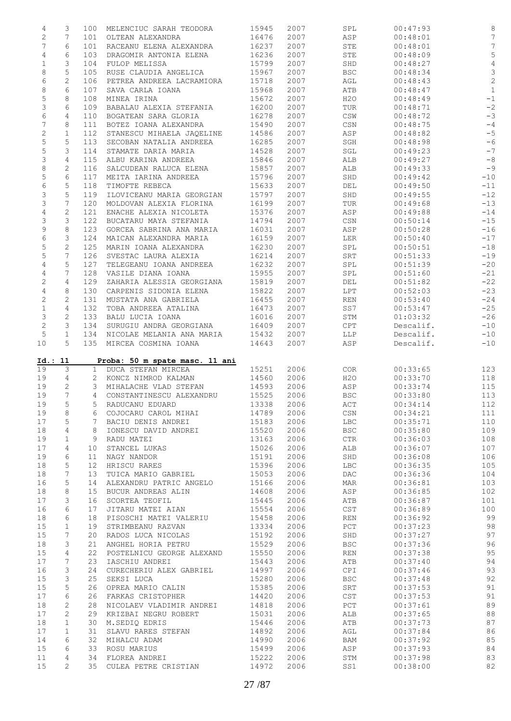| 4<br>$\overline{c}$<br>$7\phantom{.}$<br>$\overline{4}$<br>$\mathbf 1$<br>8<br>6<br>$\,8\,$<br>5<br>3<br>6<br>7<br>$\mathbf{2}$<br>5                                 | 3<br>7<br>6<br>6<br>3<br>5<br>2 | 100<br>101<br>101<br>103 | MELENCIUC SARAH TEODORA                     |                |              |                                  |                      |                |
|----------------------------------------------------------------------------------------------------------------------------------------------------------------------|---------------------------------|--------------------------|---------------------------------------------|----------------|--------------|----------------------------------|----------------------|----------------|
|                                                                                                                                                                      |                                 |                          |                                             | 15945          | 2007         | SPL                              | 00:47:93             | $\,8\,$        |
|                                                                                                                                                                      |                                 |                          | OLTEAN ALEXANDRA                            | 16476          | 2007         | ASP                              | 00:48:01             | 7              |
|                                                                                                                                                                      |                                 |                          | RACEANU ELENA ALEXANDRA                     | 16237          | 2007         | STE                              | 00:48:01             | $\sqrt{ }$     |
|                                                                                                                                                                      |                                 |                          | DRAGOMIR ANTONIA ELENA                      | 16236          | 2007         | STE                              | 00:48:09             | 5              |
|                                                                                                                                                                      |                                 | 104                      | FULOP MELISSA                               | 15799          | 2007         | SHD                              | 00:48:27             | $\sqrt{4}$     |
|                                                                                                                                                                      |                                 | 105                      | RUSE CLAUDIA ANGELICA                       | 15967          | 2007         | <b>BSC</b>                       | 00:48:34             | $\mathfrak{Z}$ |
|                                                                                                                                                                      |                                 |                          |                                             |                |              |                                  |                      | $\overline{c}$ |
|                                                                                                                                                                      |                                 | 106                      | PETREA ANDREEA LACRAMIORA                   | 15718          | 2007         | AGL                              | 00:48:43             |                |
|                                                                                                                                                                      | 6                               | 107                      | SAVA CARLA IOANA                            | 15968          | 2007         | ATB                              | 00:48:47             | $\mathbf{1}$   |
|                                                                                                                                                                      | 8                               | 108                      | MINEA IRINA                                 | 15672          | 2007         | H2O                              | 00:48:49             | $^{\rm -1}$    |
|                                                                                                                                                                      | 6                               | 109                      | BABALAU ALEXIA STEFANIA                     | 16200          | 2007         | TUR                              | 00:48:71             | $-2$           |
|                                                                                                                                                                      | $\overline{4}$                  | 110                      | BOGATEAN SARA GLORIA                        | 16278          | 2007         | CSW                              | 00:48:72             | $-3$           |
|                                                                                                                                                                      | 8                               | 111                      | BOTEZ IOANA ALEXANDRA                       | 15490          | 2007         | $\mathbb{CSN}$                   | 00:48:75             | $-4$           |
|                                                                                                                                                                      | $\mathbf{1}$                    | 112                      | STANESCU MIHAELA JAQELINE                   | 14586          | 2007         | ASP                              | 00:48:82             | $-5$           |
|                                                                                                                                                                      | 5                               | 113                      | SECOBAN NATALIA ANDREEA                     | 16285          | 2007         | SGH                              | 00:48:98             | $-6$           |
| 5                                                                                                                                                                    | 3                               | 114                      | STAMATE DARIA MARIA                         | 14528          | 2007         | SGL                              | 00:49:23             | $-7$           |
| 3                                                                                                                                                                    | 4                               | 115                      | ALBU KARINA ANDREEA                         | 15846          | 2007         | ALB                              | 00:49:27             | $-8$           |
|                                                                                                                                                                      |                                 |                          |                                             |                |              |                                  |                      | $-9$           |
| $\,8\,$                                                                                                                                                              | 2                               | 116                      | SALCUDEAN RALUCA ELENA                      | 15857          | 2007         | ALB                              | 00:49:33             |                |
| $\mathsf S$                                                                                                                                                          | $\epsilon$                      | 117                      | MEITA IARINA ANDREEA                        | 15796          | 2007         | SHD                              | 00:49:42             | $-10$          |
| 6                                                                                                                                                                    | 5                               | 118                      | TIMOFTE REBECA                              | 15633          | 2007         | DEL                              | 00:49:50             | $-11$          |
| 3                                                                                                                                                                    | 5                               | 119                      | ILOVICEANU MARIA GEORGIAN                   | 15797          | 2007         | SHD                              | 00:49:55             | $-12$          |
| 3                                                                                                                                                                    | 7                               | 120                      | MOLDOVAN ALEXIA FLORINA                     | 16199          | 2007         | TUR                              | 00:49:68             | $-13$          |
| 4                                                                                                                                                                    | $\mathbf{2}$                    | 121                      | ENACHE ALEXIA NICOLETA                      | 15376          | 2007         | ASP                              | 00:49:88             | $-14$          |
| 3                                                                                                                                                                    | 3                               | 122                      | BUCATARU MAYA STEFANIA                      | 14794          | 2007         | CSN                              | 00:50:14             | $-15$          |
| 9                                                                                                                                                                    | 8                               | 123                      | GORCEA SABRINA ANA MARIA                    | 16031          | 2007         | ASP                              | 00:50:28             | $-16$          |
| 6                                                                                                                                                                    | 3                               | 124                      | MAICAN ALEXANDRA MARIA                      | 16159          | 2007         | LER                              | 00:50:40             | $-17$          |
| 5                                                                                                                                                                    | $\mathbf{2}$                    | 125                      | MARIN IOANA ALEXANDRA                       | 16230          | 2007         | SPL                              | 00:50:51             | $-18$          |
|                                                                                                                                                                      | 7                               |                          |                                             |                |              |                                  |                      |                |
| 5                                                                                                                                                                    |                                 | 126                      | SVESTAC LAURA ALEXIA                        | 16214          | 2007         | SRT                              | 00:51:33             | $-19$          |
| 4                                                                                                                                                                    | 5                               | 127                      | TELEGEANU IOANA ANDREEA                     | 16232          | 2007         | SPL                              | 00:51:39             | $-20$          |
| $\overline{4}$                                                                                                                                                       | 7                               | 128                      | VASILE DIANA IOANA                          | 15955          | 2007         | SPL                              | 00:51:60             | $-21$          |
| $\mathbf{2}$                                                                                                                                                         | $\overline{4}$                  | 129                      | ZAHARIA ALESSIA GEORGIANA                   | 15819          | 2007         | DEL                              | 00:51:82             | $-22$          |
| $\overline{4}$                                                                                                                                                       | 8                               | 130                      | CARPENIS SIDONIA ELENA                      | 15822          | 2007         | LPT                              | 00:52:03             | $-23$          |
| $\mathbf{2}$                                                                                                                                                         | 2                               | 131                      | MUSTATA ANA GABRIELA                        | 16455          | 2007         | REN                              | 00:53:40             | $-24$          |
| $\mathbf 1$                                                                                                                                                          | $\overline{4}$                  | 132                      | TOBA ANDREEA ATALINA                        | 16473          | 2007         | SS7                              | 00:53:47             | $-25$          |
| $\mathfrak{Z}$                                                                                                                                                       | 2                               | 133                      | BALU LUCIA IOANA                            | 16016          | 2007         | STM                              | 01:03:32             | $-26$          |
| $\mathbf{2}$                                                                                                                                                         | 3                               | 134                      | SURUGIU ANDRA GEORGIANA                     | 16409          | 2007         | CPT                              | Descalif.            | $-10$          |
| 5                                                                                                                                                                    | $\mathbf{1}$                    | 134                      | NICOLAE MELANIA ANA MARIA                   | 15432          | 2007         | LLP                              | Descalif.            | $-10$          |
| 10                                                                                                                                                                   | 5                               | 135                      | MIRCEA COSMINA IOANA                        | 14643          | 2007         | ASP                              | Descalif.            | $-10$          |
| 19<br>19                                                                                                                                                             | 3<br>$\overline{4}$             | 1                        | DUCA STEFAN MIRCEA<br>2 KONCZ NIMROD KALMAN | 15251<br>14560 | 2006<br>2006 | COR<br>H2O                       | 00:33:65<br>00:33:70 | 123<br>118     |
| 19                                                                                                                                                                   | 2                               | 3                        | MIHALACHE VLAD STEFAN                       | 14593          | 2006         | ASP                              | 00:33:74             | 115            |
| 19                                                                                                                                                                   | $7\phantom{.0}$                 | $\overline{4}$           |                                             | 15525          | 2006         | <b>BSC</b>                       |                      |                |
|                                                                                                                                                                      | 5                               |                          | CONSTANTINESCU ALEXANDRU                    |                |              |                                  | 00:33:80             | 113            |
| 19                                                                                                                                                                   |                                 | $5 -$                    | RADUCANU EDUARD                             | 13338          | 2006         | ACT                              | 00:34:14             | 112            |
| 19                                                                                                                                                                   | 8                               | 6                        | COJOCARU CAROL MIHAI                        | 14789          | 2006         | $\mathbb{C}\mathbb{S}\mathbb{N}$ | 00:34:21             | 111            |
|                                                                                                                                                                      | 5                               | 7                        | BACIU DENIS ANDREI                          | 15183          | 2006         | LBC                              | 00:35:71             | 110            |
|                                                                                                                                                                      |                                 | 8                        | IONESCU DAVID ANDREI                        | 15520          | 2006         |                                  |                      |                |
|                                                                                                                                                                      | 4                               |                          | RADU MATEI                                  |                |              | <b>BSC</b>                       | 00:35:80             | 109            |
|                                                                                                                                                                      | $\mathbf 1$                     | 9                        |                                             | 13163          | 2006         | $_{\rm CTR}$                     | 00:36:03             | 108            |
|                                                                                                                                                                      | 4                               | 10                       | STANCEL LUKAS                               | 15026          | 2006         | ALB                              | 00:36:07             | 107            |
|                                                                                                                                                                      | 6                               | 11                       | NAGY NANDOR                                 | 15191          | 2006         | SHD                              | 00:36:08             | 106            |
|                                                                                                                                                                      |                                 | 12 <sup>°</sup>          | HRISCU RARES                                |                | 2006         | <b>LBC</b>                       | 00:36:35             |                |
|                                                                                                                                                                      | 5                               |                          |                                             | 15396          |              |                                  |                      | 105            |
|                                                                                                                                                                      | 7                               | 13                       | TUICA MARIO GABRIEL                         | 15053          | 2006         | DAC                              | 00:36:36             | 104            |
|                                                                                                                                                                      | 5                               | 14                       | ALEXANDRU PATRIC ANGELO                     | 15166          | 2006         | MAR                              | 00:36:81             | 103            |
|                                                                                                                                                                      | 8                               | 15                       | BUCUR ANDREAS ALIN                          | 14608          | 2006         | ASP                              | 00:36:85             | 102            |
|                                                                                                                                                                      | 3                               | 16                       | SCORTEA TEOFIL                              | 15445          | 2006         | ATB                              | 00:36:87             | 101            |
|                                                                                                                                                                      | 6                               | 17                       | JITARU MATEI AIAN                           | 15554          | 2006         | CST                              | 00:36:89             | 100            |
|                                                                                                                                                                      | 6                               | 18                       | PISOSCHI MATEI VALERIU                      | 15458          | 2006         | REN                              | 00:36:92             | 99             |
|                                                                                                                                                                      | $\mathbf 1$                     | 19                       | STRIMBEANU RAZVAN                           | 13334          | 2006         | PCT                              | 00:37:23             | 98             |
|                                                                                                                                                                      | 7                               | 20                       | RADOS LUCA NICOLAS                          | 15192          | 2006         | SHD                              | 00:37:27             | 97             |
|                                                                                                                                                                      | 3                               | 21                       | ANGHEL HORIA PETRU                          | 15529          | 2006         | <b>BSC</b>                       | 00:37:36             | 96             |
|                                                                                                                                                                      | 4                               | 22                       | POSTELNICU GEORGE ALEXAND                   | 15550          | 2006         | REN                              | 00:37:38             | 95             |
|                                                                                                                                                                      | 7                               | 23                       | IASCHIU ANDREI                              | 15443          | 2006         | ATB                              | 00:37:40             | 94             |
|                                                                                                                                                                      |                                 |                          |                                             |                |              |                                  |                      |                |
|                                                                                                                                                                      | 3                               | 24                       | CURECHERIU ALEX GABRIEL                     | 14997          | 2006         | CPI                              | 00:37:46             | 93             |
|                                                                                                                                                                      | 3                               | 25                       | SEKSI LUCA                                  | 15280          | 2006         | <b>BSC</b>                       | 00:37:48             | 92             |
|                                                                                                                                                                      | 5                               | 26                       | OPREA MARIO CALIN                           | 15385          | 2006         | SRT                              | 00:37:53             | 91             |
|                                                                                                                                                                      | 6                               | 26                       | FARKAS CRISTOPHER                           | 14420          | 2006         | CST                              | 00:37:53             | 91             |
|                                                                                                                                                                      | 2                               | 28                       | NICOLAEV VLADIMIR ANDREI                    | 14818          | 2006         | PCT                              | 00:37:61             | 89             |
|                                                                                                                                                                      | $\mathbf{2}$                    | 29                       | KRIZBAI NEGRU ROBERT                        | 15031          | 2006         | ALB                              | 00:37:65             | 88             |
|                                                                                                                                                                      | $\mathbf 1$                     | 30                       | M.SEDIQ EDRIS                               | 15446          | 2006         | ATB                              | 00:37:73             | 87             |
|                                                                                                                                                                      | $\mathbf{1}$                    | 31                       | SLAVU RARES STEFAN                          | 14892          | 2006         | AGL                              | 00:37:84             | 86             |
|                                                                                                                                                                      | 6                               | 32                       | MIHALCU ADAM                                | 14990          | 2006         | BAM                              | 00:37:92             | 85             |
|                                                                                                                                                                      | 6                               | 33                       | ROSU MARIUS                                 | 15499          | 2006         | ASP                              | 00:37:93             | 84             |
| 17<br>18<br>19<br>17<br>19<br>18<br>18<br>16<br>18<br>17<br>16<br>18<br>15<br>15<br>18<br>15<br>17<br>16<br>15<br>15<br>17<br>18<br>17<br>18<br>17<br>14<br>15<br>11 | 4                               | 34                       | FLOREA ANDREI                               | 15222          | 2006         | STM                              | 00:37:98             | 83             |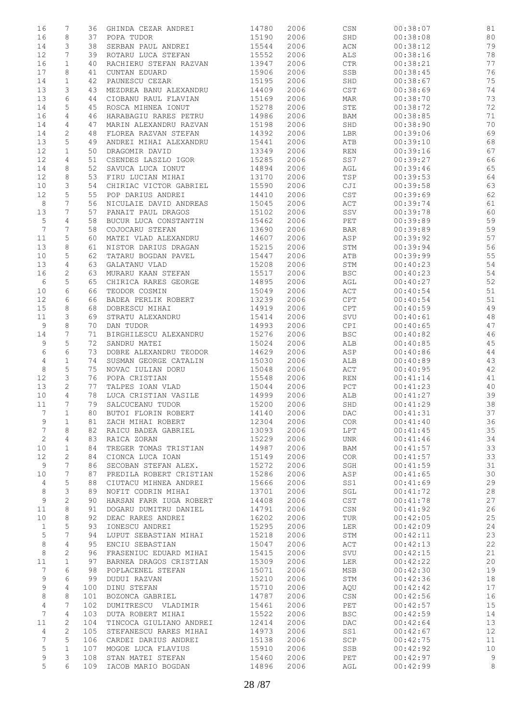| 16              | 7              | 36  | GHINDA CEZAR ANDREI     | 14780 | 2006 | $\mathbb{C}\mathbb{S}\mathbb{N}$ | 00:38:07 | 81 |
|-----------------|----------------|-----|-------------------------|-------|------|----------------------------------|----------|----|
| 16              | 8              | 37  | POPA TUDOR              | 15190 | 2006 | SHD                              | 00:38:08 | 80 |
| 14              | 3              | 38  | SERBAN PAUL ANDREI      | 15544 | 2006 | $\mbox{\rm ACN}$                 | 00:38:12 | 79 |
|                 |                |     |                         |       |      |                                  |          |    |
| 12              | 7              | 39  | ROTARU LUCA STEFAN      | 15552 | 2006 | ALS                              | 00:38:16 | 78 |
| 16              | $\mathbf{1}$   | 40  | RACHIERU STEFAN RAZVAN  | 13947 | 2006 | $\mathtt{CTR}$                   | 00:38:21 | 77 |
| 17              | 8              | 41  | CUNTAN EDUARD           | 15906 | 2006 | SSB                              | 00:38:45 | 76 |
| 14              | $\mathbf{1}$   | 42  | PAUNESCU CEZAR          | 15195 | 2006 | SHD                              | 00:38:67 | 75 |
| 13              | 3              | 43  | MEZDREA BANU ALEXANDRU  | 14409 | 2006 | CST                              | 00:38:69 | 74 |
| 13              | 6              | 44  | CIOBANU RAUL FLAVIAN    | 15169 | 2006 | MAR                              | 00:38:70 | 73 |
|                 |                |     |                         |       |      |                                  |          |    |
| 14              | 5              | 45  | ROSCA MIHNEA IONUT      | 15278 | 2006 | ${\tt STE}$                      | 00:38:72 | 72 |
| 16              | 4              | 46  | HARABAGIU RARES PETRU   | 14986 | 2006 | BAM                              | 00:38:85 | 71 |
| 14              | 4              | 47  | MARIN ALEXANDRU RAZVAN  | 15198 | 2006 | SHD                              | 00:38:90 | 70 |
| 14              | 2              | 48  | FLOREA RAZVAN STEFAN    | 14392 | 2006 | LBR                              | 00:39:06 | 69 |
| 13              | 5              | 49  | ANDREI MIHAI ALEXANDRU  | 15441 | 2006 | ATB                              | 00:39:10 | 68 |
| 12              | $\mathbf{1}$   | 50  | DRAGOMIR DAVID          | 13349 | 2006 | $\mathop{\rm REN}\nolimits$      | 00:39:16 | 67 |
| 12              | 4              | 51  | CSENDES LASZLO IGOR     | 15285 | 2006 | SS7                              | 00:39:27 | 66 |
| 14              | 8              | 52  | SAVUCA LUCA IONUT       | 14894 | 2006 | AGL                              | 00:39:46 | 65 |
|                 |                |     |                         |       |      |                                  |          |    |
| 12              | 8              | 53  | FIRU LUCIAN MIHAI       | 13170 | 2006 | TSP                              | 00:39:53 | 64 |
| 10              | 3              | 54  | CHIRIAC VICTOR GABRIEL  | 15590 | 2006 | CJI                              | 00:39:58 | 63 |
| 12              | 5              | 55  | POP DARIUS ANDREI       | 14410 | 2006 | CST                              | 00:39:69 | 62 |
| 8               | 7              | 56  | NICULAIE DAVID ANDREAS  | 15045 | 2006 | ACT                              | 00:39:74 | 61 |
| 13              | 7              | 57  | PANAIT PAUL DRAGOS      | 15102 | 2006 | SSV                              | 00:39:78 | 60 |
| 5               | 4              | 58  | BUCUR LUCA CONSTANTIN   | 15462 | 2006 | PET                              | 00:39:89 | 59 |
| $7\phantom{.0}$ | 7              | 58  | COJOCARU STEFAN         | 13690 | 2006 | <b>BAR</b>                       | 00:39:89 | 59 |
|                 |                |     | MATEI VLAD ALEXANDRU    |       |      |                                  |          |    |
| 11              | 5              | 60  |                         | 14607 | 2006 | ASP                              | 00:39:92 | 57 |
| 13              | 8              | 61  | NISTOR DARIUS DRAGAN    | 15215 | 2006 | STM                              | 00:39:94 | 56 |
| 10              | 5              | 62  | TATARU BOGDAN PAVEL     | 15447 | 2006 | ATB                              | 00:39:99 | 55 |
| 13              | 4              | 63  | GALATANU VLAD           | 15208 | 2006 | STM                              | 00:40:23 | 54 |
| 16              | $\mathbf{2}$   | 63  | MURARU KAAN STEFAN      | 15517 | 2006 | <b>BSC</b>                       | 00:40:23 | 54 |
| 6               | 5              | 65  | CHIRICA RARES GEORGE    | 14895 | 2006 | AGL                              | 00:40:27 | 52 |
| 10              | 6              | 66  | TEODOR COSMIN           | 15049 | 2006 | ACT                              | 00:40:54 | 51 |
| 12              | 6              |     | BADEA PERLIK ROBERT     | 13239 | 2006 | CPT                              | 00:40:54 | 51 |
|                 |                | 66  |                         |       |      |                                  |          |    |
| 15              | 8              | 68  | DOBRESCU MIHAI          | 14919 | 2006 | CPT                              | 00:40:59 | 49 |
| 11              | 3              | 69  | STRATU ALEXANDRU        | 15414 | 2006 | SVU                              | 00:40:61 | 48 |
| 9               | 8              | 70  | DAN TUDOR               | 14993 | 2006 | CPI                              | 00:40:65 | 47 |
| 14              | 7              | 71  | BIRGHILESCU ALEXANDRU   | 15276 | 2006 | <b>BSC</b>                       | 00:40:82 | 46 |
| 9               | 5              | 72  | SANDRU MATEI            | 15024 | 2006 | ALB                              | 00:40:85 | 45 |
| $\epsilon$      | 6              | 73  | DOBRE ALEXANDRU TEODOR  | 14629 | 2006 | ASP                              | 00:40:86 | 44 |
| $\overline{4}$  | $\mathbf{1}$   | 74  | SUSMAN GEORGE CATALIN   | 15030 | 2006 | ALB                              | 00:40:89 | 43 |
|                 |                |     | NOVAC IULIAN DORU       |       |      |                                  |          |    |
| 8               | 5              | 75  |                         | 15048 | 2006 | ACT                              | 00:40:95 | 42 |
| 12              | 3              | 76  | POPA CRISTIAN           | 15548 | 2006 | REN                              | 00:41:14 | 41 |
| 13              | $\mathbf{2}$   | 77  | TALPES IOAN VLAD        | 15044 | 2006 | PCT                              | 00:41:23 | 40 |
| 10              | $\overline{4}$ | 78  | LUCA CRISTIAN VASILE    | 14999 | 2006 | ALB                              | 00:41:27 | 39 |
| 11              | 7              | 79  | SALCUCEANU TUDOR        | 15200 | 2006 | SHD                              | 00:41:29 | 38 |
| 7               | $\mathbf{1}$   | 80  | BUTOI FLORIN ROBERT     | 14140 | 2006 | DAC                              | 00:41:31 | 37 |
| 9               | $\mathbf 1$    | 81  | ZACH MIHAI ROBERT       | 12304 | 2006 | COR                              | 00:41:40 | 36 |
| 7               | 8              | 82  | RAICU BADEA GABRIEL     | 13093 | 2006 | LPT                              | 00:41:45 | 35 |
|                 |                |     |                         |       |      |                                  |          |    |
| $\sqrt{2}$      | $\overline{4}$ | 83  | RAICA ZORAN             | 15229 | 2006 | UNR                              | 00:41:46 | 34 |
| 10              | 1              | 84  | TREGER TOMAS TRISTIAN   | 14987 | 2006 | BAM                              | 00:41:57 | 33 |
| 12              | 2              | 84  | CIONCA LUCA IOAN        | 15149 | 2006 | COR                              | 00:41:57 | 33 |
| 9               | 7              | 86  | SECOBAN STEFAN ALEX.    | 15272 | 2006 | SGH                              | 00:41:59 | 31 |
| 10              | 7              | 87  | PREDILA ROBERT CRISTIAN | 15286 | 2006 | ASP                              | 00:41:65 | 30 |
| 4               | 5              | 88  | CIUTACU MIHNEA ANDREI   | 15666 | 2006 | SS1                              | 00:41:69 | 29 |
| 8               | 3              | 89  | NOFIT CODRIN MIHAI      | 13701 | 2006 | SGL                              | 00:41:72 | 28 |
| 9               | $\mathbf{2}$   | 90  | HARSAN FARR IUGA ROBERT | 14408 | 2006 | CST                              | 00:41:78 | 27 |
|                 |                |     |                         |       |      |                                  |          |    |
| 11              | 8              | 91  | DOGARU DUMITRU DANIEL   | 14791 | 2006 | $\mathbb{C}\mathbb{S}\mathbb{N}$ | 00:41:92 | 26 |
| 10              | 8              | 92  | DEAC RARES ANDREI       | 16202 | 2006 | TUR                              | 00:42:05 | 25 |
| $\mathbf{1}$    | 5              | 93  | IONESCU ANDREI          | 15295 | 2006 | LER                              | 00:42:09 | 24 |
| 5               | 7              | 94  | LUPUT SEBASTIAN MIHAI   | 15218 | 2006 | STM                              | 00:42:11 | 23 |
| 8               | 4              | 95  | ENCIU SEBASTIAN         | 15047 | 2006 | $\mathop{\rm ACT}$               | 00:42:13 | 22 |
| 8               | $\mathbf{2}$   | 96  | FRASENIUC EDUARD MIHAI  | 15415 | 2006 | SVU                              | 00:42:15 | 21 |
| 11              | $\mathbf{1}$   | 97  | BARNEA DRAGOS CRISTIAN  | 15309 | 2006 | LER                              | 00:42:22 | 20 |
| 7               | 6              | 98  |                         |       | 2006 | MSB                              |          | 19 |
|                 |                |     | POPLACENEL STEFAN       | 15071 |      |                                  | 00:42:30 |    |
| 9               | 6              | 99  | DUDUI RAZVAN            | 15210 | 2006 | STM                              | 00:42:36 | 18 |
| 9               | 4              | 100 | DINU STEFAN             | 15710 | 2006 | AQU                              | 00:42:42 | 17 |
| 8               | 8              | 101 | BOZONCA GABRIEL         | 14787 | 2006 | $\mathbb{C}\mathbb{S}\mathbb{N}$ | 00:42:56 | 16 |
| 4               | 7              | 102 | DUMITRESCU VLADIMIR     | 15461 | 2006 | PET                              | 00:42:57 | 15 |
| 7               | $\overline{4}$ | 103 | DUTA ROBERT MIHAI       | 15522 | 2006 | <b>BSC</b>                       | 00:42:59 | 14 |
| 11              | $\mathbf{2}$   | 104 | TINCOCA GIULIANO ANDREI | 12414 | 2006 | DAC                              | 00:42:64 | 13 |
| 4               | 2              | 105 | STEFANESCU RARES MIHAI  | 14973 | 2006 | SS1                              | 00:42:67 | 12 |
|                 |                |     |                         |       |      |                                  |          |    |
| 7               | 5              | 106 | CARDEI DARIUS ANDREI    | 15138 | 2006 | SCP                              | 00:42:75 | 11 |
| 5               | $\mathbf{1}$   | 107 | MOGOE LUCA FLAVIUS      | 15910 | 2006 | SSB                              | 00:42:92 | 10 |
| 9               | 3              | 108 | STAN MATEI STEFAN       | 15460 | 2006 | PET                              | 00:42:97 | 9  |
| 5               | 6              | 109 | IACOB MARIO BOGDAN      | 14896 | 2006 | AGL                              | 00:42:99 | 8  |
|                 |                |     |                         |       |      |                                  |          |    |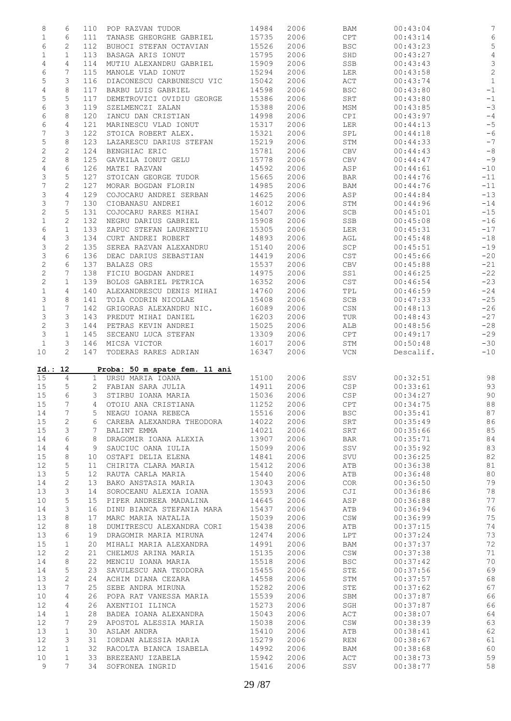| 8              | 6               |                 | 110 POP RAZVAN TUDOR                | 14984          | 2006         | BAM                   | 00:43:04             | $\sqrt{ }$     |
|----------------|-----------------|-----------------|-------------------------------------|----------------|--------------|-----------------------|----------------------|----------------|
| $\mathbf 1$    | 6               | 111             | TANASE GHEORGHE GABRIEL             | 15735          | 2006         | CPT                   | 00:43:14             | $\epsilon$     |
| 6              | $\mathbf{2}$    | 112             | BUHOCI STEFAN OCTAVIAN              | 15526          | 2006         | <b>BSC</b>            | 00:43:23             | 5              |
|                |                 |                 |                                     |                |              |                       |                      |                |
| $\mathbf 1$    | $\mathbf{1}$    | 113             | BASAGA ARIS IONUT                   | 15795          | 2006         | SHD                   | 00:43:27             | $\overline{4}$ |
| 4              | 4               | 114             | MUTIU ALEXANDRU GABRIEL             | 15909          | 2006         | SSB                   | 00:43:43             | 3              |
| 6              | 7               | 115             | MANOLE VLAD IONUT                   | 15294          | 2006         | LER                   | 00:43:58             | $\overline{c}$ |
|                |                 |                 |                                     | 15042          |              |                       |                      |                |
| 5              | 3               | 116             | DIACONESCU CARBUNESCU VIC           |                | 2006         | ACT                   | 00:43:74             | $\mathbf{1}$   |
| $\overline{4}$ | $\,8\,$         | 117             | BARBU LUIS GABRIEL                  | 14598          | 2006         | <b>BSC</b>            | 00:43:80             | $-1$           |
| 5              | 5               | 117             | DEMETROVICI OVIDIU GEORGE           | 15386          | 2006         | SRT                   | 00:43:80             | $-1$           |
| 6              | 3               | 119             | SZELMENCZI ZALAN                    | 15388          | 2006         | MSM                   | 00:43:85             | $-3$           |
|                |                 |                 |                                     |                |              |                       |                      |                |
| 6              | 8               | 120             | IANCU DAN CRISTIAN                  | 14998          | 2006         | CPI                   | 00:43:97             | $-4$           |
| 6              | 4               | 121             | MARINESCU VLAD IONUT                | 15317          | 2006         | LER                   | 00:44:13             | $-5$           |
| 7              | 3               | 122             | STOICA ROBERT ALEX.                 | 15321          | 2006         | SPL                   | 00:44:18             | $-6$           |
|                | 8               |                 |                                     |                |              |                       |                      |                |
| 5              |                 | 123             | LAZARESCU DARIUS STEFAN             | 15219          | 2006         | STM                   | 00:44:33             | $-7$           |
| $\mathbf 2$    | $\mathbf{2}$    | 124             | BENGHIAC ERIC                       | 15781          | 2006         | CBV                   | 00:44:43             | $-8$           |
| 2              | 8               | 125             | GAVRILA IONUT GELU                  | 15778          | 2006         | CBV                   | 00:44:47             | $-9$           |
| 4              | 6               | 126             | MATEI RAZVAN                        | 14592          | 2006         | ASP                   | 00:44:61             | $-10$          |
|                |                 |                 |                                     |                |              |                       |                      |                |
| 3              | 5               | 127             | STOICAN GEORGE TUDOR                | 15665          | 2006         | BAR                   | 00:44:76             | $-11$          |
| 7              | 2               | 127             | MORAR BOGDAN FLORIN                 | 14985          | 2006         | BAM                   | 00:44:76             | $-11$          |
| 3              | 4               | 129             | COJOCARU ANDREI SERBAN              | 14625          | 2006         | ASP                   | 00:44:84             | $-13$          |
| 3              | 7               | 130             | CIOBANASU ANDREI                    | 16012          | 2006         | STM                   | 00:44:96             | $-14$          |
|                |                 |                 |                                     |                |              |                       |                      |                |
| $\sqrt{2}$     | 5               | 131             | COJOCARU RARES MIHAI                | 15407          | 2006         | SCB                   | 00:45:01             | $-15$          |
| $\mathbf 1$    | 2               | 132             | NEGRU DARIUS GABRIEL                | 15908          | 2006         | SSB                   | 00:45:08             | $-16$          |
| 6              | $\mathbf 1$     | 133             | ZAPUC STEFAN LAURENTIU              | 15305          | 2006         | LER                   | 00:45:31             | $-17$          |
| $\overline{4}$ | 3               | 134             | CURT ANDREI ROBERT                  | 14893          | 2006         | AGL                   | 00:45:48             | $-18$          |
|                |                 |                 |                                     |                |              |                       |                      |                |
| 3              | 2               | 135             | SEREA RAZVAN ALEXANDRU              | 15140          | 2006         | SCP                   | 00:45:51             | $-19$          |
| 3              | 6               | 136             | DEAC DARIUS SEBASTIAN               | 14419          | 2006         | CST                   | 00:45:66             | $-20$          |
| $\mathbf 2$    | 6               | 137             | BALAZS ORS                          | 15537          | 2006         | CBV                   | 00:45:88             | $-21$          |
|                | 7               |                 |                                     |                |              |                       | 00:46:25             |                |
| $\sqrt{2}$     |                 | 138             | FICIU BOGDAN ANDREI                 | 14975          | 2006         | SS1                   |                      | $-22$          |
| $\mathbf{2}$   | $\mathbf 1$     | 139             | BOLOS GABRIEL PETRICA               | 16352          | 2006         | CST                   | 00:46:54             | $-23$          |
| $\mathbf 1$    | 4               | 140             | ALEXANDRESCU DENIS MIHAI            | 14760          | 2006         | TPL                   | 00:46:59             | $-24$          |
| 3              | 8               | 141             | TOIA CODRIN NICOLAE                 | 15408          | 2006         | SCB                   | 00:47:33             | $-25$          |
|                | $7\phantom{.0}$ | 142             | GRIGORAS ALEXANDRU NIC.             | 16089          | 2006         | CSN                   | 00:48:13             | $-26$          |
| $\mathbf 1$    |                 |                 |                                     |                |              |                       |                      |                |
| 3              | 3               | 143             | PREDUT MIHAI DANIEL                 | 16203          | 2006         | TUR                   | 00:48:43             | $-27$          |
| $\mathbf 2$    | 3               | 144             | PETRAS KEVIN ANDREI                 | 15025          | 2006         | ALB                   | 00:48:56             | $-28$          |
| 3              | $\mathbf{1}$    | 145             | SECEANU LUCA STEFAN                 | 13309          | 2006         | CPT                   | 00:49:17             | $-29$          |
| $\mathbf{1}$   | 3               | 146             | MICSA VICTOR                        | 16017          | 2006         | STM                   | 00:50:48             | $-30$          |
|                |                 |                 |                                     |                |              |                       |                      |                |
|                |                 |                 |                                     |                |              |                       |                      |                |
| 10             | $\overline{2}$  |                 | 147 TODERAS RARES ADRIAN            | 16347          | 2006         | VCN                   | Descalif.            | $-10$          |
|                |                 |                 |                                     |                |              |                       |                      |                |
|                | Id.: 12         |                 | Proba: 50 m spate fem. 11 ani       |                |              |                       |                      |                |
|                |                 |                 |                                     |                |              |                       |                      |                |
| 15             | $\overline{4}$  |                 | 1 URSU MARIA IOANA                  | 15100          | 2006         | SSV                   | 00:32:51             | 98             |
| 15             | 5               |                 | 2 FABIAN SARA JULIA                 | 14911          | 2006         | CSP                   | 00:33:61             | 93             |
| 15             | 6               | 3               | STIRBU IOANA MARIA                  | 15036          | 2006         | CSP                   | 00:34:27             | 90             |
| 15             | $7\overline{ }$ |                 | 4 OTOIU ANA CRISTIANA               | 11252          | 2006         | <b>CPT</b>            | 00:34:75             | 88             |
|                |                 |                 |                                     |                |              |                       |                      |                |
| 14             | 7               | 5               | NEAGU IOANA REBECA                  | 15516          | 2006         | <b>BSC</b>            | 00:35:41             | 87             |
| 15             | 2               | 6               | CAREBA ALEXANDRA THEODORA           | 14022          | 2006         | SRT                   | 00:35:49             | 86             |
| 15             | 3               | 7               | BALINT EMMA                         | 14021          | 2006         | SRT                   | 00:35:66             | 85             |
| 14             | 6               | 8               | DRAGOMIR IOANA ALEXIA               | 13907          | 2006         | BAR                   | 00:35:71             | 84             |
|                |                 |                 |                                     |                |              |                       |                      |                |
| 14             | 4               | 9               | SAUCIUC OANA IULIA                  | 15099          | 2006         | SSV                   | 00:35:92             | 83             |
| 15             | 8               | 10              | OSTAFI DELIA ELENA                  | 14841          | 2006         | SVU                   | 00:36:25             | 82             |
| 12             | 5               | 11              | CHIRITA CLARA MARIA                 | 15412          | 2006         | ATB                   | 00:36:38             | 81             |
| 13             | 5               | 12              |                                     | 15440          | 2006         | ATB                   | 00:36:48             | 80             |
|                |                 |                 | RAUTA CARLA MARIA                   |                |              |                       |                      |                |
| 14             | 2               | 13              | BAKO ANSTASIA MARIA                 | 13043          | 2006         | COR.                  | 00:36:50             | 79             |
| 13             | 3               | 14              | SOROCEANU ALEXIA IOANA              | 15593          | 2006         | CJI                   | 00:36:86             | 78             |
| 10             | 5               | 15 <sub>1</sub> | PIPER ANDREEA MADALINA              | 14645          | 2006         | ASP                   | 00:36:88             | 77             |
| 14             | 3               | 16              | DINU BIANCA STEFANIA MARA           | 15437          | 2006         | ATB                   | 00:36:94             | 76             |
|                |                 |                 |                                     |                |              |                       |                      |                |
| 13             | 8               | 17              | MARC MARIA NATALIA                  | 15039          | 2006         | $\mathbb{CSW}$        | 00:36:99             | 75             |
| 12             | 8               | 18              | DUMITRESCU ALEXANDRA CORI           | 15438          | 2006         | ATB                   | 00:37:15             | 74             |
| 13             | 6               | 19              | DRAGOMIR MARIA MIRUNA               | 12474          | 2006         | LPT                   | 00:37:24             | 73             |
|                | 1               | 20              | MIHALI MARIA ALEXANDRA              | 14991          | 2006         | BAM                   | 00:37:37             |                |
| 15             |                 |                 |                                     |                |              |                       |                      | 72             |
| 12             | $\mathbf{2}$    | 21              | CHELMUS ARINA MARIA                 | 15135          | 2006         | CSW                   | 00:37:38             | 71             |
| 14             | 8               | 22              | MENCIU IOANA MARIA                  | 15518          | 2006         | <b>BSC</b>            | 00:37:42             | 70             |
| 14             | 5               | 23              | SAVULESCU ANA TEODORA               | 15455          | 2006         | STE                   | 00:37:56             | 69             |
| 13             | 2               | 24              | ACHIM DIANA CEZARA                  | 14558          | 2006         | STM                   | 00:37:57             | 68             |
|                |                 |                 |                                     |                |              |                       |                      |                |
| 13             | 7               | 25              | SEBE ANDRA MIRUNA                   | 15282          | 2006         | STE                   | 00:37:62             | 67             |
| 10             | 4               | 26              | POPA RAT VANESSA MARIA              | 15539          | 2006         | SBM                   | 00:37:87             | 66             |
| 12             | 4               | 26              | AXENTIOI ILINCA                     | 15273          | 2006         | SGH                   | 00:37:87             | 66             |
| 14             | 1               | 28              | BADEA IOANA ALEXANDRA               | 15043          | 2006         | ACT                   | 00:38:07             | 64             |
|                |                 |                 |                                     |                |              |                       |                      |                |
| 12             | 7               | 29              | APOSTOL ALESSIA MARIA               | 15038          | 2006         | $\mathbb{CSW}$        | 00:38:39             | 63             |
| 13             | 1               | 30              | ASLAM ANDRA                         | 15410          | 2006         | ATB                   | 00:38:41             | 62             |
| 12             | 3               | 31              | IORDAN ALESSIA MARIA                | 15279          | 2006         | <b>REN</b>            | 00:38:67             | 61             |
| 12             | $\mathbf 1$     | 32              | RACOLTA BIANCA ISABELA              | 14992          | 2006         | BAM                   | 00:38:68             | 60             |
|                | $\mathbf{1}$    | 33              |                                     |                |              |                       |                      | 59             |
| 10<br>9        | $7\phantom{.0}$ | 34              | BREZEANU IZABELA<br>SOFRONEA INGRID | 15942<br>15416 | 2006<br>2006 | $\mathtt{ACT}$<br>SSV | 00:38:73<br>00:38:77 | 58             |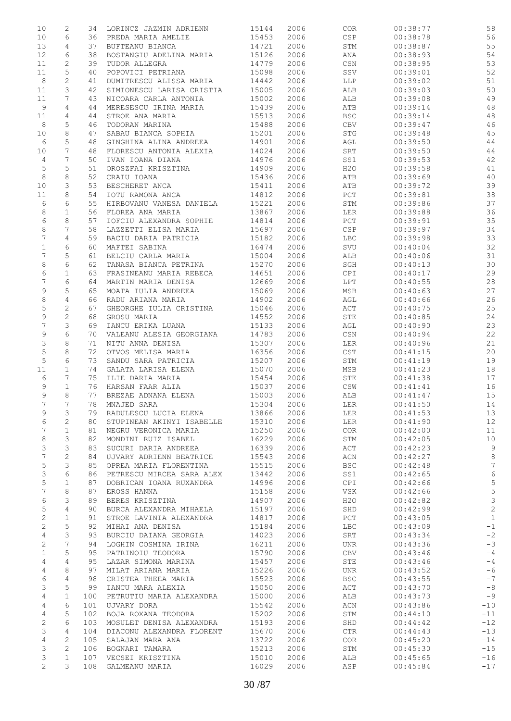| 10             | $\mathbf{2}$ | 34  | LORINCZ JAZMIN ADRIENN    | 15144 | 2006 | COR         | 00:38:77 | 58              |
|----------------|--------------|-----|---------------------------|-------|------|-------------|----------|-----------------|
| 10             | 6            | 36  | PREDA MARIA AMELIE        | 15453 | 2006 | CSP         | 00:38:78 | 56              |
| 13             | 4            | 37  | BUFTEANU BIANCA           | 14721 | 2006 | STM         | 00:38:87 | 55              |
| 12             | 6            | 38  | BOSTANGIU ADELINA MARIA   | 15126 | 2006 | ANA         | 00:38:93 | 54              |
|                |              |     |                           | 14779 |      |             |          |                 |
| 11             | $\mathbf{2}$ | 39  | TUDOR ALLEGRA             |       | 2006 | CSN         | 00:38:95 | 53              |
| 11             | 5            | 40  | POPOVICI PETRIANA         | 15098 | 2006 | SSV         | 00:39:01 | 52              |
| 8              | $\mathbf{2}$ | 41  | DUMITRESCU ALISSA MARIA   | 14442 | 2006 | LLP         | 00:39:02 | 51              |
| 11             | 3            | 42  | SIMIONESCU LARISA CRISTIA | 15005 | 2006 | ALB         | 00:39:03 | 50              |
| 11             | 7            | 43  | NICOARA CARLA ANTONIA     | 15002 | 2006 | ALB         | 00:39:08 | 49              |
| 9              | 4            | 44  | MERESESCU IRINA MARIA     | 15439 | 2006 | ATB         | 00:39:14 | 48              |
| 11             | 4            | 44  | STROE ANA MARIA           | 15513 | 2006 | <b>BSC</b>  | 00:39:14 | 48              |
| 8              | 5            | 46  | TODORAN MARINA            | 15488 | 2006 | CBV         | 00:39:47 | 46              |
|                |              |     |                           |       |      |             |          |                 |
| 10             | 8            | 47  | SABAU BIANCA SOPHIA       | 15201 | 2006 | <b>STG</b>  | 00:39:48 | 45              |
| 6              | 5            | 48  | GINGHINA ALINA ANDREEA    | 14901 | 2006 | AGL         | 00:39:50 | 44              |
| 10             | 7            | 48  | FLORESCU ANTONIA ALEXIA   | 14024 | 2006 | SRT         | 00:39:50 | $4\,4$          |
| 4              | 7            | 50  | IVAN IOANA DIANA          | 14976 | 2006 | SS1         | 00:39:53 | $4\,2$          |
| $\mathsf S$    | 5            | 51  | OROSZFAI KRISZTINA        | 14909 | 2006 | H2O         | 00:39:58 | 41              |
| 8              | 8            | 52  | CRAIU IOANA               | 15436 | 2006 | ATB         | 00:39:69 | 40              |
| 10             | 3            | 53  | BESCHERET ANCA            | 15411 | 2006 | ATB         | 00:39:72 | 39              |
|                |              |     |                           |       |      |             |          |                 |
| 11             | 8            | 54  | IOTU RAMONA ANCA          | 14812 | 2006 | ${\tt PCT}$ | 00:39:81 | 38              |
| 6              | 6            | 55  | HIRBOVANU VANESA DANIELA  | 15221 | 2006 | STM         | 00:39:86 | 37              |
| 8              | $\mathbf{1}$ | 56  | FLOREA ANA MARIA          | 13867 | 2006 | LER         | 00:39:88 | 36              |
| 6              | 8            | 57  | IOFCIU ALEXANDRA SOPHIE   | 14814 | 2006 | ${\tt PCT}$ | 00:39:91 | 35              |
| $\,8\,$        | 7            | 58  | LAZZETTI ELISA MARIA      | 15697 | 2006 | CSP         | 00:39:97 | 34              |
| 7              | 4            | 59  | BACIU DARIA PATRICIA      | 15182 | 2006 | LBC         | 00:39:98 | 33              |
| $\mathbf 1$    | 6            | 60  | MAFTEI SABINA             | 16474 | 2006 | SVU         | 00:40:04 | 32              |
| 7              | 5            |     | BELCIU CARLA MARIA        |       |      |             |          | 31              |
|                |              | 61  |                           | 15004 | 2006 | ALB         | 00:40:06 |                 |
| 8              | 6            | 62  | TANASA BIANCA PETRINA     | 15270 | 2006 | SGH         | 00:40:13 | 30              |
| 6              | $\mathbf{1}$ | 63  | FRASINEANU MARIA REBECA   | 14651 | 2006 | CPI         | 00:40:17 | 29              |
| 7              | 6            | 64  | MARTIN MARIA DENISA       | 12669 | 2006 | LPT         | 00:40:55 | 28              |
| 9              | 5            | 65  | MOATA IULIA ANDREEA       | 15069 | 2006 | MSB         | 00:40:63 | 27              |
| 8              | 4            | 66  | RADU ARIANA MARIA         | 14902 | 2006 | AGL         | 00:40:66 | 26              |
| 5              | 2            | 67  | GHEORGHE IULIA CRISTINA   | 15046 | 2006 | ACT         | 00:40:75 | 25              |
|                | $\mathbf{2}$ |     |                           |       |      |             |          | 24              |
| 9              |              | 68  | GROSU MARIA               | 14552 | 2006 | STE         | 00:40:85 |                 |
| 7              | 3            | 69  | IANCU ERIKA LUANA         | 15133 | 2006 | AGL         | 00:40:90 | 23              |
| 9              | 6            | 70  | VALEANU ALESIA GEORGIANA  | 14783 | 2006 | CSN         | 00:40:94 | 22              |
| 3              | 8            | 71  | NITU ANNA DENISA          | 15307 | 2006 | LER         | 00:40:96 | 21              |
| $\mathsf S$    | 8            | 72  | OTVOS MELISA MARIA        | 16356 | 2006 | CST         | 00:41:15 | 20              |
| 5              | 6            | 73  | SANDU SARA PATRICIA       | 15207 | 2006 | STM         | 00:41:19 | 19              |
| 11             | $\mathbf{1}$ | 74  | GALATA LARISA ELENA       | 15070 | 2006 | MSB         | 00:41:23 | 18              |
| 6              | 7            | 75  | ILIE DARIA MARIA          | 15454 | 2006 | STE         | 00:41:38 | 17              |
|                |              |     |                           |       |      |             |          |                 |
| 9              | $\mathbf{1}$ | 76  | HARSAN FAAR ALIA          | 15037 | 2006 | CSW         | 00:41:41 | 16              |
| 9              | 8            | 77  | BREZAE ADNANA ELENA       | 15003 | 2006 | ALB         | 00:41:47 | 15              |
| 7              | 7            | 78  | MNAJED SARA               | 15304 | 2006 | LER         | 00:41:50 | 14              |
| 9              | 3            | 79  | RADULESCU LUCIA ELENA     | 13866 | 2006 | LER         | 00:41:53 | 13              |
| 6              | 2            | 80  | STUPINEAN AKINYI ISABELLE | 15310 | 2006 | LER         | 00:41:90 | 12              |
| 7              | $\mathbf{1}$ | 81  | NEGRU VERONICA MARIA      | 15250 | 2006 | <b>COR</b>  | 00:42:00 | 11              |
| 8              | 3            | 82  | MONDINI RUIZ ISABEL       | 16229 | 2006 | STM         | 00:42:05 | 10              |
|                |              |     |                           |       |      |             |          |                 |
| 3              | 3            | 83  | SUCURI DARIA ANDREEA      | 16339 | 2006 | ACT         | 00:42:23 | 9               |
| 7              | $\mathbf{2}$ | 84  | UJVARY ADRIENN BEATRICE   | 15543 | 2006 | ACN         | 00:42:27 | 8               |
| 5              | 3            | 85  | OPREA MARIA FLORENTINA    | 15515 | 2006 | <b>BSC</b>  | 00:42:48 | $7\phantom{.0}$ |
| 3              | 6            | 86  | PETRESCU MIRCEA SARA ALEX | 13442 | 2006 | SS1         | 00:42:65 | 6               |
| 5              | $\mathbf{1}$ | 87  | DOBRICAN IOANA RUXANDRA   | 14996 | 2006 | CPI         | 00:42:66 | $\mathsf S$     |
| $\overline{7}$ | 8            | 87  | EROSS HANNA               | 15158 | 2006 | VSK         | 00:42:66 | $\mathsf S$     |
| 6              | 3            | 89  |                           | 14907 | 2006 | H2O         | 00:42:82 | 3               |
|                |              |     | BERES KRISZTINA           |       |      |             |          |                 |
| 5              | 4            | 90  | BURCA ALEXANDRA MIHAELA   | 15197 | 2006 | SHD         | 00:42:99 | $\mathbf{2}$    |
| $\mathbf{2}$   | $\mathbf{1}$ | 91  | STROE LAVINIA ALEXANDRA   | 14817 | 2006 | PCT         | 00:43:05 | $\mathbf{1}$    |
| $\mathbf{2}$   | 5            | 92  | MIHAI ANA DENISA          | 15184 | 2006 | <b>LBC</b>  | 00:43:09 | $-1$            |
| 4              | 3            | 93  | BURCIU DAIANA GEORGIA     | 14023 | 2006 | SRT         | 00:43:34 | $-2$            |
| 2              | 7            | 94  | LOGHIN COSMINA IRINA      | 16211 | 2006 | UNR         | 00:43:36 | $-3$            |
| $\mathbf 1$    | 5            | 95  | PATRINOIU TEODORA         | 15790 | 2006 | CBV         | 00:43:46 | $-4$            |
| 4              | 4            | 95  |                           | 15457 | 2006 |             | 00:43:46 | $-4$            |
|                |              |     | LAZAR SIMONA MARINA       |       |      | STE         |          |                 |
| 4              | 8            | 97  | MILAT ARIANA MARIA        | 15226 | 2006 | <b>UNR</b>  | 00:43:52 | $-6$            |
| 6              | 4            | 98  | CRISTEA THEEA MARIA       | 15523 | 2006 | <b>BSC</b>  | 00:43:55 | $-7$            |
| 3              | 5            | 99  | IANCU MARA ALEXIA         | 15050 | 2006 | ACT         | 00:43:70 | $-8$            |
| 4              | $\mathbf{1}$ | 100 | PETRUTIU MARIA ALEXANDRA  | 15000 | 2006 | ALB         | 00:43:73 | $-9$            |
| 4              | 6            | 101 | UJVARY DORA               | 15542 | 2006 | ACN         | 00:43:86 | $-10$           |
| 4              | 5            | 102 | BOJA ROXANA TEODORA       | 15202 | 2006 | STM         | 00:44:10 | $-11$           |
|                | 6            | 103 |                           | 15193 | 2006 | SHD         |          | $-12$           |
| 2              |              |     | MOSULET DENISA ALEXANDRA  |       |      |             | 00:44:42 |                 |
| 3              | 4            | 104 | DIACONU ALEXANDRA FLORENT | 15670 | 2006 | <b>CTR</b>  | 00:44:43 | $-13$           |
| $\overline{4}$ | $\mathbf{2}$ | 105 | SALAJAN MARA ANA          | 13722 | 2006 | COR         | 00:45:20 | $-14$           |
| 3              | 2            | 106 | BOGNARI TAMARA            | 15213 | 2006 | STM         | 00:45:30 | $-15$           |
| 3              | $\mathbf{1}$ | 107 | VECSEI KRISZTINA          | 15010 | 2006 | ALB         | 00:45:65 | $-16$           |
| $\mathbf{2}$   | 3            | 108 | GALMEANU MARIA            | 16029 | 2006 | ASP         | 00:45:84 | $-17$           |
|                |              |     |                           |       |      |             |          |                 |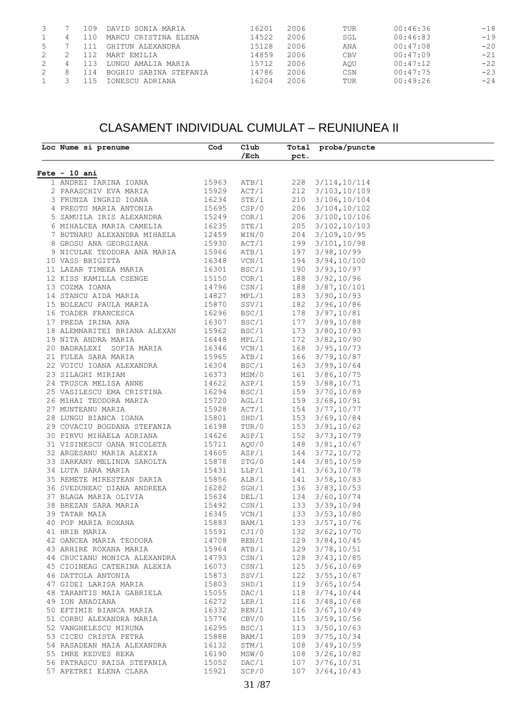|  | 109  | DAVID SONIA MARIA      | 16201 | 2006 | TUR        | 00:46:36 | $-18$ |
|--|------|------------------------|-------|------|------------|----------|-------|
|  | 110  | MARCU CRISTINA ELENA   | 14522 | 2006 | SGL        | 00:46:83 | $-19$ |
|  |      | GHITUN ALEXANDRA       | 15128 | 2006 | ANA        | 00:47:08 | $-20$ |
|  |      | MART EMILIA            | 14859 | 2006 | <b>CBV</b> | 00:47:09 | $-21$ |
|  | 113  | LUNGU AMALIA MARIA     | 15712 | 2006 | AOU        | 00:47:12 | $-22$ |
|  | 114  | BOGHIU SABINA STEFANIA | 14786 | 2006 | CSN        | 00:47:75 | $-23$ |
|  | - 15 | IONESCU ADRIANA        | 16204 | 2006 | TUR        | 00:49:26 | $-24$ |

### CLASAMENT INDIVIDUAL CUMULAT – REUNIUNEA II

| Loc Nume si prenume                                         | Cod            | Club             |      | Total proba/puncte              |  |
|-------------------------------------------------------------|----------------|------------------|------|---------------------------------|--|
|                                                             |                | $/$ Ech          | pct. |                                 |  |
| $Fete - 10 ani$                                             |                |                  |      |                                 |  |
| 1 ANDREI IARINA IOANA                                       | 15963          | ATB/1            |      | 228 3/114, 10/114               |  |
| 2 PARASCHIV EVA MARIA 15929                                 |                | ACT/1            |      | 212 3/103, 10/109               |  |
|                                                             |                | STE/1            |      | 210 3/106, 10/104               |  |
| 3 FRUNZA INGRID IOANA 16234<br>4 PREOTU MARIA ANTONIA 15695 |                | CSP/0            |      | 206 3/104, 10/102               |  |
| 5 SAMUILA IRIS ALEXANDRA 15249                              |                | COR/1            |      | 206 3/100, 10/106               |  |
| 6 MIHALCEA MARIA CAMELIA 16235                              |                | STE/1            |      | 205 3/102, 10/103               |  |
| 7 BUTNARU ALEXANDRA MIHAELA                                 |                | WIN/0            |      | 204 3/109, 10/95                |  |
|                                                             | 12459          |                  |      |                                 |  |
| 8 GROSU ANA GEORGIANA                                       | 15930          | ACT/1            |      | 199 3/101, 10/98                |  |
| 9 NICULAE TEODORA ANA MARIA 15966                           | 16348          | ATB/1            | 197  | 3/98, 10/99<br>194 3/94, 10/100 |  |
| 10 VASS BRIGITTA                                            | 16301          | VCN/1            |      |                                 |  |
| 11 LAZAR TIMEEA MARIA                                       | 15150          | BSC/1            | 190  | 3/93, 10/97                     |  |
| 12 KISS KAMILLA CSENGE                                      |                | COR/1            |      | 188 3/92,10/96                  |  |
| 13 COZMA IOANA                                              | 14796          | CSN/1            |      | 188 3/87, 10/101                |  |
| 14 STANCU AIDA MARIA                                        | 14827<br>15870 | MPL/1            |      | 183 3/90, 10/93                 |  |
| 15 BOLEACU PAULA MARIA                                      |                | SSV/1            |      | 182 3/96,10/86                  |  |
| 16 TOADER FRANCESCA<br>16296                                |                | BSC/1            | 178  | 3/97, 10/81                     |  |
| 17 PREDA IRINA ANA                                          | 16307          | BSC/1            |      | 177 3/89, 10/88                 |  |
| 18 ALEMNARITEI BRIANA ALEXAN 15962                          |                | BSC/1            |      | 173 3/80, 10/93                 |  |
| 19 NITA ANDRA MARIA                                         | 16448          | MPL/1            |      | 172 3/82, 10/90                 |  |
| 20 BADRALEXI SOFIA MARIA                                    | 16346          | VCN/1            |      | 168 3/95, 10/73                 |  |
| 21 FULEA SARA MARIA                                         | 15965          | ATB/1            |      | 166 3/79, 10/87                 |  |
| 22 VOICU IOANA ALEXANDRA 16304                              |                | BSC/1            |      | 163 3/99,10/64                  |  |
| 23 SILAGHI MIRIAM                                           | 16373<br>14622 | MSM/0            | 161  | 3/86, 10/75                     |  |
| 24 TRUSCA MELISA ANNE                                       |                | ASP/1            |      | 159 3/88, 10/71                 |  |
| 25 VASILESCU EMA CRISTINA 16294                             |                | BSC/1            |      | 159 3/70, 10/89                 |  |
| 26 MIHAI TEODORA MARIA                                      | 15720          | AGL/1            |      | 159 3/68, 10/91                 |  |
| 27 MUNTEANU MARIA                                           | 15928          | ACT/1            |      | 154 3/77, 10/77                 |  |
| 28 LUNGU BIANCA IOANA 15801                                 |                | SHD/1            |      | 153 3/69,10/84                  |  |
| 29 COVACIU BOGDANA STEFANIA 16198                           |                | TUR/0            | 153  | 3/91, 10/62                     |  |
| 30 PIRVU MIHAELA ADRIANA                                    |                | ASP/1            | 152  | 3/73,10/79                      |  |
| 31 VISINESCU OANA NICOLETA                                  | 14626<br>15711 | AQU/0            | 148  | 3/81, 10/67                     |  |
| 32 ARGESANU MARIA ALEXIA                                    | 14605          | ASP/1            |      | 144 3/72, 10/72                 |  |
| 33 SARKANY MELINDA SAROLTA                                  | 15878          | STG/0            |      | 144 3/85, 10/59                 |  |
| 34 LUTA SARA MARIA                                          | 15431          | LLP/1            | 141  | 3/63, 10/78                     |  |
| 35 REMETE MIRESTEAN DARIA                                   | 15856          | ALB/1            | 141  | 3/58, 10/83                     |  |
| 36 SVEDUNEAC DIANA ANDREEA 16282                            |                | SGH/1            | 136  | 3/83, 10/53                     |  |
| 37 BLAGA MARIA OLIVIA                                       | 15634          | DEL/1            |      | 134 3/60, 10/74                 |  |
| 38 BREZAN SARA MARIA                                        | 15492          | $\texttt{CSN}/1$ |      | 133 3/39, 10/94                 |  |
| 39 TATAR MAIA                                               | 16345          | VCN/1            | 133  | 3/53, 10/80                     |  |
| 40 POP MARIA ROXANA                                         | 15883          | BAM/1            | 133  | 3/57, 10/76                     |  |
| 41 HRIB MARIA                                               | 15591          | CJI/0            |      | 132 3/62, 10/70                 |  |
| 42 OANCEA MARIA TEODORA                                     | 14708          | REN/1            |      | 129 3/84, 10/45                 |  |
| 43 ARHIRE ROXANA MARIA                                      | 15964          | ATB/1            | 129  | 3/78, 10/51                     |  |
|                                                             | 14793          | CSN/1            | 128  | 3/43, 10/85                     |  |
| 44 CRUCIANU MONICA ALEXANDRA                                |                |                  |      |                                 |  |
| 45 CIOINEAG CATERINA ALEXIA                                 | 16073          | $\texttt{CSN}/1$ | 125  | 3/56, 10/69                     |  |
| 46 DATTOLA ANTONIA                                          | 15873          | SSV/1            | 122  | 3/55, 10/67                     |  |
| 47 GIDEI LARISA MARIA                                       | 15803          | SHD/1            | 119  | 3/65, 10/54                     |  |
| 48 TARANTIS MAIA GABRIELA                                   | 15055          | DAC/1            | 118  | 3/74, 10/44                     |  |
| 49 ION ANADIANA                                             | 16272          | LER/1            | 116  | 3/48, 10/68                     |  |
| 50 EFTIMIE BIANCA MARIA                                     | 16332          | REN/1            | 116  | 3/67, 10/49                     |  |
| 51 CORBU ALEXANDRA MARIA                                    | 15776          | CBV/0            | 115  | 3/59, 10/56                     |  |
| 52 VANGHELESCU MIRUNA                                       | 16295          | BSC/1            | 113  | 3/50, 10/63                     |  |
| 53 CICEU CRISTA PETRA                                       | 15888          | BAM/1            | 109  | 3/75, 10/34                     |  |
| 54 RASADEAN MAIA ALEXANDRA                                  | 16132          | STM/1            | 108  | 3/49, 10/59                     |  |
| 55 IMRE KEDVES REKA                                         | 16190          | MSW/0            | 108  | 3/26, 10/82                     |  |
| 56 PATRASCU RAISA STEFANIA                                  | 15052          | DAC/1            | 107  | 3/76, 10/31                     |  |
|                                                             |                |                  |      |                                 |  |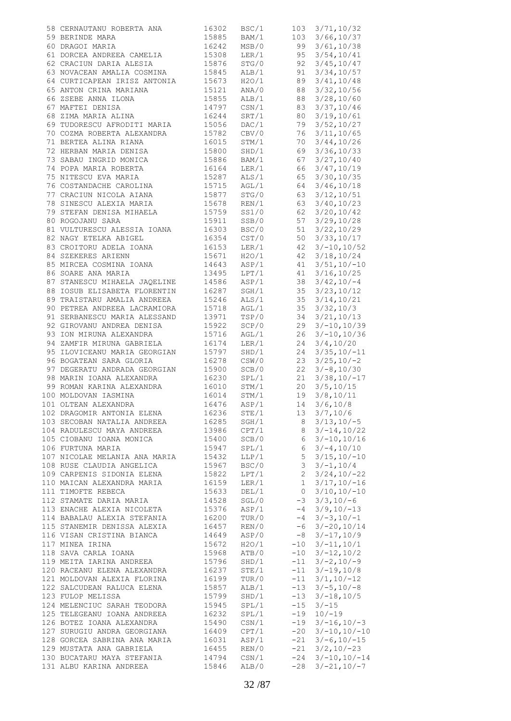| 58 CERNAUTANU ROBERTA ANA                                         | 16302          | BSC/1                     |                | $103 \quad 3/71, 10/32$                   |
|-------------------------------------------------------------------|----------------|---------------------------|----------------|-------------------------------------------|
| 59 BERINDE MARA                                                   | 15885          | BAM/1                     |                | 103 3/66, 10/37                           |
| 60 DRAGOI MARIA                                                   | 16242          | MSB/0                     | 99             | 3/61, 10/38                               |
| 61 DORCEA ANDREEA CAMELIA<br>61 DORCEA ANDREEA CAMELIA            | 15308<br>15876 | LER/1                     | 95             | 3/54, 10/41                               |
| 62 CRACIUN DARIA ALESIA                                           |                | STG/0                     | 92             | 3/45, 10/47                               |
| 63 NOVACEAN AMALIA COSMINA 15845                                  |                | ALB/1                     | 91             | 3/34, 10/57                               |
| 64 CURTICAPEAN IRISZ ANTONIA 15673<br>65 ANTON CRINA MARIANA      | 15121          | H2O/1<br>ANA/0            | 89<br>88       | 3/41, 10/48<br>3/32, 10/56                |
| 66 ZSEBE ANNA ILONA                                               | 15855          | ALB/1                     | 88             | 3/28, 10/60                               |
| 67 MAFTEI DENISA                                                  | 14797          | $\text{CSN}/1$            | 83             | 3/37, 10/46                               |
| 68 ZIMA MARIA ALINA                                               | 16244          | SRT/1                     | 80             | 3/19, 10/61                               |
| 69 TUDORESCU AFRODITI MARIA 15056                                 |                | DAC/1                     | 79             | 3/52, 10/27                               |
| 70 COZMA ROBERTA ALEXANDRA 15782                                  |                | CBV/0                     | 76             | 3/11, 10/65                               |
| 71 BERTEA ALINA RIANA 16015<br>72 HERBAN MARIA DENISA 15800       |                | STM/1                     | 70             | 3/44, 10/26                               |
| 72 HERBAN MARIA DENISA                                            |                | SHD/1                     | 69             | 3/36, 10/33                               |
| 73 SABAU INGRID MONICA 15886                                      |                | BAM/1                     | 67             | 3/27, 10/40                               |
| 74 POPA MARIA ROBERTA                                             | 16164<br>15287 | LER/1                     | 66             | 3/47, 10/19                               |
| 75 NITESCU EVA MARIA                                              |                | ALS/1                     | 65             | 3/30, 10/35                               |
| 76 COSTANDACHE CAROLINA 15715                                     |                | AGL/1                     | 64             | 3/46, 10/18<br>3/12, 10/51                |
| 77 CRACIUN NICOLA AIANA<br>78 SINESCU ALEXIA MARIA                | 15877<br>15678 | STG/0<br>REN/1            | 63<br>63       | 3/40, 10/23                               |
| 79 STEFAN DENISA MIHAELA                                          | 15759          | SS1/0                     | 62             | 3/20, 10/42                               |
| 80 ROGOJANU SARA                                                  | 15911          | SSB/0                     | 57             | 3/29, 10/28                               |
| 81 VULTURESCU ALESSIA IOANA                                       |                | BSC/0                     | 51             | 3/22, 10/29                               |
| 82 NAGY ETELKA ABIGEL                                             | 16303<br>16354 | $\texttt{CST}/\texttt{0}$ | 50             | 3/33, 10/17                               |
| 83 CROITORU ADELA IOANA 16153                                     |                | LER/1                     | 42             | $3/-10, 10/52$                            |
| 84 SZEKERES ARIENN                                                | 15671<br>14643 | H2O/1                     | 42             | 3/18, 10/24                               |
| 85 MIRCEA COSMINA IOANA<br>06 SOAPE ANA MARIA                     |                | ASP/1                     | 41             | $3/51, 10/-10$                            |
| 86 SOARE ANA MARIA                                                | 13495          | LPT/1                     | 41             | 3/16, 10/25                               |
| 87 STANESCU MIHAELA JAQELINE                                      | 14586          | ASP/1                     | 38             | $3/42, 10/-4$                             |
| 88 IOSUB ELISABETA FLORENTIN<br>89 TRAISTARU AMALIA ANDREEA 15246 | 16287          | SGH/1<br>ALS/1            | 35<br>35       | 3/23, 10/12<br>3/14, 10/21                |
| 90 PETREA ANDREEA LACRAMIORA 15718                                |                | AGL/1                     | 35             | 3/32, 10/3                                |
| 91 SERBANESCU MARIA ALESSAND                                      |                | TSP/0                     | 34             | 3/21, 10/13                               |
| 92 GIROVANU ANDREA DENISA                                         | 13971<br>15922 | SCP/0                     | 29             | $3/-10,10/39$                             |
| 93 ION MIRUNA ALEXANDRA 15716                                     |                | AGL/1                     | 26             | $3/-10,10/36$                             |
| 94 ZAMFIR MIRUNA GABRIELA                                         | 16174<br>15797 | LER/1                     | 24             | 3/4, 10/20                                |
| 95 ILOVICEANU MARIA GEORGIAN                                      |                | SHD/1                     | 24             | $3/35, 10/-11$                            |
| 96 BOGATEAN SARA GLORIA                                           | 16278          | CSW/0                     | 23             | $3/25, 10/-2$                             |
| 97 DEGERATU ANDRADA GEORGIAN 15900                                |                | SCB/0<br>SPL/1            | 22<br>21       | $3/-8, 10/30$<br>$3/38, 10/ -17$          |
| 98 MARIN IOANA ALEXANDRA 16230<br>99 ROMAN KARINA ALEXANDRA 16010 |                | STM/1                     | 20             | 3/5, 10/15                                |
| 100 MOLDOVAN IASMINA                                              | 16014          | STM/1                     | 19             | 3/8, 10/11                                |
| 101 OLTEAN ALEXANDRA                                              | 16476          | ASP/1                     | 14             | 3/6, 10/8                                 |
| 102 DRAGOMIR ANTONIA ELENA                                        | 16236          | STE/1                     | 13             | 3/7,10/6                                  |
| 103 SECOBAN NATALIA ANDREEA                                       | 16285          | SGH/1                     | 8              | $3/13, 10/-5$                             |
| 104 RADULESCU MAYA ANDREEA                                        | 13986          | CPT/1                     | 8              | $3/-14,10/22$                             |
| 105 CIOBANU IOANA MONICA                                          | 15400          | SCB/0                     | 6              | $3/-10,10/16$                             |
| 106 FURTUNA MARIA<br>107 NICOLAE MELANIA ANA MARIA                | 15947<br>15432 | SPL/1<br>LLP/1            | 6<br>5         | $3/-4, 10/10$<br>$3/15, 10/-10$           |
| 108 RUSE CLAUDIA ANGELICA                                         | 15967          | BSC/0                     | 3              | $3/-1, 10/4$                              |
| 109 CARPENIS SIDONIA ELENA                                        | 15822          | LPT/1                     | $\mathbf{2}$   | $3/24, 10/-22$                            |
| 110 MAICAN ALEXANDRA MARIA                                        | 16159          | LER/1                     | 1              | $3/17, 10/-16$                            |
| 111 TIMOFTE REBECA                                                | 15633          | DEL/1                     | $\circ$        | $3/10, 10/-10$                            |
| 112 STAMATE DARIA MARIA                                           | 14528          | SGL/0                     |                | $-3$ $3/3$ , $10/-6$                      |
| 113 ENACHE ALEXIA NICOLETA                                        | 15376          | ASP/1                     | $-4$           | $3/9, 10/ - 13$                           |
| 114 BABALAU ALEXIA STEFANIA                                       | 16200          | TUR/0                     |                | $-4$ 3/-3, 10/-1                          |
| 115 STANEMIR DENISSA ALEXIA<br>116 VISAN CRISTINA BIANCA          | 16457          | REN/0                     |                | $-6$ 3/-20, 10/14<br>$-8$ 3/ $-17$ , 10/9 |
| 117 MINEA IRINA                                                   | 14649<br>15672 | ASP/0<br>H2O/1            |                | $-10$ $3/-11,10/1$                        |
| 118 SAVA CARLA IOANA                                              | 15968          | ATB/0                     | $-10$          | $3/-12,10/2$                              |
| 119 MEITA IARINA ANDREEA                                          | 15796          | SHD/1                     |                | $-11$ $3/-2$ , $10/-9$                    |
| 120 RACEANU ELENA ALEXANDRA                                       | 16237          | STE/1                     |                | $-11 \quad 3/-19,10/8$                    |
| 121 MOLDOVAN ALEXIA FLORINA                                       | 16199          | TUR/0                     |                | $-11$ $3/1, 10/-12$                       |
| 122 SALCUDEAN RALUCA ELENA                                        | 15857          | ALB/1                     |                | $-13$ $3/-5$ , $10/-8$                    |
| 123 FULOP MELISSA                                                 | 15799          | SHD/1                     |                | $-13$ $3/-18$ , $10/5$                    |
| 124 MELENCIUC SARAH TEODORA                                       | 15945          | SPL/1<br>SPL/1            | $-15$<br>$-19$ | $3/-15$<br>$10/-19$                       |
| 125 TELEGEANU IOANA ANDREEA<br>126 BOTEZ IOANA ALEXANDRA          | 16232<br>15490 | CSN/1                     | -19            | $3/-16, 10/-3$                            |
| 127 SURUGIU ANDRA GEORGIANA                                       | 16409          | CPT/1                     |                | $-20$ $3/-10,10/-10$                      |
| 128 GORCEA SABRINA ANA MARIA                                      | 16031          | ASP/1                     | $-21$          | $3/-6, 10/-15$                            |
| 129 MUSTATA ANA GABRIELA                                          | 16455          | REN/0                     |                | $-21$ $3/2$ , $10/-23$                    |
| 130 BUCATARU MAYA STEFANIA                                        | 14794          | CSN/1                     |                | $-24$ 3/-10, 10/-14                       |
| 131 ALBU KARINA ANDREEA                                           | 15846          | ALB/0                     | $-28$          | $3/-21, 10/-7$                            |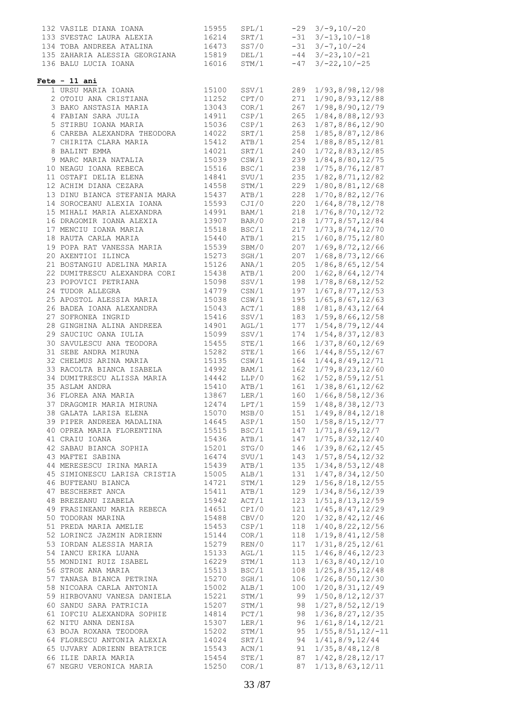| 132 VASILE DIANA IOANA                        | 15955          | SPL/1 |     | $-29$ $3/-9$ , $10/-20$   |
|-----------------------------------------------|----------------|-------|-----|---------------------------|
|                                               |                |       |     |                           |
| 133 SVESTAC LAURA ALEXIA 16214                |                | SRT/1 |     | $-31$ $3/-13$ , $10/-18$  |
| 134 TOBA ANDREEA ATALINA 16473                |                | SS7/0 |     | $-31$ $3/-7$ , $10/-24$   |
|                                               |                |       |     |                           |
| 135 ZAHARIA ALESSIA GEORGIANA                 | 15819          | DEL/1 |     | $-44$ $3/-23$ , $10/-21$  |
| 136 BALU LUCIA IOANA                          | 16016          | STM/1 |     | $-47$ $3/-22$ , $10/-25$  |
|                                               |                |       |     |                           |
|                                               |                |       |     |                           |
| $Fete - 11 ani$                               |                |       |     |                           |
| 1 URSU MARIA IOANA                            | 15100          | SSV/1 | 289 | 1/93, 8/98, 12/98         |
| 2 OTOIU ANA CRISTIANA                         | 11252          | CPT/0 | 271 | 1/90,8/93,12/88           |
|                                               |                |       |     |                           |
| 3 BAKO ANSTASIA MARIA                         | 13043          | COR/1 | 267 | 1/98,8/90,12/79           |
| 4 FABIAN SARA JULIA                           | 14911          | CSP/1 | 265 | 1/84, 8/88, 12/93         |
| 5 STIRBU IOANA MARIA                          | 15036          | CSP/1 | 263 | 1/87,8/86,12/90           |
|                                               |                |       |     |                           |
| 6 CAREBA ALEXANDRA THEODORA                   | 14022          | SRT/1 | 258 | 1/85,8/87,12/86           |
| 7 CHIRITA CLARA MARIA                         | 15412          | ATB/1 | 254 | 1/88, 8/85, 12/81         |
|                                               |                |       |     |                           |
| 8 BALINT EMMA                                 | 14021          | SRT/1 | 240 | 1/72,8/83,12/85           |
| 9 MARC MARIA NATALIA                          | 15039          | CSW/1 | 239 | 1/84,8/80,12/75           |
| 10 NEAGU IOANA REBECA                         | 15516          | BSC/1 | 238 | 1/75, 8/76, 12/87         |
|                                               |                |       |     |                           |
| 11 OSTAFI DELIA ELENA                         | 14841          | SVU/1 | 235 | 1/82, 8/71, 12/82         |
| 12 ACHIM DIANA CEZARA                         | 14558          | STM/1 | 229 | 1/80,8/81,12/68           |
|                                               |                |       |     |                           |
| 13 DINU BIANCA STEFANIA MARA 15437            |                | ATB/1 | 228 | 1/70,8/82,12/76           |
| 14 SOROCEANU ALEXIA IOANA                     | 15593          | CJI/0 | 220 | 1/64, 8/78, 12/78         |
|                                               | 14991          |       |     |                           |
| 15 MIHALI MARIA ALEXANDRA                     |                | BAM/1 | 218 | 1/76, 8/70, 12/72         |
| 16 DRAGOMIR IOANA ALEXIA 13907                |                | BAR/0 | 218 | 1/77, 8/57, 12/84         |
|                                               |                | BSC/1 | 217 | 1/73, 8/74, 12/70         |
| 17 MENCIU IOANA MARIA<br>18 RAUTA CARLA MARIA | 15518<br>15440 |       |     |                           |
|                                               |                | ATB/1 | 215 | 1/60, 8/75, 12/80         |
| 19 POPA RAT VANESSA MARIA                     | 15539          | SBM/0 | 207 | 1/69, 8/72, 12/66         |
|                                               |                |       |     |                           |
| 20 AXENTIOI ILINCA                            | 15273          | SGH/1 | 207 | 1/68, 8/73, 12/66         |
| 21 BOSTANGIU ADELINA MARIA                    | 15126          | ANA/1 | 205 | 1/86, 8/65, 12/54         |
| 22 DUMITRESCU ALEXANDRA CORI 15438            |                |       |     |                           |
|                                               |                | ATB/1 | 200 | 1/62, 8/64, 12/74         |
| 23 POPOVICI PETRIANA                          | 15098          | SSV/1 | 198 | 1/78, 8/68, 12/52         |
| 24 TUDOR ALLEGRA                              | 14779          | CSN/1 | 197 | 1/67, 8/77, 12/53         |
|                                               |                |       |     |                           |
| 25 APOSTOL ALESSIA MARIA                      | 15038          | CSW/1 | 195 | 1/65, 8/67, 12/63         |
| 26 BADEA IOANA ALEXANDRA                      | 15043          | ACT/1 | 188 | 1/81, 8/43, 12/64         |
|                                               |                |       |     |                           |
| 27 SOFRONEA INGRID                            | 15416          | SSV/1 | 183 | 1/59, 8/66, 12/58         |
| 28 GINGHINA ALINA ANDREEA                     | 14901          | AGL/1 | 177 | 1/54, 8/79, 12/44         |
|                                               |                |       |     |                           |
| 29 SAUCIUC OANA IULIA                         | 15099          | SSV/1 | 174 | 1/54, 8/37, 12/83         |
| 30 SAVULESCU ANA TEODORA                      | 15455          | STE/1 | 166 | 1/37, 8/60, 12/69         |
| 31 SEBE ANDRA MIRUNA                          | 15282          | STE/1 | 166 | 1/44, 8/55, 12/67         |
|                                               |                |       |     |                           |
| 32 CHELMUS ARINA MARIA                        | 15135          | CSW/1 | 164 | 1/44, 8/49, 12/71         |
| 33 RACOLTA BIANCA ISABELA                     | 14992          | BAM/1 | 162 | 1/79, 8/23, 12/60         |
|                                               |                |       |     |                           |
| 34 DUMITRESCU ALISSA MARIA                    | 14442          | LLP/0 | 162 | 1/52, 8/59, 12/51         |
| 35 ASLAM ANDRA                                | 15410          | ATB/1 | 161 | 1/38, 8/61, 12/62         |
| 36 FLOREA ANA MARIA                           |                |       |     |                           |
|                                               | 13867          | LER/1 | 160 | 1/66, 8/58, 12/36         |
| 37 DRAGOMIR MARIA MIRUNA                      | 12474          | LPT/1 | 159 | 1/48, 8/38, 12/73         |
| 38 GALATA LARISA ELENA                        | 15070          | MSB/0 | 151 | 1/49, 8/84, 12/18         |
|                                               |                |       |     |                           |
| 39 PIPER ANDREEA MADALINA                     | 14645          | ASP/1 | 150 | 1/58, 8/15, 12/77         |
| 40 OPREA MARIA FLORENTINA                     | 15515          | BSC/1 | 147 | 1/71, 8/69, 12/7          |
|                                               |                |       |     |                           |
| 41 CRAIU IOANA                                | 15436          | ATB/1 | 147 | 1/75,8/32,12/40           |
| 42 SABAU BIANCA SOPHIA                        | 15201          | STG/0 | 146 | 1/39, 8/62, 12/45         |
| 43 MAFTEI SABINA                              | 16474          | SVU/1 | 143 | 1/57, 8/54, 12/32         |
|                                               |                |       |     |                           |
| 44 MERESESCU IRINA MARIA                      | 15439          | ATB/1 | 135 | 1/34, 8/53, 12/48         |
| 45 SIMIONESCU LARISA CRISTIA                  | 15005          | ALB/1 | 131 | 1/47, 8/34, 12/50         |
|                                               |                |       |     |                           |
| 46 BUFTEANU BIANCA                            | 14721          | STM/1 | 129 | $1/56$ , $8/18$ , $12/55$ |
| 47 BESCHERET ANCA                             | 15411          | ATB/1 | 129 | 1/34, 8/56, 12/39         |
| 48 BREZEANU IZABELA                           | 15942          | ACT/1 | 123 | 1/51, 8/13, 12/59         |
|                                               |                |       |     |                           |
| 49 FRASINEANU MARIA REBECA                    | 14651          | CPI/0 | 121 | 1/45, 8/47, 12/29         |
| 50 TODORAN MARINA                             | 15488          | CBV/0 | 120 | 1/32, 8/42, 12/46         |
| 51 PREDA MARIA AMELIE                         | 15453          | CSP/1 | 118 | 1/40, 8/22, 12/56         |
|                                               |                |       |     |                           |
| 52 LORINCZ JAZMIN ADRIENN                     | 15144          | COR/1 | 118 | 1/19, 8/41, 12/58         |
| 53 IORDAN ALESSIA MARIA                       | 15279          | REN/0 | 117 | 1/31, 8/25, 12/61         |
|                                               |                |       |     |                           |
| 54 IANCU ERIKA LUANA                          | 15133          | AGL/1 | 115 | 1/46, 8/46, 12/23         |
| 55 MONDINI RUIZ ISABEL                        | 16229          | STM/1 | 113 | 1/63, 8/40, 12/10         |
|                                               |                | BSC/1 |     |                           |
| 56 STROE ANA MARIA                            | 15513          |       | 108 | 1/25, 8/35, 12/48         |
| 57 TANASA BIANCA PETRINA                      | 15270          | SGH/1 | 106 | 1/26, 8/50, 12/30         |
| 58 NICOARA CARLA ANTONIA                      | 15002          | ALB/1 | 100 | 1/20, 8/31, 12/49         |
|                                               |                |       |     |                           |
| 59 HIRBOVANU VANESA DANIELA                   | 15221          | STM/1 | 99  | 1/50, 8/12, 12/37         |
| 60 SANDU SARA PATRICIA                        | 15207          | STM/1 | 98  | 1/27, 8/52, 12/19         |
|                                               |                |       |     |                           |
| 61 IOFCIU ALEXANDRA SOPHIE                    | 14814          | PCT/1 | 98  | $1/36$ , $8/27$ , $12/35$ |
| 62 NITU ANNA DENISA                           | 15307          | LER/1 | 96  | 1/61, 8/14, 12/21         |
| 63 BOJA ROXANA TEODORA                        | 15202          | STM/1 | 95  | $1/55, 8/51, 12/-11$      |
|                                               |                |       |     |                           |
| 64 FLORESCU ANTONIA ALEXIA                    | 14024          | SRT/1 | 94  | 1/41, 8/9, 12/44          |
| 65 UJVARY ADRIENN BEATRICE                    | 15543          | ACN/1 | 91  | 1/35, 8/48, 12/8          |
| 66 ILIE DARIA MARIA                           |                | STE/1 |     |                           |
|                                               | 15454          |       | 87  | 1/42, 8/28, 12/17         |
| 67 NEGRU VERONICA MARIA                       | 15250          | COR/1 | 87  | 1/13, 8/63, 12/11         |
|                                               |                |       |     |                           |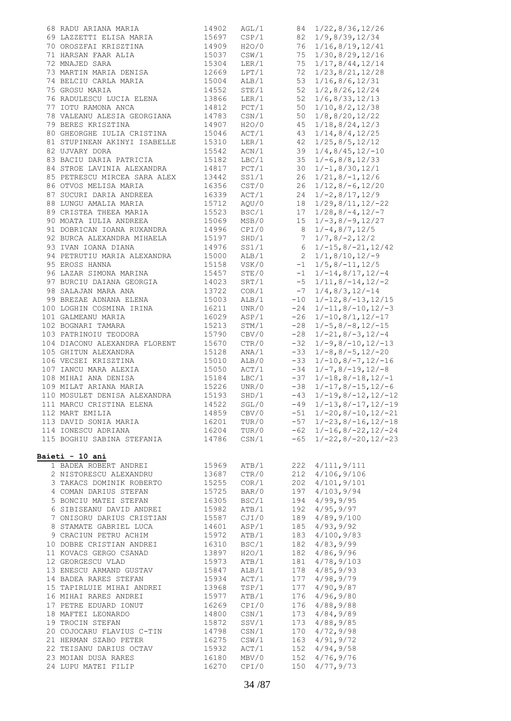| 68 RADU ARIANA MARIA                                                            | 14902 | AGL/1            |                 | 84 1/22,8/36,12/26                            |
|---------------------------------------------------------------------------------|-------|------------------|-----------------|-----------------------------------------------|
| 69 LAZZETTI ELISA MARIA                                                         | 15697 | CSP/1            | 82              | 1/9, 8/39, 12/34                              |
| 70 OROSZFAI KRISZTINA                                                           | 14909 | H2O/0            | 76              | 1/16, 8/19, 12/41                             |
| 71 HARSAN FAAR ALIA                                                             | 15037 | CSW/1            | 75              | 1/30, 8/29, 12/16                             |
| 72 MNAJED SARA                                                                  | 15304 | $\text{LER}/1$   | 75              | 1/17, 8/44, 12/14                             |
| 73 MARTIN MARIA DENISA                                                          | 12669 | LPT/1            | 72              | 1/23, 8/21, 12/28                             |
| 74 BELCIU CARLA MARIA                                                           | 15004 | ALB/1            | 53              | 1/16, 8/6, 12/31                              |
| 75 GROSU MARIA                                                                  | 14552 | STE/1            | 52              | 1/2, 8/26, 12/24                              |
| 76 RADULESCU LUCIA ELENA                                                        | 13866 | LER/1            | 52              | 1/6, 8/33, 12/13                              |
| 77 IOTU RAMONA ANCA                                                             | 14812 | PCT/1            | 50              | 1/10, 8/2, 12/38                              |
| 78 VALEANU ALESIA GEORGIANA                                                     | 14783 |                  | 50              | 1/8, 8/20, 12/22                              |
| 79 BERES KRISZTINA                                                              | 14907 | CSN/1<br>H2O/0   | 45              | 1/18, 8/24, 12/3                              |
| 80 GHEORGHE IULIA CRISTINA                                                      | 15046 | ACT/1            | 43              | 1/14, 8/4, 12/25                              |
| 81 STUPINEAN AKINYI ISABELLE                                                    | 15310 | $\text{LER}/1$   | 42              | 1/25, 8/5, 12/12                              |
| 82 UJVARY DORA                                                                  | 15542 | ACN/1            | 39              | $1/4, 8/45, 12/-10$                           |
| 83 BACIU DARIA PATRICIA                                                         | 15182 | LBC/1            | 35              | $1/-6, 8/8, 12/33$                            |
| 84 STROE LAVINIA ALEXANDRA                                                      | 14817 | PCT/1            | 30              | $1/-1, 8/30, 12/1$                            |
| 85 PETRESCU MIRCEA SARA ALEX                                                    | 13442 | SS1/1            | 26              | $1/21, 8/-1, 12/6$                            |
| 86 OTVOS MELISA MARIA                                                           | 16356 | CST/0            | 26              | $1/12, 8/-6, 12/20$                           |
| 87 SUCURI DARIA ANDREEA                                                         | 16339 | ACT/1            | 24              | $1/-2, 8/17, 12/9$                            |
| 88 LUNGU AMALIA MARIA                                                           | 15712 | AQU/0            |                 | $18 \quad 1/29, 8/11, 12/-22$                 |
| 89 CRISTEA THEEA MARIA                                                          | 15523 | BSC/1            |                 |                                               |
| 90 MOATA IULIA ANDREEA                                                          |       |                  |                 | $17 \quad 1/28, 8/-4, 12/-7$                  |
|                                                                                 | 15069 | MSB/0            | 15              | $1/-3, 8/-9, 12/27$                           |
| 91 DOBRICAN IOANA RUXANDRA<br>92 BURCA ALEXANDRA MIHAELA<br>93 IVAN IOANA DIANA | 14996 | CPI/0            | 8 <sup>1</sup>  | $1/-4, 8/7, 12/5$                             |
|                                                                                 | 15197 | SHD/1            | $7\overline{ }$ | $1/7, 8/-2, 12/2$                             |
|                                                                                 | 14976 | SS1/1            | $6\overline{6}$ | $1/-15, 8/-21, 12/42$                         |
| 94 PETRUTIU MARIA ALEXANDRA                                                     | 15000 | ALB/1            |                 | 2 $1/1, 8/10, 12/-9$<br>-1 $1/5, 8/-11, 12/5$ |
| 95 EROSS HANNA                                                                  | 15158 | VSK/0            |                 |                                               |
| 96 LAZAR SIMONA MARINA                                                          | 15457 | STE/0            |                 | $-1$ $1/-14,8/17,12/-4$                       |
| 97 BURCIU DAIANA GEORGIA                                                        | 14023 | SRT/1            | $-5$            | $1/11, 8/-14, 12/-2$                          |
| 98 SALAJAN MARA ANA                                                             | 13722 | COR/1            | $-7$            | $1/4, 8/3, 12/-14$                            |
| 99 BREZAE ADNANA ELENA                                                          | 15003 | ALB/1            |                 | $-10$ $1/-12$ , $8/-13$ , $12/15$             |
| 100 LOGHIN COSMINA IRINA                                                        | 16211 | UNR/0            | $-24$           | $1/-11, 8/-10, 12/-3$                         |
| 101 GALMEANU MARIA                                                              | 16029 | ASP/1            |                 | $1/-10, 8/1, 12/-17$                          |
| 102 BOGNARI TAMARA                                                              | 15213 | STM/1            | $-26$<br>$-28$  | $1/-5, 8/-8, 12/-15$                          |
| 103 PATRINOIU TEODORA                                                           | 15790 | CBV/0            | $-28$           | $1/-21, 8/-3, 12/-4$                          |
| 104 DIACONU ALEXANDRA FLORENT                                                   | 15670 | CTR/0            | $-32$           | $1/-9, 8/-10, 12/-13$                         |
| 105 GHITUN ALEXANDRA                                                            | 15128 | ANA/1            | $-33$           | $1/-8$ , 8/-5, 12/-20                         |
| 106 VECSEI KRISZTINA                                                            | 15010 |                  | $ALB/0$ $-33$   | $1/-10, 8/-7, 12/-16$                         |
| 107 IANCU MARA ALEXIA                                                           | 15050 |                  |                 | $1/-7, 8/-19, 12/-8$                          |
| 108 MIHAI ANA DENISA                                                            | 15184 | LBC/1            | $ACT/1$ -34     | $-37$ $1/-18, 8/-18, 12/-1$                   |
| 109 MILAT ARIANA MARIA                                                          | 15226 |                  |                 | UNR/0 $-38$ $1/-17, 8/-15, 12/-6$             |
| 110 MOSULET DENISA ALEXANDRA                                                    | 15193 | SHD/1            | $-43$           |                                               |
|                                                                                 |       |                  | $-49$           | $1/-19, 8/-12, 12/-12$                        |
| 111 MARCU CRISTINA ELENA                                                        | 14522 | SGL/0            |                 | $1/-13, 8/-17, 12/-19$                        |
| 112 MART EMILIA                                                                 | 14859 | CBV/0            |                 | $-51$ $1/-20$ , $8/-10$ , $12/-21$            |
| 113 DAVID SONIA MARIA                                                           | 16201 | TUR/0            |                 | $-57$ $1/-23$ , $8/-16$ , $12/-18$            |
| 114 IONESCU ADRIANA                                                             | 16204 | TUR/0            |                 | $-62$ 1/-16, 8/-22, 12/-24                    |
| 115 BOGHIU SABINA STEFANIA                                                      | 14786 | CSN/1            | $-65$           | $1/-22$ , 8/-20, 12/-23                       |
| Baieti - 10 ani                                                                 |       |                  |                 |                                               |
| 1 BADEA ROBERT ANDREI                                                           | 15969 | ATB/1            |                 | 222 4/111, 9/111                              |
| 2 NISTORESCU ALEXANDRU                                                          | 13687 | CTR/0            |                 | 212 4/106, 9/106                              |
| 3 TAKACS DOMINIK ROBERTO                                                        | 15255 | COR/1            |                 | 202 4/101, 9/101                              |
| 4 COMAN DARIUS STEFAN                                                           | 15725 | BAR/0            |                 | 197 4/103,9/94                                |
| 5 BONCIU MATEI STEFAN                                                           | 16305 | BSC/1            |                 | 194 4/99,9/95                                 |
| 6 SIBISEANU DAVID ANDREI                                                        | 15982 | ATB/1            |                 | 192 4/95,9/97                                 |
| 7 ONISORU DARIUS CRISTIAN                                                       | 15587 | CJI/0            | 189             | 4/89, 9/100                                   |
| 8 STAMATE GABRIEL LUCA                                                          | 14601 | ASP/1            |                 | 185 4/93,9/92                                 |
| 9 CRACIUN PETRU ACHIM                                                           | 15972 | ATB/1            |                 | 183 4/100, 9/83                               |
| 10 DOBRE CRISTIAN ANDREI                                                        | 16310 |                  |                 |                                               |
|                                                                                 |       | BSC/1            |                 | 182 4/83,9/99                                 |
| 11 KOVACS GERGO CSANAD                                                          | 13897 | H2O/1            |                 | 182 4/86,9/96                                 |
| 12 GEORGESCU VLAD                                                               | 15973 | ATB/1            |                 | 181 4/78,9/103                                |
| 13 ENESCU ARMAND GUSTAV                                                         | 15847 | ALB/1            |                 | 178 4/85, 9/93                                |
| 14 BADEA RARES STEFAN                                                           | 15934 | ACT/1            |                 | $177 \quad 4/98, 9/79$                        |
| 15 TAPIRLUIE MIHAI ANDREI                                                       | 13968 | TSP/1            | 177             | 4/90, 9/87                                    |
| 16 MIHAI RARES ANDREI                                                           | 15977 | ATB/1            |                 | 176 4/96,9/80                                 |
| 17 PETRE EDUARD IONUT                                                           | 16269 | CPI/0            | 176             | 4/88, 9/88                                    |
| 18 MAFTEI LEONARDO                                                              | 14800 | $\texttt{CSN}/1$ |                 | 173 4/84,9/89                                 |
| 19 TROCIN STEFAN                                                                | 15872 | SSV/1            | 173             | 4/88, 9/85                                    |
| 20 COJOCARU FLAVIUS C-TIN                                                       | 14798 | CSN/1            | 170             | 4/72, 9/98                                    |
| 21 HERMAN SZABO PETER                                                           | 16275 | $\texttt{CSW}/1$ |                 | 163 4/91,9/72                                 |
| 22 TEISANU DARIUS OCTAV                                                         | 15932 | ACT/1            |                 | $152 \quad 4/94, 9/58$                        |
| 23 MOIAN DUSA RARES                                                             | 16180 | MBV/0            |                 | 152 4/76,9/76                                 |
| 24 LUPU MATEI FILIP                                                             | 16270 | CPI/0            | 150             | 4/77, 9/73                                    |
|                                                                                 |       |                  |                 |                                               |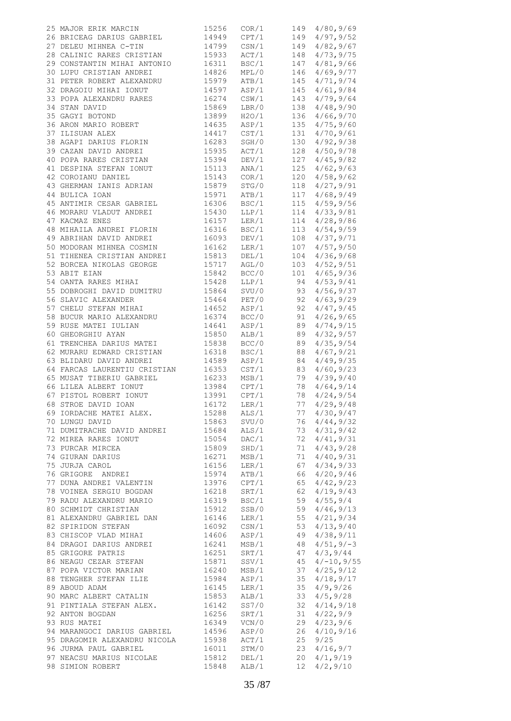| 25 MAJOR ERIK MARCIN                                                                                                                                                                                                                             | 15256 | COR/1            |                        | 149 4/80,9/69                                                     |
|--------------------------------------------------------------------------------------------------------------------------------------------------------------------------------------------------------------------------------------------------|-------|------------------|------------------------|-------------------------------------------------------------------|
| 23 MAJOR ERIR MARCIN 19236<br>26 BRICEAG DARIUS GABRIEL 14949<br>27 DELEU MIHNEA C-TIN 14799<br>28 CALINIC RARES CRISTIAN 15933<br>29 CONSTANTIN MIHAI ANTONIO 16311<br>30 LUPU CRISTIAN ANDREI 14826<br>31 PETER ROBERT ALEXANDRU 15979<br>     |       |                  |                        | CPT/1 149 4/97,9/52                                               |
|                                                                                                                                                                                                                                                  |       |                  | CSN/1 149<br>ACT/1 148 | 4/82, 9/67                                                        |
|                                                                                                                                                                                                                                                  |       |                  |                        | 4/73, 9/75                                                        |
|                                                                                                                                                                                                                                                  |       |                  | BSC/1 147              | 4/81, 9/66                                                        |
|                                                                                                                                                                                                                                                  |       | MPL/0<br>ATB/1   | 146                    | 4/69, 9/77                                                        |
|                                                                                                                                                                                                                                                  |       |                  | 145                    | 4/71, 9/74                                                        |
|                                                                                                                                                                                                                                                  |       |                  | ASP/1 145              | 4/61, 9/84                                                        |
| 33 POPA ALEXANDRU RARES<br>33 POPA ALEXANDRU RARES<br>34 STAN DAVID<br>35 GAGYI BOTOND<br>35 GAGYI BOTOND<br>36 ARON MARIO ROBERT<br>37 ILISUAN ALEX<br>37 ILISUAN ALEX<br>38 AGAPI DARIUS FLORIN<br>16283                                       |       | CSW/1            | 143                    | 4/79, 9/64                                                        |
|                                                                                                                                                                                                                                                  |       | LBR/0<br>H2O/1   | 138                    | 4/48, 9/90                                                        |
|                                                                                                                                                                                                                                                  |       |                  | 136                    | 4/66, 9/70                                                        |
|                                                                                                                                                                                                                                                  |       | ASP/1            | 135                    | 4/75, 9/60                                                        |
|                                                                                                                                                                                                                                                  |       | CST/1<br>SGH/0   | 131                    | 4/70, 9/61                                                        |
|                                                                                                                                                                                                                                                  |       |                  | 130                    | 4/92, 9/38                                                        |
|                                                                                                                                                                                                                                                  |       | ACT/1            | 128                    | 4/50, 9/78                                                        |
| 16283<br>39 CAZAN DAVID ANDREI 15935<br>40 POPA RARES CRISTIAN 15394<br>41 DESPINA STEFAN IONUT 15113<br>42 COROIANU DANIEL 15143<br>43 GHERMAN TANTS ADELANT 15000                                                                              |       | DEV/1            | 127                    | 4/45, 9/82                                                        |
|                                                                                                                                                                                                                                                  |       | ANA/1            | 125                    | 4/62, 9/63                                                        |
|                                                                                                                                                                                                                                                  |       |                  | $COR/1$ 120            | 4/58, 9/62                                                        |
|                                                                                                                                                                                                                                                  |       | STG/0            | 118                    | 4/27, 9/91                                                        |
| 43 GHERMAN IANIS ADRIAN 15879<br>44 BULICA IOAN 15971<br>45 ANTIMIR CESAR GABRIEL 16306                                                                                                                                                          |       |                  |                        | ATB/1 117 4/68, 9/49<br>BSC/1 115 4/59, 9/56                      |
|                                                                                                                                                                                                                                                  |       |                  |                        |                                                                   |
| 46 MORARU VLADUT ANDREI<br>47 KACMAZ ENES<br>47 KACMAZ ENES<br>49 ABRIHAN DAVID ANDREI<br>49 ABRIHAN DAVID ANDREI<br>49 ABRIHAN DAVID ANDREI<br>49 ABRIHAN DAVID ANDREI<br>49 ABRIHAN DAVID ANDREI<br>49 ABRIHAN DAVID ANDREI<br>49 ABRIHAN DAVI |       |                  |                        | LLP/1 114 4/33, 9/81                                              |
|                                                                                                                                                                                                                                                  |       |                  | LER/1 114<br>BSC/1 113 | 4/28, 9/86                                                        |
|                                                                                                                                                                                                                                                  |       |                  |                        | 4/54, 9/59                                                        |
|                                                                                                                                                                                                                                                  |       |                  | DEV/1 108              | 4/37, 9/71                                                        |
|                                                                                                                                                                                                                                                  |       |                  | 107                    | LER/1 107 4/57,9/50<br>DEL/1 104 4/36,9/68                        |
|                                                                                                                                                                                                                                                  |       |                  |                        |                                                                   |
|                                                                                                                                                                                                                                                  |       |                  | AGL/0 103              | 4/52, 9/51                                                        |
|                                                                                                                                                                                                                                                  |       | BCC/0            | 101                    | 4/65, 9/36                                                        |
|                                                                                                                                                                                                                                                  |       |                  | LLP/1 94<br>SVU/0 93   | 94 4/53,9/41                                                      |
|                                                                                                                                                                                                                                                  |       |                  |                        | 4/56, 9/37                                                        |
|                                                                                                                                                                                                                                                  |       |                  | PET/0 92               | 4/63, 9/29                                                        |
|                                                                                                                                                                                                                                                  |       | ASP/1<br>BCC/0   | 92<br>91               | 4/47, 9/45                                                        |
|                                                                                                                                                                                                                                                  |       |                  | 91                     | 4/26, 9/65                                                        |
|                                                                                                                                                                                                                                                  |       | ASP/1            | 89                     | 4/74, 9/15                                                        |
|                                                                                                                                                                                                                                                  |       | ALB/1            | 89                     | 4/32, 9/57                                                        |
|                                                                                                                                                                                                                                                  |       | BCC/0            | 89                     | 4/35, 9/54                                                        |
|                                                                                                                                                                                                                                                  |       | BSC/1            | 88                     | 4/67, 9/21                                                        |
| 63 BLIDARU DAVID ANDREI 14589 ASP/1<br>64 FARCAS LAURENTIU CRISTIAN 16353 CST/1<br>65 MUSAT TIBERIU GABRIEL 16233 MSB/1<br>66 LILEA ALBERT IONUT 13984 CPT/1<br>67 PISTOL ROBERT IONUT 13991 CPT/1<br>68 STROE DAVID JOAN 16172 LER/1            |       |                  | 84                     | 4/49, 9/35                                                        |
|                                                                                                                                                                                                                                                  |       |                  | 83<br>79               | 4/60, 9/23                                                        |
|                                                                                                                                                                                                                                                  |       |                  |                        | 4/39, 9/40                                                        |
|                                                                                                                                                                                                                                                  |       |                  |                        | CPT/1 78 4/64, 9/14<br>CPT/1 78 4/24, 9/54<br>LER/1 77 4/29, 9/48 |
|                                                                                                                                                                                                                                                  |       |                  | 77                     | 4/29, 9/48                                                        |
| 69 IORDACHE MATEI ALEX.                                                                                                                                                                                                                          | 15288 | ALS/1            |                        | 4/30, 9/47                                                        |
| 70 LUNGU DAVID                                                                                                                                                                                                                                   | 15863 | SVU/0            | 77<br>76               | 4/44, 9/32                                                        |
| 71 DUMITRACHE DAVID ANDREI                                                                                                                                                                                                                       | 15684 | ALS/1            |                        | $73 \quad 4/31, 9/42$                                             |
| 72 MIREA RARES IONUT                                                                                                                                                                                                                             | 15054 | DAC/1            | 72                     | 4/41, 9/31                                                        |
| 73 PURCAR MIRCEA                                                                                                                                                                                                                                 | 15809 | SHD/1            | 71                     | 4/43, 9/28                                                        |
| 74 GIURAN DARIUS                                                                                                                                                                                                                                 | 16271 | MSB/1            | 71                     | 4/40, 9/31                                                        |
| 75 JURJA CAROL                                                                                                                                                                                                                                   | 16156 | LER/1            | 67                     | 4/34, 9/33                                                        |
| 76 GRIGORE ANDREI                                                                                                                                                                                                                                | 15974 | ATB/1            | 66                     | 4/20, 9/46                                                        |
| 77 DUNA ANDREI VALENTIN                                                                                                                                                                                                                          | 13976 | CPT/1            | 65                     | 4/42, 9/23                                                        |
| 78 VOINEA SERGIU BOGDAN                                                                                                                                                                                                                          | 16218 | SRT/1            | 62                     | 4/19, 9/43                                                        |
| 79 RADU ALEXANDRU MARIO                                                                                                                                                                                                                          | 16319 | BSC/1            | 59                     | 4/55, 9/4                                                         |
| 80 SCHMIDT CHRISTIAN                                                                                                                                                                                                                             | 15912 | SSB/0            | 59                     | 4/46, 9/13                                                        |
| 81 ALEXANDRU GABRIEL DAN                                                                                                                                                                                                                         | 16146 | LER/1            | 55                     | 4/21, 9/34                                                        |
| 82 SPIRIDON STEFAN                                                                                                                                                                                                                               | 16092 | $\texttt{CSN}/1$ | 53                     | 4/13, 9/40                                                        |
| 83 CHISCOP VLAD MIHAI                                                                                                                                                                                                                            | 14606 | ASP/1            | 49                     | 4/38, 9/11                                                        |
| 84 DRAGOI DARIUS ANDREI                                                                                                                                                                                                                          | 16241 | MSB/1            | 48                     | $4/51, 9/-3$                                                      |
| 85 GRIGORE PATRIS                                                                                                                                                                                                                                | 16251 | SRT/1            | 47                     | 4/3, 9/44                                                         |
| 86 NEAGU CEZAR STEFAN                                                                                                                                                                                                                            | 15871 | SSV/1            | 45                     | $4/-10,9/55$                                                      |
| 87 POPA VICTOR MARIAN                                                                                                                                                                                                                            | 16240 | MSB/1            | 37                     | 4/25, 9/12                                                        |
| 88 TENGHER STEFAN ILIE                                                                                                                                                                                                                           | 15984 | ASP/1            | 35                     | 4/18, 9/17                                                        |
| 89 ABOUD ADAM                                                                                                                                                                                                                                    | 16145 | LER/1            | 35                     | 4/9,9/26                                                          |
| 90 MARC ALBERT CATALIN                                                                                                                                                                                                                           | 15853 | ALB/1            | 33                     | 4/5, 9/28                                                         |
| 91 PINTIALA STEFAN ALEX.                                                                                                                                                                                                                         | 16142 | SS7/0            | 32                     | 4/14, 9/18                                                        |
| 92 ANTON BOGDAN                                                                                                                                                                                                                                  | 16256 | SRT/1            | 31                     | 4/22, 9/9                                                         |
| 93 RUS MATEI                                                                                                                                                                                                                                     | 16349 | VCN/0            | 29                     | 4/23, 9/6                                                         |
| 94 MARANGOCI DARIUS GABRIEL                                                                                                                                                                                                                      | 14596 | ASP/0            | 26                     | 4/10, 9/16                                                        |
| 95 DRAGOMIR ALEXANDRU NICOLA                                                                                                                                                                                                                     | 15938 | ACT/1            | 25                     | 9/25                                                              |
| 96 JURMA PAUL GABRIEL                                                                                                                                                                                                                            | 16011 | STM/0            | 23                     | 4/16, 9/7                                                         |
| 97 NEACSU MARIUS NICOLAE                                                                                                                                                                                                                         | 15812 | DEL/1            | 20                     | 4/1, 9/19                                                         |
| 98 SIMION ROBERT                                                                                                                                                                                                                                 | 15848 | ALB/1            | 12                     | 4/2,9/10                                                          |
|                                                                                                                                                                                                                                                  |       |                  |                        |                                                                   |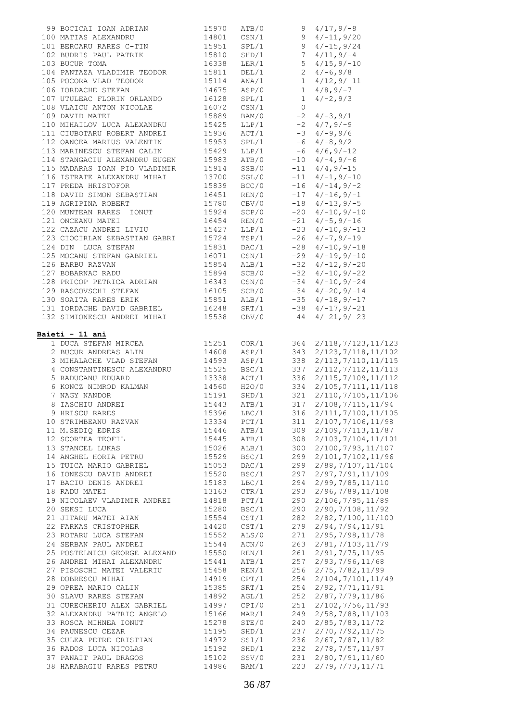| 99 BOCICAI IOAN ADRIAN                                                                                                                                                                                                                            | 15970 ATB/0<br>14801 CSN/1 |                  |             |                                        |
|---------------------------------------------------------------------------------------------------------------------------------------------------------------------------------------------------------------------------------------------------|----------------------------|------------------|-------------|----------------------------------------|
|                                                                                                                                                                                                                                                   |                            |                  |             |                                        |
|                                                                                                                                                                                                                                                   |                            |                  |             |                                        |
|                                                                                                                                                                                                                                                   |                            |                  |             |                                        |
|                                                                                                                                                                                                                                                   |                            |                  |             |                                        |
|                                                                                                                                                                                                                                                   |                            |                  |             |                                        |
| 104 FANIAZA VEADLEININ IBODOR<br>105 POCORA VEAD TEODOR 15114 ANA/1 1 4/12,9/-11<br>106 IORDACHE STEFAN 14675 ASP/0 1 4/8,9/-7<br>107 UTULEAC FLORIN ORLANDO 16128 SPL/1 1 4/-2,9/3<br>108 VLAICU ANTON NICOLAE 16072 CSN/1 0                     |                            |                  |             |                                        |
|                                                                                                                                                                                                                                                   |                            |                  |             |                                        |
|                                                                                                                                                                                                                                                   |                            |                  |             |                                        |
|                                                                                                                                                                                                                                                   |                            |                  |             |                                        |
|                                                                                                                                                                                                                                                   |                            |                  |             |                                        |
|                                                                                                                                                                                                                                                   |                            |                  |             |                                        |
| 107 UTOLEAC FLORIN ORLANDO<br>108 VLAICU ANTON NICOLAE<br>16072 CSN/1 0<br>109 DAVID MATEI<br>15889 BAM/0 -2 4/-3,9/1<br>110 MIHAILOV LUCA ALEXANDRU<br>15889 BAM/0 -2 4/-3,9/1<br>107 UTAL 15889 BAM/0 -2 4/-3,9/1<br>16072 CSN/1 0<br>2 4/-3,   |                            |                  |             |                                        |
|                                                                                                                                                                                                                                                   |                            |                  |             |                                        |
|                                                                                                                                                                                                                                                   |                            |                  |             |                                        |
|                                                                                                                                                                                                                                                   |                            |                  |             |                                        |
| 115 MADARAS IOAN PIO VLADIMIR 15914 5SB/0 -11 4/4,9/-15 116 ISTRATE ALEXANDRU MIHAI 13700 SGL/0 -11 4/-1,9/-10 117 PREDA HRISTOFOR 15839 BCC/0 -16 4/-14,9/-2                                                                                     |                            |                  |             |                                        |
|                                                                                                                                                                                                                                                   |                            |                  |             |                                        |
|                                                                                                                                                                                                                                                   |                            |                  |             |                                        |
| 118 DAVID SIMON SEBASTIAN<br>19639 BCC/0 -10 4/-14, 9/-2<br>118 DAVID SIMON SEBASTIAN<br>19 AGRIPINA ROBERT<br>19 AGRIPINA ROBERT<br>19780 CBV/0 -18 4/-13, 9/-5<br>19780 CBV/0 -20 4/-10, 9/-10<br>19780 CBV/0 -20 4/-10, 9/-10<br>19780 CBV/    |                            |                  |             |                                        |
|                                                                                                                                                                                                                                                   |                            |                  |             |                                        |
|                                                                                                                                                                                                                                                   |                            |                  |             |                                        |
|                                                                                                                                                                                                                                                   |                            |                  |             |                                        |
|                                                                                                                                                                                                                                                   |                            |                  |             |                                        |
|                                                                                                                                                                                                                                                   |                            |                  |             |                                        |
|                                                                                                                                                                                                                                                   |                            |                  |             |                                        |
| 122 CAZACU ANDREI LIVIU<br>123 CIOCIRLAN SEBASTIAN GABRI<br>123 CIOCIRLAN SEBASTIAN GABRI<br>124 DIN LUCA STEFAN<br>125 MOCANU STEFAN<br>125 MOCANU STEFAN<br>126 BARBU RAZVAN<br>126 BARBU RAZVAN<br>126 BARBU RAZVAN<br>126 BARBU RAZVAN<br>126 |                            |                  |             |                                        |
|                                                                                                                                                                                                                                                   |                            |                  |             |                                        |
|                                                                                                                                                                                                                                                   |                            |                  |             |                                        |
|                                                                                                                                                                                                                                                   |                            |                  |             |                                        |
|                                                                                                                                                                                                                                                   |                            |                  |             |                                        |
| 128 PRICOP PETRICA ADRIAN<br>129 RASCOVSCHI STEFAN<br>129 RASCOVSCHI STEFAN<br>129 RASCOVSCHI STEFAN<br>129 RASCOVSCHI STEFAN<br>129 RASCOVSCHI STEFAN<br>129 RASCOVSCHI STEFAN<br>129 RASCOVSCHI STEFAN<br>129 RASCOVSCHI STEFAN<br>129 RASCOVS  |                            |                  |             |                                        |
| 131 IORDACHE DAVID GABRIEL 16248 SRT/1 -38 4/-17, 9/-21                                                                                                                                                                                           |                            |                  |             |                                        |
| 132 SIMIONESCU ANDREI MIHAI 15538 CBV/0 -44 4/-21, 9/-23                                                                                                                                                                                          |                            |                  |             |                                        |
| 1 DUCA STEFAN MIRCEA<br>2 BUCUR ANDREAS ALIN 19608 ASP/1 343 2/123,7/118,11/102<br>3 MIHALACHE VLAD STEFAN 14593 ASP/1 338 2/113,7/110,11/115                                                                                                     | 15251                      |                  | $COR/1$ 364 | 2/118, 7/123, 11/123                   |
| 4 CONSTANTINESCU ALEXANDRU 15525 BSC/1 337 2/113, 1/110, 11/115<br>4 CONSTANTINESCU ALEXANDRU 15525 BSC/1 337 2/112, 7/112, 11/113<br>5 RADUCANU EDUARD 13338 ACT/1 336 2/115, 7/109, 11/112<br>6 KONCZ NIMROD KALMAN 14560 H2O/0 33              |                            |                  |             |                                        |
|                                                                                                                                                                                                                                                   |                            |                  |             |                                        |
|                                                                                                                                                                                                                                                   |                            |                  |             |                                        |
|                                                                                                                                                                                                                                                   |                            |                  |             |                                        |
|                                                                                                                                                                                                                                                   |                            |                  |             |                                        |
| 9 HRISCU RARES                                                                                                                                                                                                                                    | 15396                      | LBC/1            | 316         | 2/111, 7/100, 11/105                   |
| 10 STRIMBEANU RAZVAN                                                                                                                                                                                                                              | 13334                      | PCT/1            | 311         | 2/107, 7/106, 11/98                    |
| 11 M.SEDIQ EDRIS                                                                                                                                                                                                                                  | 15446                      | ATB/1            | 309         | 2/109, 7/113, 11/87                    |
| 12 SCORTEA TEOFIL                                                                                                                                                                                                                                 | 15445                      | ATB/1            | 308         | 2/103, 7/104, 11/101                   |
| 13 STANCEL LUKAS                                                                                                                                                                                                                                  | 15026                      | ALB/1            | 300         | 2/100, 7/93, 11/107                    |
| 14 ANGHEL HORIA PETRU                                                                                                                                                                                                                             | 15529                      | BSC/1            | 299         | 2/101, 7/102, 11/96                    |
| 15 TUICA MARIO GABRIEL                                                                                                                                                                                                                            | 15053                      | DAC/1            | 299         | 2/88, 7/107, 11/104                    |
| 16 IONESCU DAVID ANDREI                                                                                                                                                                                                                           | 15520                      | BSC/1            | 297         | 2/97,7/91,11/109                       |
| 17 BACIU DENIS ANDREI                                                                                                                                                                                                                             | 15183                      | LBC/1            | 294         | 2/99, 7/85, 11/110                     |
| 18 RADU MATEI                                                                                                                                                                                                                                     | 13163                      | CTR/1            | 293         | 2/96,7/89,11/108                       |
| 19 NICOLAEV VLADIMIR ANDREI                                                                                                                                                                                                                       | 14818                      | PCT/1            | 290         | 2/106, 7/95, 11/89                     |
|                                                                                                                                                                                                                                                   |                            |                  |             |                                        |
| 20 SEKSI LUCA                                                                                                                                                                                                                                     | 15280                      | BSC/1            | 290         | 2/90,7/108,11/92                       |
| 21 JITARU MATEI AIAN                                                                                                                                                                                                                              | 15554                      | CST/1            | 282         | 2/82,7/100,11/100                      |
| 22 FARKAS CRISTOPHER                                                                                                                                                                                                                              | 14420                      | $\texttt{CST}/1$ | 279         | 2/94,7/94,11/91                        |
| 23 ROTARU LUCA STEFAN                                                                                                                                                                                                                             | 15552                      | ALS/0            | 271         | 2/95, 7/98, 11/78                      |
| 24 SERBAN PAUL ANDREI                                                                                                                                                                                                                             | 15544                      | ACN/0            | 263         | 2/81, 7/103, 11/79                     |
| 25 POSTELNICU GEORGE ALEXAND                                                                                                                                                                                                                      | 15550                      | REN/1            | 261         | 2/91,7/75,11/95                        |
| 26 ANDREI MIHAI ALEXANDRU                                                                                                                                                                                                                         | 15441                      | ATB/1            | 257         | 2/93, 7/96, 11/68                      |
| 27 PISOSCHI MATEI VALERIU                                                                                                                                                                                                                         | 15458                      | REN/1            | 256         | 2/75, 7/82, 11/99                      |
| 28 DOBRESCU MIHAI                                                                                                                                                                                                                                 | 14919                      | CPT/1            | 254         | 2/104, 7/101, 11/49                    |
| 29 OPREA MARIO CALIN                                                                                                                                                                                                                              | 15385                      | SRT/1            | 254         | 2/92, 7/71, 11/91                      |
| 30 SLAVU RARES STEFAN                                                                                                                                                                                                                             | 14892                      | AGL/1            | 252         | 2/87, 7/79, 11/86                      |
| 31 CURECHERIU ALEX GABRIEL                                                                                                                                                                                                                        | 14997                      | CPI/0            | 251         | 2/102, 7/56, 11/93                     |
| 32 ALEXANDRU PATRIC ANGELO                                                                                                                                                                                                                        | 15166                      | MAR/1            | 249         | 2/58, 7/88, 11/103                     |
| 33 ROSCA MIHNEA IONUT                                                                                                                                                                                                                             | 15278                      | STE/0            | 240         | 2/85, 7/83, 11/72                      |
| 34 PAUNESCU CEZAR                                                                                                                                                                                                                                 | 15195                      | SHD/1            | 237         | 2/70, 7/92, 11/75                      |
| 35 CULEA PETRE CRISTIAN                                                                                                                                                                                                                           | 14972                      | SS1/1            | 236         | 2/67, 7/87, 11/82                      |
| 36 RADOS LUCA NICOLAS                                                                                                                                                                                                                             | 15192                      | SHD/1            | 232         | 2/78, 7/57, 11/97                      |
| 37 PANAIT PAUL DRAGOS<br>38 HARABAGIU RARES PETRU                                                                                                                                                                                                 | 15102<br>14986             | SSV/0<br>BAM/1   | 231<br>223  | 2/80, 7/91, 11/60<br>2/79, 7/73, 11/71 |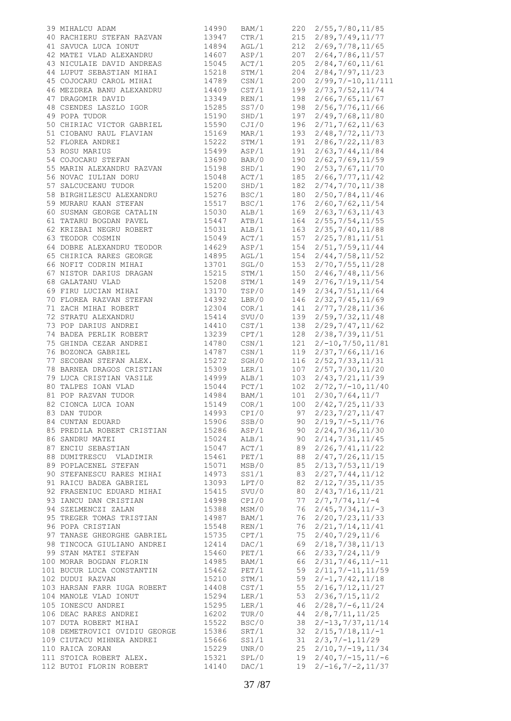| 39 MIHALCU ADAM                                      | 14990 | BAM/1 |     | 220 2/55, 7/80, 11/85   |
|------------------------------------------------------|-------|-------|-----|-------------------------|
| 40 RACHIERU STEFAN RAZVAN                            | 13947 | CTR/1 | 215 | 2/89, 7/49, 11/77       |
| 41 SAVUCA LUCA IONUT                                 | 14894 | AGL/1 | 212 | 2/69, 7/78, 11/65       |
| 42 MATEI VLAD ALEXANDRU                              | 14607 | ASP/1 | 207 | 2/64, 7/86, 11/57       |
| 43 NICULAIE DAVID ANDREAS                            |       |       |     |                         |
|                                                      | 15045 | ACT/1 | 205 | 2/84, 7/60, 11/61       |
| 44 LUPUT SEBASTIAN MIHAI                             | 15218 | STM/1 | 204 | 2/84, 7/97, 11/23       |
| 45 COJOCARU CAROL MIHAI                              | 14789 | CSN/1 | 200 | $2/99, 7/ - 10, 11/111$ |
| 46 MEZDREA BANU ALEXANDRU                            | 14409 | CST/1 | 199 | 2/73, 7/52, 11/74       |
| 47 DRAGOMIR DAVID                                    | 13349 | REN/1 | 198 | 2/66, 7/65, 11/67       |
| 48 CSENDES LASZLO IGOR                               | 15285 | SS7/0 | 198 | 2/56, 7/76, 11/66       |
| 49 POPA TUDOR                                        | 15190 | SHD/1 | 197 | 2/49, 7/68, 11/80       |
|                                                      |       |       |     |                         |
| 50 CHIRIAC VICTOR GABRIEL                            | 15590 | CJI/0 | 196 | 2/71, 7/62, 11/63       |
| 51 CIOBANU RAUL FLAVIAN                              | 15169 | MAR/1 | 193 | 2/48, 7/72, 11/73       |
| 52 FLOREA ANDREI                                     | 15222 | STM/1 | 191 | 2/86, 7/22, 11/83       |
| 53 ROSU MARIUS                                       | 15499 | ASP/1 | 191 | 2/63, 7/44, 11/84       |
| 54 COJOCARU STEFAN                                   | 13690 | BAR/0 | 190 | 2/62, 7/69, 11/59       |
|                                                      | 15198 | SHD/1 | 190 | 2/53, 7/67, 11/70       |
| 55 MARIN ALEXANDRU RAZVAN<br>56 NOVAC IULIAN DORU    |       | ACT/1 |     |                         |
| 56 NOVAC IULIAN DORU                                 | 15048 |       | 185 | 2/66, 7/77, 11/42       |
| 57 SALCUCEANU TUDOR                                  | 15200 | SHD/1 | 182 | 2/74, 7/70, 11/38       |
| 58 BIRGHILESCU ALEXANDRU                             | 15276 | BSC/1 | 180 | 2/50, 7/84, 11/46       |
| 59 MURARU KAAN STEFAN                                | 15517 | BSC/1 | 176 | 2/60, 7/62, 11/54       |
| 60 SUSMAN GEORGE CATALIN                             | 15030 | ALB/1 | 169 | 2/63, 7/63, 11/43       |
| 61 TATARU BOGDAN PAVEL                               | 15447 | ATB/1 | 164 | 2/55, 7/54, 11/55       |
|                                                      |       |       |     |                         |
| 62 KRIZBAI NEGRU ROBERT                              | 15031 | ALB/1 | 163 | 2/35, 7/40, 11/88       |
| 63 TEODOR COSMIN                                     | 15049 | ACT/1 | 157 | 2/25, 7/81, 11/51       |
| 64 DOBRE ALEXANDRU TEODOR                            | 14629 | ASP/1 | 154 | 2/51, 7/59, 11/44       |
| 65 CHIRICA RARES GEORGE                              | 14895 | AGL/1 | 154 | 2/44, 7/58, 11/52       |
| 66 NOFIT CODRIN MIHAI                                | 13701 | SGL/0 | 153 | 2/70, 7/55, 11/28       |
| 67 NISTOR DARIUS DRAGAN                              | 15215 | STM/1 | 150 |                         |
|                                                      |       |       |     | 2/46, 7/48, 11/56       |
| 68 GALATANU VLAD                                     | 15208 | STM/1 | 149 | 2/76, 7/19, 11/54       |
| 69 FIRU LUCIAN MIHAI                                 | 13170 | TSP/0 | 149 | 2/34, 7/51, 11/64       |
| 70 FLOREA RAZVAN STEFAN                              | 14392 | LBR/0 | 146 | 2/32, 7/45, 11/69       |
| 71 ZACH MIHAI ROBERT                                 | 12304 | COR/1 | 141 | 2/77, 7/28, 11/36       |
| 72 STRATU ALEXANDRU                                  | 15414 | SVU/0 | 139 | 2/59, 7/32, 11/48       |
| 73 POP DARIUS ANDREI                                 |       |       |     |                         |
|                                                      | 14410 | CST/1 | 138 | 2/29, 7/47, 11/62       |
| 74 BADEA PERLIK ROBERT                               | 13239 | CPT/1 | 128 | 2/38, 7/39, 11/51       |
| 75 GHINDA CEZAR ANDREI                               | 14780 | CSN/1 | 121 | $2/-10, 7/50, 11/81$    |
| 76 BOZONCA GABRIEL                                   | 14787 | CSN/1 | 119 | 2/37, 7/66, 11/16       |
| 77 SECOBAN STEFAN ALEX.                              | 15272 | SGH/0 | 116 | 2/52, 7/33, 11/31       |
|                                                      | 15309 | LER/1 | 107 | 2/57, 7/30, 11/20       |
| 78 BARNEA DRAGOS CRISTIAN<br>79 LUCA CRISTIAN VASILE |       |       |     |                         |
|                                                      | 14999 | ALB/1 | 103 | 2/43, 7/21, 11/39       |
| 80 TALPES IOAN VLAD                                  | 15044 | PCT/1 | 102 | $2/72, 7/ -10, 11/40$   |
| 81 POP RAZVAN TUDOR                                  | 14984 | BAM/1 | 101 | 2/30, 7/64, 11/7        |
| 82 CIONCA LUCA IOAN                                  | 15149 | COR/1 | 100 | 2/42, 7/25, 11/33       |
| 83 DAN TUDOR                                         | 14993 | CPI/0 | 97  | 2/23, 7/27, 11/47       |
| 84 CUNTAN EDUARD                                     | 15906 | SSB/0 | 90  | $2/19, 7/-5, 11/76$     |
|                                                      | 15286 | ASP/1 |     | 2/24, 7/36, 11/30       |
| 85 PREDILA ROBERT CRISTIAN                           |       |       | 90  |                         |
| 86 SANDRU MATEI                                      | 15024 | ALB/1 | 90  | 2/14, 7/31, 11/45       |
| 87 ENCIU SEBASTIAN                                   | 15047 | ACT/1 | 89  | 2/26, 7/41, 11/22       |
| 88 DUMITRESCU VLADIMIR                               | 15461 | PET/1 | 88  | 2/47, 7/26, 11/15       |
| 89 POPLACENEL STEFAN                                 | 15071 | MSB/0 | 85  | 2/13, 7/53, 11/19       |
| 90 STEFANESCU RARES MIHAI                            | 14973 | SS1/1 | 83  | 2/27, 7/44, 11/12       |
| 91 RAICU BADEA GABRIEL                               | 13093 | LPT/0 | 82  | 2/12, 7/35, 11/35       |
|                                                      |       |       |     |                         |
| 92 FRASENIUC EDUARD MIHAI                            | 15415 | SVU/0 | 80  | 2/43, 7/16, 11/21       |
| 93 IANCU DAN CRISTIAN                                | 14998 | CPI/0 | 77  | $2/7, 7/74, 11/-4$      |
| 94 SZELMENCZI ZALAN                                  | 15388 | MSM/0 | 76  | $2/45, 7/34, 11/ - 3$   |
| 95 TREGER TOMAS TRISTIAN                             | 14987 | BAM/1 | 76  | 2/20, 7/23, 11/33       |
| 96 POPA CRISTIAN                                     | 15548 | REN/1 | 76  | 2/21, 7/14, 11/41       |
| 97 TANASE GHEORGHE GABRIEL                           | 15735 | CPT/1 | 75  | 2/40, 7/29, 11/6        |
|                                                      |       |       |     |                         |
| 98 TINCOCA GIULIANO ANDREI                           | 12414 | DAC/1 | 69  | 2/18, 7/38, 11/13       |
| 99 STAN MATEI STEFAN                                 | 15460 | PET/1 | 66  | 2/33, 7/24, 11/9        |
| 100 MORAR BOGDAN FLORIN                              | 14985 | BAM/1 | 66  | $2/31, 7/46, 11/-11$    |
| 101 BUCUR LUCA CONSTANTIN                            | 15462 | PET/1 | 59  | $2/11, 7/-11, 11/59$    |
| 102 DUDUI RAZVAN                                     | 15210 | STM/1 | 59  | $2/-1, 7/42, 11/18$     |
| 103 HARSAN FARR IUGA ROBERT                          | 14408 | CST/1 | 55  | 2/16, 7/12, 11/27       |
|                                                      |       |       |     |                         |
| 104 MANOLE VLAD IONUT                                | 15294 | LER/1 | 53  | 2/36, 7/15, 11/2        |
| 105 IONESCU ANDREI                                   | 15295 | LER/1 | 46  | $2/28, 7/-6, 11/24$     |
| 106 DEAC RARES ANDREI                                | 16202 | TUR/0 | 44  | 2/8, 7/11, 11/25        |
| 107 DUTA ROBERT MIHAI                                | 15522 | BSC/0 | 38  | $2/-13, 7/37, 11/14$    |
| 108 DEMETROVICI OVIDIU GEORGE                        | 15386 | SRT/1 | 32  | $2/15, 7/18, 11/-1$     |
| 109 CIUTACU MIHNEA ANDREI                            | 15666 | SS1/1 | 31  | $2/3, 7/ - 1, 11/29$    |
| 110 RAICA ZORAN                                      | 15229 | UNR/0 | 25  | $2/10, 7/-19, 11/34$    |
|                                                      |       |       |     |                         |
| 111 STOICA ROBERT ALEX.                              | 15321 | SPL/0 | 19  | $2/40, 7/-15, 11/-6$    |
| 112 BUTOI FLORIN ROBERT                              | 14140 | DAC/1 | 19  | $2/-16, 7/-2, 11/37$    |
|                                                      |       |       |     |                         |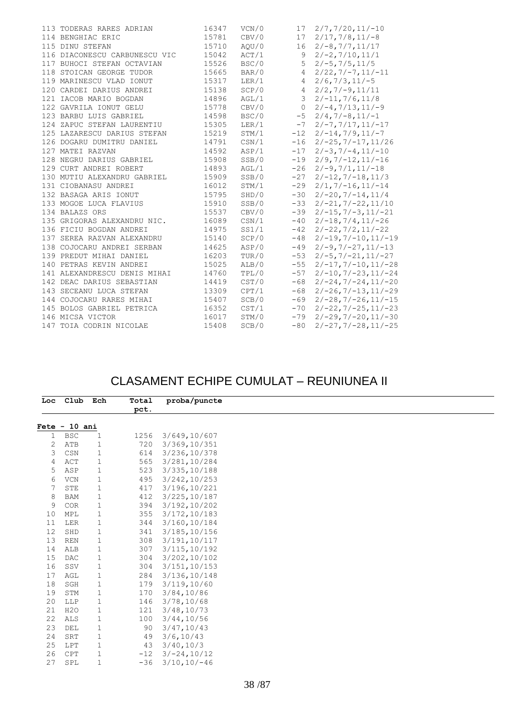|  | 113 TODERAS RARES ADRIAN      | 16347 | VCN/0            |                 | $17 \quad 2/7, 7/20, 11/-10$       |
|--|-------------------------------|-------|------------------|-----------------|------------------------------------|
|  | 114 BENGHIAC ERIC             | 15781 | CBV/0            |                 | $17 \quad 2/17, 7/8, 11/-8$        |
|  | 115 DINU STEFAN               | 15710 | AQU/0            | 16              | $2/-8, 7/7, 11/17$                 |
|  | 116 DIACONESCU CARBUNESCU VIC | 15042 | ACT/1            | 9               | $2/-2, 7/10, 11/1$                 |
|  | 117 BUHOCI STEFAN OCTAVIAN    | 15526 | BSC/0            | 5               | $2/-5, 7/5, 11/5$                  |
|  | 118 STOICAN GEORGE TUDOR      | 15665 | BAR/0            | $\overline{4}$  | $2/22, 7/ - 7, 11/ - 11$           |
|  | 119 MARINESCU VLAD IONUT      | 15317 | LER/1            | $\overline{4}$  | $2/6, 7/3, 11/ - 5$                |
|  | 120 CARDEI DARIUS ANDREI      | 15138 | SCP/0            | $4\overline{ }$ | $2/2, 7/-9, 11/11$                 |
|  | 121 IACOB MARIO BOGDAN        | 14896 | AGL/1            |                 | $3 \quad 2/-11, 7/6, 11/8$         |
|  | 122 GAVRILA IONUT GELU        | 15778 | CBV/0            | $\overline{0}$  | $2/-4, 7/13, 11/-9$                |
|  | 123 BARBU LUIS GABRIEL        | 14598 | BSC/0            | $-5$            | $2/4, 7/-8, 11/-1$                 |
|  | 124 ZAPUC STEFAN LAURENTIU    | 15305 | LER/1            | $-7$            | $2/-7, 7/17, 11/-17$               |
|  | 125 LAZARESCU DARIUS STEFAN   | 15219 | STM/1            |                 | $-12$ $2/-14, 7/9, 11/-7$          |
|  | 126 DOGARU DUMITRU DANIEL     | 14791 | $\texttt{CSN}/1$ | $-16$           | $2/-25, 7/-17, 11/26$              |
|  | 127 MATEI RAZVAN              | 14592 | ASP/1            | $-17$           | $2/-3, 7/-4, 11/-10$               |
|  | 128 NEGRU DARIUS GABRIEL      | 15908 | SSB/0            | $-19$           | $2/9, 7/ - 12, 11/ - 16$           |
|  | 129 CURT ANDREI ROBERT        | 14893 | AGL/1            |                 | $-26$ $2/-9$ , $7/1$ , $11/-18$    |
|  | 130 MUTIU ALEXANDRU GABRIEL   | 15909 | SSB/0            | $-27$           | $2/-12, 7/-18, 11/3$               |
|  | 131 CIOBANASU ANDREI          | 16012 | STM/1            | $-29$           | $2/1, 7/-16, 11/-14$               |
|  | 132 BASAGA ARIS IONUT         | 15795 | SHD/0            | $-30$           | $2/-20, 7/-14, 11/4$               |
|  | 133 MOGOE LUCA FLAVIUS        | 15910 | SSB/0            |                 | $-33$ $2/-21, 7/-22, 11/10$        |
|  | 134 BALAZS ORS                | 15537 | CBV/0            |                 | $-39$ $2/-15, 7/-3, 11/-21$        |
|  | 135 GRIGORAS ALEXANDRU NIC.   | 16089 | CSN/1            |                 | $-40$ $2/-18, 7/4, 11/-26$         |
|  | 136 FICIU BOGDAN ANDREI       | 14975 | SS1/1            |                 | $-42$ $2/-22, 7/2, 11/-22$         |
|  | 137 SEREA RAZVAN ALEXANDRU    | 15140 | SCP/0            |                 | $-48$ $2/-19, 7/-10, 11/-19$       |
|  | 138 COJOCARU ANDREI SERBAN    | 14625 | ASP/0            | $-49$           | $2/-9, 7/-27, 11/-13$              |
|  | 139 PREDUT MIHAI DANIEL       | 16203 | TUR/0            | $-53$           | $2/-5, 7/-21, 11/-27$              |
|  | 140 PETRAS KEVIN ANDREI       | 15025 | ALB/0            | $-55$           | $2/-17, 7/-10, 11/-28$             |
|  | 141 ALEXANDRESCU DENIS MIHAI  | 14760 | TPL/0            | $-57$           | $2/-10, 7/-23, 11/-24$             |
|  | 142 DEAC DARIUS SEBASTIAN     | 14419 | CST/0            | $-68$           | $2/-24, 7/-24, 11/-20$             |
|  | 143 SECEANU LUCA STEFAN       | 13309 | CPT/1            | $-68$           | $2/-26$ , $7/-13$ , $11/-29$       |
|  | 144 COJOCARU RARES MIHAI      | 15407 | SCB/0            | -69             | $2/-28, 7/-26, 11/-15$             |
|  | 145 BOLOS GABRIEL PETRICA     | 16352 | $\texttt{CST}/1$ | $-70$           | $2/-22$ , $7/-25$ , $11/-23$       |
|  | 146 MICSA VICTOR              | 16017 | STM/0            |                 | $-79$ $2/-29$ , $7/-20$ , $11/-30$ |
|  | 147 TOIA CODRIN NICOLAE       | 15408 | SCB/0            | $-80$           | $2/-27, 7/-28, 11/-25$             |
|  |                               |       |                  |                 |                                    |

### CLASAMENT ECHIPE CUMULAT – REUNIUNEA II

|    | Loc Club Ech    |              | Total | proba/puncte   |  |
|----|-----------------|--------------|-------|----------------|--|
|    |                 |              | pct.  |                |  |
|    | $Fete - 10 ani$ |              |       |                |  |
| 1  | <b>BSC</b>      | $\mathbf 1$  | 1256  | 3/649,10/607   |  |
| 2  | ATB             | 1            | 720   | 3/369,10/351   |  |
| 3  | CSN             | $\mathbf 1$  | 614   | 3/236, 10/378  |  |
| 4  | ACT             | $\mathbf 1$  | 565   | 3/281,10/284   |  |
| 5  | ASP             | $\mathbf{1}$ | 523   | 3/335,10/188   |  |
| 6  | <b>VCN</b>      | $\mathbf{1}$ | 495   | 3/242, 10/253  |  |
|    | STE             | 1            | 417   | 3/196,10/221   |  |
| 8  | <b>BAM</b>      | $\mathbf{1}$ | 412   | 3/225,10/187   |  |
| 9  | <b>COR</b>      | $\mathbf{1}$ | 394   | 3/192,10/202   |  |
| 10 | MPL             | $\mathbf 1$  | 355   | 3/172,10/183   |  |
| 11 | LER             | $\mathbf{1}$ | 344   | 3/160,10/184   |  |
| 12 | SHD             | $\mathbf 1$  | 341   | 3/185,10/156   |  |
| 13 | <b>REN</b>      | $\mathbf{1}$ | 308   | 3/191,10/117   |  |
| 14 | ALB             | $\mathbf 1$  | 307   | 3/115, 10/192  |  |
| 15 | DAC             | $\mathbf 1$  | 304   | 3/202, 10/102  |  |
| 16 | SSV             | 1            | 304   | 3/151, 10/153  |  |
| 17 | AGL             | 1            | 284   | 3/136,10/148   |  |
| 18 | SGH             | $\mathbf{1}$ | 179   | 3/119, 10/60   |  |
| 19 | STM             | 1            | 170   | 3/84, 10/86    |  |
| 20 | LLP             | $\mathbf{1}$ | 146   | 3/78, 10/68    |  |
| 21 | H2O             | $\mathbf{1}$ | 121   | 3/48, 10/73    |  |
| 22 | ALS             | 1            | 100   | 3/44, 10/56    |  |
| 23 | DEL             | $\mathbf{1}$ | 90    | 3/47, 10/43    |  |
| 24 | SRT             | 1            | 49    | 3/6, 10/43     |  |
| 25 | LPT             | $\mathbf{1}$ | 43    | 3/40, 10/3     |  |
| 26 | CPT             | 1            | $-12$ | $3/-24,10/12$  |  |
| 27 | SPL             | $\mathbf 1$  | $-36$ | $3/10, 10/-46$ |  |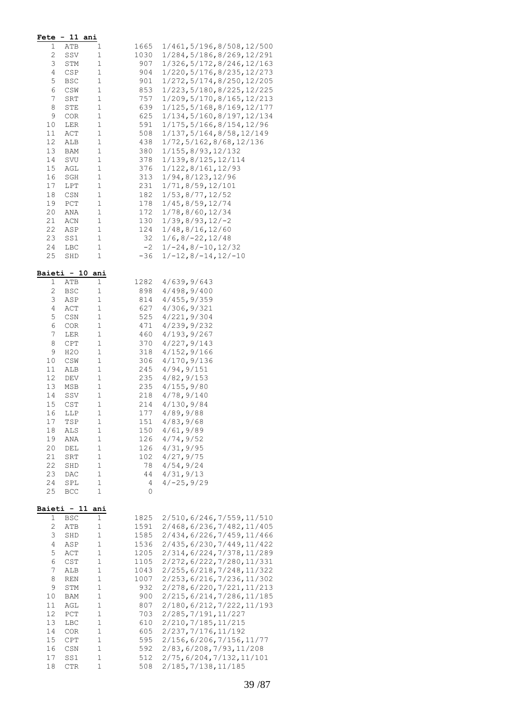|              | <b>Fete - 11 ani</b> |                            |              |                                                            |
|--------------|----------------------|----------------------------|--------------|------------------------------------------------------------|
| 1            | ATB                  | 1                          | 1665         | 1/461, 5/196, 8/508, 12/500                                |
| $\mathbf{2}$ | SSV                  | $\mathbf 1$                | 1030         | 1/284, 5/186, 8/269, 12/291                                |
| 3            | STM                  | 1                          | 907          | 1/326, 5/172, 8/246, 12/163                                |
| 4            | CSP                  | 1                          | 904          | 1/220, 5/176, 8/235, 12/273                                |
| 5<br>6       | BSC                  | $\mathbf 1$                | 901          | 1/272, 5/174, 8/250, 12/205                                |
| 7            | CSW<br>SRT           | $1\,$<br>$\mathbf 1$       | 853<br>757   | 1/223, 5/180, 8/225, 12/225<br>1/209, 5/170, 8/165, 12/213 |
| 8            | STE                  | $\mathbf 1$                | 639          | 1/125, 5/168, 8/169, 12/177                                |
| 9            | <b>COR</b>           | $\mathbf 1$                | 625          | 1/134, 5/160, 8/197, 12/134                                |
| 10           | LER                  | $1\,$                      | 591          | 1/175, 5/166, 8/154, 12/96                                 |
| 11           | ACT                  | $\mathbf 1$                | 508          | 1/137, 5/164, 8/58, 12/149                                 |
| 12           | ALB                  | $\mathbf 1$                | 438          | 1/72, 5/162, 8/68, 12/136                                  |
| 13           | BAM                  | 1                          | 380          | 1/155,8/93,12/132                                          |
| 14<br>15     | SVU<br>AGL           | $\mathbf 1$<br>$\mathbf 1$ | 378<br>376   | 1/139,8/125,12/114<br>1/122,8/161,12/93                    |
| 16           | SGH                  | $\mathbf 1$                | 313          | 1/94,8/123,12/96                                           |
| 17           | LPT                  | 1                          | 231          | 1/71,8/59,12/101                                           |
| 18           | CSN                  | $\mathbf 1$                | 182          | 1/53, 8/77, 12/52                                          |
| 19           | PCT                  | $\mathbf 1$                | 178          | 1/45, 8/59, 12/74                                          |
| 20           | ANA                  | 1                          | 172          | 1/78,8/60,12/34                                            |
| 21           | ACN                  | $\mathbf 1$                | 130          | $1/39, 8/93, 12/-2$                                        |
| 22<br>23     | ASP                  | $\mathbf 1$                | 124<br>32    | 1/48, 8/16, 12/60                                          |
| 24           | SS1<br>LBC           | 1<br>$\mathbf 1$           | $-2$         | $1/6$ , 8/-22, 12/48<br>$1/-24, 8/-10, 12/32$              |
| 25           | SHD                  | 1                          | $-36$        | $1/-12, 8/-14, 12/-10$                                     |
|              |                      |                            |              |                                                            |
|              | Baieti - 10          | ani                        |              |                                                            |
| 1<br>2       | ATB<br><b>BSC</b>    | 1<br>$\mathbf 1$           | 1282<br>898  | 4/639, 9/643<br>4/498, 9/400                               |
| 3            | ASP                  | $\mathbf 1$                | 814          | 4/455, 9/359                                               |
| 4            | ACT                  | $\mathbf 1$                | 627          | 4/306, 9/321                                               |
| 5            | CSN                  | $\mathbf 1$                | 525          | 4/221, 9/304                                               |
| 6            | COR                  | 1                          | 471          | 4/239, 9/232                                               |
| 7            | LER                  | $\mathbf 1$                | 460          | 4/193, 9/267                                               |
| 8            | CPT                  | $\mathbf 1$                | 370          | 4/227, 9/143                                               |
| 9<br>10      | H2O<br>CSW           | 1<br>$\mathbf 1$           | 318<br>306   | 4/152, 9/166<br>4/170, 9/136                               |
| 11           | ALB                  | $\mathbf 1$                | 245          | 4/94, 9/151                                                |
| 12           | DEV                  | 1                          | 235          | 4/82, 9/153                                                |
| 13           | MSB                  | 1                          | 235          | 4/155, 9/80                                                |
| 14           | SSV                  | $\mathbf 1$                | 218          | 4/78,9/140                                                 |
| 15           | CST                  | $\mathbf 1$                | 214          | 4/130, 9/84                                                |
| 16           | LLP                  | 1                          | 177          | 4/89, 9/88                                                 |
| 17<br>18     | TSP<br>ALS           | 1<br>$\mathbf 1$           | 151<br>150   | 4/83, 9/68<br>4/61, 9/89                                   |
| 19           | ANA                  | $\mathbf 1$                | 126          | 4/74, 9/52                                                 |
| 20           | DEL                  | $\mathbf 1$                | 126          | 4/31, 9/95                                                 |
| 21           | SRT                  | $\mathbf 1$                | 102          | 4/27, 9/75                                                 |
| 22           | SHD                  | $\mathbf 1$                | 78           | 4/54, 9/24                                                 |
| 23           | DAC                  | $\mathbf 1$                | 44           | 4/31, 9/13                                                 |
| 24<br>25     | SPL<br>BCC           | $\mathbf 1$<br>$\mathbf 1$ | 4<br>0       | $4/-25,9/29$                                               |
|              |                      |                            |              |                                                            |
|              | Baieti - 11          | ani                        |              |                                                            |
| 1            | <b>BSC</b>           | $\mathbf 1$                | 1825         | 2/510,6/246,7/559,11/510                                   |
| 2<br>3       | ATB<br>SHD           | 1<br>$\mathbf 1$           | 1591<br>1585 | 2/468, 6/236, 7/482, 11/405<br>2/434, 6/226, 7/459, 11/466 |
| 4            | ASP                  | $\mathbf 1$                | 1536         | 2/435, 6/230, 7/449, 11/422                                |
| 5            | ACT                  | $\mathbf 1$                | 1205         | 2/314,6/224,7/378,11/289                                   |
| 6            | CST                  | $\mathbf 1$                | 1105         | 2/272, 6/222, 7/280, 11/331                                |
| 7            | ALB                  | $\mathbf 1$                | 1043         | 2/255, 6/218, 7/248, 11/322                                |
| 8            | REN                  | $1\,$                      | 1007         | 2/253, 6/216, 7/236, 11/302                                |
| 9            | STM                  | $\mathbf 1$                | 932          | 2/278, 6/220, 7/221, 11/213                                |
| 10<br>11     | BAM<br>AGL           | $\mathbf 1$<br>$\mathbf 1$ | 900<br>807   | 2/215, 6/214, 7/286, 11/185<br>2/180, 6/212, 7/222, 11/193 |
| 12           | $_{\rm PCT}$         | $\mathbf 1$                | 703          | 2/285, 7/191, 11/227                                       |
| 13           | LBC                  | $\mathbf 1$                | 610          | 2/210, 7/185, 11/215                                       |
| 14           | COR                  | $\mathbf 1$                | 605          | 2/237, 7/176, 11/192                                       |
| 15           | CPT                  | $\mathbf 1$                | 595          | 2/156, 6/206, 7/156, 11/77                                 |
| 16           | CSN                  | $\mathbf 1$                | 592          | 2/83, 6/208, 7/93, 11/208                                  |
| 17           | SS1                  | $\mathbf 1$<br>$\mathbf 1$ | 512          | 2/75, 6/204, 7/132, 11/101                                 |
| 18           | $_{\rm CTR}$         |                            | 508          | 2/185, 7/138, 11/185                                       |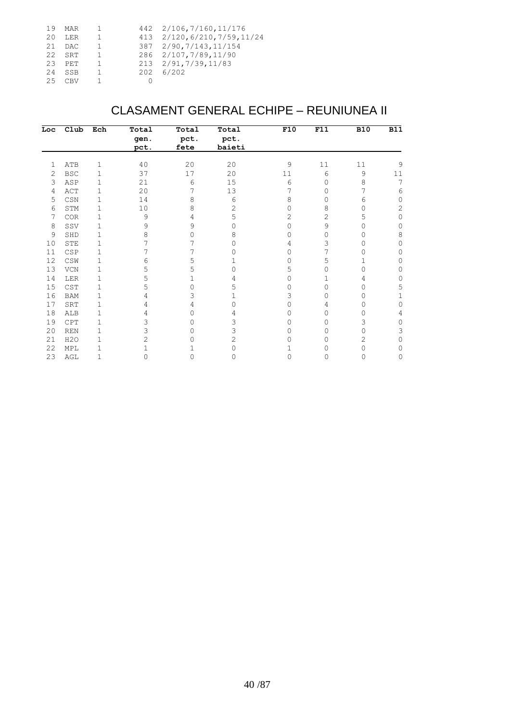|     | 19 MAR   | $-1$           | 442 2/106, 7/160, 11/176      |
|-----|----------|----------------|-------------------------------|
| 20. | LER      | $\mathbf{1}$   | 413 2/120, 6/210, 7/59, 11/24 |
|     | 21 DAC   | $\overline{1}$ | 387 2/90, 7/143, 11/154       |
|     | $22$ SRT | $\overline{1}$ | 286 2/107, 7/89, 11/90        |
|     | $23$ PET | $\overline{1}$ | 213 2/91, 7/39, 11/83         |
|     | 24 SSB   | $\overline{1}$ | 202 6/202                     |
|     | $25$ CBV |                |                               |
|     |          |                |                               |

### CLASAMENT GENERAL ECHIPE – REUNIUNEA II

| Loc | $_{\text{club}}$                 | Ech         | Total    | Total | Total  | F10      | F11 | <b>B10</b> | <b>B11</b>   |
|-----|----------------------------------|-------------|----------|-------|--------|----------|-----|------------|--------------|
|     |                                  |             | gen.     | pct.  | pct.   |          |     |            |              |
|     |                                  |             | pct.     | fete  | baieti |          |     |            |              |
| 1   | ATB                              | 1           | 40       | 20    | 20     | 9        | 11  | $11\,$     | 9            |
| 2   | <b>BSC</b>                       | 1           | 37       | 17    | 20     | 11       | 6   | 9          | 11           |
| 3   | ASP                              | 1           | 21       | 6     | 15     | 6        | 0   | 8          | 7            |
| 4   | ACT                              | 1           | 20       | 7     | 13     | 7        | 0   | 7          | 6            |
| 5   | $\mathbb{C}\mathbb{S}\mathbb{N}$ | 1           | 14       | 8     | 6      | 8        | 0   | 6          | 0            |
| 6   | STM                              | 1           | $10$     | 8     | 2      | 0        | 8   | 0          | $\mathbf{2}$ |
| 7   | COR                              | 1           | 9        | 4     | 5      | 2        | 2   | 5          | 0            |
| 8   | SSV                              | 1           | 9        | 9     | 0      | $\Omega$ | 9   | 0          | $\mathbf{0}$ |
| 9   | SHD                              | 1           | 8        | 0     | 8      | 0        | 0   | 0          | 8            |
| 10  | STE                              | 1           |          |       | 0      | 4        | 3   | 0          | 0            |
| 11  | CSP                              | 1           | 7        |       |        | 0        | 7   | Ω          | 0            |
| 12  | $\mathbb{CSW}$                   | 1           | 6        | 5     |        | 0        | 5   |            | 0            |
| 13  | ${\tt VCN}$                      | 1           | 5        | 5     | 0      | 5        | 0   | 0          | 0            |
| 14  | LER                              | 1           | 5        |       | 4      | 0        |     | 4          | 0            |
| 15  | CST                              | $\mathbf 1$ | 5        | O     | 5      | 0        | 0   | 0          | 5            |
| 16  | <b>BAM</b>                       | 1           | 4        | 3     |        | 3        | 0   | 0          |              |
| 17  | SRT                              | 1           | 4        | 4     | 0      | 0        | 4   | 0          | 0            |
| 18  | ALB                              | 1           | 4        | 0     | 4      | 0        | 0   | Ω          | 4            |
| 19  | CPT                              | 1           | 3        | 0     | 3      | 0        | 0   | 3          | 0            |
| 20  | <b>REN</b>                       | 1           | 3        | 0     | 3      | 0        | 0   | 0          | 3            |
| 21  | H2O                              | 1           | 2        | Ω     | 2      | 0        | 0   | 2          | 0            |
| 22  | MPL                              |             |          |       | Ω      |          |     | 0          | 0            |
| 23  | AGL                              | 1           | $\Omega$ | 0     | 0      | 0        | 0   | 0          | 0            |
|     |                                  |             |          |       |        |          |     |            |              |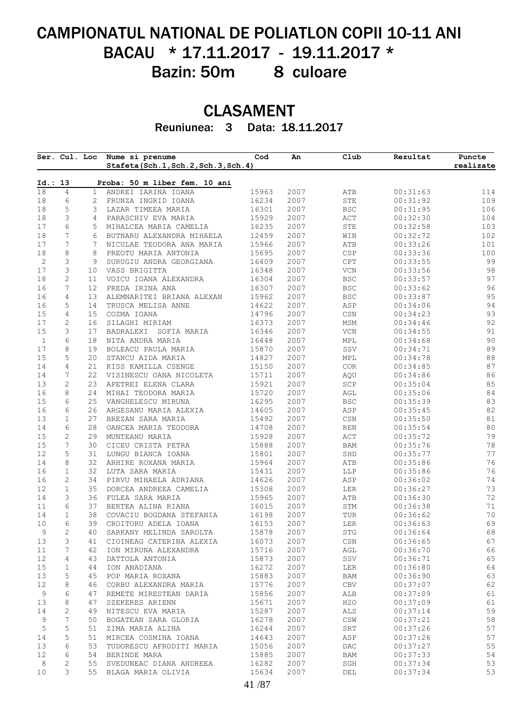# CAMPIONATUL NATIONAL DE POLIATLON COPII 10-11 ANI BACAU \* 17.11.2017 - 19.11.2017 \* Bazin: 50m 8 culoare

## CLASAMENT

Reuniunea: 3 Data: 18.11.2017

| 1<br>2<br>3<br>$\overline{4}$<br>5<br>6<br>7<br>8<br>9<br>10<br>11<br>12<br>13<br>14<br>15<br>16<br>17<br>18<br>19<br>20<br>21<br>22 | Proba: 50 m liber fem. 10 ani<br>ANDREI IARINA IOANA<br>FRUNZA INGRID IOANA<br>LAZAR TIMEEA MARIA<br>PARASCHIV EVA MARIA<br>MIHALCEA MARIA CAMELIA<br>BUTNARU ALEXANDRA MIHAELA<br>NICULAE TEODORA ANA MARIA<br>PREOTU MARIA ANTONIA<br>SURUGIU ANDRA GEORGIANA<br>VASS BRIGITTA<br>VOICU IOANA ALEXANDRA<br>PREDA IRINA ANA<br>ALEMNARITEI BRIANA ALEXAN<br>TRUSCA MELISA ANNE<br>COZMA IOANA<br>SILAGHI MIRIAM<br>BADRALEXI SOFIA MARIA<br>NITA ANDRA MARIA | 15963<br>16234<br>16301<br>15929<br>16235<br>12459<br>15966<br>15695<br>16409<br>16348<br>16304<br>16307<br>15962<br>14622<br>14796<br>16373                                                                                                                                      | 2007<br>2007<br>2007<br>2007<br>2007<br>2007<br>2007<br>2007<br>2007<br>2007<br>2007<br>2007<br>2007<br>2007<br>2007 | ATB<br>${\tt STE}$<br><b>BSC</b><br>ACT<br>STE<br>WIN<br>ATB<br>CSP<br>CPT<br>$\ensuremath{\text{VCN}}$<br>$_{\rm BSC}$<br><b>BSC</b><br><b>BSC</b><br>ASP<br>CSN | 00:31:63<br>00:31:92<br>00:31:95<br>00:32:30<br>00:32:58<br>00:32:72<br>00:33:26<br>00:33:36<br>00:33:55<br>00:33:56<br>00:33:57<br>00:33:62<br>00:33:87<br>00:34:06 | 114<br>109<br>106<br>104<br>103<br>102<br>101<br>100<br>99<br>98<br>97<br>96<br>95<br>94<br>93 |
|--------------------------------------------------------------------------------------------------------------------------------------|---------------------------------------------------------------------------------------------------------------------------------------------------------------------------------------------------------------------------------------------------------------------------------------------------------------------------------------------------------------------------------------------------------------------------------------------------------------|-----------------------------------------------------------------------------------------------------------------------------------------------------------------------------------------------------------------------------------------------------------------------------------|----------------------------------------------------------------------------------------------------------------------|-------------------------------------------------------------------------------------------------------------------------------------------------------------------|----------------------------------------------------------------------------------------------------------------------------------------------------------------------|------------------------------------------------------------------------------------------------|
|                                                                                                                                      |                                                                                                                                                                                                                                                                                                                                                                                                                                                               |                                                                                                                                                                                                                                                                                   |                                                                                                                      |                                                                                                                                                                   |                                                                                                                                                                      |                                                                                                |
|                                                                                                                                      |                                                                                                                                                                                                                                                                                                                                                                                                                                                               |                                                                                                                                                                                                                                                                                   |                                                                                                                      |                                                                                                                                                                   |                                                                                                                                                                      |                                                                                                |
|                                                                                                                                      |                                                                                                                                                                                                                                                                                                                                                                                                                                                               |                                                                                                                                                                                                                                                                                   |                                                                                                                      |                                                                                                                                                                   |                                                                                                                                                                      |                                                                                                |
|                                                                                                                                      |                                                                                                                                                                                                                                                                                                                                                                                                                                                               |                                                                                                                                                                                                                                                                                   |                                                                                                                      |                                                                                                                                                                   |                                                                                                                                                                      |                                                                                                |
|                                                                                                                                      |                                                                                                                                                                                                                                                                                                                                                                                                                                                               |                                                                                                                                                                                                                                                                                   |                                                                                                                      |                                                                                                                                                                   |                                                                                                                                                                      |                                                                                                |
|                                                                                                                                      |                                                                                                                                                                                                                                                                                                                                                                                                                                                               |                                                                                                                                                                                                                                                                                   |                                                                                                                      |                                                                                                                                                                   |                                                                                                                                                                      |                                                                                                |
|                                                                                                                                      |                                                                                                                                                                                                                                                                                                                                                                                                                                                               |                                                                                                                                                                                                                                                                                   |                                                                                                                      |                                                                                                                                                                   |                                                                                                                                                                      |                                                                                                |
|                                                                                                                                      |                                                                                                                                                                                                                                                                                                                                                                                                                                                               |                                                                                                                                                                                                                                                                                   |                                                                                                                      |                                                                                                                                                                   |                                                                                                                                                                      |                                                                                                |
|                                                                                                                                      |                                                                                                                                                                                                                                                                                                                                                                                                                                                               |                                                                                                                                                                                                                                                                                   |                                                                                                                      |                                                                                                                                                                   |                                                                                                                                                                      |                                                                                                |
|                                                                                                                                      |                                                                                                                                                                                                                                                                                                                                                                                                                                                               |                                                                                                                                                                                                                                                                                   |                                                                                                                      |                                                                                                                                                                   |                                                                                                                                                                      |                                                                                                |
|                                                                                                                                      |                                                                                                                                                                                                                                                                                                                                                                                                                                                               |                                                                                                                                                                                                                                                                                   |                                                                                                                      |                                                                                                                                                                   |                                                                                                                                                                      |                                                                                                |
|                                                                                                                                      |                                                                                                                                                                                                                                                                                                                                                                                                                                                               |                                                                                                                                                                                                                                                                                   |                                                                                                                      |                                                                                                                                                                   |                                                                                                                                                                      |                                                                                                |
|                                                                                                                                      |                                                                                                                                                                                                                                                                                                                                                                                                                                                               |                                                                                                                                                                                                                                                                                   |                                                                                                                      |                                                                                                                                                                   |                                                                                                                                                                      |                                                                                                |
|                                                                                                                                      |                                                                                                                                                                                                                                                                                                                                                                                                                                                               |                                                                                                                                                                                                                                                                                   |                                                                                                                      |                                                                                                                                                                   |                                                                                                                                                                      |                                                                                                |
|                                                                                                                                      |                                                                                                                                                                                                                                                                                                                                                                                                                                                               |                                                                                                                                                                                                                                                                                   |                                                                                                                      |                                                                                                                                                                   |                                                                                                                                                                      |                                                                                                |
|                                                                                                                                      |                                                                                                                                                                                                                                                                                                                                                                                                                                                               |                                                                                                                                                                                                                                                                                   |                                                                                                                      |                                                                                                                                                                   | 00:34:23                                                                                                                                                             |                                                                                                |
|                                                                                                                                      |                                                                                                                                                                                                                                                                                                                                                                                                                                                               |                                                                                                                                                                                                                                                                                   | 2007                                                                                                                 | MSM                                                                                                                                                               | 00:34:46                                                                                                                                                             | 92                                                                                             |
|                                                                                                                                      |                                                                                                                                                                                                                                                                                                                                                                                                                                                               | 16346                                                                                                                                                                                                                                                                             | 2007                                                                                                                 | $\ensuremath{\text{VCN}}$                                                                                                                                         | 00:34:55                                                                                                                                                             | 91                                                                                             |
|                                                                                                                                      |                                                                                                                                                                                                                                                                                                                                                                                                                                                               | 16448                                                                                                                                                                                                                                                                             | 2007                                                                                                                 | MPL                                                                                                                                                               | 00:34:68                                                                                                                                                             | $90$                                                                                           |
|                                                                                                                                      | BOLEACU PAULA MARIA                                                                                                                                                                                                                                                                                                                                                                                                                                           | 15870                                                                                                                                                                                                                                                                             | 2007                                                                                                                 | SSV                                                                                                                                                               | 00:34:71                                                                                                                                                             | 89                                                                                             |
|                                                                                                                                      | STANCU AIDA MARIA                                                                                                                                                                                                                                                                                                                                                                                                                                             | 14827                                                                                                                                                                                                                                                                             | 2007                                                                                                                 | MPL                                                                                                                                                               | 00:34:78                                                                                                                                                             | $8\,8$                                                                                         |
|                                                                                                                                      | KISS KAMILLA CSENGE                                                                                                                                                                                                                                                                                                                                                                                                                                           | 15150                                                                                                                                                                                                                                                                             | 2007                                                                                                                 | COR                                                                                                                                                               | 00:34:85                                                                                                                                                             | 87                                                                                             |
|                                                                                                                                      | VISINESCU OANA NICOLETA                                                                                                                                                                                                                                                                                                                                                                                                                                       | 15711                                                                                                                                                                                                                                                                             | 2007                                                                                                                 | AQU                                                                                                                                                               | 00:34:86                                                                                                                                                             | 86                                                                                             |
| 23                                                                                                                                   | APETREI ELENA CLARA                                                                                                                                                                                                                                                                                                                                                                                                                                           | 15921                                                                                                                                                                                                                                                                             | 2007                                                                                                                 | SCP                                                                                                                                                               | 00:35:04                                                                                                                                                             |                                                                                                |
| 24                                                                                                                                   | MIHAI TEODORA MARIA                                                                                                                                                                                                                                                                                                                                                                                                                                           | 15720                                                                                                                                                                                                                                                                             | 2007                                                                                                                 | AGL                                                                                                                                                               | 00:35:06                                                                                                                                                             |                                                                                                |
| 25                                                                                                                                   | VANGHELESCU MIRUNA                                                                                                                                                                                                                                                                                                                                                                                                                                            | 16295                                                                                                                                                                                                                                                                             | 2007                                                                                                                 | <b>BSC</b>                                                                                                                                                        | 00:35:39                                                                                                                                                             | 84<br>83                                                                                       |
| 26                                                                                                                                   | ARGESANU MARIA ALEXIA                                                                                                                                                                                                                                                                                                                                                                                                                                         | 14605                                                                                                                                                                                                                                                                             | 2007                                                                                                                 | ASP                                                                                                                                                               | 00:35:45                                                                                                                                                             | $8\sqrt{2}$                                                                                    |
| 27                                                                                                                                   | BREZAN SARA MARIA                                                                                                                                                                                                                                                                                                                                                                                                                                             | 15492                                                                                                                                                                                                                                                                             | 2007                                                                                                                 | $\mathbb{C}\mathbb{S}\mathbb{N}$                                                                                                                                  | 00:35:50                                                                                                                                                             | $8\,1$                                                                                         |
| 28                                                                                                                                   | OANCEA MARIA TEODORA                                                                                                                                                                                                                                                                                                                                                                                                                                          | 14708                                                                                                                                                                                                                                                                             | 2007                                                                                                                 | <b>REN</b>                                                                                                                                                        | 00:35:54                                                                                                                                                             | $8\,0$                                                                                         |
| 29                                                                                                                                   | MUNTEANU MARIA                                                                                                                                                                                                                                                                                                                                                                                                                                                | 15928                                                                                                                                                                                                                                                                             | 2007                                                                                                                 | ACT                                                                                                                                                               | 00:35:72                                                                                                                                                             | 79                                                                                             |
| 30                                                                                                                                   | CICEU CRISTA PETRA                                                                                                                                                                                                                                                                                                                                                                                                                                            | 15888                                                                                                                                                                                                                                                                             | 2007                                                                                                                 | BAM                                                                                                                                                               | 00:35:76                                                                                                                                                             | 78                                                                                             |
| 31                                                                                                                                   |                                                                                                                                                                                                                                                                                                                                                                                                                                                               | 15801                                                                                                                                                                                                                                                                             | 2007                                                                                                                 | SHD                                                                                                                                                               |                                                                                                                                                                      | 77                                                                                             |
| 32                                                                                                                                   | LUNGU BIANCA IOANA<br>ARHIRE ROXANA MARIA                                                                                                                                                                                                                                                                                                                                                                                                                     | 15964                                                                                                                                                                                                                                                                             | 2007                                                                                                                 | ATB                                                                                                                                                               | 00:35:77<br>00:35:86                                                                                                                                                 | 76                                                                                             |
| 32                                                                                                                                   | LUTA SARA MARIA                                                                                                                                                                                                                                                                                                                                                                                                                                               | 15431                                                                                                                                                                                                                                                                             | 2007                                                                                                                 |                                                                                                                                                                   |                                                                                                                                                                      | 76                                                                                             |
|                                                                                                                                      |                                                                                                                                                                                                                                                                                                                                                                                                                                                               |                                                                                                                                                                                                                                                                                   |                                                                                                                      | LLP                                                                                                                                                               | 00:35:86                                                                                                                                                             | 74                                                                                             |
| 34                                                                                                                                   | PIRVU MIHAELA ADRIANA                                                                                                                                                                                                                                                                                                                                                                                                                                         | 14626                                                                                                                                                                                                                                                                             | 2007                                                                                                                 | ASP                                                                                                                                                               | 00:36:02                                                                                                                                                             |                                                                                                |
| 35                                                                                                                                   | DORCEA ANDREEA CAMELIA                                                                                                                                                                                                                                                                                                                                                                                                                                        | 15308                                                                                                                                                                                                                                                                             | 2007                                                                                                                 | LER                                                                                                                                                               | 00:36:27                                                                                                                                                             | 73                                                                                             |
| 36                                                                                                                                   | FULEA SARA MARIA                                                                                                                                                                                                                                                                                                                                                                                                                                              | 15965                                                                                                                                                                                                                                                                             | 2007                                                                                                                 | ATB                                                                                                                                                               | 00:36:30                                                                                                                                                             | 72                                                                                             |
| 37                                                                                                                                   | BERTEA ALINA RIANA                                                                                                                                                                                                                                                                                                                                                                                                                                            | 16015                                                                                                                                                                                                                                                                             | 2007                                                                                                                 | STM                                                                                                                                                               | 00:36:38                                                                                                                                                             | 71<br>70                                                                                       |
| 38                                                                                                                                   | COVACIU BOGDANA STEFANIA                                                                                                                                                                                                                                                                                                                                                                                                                                      | 16198                                                                                                                                                                                                                                                                             | 2007                                                                                                                 | TUR                                                                                                                                                               | 00:36:62                                                                                                                                                             | 69                                                                                             |
|                                                                                                                                      |                                                                                                                                                                                                                                                                                                                                                                                                                                                               |                                                                                                                                                                                                                                                                                   |                                                                                                                      |                                                                                                                                                                   |                                                                                                                                                                      |                                                                                                |
|                                                                                                                                      |                                                                                                                                                                                                                                                                                                                                                                                                                                                               |                                                                                                                                                                                                                                                                                   |                                                                                                                      |                                                                                                                                                                   |                                                                                                                                                                      | 67                                                                                             |
|                                                                                                                                      |                                                                                                                                                                                                                                                                                                                                                                                                                                                               |                                                                                                                                                                                                                                                                                   |                                                                                                                      |                                                                                                                                                                   |                                                                                                                                                                      |                                                                                                |
|                                                                                                                                      |                                                                                                                                                                                                                                                                                                                                                                                                                                                               |                                                                                                                                                                                                                                                                                   |                                                                                                                      |                                                                                                                                                                   |                                                                                                                                                                      |                                                                                                |
|                                                                                                                                      |                                                                                                                                                                                                                                                                                                                                                                                                                                                               |                                                                                                                                                                                                                                                                                   |                                                                                                                      |                                                                                                                                                                   |                                                                                                                                                                      |                                                                                                |
| 44                                                                                                                                   |                                                                                                                                                                                                                                                                                                                                                                                                                                                               | 16272                                                                                                                                                                                                                                                                             |                                                                                                                      |                                                                                                                                                                   | 00:36:80                                                                                                                                                             |                                                                                                |
|                                                                                                                                      | POP MARIA ROXANA                                                                                                                                                                                                                                                                                                                                                                                                                                              |                                                                                                                                                                                                                                                                                   |                                                                                                                      |                                                                                                                                                                   |                                                                                                                                                                      |                                                                                                |
|                                                                                                                                      | CORBU ALEXANDRA MARIA                                                                                                                                                                                                                                                                                                                                                                                                                                         | 15776                                                                                                                                                                                                                                                                             | 2007                                                                                                                 | CBV                                                                                                                                                               | 00:37:07                                                                                                                                                             |                                                                                                |
| 47                                                                                                                                   | REMETE MIRESTEAN DARIA                                                                                                                                                                                                                                                                                                                                                                                                                                        | 15856                                                                                                                                                                                                                                                                             | 2007                                                                                                                 | ALB                                                                                                                                                               | 00:37:09                                                                                                                                                             |                                                                                                |
| 47                                                                                                                                   | SZEKERES ARIENN                                                                                                                                                                                                                                                                                                                                                                                                                                               | 15671                                                                                                                                                                                                                                                                             | 2007                                                                                                                 | H2O                                                                                                                                                               | 00:37:09                                                                                                                                                             |                                                                                                |
|                                                                                                                                      | NITESCU EVA MARIA                                                                                                                                                                                                                                                                                                                                                                                                                                             | 15287                                                                                                                                                                                                                                                                             | 2007                                                                                                                 | ALS                                                                                                                                                               | 00:37:14                                                                                                                                                             |                                                                                                |
|                                                                                                                                      | BOGATEAN SARA GLORIA                                                                                                                                                                                                                                                                                                                                                                                                                                          | 16278                                                                                                                                                                                                                                                                             | 2007                                                                                                                 | CSW                                                                                                                                                               | 00:37:21                                                                                                                                                             |                                                                                                |
| 51                                                                                                                                   | ZIMA MARIA ALINA                                                                                                                                                                                                                                                                                                                                                                                                                                              | 16244                                                                                                                                                                                                                                                                             | 2007                                                                                                                 | SRT                                                                                                                                                               | 00:37:26                                                                                                                                                             |                                                                                                |
|                                                                                                                                      |                                                                                                                                                                                                                                                                                                                                                                                                                                                               | 14643                                                                                                                                                                                                                                                                             | 2007                                                                                                                 | ASP                                                                                                                                                               | 00:37:26                                                                                                                                                             |                                                                                                |
|                                                                                                                                      | TUDORESCU AFRODITI MARIA                                                                                                                                                                                                                                                                                                                                                                                                                                      | 15056                                                                                                                                                                                                                                                                             | 2007                                                                                                                 | DAC                                                                                                                                                               | 00:37:27                                                                                                                                                             |                                                                                                |
|                                                                                                                                      | BERINDE MARA                                                                                                                                                                                                                                                                                                                                                                                                                                                  | 15885                                                                                                                                                                                                                                                                             | 2007                                                                                                                 | BAM                                                                                                                                                               | 00:37:33                                                                                                                                                             |                                                                                                |
|                                                                                                                                      |                                                                                                                                                                                                                                                                                                                                                                                                                                                               |                                                                                                                                                                                                                                                                                   |                                                                                                                      |                                                                                                                                                                   |                                                                                                                                                                      |                                                                                                |
|                                                                                                                                      |                                                                                                                                                                                                                                                                                                                                                                                                                                                               |                                                                                                                                                                                                                                                                                   |                                                                                                                      |                                                                                                                                                                   |                                                                                                                                                                      | 53<br>53                                                                                       |
|                                                                                                                                      |                                                                                                                                                                                                                                                                                                                                                                                                                                                               |                                                                                                                                                                                                                                                                                   |                                                                                                                      |                                                                                                                                                                   |                                                                                                                                                                      |                                                                                                |
|                                                                                                                                      | 39                                                                                                                                                                                                                                                                                                                                                                                                                                                            | CROITORU ADELA IOANA<br>40<br>SARKANY MELINDA SAROLTA<br>41 CIOINEAG CATERINA ALEXIA<br>42 ION MIRUNA ALEXANDRA<br>43<br>DATTOLA ANTONIA<br>ION ANADIANA<br>45<br>46<br>49<br>50<br>51 MIRCEA COSMINA IOANA<br>53<br>54<br>SVEDUNEAC DIANA ANDREEA<br>55<br>55 BLAGA MARIA OLIVIA | 16153<br>15878<br>16073<br>15716<br>15873<br>15883<br>16282<br>15634                                                 | 2007<br>2007<br>2007<br>2007<br>2007<br>2007<br>2007<br>2007<br>2007<br>41 / 87                                                                                   | LER<br>STG<br>$\mathbb{CSN}{}$<br>AGL<br>SSV<br>LER<br>BAM<br>SGH<br>DEL                                                                                             | 00:36:63<br>00:36:64<br>00:36:65<br>00:36:70<br>00:36:71<br>00:36:90<br>00:37:34<br>00:37:34   |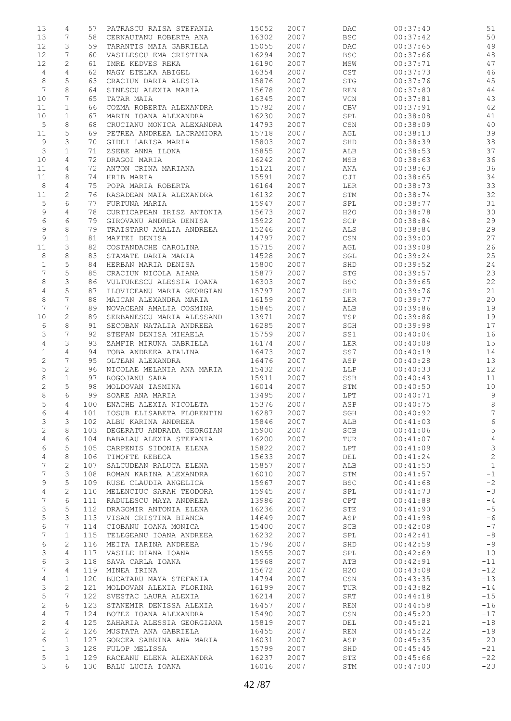| 13              | 4              | 57  | PATRASCU RAISA STEFANIA   | 15052 | 2007 | DAC          | 00:37:40 | 51              |
|-----------------|----------------|-----|---------------------------|-------|------|--------------|----------|-----------------|
| 13              | 7              | 58  | CERNAUTANU ROBERTA ANA    | 16302 | 2007 | <b>BSC</b>   | 00:37:42 | 50              |
| 12              | 3              | 59  | TARANTIS MAIA GABRIELA    | 15055 | 2007 | <b>DAC</b>   | 00:37:65 | 49              |
| 12              | 7              | 60  | VASILESCU EMA CRISTINA    | 16294 | 2007 | <b>BSC</b>   | 00:37:66 | 48              |
| 12              | 2              | 61  | IMRE KEDVES REKA          | 16190 | 2007 | MSW          | 00:37:71 | 47              |
| 4               | $\overline{4}$ | 62  | NAGY ETELKA ABIGEL        | 16354 | 2007 | $_{\tt CST}$ | 00:37:73 | 46              |
| 8               | 5              | 63  | CRACIUN DARIA ALESIA      | 15876 | 2007 | <b>STG</b>   | 00:37:76 | 45              |
| $7\phantom{.0}$ | 8              | 64  | SINESCU ALEXIA MARIA      | 15678 | 2007 | REN          | 00:37:80 | 44              |
| 10              | 7              | 65  | TATAR MAIA                | 16345 | 2007 | VCN          | 00:37:81 | 43              |
| 11              | $\mathbf{1}$   | 66  | COZMA ROBERTA ALEXANDRA   | 15782 | 2007 | <b>CBV</b>   | 00:37:91 | 42              |
| 10              | $\mathbf 1$    | 67  | MARIN IOANA ALEXANDRA     | 16230 | 2007 | SPL          | 00:38:08 | 41              |
| 5               | 8              | 68  | CRUCIANU MONICA ALEXANDRA | 14793 | 2007 | CSN          | 00:38:09 | $40$            |
| 11              | 5              | 69  | PETREA ANDREEA LACRAMIORA | 15718 | 2007 | AGL          | 00:38:13 | 39              |
| 9               | 3              | 70  | GIDEI LARISA MARIA        | 15803 | 2007 | SHD          | 00:38:39 | 38              |
| 3               | $\mathbf 1$    | 71  | ZSEBE ANNA ILONA          | 15855 | 2007 | ALB          | 00:38:53 | 37              |
| 10              | 4              | 72  | DRAGOI MARIA              | 16242 | 2007 | MSB          | 00:38:63 | 36              |
| 11              | 4              | 72  | ANTON CRINA MARIANA       | 15121 | 2007 | ANA          | 00:38:63 | 36              |
| 11              | 8              | 74  | HRIB MARIA                | 15591 | 2007 | CJI          | 00:38:65 | 34              |
| 8               | 4              | 75  | POPA MARIA ROBERTA        | 16164 | 2007 | LER          | 00:38:73 | 33              |
| 11              | 2              | 76  | RASADEAN MAIA ALEXANDRA   | 16132 | 2007 | STM          | 00:38:74 | 32              |
| $\mathsf S$     | 6              | 77  | FURTUNA MARIA             | 15947 | 2007 | SPL          | 00:38:77 | 31              |
| 9               | 4              | 78  | CURTICAPEAN IRISZ ANTONIA | 15673 | 2007 | H2O          | 00:38:78 | 30              |
| 6               | 6              | 79  | GIROVANU ANDREA DENISA    | 15922 | 2007 | SCP          | 00:38:84 | 29              |
| 9               | 8              | 79  | TRAISTARU AMALIA ANDREEA  | 15246 | 2007 | ALS          | 00:38:84 | 29              |
| $\mathsf 9$     | $\mathbf 1$    | 81  | MAFTEI DENISA             | 14797 | 2007 | CSN          | 00:39:00 | 27              |
| 11              | 3              | 82  | COSTANDACHE CAROLINA      | 15715 | 2007 | AGL          | 00:39:08 | 26              |
| 8               | 8              | 83  | STAMATE DARIA MARIA       | 14528 | 2007 | SGL          | 00:39:24 | 25              |
| $\mathbf 1$     | 5              | 84  | HERBAN MARIA DENISA       | 15800 | 2007 | SHD          | 00:39:52 | 24              |
| 7               | 5              | 85  | CRACIUN NICOLA AIANA      | 15877 | 2007 | <b>STG</b>   | 00:39:57 | 23              |
| 8               | 3              | 86  | VULTURESCU ALESSIA IOANA  | 16303 | 2007 | <b>BSC</b>   | 00:39:65 | 22              |
| $\overline{4}$  | $\mathsf S$    | 87  | ILOVICEANU MARIA GEORGIAN | 15797 | 2007 | SHD          | 00:39:76 | 21              |
| 8               | 7              | 88  | MAICAN ALEXANDRA MARIA    | 16159 | 2007 | LER          | 00:39:77 | 20              |
| 7               | 7              | 89  | NOVACEAN AMALIA COSMINA   | 15845 | 2007 | ALB          | 00:39:86 | 19              |
| 10              | $\overline{c}$ | 89  | SERBANESCU MARIA ALESSAND | 13971 | 2007 | TSP          | 00:39:86 | 19              |
| 6               | 8              | 91  | SECOBAN NATALIA ANDREEA   | 16285 | 2007 | SGH          | 00:39:98 | 17              |
| 3               | 7              | 92  | STEFAN DENISA MIHAELA     | 15759 | 2007 | SS1          | 00:40:04 | 16              |
| 4               | 3              | 93  | ZAMFIR MIRUNA GABRIELA    | 16174 | 2007 | LER          | 00:40:08 | 15              |
| $\mathbf 1$     | $\overline{4}$ | 94  | TOBA ANDREEA ATALINA      | 16473 | 2007 | SS7          | 00:40:19 | 14              |
| $\sqrt{2}$      | 7              | 95  | OLTEAN ALEXANDRA          | 16476 | 2007 | ASP          | 00:40:28 | 13              |
| 5               | 2              | 96  | NICOLAE MELANIA ANA MARIA | 15432 | 2007 | LLP          | 00:40:33 | 12              |
| $\,8\,$         | $\mathbf 1$    | 97  | ROGOJANU SARA             | 15911 | 2007 | SSB          | 00:40:43 | 11              |
| 2               | 5              | 98  | MOLDOVAN IASMINA          | 16014 | 2007 | STM          | 00:40:50 | $10$            |
| 8               | 6              | 99  | SOARE ANA MARIA           | 13495 | 2007 | LPT          | 00:40:71 | $\mathsf 9$     |
| 5               | $\overline{4}$ | 100 | ENACHE ALEXIA NICOLETA    | 15376 | 2007 | ASP          | 00:40:75 | 8               |
| 6               | 4              | 101 | IOSUB ELISABETA FLORENTIN | 16287 | 2007 | SGH          | 00:40:92 | $7\phantom{.0}$ |
| 3               | 3              | 102 | ALBU KARINA ANDREEA       | 15846 | 2007 | ALB          | 00:41:03 | 6               |
| 2               | 8              | 103 | DEGERATU ANDRADA GEORGIAN | 15900 | 2007 | <b>SCB</b>   | 00:41:06 | $\mathsf S$     |
| 4               | 6              | 104 | BABALAU ALEXIA STEFANIA   | 16200 | 2007 | TUR          | 00:41:07 | $\overline{4}$  |
| 6               | 5              | 105 | CARPENIS SIDONIA ELENA    | 15822 | 2007 | LPT          | 00:41:09 | $\mathcal{E}$   |
| $\overline{4}$  | 8              | 106 | TIMOFTE REBECA            | 15633 | 2007 | DEL          | 00:41:24 | $\overline{c}$  |
| $7\phantom{.}$  | $\sqrt{2}$     | 107 | SALCUDEAN RALUCA ELENA    | 15857 | 2007 | ALB          | 00:41:50 | $\mathbf{1}$    |
| 7               | 3              | 108 | ROMAN KARINA ALEXANDRA    | 16010 | 2007 | STM          | 00:41:57 | $-1$            |
| 9               | $\mathsf S$    | 109 | RUSE CLAUDIA ANGELICA     | 15967 | 2007 | <b>BSC</b>   | 00:41:68 | $-2$            |
| 4               | $\mathbf{2}$   | 110 | MELENCIUC SARAH TEODORA   | 15945 | 2007 | SPL          | 00:41:73 | $-3$            |
| 7               | 6              | 111 | RADULESCU MAYA ANDREEA    | 13986 | 2007 | CPT          | 00:41:88 | $-4$            |
| 3               | 5              | 112 | DRAGOMIR ANTONIA ELENA    | 16236 | 2007 | STE          | 00:41:90 | $-5$            |
| 5               | 3              | 113 | VISAN CRISTINA BIANCA     | 14649 | 2007 | ASP          | 00:41:98 | $-6$            |
| 6               | 7              | 114 | CIOBANU IOANA MONICA      | 15400 | 2007 | SCB          | 00:42:08 | $-7$            |
| 7               | $\mathbf 1$    | 115 | TELEGEANU IOANA ANDREEA   | 16232 | 2007 | SPL          | 00:42:41 | $-8$            |
| 6               | $\mathbf{2}$   | 116 | MEITA IARINA ANDREEA      | 15796 | 2007 | SHD          | 00:42:59 | $-9$            |
| 3               | 4              | 117 | VASILE DIANA IOANA        | 15955 | 2007 | SPL          | 00:42:69 | $-10$           |
| 6               | 3              | 118 | SAVA CARLA IOANA          | 15968 | 2007 | ATB          | 00:42:91 | $-11$           |
| 7               | 4              | 119 | MINEA IRINA               | 15672 | 2007 | H2O          | 00:43:08 | $-12$           |
| 4               | $\mathbf 1$    | 120 | BUCATARU MAYA STEFANIA    | 14794 | 2007 | CSN          | 00:43:35 | $-13$           |
| 3               | $\mathbf{2}$   | 121 | MOLDOVAN ALEXIA FLORINA   | 16199 | 2007 | TUR          | 00:43:82 | $-14$           |
| 5               | 7              | 122 | SVESTAC LAURA ALEXIA      | 16214 | 2007 | SRT          | 00:44:18 | $-15$           |
| 2               | 6              | 123 | STANEMIR DENISSA ALEXIA   | 16457 | 2007 | REN          | 00:44:58 | $-16$           |
| 4               | 7              | 124 | BOTEZ IOANA ALEXANDRA     | 15490 | 2007 | CSN          | 00:45:20 | $-17$           |
| 2               | 4              | 125 | ZAHARIA ALESSIA GEORGIANA | 15819 | 2007 | DEL          | 00:45:21 | $-18$           |
| $\overline{c}$  | 2              | 126 | MUSTATA ANA GABRIELA      | 16455 | 2007 | <b>REN</b>   | 00:45:22 | $-19$           |
| 6               | $\mathbf 1$    | 127 | GORCEA SABRINA ANA MARIA  | 16031 | 2007 | ASP          | 00:45:35 | $-20$           |
| $\mathbf 1$     | 3              | 128 | FULOP MELISSA             | 15799 | 2007 | SHD          | 00:45:45 | $-21$           |
| 5               | $\mathbf{1}$   | 129 | RACEANU ELENA ALEXANDRA   | 16237 | 2007 | STE          | 00:45:66 | $-22$           |
| 3               | 6              | 130 | BALU LUCIA IOANA          | 16016 | 2007 | STM          | 00:47:00 | $-23$           |
|                 |                |     |                           |       |      |              |          |                 |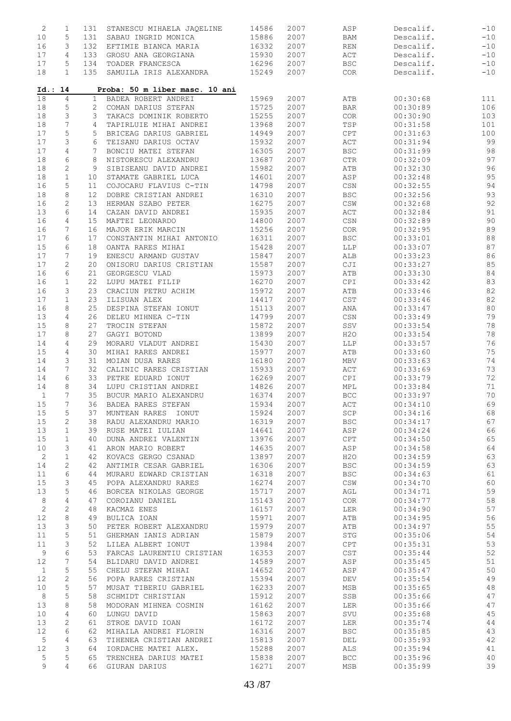| $\mathbf{2}$ | 1            | 131          | STANESCU MIHAELA JAQELINE      | 14586          | 2007         | ASP            | Descalif.            | $-10$    |
|--------------|--------------|--------------|--------------------------------|----------------|--------------|----------------|----------------------|----------|
| 10           | 5            | 131          | SABAU INGRID MONICA            | 15886          | 2007         | <b>BAM</b>     | Descalif.            | $-10$    |
| 16           | 3            | 132          | EFTIMIE BIANCA MARIA           | 16332          | 2007         | REN            | Descalif.            | $-10$    |
| 17           | 4            | 133          | GROSU ANA GEORGIANA            | 15930          | 2007         | ACT            | Descalif.            | $-10$    |
| 17           | 5            | 134          | TOADER FRANCESCA               | 16296          | 2007         | <b>BSC</b>     | Descalif.            | $-10$    |
| 18           | $\mathbf{1}$ | 135          | SAMUILA IRIS ALEXANDRA         | 15249          | 2007         | COR            | Descalif.            | $-10$    |
| Id.: 14      |              |              | Proba: 50 m liber masc. 10 ani |                |              |                |                      |          |
| 18           | 4            | $\mathbf{1}$ | BADEA ROBERT ANDREI            | 15969          | 2007         | ATB            | 00:30:68             | 111      |
| 18           | 5            | 2            | COMAN DARIUS STEFAN            | 15725          | 2007         | BAR            | 00:30:89             | 106      |
| 18           | 3            | 3            | TAKACS DOMINIK ROBERTO         | 15255          | 2007         | COR            | 00:30:90             | 103      |
| 18           | 7            | 4            | TAPIRLUIE MIHAI ANDREI         | 13968          | 2007         | TSP            | 00:31:58             | 101      |
| 17           | 5            | 5            | BRICEAG DARIUS GABRIEL         | 14949          | 2007         | CPT            | 00:31:63             | 100      |
| 17           | 3            | 6            | TEISANU DARIUS OCTAV           | 15932          | 2007         | ACT            | 00:31:94             | 99       |
| 17           | 4            | 7            | BONCIU MATEI STEFAN            | 16305          | 2007         | <b>BSC</b>     | 00:31:99             | 98       |
| 18           | 6            | 8            | NISTORESCU ALEXANDRU           | 13687          | 2007         | ${\rm CTR}$    | 00:32:09             | 97       |
| 18           | $\mathbf{2}$ | 9            | SIBISEANU DAVID ANDREI         | 15982          | 2007         | ATB            | 00:32:30             | 96       |
| 18           | $\mathbf 1$  | 10           | STAMATE GABRIEL LUCA           | 14601          | 2007         | ASP            | 00:32:48             | 95       |
| 16           | 5            | 11           | COJOCARU FLAVIUS C-TIN         | 14798          | 2007         | CSN            | 00:32:55             | 94       |
| 18           | 8            | 12           | DOBRE CRISTIAN ANDREI          | 16310          | 2007         | <b>BSC</b>     | 00:32:56             | 93       |
| 16           | $\mathbf{2}$ | 13           | HERMAN SZABO PETER             | 16275          | 2007         | $\mathbb{CSW}$ | 00:32:68             | 92       |
| 13           | 6            | 14           | CAZAN DAVID ANDREI             | 15935          | 2007         | ACT            | 00:32:84             | 91       |
| 16           | 4            | 15           | MAFTEI LEONARDO                | 14800          | 2007         | CSN            | 00:32:89             | 90       |
| 16           | 7            | 16           | MAJOR ERIK MARCIN              | 15256          | 2007         | COR            | 00:32:95             | 89       |
| 17           | 6            | 17           | CONSTANTIN MIHAI ANTONIO       | 16311          | 2007         | <b>BSC</b>     | 00:33:01             | 88       |
| 15           | 6            | 18           | OANTA RARES MIHAI              | 15428          | 2007         | LLP            | 00:33:07             | 87       |
| 17           | 7            | 19           | ENESCU ARMAND GUSTAV           | 15847          | 2007         | ALB            | 00:33:23             | 86       |
| 17           | $\mathbf{2}$ | 20           | ONISORU DARIUS CRISTIAN        | 15587          | 2007         | CJI            | 00:33:27             | 85       |
| 16           | 6            | 21           | GEORGESCU VLAD                 | 15973          | 2007         | ATB            | 00:33:30             | 84       |
| 16           | $\mathbf{1}$ | 22           | LUPU MATEI FILIP               | 16270          | 2007         | CPI            | 00:33:42             | 83       |
| 16           | 3            | 23           | CRACIUN PETRU ACHIM            | 15972          | 2007         | ATB            | 00:33:46             | 82       |
| 17           | $\mathbf 1$  | 23           | ILISUAN ALEX                   | 14417          | 2007         | $_{\tt CST}$   | 00:33:46             | 82       |
| 16           | 8            | 25           | DESPINA STEFAN IONUT           | 15113          | 2007         | ANA            | 00:33:47             | 80       |
| 13           | 4            | 26           | DELEU MIHNEA C-TIN             | 14799          | 2007         | CSN            | 00:33:49             | 79       |
| 15           | 8            | 27           | TROCIN STEFAN                  | 15872          | 2007         | SSV            | 00:33:54             | 78       |
| 17           | 8            | 27           | GAGYI BOTOND                   | 13899          | 2007         | H2O            | 00:33:54             | 78       |
| 14           | 4            | 29           | MORARU VLADUT ANDREI           | 15430          | 2007         | LLP            | 00:33:57             | 76       |
| 15           | 4            | 30           | MIHAI RARES ANDREI             | 15977          | 2007         | ATB            | 00:33:60             | 75       |
| 14           | 3            | 31           | MOIAN DUSA RARES               | 16180          | 2007         | MBV            | 00:33:63             | 74       |
| 14           | 7            | 32           | CALINIC RARES CRISTIAN         | 15933          | 2007         | ACT            | 00:33:69             | 73       |
| 14           | 6            | 33           | PETRE EDUARD IONUT             | 16269          | 2007         | CPI            | 00:33:79             | 72       |
| 14           | 8            | 34           | LUPU CRISTIAN ANDREI           | 14826          | 2007         | MPL            | 00:33:84             | 71       |
| $\mathbf{1}$ | 7            | 35           | BUCUR MARIO ALEXANDRU          | 16374          | 2007         | <b>BCC</b>     | 00:33:97             | 70       |
| 15           | 7            | 36           | BADEA RARES STEFAN             | 15934          | 2007         | ACT            | 00:34:10             | 69       |
| 15           | 5            | 37           | MUNTEAN RARES IONUT            | 15924          | 2007         | SCP            | 00:34:16             | 68       |
| 15           | $\mathbf{2}$ | 38           | RADU ALEXANDRU MARIO           | 16319          | 2007         | <b>BSC</b>     | 00:34:17             | 67       |
| 13           | $\mathbf{1}$ | 39           | RUSE MATEI IULIAN              | 14641          | 2007         | ASP            | 00:34:24             | 66       |
| 15           | $\mathbf 1$  | 40           | DUNA ANDREI VALENTIN           | 13976          | 2007         | CPT            | 00:34:50             | 65       |
| 10           | 3            | 41           | ARON MARIO ROBERT              | 14635          | 2007         | ASP            | 00:34:58             | 64       |
| $\sqrt{2}$   | $\mathbf 1$  | 42           | KOVACS GERGO CSANAD            | 13897          | 2007         | H2O            | 00:34:59             | 63       |
| 14           | $\mathbf{2}$ | 42           | ANTIMIR CESAR GABRIEL          | 16306          | 2007         | <b>BSC</b>     | 00:34:59             | 63       |
| 11           | 6            | 44           | MURARU EDWARD CRISTIAN         | 16318          | 2007         | <b>BSC</b>     | 00:34:63             | 61       |
| 15           | 3            | 45           | POPA ALEXANDRU RARES           | 16274          | 2007         | $\mathbb{CSW}$ | 00:34:70             | 60       |
| 13           | 5            | 46           | BORCEA NIKOLAS GEORGE          | 15717          | 2007         | AGL            | 00:34:71             | 59       |
| 8            | 4            |              |                                | 15143          | 2007         | <b>COR</b>     | 00:34:77             | 58       |
|              |              | 47           | COROIANU DANIEL                |                |              |                |                      | 57       |
| $\mathbf{2}$ | $\mathbf{2}$ | 48           | KACMAZ ENES                    | 16157<br>15971 | 2007         | LER            | 00:34:90             |          |
| 12           | 8            | 49           | BULICA IOAN                    |                | 2007         | ATB            | 00:34:95             | 56       |
| 13           | 3            | 50           | PETER ROBERT ALEXANDRU         | 15979          | 2007         | ATB            | 00:34:97             | 55       |
| 11           | 5            | 51           | GHERMAN IANIS ADRIAN           | 15879          | 2007         | STG            | 00:35:06             | 54       |
| 11           | 3            | 52           | LILEA ALBERT IONUT             | 13984          | 2007         | CPT            | 00:35:31             | 53       |
| 9            | 6            | 53           | FARCAS LAURENTIU CRISTIAN      | 16353          | 2007         | CST            | 00:35:44             | 52       |
| 12           | 7            | 54           | BLIDARU DAVID ANDREI           | 14589          | 2007         | ASP            | 00:35:45             | 51       |
| $\mathbf{1}$ | 5            | 55           | CHELU STEFAN MIHAI             | 14652          | 2007         | ASP            | 00:35:47             | 50       |
| 12           | 2            | 56           | POPA RARES CRISTIAN            | 15394          | 2007         | DEV            | 00:35:54             | 49       |
| 10           | 5            | 57           | MUSAT TIBERIU GABRIEL          | 16233          | 2007         | MSB            | 00:35:65             | 48       |
| 8            | 5            | 58           | SCHMIDT CHRISTIAN              | 15912          | 2007         | SSB            | 00:35:66             | 47       |
| 13           | 8            | 58           | MODORAN MIHNEA COSMIN          | 16162          | 2007         | LER            | 00:35:66             | 47       |
| 10           | 4            | 60           | LUNGU DAVID                    | 15863          | 2007         | SVU            | 00:35:68             | 45       |
| 13           | 2            | 61           | STROE DAVID IOAN               | 16172          | 2007         | LER            | 00:35:74             | 44       |
|              | 6            | 62           | MIHAILA ANDREI FLORIN          | 16316          | 2007         | <b>BSC</b>     | 00:35:85             | 43       |
| 12           |              |              |                                |                |              |                |                      | 42       |
| 5            | 4            | 63           | TIHENEA CRISTIAN ANDREI        | 15813          | 2007         | DEL            | 00:35:93             |          |
| 12           | 3            | 64           | IORDACHE MATEI ALEX.           | 15288          | 2007         | ALS            | 00:35:94             | 41       |
| 5<br>9       | 5<br>4       | 65           | TRENCHEA DARIUS MATEI          | 15838<br>16271 | 2007<br>2007 | BCC            | 00:35:96<br>00:35:99 | 40<br>39 |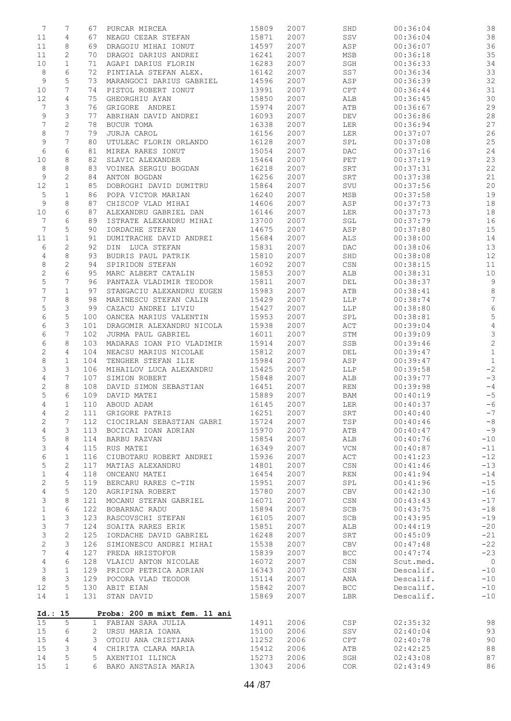| 7               | 7               | 67           | PURCAR MIRCEA                 | 15809 | 2007 | SHD                    | 00:36:04  | 38                        |
|-----------------|-----------------|--------------|-------------------------------|-------|------|------------------------|-----------|---------------------------|
| 11              | 4               | 67           | NEAGU CEZAR STEFAN            | 15871 | 2007 | SSV                    | 00:36:04  | 38                        |
| 11              | 8               | 69           | DRAGOIU MIHAI IONUT           | 14597 | 2007 | ASP                    | 00:36:07  | 36                        |
| 11              | 2               | 70           | DRAGOI DARIUS ANDREI          | 16241 | 2007 | MSB                    | 00:36:18  | 35                        |
| 10              | $\mathbf{1}$    | 71           | AGAPI DARIUS FLORIN           | 16283 | 2007 | SGH                    | 00:36:33  | 34                        |
| 8               | 6               | 72           | PINTIALA STEFAN ALEX.         | 16142 | 2007 | SS7                    | 00:36:34  | 33                        |
| 9               | 5               | 73           | MARANGOCI DARIUS GABRIEL      | 14596 | 2007 | ASP                    | 00:36:39  | 32                        |
| 10              | 7               | 74           | PISTOL ROBERT IONUT           | 13991 | 2007 | CPT                    | 00:36:44  | 31                        |
| 12              | $\overline{4}$  | 75           | GHEORGHIU AYAN                | 15850 | 2007 | ALB                    | 00:36:45  | $30$                      |
| 7               | 3               | 76           | GRIGORE ANDREI                | 15974 | 2007 | ATB                    | 00:36:67  | 29                        |
| 9               | 3               | 77           | ABRIHAN DAVID ANDREI          | 16093 | 2007 | DEV                    | 00:36:86  | 28                        |
| 7               | $\mathbf{2}$    | 78           | BUCUR TOMA                    | 16338 | 2007 | LER                    | 00:36:94  | 27                        |
| 8               | 7               | 79           | <b>JURJA CAROL</b>            | 16156 | 2007 | LER                    | 00:37:07  | 26                        |
| 9               | 7               | 80           | UTULEAC FLORIN ORLANDO        | 16128 | 2007 | SPL                    | 00:37:08  | 25                        |
| $\epsilon$      | 6               | 81           | MIREA RARES IONUT             | 15054 | 2007 | DAC                    | 00:37:16  | $2\,4$                    |
| 10              | 8               | 82           | SLAVIC ALEXANDER              | 15464 | 2007 | PET                    | 00:37:19  | 23                        |
| 8               | 8               | 83           | VOINEA SERGIU BOGDAN          | 16218 | 2007 | SRT                    | 00:37:31  | 22                        |
| 9               | 2               | 84           | ANTON BOGDAN                  | 16256 | 2007 | SRT                    | 00:37:38  | 21                        |
| 12              | $\mathbf{1}$    | 85           | DOBROGHI DAVID DUMITRU        | 15864 | 2007 | SVU                    | 00:37:56  | $20$                      |
| 5               | $\mathbf{1}$    | 86           | POPA VICTOR MARIAN            | 16240 | 2007 | MSB                    | 00:37:58  | 19                        |
| 9               | 8               | 87           | CHISCOP VLAD MIHAI            | 14606 | 2007 | ASP                    | 00:37:73  | 18                        |
| 10              | 6               | 87           | ALEXANDRU GABRIEL DAN         | 16146 | 2007 | LER                    | 00:37:73  | 18                        |
| 7               | 6               | 89           | ISTRATE ALEXANDRU MIHAI       | 13700 | 2007 | SGL                    | 00:37:79  | 16                        |
| $7\phantom{.0}$ | 5               | 90           | IORDACHE STEFAN               | 14675 | 2007 | ASP                    | 00:37:80  | 15                        |
| 11              | $\mathbf{1}$    | 91           | DUMITRACHE DAVID ANDREI       | 15684 | 2007 | ALS                    | 00:38:00  | 14                        |
| 6               | $\mathbf{2}$    | 92           | DIN LUCA STEFAN               | 15831 | 2007 | DAC                    | 00:38:06  | 13                        |
| 4               | 8               | 93           | BUDRIS PAUL PATRIK            | 15810 | 2007 | SHD                    | 00:38:08  | 12                        |
| 8               | 2               | 94           | SPIRIDON STEFAN               | 16092 | 2007 | $_{\mbox{\tiny{CSN}}}$ | 00:38:15  | 11                        |
| $\sqrt{2}$      | 6               | 95           | MARC ALBERT CATALIN           | 15853 | 2007 | ALB                    | 00:38:31  | $10$                      |
| 5               | 7               | 96           | PANTAZA VLADIMIR TEODOR       | 15811 | 2007 | DEL                    | 00:38:37  | $\,9$                     |
| 7               | $\mathbf 1$     | 97           | STANGACIU ALEXANDRU EUGEN     | 15983 | 2007 | ATB                    | 00:38:41  | $\,8\,$                   |
| 7               | 8               | 98           | MARINESCU STEFAN CALIN        | 15429 | 2007 | LLP                    | 00:38:74  | 7                         |
| 5               | 3               | 99           | CAZACU ANDREI LIVIU           | 15427 | 2007 | LLP                    | 00:38:80  | $\epsilon$                |
| 6               | 5               | 100          | OANCEA MARIUS VALENTIN        | 15953 | 2007 | SPL                    | 00:38:81  | $\mathsf S$               |
| 6               | 3               | 101          | DRAGOMIR ALEXANDRU NICOLA     | 15938 | 2007 | ACT                    | 00:39:04  | $\overline{4}$            |
| 6               | 7               | 102          | JURMA PAUL GABRIEL            | 16011 | 2007 | STM                    | 00:39:09  | $\ensuremath{\mathsf{3}}$ |
| 6               | 8               | 103          | MADARAS IOAN PIO VLADIMIR     | 15914 | 2007 | SSB                    | 00:39:46  | $\sqrt{2}$                |
| $\mathbf{2}$    | 4               | 104          | NEACSU MARIUS NICOLAE         | 15812 | 2007 | DEL                    | 00:39:47  | $\,1\,$                   |
| 8               | $\mathbf{1}$    | 104          | TENGHER STEFAN ILIE           | 15984 | 2007 | ASP                    | 00:39:47  | $\mathbf{1}$              |
| 3               | 3               | 106          | MIHAILOV LUCA ALEXANDRU       | 15425 | 2007 | LLP                    | 00:39:58  | $-2$                      |
| $\overline{4}$  | $7\phantom{.0}$ | 107          | SIMION ROBERT                 | 15848 | 2007 | ALB                    | 00:39:77  | $-3$                      |
| 2               | 8               | 108          | DAVID SIMON SEBASTIAN         | 16451 | 2007 | <b>REN</b>             | 00:39:98  | $-4$                      |
| 5               | 6               | 109          | DAVID MATEI                   | 15889 | 2007 | BAM                    | 00:40:19  | $-5$                      |
| $\overline{4}$  | $\mathbf{1}$    | 110          | ABOUD ADAM                    | 16145 | 2007 | LER                    | 00:40:37  | $-6$                      |
| 4               | 2               | 111          | GRIGORE PATRIS                | 16251 | 2007 | SRT                    | 00:40:40  | $-7$                      |
| $\mathbf{2}$    | 7               | 112          | CIOCIRLAN SEBASTIAN GABRI     | 15724 | 2007 | TSP                    | 00:40:46  | $-8$                      |
| $\overline{4}$  | 3               | 113          | BOCICAI IOAN ADRIAN           | 15970 | 2007 | ATB                    | 00:40:47  | $-9$                      |
| 5               | 8               | 114          | BARBU RAZVAN                  | 15854 | 2007 | ALB                    | 00:40:76  | $-10$                     |
| 3               | 4               | 115          | RUS MATEI                     | 16349 | 2007 | VCN                    | 00:40:87  | $-11$                     |
| 6               | $\mathbf{1}$    | 116          | CIUBOTARU ROBERT ANDREI       | 15936 | 2007 | ACT                    | 00:41:23  | $-12$                     |
| $\mathsf S$     | $\mathbf{2}$    | 117          | MATIAS ALEXANDRU              | 14801 | 2007 | CSN                    | 00:41:46  | $-13$                     |
| 1               | 4               | 118          | ONCEANU MATEI                 | 16454 | 2007 | <b>REN</b>             | 00:41:94  | $-14$                     |
| $\mathbf{2}$    | 5               | 119          | BERCARU RARES C-TIN           | 15951 | 2007 | SPL                    | 00:41:96  | $-15$                     |
| $\overline{4}$  | 5               | 120          | AGRIPINA ROBERT               | 15780 | 2007 | CBV                    | 00:42:30  | $-16$                     |
| 3               | 8               | 121          | MOCANU STEFAN GABRIEL         | 16071 | 2007 | CSN                    | 00:43:43  | $-17$                     |
| $\mathbf 1$     | 6               | 122          | BOBARNAC RADU                 | 15894 | 2007 | SCB                    | 00:43:75  | $-18$                     |
| $\mathbf 1$     | 3               | 123          | RASCOVSCHI STEFAN             | 16105 | 2007 | SCB                    | 00:43:95  | $-19$                     |
| 3               | 7               | 124          | SOAITA RARES ERIK             | 15851 | 2007 | ALB                    | 00:44:19  | $-20$                     |
| 3               | $\mathbf{2}$    | 125          | IORDACHE DAVID GABRIEL        | 16248 | 2007 | SRT                    | 00:45:09  | $-21$                     |
| $\sqrt{2}$      | 3               | 126          | SIMIONESCU ANDREI MIHAI       | 15538 | 2007 | CBV                    | 00:47:48  | $-22$                     |
| $\overline{7}$  | 4               | 127          | PREDA HRISTOFOR               | 15839 | 2007 | <b>BCC</b>             | 00:47:74  | $-23$                     |
| $\overline{4}$  | 6               | 128          | VLAICU ANTON NICOLAE          | 16072 | 2007 | $\mathbb{CSN}$         | Scut.med. | $\overline{0}$            |
| 3               | $\mathbf{1}$    | 129          | PRICOP PETRICA ADRIAN         | 16343 | 2007 | CSN                    | Descalif. | $-10$                     |
| $\,8\,$         | 3               | 129          | POCORA VLAD TEODOR            | 15114 | 2007 | ANA                    | Descalif. | $-10$                     |
| 12              | 5               | 130          | ABIT EIAN                     | 15842 | 2007 | <b>BCC</b>             | Descalif. | $-10$                     |
| 14              | $\mathbf{1}$    | 131          | STAN DAVID                    | 15869 | 2007 | LBR                    | Descalif. | $-10$                     |
|                 |                 |              |                               |       |      |                        |           |                           |
|                 | Id.: 15         |              | Proba: 200 m mixt fem. 11 ani |       |      |                        |           |                           |
| 15              | 5               | $\mathbf{1}$ | FABIAN SARA JULIA             | 14911 | 2006 | CSP                    | 02:35:32  | 98                        |
| 15              | 6               | 2            | URSU MARIA IOANA              | 15100 | 2006 | SSV                    | 02:40:04  | 93                        |
| 15              | 4               | 3            | OTOIU ANA CRISTIANA           | 11252 | 2006 | CPT                    | 02:40:78  | 90                        |
| 15              | 3               | 4            | CHIRITA CLARA MARIA           | 15412 | 2006 | ATB                    | 02:42:25  | $8\,8$                    |
| 14              | 5               | 5            | AXENTIOI ILINCA               | 15273 | 2006 | SGH                    | 02:43:08  | 87                        |
| 15              | $\mathbf 1$     | 6            | BAKO ANSTASIA MARIA           | 13043 | 2006 | COR.                   | 02:43:49  | 86                        |
|                 |                 |              |                               |       |      |                        |           |                           |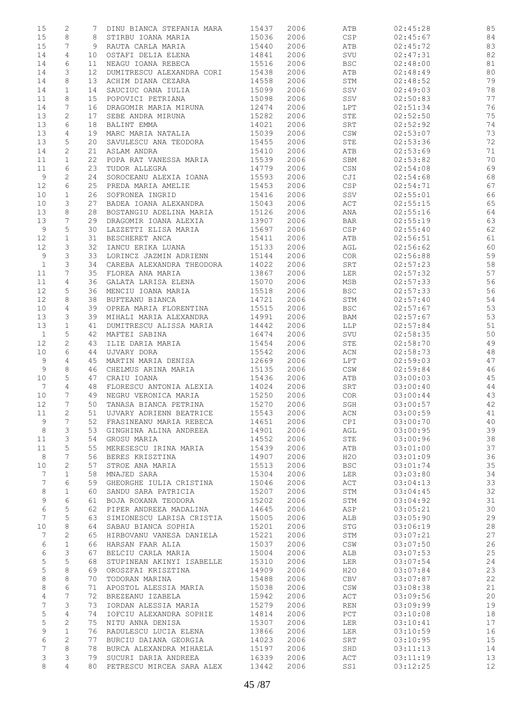| 15           | $\mathbf{2}$   | 7  | DINU BIANCA STEFANIA MARA | 15437 | 2006 | ATB                                    | 02:45:28 | 85     |
|--------------|----------------|----|---------------------------|-------|------|----------------------------------------|----------|--------|
|              |                |    |                           |       |      |                                        |          |        |
| 15           | 8              | 8  | STIRBU IOANA MARIA        | 15036 | 2006 | <b>CSP</b>                             | 02:45:67 | 84     |
| 15           | 7              | 9  | RAUTA CARLA MARIA         | 15440 | 2006 | ATB                                    | 02:45:72 | 83     |
| 14           | 4              | 10 | OSTAFI DELIA ELENA        | 14841 | 2006 | SVU                                    | 02:47:31 | 82     |
|              |                |    |                           |       |      |                                        |          |        |
| 14           | 6              | 11 | NEAGU IOANA REBECA        | 15516 | 2006 | <b>BSC</b>                             | 02:48:00 | 81     |
| 14           | 3              | 12 | DUMITRESCU ALEXANDRA CORI | 15438 | 2006 | ATB                                    | 02:48:49 | 80     |
| 14           | 8              | 13 | ACHIM DIANA CEZARA        | 14558 | 2006 | STM                                    | 02:48:52 | 79     |
| 14           | $\mathbf{1}$   | 14 | SAUCIUC OANA IULIA        | 15099 | 2006 | SSV                                    | 02:49:03 | 78     |
|              |                |    |                           |       |      |                                        |          |        |
| 11           | 8              | 15 | POPOVICI PETRIANA         | 15098 | 2006 | $_{\rm{SSV}}$                          | 02:50:83 | 77     |
| 14           | 7              | 16 | DRAGOMIR MARIA MIRUNA     | 12474 | 2006 | LPT                                    | 02:51:34 | 76     |
| 13           | 2              | 17 | SEBE ANDRA MIRUNA         | 15282 | 2006 | STE                                    | 02:52:50 | 75     |
| 13           | 6              | 18 | BALINT EMMA               | 14021 | 2006 | SRT                                    | 02:52:92 | 74     |
|              |                |    |                           |       |      |                                        |          |        |
| 13           | 4              | 19 | MARC MARIA NATALIA        | 15039 | 2006 | CSW                                    | 02:53:07 | 73     |
| 13           | 5              | 20 | SAVULESCU ANA TEODORA     | 15455 | 2006 | STE                                    | 02:53:36 | 72     |
| 14           | $\mathbf{2}$   | 21 | ASLAM ANDRA               | 15410 | 2006 | ATB                                    | 02:53:69 | 71     |
| 11           | $\mathbf{1}$   | 22 | POPA RAT VANESSA MARIA    | 15539 | 2006 | SBM                                    | 02:53:82 | 70     |
| 11           | 6              | 23 | TUDOR ALLEGRA             | 14779 | 2006 | CSN                                    | 02:54:08 | 69     |
|              |                |    |                           |       |      |                                        |          |        |
| 9            | $\mathbf{2}$   | 24 | SOROCEANU ALEXIA IOANA    | 15593 | 2006 | CJI                                    | 02:54:68 | 68     |
| 12           | 6              | 25 | PREDA MARIA AMELIE        | 15453 | 2006 | $\mathbb{C}\, \mathbb{S}\, \mathbb{P}$ | 02:54:71 | 67     |
| 10           | $\mathbf{1}$   | 26 | SOFRONEA INGRID           | 15416 | 2006 | SSV                                    | 02:55:01 | 66     |
| 10           | 3              | 27 | BADEA IOANA ALEXANDRA     | 15043 | 2006 | ACT                                    | 02:55:15 | 65     |
| 13           | 8              | 28 | BOSTANGIU ADELINA MARIA   | 15126 | 2006 | ANA                                    | 02:55:16 | 64     |
|              |                |    |                           |       |      |                                        |          |        |
| 13           | 7              | 29 | DRAGOMIR IOANA ALEXIA     | 13907 | 2006 | BAR                                    | 02:55:19 | 63     |
| 9            | 5              | 30 | LAZZETTI ELISA MARIA      | 15697 | 2006 | $_{\tt CSP}$                           | 02:55:40 | 62     |
| 12           | $\mathbf{1}$   | 31 | BESCHERET ANCA            | 15411 | 2006 | ATB                                    | 02:56:51 | 61     |
| 12           | 3              | 32 | IANCU ERIKA LUANA         | 15133 | 2006 | AGL                                    | 02:56:62 | 60     |
|              |                |    |                           |       |      |                                        |          |        |
| 9            | 3              | 33 | LORINCZ JAZMIN ADRIENN    | 15144 | 2006 | COR                                    | 02:56:88 | 59     |
| $\mathbf{1}$ | 3              | 34 | CAREBA ALEXANDRA THEODORA | 14022 | 2006 | SRT                                    | 02:57:23 | 58     |
| 11           | 7              | 35 | FLOREA ANA MARIA          | 13867 | 2006 | LER                                    | 02:57:32 | 57     |
| 11           | 4              | 36 | GALATA LARISA ELENA       | 15070 | 2006 | MSB                                    | 02:57:33 | 56     |
|              |                |    |                           |       |      |                                        |          |        |
| 12           | 5              | 36 | MENCIU IOANA MARIA        | 15518 | 2006 | <b>BSC</b>                             | 02:57:33 | 56     |
| 12           | 8              | 38 | BUFTEANU BIANCA           | 14721 | 2006 | STM                                    | 02:57:40 | 54     |
| 10           | 4              | 39 | OPREA MARIA FLORENTINA    | 15515 | 2006 | $_{\rm BSC}$                           | 02:57:67 | 53     |
| 13           | 3              | 39 | MIHALI MARIA ALEXANDRA    | 14991 | 2006 | BAM                                    | 02:57:67 | 53     |
|              |                |    |                           |       |      |                                        |          |        |
| 13           | $\mathbf 1$    | 41 | DUMITRESCU ALISSA MARIA   | 14442 | 2006 | LLP                                    | 02:57:84 | 51     |
| $\mathbf{1}$ | 5              | 42 | MAFTEI SABINA             | 16474 | 2006 | SVU                                    | 02:58:35 | 50     |
| 12           | $\overline{c}$ | 43 | ILIE DARIA MARIA          | 15454 | 2006 | STE                                    | 02:58:70 | 49     |
| 10           | 6              | 44 | UJVARY DORA               | 15542 | 2006 | ACN                                    | 02:58:73 | $4\,8$ |
| 9            | 4              | 45 | MARTIN MARIA DENISA       | 12669 | 2006 | LPT                                    | 02:59:03 | 47     |
|              |                |    |                           |       |      |                                        |          |        |
| 9            | 8              | 46 | CHELMUS ARINA MARIA       | 15135 | 2006 | $\mathbb{CSW}$                         | 02:59:84 | 46     |
| 10           | 5              | 47 | CRAIU IOANA               | 15436 | 2006 | ATB                                    | 03:00:03 | 45     |
| 7            | $\overline{4}$ | 48 | FLORESCU ANTONIA ALEXIA   | 14024 | 2006 | SRT                                    | 03:00:40 | 44     |
| 10           | 7              | 49 | NEGRU VERONICA MARIA      | 15250 | 2006 | COR                                    | 03:00:44 | 43     |
|              | 7              |    |                           |       |      |                                        |          |        |
| 12           |                | 50 | TANASA BIANCA PETRINA     | 15270 | 2006 | SGH                                    | 03:00:57 | 42     |
| 11           | 2              | 51 | UJVARY ADRIENN BEATRICE   | 15543 | 2006 | ACN                                    | 03:00:59 | 41     |
| 9            | 7              | 52 | FRASINEANU MARIA REBECA   | 14651 | 2006 | <b>CPI</b>                             | 03:00:70 | 40     |
| $\,8\,$      | 3              | 53 | GINGHINA ALINA ANDREEA    | 14901 | 2006 | AGL                                    | 03:00:95 | 39     |
| 11           | 3              | 54 | GROSU MARIA               | 14552 | 2006 | STE                                    | 03:00:96 | 38     |
|              |                |    |                           |       |      |                                        |          |        |
| 11           | 5              | 55 | MERESESCU IRINA MARIA     | 15439 | 2006 | ATB                                    | 03:01:00 | 37     |
| 8            | 7              | 56 | BERES KRISZTINA           | 14907 | 2006 | H2O                                    | 03:01:09 | 36     |
| 10           | $\mathbf{2}$   | 57 | STROE ANA MARIA           | 15513 | 2006 | <b>BSC</b>                             | 03:01:74 | 35     |
| 7            | $\mathbf 1$    | 58 | MNAJED SARA               | 15304 | 2006 | LER                                    | 03:03:80 | 34     |
|              |                |    |                           |       |      |                                        |          |        |
| 7            | 6              | 59 | GHEORGHE IULIA CRISTINA   | 15046 | 2006 | ACT                                    | 03:04:13 | 33     |
| 8            | $\mathbf 1$    | 60 | SANDU SARA PATRICIA       | 15207 | 2006 | STM                                    | 03:04:45 | 32     |
| 9            | 6              | 61 | BOJA ROXANA TEODORA       | 15202 | 2006 | STM                                    | 03:04:92 | 31     |
| 6            | 5              | 62 | PIPER ANDREEA MADALINA    | 14645 | 2006 | ASP                                    | 03:05:21 | 30     |
| 7            | 5              | 63 | SIMIONESCU LARISA CRISTIA | 15005 | 2006 | ALB                                    | 03:05:90 | 29     |
|              |                |    |                           |       |      |                                        |          |        |
| 10           | 8              | 64 | SABAU BIANCA SOPHIA       | 15201 | 2006 | STG                                    | 03:06:19 | 28     |
| 7            | $\mathbf{2}$   | 65 | HIRBOVANU VANESA DANIELA  | 15221 | 2006 | STM                                    | 03:07:21 | 27     |
| 6            | $\mathbf{1}$   | 66 | HARSAN FAAR ALIA          | 15037 | 2006 | CSW                                    | 03:07:50 | 26     |
| 6            | 3              | 67 | BELCIU CARLA MARIA        | 15004 | 2006 | ALB                                    | 03:07:53 | 25     |
| 5            | 5              | 68 |                           | 15310 | 2006 | LER                                    |          | 24     |
|              |                |    | STUPINEAN AKINYI ISABELLE |       |      |                                        | 03:07:54 |        |
| 5            | 8              | 69 | OROSZFAI KRISZTINA        | 14909 | 2006 | H2O                                    | 03:07:84 | 23     |
| $\,8\,$      | $\,8\,$        | 70 | TODORAN MARINA            | 15488 | 2006 | CBV                                    | 03:07:87 | 22     |
| 8            | 6              | 71 | APOSTOL ALESSIA MARIA     | 15038 | 2006 | $\mathbb{CSW}$                         | 03:08:38 | 21     |
| 4            | 7              | 72 | BREZEANU IZABELA          | 15942 | 2006 | ACT                                    | 03:09:56 | 20     |
|              |                |    |                           |       |      |                                        |          |        |
| 7            | 3              | 73 | IORDAN ALESSIA MARIA      | 15279 | 2006 | REN                                    | 03:09:99 | 19     |
| 5            | 4              | 74 | IOFCIU ALEXANDRA SOPHIE   | 14814 | 2006 | PCT                                    | 03:10:08 | 18     |
| 5            | 2              | 75 | NITU ANNA DENISA          | 15307 | 2006 | LER                                    | 03:10:41 | 17     |
| 9            | $\mathbf{1}$   | 76 | RADULESCU LUCIA ELENA     | 13866 | 2006 | <b>LER</b>                             | 03:10:59 | 16     |
| 6            | $\sqrt{2}$     | 77 | BURCIU DAIANA GEORGIA     | 14023 | 2006 | SRT                                    |          | 15     |
|              |                |    |                           |       |      |                                        | 03:10:95 |        |
| 7            | 8              | 78 | BURCA ALEXANDRA MIHAELA   | 15197 | 2006 | SHD                                    | 03:11:13 | 14     |
| 3            | 3              | 79 | SUCURI DARIA ANDREEA      | 16339 | 2006 | ACT                                    | 03:11:19 | 13     |
| 8            | $\overline{4}$ | 80 | PETRESCU MIRCEA SARA ALEX | 13442 | 2006 | SS1                                    | 03:12:25 | 12     |
|              |                |    |                           |       |      |                                        |          |        |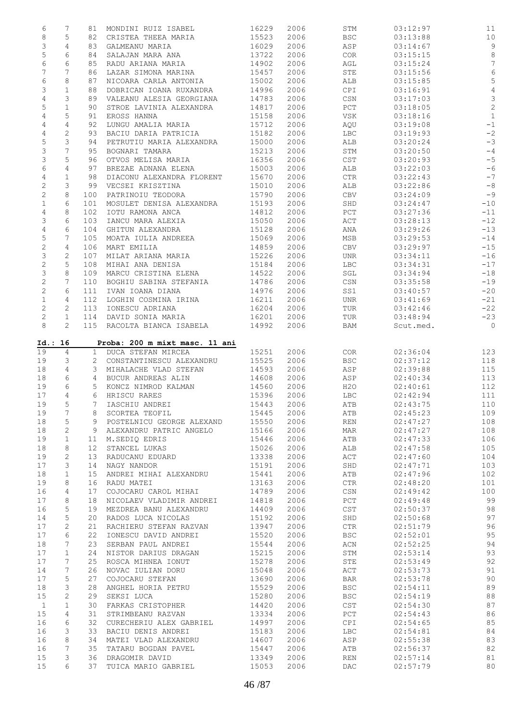| 6              | 7                     | 81              | MONDINI RUIZ ISABEL            | 16229 | 2006 | STM                   | 03:12:97  | 11             |
|----------------|-----------------------|-----------------|--------------------------------|-------|------|-----------------------|-----------|----------------|
| $\,8\,$        | 5                     | 82              | CRISTEA THEEA MARIA            | 15523 | 2006 | <b>BSC</b>            | 03:13:88  | $10$           |
| 3              | 4                     | 83              | GALMEANU MARIA                 | 16029 | 2006 | ASP                   | 03:14:67  | $\overline{9}$ |
| 5              | 6                     | 84              | SALAJAN MARA ANA               | 13722 | 2006 | COR                   | 03:15:15  | $8\,$          |
| 6              | 6                     | 85              | RADU ARIANA MARIA              | 14902 | 2006 | AGL                   | 03:15:24  | $\overline{7}$ |
| 7              | 7                     | 86              | LAZAR SIMONA MARINA            | 15457 | 2006 | STE                   | 03:15:56  | $\epsilon$     |
| $\epsilon$     | 8                     |                 | NICOARA CARLA ANTONIA          |       |      |                       |           | 5              |
|                |                       | 87              |                                | 15002 | 2006 | ALB                   | 03:15:85  |                |
| 3              | $\mathbf{1}$          | 88              | DOBRICAN IOANA RUXANDRA        | 14996 | 2006 | CPI                   | 03:16:91  | $\sqrt{4}$     |
| 4              | 3                     | 89              | VALEANU ALESIA GEORGIANA       | 14783 | 2006 | CSN                   | 03:17:03  | $\mathfrak{Z}$ |
| 5              | $\mathbf{1}$          | 90              | STROE LAVINIA ALEXANDRA        | 14817 | 2006 | PCT                   | 03:18:05  | $\overline{c}$ |
| 4              | 5                     | 91              | EROSS HANNA                    | 15158 | 2006 | VSK                   | 03:18:16  | $\mathbf 1$    |
| 4              | 4                     | 92              | LUNGU AMALIA MARIA             | 15712 | 2006 | AQU                   | 03:19:08  | $^{\rm -1}$    |
| 4              | $\sqrt{2}$            | 93              | BACIU DARIA PATRICIA           | 15182 | 2006 | <b>LBC</b>            | 03:19:93  | $-2$           |
| 5              | 3                     | 94              | PETRUTIU MARIA ALEXANDRA       | 15000 | 2006 | ALB                   | 03:20:24  | $-3$           |
| 3              | 7                     | 95              | BOGNARI TAMARA                 | 15213 | 2006 | STM                   | 03:20:50  | $-4$           |
| 3              | 5                     | 96              | OTVOS MELISA MARIA             | 16356 | 2006 | CST                   | 03:20:93  | $-5$           |
| 6              | 4                     | 97              | BREZAE ADNANA ELENA            | 15003 | 2006 | ALB                   | 03:22:03  | $-6$           |
|                |                       |                 |                                |       |      |                       |           | $-7$           |
| 4              | $\mathbf{1}$          | 98              | DIACONU ALEXANDRA FLORENT      | 15670 | 2006 | CTR                   | 03:22:43  |                |
| $\sqrt{2}$     | 3                     | 99              | VECSEI KRISZTINA               | 15010 | 2006 | ALB                   | 03:22:86  | $-8$           |
| $\mathbf{2}$   | 8                     | 100             | PATRINOIU TEODORA              | 15790 | 2006 | CBV                   | 03:24:09  | $-9$           |
| $\mathbf 1$    | 6                     | 101             | MOSULET DENISA ALEXANDRA       | 15193 | 2006 | SHD                   | 03:24:47  | $-10$          |
| $\overline{4}$ | 8                     | 102             | IOTU RAMONA ANCA               | 14812 | 2006 | PCT                   | 03:27:36  | $-11$          |
| 3              | 6                     | 103             | IANCU MARA ALEXIA              | 15050 | 2006 | ACT                   | 03:28:13  | $-12$          |
| $\overline{4}$ | 6                     | 104             | GHITUN ALEXANDRA               | 15128 | 2006 | ANA                   | 03:29:26  | $-13$          |
| 5              | 7                     | 105             | MOATA IULIA ANDREEA            | 15069 | 2006 | MSB                   | 03:29:53  | $-14$          |
| $\mathbf{2}$   | $\overline{4}$        | 106             | MART EMILIA                    | 14859 | 2006 | CBV                   | 03:29:97  | $-15$          |
| 3              | $\mathbf{2}^{\prime}$ | 107             | MILAT ARIANA MARIA             | 15226 | 2006 | UNR                   | 03:34:11  | $-16$          |
|                | 5                     |                 |                                | 15184 |      |                       |           |                |
| $\overline{c}$ |                       | 108             | MIHAI ANA DENISA               |       | 2006 | <b>LBC</b>            | 03:34:31  | $-17$          |
| 3              | 8                     | 109             | MARCU CRISTINA ELENA           | 14522 | 2006 | SGL                   | 03:34:94  | $-18$          |
| $\overline{c}$ | 7                     | 110             | BOGHIU SABINA STEFANIA         | 14786 | 2006 | CSN                   | 03:35:58  | $-19$          |
| $\mathbf{2}$   | 6                     | 111             | IVAN IOANA DIANA               | 14976 | 2006 | SS1                   | 03:40:57  | $-20$          |
| $\mathbf 1$    | 4                     | 112             | LOGHIN COSMINA IRINA           | 16211 | 2006 | UNR                   | 03:41:69  | $-21$          |
| $\mathbf{2}$   | 2                     | 113             | IONESCU ADRIANA                | 16204 | 2006 | TUR                   | 03:42:46  | $-22$          |
| $\mathbf{2}$   | $\mathbf{1}$          | 114             | DAVID SONIA MARIA              | 16201 | 2006 | TUR                   | 03:48:94  | $-23$          |
| 8              | $\overline{2}$        |                 | 115 RACOLTA BIANCA ISABELA     | 14992 | 2006 | BAM                   | Scut.med. | $\overline{0}$ |
|                |                       |                 |                                |       |      |                       |           |                |
| Id.: 16        |                       |                 | Proba: 200 m mixt masc. 11 ani |       |      |                       |           |                |
|                |                       |                 |                                |       |      |                       |           |                |
|                |                       |                 |                                |       |      |                       |           |                |
| 19             | $\overline{4}$        |                 | 1 DUCA STEFAN MIRCEA           | 15251 | 2006 | COR                   | 02:36:04  | 123            |
| 19             | 3                     | $\overline{2}$  | CONSTANTINESCU ALEXANDRU       | 15525 | 2006 | <b>BSC</b>            | 02:37:12  | 118            |
| 18             | $\overline{4}$        | 3               | MIHALACHE VLAD STEFAN          | 14593 | 2006 | ASP                   | 02:39:88  | 115            |
| 18             | 6                     | $4\overline{ }$ | BUCUR ANDREAS ALIN             | 14608 | 2006 | ASP                   | 02:40:34  | 113            |
| 19             | 6                     | 5               | KONCZ NIMROD KALMAN            | 14560 | 2006 | H2O                   | 02:40:61  | 112            |
| 17             | 4                     | 6               | HRISCU RARES                   | 15396 | 2006 | <b>LBC</b>            | 02:42:94  | 111            |
| 19             | 5                     | $7^{\circ}$     | IASCHIU ANDREI                 | 15443 | 2006 | ATB                   | 02:43:75  | 110            |
| 19             | 7                     | 8               | SCORTEA TEOFIL                 | 15445 | 2006 | ATB                   | 02:45:23  | 109            |
| 18             | 5                     | 9               | POSTELNICU GEORGE ALEXAND      | 15550 | 2006 | <b>REN</b>            | 02:47:27  | 108            |
|                | $\mathbf{2}$          | 9               | ALEXANDRU PATRIC ANGELO        |       |      | MAR                   | 02:47:27  |                |
| 18             |                       |                 |                                | 15166 | 2006 |                       |           | 108            |
| 19             | $\mathbf{1}$          | 11              | M.SEDIQ EDRIS                  | 15446 | 2006 | ATB                   | 02:47:33  | 106            |
| 18             | 8                     | 12 <sup>°</sup> | STANCEL LUKAS                  | 15026 | 2006 | ALB                   | 02:47:58  | 105            |
| 19             | 2                     | 13              | RADUCANU EDUARD                | 13338 | 2006 | ACT                   | 02:47:60  | 104            |
| 17             | 3                     | 14              | NAGY NANDOR                    | 15191 | 2006 | SHD                   | 02:47:71  | 103            |
| 18             | $\mathbf 1$           | 15              | ANDREI MIHAI ALEXANDRU         | 15441 | 2006 | ATB                   | 02:47:96  | 102            |
| 19             | 8                     | 16              | RADU MATEI                     | 13163 | 2006 | $\mathsf{CTR}\xspace$ | 02:48:20  | 101            |
| 16             | 4                     | 17              | COJOCARU CAROL MIHAI           | 14789 | 2006 | CSN                   | 02:49:42  | 100            |
| 17             | 8                     | 18              | NICOLAEV VLADIMIR ANDREI       | 14818 | 2006 | PCT                   | 02:49:48  | 99             |
| 16             | 5                     | 19              | MEZDREA BANU ALEXANDRU         | 14409 | 2006 | CST                   | 02:50:37  | 98             |
| 14             | 5                     | 20              | RADOS LUCA NICOLAS             | 15192 |      | SHD                   | 02:50:68  | 97             |
|                |                       |                 |                                |       | 2006 |                       |           |                |
| 17             | 2                     | 21              | RACHIERU STEFAN RAZVAN         | 13947 | 2006 | $_{\rm CTR}$          | 02:51:79  | 96             |
| 17             | 6                     | 22              | IONESCU DAVID ANDREI           | 15520 | 2006 | <b>BSC</b>            | 02:52:01  | 95             |
| 18             | 7                     | 23              | SERBAN PAUL ANDREI             | 15544 | 2006 | ACN                   | 02:52:25  | 94             |
| 17             | $\mathbf 1$           | 24              | NISTOR DARIUS DRAGAN           | 15215 | 2006 | STM                   | 02:53:14  | 93             |
| 17             | 7                     | 25              | ROSCA MIHNEA IONUT             | 15278 | 2006 | STE                   | 02:53:49  | 92             |
| 14             | 7                     | 26              | NOVAC IULIAN DORU              | 15048 | 2006 | ACT                   | 02:53:73  | 91             |
| 17             | 5                     | 27              | COJOCARU STEFAN                | 13690 | 2006 | <b>BAR</b>            | 02:53:78  | 90             |
| 18             | 3                     | 28              | ANGHEL HORIA PETRU             | 15529 | 2006 | <b>BSC</b>            | 02:54:11  | 89             |
| 15             | 2                     | 29              | SEKSI LUCA                     | 15280 | 2006 | <b>BSC</b>            | 02:54:19  | 88             |
| $\mathbf{1}$   | $\mathbf{1}$          | 30              | FARKAS CRISTOPHER              | 14420 | 2006 | CST                   | 02:54:30  | 87             |
| 15             | 4                     | 31              | STRIMBEANU RAZVAN              | 13334 | 2006 | PCT                   | 02:54:43  | 86             |
| 16             | 6                     | 32              | CURECHERIU ALEX GABRIEL        | 14997 | 2006 | CPI                   | 02:54:65  |                |
|                |                       |                 |                                |       |      |                       |           | 85             |
| 16             | 3                     | 33              | BACIU DENIS ANDREI             | 15183 | 2006 | <b>LBC</b>            | 02:54:81  | 84             |
| 16             | 8                     | 34              | MATEI VLAD ALEXANDRU           | 14607 | 2006 | ASP                   | 02:55:38  | 83             |
| 16             | 7                     | 35              | TATARU BOGDAN PAVEL            | 15447 | 2006 | ATB                   | 02:56:37  | 82             |
| 15             | 3                     | 36              | DRAGOMIR DAVID                 | 13349 | 2006 | <b>REN</b>            | 02:57:14  | 81             |
| 15             | 6                     | 37              | TUICA MARIO GABRIEL            | 15053 | 2006 | DAC                   | 02:57:79  | 80             |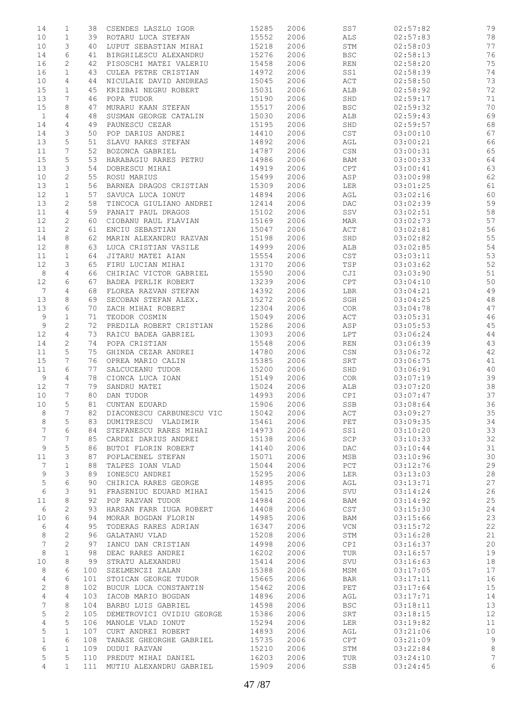| 14              | 1              | 38  | CSENDES LASZLO IGOR       | 15285 | 2006 | SS7                       | 02:57:82 | 79 |
|-----------------|----------------|-----|---------------------------|-------|------|---------------------------|----------|----|
| 10              | $\mathbf 1$    | 39  | ROTARU LUCA STEFAN        | 15552 | 2006 | ALS                       | 02:57:83 | 78 |
| 10              | 3              | 40  | LUPUT SEBASTIAN MIHAI     | 15218 | 2006 | STM                       | 02:58:03 | 77 |
| 14              | 6              | 41  | BIRGHILESCU ALEXANDRU     | 15276 | 2006 | $_{\rm BSC}$              | 02:58:13 | 76 |
| 16              | 2              | 42  | PISOSCHI MATEI VALERIU    | 15458 | 2006 | REN                       | 02:58:20 | 75 |
| 16              | $\mathbf{1}$   | 43  | CULEA PETRE CRISTIAN      | 14972 | 2006 | SS1                       | 02:58:39 | 74 |
|                 |                |     |                           |       |      |                           |          |    |
| 10              | 4              | 44  | NICULAIE DAVID ANDREAS    | 15045 | 2006 | ACT                       | 02:58:50 | 73 |
| 15              | $\mathbf{1}$   | 45  | KRIZBAI NEGRU ROBERT      | 15031 | 2006 | ALB                       | 02:58:92 | 72 |
| 13              | 7              | 46  | POPA TUDOR                | 15190 | 2006 | SHD                       | 02:59:17 | 71 |
| 15              | 8              | 47  | MURARU KAAN STEFAN        | 15517 | 2006 | <b>BSC</b>                | 02:59:32 | 70 |
| $\mathbf{1}$    | 4              | 48  | SUSMAN GEORGE CATALIN     | 15030 | 2006 | ALB                       | 02:59:43 | 69 |
| 14              | 4              | 49  | PAUNESCU CEZAR            | 15195 | 2006 | SHD                       | 02:59:57 | 68 |
| 14              | 3              | 50  | POP DARIUS ANDREI         | 14410 | 2006 | CST                       | 03:00:10 | 67 |
|                 |                |     |                           |       |      |                           |          |    |
| 13              | 5              | 51  | SLAVU RARES STEFAN        | 14892 | 2006 | AGL                       | 03:00:21 | 66 |
| 11              | 7              | 52  | BOZONCA GABRIEL           | 14787 | 2006 | $\mathbb{CSN}$            | 03:00:31 | 65 |
| 15              | 5              | 53  | HARABAGIU RARES PETRU     | 14986 | 2006 | BAM                       | 03:00:33 | 64 |
| 13              | 3              | 54  | DOBRESCU MIHAI            | 14919 | 2006 | CPT                       | 03:00:41 | 63 |
| 10              | 2              | 55  | ROSU MARIUS               | 15499 | 2006 | ASP                       | 03:00:98 | 62 |
| 13              | $\mathbf{1}$   | 56  | BARNEA DRAGOS CRISTIAN    | 15309 | 2006 | LER                       | 03:01:25 | 61 |
| 12              | $\mathbf{1}$   | 57  | SAVUCA LUCA IONUT         | 14894 | 2006 | AGL                       | 03:02:16 | 60 |
|                 |                |     | TINCOCA GIULIANO ANDREI   | 12414 |      |                           |          | 59 |
| 13              | 2              | 58  |                           |       | 2006 | DAC                       | 03:02:39 |    |
| 11              | 4              | 59  | PANAIT PAUL DRAGOS        | 15102 | 2006 | SSV                       | 03:02:51 | 58 |
| 12              | 2              | 60  | CIOBANU RAUL FLAVIAN      | 15169 | 2006 | MAR                       | 03:02:73 | 57 |
| 11              | $\mathbf{2}$   | 61  | ENCIU SEBASTIAN           | 15047 | 2006 | ACT                       | 03:02:81 | 56 |
| 14              | 8              | 62  | MARIN ALEXANDRU RAZVAN    | 15198 | 2006 | SHD                       | 03:02:82 | 55 |
| 12              | 8              | 63  | LUCA CRISTIAN VASILE      | 14999 | 2006 | ALB                       | 03:02:85 | 54 |
| 11              | $\mathbf{1}$   | 64  | JITARU MATEI AIAN         | 15554 | 2006 | CST                       | 03:03:11 | 53 |
|                 |                |     |                           | 13170 |      |                           |          |    |
| 12              | 3              | 65  | FIRU LUCIAN MIHAI         |       | 2006 | TSP                       | 03:03:62 | 52 |
| $\,8\,$         | $\overline{4}$ | 66  | CHIRIAC VICTOR GABRIEL    | 15590 | 2006 | CJI                       | 03:03:90 | 51 |
| 12              | 6              | 67  | BADEA PERLIK ROBERT       | 13239 | 2006 | $\mathtt{CPT}$            | 03:04:10 | 50 |
| $7\phantom{.0}$ | 4              | 68  | FLOREA RAZVAN STEFAN      | 14392 | 2006 | LBR                       | 03:04:21 | 49 |
| 13              | 8              | 69  | SECOBAN STEFAN ALEX.      | 15272 | 2006 | SGH                       | 03:04:25 | 48 |
| 13              | 6              | 70  | ZACH MIHAI ROBERT         | 12304 | 2006 | COR                       | 03:04:78 | 47 |
| 9               | $\mathbf{1}$   | 71  | TEODOR COSMIN             | 15049 | 2006 | ACT                       | 03:05:31 | 46 |
|                 |                |     |                           |       |      |                           |          |    |
| $\mathsf 9$     | $\sqrt{2}$     | 72  | PREDILA ROBERT CRISTIAN   | 15286 | 2006 | ASP                       | 03:05:53 | 45 |
| 12              | $\overline{4}$ | 73  | RAICU BADEA GABRIEL       | 13093 | 2006 | LPT                       | 03:06:24 | 44 |
| 14              | 2              | 74  | POPA CRISTIAN             | 15548 | 2006 | REN                       | 03:06:39 | 43 |
| 11              | 5              | 75  | GHINDA CEZAR ANDREI       | 14780 | 2006 | CSN                       | 03:06:72 | 42 |
| 15              | 7              | 76  | OPREA MARIO CALIN         | 15385 | 2006 | SRT                       | 03:06:75 | 41 |
| 11              | 6              | 77  | SALCUCEANU TUDOR          | 15200 | 2006 | SHD                       | 03:06:91 | 40 |
| 9               | 4              | 78  | CIONCA LUCA IOAN          | 15149 | 2006 | COR                       | 03:07:19 | 39 |
|                 |                |     |                           |       |      |                           |          |    |
| 12              | 7              | 79  | SANDRU MATEI              | 15024 | 2006 | ALB                       | 03:07:20 | 38 |
| 10              | 7              | 80  | DAN TUDOR                 | 14993 | 2006 | CPI                       | 03:07:47 | 37 |
| 10              | 5              | 81  | CUNTAN EDUARD             | 15906 | 2006 | SSB                       | 03:08:64 | 36 |
| 8               | 7              | 82  | DIACONESCU CARBUNESCU VIC | 15042 | 2006 | ACT                       | 03:09:27 | 35 |
| 8               | 5              | 83  | DUMITRESCU VLADIMIR       | 15461 | 2006 | PET                       | 03:09:35 | 34 |
| 7               | 6              | 84  | STEFANESCU RARES MIHAI    | 14973 | 2006 | SS1                       | 03:10:20 | 33 |
| 7               | 7              | 85  | CARDEI DARIUS ANDREI      | 15138 | 2006 | SCP                       | 03:10:33 | 32 |
| 9               | 5              | 86  | BUTOI FLORIN ROBERT       | 14140 | 2006 | DAC                       | 03:10:44 | 31 |
|                 |                |     |                           |       |      |                           |          |    |
| 11              | 3              | 87  | POPLACENEL STEFAN         | 15071 | 2006 | MSB                       | 03:10:96 | 30 |
| 7               | 1              | 88  | TALPES IOAN VLAD          | 15044 | 2006 | PCT                       | 03:12:76 | 29 |
| 9               | 3              | 89  | IONESCU ANDREI            | 15295 | 2006 | LER                       | 03:13:03 | 28 |
| 5               | 6              | 90  | CHIRICA RARES GEORGE      | 14895 | 2006 | AGL                       | 03:13:71 | 27 |
| 6               | 3              | 91  | FRASENIUC EDUARD MIHAI    | 15415 | 2006 | SVU                       | 03:14:24 | 26 |
| 11              | 8              | 92  | POP RAZVAN TUDOR          | 14984 | 2006 | BAM                       | 03:14:92 | 25 |
|                 | 2              |     | HARSAN FARR IUGA ROBERT   | 14408 | 2006 | CST                       | 03:15:30 |    |
| 6               |                | 93  |                           |       |      |                           |          | 24 |
| 10              | 6              | 94  | MORAR BOGDAN FLORIN       | 14985 | 2006 | BAM                       | 03:15:66 | 23 |
| 6               | 4              | 95  | TODERAS RARES ADRIAN      | 16347 | 2006 | $\ensuremath{\text{VCN}}$ | 03:15:72 | 22 |
| 8               | $\mathbf{2}$   | 96  | GALATANU VLAD             | 15208 | 2006 | STM                       | 03:16:28 | 21 |
| 7               | $\mathbf{2}$   | 97  | IANCU DAN CRISTIAN        | 14998 | 2006 | CPI                       | 03:16:37 | 20 |
| 8               | $\mathbf{1}$   | 98  | DEAC RARES ANDREI         | 16202 | 2006 | TUR                       | 03:16:57 | 19 |
| 10              | 8              | 99  | STRATU ALEXANDRU          | 15414 | 2006 | SVU                       | 03:16:63 | 18 |
|                 | 6              |     |                           |       | 2006 |                           |          | 17 |
| 8               |                | 100 | SZELMENCZI ZALAN          | 15388 |      | MSM                       | 03:17:05 |    |
| 4               | 6              | 101 | STOICAN GEORGE TUDOR      | 15665 | 2006 | <b>BAR</b>                | 03:17:11 | 16 |
| $\sqrt{2}$      | 8              | 102 | BUCUR LUCA CONSTANTIN     | 15462 | 2006 | PET                       | 03:17:64 | 15 |
| 4               | 4              | 103 | IACOB MARIO BOGDAN        | 14896 | 2006 | AGL                       | 03:17:71 | 14 |
| 7               | 8              | 104 | BARBU LUIS GABRIEL        | 14598 | 2006 | <b>BSC</b>                | 03:18:11 | 13 |
| 5               | 2              | 105 | DEMETROVICI OVIDIU GEORGE | 15386 | 2006 | SRT                       | 03:18:15 | 12 |
| 4               | 5              | 106 | MANOLE VLAD IONUT         | 15294 | 2006 | LER                       | 03:19:82 | 11 |
|                 |                |     |                           |       |      |                           |          |    |
| 5               | $\mathbf{1}$   | 107 | CURT ANDREI ROBERT        | 14893 | 2006 | AGL                       | 03:21:06 | 10 |
| $\mathbf{1}$    | 6              | 108 | TANASE GHEORGHE GABRIEL   | 15735 | 2006 | CPT                       | 03:21:09 | 9  |
| 6               | $\mathbf{1}$   | 109 | DUDUI RAZVAN              | 15210 | 2006 | STM                       | 03:22:84 | 8  |
| 5               | 5              | 110 | PREDUT MIHAI DANIEL       | 16203 | 2006 | TUR                       | 03:24:10 | 7  |
| 4               | $\mathbf{1}$   | 111 | MUTIU ALEXANDRU GABRIEL   | 15909 | 2006 | SSB                       | 03:24:45 | 6  |
|                 |                |     |                           |       |      |                           |          |    |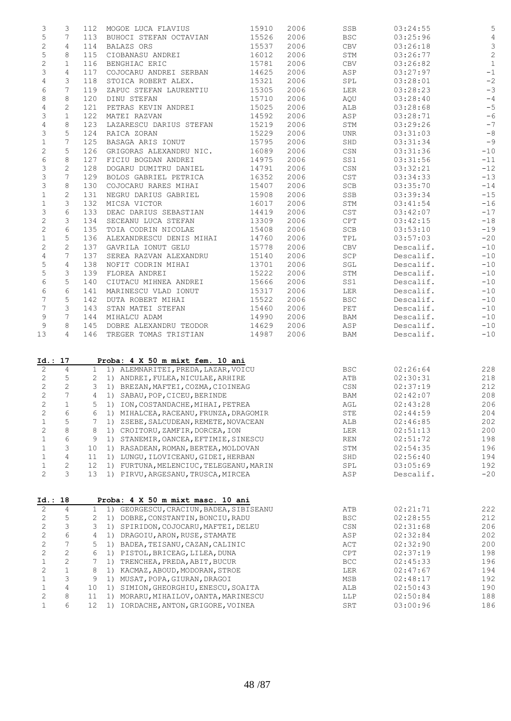| 3                                          |                  |     |                                                                                 |       |      |                                  |           |                |
|--------------------------------------------|------------------|-----|---------------------------------------------------------------------------------|-------|------|----------------------------------|-----------|----------------|
|                                            | 3                | 112 | MOGOE LUCA FLAVIUS                                                              | 15910 | 2006 | SSB                              | 03:24:55  | 5              |
| $\mathsf S$                                | 7                |     | 113 BUHOCI STEFAN OCTAVIAN                                                      | 15526 | 2006 | <b>BSC</b>                       | 03:25:96  | $\overline{4}$ |
| $\mathbf{2}$                               | 4                | 114 | BALAZS ORS                                                                      | 15537 | 2006 | CBV                              | 03:26:18  | $\mathfrak{Z}$ |
|                                            |                  |     |                                                                                 |       |      |                                  |           |                |
| $\mathsf S$                                | 8                | 115 | CIOBANASU ANDREI                                                                | 16012 | 2006 | STM                              | 03:26:77  | $\sqrt{2}$     |
| $\mathbf{2}$                               | $\mathbf{1}$     | 116 | BENGHIAC ERIC                                                                   | 15781 | 2006 | CBV                              | 03:26:82  | $\mathbf{1}$   |
| 3                                          | 4                | 117 | COJOCARU ANDREI SERBAN                                                          | 14625 | 2006 | ASP                              | 03:27:97  | $-1$           |
| 4                                          | 3                | 118 | STOICA ROBERT ALEX.                                                             | 15321 | 2006 | SPL                              | 03:28:01  | $^{\rm -2}$    |
| 6                                          | 7                | 119 | ZAPUC STEFAN LAURENTIU                                                          | 15305 | 2006 | LER                              | 03:28:23  | $-3$           |
|                                            |                  |     |                                                                                 |       |      |                                  |           |                |
| 8                                          | 8                | 120 | DINU STEFAN                                                                     | 15710 | 2006 | AQU                              | 03:28:40  | $- \, 4$       |
| 4                                          | 2                | 121 | PETRAS KEVIN ANDREI                                                             | 15025 | 2006 | ALB                              | 03:28:68  | $-5$           |
| 3                                          | $\mathbf{1}$     | 122 | MATEI RAZVAN                                                                    | 14592 | 2006 | ASP                              | 03:28:71  | $-6$           |
| $\sqrt{4}$                                 | 8                | 123 | LAZARESCU DARIUS STEFAN                                                         | 15219 | 2006 | STM                              | 03:29:26  | $-7$           |
|                                            |                  |     |                                                                                 |       |      |                                  |           |                |
| 3                                          | 5                | 124 | RAICA ZORAN                                                                     | 15229 | 2006 | UNR                              | 03:31:03  | $-\,8$         |
| $\mathbf 1$                                | 7                | 125 | BASAGA ARIS IONUT                                                               | 15795 | 2006 | SHD                              | 03:31:34  | $-9$           |
| $\mathbf{2}$                               | 5                | 126 | GRIGORAS ALEXANDRU NIC.                                                         | 16089 | 2006 | CSN                              | 03:31:36  | $-10$          |
| $\epsilon$                                 | 8                | 127 | FICIU BOGDAN ANDREI                                                             | 14975 | 2006 | SS1                              | 03:31:56  | $-11$          |
|                                            |                  |     |                                                                                 |       |      |                                  |           |                |
| 3                                          | $\mathbf{2}$     | 128 | DOGARU DUMITRU DANIEL                                                           | 14791 | 2006 | $\mathbb{C}\mathbb{S}\mathbb{N}$ | 03:32:21  | $-12$          |
| 3                                          | 7                | 129 | BOLOS GABRIEL PETRICA                                                           | 16352 | 2006 | CST                              | 03:34:33  | $-13$          |
| 3                                          | 8                | 130 | COJOCARU RARES MIHAI                                                            | 15407 | 2006 | SCB                              | 03:35:70  | $-14$          |
| $\mathbf 1$                                | $\mathbf{2}$     | 131 | NEGRU DARIUS GABRIEL                                                            | 15908 | 2006 | SSB                              | 03:39:34  | $-15$          |
| $\mathbf 1$                                | 3                | 132 | MICSA VICTOR                                                                    | 16017 | 2006 | STM                              | 03:41:54  | $-16$          |
|                                            |                  |     |                                                                                 |       |      |                                  |           |                |
| 3                                          | 6                | 133 | DEAC DARIUS SEBASTIAN                                                           | 14419 | 2006 | CST                              | 03:42:07  | $-17$          |
| $\mathbf{2}$                               | 3                | 134 | SECEANU LUCA STEFAN                                                             | 13309 | 2006 | CPT                              | 03:42:15  | $-18$          |
| $\mathbf{2}$                               | 6                | 135 | TOIA CODRIN NICOLAE                                                             | 15408 | 2006 | SCB                              | 03:53:10  | $-19$          |
| $\mathbf 1$                                | 5                |     | 136 ALEXANDRESCU DENIS MIHAI                                                    | 14760 | 2006 | TPL                              | 03:57:03  | $-20$          |
|                                            |                  |     |                                                                                 |       |      |                                  |           |                |
| 2                                          | 2                | 137 | GAVRILA IONUT GELU                                                              | 15778 | 2006 | CBV                              | Descalif. | $-10$          |
| $\overline{4}$                             | 7                | 137 | SEREA RAZVAN ALEXANDRU                                                          | 15140 | 2006 | SCP                              | Descalif. | $-10$          |
| $\mathsf S$                                | $\overline{4}$   | 138 | NOFIT CODRIN MIHAI                                                              | 13701 | 2006 | SGL                              | Descalif. | $-10$          |
| $\mathsf S$                                | 3                | 139 | FLOREA ANDREI                                                                   | 15222 | 2006 | STM                              | Descalif. | $-10$          |
|                                            |                  |     |                                                                                 |       |      |                                  |           |                |
| 6                                          | 5                | 140 | CIUTACU MIHNEA ANDREI                                                           | 15666 | 2006 | SS1                              | Descalif. | $-10$          |
| $\epsilon$                                 | 6                | 141 | MARINESCU VLAD IONUT                                                            | 15317 | 2006 | LER                              | Descalif. | $-10$          |
| 7                                          | 5                | 142 | DUTA ROBERT MIHAI                                                               | 15522 | 2006 | BSC                              | Descalif. | $-10$          |
| 7                                          | 3                | 143 | STAN MATEI STEFAN                                                               | 15460 | 2006 | PET                              | Descalif. | $-10$          |
|                                            | 7                |     |                                                                                 |       |      |                                  |           |                |
| 9                                          |                  | 144 | MIHALCU ADAM                                                                    | 14990 | 2006 | BAM                              | Descalif. | $-10$          |
| 9                                          | 8                | 145 | DOBRE ALEXANDRU TEODOR                                                          | 14629 | 2006 | ASP                              | Descalif. | $-10$          |
|                                            |                  |     |                                                                                 |       |      |                                  |           |                |
|                                            | $\overline{4}$   |     | 146 TREGER TOMAS TRISTIAN                                                       | 14987 | 2006 | BAM                              | Descalif. | $-10$          |
|                                            |                  |     |                                                                                 |       |      |                                  |           |                |
|                                            |                  |     | Proba: 4 X 50 m mixt fem. 10 ani                                                |       |      |                                  |           |                |
| 2                                          | $\overline{4}$   |     | 1 1) ALEMNARITEI, PREDA, LAZAR, VOICU                                           |       |      | BSC                              | 02:26:64  | 228            |
| $\mathbf{2}$                               | 5                |     | 2 1) ANDREI, FULEA, NICULAE, ARHIRE                                             |       |      | ATB                              | 02:30:31  | 218            |
|                                            |                  |     |                                                                                 |       |      |                                  |           |                |
| $\mathbf{2}$                               | $\mathbf{2}$     |     | 3 1) BREZAN, MAFTEI, COZMA, CIOINEAG                                            |       |      | CSN                              | 02:37:19  | 212            |
| $\mathbf{2}$                               | 7                |     | 4 1) SABAU, POP, CICEU, BERINDE                                                 |       |      | BAM                              | 02:42:07  | 208            |
| 2                                          | $\mathbf{1}$     | 5   | 1) ION, COSTANDACHE, MIHAI, PETREA                                              |       |      | $\operatorname{AGL}$             | 02:43:28  | 206            |
| $\mathbf{2}$                               | 6                | 6   | 1) MIHALCEA, RACEANU, FRUNZA, DRAGOMIR                                          |       |      | STE                              | 02:44:59  | 204            |
|                                            |                  | 7   |                                                                                 |       |      |                                  |           |                |
| $\mathbf 1$                                | 5                |     | 1) ZSEBE, SALCUDEAN, REMETE, NOVACEAN                                           |       |      | ALB                              | 02:46:85  | 202            |
| $\sqrt{2}$                                 | $\,8\,$          | 8   | 1) CROITORU, ZAMFIR, DORCEA, ION                                                |       |      | LER                              | 02:51:13  | 200            |
| $\mathbf 1$                                | $\epsilon$       | 9   | 1) STANEMIR, OANCEA, EFTIMIE, SINESCU                                           |       |      | REN                              | 02:51:72  | 198            |
| $\mathbf 1$                                | 3                | 10  | 1) RASADEAN, ROMAN, BERTEA, MOLDOVAN                                            |       |      | STM                              | 02:54:35  | 196            |
|                                            |                  |     |                                                                                 |       |      |                                  |           |                |
| $\mathbf{1}$                               | $\overline{4}$   | 11  | 1) LUNGU, ILOVICEANU, GIDEI, HERBAN                                             |       |      | SHD                              | 02:56:40  | 194            |
|                                            | 2                | 12  | 1) FURTUNA, MELENCIUC, TELEGEANU, MARIN                                         |       |      | SPL                              | 03:05:69  | 192            |
| $\mathbf 1$<br>$\mathbf{2}$                | 3                | 13  | 1) PIRVU, ARGESANU, TRUSCA, MIRCEA                                              |       |      | ${\tt ASP}$                      | Descalif. | $-20$          |
|                                            |                  |     |                                                                                 |       |      |                                  |           |                |
|                                            |                  |     | Proba: 4 X 50 m mixt masc. 10 ani                                               |       |      |                                  |           |                |
|                                            | $\overline{4}$   | 1   | GEORGESCU, CRACIUN, BADEA, SIBISEANU<br>1)                                      |       |      | ATB                              | 02:21:71  | 222            |
| 2                                          | 5                | 2   | 1) DOBRE, CONSTANTIN, BONCIU, RADU                                              |       |      | <b>BSC</b>                       | 02:28:55  |                |
|                                            | $\mathsf 3$      | 3   | 1) SPIRIDON, COJOCARU, MAFTEI, DELEU                                            |       |      | $\mathbb{C}\mathbb{S}\mathbb{N}$ | 02:31:68  | 206            |
| 2<br>$\mathbf{2}$                          |                  |     |                                                                                 |       |      |                                  |           | 212            |
|                                            | 6                | 4   | 1) DRAGOIU, ARON, RUSE, STAMATE                                                 |       |      | ASP                              | 02:32:84  | 202            |
| $\mathbf{2}$<br>$\sqrt{2}$                 | $\boldsymbol{7}$ | 5   | 1) BADEA, TEISANU, CAZAN, CALINIC                                               |       |      | ACT                              | 02:32:90  | 200            |
|                                            | $\mathbf{2}$     | 6   | 1) PISTOL, BRICEAG, LILEA, DUNA                                                 |       |      | CPT                              | 02:37:19  | 198            |
| $\mathbf{2}$                               |                  | 7   |                                                                                 |       |      |                                  |           |                |
| $\mathbf 1$                                | $\mathbf{2}$     |     | 1) TRENCHEA, PREDA, ABIT, BUCUR                                                 |       |      | $_{\rm BCC}$                     | 02:45:33  | 196            |
|                                            | $\mathbf 1$      | 8   | 1) KACMAZ, ABOUD, MODORAN, STROE                                                |       |      | LER                              | 02:47:67  | 194            |
|                                            | 3                | 9   | 1) MUSAT, POPA, GIURAN, DRAGOI                                                  |       |      | MSB                              | 02:48:17  | 192            |
|                                            | $\overline{4}$   | 10  | 1) SIMION, GHEORGHIU, ENESCU, SOAITA                                            |       |      | ALB                              | 02:50:43  | 190            |
| $\mathbf{2}$<br>$\mathbf 1$<br>$\mathbf 1$ | 8                | 11  |                                                                                 |       |      | LLP                              | 02:50:84  | 188            |
| 13<br>Id.: 17<br>Id.: 18<br>2              | 6                |     | 1) MORARU, MIHAILOV, OANTA, MARINESCU<br>12 1) IORDACHE, ANTON, GRIGORE, VOINEA |       |      | SRT                              | 03:00:96  | 186            |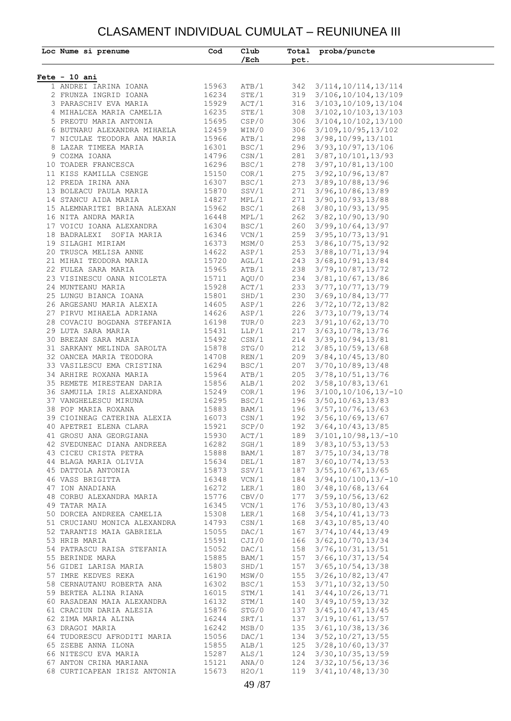#### CLASAMENT INDIVIDUAL CUMULAT – REUNIUNEA III

| $Fete - 10 ani$<br>1 ANDREI IARINA IOANA<br>2 FRUNZA INGRID IOANA<br>3 PARASCHIV EVA MARIA<br>4 MIHALCEA MARIA CAMELIA<br>5 PREOTU MARIA ANTONIA<br>6 BUTNARU ALEXANDRA MIHAELA<br>7 NICULAE TEODORA ANA MARIA<br>8 LAZAR TIMEEA MARIA<br>9 COZMA IOANA<br>10 TOADER FRANCESCA<br>11 KISS KAMILLA CSENGE<br>12 PREDA IRINA ANA<br>13 BOLEACU PAULA MARIA | 15963<br>16234<br>15929<br>16235<br>15695<br>12459<br>15966<br>16301<br>14796<br>16296 | /Ech<br>ATB/1<br>STE/1<br>ACT/1<br>STE/1<br>CSP/0<br>WIN/0<br>ATB/1<br>BSC/1<br>CSN/1 | pct.<br>342<br>306 | 3/114, 10/114, 13/114<br>319 3/106, 10/104, 13/109<br>316 3/103, 10/109, 13/104<br>308 3/102, 10/103, 13/103<br>3/104,10/102,13/100<br>306 3/109, 10/95, 13/102 |  |
|----------------------------------------------------------------------------------------------------------------------------------------------------------------------------------------------------------------------------------------------------------------------------------------------------------------------------------------------------------|----------------------------------------------------------------------------------------|---------------------------------------------------------------------------------------|--------------------|-----------------------------------------------------------------------------------------------------------------------------------------------------------------|--|
|                                                                                                                                                                                                                                                                                                                                                          |                                                                                        |                                                                                       |                    |                                                                                                                                                                 |  |
|                                                                                                                                                                                                                                                                                                                                                          |                                                                                        |                                                                                       |                    |                                                                                                                                                                 |  |
|                                                                                                                                                                                                                                                                                                                                                          |                                                                                        |                                                                                       |                    |                                                                                                                                                                 |  |
|                                                                                                                                                                                                                                                                                                                                                          |                                                                                        |                                                                                       |                    |                                                                                                                                                                 |  |
|                                                                                                                                                                                                                                                                                                                                                          |                                                                                        |                                                                                       |                    |                                                                                                                                                                 |  |
|                                                                                                                                                                                                                                                                                                                                                          |                                                                                        |                                                                                       |                    |                                                                                                                                                                 |  |
|                                                                                                                                                                                                                                                                                                                                                          |                                                                                        |                                                                                       |                    |                                                                                                                                                                 |  |
|                                                                                                                                                                                                                                                                                                                                                          |                                                                                        |                                                                                       |                    | 298 3/98, 10/99, 13/101                                                                                                                                         |  |
|                                                                                                                                                                                                                                                                                                                                                          |                                                                                        |                                                                                       |                    | 296 3/93, 10/97, 13/106                                                                                                                                         |  |
|                                                                                                                                                                                                                                                                                                                                                          |                                                                                        |                                                                                       |                    | 281 3/87, 10/101, 13/93                                                                                                                                         |  |
|                                                                                                                                                                                                                                                                                                                                                          |                                                                                        | BSC/1                                                                                 |                    | 278 3/97, 10/81, 13/100                                                                                                                                         |  |
|                                                                                                                                                                                                                                                                                                                                                          | 15150                                                                                  | COR/1                                                                                 |                    | 275 3/92, 10/96, 13/87                                                                                                                                          |  |
|                                                                                                                                                                                                                                                                                                                                                          | 16307                                                                                  | BSC/1                                                                                 |                    | 273 3/89, 10/88, 13/96                                                                                                                                          |  |
|                                                                                                                                                                                                                                                                                                                                                          | 15870                                                                                  | SSV/1                                                                                 |                    | 271 3/96, 10/86, 13/89                                                                                                                                          |  |
| 14 STANCU AIDA MARIA                                                                                                                                                                                                                                                                                                                                     | 14827                                                                                  | MPL/1                                                                                 |                    | 271 3/90, 10/93, 13/88                                                                                                                                          |  |
| 15 ALEMNARITEI BRIANA ALEXAN                                                                                                                                                                                                                                                                                                                             | 15962                                                                                  | BSC/1                                                                                 |                    | 268 3/80, 10/93, 13/95                                                                                                                                          |  |
| 16 NITA ANDRA MARIA                                                                                                                                                                                                                                                                                                                                      | 16448                                                                                  | MPL/1                                                                                 |                    | 262 3/82, 10/90, 13/90                                                                                                                                          |  |
| 17 VOICU IOANA ALEXANDRA                                                                                                                                                                                                                                                                                                                                 | 16304                                                                                  | BSC/1                                                                                 |                    | 260 3/99, 10/64, 13/97                                                                                                                                          |  |
| 18 BADRALEXI SOFIA MARIA                                                                                                                                                                                                                                                                                                                                 | 16346                                                                                  | VCN/1                                                                                 |                    | 259 3/95, 10/73, 13/91                                                                                                                                          |  |
| 19 SILAGHI MIRIAM                                                                                                                                                                                                                                                                                                                                        | 16373                                                                                  | MSM/0                                                                                 |                    | 253 3/86, 10/75, 13/92                                                                                                                                          |  |
| 20 TRUSCA MELISA ANNE                                                                                                                                                                                                                                                                                                                                    | 14622                                                                                  | ASP/1                                                                                 |                    | 253 3/88, 10/71, 13/94                                                                                                                                          |  |
| 21 MIHAI TEODORA MARIA                                                                                                                                                                                                                                                                                                                                   | 15720                                                                                  | AGL/1                                                                                 |                    | 243 3/68, 10/91, 13/84                                                                                                                                          |  |
| 22 FULEA SARA MARIA                                                                                                                                                                                                                                                                                                                                      | 15965                                                                                  | ATB/1                                                                                 |                    | 238 3/79, 10/87, 13/72                                                                                                                                          |  |
| 23 VISINESCU OANA NICOLETA                                                                                                                                                                                                                                                                                                                               | 15711                                                                                  | AQU/0                                                                                 |                    | 234 3/81, 10/67, 13/86                                                                                                                                          |  |
| 24 MUNTEANU MARIA                                                                                                                                                                                                                                                                                                                                        | 15928                                                                                  | ACT/1                                                                                 |                    | 233 3/77, 10/77, 13/79                                                                                                                                          |  |
| 25 LUNGU BIANCA IOANA<br>26 ARGESANU MARIA ALEXIA                                                                                                                                                                                                                                                                                                        | 15801<br>14605                                                                         | SHD/1<br>ASP/1                                                                        | 230                | 3/69, 10/84, 13/77<br>226 3/72, 10/72, 13/82                                                                                                                    |  |
| 27 PIRVU MIHAELA ADRIANA                                                                                                                                                                                                                                                                                                                                 | 14626                                                                                  | ASP/1                                                                                 |                    | 226 3/73, 10/79, 13/74                                                                                                                                          |  |
| 28 COVACIU BOGDANA STEFANIA                                                                                                                                                                                                                                                                                                                              | 16198                                                                                  | TUR/0                                                                                 |                    | 223 3/91, 10/62, 13/70                                                                                                                                          |  |
| 29 LUTA SARA MARIA                                                                                                                                                                                                                                                                                                                                       | 15431                                                                                  | LLP/1                                                                                 |                    | 217 3/63, 10/78, 13/76                                                                                                                                          |  |
| 30 BREZAN SARA MARIA                                                                                                                                                                                                                                                                                                                                     | 15492                                                                                  | $\text{CSN}/1$                                                                        |                    | 214 3/39, 10/94, 13/81                                                                                                                                          |  |
| 31 SARKANY MELINDA SAROLTA                                                                                                                                                                                                                                                                                                                               | 15878                                                                                  | STG/0                                                                                 | 212                | 3/85, 10/59, 13/68                                                                                                                                              |  |
| 32 OANCEA MARIA TEODORA                                                                                                                                                                                                                                                                                                                                  | 14708                                                                                  | REN/1                                                                                 |                    | 209 3/84, 10/45, 13/80                                                                                                                                          |  |
| 33 VASILESCU EMA CRISTINA                                                                                                                                                                                                                                                                                                                                | 16294                                                                                  | BSC/1                                                                                 |                    | 207 3/70, 10/89, 13/48                                                                                                                                          |  |
| 34 ARHIRE ROXANA MARIA                                                                                                                                                                                                                                                                                                                                   | 15964                                                                                  | ATB/1                                                                                 |                    | 205 3/78, 10/51, 13/76                                                                                                                                          |  |
| 35 REMETE MIRESTEAN DARIA                                                                                                                                                                                                                                                                                                                                | 15856                                                                                  | ALB/1                                                                                 |                    | 202 3/58, 10/83, 13/61                                                                                                                                          |  |
| 36 SAMUILA IRIS ALEXANDRA                                                                                                                                                                                                                                                                                                                                | 15249                                                                                  | COR/1                                                                                 |                    | 196 3/100, 10/106, 13/-10                                                                                                                                       |  |
| 37 VANGHELESCU MIRUNA                                                                                                                                                                                                                                                                                                                                    | 16295                                                                                  | BSC/1                                                                                 |                    | 196 3/50, 10/63, 13/83                                                                                                                                          |  |
| 38 POP MARIA ROXANA                                                                                                                                                                                                                                                                                                                                      | 15883                                                                                  | BAM/1                                                                                 |                    | 196 3/57, 10/76, 13/63                                                                                                                                          |  |
| 39 CIOINEAG CATERINA ALEXIA                                                                                                                                                                                                                                                                                                                              | 16073                                                                                  | CSN/1                                                                                 |                    | 192 3/56, 10/69, 13/67                                                                                                                                          |  |
| 40 APETREI ELENA CLARA                                                                                                                                                                                                                                                                                                                                   |                                                                                        | 15921 SCP/0                                                                           |                    | 192 3/64, 10/43, 13/85                                                                                                                                          |  |
| 41 GROSU ANA GEORGIANA $15930$ ACT/1 $189$ 3/101, 10/98, 13/-1<br>42 SVEDUNEAC DIANA ANDREEA $16282$ SGH/1 $189$ 3/83, 10/53, 13/53<br>43 CICEU CRISTA PETRA 15888 BAM/1 187 3/75, 10/34, 13/78<br>44 BLAGA MARIA OLIVIA 15634 DEL/1                                                                                                                     |                                                                                        |                                                                                       |                    | 189 3/101, 10/98, 13/-10                                                                                                                                        |  |
|                                                                                                                                                                                                                                                                                                                                                          |                                                                                        |                                                                                       |                    |                                                                                                                                                                 |  |
|                                                                                                                                                                                                                                                                                                                                                          |                                                                                        |                                                                                       |                    |                                                                                                                                                                 |  |
|                                                                                                                                                                                                                                                                                                                                                          |                                                                                        |                                                                                       |                    | 187 3/55, 10/67, 13/65                                                                                                                                          |  |
| 45 DATTOLA ANTONIA 15873<br>46 VASS BRIGITTA 16348<br>47 ION ANADIANA 16272                                                                                                                                                                                                                                                                              |                                                                                        | SSV/1<br>VCN/1<br>LER/1                                                               |                    | 184 3/94, 10/100, 13/-10                                                                                                                                        |  |
|                                                                                                                                                                                                                                                                                                                                                          |                                                                                        |                                                                                       |                    | 180 3/48, 10/68, 13/64                                                                                                                                          |  |
| 48 CORBU ALEXANDRA MARIA 15776<br>49 TATAR MAIA 16345<br>50 DORCEA ANDREEA CAMELIA 15308                                                                                                                                                                                                                                                                 |                                                                                        | CBV/0                                                                                 |                    | 177 3/59, 10/56, 13/62                                                                                                                                          |  |
|                                                                                                                                                                                                                                                                                                                                                          |                                                                                        | VCN/1<br>LER/1                                                                        |                    | 176 3/53, 10/80, 13/43                                                                                                                                          |  |
|                                                                                                                                                                                                                                                                                                                                                          |                                                                                        |                                                                                       |                    | 168 3/54, 10/41, 13/73                                                                                                                                          |  |
| 51 CRUCIANU MONICA ALEXANDRA 14793                                                                                                                                                                                                                                                                                                                       |                                                                                        | CSN/1                                                                                 |                    | 168 3/43, 10/85, 13/40                                                                                                                                          |  |
| 52 TARANTIS MAIA GABRIELA 15055<br>53 HRIB MARIA 15591                                                                                                                                                                                                                                                                                                   |                                                                                        | DAC/1<br>CJI/0                                                                        |                    | 167 3/74, 10/44, 13/49                                                                                                                                          |  |
|                                                                                                                                                                                                                                                                                                                                                          |                                                                                        |                                                                                       |                    | 166 3/62, 10/70, 13/34                                                                                                                                          |  |
| 54 PATRASCU RAISA STEFANIA 15052                                                                                                                                                                                                                                                                                                                         |                                                                                        | DAC/1                                                                                 |                    | 158 3/76, 10/31, 13/51                                                                                                                                          |  |
| 55 BERINDE MARA 15885<br>56 GIDEI LARISA MARIA 15803<br>57 IMRE KEDVES REKA 16190                                                                                                                                                                                                                                                                        |                                                                                        | BAM/1                                                                                 |                    | 157 3/66, 10/37, 13/54                                                                                                                                          |  |
|                                                                                                                                                                                                                                                                                                                                                          |                                                                                        | SHD/1<br>MSW/0                                                                        |                    | 157 3/65, 10/54, 13/38                                                                                                                                          |  |
|                                                                                                                                                                                                                                                                                                                                                          |                                                                                        | BSC/1                                                                                 |                    | 155 3/26, 10/82, 13/47<br>153 3/71, 10/32, 13/50                                                                                                                |  |
| 58 CERNAUTANU ROBERTA ANA 16302                                                                                                                                                                                                                                                                                                                          |                                                                                        | STM/1                                                                                 |                    | 141 3/44, 10/26, 13/71                                                                                                                                          |  |
| 59 BERTEA ALINA RIANA 16015<br>60 RASADEAN MAIA ALEXANDRA 16132<br>61 CRACIUN DARIA ALESIA 15876                                                                                                                                                                                                                                                         |                                                                                        | STM/1                                                                                 |                    | 140 3/49, 10/59, 13/32                                                                                                                                          |  |
|                                                                                                                                                                                                                                                                                                                                                          |                                                                                        | STG/0                                                                                 |                    | 137 3/45, 10/47, 13/45                                                                                                                                          |  |
|                                                                                                                                                                                                                                                                                                                                                          |                                                                                        | SRT/1                                                                                 |                    | 137 3/19, 10/61, 13/57                                                                                                                                          |  |
| 62 ZIMA MARIA ALINA 16244<br>63 DRAGOI MARIA 16242                                                                                                                                                                                                                                                                                                       |                                                                                        | MSB/0                                                                                 |                    | 135 3/61, 10/38, 13/36                                                                                                                                          |  |
| 64 TUDORESCU AFRODITI MARIA 15056                                                                                                                                                                                                                                                                                                                        |                                                                                        | DAC/1                                                                                 |                    | 134 3/52, 10/27, 13/55                                                                                                                                          |  |
|                                                                                                                                                                                                                                                                                                                                                          |                                                                                        | ALB/1                                                                                 |                    | 125 3/28, 10/60, 13/37                                                                                                                                          |  |
|                                                                                                                                                                                                                                                                                                                                                          |                                                                                        |                                                                                       |                    | 124 3/30, 10/35, 13/59                                                                                                                                          |  |
| 65 ZSEBE ANNA ILONA 15855<br>66 NITESCU EVA MARIA 15287<br>67 ANTON CRINA MARIANA 15121                                                                                                                                                                                                                                                                  |                                                                                        | ALS/1<br>ANA/0                                                                        |                    | 124 3/32, 10/56, 13/36                                                                                                                                          |  |
| 68 CURTICAPEAN IRISZ ANTONIA 15673 H2O/1                                                                                                                                                                                                                                                                                                                 |                                                                                        |                                                                                       |                    | 119 3/41, 10/48, 13/30                                                                                                                                          |  |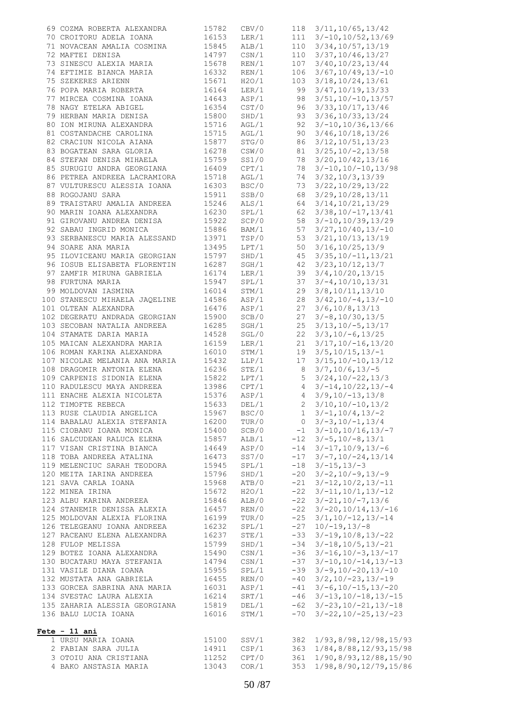| 69 COZMA ROBERTA ALEXANDRA                                               | 15782          | CBV/0                  |                 | 118 3/11, 10/65, 13/42                  |
|--------------------------------------------------------------------------|----------------|------------------------|-----------------|-----------------------------------------|
| 70 CROITORU ADELA IOANA<br>71 NOVEMBER: 1995                             | 16153          | LER/1                  |                 | $111 \quad 3/-10, 10/52, 13/69$         |
| 71 NOVACEAN AMALIA COSMINA 15845                                         |                | ALB/1                  |                 | 110 3/34, 10/57, 13/19                  |
| --- PERISA<br>73 SINESCU ALEXIA MARIA<br>74 EFTIMIE PIANOR               | 14797          | USN/1<br>REN/1<br>PELL | 110             | 3/37, 10/46, 13/27                      |
|                                                                          | 15678          |                        | 107             | 3/40, 10/23, 13/44                      |
| 74 EFTIMIE BIANCA MARIA 16332                                            |                | REN/1                  | 106             | $3/67, 10/49, 13/-10$                   |
| 75 SZEKERES ARIENN<br>76 POPA MARIA ROBERTA                              | 15671          | H2O/1                  | 103             | 3/18, 10/24, 13/61                      |
|                                                                          | 16164          | LER/1                  | 99              | 3/47, 10/19, 13/33                      |
| 77 MIRCEA COSMINA IOANA                                                  | 14643          | ASP/1                  | 98              | $3/51, 10/-10, 13/57$                   |
| 78 NAGY ETELKA ABIGEL                                                    | 16354          | CST/0                  | 96              | 3/33, 10/17, 13/46                      |
| 79 HERBAN MARIA DENISA<br>80 ION MIRUNA ALEXANDRA                        | 15800          | SHD/1                  | 93              | $3/36$ , $10/33$ , $13/24$              |
|                                                                          | 15716          | AGL/1                  | 92              | $3/-10, 10/36, 13/66$                   |
| 81 COSTANDACHE CAROLINA                                                  | 15715          | AGL/1                  | 90              | 3/46, 10/18, 13/26                      |
| 82 CRACIUN NICOLA AIANA                                                  | 15877          | STG/0                  | 86              | $3/12$ , $10/51$ , $13/23$              |
| 83 BOGATEAN SARA GLORIA                                                  | 16278          | CSW/0                  | 81              | $3/25$ , $10/-2$ , $13/58$              |
| 84 STEFAN DENISA MIHAELA                                                 | 15759          | SS1/0                  | 78              | 3/20, 10/42, 13/16                      |
| 85 SURUGIU ANDRA GEORGIANA                                               | 16409          | CPT/1                  |                 | $78$ $3/-10, 10/-10, 13/98$             |
| 86 PETREA ANDREEA LACRAMIORA                                             | 15718          | AGL/1                  | 74              | 3/32, 10/3, 13/39                       |
| 87 VULTURESCU ALESSIA IOANA 16303                                        |                | BSC/0                  | 73              | 3/22, 10/29, 13/22                      |
| 88 ROGOJANU SARA                                                         | 15911          | SSB/0                  | 68              | 3/29, 10/28, 13/11                      |
| 89 TRAISTARU AMALIA ANDREEA                                              | 15246          | ALS/1                  | 64              | 3/14, 10/21, 13/29                      |
| 90 MARIN IOANA ALEXANDRA                                                 | 16230          | SPL/1                  | 62              | $3/38, 10/-17, 13/41$                   |
| 91 GIROVANU ANDREA DENISA                                                | 15922          | SCP/0                  | 58              | $3/-10, 10/39, 13/29$                   |
| 92 SABAU INGRID MONICA                                                   | 15886          | BAM/1                  | 57              | $3/27, 10/40, 13/-10$                   |
| 93 SERBANESCU MARIA ALESSAND 13971                                       |                | TSP/0                  | 53              | 3/21, 10/13, 13/19                      |
| 94 SOARE ANA MARIA                                                       | 13495          | LPT/1                  | 50              | 3/16, 10/25, 13/9                       |
| 95 ILOVICEANU MARIA GEORGIAN 15797<br>96 IOSUB ELISABETA FLORENTIN 16287 |                | SHD/1                  | 45              | $3/35$ , $10/-11$ , $13/21$             |
|                                                                          |                | SGH/1                  | 42              | 3/23, 10/12, 13/7                       |
| 97 ZAMFIR MIRUNA GABRIELA 16174                                          |                | LER/1                  | 39              | 3/4, 10/20, 13/15                       |
| 98 FURTUNA MARIA<br>98 FURTUNA MARIA<br>99 MOLDOVAN IASMINA              | 15947          | SPL/1                  |                 | $37 \quad 3/-4, 10/10, 13/31$           |
|                                                                          | 16014          | STM/1<br>ASP/1         |                 | 29 3/8, 10/11, 13/10                    |
| 100 STANESCU MIHAELA JAQELINE 14586<br>101 OLTEAN ALEXANDRA              |                | ASP/1                  | 28<br>27        | $3/42, 10/-4, 13/-10$                   |
| 102 DEGERATU ANDRADA GEORGIAN                                            | 16476          | SCB/0                  | 27              | 3/6, 10/8, 13/13<br>$3/-8, 10/30, 13/5$ |
| 103 SECOBAN NATALIA ANDREEA                                              | 15900<br>16285 | SGH/1                  | 25              | $3/13$ , $10/-5$ , $13/17$              |
| 104 STAMATE DARIA MARIA 14528                                            |                | SGL/0                  | 22              | $3/3$ , $10/-6$ , $13/25$               |
|                                                                          |                | LER/1                  | 21              | $3/17, 10/-16, 13/20$                   |
| 105 MAICAN ALEXANDRA MARIA<br>106 ROMAN KARINA ALEXANDRA                 | 16159<br>16010 | STM/1                  |                 | $19 \quad 3/5, 10/15, 13/-1$            |
| 107 NICOLAE MELANIA ANA MARIA 15432                                      |                | LLP/1                  | 17              | $3/15$ , $10/-10$ , $13/12$             |
|                                                                          |                | STE/1                  | 8 <sup>8</sup>  | $3/7, 10/6, 13/ -5$                     |
| 108 DRAGOMIR ANTONIA ELENA 16236<br>109 CARPENIS SIDONIA ELENA 15822     |                | LPT/1                  | 5 <sup>5</sup>  | $3/24, 10/-22, 13/3$                    |
| 110 RADULESCU MAYA ANDREEA 13986                                         |                | CPT/1                  | $4\overline{4}$ | $3/-14, 10/22, 13/-4$                   |
| 111 ENACHE ALEXIA NICOLETA 15376                                         |                | ASP/1                  |                 | $4 \quad 3/9, 10/-13, 13/8$             |
| 112 TIMOFTE REBECA                                                       | 15633          | DEL/1                  | $2^{\circ}$     | $3/10, 10/-10, 13/2$                    |
| 113 RUSE CLAUDIA ANGELICA                                                | 15967          | BSC/0                  | 1               | $3/-1, 10/4, 13/-2$                     |
| 114 BABALAU ALEXIA STEFANIA                                              | 16200          | TUR/0                  |                 | $0 \quad 3/-3, 10/-1, 13/4$             |
| 115 CIOBANU IOANA MONICA                                                 | 15400          | SCB/0                  |                 | $-1$ 3/-10, 10/16, 13/-7                |
| 116 SALCUDEAN RALUCA ELENA                                               | 15857          | ALB/1                  |                 | $-12$ $3/-5$ , $10/-8$ , $13/1$         |
| 117 VISAN CRISTINA BIANCA                                                | 14649          | ASP/0                  |                 | $-14$ $3/-17, 10/9, 13/-6$              |
| 118 TOBA ANDREEA ATALINA                                                 | 16473          | SS7/0                  | $-17$           | $3/-7, 10/-24, 13/14$                   |
| 119 MELENCIUC SARAH TEODORA                                              | 15945          | SPL/1                  | $-18$           | $3/-15, 13/-3$                          |
| 120 MEITA IARINA ANDREEA                                                 | 15796          | SHD/1                  |                 | $-20$ $3/-2$ , $10/-9$ , $13/-9$        |
| 121 SAVA CARLA IOANA                                                     | 15968          | ATB/0                  | $-21$           | $3/-12, 10/2, 13/-11$                   |
| 122 MINEA IRINA                                                          | 15672          | H2O/1                  | $-22$           | $3/-11, 10/1, 13/-12$                   |
| 123 ALBU KARINA ANDREEA                                                  | 15846          | ALB/0                  | $-22$           | $3/-21, 10/-7, 13/6$                    |
| 124 STANEMIR DENISSA ALEXIA                                              | 16457          | REN/0                  | $-22$           | $3/-20, 10/14, 13/-16$                  |
| 125 MOLDOVAN ALEXIA FLORINA                                              | 16199          | TUR/0                  | $-25$           | $3/1, 10/-12, 13/-14$                   |
| 126 TELEGEANU IOANA ANDREEA                                              | 16232          | SPL/1                  | $-27$           | $10/-19, 13/-8$                         |
| 127 RACEANU ELENA ALEXANDRA                                              | 16237          | STE/1                  | $-33$           | $3/-19, 10/8, 13/-22$                   |
| 128 FULOP MELISSA                                                        | 15799          | SHD/1                  | $-34$           | $3/-18, 10/5, 13/-21$                   |
| 129 BOTEZ IOANA ALEXANDRA                                                | 15490          | CSN/1                  |                 | $-36$ $3/-16$ , $10/-3$ , $13/-17$      |
| 130 BUCATARU MAYA STEFANIA                                               | 14794          | $\text{CSN}/1$         | $-37$           | $3/-10$ , $10/-14$ , $13/-13$           |
| 131 VASILE DIANA IOANA                                                   | 15955          | SPL/1                  | -39             | $3/-9, 10/-20, 13/-10$                  |
| 132 MUSTATA ANA GABRIELA                                                 | 16455          | REN/0                  | $-40$           | $3/2$ , $10/-23$ , $13/-19$             |
| 133 GORCEA SABRINA ANA MARIA                                             | 16031          | ASP/1                  |                 | $-41$ $3/-6$ , $10/-15$ , $13/-20$      |
| 134 SVESTAC LAURA ALEXIA                                                 | 16214          | SRT/1                  |                 | $-46$ $3/-13$ , $10/-18$ , $13/-15$     |
| 135 ZAHARIA ALESSIA GEORGIANA                                            | 15819          | DEL/1                  |                 | $-62$ $3/-23$ , $10/-21$ , $13/-18$     |
| 136 BALU LUCIA IOANA                                                     | 16016          | STM/1                  | $-70$           | $3/-22$ , $10/-25$ , $13/-23$           |
| $Fete - 11 ani$<br>1 URSU MARIA IOANA                                    | 15100          | SSV/1                  | 382             | 1/93,8/98,12/98,15/93                   |
| 2 FABIAN SARA JULIA                                                      | 14911          | CSP/1                  | 363             | 1/84,8/88,12/93,15/98                   |
| 3 OTOIU ANA CRISTIANA                                                    | 11252          | CPT/0                  | 361             | 1/90,8/93,12/88,15/90                   |
| 4 BAKO ANSTASIA MARIA                                                    | 13043          | COR/1                  | 353             | 1/98,8/90,12/79,15/86                   |
|                                                                          |                |                        |                 |                                         |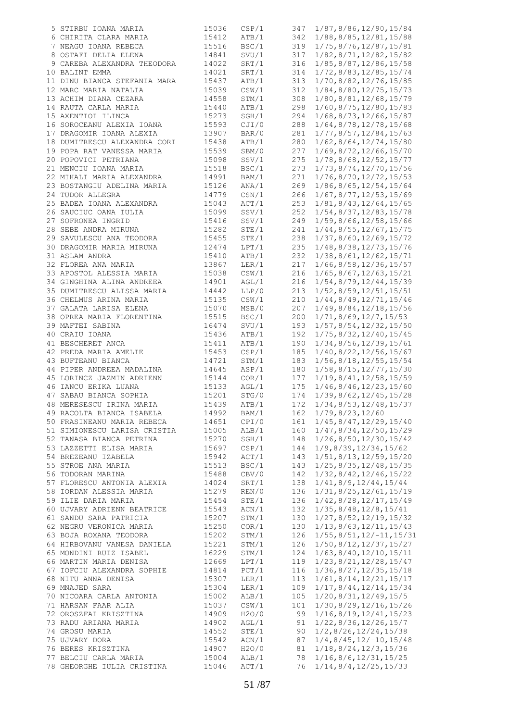| 5 STIRBU IOANA MARIA         | 15036 | CSP/1 | 347 | 1/87,8/86,12/90,15/84               |
|------------------------------|-------|-------|-----|-------------------------------------|
| 6 CHIRITA CLARA MARIA        | 15412 | ATB/1 | 342 | 1/88,8/85,12/81,15/88               |
| 7 NEAGU IOANA REBECA         | 15516 | BSC/1 | 319 |                                     |
|                              |       |       |     | 1/75,8/76,12/87,15/81               |
| 8 OSTAFI DELIA ELENA         | 14841 | SVU/1 | 317 | 1/82, 8/71, 12/82, 15/82            |
| 9 CAREBA ALEXANDRA THEODORA  | 14022 | SRT/1 | 316 | 1/85,8/87,12/86,15/58               |
| 10 BALINT EMMA               | 14021 | SRT/1 | 314 | 1/72, 8/83, 12/85, 15/74            |
| 11 DINU BIANCA STEFANIA MARA | 15437 | ATB/1 | 313 | 1/70,8/82,12/76,15/85               |
| 12 MARC MARIA NATALIA        | 15039 | CSW/1 | 312 | 1/84,8/80,12/75,15/73               |
| 13 ACHIM DIANA CEZARA        | 14558 | STM/1 | 308 | 1/80,8/81,12/68,15/79               |
|                              |       |       |     |                                     |
| 14 RAUTA CARLA MARIA         | 15440 | ATB/1 | 298 | 1/60, 8/75, 12/80, 15/83            |
| 15 AXENTIOI ILINCA           | 15273 | SGH/1 | 294 | 1/68, 8/73, 12/66, 15/87            |
| 16 SOROCEANU ALEXIA IOANA    | 15593 | CJI/0 | 288 | 1/64, 8/78, 12/78, 15/68            |
| 17 DRAGOMIR IOANA ALEXIA     | 13907 | BAR/0 | 281 | 1/77, 8/57, 12/84, 15/63            |
| 18 DUMITRESCU ALEXANDRA CORI | 15438 | ATB/1 | 280 | 1/62, 8/64, 12/74, 15/80            |
| 19 POPA RAT VANESSA MARIA    | 15539 | SBM/0 | 277 | 1/69,8/72,12/66,15/70               |
| 20 POPOVICI PETRIANA         | 15098 | SSV/1 | 275 |                                     |
|                              |       |       |     | 1/78, 8/68, 12/52, 15/77            |
| 21 MENCIU IOANA MARIA        | 15518 | BSC/1 | 273 | 1/73, 8/74, 12/70, 15/56            |
| 22 MIHALI MARIA ALEXANDRA    | 14991 | BAM/1 | 271 | $1/76$ , $8/70$ , $12/72$ , $15/53$ |
| 23 BOSTANGIU ADELINA MARIA   | 15126 | ANA/1 | 269 | 1/86, 8/65, 12/54, 15/64            |
| 24 TUDOR ALLEGRA             | 14779 | CSN/1 | 266 | 1/67, 8/77, 12/53, 15/69            |
| 25 BADEA IOANA ALEXANDRA     | 15043 | ACT/1 | 253 | 1/81, 8/43, 12/64, 15/65            |
| 26 SAUCIUC OANA IULIA        | 15099 | SSV/1 | 252 | 1/54,8/37,12/83,15/78               |
|                              |       |       |     |                                     |
| 27 SOFRONEA INGRID           | 15416 | SSV/1 | 249 | 1/59, 8/66, 12/58, 15/66            |
| 28 SEBE ANDRA MIRUNA         | 15282 | STE/1 | 241 | 1/44, 8/55, 12/67, 15/75            |
| 29 SAVULESCU ANA TEODORA     | 15455 | STE/1 | 238 | 1/37,8/60,12/69,15/72               |
| 30 DRAGOMIR MARIA MIRUNA     | 12474 | LPT/1 | 235 | 1/48, 8/38, 12/73, 15/76            |
| 31 ASLAM ANDRA               | 15410 | ATB/1 | 232 | 1/38, 8/61, 12/62, 15/71            |
| 32 FLOREA ANA MARIA          | 13867 | LER/1 | 217 | $1/66$ , $8/58$ , $12/36$ , $15/57$ |
| 33 APOSTOL ALESSIA MARIA     | 15038 | CSW/1 | 216 | 1/65, 8/67, 12/63, 15/21            |
|                              |       |       |     |                                     |
| 34 GINGHINA ALINA ANDREEA    | 14901 | AGL/1 | 216 | 1/54, 8/79, 12/44, 15/39            |
| 35 DUMITRESCU ALISSA MARIA   | 14442 | LLP/0 | 213 | $1/52$ , 8/59, 12/51, 15/51         |
| 36 CHELMUS ARINA MARIA       | 15135 | CSW/1 | 210 | 1/44, 8/49, 12/71, 15/46            |
| 37 GALATA LARISA ELENA       | 15070 | MSB/0 | 207 | 1/49, 8/84, 12/18, 15/56            |
| 38 OPREA MARIA FLORENTINA    | 15515 | BSC/1 | 200 | 1/71, 8/69, 12/7, 15/53             |
| 39 MAFTEI SABINA             | 16474 | SVU/1 | 193 | 1/57,8/54,12/32,15/50               |
| 40 CRAIU IOANA               | 15436 | ATB/1 | 192 | 1/75, 8/32, 12/40, 15/45            |
|                              |       |       |     |                                     |
| 41 BESCHERET ANCA            | 15411 | ATB/1 | 190 | 1/34, 8/56, 12/39, 15/61            |
| 42 PREDA MARIA AMELIE        | 15453 | CSP/1 | 185 | 1/40, 8/22, 12/56, 15/67            |
| 43 BUFTEANU BIANCA           | 14721 | STM/1 | 183 | $1/56$ , $8/18$ , $12/55$ , $15/54$ |
| 44 PIPER ANDREEA MADALINA    | 14645 | ASP/1 | 180 | 1/58,8/15,12/77,15/30               |
| 45 LORINCZ JAZMIN ADRIENN    | 15144 | COR/1 | 177 | 1/19, 8/41, 12/58, 15/59            |
| 46 IANCU ERIKA LUANA         | 15133 | AGL/1 | 175 | $1/46$ , $8/46$ , $12/23$ , $15/60$ |
| 47 SABAU BIANCA SOPHIA       | 15201 | STG/0 | 174 | 1/39, 8/62, 12/45, 15/28            |
| 48 MERESESCU IRINA MARIA     | 15439 |       | 172 |                                     |
|                              |       | ATB/1 |     | 1/34, 8/53, 12/48, 15/37            |
| 49 RACOLTA BIANCA ISABELA    | 14992 | BAM/1 | 162 | 1/79, 8/23, 12/60                   |
| 50 FRASINEANU MARIA REBECA   | 14651 | CPI/0 | 161 | 1/45, 8/47, 12/29, 15/40            |
| 51 SIMIONESCU LARISA CRISTIA | 15005 | ALB/1 | 160 | 1/47, 8/34, 12/50, 15/29            |
| 52 TANASA BIANCA PETRINA     | 15270 | SGH/1 | 148 | $1/26$ , $8/50$ , $12/30$ , $15/42$ |
| 53 LAZZETTI ELISA MARIA      | 15697 | CSP/1 | 144 | $1/9$ , 8/39, 12/34, 15/62          |
| 54 BREZEANU IZABELA          | 15942 | ACT/1 | 143 | 1/51, 8/13, 12/59, 15/20            |
|                              |       |       |     |                                     |
| 55 STROE ANA MARIA           | 15513 | BSC/1 | 143 | $1/25$ , 8/35, 12/48, 15/35         |
| 56 TODORAN MARINA            | 15488 | CBV/0 | 142 | 1/32, 8/42, 12/46, 15/22            |
| 57 FLORESCU ANTONIA ALEXIA   | 14024 | SRT/1 | 138 | 1/41, 8/9, 12/44, 15/44             |
| 58 IORDAN ALESSIA MARIA      | 15279 | REN/0 | 136 | 1/31,8/25,12/61,15/19               |
| 59 ILIE DARIA MARIA          | 15454 | STE/1 | 136 | 1/42, 8/28, 12/17, 15/49            |
| 60 UJVARY ADRIENN BEATRICE   | 15543 | ACN/1 | 132 | $1/35$ , $8/48$ , $12/8$ , $15/41$  |
| 61 SANDU SARA PATRICIA       | 15207 | STM/1 | 130 | 1/27, 8/52, 12/19, 15/32            |
|                              |       |       |     |                                     |
| 62 NEGRU VERONICA MARIA      | 15250 | COR/1 | 130 | 1/13, 8/63, 12/11, 15/43            |
| 63 BOJA ROXANA TEODORA       | 15202 | STM/1 | 126 | $1/55, 8/51, 12/-11, 15/31$         |
| 64 HIRBOVANU VANESA DANIELA  | 15221 | STM/1 | 126 | 1/50, 8/12, 12/37, 15/27            |
| 65 MONDINI RUIZ ISABEL       | 16229 | STM/1 | 124 | 1/63, 8/40, 12/10, 15/11            |
| 66 MARTIN MARIA DENISA       | 12669 | LPT/1 | 119 | 1/23, 8/21, 12/28, 15/47            |
| 67 IOFCIU ALEXANDRA SOPHIE   | 14814 | PCT/1 | 116 | $1/36$ , $8/27$ , $12/35$ , $15/18$ |
| 68 NITU ANNA DENISA          | 15307 | LER/1 | 113 | 1/61, 8/14, 12/21, 15/17            |
|                              |       |       |     |                                     |
| 69 MNAJED SARA               | 15304 | LER/1 | 109 | 1/17, 8/44, 12/14, 15/34            |
| 70 NICOARA CARLA ANTONIA     | 15002 | ALB/1 | 105 | 1/20, 8/31, 12/49, 15/5             |
| 71 HARSAN FAAR ALIA          | 15037 | CSW/1 | 101 | 1/30, 8/29, 12/16, 15/26            |
| 72 OROSZFAI KRISZTINA        | 14909 | H2O/0 | 99  | $1/16$ , $8/19$ , $12/41$ , $15/23$ |
| 73 RADU ARIANA MARIA         | 14902 | AGL/1 | 91  | $1/22$ , 8/36, 12/26, 15/7          |
| 74 GROSU MARIA               | 14552 | STE/1 | 90  | $1/2$ , 8/26, 12/24, 15/38          |
| 75 UJVARY DORA               | 15542 | ACN/1 | 87  | $1/4, 8/45, 12/-10, 15/48$          |
|                              |       |       |     |                                     |
| 76 BERES KRISZTINA           | 14907 | H2O/0 | 81  | 1/18, 8/24, 12/3, 15/36             |
| 77 BELCIU CARLA MARIA        | 15004 | ALB/1 | 78  | $1/16$ , 8/6, 12/31, 15/25          |
| 78 GHEORGHE IULIA CRISTINA   | 15046 | ACT/1 | 76  | 1/14, 8/4, 12/25, 15/33             |
|                              |       |       |     |                                     |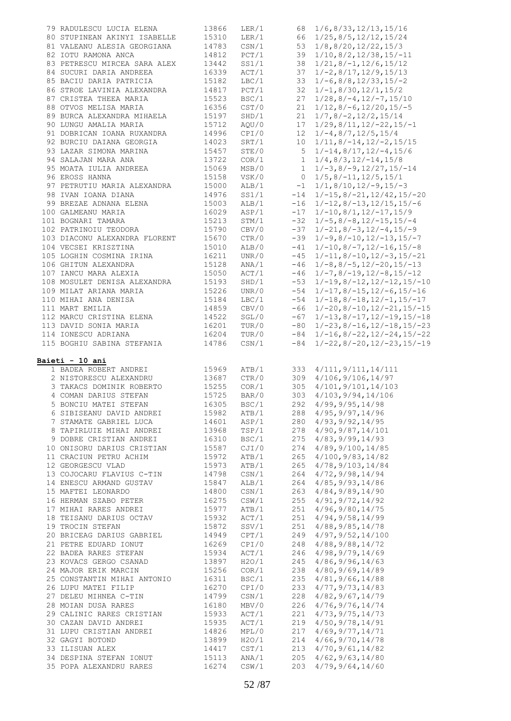| 79 RADULESCU LUCIA ELENA                          | 13866             | LER/1                   |       | 68 1/6,8/33,12/13,15/16                                                       |
|---------------------------------------------------|-------------------|-------------------------|-------|-------------------------------------------------------------------------------|
| 80 STUPINEAN AKINYI ISABELLE                      | 15310             | LER/1                   |       | 66 1/25, 8/5, 12/12, 15/24                                                    |
| 81 VALEANU ALESIA GEORGIANA                       | 14783             | $\texttt{CSN}/1$        |       |                                                                               |
|                                                   |                   |                         |       | 53 1/8,8/20,12/22,15/3                                                        |
| 82 IOTU RAMONA ANCA                               | 14812             | PCT/1                   |       | $39 \t1/10, 8/2, 12/38, 15/-11$                                               |
| 83 PETRESCU MIRCEA SARA ALEX                      | 13442             | SS1/1                   |       | $38 \t1/21, 8/-1, 12/6, 15/12$                                                |
| 84 SUCURI DARIA ANDREEA                           | 16339             | ACT/1                   | 37    | $1/-2, 8/17, 12/9, 15/13$                                                     |
| 85 BACIU DARIA PATRICIA                           | 15182             | LBC/1                   |       |                                                                               |
|                                                   |                   |                         |       | $33 \quad 1/-6$ , 8/8, 12/33, 15/-2                                           |
| 86 STROE LAVINIA ALEXANDRA                        | 14817             | PCT/1                   |       | $32 \quad 1/-1, 8/30, 12/1, 15/2$                                             |
| 87 CRISTEA THEEA MARIA                            | 15523             | BSC/1                   | 27    | $1/28, 8/-4, 12/-7, 15/10$                                                    |
| 88 OTVOS MELISA MARIA                             | 16356             | CST/0                   |       | $21 \quad 1/12$ , 8/-6, 12/20, 15/-5                                          |
|                                                   |                   |                         |       |                                                                               |
| 89 BURCA ALEXANDRA MIHAELA                        | 15197             | SHD/1                   |       | $21 \quad 1/7, 8/-2, 12/2, 15/14$                                             |
| 90 LUNGU AMALIA MARIA                             | 15712             | AQU/0                   |       | $17 \quad 1/29, 8/11, 12/-22, 15/-1$                                          |
| 91 DOBRICAN IOANA RUXANDRA                        | $14.2$<br>14023   | CPI/0                   |       | $12 \quad 1/-4, 8/7, 12/5, 15/4$                                              |
| 92 BURCIU DAIANA GEORGIA                          |                   | SRT/1                   |       | $10 \quad 1/11, 8/-14, 12/-2, 15/15$                                          |
| 93 LAZAR SIMONA MARINA                            | 15457             | STE/0                   |       |                                                                               |
|                                                   |                   |                         |       | $5 \t1/-14, 8/17, 12/-4, 15/6$                                                |
| 94 SALAJAN MARA ANA                               | 13722             | COR/1                   | 1     | $1/4, 8/3, 12/-14, 15/8$                                                      |
| 95 MOATA IULIA ANDREEA                            | 15069             | MSB/0                   |       | $1 \quad 1/-3, 8/-9, 12/27, 15/-14$                                           |
| 96 EROSS HANNA                                    | 15158             | VSK/0                   |       | $0$ $1/5$ , $8/-11$ , $12/5$ , $15/1$                                         |
| 97 PETRUTIU MARIA ALEXANDRA                       | 15000             | ALB/1                   | $-1$  | $1/1, 8/10, 12/-9, 15/-3$                                                     |
|                                                   |                   |                         |       |                                                                               |
| 98 IVAN IOANA DIANA                               | 14976             | SS1/1                   |       | $-14$ $1/-15$ , $8/-21$ , $12/42$ , $15/-20$                                  |
| 99 BREZAE ADNANA ELENA                            | <sup>1</sup> 5003 | ALB/1                   |       | $-16$ $1/-12$ , $8/-13$ , $12/15$ , $15/-6$                                   |
| 100 GALMEANU MARIA                                | 16029             | ASP/1                   |       | $-17$ $1/-10,8/1,12/-17,15/9$                                                 |
| 101 BOGNARI TAMARA                                | 15213             | STM/1                   |       | $-32$ $1/-5$ , $8/-8$ , $12/-15$ , $15/-4$                                    |
|                                                   |                   |                         |       |                                                                               |
| 102 PATRINOIU TEODORA                             | 15790             | CBV/0                   | $-37$ | $1/-21, 8/-3, 12/-4, 15/-9$                                                   |
| 103 DIACONU ALEXANDRA FLORENT                     | 15670             | CTR/0                   |       | $-39$ $1/-9$ , $8/-10$ , $12/-13$ , $15/-7$                                   |
| 104 VECSEI KRISZTINA                              | 15010             | ALB/0                   | $-41$ | $1/-10, 8/-7, 12/-16, 15/-8$                                                  |
| 105 LOGHIN COSMINA IRINA                          | 16211             | UNR/0                   |       | $-45$ $1/-11$ , $8/-10$ , $12/-3$ , $15/-21$                                  |
|                                                   |                   |                         |       |                                                                               |
| 106 GHITUN ALEXANDRA                              | 15128             | ANA/1                   |       | $-46$ 1/-8,8/-5,12/-20,15/-13                                                 |
| 107 IANCU MARA ALEXIA                             | 15050             | ACT/1                   | $-46$ | $1/-7, 8/-19, 12/-8, 15/-12$                                                  |
| 108 MOSULET DENISA ALEXANDRA                      | 15193             | SHD/1                   |       | $-53$ $1/-19$ , $8/-12$ , $12/-12$ , $15/-10$                                 |
| 109 MILAT ARIANA MARIA                            | 15226             | UNR/0                   |       | $-54$ 1/-17,8/-15,12/-6,15/-16                                                |
|                                                   |                   |                         |       |                                                                               |
| 110 MIHAI ANA DENISA                              | 15184             | LBC/1                   | $-54$ | $1/-18, 8/-18, 12/-1, 15/-17$                                                 |
| 111 MART EMILIA                                   | 14859             | CBV/0                   |       | $-66$ 1/-20,8/-10,12/-21,15/-15                                               |
| 112 MARCU CRISTINA ELENA                          | 14522             | SGL/0                   |       | $-67$ 1/-13,8/-17,12/-19,15/-18                                               |
| 113 DAVID SONIA MARIA                             | 16201             | TUR/0                   |       |                                                                               |
|                                                   |                   |                         |       | $-80$ 1/-23, 8/-16, 12/-18, 15/-23                                            |
| 114 IONESCU ADRIANA<br>115 BOGHIU SABINA STEFANIA | 16204<br>14786    | TUR/0<br>$\text{CSN}/1$ | $-84$ | $-84$ 1/-16, 8/-22, 12/-24, 15/-22<br>$1/-22$ , $8/-20$ , $12/-23$ , $15/-19$ |
| 1 BADEA ROBERT ANDREI                             | 15969             | ATB/1                   | 333   | 4/111, 9/111, 14/111                                                          |
| 2 NISTORESCU ALEXANDRU                            | 13687             | CTR/0                   |       | 309 4/106, 9/106, 14/97                                                       |
| 3 TAKACS DOMINIK ROBERTO                          | 15255             | COR/1                   | 305   | 4/101, 9/101, 14/103                                                          |
| 4 COMAN DARIUS STEFAN                             | 15725             | BAR/0                   | 303   | 4/103, 9/94, 14/106                                                           |
| 5 BONCIU MATEI STEFAN                             | 16305             | BSC/1                   | 292   | 4/99, 9/95, 14/98                                                             |
| 6 SIBISEANU DAVID ANDREI                          |                   |                         |       | 4/95, 9/97, 14/96                                                             |
|                                                   | 15982             | ATB/1                   | 288   |                                                                               |
| 7 STAMATE GABRIEL LUCA                            | 14601             | ASP/1                   | 280   | 4/93, 9/92, 14/95                                                             |
| 8 TAPIRLUIE MIHAI ANDREI                          | 13968             | TSP/1                   | 278   | 4/90, 9/87, 14/101                                                            |
| 9 DOBRE CRISTIAN ANDREI                           | 16310             | BSC/1                   | 275   | 4/83, 9/99, 14/93                                                             |
| 10 ONISORU DARIUS CRISTIAN                        | 15587             | CJI/0                   | 274   | 4/89, 9/100, 14/85                                                            |
| 11 CRACIUN PETRU ACHIM                            |                   |                         |       |                                                                               |
|                                                   |                   |                         |       |                                                                               |
|                                                   | 15972             | ATB/1                   | 265   | 4/100, 9/83, 14/82                                                            |
| 12 GEORGESCU VLAD                                 | 15973             | ATB/1                   | 265   | 4/78, 9/103, 14/84                                                            |
|                                                   |                   |                         |       | 4/72, 9/98, 14/94                                                             |
| 13 COJOCARU FLAVIUS C-TIN                         | 14798             | CSN/1                   | 264   |                                                                               |
| 14 ENESCU ARMAND GUSTAV                           | 15847             | ALB/1                   | 264   | 4/85, 9/93, 14/86                                                             |
| 15 MAFTEI LEONARDO                                | 14800             | $\texttt{CSN}/1$        | 263   | 4/84, 9/89, 14/90                                                             |
| 16 HERMAN SZABO PETER                             | 16275             | CSW/1                   | 255   | 4/91, 9/72, 14/92                                                             |
| 17 MIHAI RARES ANDREI                             | 15977             | ATB/1                   | 251   | 4/96, 9/80, 14/75                                                             |
|                                                   |                   |                         |       |                                                                               |
| 18 TEISANU DARIUS OCTAV                           | 15932             | ACT/1                   | 251   | 4/94, 9/58, 14/99                                                             |
| 19 TROCIN STEFAN                                  | 15872             | SSV/1                   | 251   | 4/88, 9/85, 14/78                                                             |
| 20 BRICEAG DARIUS GABRIEL                         | 14949             | CPT/1                   | 249   | 4/97, 9/52, 14/100                                                            |
| 21 PETRE EDUARD IONUT                             | 16269             | CPI/0                   | 248   | 4/88, 9/88, 14/72                                                             |
|                                                   |                   |                         |       |                                                                               |
| 22 BADEA RARES STEFAN                             | 15934             | ACT/1                   | 246   | 4/98, 9/79, 14/69                                                             |
| 23 KOVACS GERGO CSANAD                            | 13897             | H2O/1                   | 245   | 4/86, 9/96, 14/63                                                             |
| 24 MAJOR ERIK MARCIN                              | 15256             | COR/1                   | 238   | 4/80, 9/69, 14/89                                                             |
| 25 CONSTANTIN MIHAI ANTONIO                       | 16311             | BSC/1                   | 235   | 4/81, 9/66, 14/88                                                             |
|                                                   | 16270             |                         | 233   |                                                                               |
| 26 LUPU MATEI FILIP                               |                   | CPI/0                   |       | 4/77, 9/73, 14/83                                                             |
| 27 DELEU MIHNEA C-TIN                             | 14799             | CSN/1                   | 228   | 4/82, 9/67, 14/79                                                             |
| 28 MOIAN DUSA RARES                               | 16180             | MBV/0                   | 226   | 4/76, 9/76, 14/74                                                             |
| 29 CALINIC RARES CRISTIAN                         | 15933             | ACT/1                   | 221   | 4/73, 9/75, 14/73                                                             |
| 30 CAZAN DAVID ANDREI                             | 15935             | ACT/1                   | 219   | 4/50, 9/78, 14/91                                                             |
|                                                   |                   |                         |       |                                                                               |
| 31 LUPU CRISTIAN ANDREI                           | 14826             | MPL/0                   | 217   | 4/69, 9/77, 14/71                                                             |
| 32 GAGYI BOTOND                                   | 13899             | H2O/1                   | 214   | 4/66, 9/70, 14/78                                                             |
| 33 ILISUAN ALEX                                   | 14417             | CST/1                   | 213   | 4/70, 9/61, 14/82                                                             |
| 34 DESPINA STEFAN IONUT                           | 15113             | ANA/1                   | 205   | 4/62, 9/63, 14/80                                                             |
| 35 POPA ALEXANDRU RARES                           | 16274             | CSW/1                   | 203   | 4/79, 9/64, 14/60                                                             |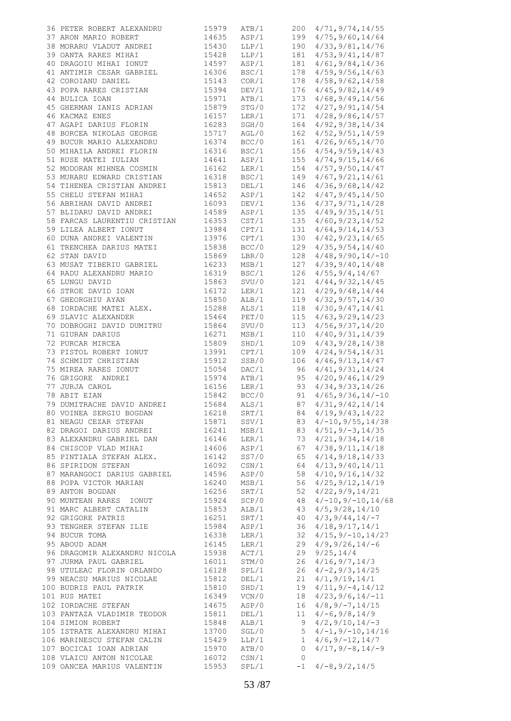| 36 PETER ROBERT ALEXANDRU                        | 15979 | ATB/1 |              | 200 4/71, 9/74, 14/55        |
|--------------------------------------------------|-------|-------|--------------|------------------------------|
|                                                  |       |       |              |                              |
| 37 ARON MARIO ROBERT                             | 14635 | ASP/1 |              | 199 4/75, 9/60, 14/64        |
| 38 MORARU VLADUT ANDREI                          | 15430 | LLP/1 | 190          | 4/33, 9/81, 14/76            |
| 39 OANTA RARES MIHAI                             | 15428 | LLP/1 | 181          | 4/53, 9/41, 14/87            |
| 40 DRAGOIU MIHAI IONUT                           | 14597 | ASP/1 | 181          | 4/61, 9/84, 14/36            |
| 41 ANTIMIR CESAR GABRIEL                         | 16306 | BSC/1 | 178          | 4/59, 9/56, 14/63            |
| 42 COROIANU DANIEL                               | 15143 | COR/1 | 178          | 4/58, 9/62, 14/58            |
| 43 POPA RARES CRISTIAN                           | 15394 | DEV/1 | 176          | 4/45, 9/82, 14/49            |
| 44 BULICA IOAN                                   | 15971 | ATB/1 | 173          | 4/68, 9/49, 14/56            |
|                                                  |       |       |              |                              |
| 45 GHERMAN IANIS ADRIAN                          | 15879 | STG/0 | 172          | 4/27, 9/91, 14/54            |
| 46 KACMAZ ENES                                   | 16157 | LER/1 | 171          | 4/28, 9/86, 14/57            |
| 47 AGAPI DARIUS FLORIN                           | 16283 | SGH/0 | 164          | 4/92, 9/38, 14/34            |
| 48 BORCEA NIKOLAS GEORGE                         | 15717 | AGL/0 | 162          | 4/52, 9/51, 14/59            |
| 49 BUCUR MARIO ALEXANDRU                         | 16374 | BCC/0 | 161          | 4/26, 9/65, 14/70            |
| 50 MIHAILA ANDREI FLORIN                         | 16316 | BSC/1 |              | 156 4/54, 9/59, 14/43        |
| 51 RUSE MATEI IULIAN                             |       | ASP/1 | 155          | 4/74, 9/15, 14/66            |
|                                                  | 14641 |       |              |                              |
| 52 MODORAN MIHNEA COSMIN                         | 16162 | LER/1 | 154          | 4/57, 9/50, 14/47            |
| 53 MURARU EDWARD CRISTIAN                        | 16318 | BSC/1 | 149          | 4/67, 9/21, 14/61            |
| 54 TIHENEA CRISTIAN ANDREI 15813                 |       | DEL/1 | 146          | 4/36, 9/68, 14/42            |
| 55 CHELU STEFAN MIHAI<br>56 ABRIHAN DAVID ANDREI | 14652 | ASP/1 | 142          | 4/47, 9/45, 14/50            |
|                                                  | 16093 | DEV/1 |              | 136 4/37, 9/71, 14/28        |
| 57 BLIDARU DAVID ANDREI                          | 14589 | ASP/1 | 135          | 4/49, 9/35, 14/51            |
|                                                  |       |       |              |                              |
| 58 FARCAS LAURENTIU CRISTIAN                     | 16353 | CST/1 | 135          | 4/60, 9/23, 14/52            |
| 59 LILEA ALBERT IONUT                            | 13984 | CPT/1 | 131          | 4/64, 9/14, 14/53            |
| 60 DUNA ANDREI VALENTIN 13976                    |       | CPT/1 | 130          | 4/42, 9/23, 14/65            |
| 61 TRENCHEA DARIUS MATEI                         | 15838 | BCC/O | 129          | 4/35, 9/54, 14/40            |
| 62 STAN DAVID                                    | 15869 | LBR/0 |              | $128$ $4/48$ , 9/90, 14/-10  |
| 63 MUSAT TIBERIU GABRIEL                         | 16233 | MSB/1 | 127          |                              |
|                                                  |       |       |              | 4/39, 9/40, 14/48            |
| 64 RADU ALEXANDRU MARIO                          | 16319 | BSC/1 | 126          | 4/55, 9/4, 14/67             |
| 65 LUNGU DAVID                                   | 15863 | SVU/0 | 121          | 4/44, 9/32, 14/45            |
| 66 STROE DAVID IOAN                              | 16172 | LER/1 | 121          | 4/29, 9/48, 14/44            |
| 67 GHEORGHIU AYAN                                | 15850 | ALB/1 | 119          | 4/32, 9/57, 14/30            |
| 68 IORDACHE MATEI ALEX.                          | 15288 | ALS/1 | 118          | 4/30, 9/47, 14/41            |
|                                                  |       |       |              |                              |
| 69 SLAVIC ALEXANDER                              | 15464 | PET/0 | 115          | 4/63, 9/29, 14/23            |
| 70 DOBROGHI DAVID DUMITRU                        | 15864 | SVU/0 | 113          | 4/56, 9/37, 14/20            |
| 71 GIURAN DARIUS                                 | 16271 | MSB/1 | 110          | 4/40, 9/31, 14/39            |
| 72 PURCAR MIRCEA                                 | 15809 | SHD/1 | 109          | 4/43, 9/28, 14/38            |
| 73 PISTOL ROBERT IONUT                           | 13991 | CPT/1 | 109          | 4/24, 9/54, 14/31            |
| 74 SCHMIDT CHRISTIAN                             | 15912 | SSB/0 | 106          | 4/46, 9/13, 14/47            |
|                                                  |       |       |              |                              |
| 75 MIREA RARES IONUT                             | 15054 | DAC/1 | 96           | 4/41, 9/31, 14/24            |
| 76 GRIGORE ANDREI                                | 15974 | ATB/1 |              | 95 4/20, 9/46, 14/29         |
| $\mathbb{L}$<br>77 JURJA CAROL                   | 16156 | LER/1 | 93           | 4/34, 9/33, 14/26            |
| 78 ABIT EIAN                                     | 15842 | BCC/0 | 91           | $4/65, 9/36, 14/-10$         |
| 79 DUMITRACHE DAVID ANDREI                       | 15684 | ALS/1 | 87           | 4/31, 9/42, 14/14            |
|                                                  |       |       |              |                              |
| 80 VOINEA SERGIU BOGDAN                          | 16218 | SRT/1 |              | 84 4/19, 9/43, 14/22         |
| 81 NEAGU CEZAR STEFAN                            | 15871 | SSV/1 |              | 83 $4/-10, 9/55, 14/38$      |
| 82 DRAGOI DARIUS ANDREI                          | 16241 | MSB/1 |              | $83 \quad 4/51, 9/-3, 14/35$ |
| 83 ALEXANDRU GABRIEL DAN                         | 16146 | LER/1 | 73           | 4/21, 9/34, 14/18            |
| 84 CHISCOP VLAD MIHAI                            | 14606 | ASP/1 | 67           | 4/38, 9/11, 14/18            |
| 85 PINTIALA STEFAN ALEX.                         | 16142 | SS7/0 | 65           | 4/14, 9/18, 14/33            |
|                                                  |       |       |              | 4/13, 9/40, 14/11            |
| 86 SPIRIDON STEFAN                               | 16092 | CSN/1 | 64           |                              |
| 87 MARANGOCI DARIUS GABRIEL                      | 14596 | ASP/0 | 58           | 4/10, 9/16, 14/32            |
| 88 POPA VICTOR MARIAN                            | 16240 | MSB/1 | 56           | 4/25, 9/12, 14/19            |
| 89 ANTON BOGDAN                                  | 16256 | SRT/1 | 52           | 4/22, 9/9, 14/21             |
| 90 MUNTEAN RARES IONUT                           | 15924 | SCP/0 | 48           | $4/-10, 9/-10, 14/68$        |
| 91 MARC ALBERT CATALIN                           | 15853 | ALB/1 | 43           | 4/5, 9/28, 14/10             |
| 92 GRIGORE PATRIS                                | 16251 | SRT/1 |              |                              |
|                                                  |       |       | 40           | $4/3, 9/44, 14/ -7$          |
| 93 TENGHER STEFAN ILIE                           | 15984 | ASP/1 | 36           | 4/18, 9/17, 14/1             |
| 94 BUCUR TOMA                                    | 16338 | LER/1 | 32           | $4/15, 9/-10, 14/27$         |
| 95 ABOUD ADAM                                    | 16145 | LER/1 | 29           | $4/9, 9/26, 14/-6$           |
| 96 DRAGOMIR ALEXANDRU NICOLA                     | 15938 | ACT/1 | 29           | 9/25, 14/4                   |
| 97 JURMA PAUL GABRIEL                            | 16011 | STM/0 | 26           | 4/16, 9/7, 14/3              |
|                                                  |       |       |              |                              |
| 98 UTULEAC FLORIN ORLANDO                        | 16128 | SPL/1 | 26           | $4/-2, 9/3, 14/25$           |
| 99 NEACSU MARIUS NICOLAE                         | 15812 | DEL/1 | 21           | 4/1, 9/19, 14/1              |
| 100 BUDRIS PAUL PATRIK                           | 15810 | SHD/1 | 19           | $4/11, 9/-4, 14/12$          |
| 101 RUS MATEI                                    | 16349 | VCN/0 | 18           | $4/23, 9/6, 14/-11$          |
| 102 IORDACHE STEFAN                              | 14675 | ASP/0 | 16           | $4/8, 9/-7, 14/15$           |
|                                                  |       |       |              |                              |
| 103 PANTAZA VLADIMIR TEODOR                      | 15811 | DEL/1 | 11           | $4/-6$ , 9/8, 14/9           |
| 104 SIMION ROBERT                                | 15848 | ALB/1 | 9            | $4/2$ , $9/10$ , $14/-3$     |
| 105 ISTRATE ALEXANDRU MIHAI                      | 13700 | SGL/0 | 5            | $4/-1, 9/-10, 14/16$         |
| 106 MARINESCU STEFAN CALIN                       | 15429 | LLP/1 | 1            | $4/6, 9/-12, 14/7$           |
| 107 BOCICAI IOAN ADRIAN                          | 15970 | ATB/0 | 0            | $4/17, 9/-8, 14/-9$          |
| 108 VLAICU ANTON NICOLAE                         | 16072 | CSN/1 | $\mathbf{0}$ |                              |
| 109 OANCEA MARIUS VALENTIN                       |       |       | $-1$         | $4/-8, 9/2, 14/5$            |
|                                                  | 15953 | SPL/1 |              |                              |
|                                                  |       |       |              |                              |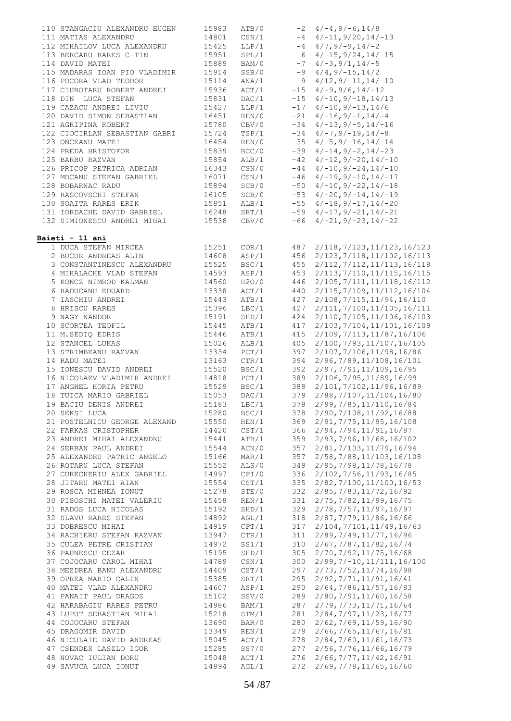| 110 STANGACIU ALEXANDRU EUGEN                                                                                       | 15983                   | ATB/0          |     | $-2$ 4/-4, 9/-6, 14/8                                                    |
|---------------------------------------------------------------------------------------------------------------------|-------------------------|----------------|-----|--------------------------------------------------------------------------|
| 111 MATIAS ALEXANDRU                                                                                                | 14801                   |                |     | $\text{CSN}/1$ -4 4/-11, 9/20, 14/-13                                    |
| 112 MIHAILOV LUCA ALEXANDRU 15425                                                                                   |                         | LLP/1          |     | $-4$ 4/7, 9/-9, 14/-2                                                    |
| 113 BERCARU RARES C-TIN                                                                                             | 15951                   | SPL/1          |     | $-6$ 4/-15, 9/24, 14/-15                                                 |
| 114 DAVID MATEI                                                                                                     | 15889                   | BAM/0          |     | $-7$ $4/-3$ , $9/1$ , $14/-5$                                            |
| 115 MADARAS IOAN PIO VLADIMIR 15914                                                                                 |                         | SSB/0          |     | $-9$ 4/4, 9/-15, 14/2                                                    |
| 116 POCORA VLAD TEODOR                                                                                              | 15114                   | ANA/1          |     | $-9$ 4/12, 9/-11, 14/-10                                                 |
| 117 CIUBOTARU ROBERT ANDREI                                                                                         | --<br>15936             | ACT/1          |     | $-15$ 4/-9,9/6,14/-12                                                    |
| 118 DIN LUCA STEFAN                                                                                                 | 15831                   | DAC/1          |     | $-15$ $4/-10, 9/-18, 14/13$                                              |
| 119 CAZACU ANDREI LIVIU                                                                                             |                         | LLP/1          |     | $-17$ $4/-10, 9/-13, 14/6$                                               |
| 120 DAVID SIMON SEBASTIAN                                                                                           | 15427<br>16451          | REN/0          |     |                                                                          |
|                                                                                                                     | 15780                   |                |     | $-21$ $4/-16$ , $9/-1$ , $14/-4$<br>CBV/0 $-34$ $4/-13, 9/-5, 14/-16$    |
| 121 AGRIPINA ROBERT                                                                                                 |                         |                |     |                                                                          |
| 122 CIOCIRLAN SEBASTIAN GABRI 15724                                                                                 |                         | TSP/1          |     | $-34$ 4/-7, 9/-19, 14/-8                                                 |
| 123 ONCEANU MATEI                                                                                                   | 16454                   | REN/0          |     | $-35$ $4/-5$ , $9/-16$ , $14/-14$                                        |
| 124 PREDA HRISTOFOR                                                                                                 | 15839                   |                |     | BCC/0 $-39 \t4/-14, 9/-2, 14/-23$                                        |
| 125 BARBU RAZVAN                                                                                                    | 15854<br>16343<br>16071 |                |     | ALB/1 $-42$ $4/-12,9/-20,14/-10$                                         |
| 126 PRICOP PETRICA ADRIAN                                                                                           |                         | CSN/0<br>CSN/1 |     | $-44$ $4/-10, 9/-24, 14/-10$                                             |
| 127 MOCANU STEFAN GABRIEL                                                                                           |                         |                |     | $-46$ $4/-19$ , $9/-10$ , $14/-17$                                       |
| 128 BOBARNAC RADU                                                                                                   | 15894                   |                |     | SCB/0 $-50$ $4/-10,9/-22,14/-18$                                         |
| 129 RASCOVSCHI STEFAN                                                                                               |                         |                |     | SCB/0 $-53$ $4/-20, 9/-14, 14/-19$<br>ALB/1 $-55$ $4/-18, 9/-17, 14/-20$ |
| 130 SOAITA RARES ERIK                                                                                               | 16105<br>15851          | ALB/1          |     |                                                                          |
| 131 IORDACHE DAVID GABRIEL 16248                                                                                    |                         |                |     | SRT/1 $-59$ $4/-17, 9/-21, 14/-21$                                       |
| 132 SIMIONESCU ANDREI MIHAI 15538                                                                                   |                         | CBV/0          |     | $-66$ 4/-21, 9/-23, 14/-22                                               |
|                                                                                                                     |                         |                |     |                                                                          |
| Baieti - 11 ani                                                                                                     |                         |                |     |                                                                          |
| 1 DUCA STEFAN MIRCEA                                                                                                | 15251                   |                |     | COR/1 487 2/118, 7/123, 11/123, 16/123                                   |
| 2 BUCUR ANDREAS ALIN                                                                                                | 14608                   | ASP/1          |     | 456 2/123, 7/118, 11/102, 16/113                                         |
| 3 CONSTANTINESCU ALEXANDRO (1993)<br>4 MIHALACHE VLAD STEFAN (1993)<br>5 KONCZ NIMROD KALMAN (1993)<br>13338 (1994) |                         | BSC/1          |     |                                                                          |
|                                                                                                                     |                         |                |     | 455 2/112, 7/112, 11/113, 16/118                                         |
|                                                                                                                     |                         | ASP/1          |     | 453 2/113, 7/110, 11/115, 16/115                                         |
|                                                                                                                     |                         | H2O/0          |     | 446 2/105, 7/111, 11/118, 16/112                                         |
|                                                                                                                     |                         | ACT/1          |     | 440 2/115, 7/109, 11/112, 16/104                                         |
| 7 IASCHIU ANDREI                                                                                                    | 15443                   | ATB/1          | 427 | 2/108, 7/115, 11/94, 16/110                                              |
| 8 HRISCU RARES                                                                                                      | 15396                   | LBC/1          | 427 | 2/111, 7/100, 11/105, 16/111                                             |
| 9 NAGY NANDOR                                                                                                       | 15191                   | SHD/1          |     | 424 2/110, 7/105, 11/106, 16/103                                         |
| 10 SCORTEA TEOFIL                                                                                                   | 15445                   | ATB/1          |     | 417 2/103, 7/104, 11/101, 16/109                                         |
| 11 M.SEDIQ EDRIS                                                                                                    | 15446                   | ATB/1          |     | 415 2/109, 7/113, 11/87, 16/106                                          |
| 12 STANCEL LUKAS                                                                                                    | 15026                   |                |     | 405 2/100, 7/93, 11/107, 16/105                                          |
| 13 STRIMBEANU RAZVAN                                                                                                | -<br>13334              | PCT/1          |     | 397 2/107,7/106,11/98,16/86                                              |
| 14 RADU MATEI                                                                                                       | 13163                   |                |     | CTR/1 394 2/96, 7/89, 11/108, 16/101                                     |
| 15 IONESCU DAVID ANDREI                                                                                             | 15520                   |                |     | 392 2/97, 7/91, 11/109, 16/95                                            |
| 16 NICOLAEV VLADIMIR ANDREI                                                                                         |                         | BSC/1<br>PCT/1 |     | 389 2/106,7/95,11/89,16/99                                               |
| 17 ANGHEL HORIA PETRU                                                                                               | 14818<br>15529          |                |     | BSC/1 388 $2/101, 7/102, 11/96, 16/89$                                   |
| 18 TUICA MARIO GABRIEL 15053                                                                                        |                         | DAC/1          |     | 379 2/88, 7/107, 11/104, 16/80                                           |
| 19 BACIU DENIS ANDREI                                                                                               | 15183                   | LBC/1          |     | 378 2/99, 7/85, 11/110, 16/84                                            |
|                                                                                                                     |                         |                |     |                                                                          |
| 20 SEKSI LUCA                                                                                                       | 15280                   | BSC/1          | 378 | 2/90, 7/108, 11/92, 16/88                                                |
| 21 POSTELNICU GEORGE ALEXAND                                                                                        | 15550                   | REN/1          | 369 | 2/91, 7/75, 11/95, 16/108                                                |
| 22 FARKAS CRISTOPHER                                                                                                | 14420                   | CST/1          | 366 | 2/94, 7/94, 11/91, 16/87                                                 |
| 23 ANDREI MIHAI ALEXANDRU                                                                                           | 15441                   | ATB/1          | 359 | 2/93, 7/96, 11/68, 16/102                                                |
| 24 SERBAN PAUL ANDREI                                                                                               | 15544                   | ACN/0          | 357 | 2/81, 7/103, 11/79, 16/94                                                |
| 25 ALEXANDRU PATRIC ANGELO                                                                                          | 15166                   | MAR/1          | 357 | 2/58, 7/88, 11/103, 16/108                                               |
| 26 ROTARU LUCA STEFAN                                                                                               | 15552                   | ALS/0          | 349 | 2/95, 7/98, 11/78, 16/78                                                 |
| 27 CURECHERIU ALEX GABRIEL                                                                                          | 14997                   | CPI/0          | 336 | 2/102, 7/56, 11/93, 16/85                                                |
| 28 JITARU MATEI AIAN                                                                                                | 15554                   | CST/1          | 335 | 2/82,7/100,11/100,16/53                                                  |
| 29 ROSCA MIHNEA IONUT                                                                                               | 15278                   | STE/0          | 332 | 2/85, 7/83, 11/72, 16/92                                                 |
| 30 PISOSCHI MATEI VALERIU                                                                                           | 15458                   | REN/1          | 331 | 2/75, 7/82, 11/99, 16/75                                                 |
| 31 RADOS LUCA NICOLAS                                                                                               | 15192                   | SHD/1          | 329 | 2/78, 7/57, 11/97, 16/97                                                 |
| 32 SLAVU RARES STEFAN                                                                                               | 14892                   | AGL/1          | 318 | 2/87, 7/79, 11/86, 16/66                                                 |
| 33 DOBRESCU MIHAI                                                                                                   | 14919                   | CPT/1          | 317 | 2/104, 7/101, 11/49, 16/63                                               |
| 34 RACHIERU STEFAN RAZVAN                                                                                           | 13947                   | CTR/1          | 311 | 2/89, 7/49, 11/77, 16/96                                                 |
|                                                                                                                     |                         |                |     |                                                                          |
| 35 CULEA PETRE CRISTIAN                                                                                             | 14972                   | SS1/1          | 310 | 2/67, 7/87, 11/82, 16/74                                                 |
| 36 PAUNESCU CEZAR                                                                                                   | 15195                   | SHD/1          | 305 | 2/70, 7/92, 11/75, 16/68                                                 |
| 37 COJOCARU CAROL MIHAI                                                                                             | 14789                   | $\text{CSN}/1$ | 300 | $2/99, 7/ - 10, 11/111, 16/100$                                          |
| 38 MEZDREA BANU ALEXANDRU                                                                                           | 14409                   | CST/1          | 297 | 2/73, 7/52, 11/74, 16/98                                                 |
| 39 OPREA MARIO CALIN                                                                                                | 15385                   | SRT/1          | 295 | 2/92, 7/71, 11/91, 16/41                                                 |
| 40 MATEI VLAD ALEXANDRU                                                                                             | 14607                   | ASP/1          | 290 | 2/64, 7/86, 11/57, 16/83                                                 |
| 41 PANAIT PAUL DRAGOS                                                                                               | 15102                   | SSV/0          | 289 | 2/80, 7/91, 11/60, 16/58                                                 |
| 42 HARABAGIU RARES PETRU                                                                                            | 14986                   | BAM/1          | 287 | 2/79, 7/73, 11/71, 16/64                                                 |
| 43 LUPUT SEBASTIAN MIHAI                                                                                            | 15218                   | STM/1          | 281 | 2/84, 7/97, 11/23, 16/77                                                 |
| 44 COJOCARU STEFAN                                                                                                  | 13690                   | BAR/0          | 280 | 2/62, 7/69, 11/59, 16/90                                                 |
| 45 DRAGOMIR DAVID                                                                                                   | 13349                   | REN/1          | 279 | 2/66, 7/65, 11/67, 16/81                                                 |
| 46 NICULAIE DAVID ANDREAS                                                                                           | 15045                   | ACT/1          | 278 | 2/84, 7/60, 11/61, 16/73                                                 |
| 47 CSENDES LASZLO IGOR                                                                                              | 15285                   | SS7/0          | 277 | 2/56, 7/76, 11/66, 16/79                                                 |
| 48 NOVAC IULIAN DORU                                                                                                |                         | ACT/1          | 276 | 2/66, 7/77, 11/42, 16/91                                                 |
|                                                                                                                     | 15048                   |                |     |                                                                          |
| 49 SAVUCA LUCA IONUT                                                                                                | 14894                   | AGL/1          | 272 | 2/69, 7/78, 11/65, 16/60                                                 |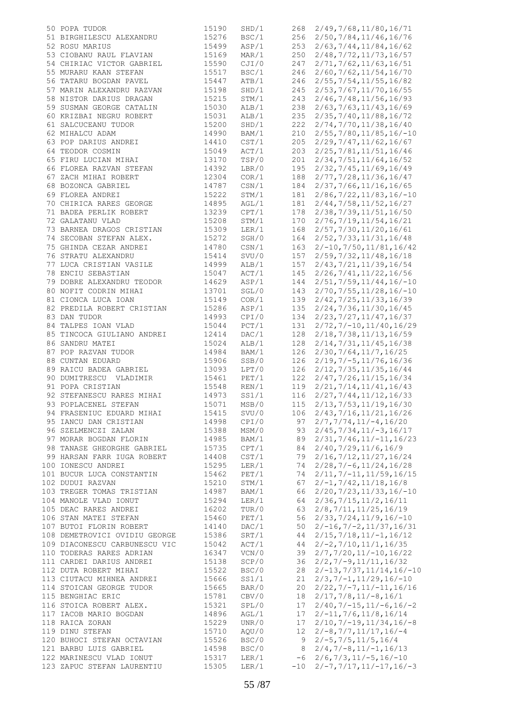| 50 POPA TUDOR                 | 15190 | SHD/1 |       | 268 2/49, 7/68, 11/80, 16/71 |
|-------------------------------|-------|-------|-------|------------------------------|
| 51 BIRGHILESCU ALEXANDRU      | 15276 | BSC/1 | 256   | 2/50, 7/84, 11/46, 16/76     |
| 52 ROSU MARIUS                | 15499 | ASP/1 | 253   | 2/63, 7/44, 11/84, 16/62     |
| 53 CIOBANU RAUL FLAVIAN       | 15169 | MAR/1 | 250   | 2/48, 7/72, 11/73, 16/57     |
| 54 CHIRIAC VICTOR GABRIEL     | 15590 | CJI/0 | 247   | 2/71, 7/62, 11/63, 16/51     |
|                               |       |       |       |                              |
| 55 MURARU KAAN STEFAN         | 15517 | BSC/1 | 246   | 2/60, 7/62, 11/54, 16/70     |
| 56 TATARU BOGDAN PAVEL        | 15447 | ATB/1 | 246   | 2/55, 7/54, 11/55, 16/82     |
| 57 MARIN ALEXANDRU RAZVAN     | 15198 | SHD/1 | 245   | 2/53, 7/67, 11/70, 16/55     |
| 58 NISTOR DARIUS DRAGAN       | 15215 | STM/1 | 243   | 2/46, 7/48, 11/56, 16/93     |
| 59 SUSMAN GEORGE CATALIN      | 15030 | ALB/1 | 238   | 2/63, 7/63, 11/43, 16/69     |
| 60 KRIZBAI NEGRU ROBERT       | 15031 |       | 235   |                              |
|                               |       | ALB/1 |       | 2/35, 7/40, 11/88, 16/72     |
| 61 SALCUCEANU TUDOR           | 15200 | SHD/1 | 222   | 2/74, 7/70, 11/38, 16/40     |
| 62 MIHALCU ADAM               | 14990 | BAM/1 | 210   | $2/55, 7/80, 11/85, 16/-10$  |
| 63 POP DARIUS ANDREI          | 14410 | CST/1 | 205   | 2/29, 7/47, 11/62, 16/67     |
| 64 TEODOR COSMIN              | 15049 | ACT/1 | 203   | 2/25,7/81,11/51,16/46        |
| 65 FIRU LUCIAN MIHAI          | 13170 | TSP/0 | 201   | 2/34, 7/51, 11/64, 16/52     |
| 66 FLOREA RAZVAN STEFAN       | 14392 | LBR/0 | 195   | 2/32, 7/45, 11/69, 16/49     |
|                               |       |       |       |                              |
| 67 ZACH MIHAI ROBERT          | 12304 | COR/1 | 188   | 2/77, 7/28, 11/36, 16/47     |
| 68 BOZONCA GABRIEL            | 14787 | CSN/1 | 184   | 2/37, 7/66, 11/16, 16/65     |
| 69 FLOREA ANDREI              | 15222 | STM/1 | 181   | $2/86, 7/22, 11/83, 16/-10$  |
| 70 CHIRICA RARES GEORGE       | 14895 | AGL/1 | 181   | 2/44, 7/58, 11/52, 16/27     |
| 71 BADEA PERLIK ROBERT        | 13239 | CPT/1 | 178   | 2/38, 7/39, 11/51, 16/50     |
| 72 GALATANU VLAD              | 15208 | STM/1 | 170   | 2/76, 7/19, 11/54, 16/21     |
|                               |       |       |       |                              |
| 73 BARNEA DRAGOS CRISTIAN     | 15309 | LER/1 | 168   | 2/57, 7/30, 11/20, 16/61     |
| 74 SECOBAN STEFAN ALEX.       | 15272 | SGH/0 | 164   | 2/52, 7/33, 11/31, 16/48     |
| 75 GHINDA CEZAR ANDREI        | 14780 | CSN/1 | 163   | $2/-10, 7/50, 11/81, 16/42$  |
| 76 STRATU ALEXANDRU           | 15414 | SVU/0 | 157   | 2/59, 7/32, 11/48, 16/18     |
| 77 LUCA CRISTIAN VASILE       | 14999 | ALB/1 | 157   | 2/43, 7/21, 11/39, 16/54     |
| 78 ENCIU SEBASTIAN            | 15047 | ACT/1 | 145   | 2/26, 7/41, 11/22, 16/56     |
|                               |       |       |       |                              |
| 79 DOBRE ALEXANDRU TEODOR     | 14629 | ASP/1 | 144   | $2/51, 7/59, 11/44, 16/-10$  |
| 80 NOFIT CODRIN MIHAI         | 13701 | SGL/0 | 143   | $2/70, 7/55, 11/28, 16/-10$  |
| 81 CIONCA LUCA IOAN           | 15149 | COR/1 | 139   | 2/42, 7/25, 11/33, 16/39     |
| 82 PREDILA ROBERT CRISTIAN    | 15286 | ASP/1 | 135   | 2/24, 7/36, 11/30, 16/45     |
| 83 DAN TUDOR                  | 14993 | CPI/0 | 134   | 2/23, 7/27, 11/47, 16/37     |
| 84 TALPES IOAN VLAD           | 15044 | PCT/1 | 131   | $2/72, 7/-10, 11/40, 16/29$  |
|                               |       |       |       |                              |
| 85 TINCOCA GIULIANO ANDREI    | 12414 | DAC/1 | 128   | 2/18, 7/38, 11/13, 16/59     |
| 86 SANDRU MATEI               | 15024 | ALB/1 | 128   | 2/14, 7/31, 11/45, 16/38     |
| 87 POP RAZVAN TUDOR           | 14984 | BAM/1 | 126   | 2/30, 7/64, 11/7, 16/25      |
| 88 CUNTAN EDUARD              | 15906 | SSB/0 | 126   | $2/19, 7/-5, 11/76, 16/36$   |
| 89 RAICU BADEA GABRIEL        | 13093 | LPT/0 | 126   | 2/12, 7/35, 11/35, 16/44     |
| 90 DUMITRESCU VLADIMIR        | 15461 | PET/1 | 122   | 2/47, 7/26, 11/15, 16/34     |
| 91 POPA CRISTIAN              | 15548 | REN/1 | 119   | 2/21, 7/14, 11/41, 16/43     |
| 92 STEFANESCU RARES MIHAI     | 14973 | SS1/1 | 116   | 2/27, 7/44, 11/12, 16/33     |
|                               |       |       |       |                              |
| 93 POPLACENEL STEFAN          | 15071 | MSB/0 | 115   | 2/13, 7/53, 11/19, 16/30     |
| 94 FRASENIUC EDUARD MIHAI     | 15415 | SVU/0 | 106   | 2/43, 7/16, 11/21, 16/26     |
| 95 IANCU DAN CRISTIAN         | 14998 | CPI/0 | 97    | $2/7, 7/74, 11/-4, 16/20$    |
| 96 SZELMENCZI ZALAN           | 15388 | MSM/0 | 93    | $2/45, 7/34, 11/-3, 16/17$   |
| 97 MORAR BOGDAN FLORIN        | 14985 | BAM/1 | 89    | $2/31, 7/46, 11/ -11, 16/23$ |
| 98 TANASE GHEORGHE GABRIEL    | 15735 | CPT/1 | 84    | 2/40, 7/29, 11/6, 16/9       |
|                               |       |       |       |                              |
| 99 HARSAN FARR IUGA ROBERT    | 14408 | CST/1 | 79    | 2/16, 7/12, 11/27, 16/24     |
| 100 IONESCU ANDREI            | 15295 | LER/1 | 74    | $2/28, 7/-6, 11/24, 16/28$   |
| 101 BUCUR LUCA CONSTANTIN     | 15462 | PET/1 | 74    | $2/11, 7/-11, 11/59, 16/15$  |
| 102 DUDUI RAZVAN              | 15210 | STM/1 | 67    | $2/-1, 7/42, 11/18, 16/8$    |
| 103 TREGER TOMAS TRISTIAN     | 14987 | BAM/1 | 66    | $2/20, 7/23, 11/33, 16/-10$  |
| 104 MANOLE VLAD IONUT         | 15294 | LER/1 | 64    | 2/36, 7/15, 11/2, 16/11      |
| 105 DEAC RARES ANDREI         | 16202 | TUR/0 | 63    | 2/8, 7/11, 11/25, 16/19      |
|                               |       |       |       |                              |
| 106 STAN MATEI STEFAN         | 15460 | PET/1 | 56    | $2/33, 7/24, 11/9, 16/-10$   |
| 107 BUTOI FLORIN ROBERT       | 14140 | DAC/1 | 50    | $2/-16, 7/-2, 11/37, 16/31$  |
| 108 DEMETROVICI OVIDIU GEORGE | 15386 | SRT/1 | 44    | $2/15, 7/18, 11/-1, 16/12$   |
| 109 DIACONESCU CARBUNESCU VIC | 15042 | ACT/1 | 44    | $2/-2, 7/10, 11/1, 16/35$    |
| 110 TODERAS RARES ADRIAN      | 16347 | VCN/0 | 39    | $2/7, 7/20, 11/-10, 16/22$   |
| 111 CARDEI DARIUS ANDREI      | 15138 | SCP/0 | 36    | $2/2, 7/-9, 11/11, 16/32$    |
| 112 DUTA ROBERT MIHAI         | 15522 | BSC/0 | 28    | $2/-13, 7/37, 11/14, 16/-10$ |
|                               |       |       |       |                              |
| 113 CIUTACU MIHNEA ANDREI     | 15666 | SS1/1 | 21    | $2/3, 7/ -1, 11/29, 16/ -10$ |
| 114 STOICAN GEORGE TUDOR      | 15665 | BAR/0 | 20    | $2/22, 7/-7, 11/-11, 16/16$  |
| 115 BENGHIAC ERIC             | 15781 | CBV/0 | 18    | $2/17, 7/8, 11/-8, 16/1$     |
| 116 STOICA ROBERT ALEX.       | 15321 | SPL/0 | 17    | $2/40, 7/-15, 11/-6, 16/-2$  |
| 117 IACOB MARIO BOGDAN        | 14896 | AGL/1 | 17    | $2/-11, 7/6, 11/8, 16/14$    |
| 118 RAICA ZORAN               | 15229 | UNR/0 | 17    | $2/10, 7/-19, 11/34, 16/-8$  |
| 119 DINU STEFAN               | 15710 | AQU/0 | 12    | $2/-8, 7/7, 11/17, 16/-4$    |
|                               |       |       |       |                              |
| 120 BUHOCI STEFAN OCTAVIAN    | 15526 | BSC/0 | 9     | $2/-5, 7/5, 11/5, 16/4$      |
| 121 BARBU LUIS GABRIEL        | 14598 | BSC/0 | 8     | $2/4, 7/-8, 11/-1, 16/13$    |
| 122 MARINESCU VLAD IONUT      | 15317 | LER/1 | -6    | $2/6, 7/3, 11/ -5, 16/ -10$  |
| 123 ZAPUC STEFAN LAURENTIU    | 15305 | LER/1 | $-10$ | $2/-7, 7/17, 11/-17, 16/-3$  |
|                               |       |       |       |                              |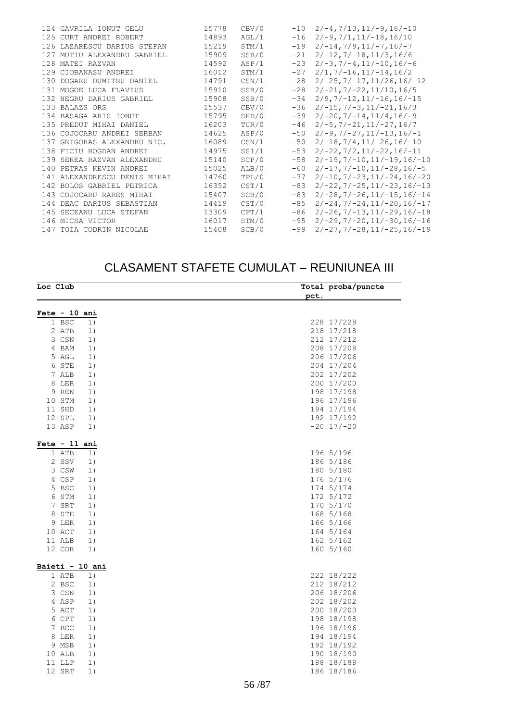|  | 124 GAVRILA IONUT GELU       | 15778 | CBV/0 | $-10$ | $2/-4, 7/13, 11/-9, 16/-10$             |
|--|------------------------------|-------|-------|-------|-----------------------------------------|
|  | 125 CURT ANDREI ROBERT       | 14893 | AGL/1 | $-16$ | $2/-9, 7/1, 11/-18, 16/10$              |
|  | 126 LAZARESCU DARIUS STEFAN  | 15219 | STM/1 | $-19$ | $2/-14, 7/9, 11/-7, 16/-7$              |
|  | 127 MUTIU ALEXANDRU GABRIEL  | 15909 | SSB/0 | $-21$ | $2/-12, 7/-18, 11/3, 16/6$              |
|  | 128 MATEI RAZVAN             | 14592 | ASP/1 | $-23$ | $2/-3, 7/-4, 11/-10, 16/-6$             |
|  | 129 CIOBANASU ANDREI         | 16012 | STM/1 | $-27$ | $2/1, 7/-16, 11/-14, 16/2$              |
|  | 130 DOGARU DUMITRU DANIEL    | 14791 | CSN/1 | $-28$ | $2/-25, 7/-17, 11/26, 16/-12$           |
|  | 131 MOGOE LUCA FLAVIUS       | 15910 | SSB/0 | $-28$ | $2/-21, 7/-22, 11/10, 16/5$             |
|  | 132 NEGRU DARIUS GABRIEL     | 15908 | SSB/0 | $-34$ | $2/9, 7/ - 12, 11/ - 16, 16/ - 15$      |
|  | 133 BALAZS ORS               | 15537 | CBV/0 | $-36$ | $2/-15, 7/-3, 11/-21, 16/3$             |
|  | 134 BASAGA ARIS IONUT        | 15795 | SHD/0 | $-39$ | $2/-20, 7/-14, 11/4, 16/-9$             |
|  | 135 PREDUT MIHAI DANIEL      | 16203 | TUR/0 | $-46$ | $2/-5$ , $7/-21$ , $11/-27$ , $16/7$    |
|  | 136 COJOCARU ANDREI SERBAN   | 14625 | ASP/0 | $-50$ | $2/-9, 7/-27, 11/-13, 16/-1$            |
|  | 137 GRIGORAS ALEXANDRU NIC.  | 16089 | CSN/1 | $-50$ | $2/-18, 7/4, 11/-26, 16/-10$            |
|  | 138 FICIU BOGDAN ANDREI      | 14975 | SS1/1 | $-53$ | $2/-22, 7/2, 11/-22, 16/-11$            |
|  | 139 SEREA RAZVAN ALEXANDRU   | 15140 | SCP/0 | $-58$ | $2/-19, 7/-10, 11/-19, 16/-10$          |
|  | 140 PETRAS KEVIN ANDREI      | 15025 | ALB/0 | $-60$ | $2/-17, 7/-10, 11/-28, 16/-5$           |
|  | 141 ALEXANDRESCU DENIS MIHAI | 14760 | TPL/0 | $-77$ | $2/-10, 7/-23, 11/-24, 16/-20$          |
|  | 142 BOLOS GABRIEL PETRICA    | 16352 | CST/1 | $-83$ | $2/-22$ , $7/-25$ , $11/-23$ , $16/-13$ |
|  | 143 COJOCARU RARES MIHAI     | 15407 | SCB/0 | $-83$ | $2/-28$ , $7/-26$ , $11/-15$ , $16/-14$ |
|  | 144 DEAC DARIUS SEBASTIAN    | 14419 | CST/0 | $-85$ | $2/-24, 7/-24, 11/-20, 16/-17$          |
|  | 145 SECEANU LUCA STEFAN      | 13309 | CPT/1 | $-86$ | $2/-26$ , $7/-13$ , $11/-29$ , $16/-18$ |
|  | 146 MICSA VICTOR             | 16017 | STM/0 | $-95$ | $2/-29$ , $7/-20$ , $11/-30$ , $16/-16$ |
|  | 147 TOIA CODRIN NICOLAE      | 15408 | SCB/0 | $-99$ | $2/-27, 7/-28, 11/-25, 16/-19$          |
|  |                              |       |       |       |                                         |

#### CLASAMENT STAFETE CUMULAT – REUNIUNEA III

| Loc Club        | Total proba/puncte |
|-----------------|--------------------|
|                 | pct.               |
| Fete $-10$ ani  |                    |
| $1$ BSC<br>1)   | 228 17/228         |
| 2 ATB<br>1)     | 218 17/218         |
| 3 CSN<br>1)     | 212 17/212         |
| 4 BAM<br>1)     | 208 17/208         |
| 5 AGL<br>1)     | 206 17/206         |
| 6 STE<br>1)     | 204 17/204         |
| 7 ALB<br>1)     | 202 17/202         |
| 8 LER<br>1)     | 200 17/200         |
| 9 REN<br>1)     | 198 17/198         |
| 10 STM<br>1)    | 196 17/196         |
| 11 SHD<br>1)    | 194 17/194         |
| 12 SPL<br>1)    | 192 17/192         |
| 13 ASP<br>1)    | $-20$ 17/ $-20$    |
|                 |                    |
| Fete $-11$ ani  |                    |
| 1 ATB<br>1)     | 196 5/196          |
| 2 SSV<br>1)     | 186 5/186          |
| 3 CSW<br>1)     | 180 5/180          |
| 4 CSP<br>1)     | 176 5/176          |
| 5 BSC<br>1)     | 174 5/174          |
| 6 STM<br>1)     | 172 5/172          |
| 7 SRT<br>1)     | 170 5/170          |
| 8 STE<br>1)     | 168 5/168          |
| 9 LER<br>1)     | 166 5/166          |
| 10 ACT<br>1)    | 164 5/164          |
| 11 ALB<br>1)    | 162 5/162          |
| 12 COR<br>1)    | 160 5/160          |
| Baieti - 10 ani |                    |
| 1 ATB<br>1)     | 222 18/222         |
| 2 BSC<br>1)     | 212 18/212         |
| 3 CSN<br>1)     | 206 18/206         |
| 4 ASP<br>1)     | 202 18/202         |
| 5 ACT<br>1)     | 200 18/200         |
| 6 CPT<br>1)     | 198 18/198         |
| 7 BCC<br>1)     | 196 18/196         |
| 8 LER<br>1)     | 194 18/194         |
| 9 MSB<br>1)     | 192 18/192         |
| 10 ALB<br>1)    | 190 18/190         |
| 1)<br>11 LLP    | 188 18/188         |
| 12 SRT<br>1)    | 186 18/186         |
|                 |                    |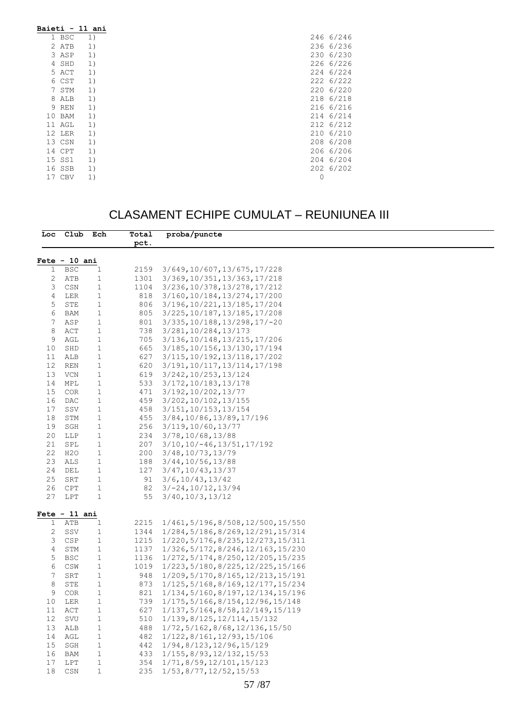| Baieti - 11 ani |            |    |           |  |
|-----------------|------------|----|-----------|--|
|                 | 1 BSC      | 1) | 246 6/246 |  |
|                 | 2 ATB      | 1) | 236 6/236 |  |
|                 | 3 ASP      | 1) | 230 6/230 |  |
|                 | 4 SHD      | 1) | 226 6/226 |  |
|                 | 5 ACT      | 1) | 224 6/224 |  |
|                 | 6 CST      | 1) | 222 6/222 |  |
| 7               | STM        | 1) | 220 6/220 |  |
| 8               | ALB        | 1) | 218 6/218 |  |
|                 | 9 REN      | 1) | 216 6/216 |  |
|                 | 10 BAM     | 1) | 214 6/214 |  |
|                 | 11 AGL     | 1) | 212 6/212 |  |
|                 | 12 LER     | 1) | 210 6/210 |  |
|                 | 13 CSN     | 1) | 208 6/208 |  |
|                 | 14 CPT     | 1) | 206 6/206 |  |
| 15 SS1          |            | 1) | 204 6/204 |  |
|                 | 16 SSB     | 1) | 202 6/202 |  |
| 17              | <b>CBV</b> | 1) | 0         |  |

### CLASAMENT ECHIPE CUMULAT – REUNIUNEA III

|          | Loc Club Ech    |                              | Total     | proba/puncte                                  |
|----------|-----------------|------------------------------|-----------|-----------------------------------------------|
|          |                 |                              | pct.      |                                               |
|          |                 |                              |           |                                               |
|          | $Fete - 10 ani$ |                              |           |                                               |
| 1        | BSC             | 1                            | 2159      | 3/649,10/607,13/675,17/228                    |
| 2        | ATB             | $\mathbf{1}$                 | 1301      | 3/369, 10/351, 13/363, 17/218                 |
| 3        | CSN             | $\mathbf{1}$                 | 1104      | 3/236, 10/378, 13/278, 17/212                 |
| 4        | LER             | 1                            | 818       | 3/160, 10/184, 13/274, 17/200                 |
| 5        | STE             | $\mathbf{1}$                 | 806       | 3/196, 10/221, 13/185, 17/204                 |
| 6        | BAM             | 1                            | 805       | 3/225, 10/187, 13/185, 17/208                 |
| 7        | ASP             | 1                            | 801       | 3/335, 10/188, 13/298, 17/-20                 |
| 8        | ACT             | $\mathbf{1}$                 | 738       | 3/281,10/284,13/173                           |
| 9        | AGL             | 1                            | 705       | 3/136, 10/148, 13/215, 17/206                 |
| 10       | SHD             | $\mathbf{1}$                 | 665       | 3/185, 10/156, 13/130, 17/194                 |
| 11       | ALB             | $\mathbf{1}$                 | 627       | 3/115, 10/192, 13/118, 17/202                 |
| 12       | REN             | 1                            | 620       | 3/191, 10/117, 13/114, 17/198                 |
| 13       | VCN             | 1                            | 619       | 3/242, 10/253, 13/124                         |
| 14       | MPL             | 1                            | 533       | 3/172, 10/183, 13/178                         |
| 15       | COR             | $\mathbf{1}$                 | 471       | 3/192, 10/202, 13/77                          |
| 16       | DAC             | $\mathbf{1}$                 | 459       | 3/202, 10/102, 13/155                         |
| 17       | SSV             | 1                            | 458       | 3/151, 10/153, 13/154                         |
| 18       | STM             | $\mathbf{1}$                 | 455       | 3/84,10/86,13/89,17/196                       |
| 19       | SGH             | $\mathbf{1}$                 | 256       | 3/119,10/60,13/77                             |
| 20       | LLP             | 1                            | 234       | 3/78,10/68,13/88                              |
| 21<br>22 | SPL             | 1                            | 207       | $3/10, 10/-46, 13/51, 17/192$                 |
| 23       | H20             | $\mathbf{1}$                 | 200       | 3/48,10/73,13/79                              |
|          | ALS             | $\mathbf{1}$                 | 188       | 3/44,10/56,13/88                              |
| 24<br>25 | DEL             | $\mathbf{1}$<br>$\mathbf{1}$ | 127<br>91 | 3/47,10/43,13/37                              |
| 26       | SRT<br>CPT      | 1                            | 82        | $3/6$ , 10/43, 13/42<br>$3/-24, 10/12, 13/94$ |
| 27       | LPT             | 1                            | 55        | 3/40, 10/3, 13/12                             |
|          |                 |                              |           |                                               |
|          | $Fete - 11 ani$ |                              |           |                                               |
| 1        | ATB             | 1                            | 2215      | 1/461, 5/196, 8/508, 12/500, 15/550           |
| 2        | SSV             | $\mathbf{1}$                 | 1344      | 1/284, 5/186, 8/269, 12/291, 15/314           |
| 3        | CSP             | $\mathbf{1}$                 | 1215      | 1/220, 5/176, 8/235, 12/273, 15/311           |
| 4        | STM             | $\mathbf{1}$                 | 1137      | 1/326, 5/172, 8/246, 12/163, 15/230           |
| 5        | <b>BSC</b>      | 1                            | 1136      | 1/272, 5/174, 8/250, 12/205, 15/235           |
| 6        | CSW             | $\mathbf{1}$                 | 1019      | 1/223, 5/180, 8/225, 12/225, 15/166           |
| 7        | SRT             | $\mathbf{1}$                 | 948       | 1/209, 5/170, 8/165, 12/213, 15/191           |
| 8        | STE             | 1                            | 873       | 1/125, 5/168, 8/169, 12/177, 15/234           |
| 9        | <b>COR</b>      | 1                            | 821       | 1/134, 5/160, 8/197, 12/134, 15/196           |
| 10       | LER             | 1                            | 739       | 1/175, 5/166, 8/154, 12/96, 15/148            |
| 11       | ACT             | 1                            | 627       | 1/137, 5/164, 8/58, 12/149, 15/119            |
| 12       | SVU             | 1                            | 510       | 1/139,8/125,12/114,15/132                     |
| 13       | ALB             | $\mathbf{1}$                 | 488       | 1/72, 5/162, 8/68, 12/136, 15/50              |
| 14       | AGL             | $\mathbf 1$                  | 482       | 1/122,8/161,12/93,15/106                      |
| 15       | SGH             | 1                            | 442       | 1/94,8/123,12/96,15/129                       |
| 16       | <b>BAM</b>      | $\mathbf{1}$                 | 433       | 1/155, 8/93, 12/132, 15/53                    |
| 17       | LPT             | 1                            | 354       | 1/71,8/59,12/101,15/123                       |
| 18       | CSN             | $\mathbf 1$                  | 235       | $1/53$ , $8/77$ , $12/52$ , $15/53$           |
|          |                 |                              |           |                                               |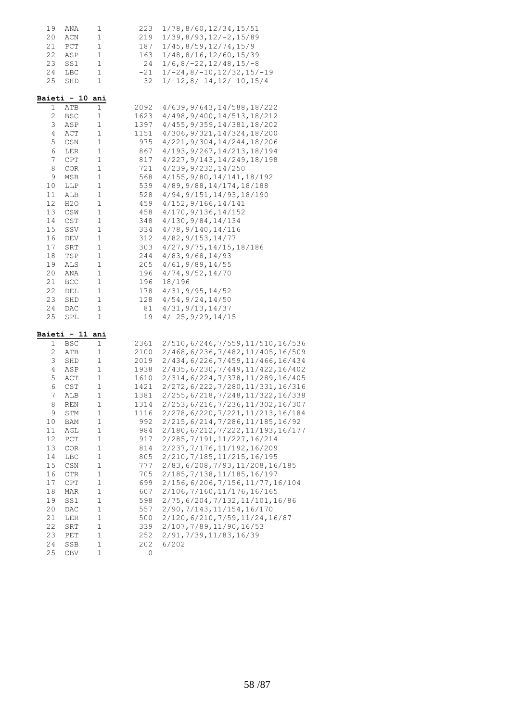| 19              | ANA             | 1           | 223   | 1/78, 8/60, 12/34, 15/51            |
|-----------------|-----------------|-------------|-------|-------------------------------------|
| 20              | ACN             | $\mathbf 1$ | 219   | $1/39, 8/93, 12/-2, 15/89$          |
| 21              | PCT             | $\mathbf 1$ | 187   | 1/45, 8/59, 12/74, 15/9             |
| 22              | ASP             | $\mathbf 1$ | 163   | 1/48, 8/16, 12/60, 15/39            |
| 23              | SS1             | $\mathbf 1$ | 24    | $1/6$ , 8/-22, 12/48, 15/-8         |
| 24              | LBC             | $\mathbf 1$ | $-21$ | $1/-24, 8/-10, 12/32, 15/-19$       |
| 25              | SHD             | 1           | $-32$ | $1/-12, 8/-14, 12/-10, 15/4$        |
|                 | Baieti - 10 ani |             |       |                                     |
| 1               | ATB             | 1           | 2092  | 4/639, 9/643, 14/588, 18/222        |
| $\mathbf{2}$    | BSC             | 1           | 1623  | 4/498, 9/400, 14/513, 18/212        |
| 3               | ASP             | $\mathbf 1$ | 1397  | 4/455, 9/359, 14/381, 18/202        |
| 4               | ACT             | 1           | 1151  | 4/306, 9/321, 14/324, 18/200        |
| 5               | CSN             | 1           | 975   | 4/221, 9/304, 14/244, 18/206        |
| 6               | LER             | $\mathbf 1$ | 867   | 4/193, 9/267, 14/213, 18/194        |
| $7\phantom{.0}$ | CPT             | $\mathbf 1$ | 817   | 4/227, 9/143, 14/249, 18/198        |
| 8               | <b>COR</b>      | $\mathbf 1$ | 721   | 4/239, 9/232, 14/250                |
| 9               | MSB             | $\mathbf 1$ | 568   | 4/155, 9/80, 14/141, 18/192         |
| 10              | LLP             | $\mathbf 1$ | 539   | 4/89, 9/88, 14/174, 18/188          |
| 11              | ALB             | $\mathbf 1$ | 528   | 4/94, 9/151, 14/93, 18/190          |
| 12              | H2O             | $\mathbf 1$ | 459   | 4/152, 9/166, 14/141                |
| 13              | CSW             | $\mathbf 1$ | 458   | 4/170, 9/136, 14/152                |
| 14              | CST             | $\mathbf 1$ | 348   | 4/130, 9/84, 14/134                 |
| 15              | SSV             | $\mathbf 1$ | 334   | 4/78, 9/140, 14/116                 |
| 16              | DEV             | $\mathbf 1$ | 312   | 4/82, 9/153, 14/77                  |
| 17              | SRT             | $\mathbf 1$ | 303   | 4/27, 9/75, 14/15, 18/186           |
| 18              | TSP             | $\mathbf 1$ | 244   | 4/83, 9/68, 14/93                   |
| 19              | ALS             | $\mathbf 1$ | 205   | 4/61, 9/89, 14/55                   |
| 20              | ANA             | $\mathbf 1$ | 196   | 4/74, 9/52, 14/70                   |
| 21              | <b>BCC</b>      | $\mathbf 1$ | 196   | 18/196                              |
| 22              | DEL             | $\mathbf 1$ | 178   | 4/31, 9/95, 14/52                   |
| 23              | SHD             | $\mathbf 1$ | 128   | 4/54, 9/24, 14/50                   |
| 24              | DAC             | $\mathbf 1$ | 81    | 4/31, 9/13, 14/37                   |
| 25              | SPL             | 1           | 19    | $4/-25, 9/29, 14/15$                |
|                 | Baieti - 11 ani |             |       |                                     |
| 1               | BSC             | $\mathbf 1$ | 2361  | 2/510,6/246,7/559,11/510,16/536     |
| 2               | ATB             | 1           | 2100  | 2/468, 6/236, 7/482, 11/405, 16/509 |
| 3               | SHD             | 1           | 2019  | 2/434,6/226,7/459,11/466,16/434     |
| $\overline{4}$  | ASP             | 1           | 1938  | 2/435, 6/230, 7/449, 11/422, 16/402 |
| 5               | ACT             | $\mathbf 1$ | 1610  | 2/314, 6/224, 7/378, 11/289, 16/405 |
| 6               | CST             | $\mathbf 1$ | 1421  | 2/272, 6/222, 7/280, 11/331, 16/316 |
| 7               | ALB             | $\mathbf 1$ | 1381  | 2/255, 6/218, 7/248, 11/322, 16/338 |
| 8               | <b>REN</b>      | $\mathbf 1$ | 1314  | 2/253, 6/216, 7/236, 11/302, 16/307 |
| 9               | STM             | 1           | 1116  | 2/278, 6/220, 7/221, 11/213, 16/184 |
| 10              | BAM             | $\mathbf 1$ | 992   | 2/215, 6/214, 7/286, 11/185, 16/92  |
| 11              | AGL             | 1           | 984   | 2/180, 6/212, 7/222, 11/193, 16/177 |
| 12              | PCT             | $\mathbf 1$ | 917   | 2/285, 7/191, 11/227, 16/214        |
| 13              | COR             | 1           | 814   | 2/237, 7/176, 11/192, 16/209        |
| 14              | LBC             | $\mathbf 1$ | 805   | 2/210, 7/185, 11/215, 16/195        |
| 15              | CSN             | $\mathbf 1$ | 777   | 2/83, 6/208, 7/93, 11/208, 16/185   |
| 16              | <b>CTR</b>      | 1           | 705   | 2/185, 7/138, 11/185, 16/197        |
| 17              | CPT             | $\mathbf 1$ | 699   | 2/156, 6/206, 7/156, 11/77, 16/104  |
| 18              | MAR             | $\mathbf 1$ | 607   | 2/106, 7/160, 11/176, 16/165        |
| 19              | SS1             | $\mathbf 1$ | 598   | 2/75, 6/204, 7/132, 11/101, 16/86   |
| 20              | DAC             | $\mathbf 1$ | 557   | 2/90, 7/143, 11/154, 16/170         |
| 21              | LER             | $\mathbf 1$ | 500   | 2/120, 6/210, 7/59, 11/24, 16/87    |
| 22              | SRT             | $\mathbf 1$ | 339   | 2/107, 7/89, 11/90, 16/53           |
| 23              | PET             | $\mathbf 1$ | 252   | 2/91, 7/39, 11/83, 16/39            |
| 24              | SSB             | $\mathbf 1$ | 202   | 6/202                               |
| 25              | CBV             | $\mathbf 1$ | 0     |                                     |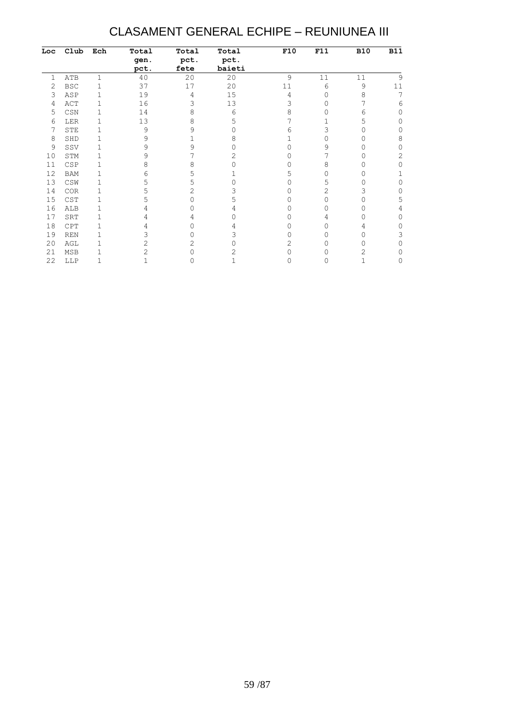#### CLASAMENT GENERAL ECHIPE – REUNIUNEA III

| Loc | Club       | Ech | Total | Total | Total  | F10 | F11 | <b>B10</b> | <b>B11</b> |
|-----|------------|-----|-------|-------|--------|-----|-----|------------|------------|
|     |            |     | gen.  | pct.  | pct.   |     |     |            |            |
|     |            |     | pct.  | fete  | baieti |     |     |            |            |
| 1   | ATB        | 1   | 40    | 20    | 20     | 9   | 11  | 11         | 9          |
| 2   | <b>BSC</b> |     | 37    | 17    | 20     | 11  | 6   | 9          | 11         |
| 3   | ASP        |     | 19    | 4     | 15     | 4   |     | 8          |            |
| 4   | ACT        |     | 16    | 3     | 13     | 3   |     |            | 6          |
| 5   | CSN        |     | 14    | 8     | 6      | 8   |     | 6          | O          |
| 6   | LER        |     | 13    | 8     | 5      |     |     | 5          |            |
|     | <b>STE</b> |     | 9     | 9     | ∩      | 6   | 3   |            | O          |
| 8   | SHD        |     | 9     |       | 8      |     |     |            | 8          |
| 9   | SSV        |     | 9     | 9     |        |     | 9   |            |            |
| 10  | STM        |     | 9     |       |        |     |     |            | 2          |
| 11  | CSP        |     | 8     | 8     |        |     | 8   |            |            |
| 12  | <b>BAM</b> |     | რ     | 5     |        | 5   |     |            |            |
| 13  | CSW        |     |       | 5     |        |     | 5   |            | 0          |
| 14  | COR        |     |       | 2     |        |     | 2   | 3          | Ω          |
| 15  | CST        |     |       | Ω     | 5      |     |     |            | 5          |
| 16  | ALB        |     |       |       |        |     |     |            |            |
| 17  | SRT        |     |       | 4     |        | Ω   |     |            | 0          |
| 18  | CPT        |     |       |       |        |     |     |            | Ω          |
| 19  | <b>REN</b> |     |       |       | 3      |     |     |            | 3          |
| 20  | AGL        |     | 2     | 2     |        | 2   |     |            |            |
| 21  | MSB        |     |       |       |        | 0   |     |            |            |
| 22  | LLP        |     |       |       |        | Λ   |     |            |            |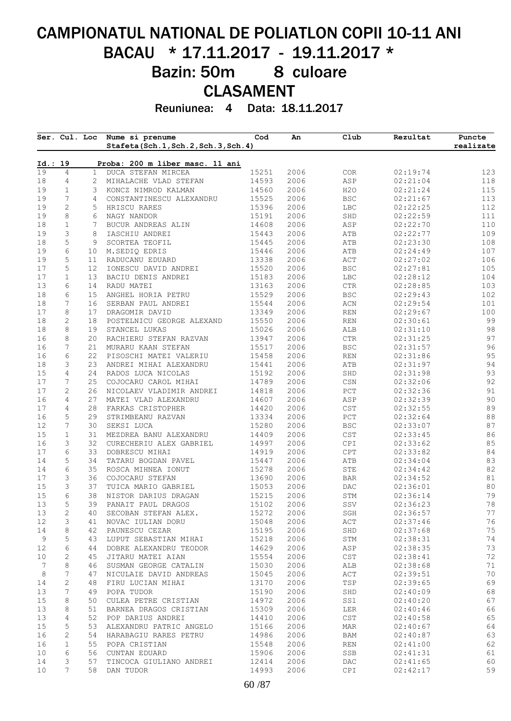# CAMPIONATUL NATIONAL DE POLIATLON COPII 10-11 ANI BACAU \* 17.11.2017 - 19.11.2017 \* Bazin: 50m 8 culoare CLASAMENT

Reuniunea: 4 Data: 18.11.2017

|                   | Ser. Cul. Loc     |                 | Nume si prenume<br>Stafeta(Sch.1, Sch.2, Sch.3, Sch.4) | Cod            | An           | Club           | Rezultat             | Puncte<br>realizate |
|-------------------|-------------------|-----------------|--------------------------------------------------------|----------------|--------------|----------------|----------------------|---------------------|
| Id.: 19           |                   |                 | Proba: 200 m liber masc. 11 ani                        |                |              |                |                      |                     |
| 19                | $\overline{4}$    | $\mathbf{1}$    | DUCA STEFAN MIRCEA                                     | 15251          | 2006         | COR            | 02:19:74             | 123                 |
| 18                | 4                 | $\overline{2}$  | MIHALACHE VLAD STEFAN                                  | 14593          | 2006         | ASP            | 02:21:04             | 118                 |
| 19                | $\mathbf{1}$      | 3               | KONCZ NIMROD KALMAN                                    | 14560          | 2006         | H2O            | 02:21:24             | 115                 |
| 19                | 7                 | 4               | CONSTANTINESCU ALEXANDRU                               | 15525          | 2006         | <b>BSC</b>     | 02:21:67             | 113                 |
| 19                | $\mathbf{2}$      | 5               | HRISCU RARES                                           | 15396          | 2006         | LBC            | 02:22:25             | 112                 |
| 19                | 8                 | 6               | NAGY NANDOR                                            | 15191          | 2006         | SHD            | 02:22:59             | 111                 |
| 18                | $\mathbf 1$       | 7               | BUCUR ANDREAS ALIN                                     | 14608          | 2006         | ASP            | 02:22:70             | 110                 |
| 19<br>18          | 3<br>5            | 8<br>9          | IASCHIU ANDREI<br>SCORTEA TEOFIL                       | 15443<br>15445 | 2006<br>2006 | ATB<br>ATB     | 02:22:77<br>02:23:30 | 109<br>108          |
| 19                | 6                 | 10              | M.SEDIQ EDRIS                                          | 15446          | 2006         | ATB            | 02:24:49             | 107                 |
| 19                | 5                 | 11              | RADUCANU EDUARD                                        | 13338          | 2006         | ACT            | 02:27:02             | 106                 |
| 17                | 5                 | 12 <sup>°</sup> | IONESCU DAVID ANDREI                                   | 15520          | 2006         | <b>BSC</b>     | 02:27:81             | 105                 |
| 17                | $\mathbf{1}$      | 13              | BACIU DENIS ANDREI                                     | 15183          | 2006         | LBC            | 02:28:12             | 104                 |
| 13                | 6                 | 14              | RADU MATEI                                             | 13163          | 2006         | CTR            | 02:28:85             | 103                 |
| 18                | 6                 | 15              | ANGHEL HORIA PETRU                                     | 15529          | 2006         | $_{\rm BSC}$   | 02:29:43             | 102                 |
| 18                | 7                 | 16              | SERBAN PAUL ANDREI                                     | 15544          | 2006         | $\rm ACN$      | 02:29:54             | 101                 |
| 17                | 8                 | 17              | DRAGOMIR DAVID                                         | 13349          | 2006         | <b>REN</b>     | 02:29:67             | 100                 |
| 18                | $\mathbf{2}$      | 18              | POSTELNICU GEORGE ALEXAND                              | 15550          | 2006         | <b>REN</b>     | 02:30:61             | 99                  |
| 18                | 8                 | 19              | STANCEL LUKAS                                          | 15026          | 2006         | ALB            | 02:31:10             | 98                  |
| 16                | 8                 | 20              | RACHIERU STEFAN RAZVAN                                 | 13947          | 2006         | $\mathtt{CTR}$ | 02:31:25             | 97                  |
| 16                | 7                 | 21              | MURARU KAAN STEFAN                                     | 15517          | 2006         | <b>BSC</b>     | 02:31:57             | 96                  |
| 16                | 6                 | 22              | PISOSCHI MATEI VALERIU                                 | 15458          | 2006         | <b>REN</b>     | 02:31:86             | 95                  |
| 18                | 3                 | 23              | ANDREI MIHAI ALEXANDRU                                 | 15441          | 2006         | ATB            | 02:31:97             | 94                  |
| 15                | 4                 | 24              | RADOS LUCA NICOLAS                                     | 15192          | 2006         | SHD            | 02:31:98             | 93                  |
| 17                | 7                 | 25              | COJOCARU CAROL MIHAI                                   | 14789          | 2006         | CSN            | 02:32:06             | 92                  |
| 17                | 2                 | 26              | NICOLAEV VLADIMIR ANDREI                               | 14818          | 2006         | PCT            | 02:32:36             | $91\,$              |
| 16                | 4                 | 27              | MATEI VLAD ALEXANDRU                                   | 14607          | 2006         | ASP            | 02:32:39             | 90                  |
| 17                | 4                 | 28              | FARKAS CRISTOPHER                                      | 14420          | 2006         | CST            | 02:32:55             | 89                  |
| 16                | 5                 | 29              | STRIMBEANU RAZVAN                                      | 13334          | 2006         | ${\tt PCT}$    | 02:32:64             | $8\,8$              |
| 12                | 7                 | 30              | SEKSI LUCA                                             | 15280          | 2006         | <b>BSC</b>     | 02:33:07             | 87                  |
| 15                | $\mathbf{1}$      | 31              | MEZDREA BANU ALEXANDRU                                 | 14409          | 2006         | CST            | 02:33:45             | 86                  |
| 16                | 3                 | 32              | CURECHERIU ALEX GABRIEL                                | 14997          | 2006         | CPI            | 02:33:62             | 85                  |
| 17                | 6                 | 33              | DOBRESCU MIHAI                                         | 14919          | 2006         | CPT            | 02:33:82             | 84                  |
| 14                | 5                 | 34              | TATARU BOGDAN PAVEL                                    | 15447          | 2006         | ATB            | 02:34:04             | 83                  |
| 14                | 6                 | 35              | ROSCA MIHNEA IONUT                                     | 15278          | 2006         | ${\tt STE}$    | 02:34:42             | 82                  |
| 17                | 3                 | 36              | COJOCARU STEFAN                                        | 13690          | 2006         | <b>BAR</b>     | 02:34:52             | 81                  |
| 15                | 3                 | 37              | TUICA MARIO GABRIEL                                    | 15053          | 2006         | DAC            | 02:36:01             | 80                  |
| 15                | 6                 | 38              | NISTOR DARIUS DRAGAN                                   | 15215          | 2006         | STM            | 02:36:14             | 79                  |
| 13                | 5                 | 39              | PANAIT PAUL DRAGOS<br>SECOBAN STEFAN ALEX.             | 15102          | 2006         | SSV            | 02:36:23             | 78<br>77            |
| 13<br>12          | $\mathbf{2}$      | 40              | NOVAC IULIAN DORU                                      | 15272          | 2006<br>2006 | SGH            | 02:36:57<br>02:37:46 | 76                  |
|                   | 3                 | 41              | PAUNESCU CEZAR                                         | 15048          | 2006         | ACT            |                      |                     |
| 14<br>$\mathsf 9$ | 8<br>5            | 42<br>43        |                                                        | 15195<br>15218 | 2006         | SHD            | 02:37:68<br>02:38:31 | 75<br>74            |
| 12                | 6                 | 44              | LUPUT SEBASTIAN MIHAI<br>DOBRE ALEXANDRU TEODOR        | 14629          | 2006         | STM<br>ASP     | 02:38:35             | 73                  |
| 10                | $\mathbf{2}$      | 45              | JITARU MATEI AIAN                                      | 15554          | 2006         | CST            | 02:38:41             | 72                  |
| 7                 | 8                 | 46              | SUSMAN GEORGE CATALIN                                  | 15030          | 2006         | ALB            | 02:38:68             | 71                  |
| 8                 | 7                 | 47              | NICULAIE DAVID ANDREAS                                 | 15045          | 2006         | ACT            | 02:39:51             | 70                  |
| 14                | $\mathbf{2}$      | 48              | FIRU LUCIAN MIHAI                                      | 13170          | 2006         | TSP            | 02:39:65             | 69                  |
| 13                | 7                 | 49              | POPA TUDOR                                             | 15190          | 2006         | SHD            | 02:40:09             | 68                  |
| 15                | 8                 | 50              | CULEA PETRE CRISTIAN                                   | 14972          | 2006         | SS1            | 02:40:20             | 67                  |
| 13                | 8                 | 51              | BARNEA DRAGOS CRISTIAN                                 | 15309          | 2006         | LER            | 02:40:46             | 66                  |
| 13                | 4                 | 52              | POP DARIUS ANDREI                                      | 14410          | 2006         | CST            | 02:40:58             | 65                  |
| 15                | 5                 | 53              | ALEXANDRU PATRIC ANGELO                                | 15166          | 2006         | MAR            | 02:40:67             | 64                  |
| 16                | 2                 | 54              | HARABAGIU RARES PETRU                                  | 14986          | 2006         | BAM            | 02:40:87             | 63                  |
|                   |                   | 55              | POPA CRISTIAN                                          | 15548          | 2006         | <b>REN</b>     | 02:41:00             | 62                  |
|                   |                   |                 |                                                        |                |              |                |                      |                     |
| 16<br>10          | $\mathbf{1}$<br>6 | 56              |                                                        | 15906          | 2006         | SSB            |                      |                     |
| 14                | 3                 | 57              | CUNTAN EDUARD<br>TINCOCA GIULIANO ANDREI               | 12414          | 2006         | DAC            | 02:41:31<br>02:41:65 | 61<br>60            |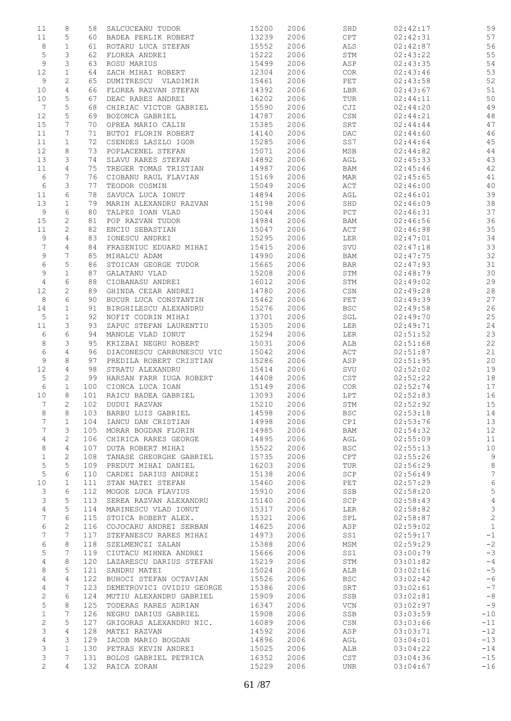| 11                    | 8              | 58  | SALCUCEANU TUDOR          | 15200 | 2006 | SHD                           | 02:42:17 | 59              |
|-----------------------|----------------|-----|---------------------------|-------|------|-------------------------------|----------|-----------------|
| 11                    | 5              | 60  | BADEA PERLIK ROBERT       | 13239 | 2006 | CPT                           | 02:42:31 | 57              |
| 8                     | $\mathbf{1}$   | 61  | ROTARU LUCA STEFAN        | 15552 | 2006 | ALS                           | 02:42:87 | 56              |
| $\mathsf S$           | 3              | 62  | FLOREA ANDREI             | 15222 | 2006 | STM                           | 02:43:22 | 55              |
| $\mathsf 9$           | 3              | 63  | ROSU MARIUS               | 15499 | 2006 | ASP                           | 02:43:35 | 54              |
| 12                    | $\mathbf 1$    | 64  | ZACH MIHAI ROBERT         | 12304 | 2006 | COR                           | 02:43:46 | 53              |
| 9                     | 2              | 65  | DUMITRESCU VLADIMIR       | 15461 | 2006 | PET                           | 02:43:58 | 52              |
| 10                    | $\overline{4}$ | 66  | FLOREA RAZVAN STEFAN      | 14392 | 2006 | LBR                           | 02:43:67 | 51              |
| 10                    | 5              | 67  | DEAC RARES ANDREI         | 16202 | 2006 | TUR                           | 02:44:11 | 50              |
| 7                     | 5              | 68  | CHIRIAC VICTOR GABRIEL    | 15590 | 2006 | CJI                           | 02:44:20 | 49              |
| 12                    | 5              | 69  | BOZONCA GABRIEL           | 14787 | 2006 | CSN                           | 02:44:21 | 48              |
| 15                    | 7              | 70  | OPREA MARIO CALIN         | 15385 | 2006 | SRT                           | 02:44:44 | 47              |
| 11                    | 7              | 71  | BUTOI FLORIN ROBERT       | 14140 | 2006 | DAC                           | 02:44:60 | 46              |
| 11                    | $\mathbf{1}$   | 72  | CSENDES LASZLO IGOR       | 15285 | 2006 | SS7                           | 02:44:64 | $4\,5$          |
| 12                    | 8              | 73  | POPLACENEL STEFAN         | 15071 | 2006 | MSB                           | 02:44:82 | 44              |
| 13                    | 3              | 74  | SLAVU RARES STEFAN        | 14892 | 2006 | AGL                           | 02:45:33 | 43              |
| 11                    | 4              | 75  | TREGER TOMAS TRISTIAN     | 14987 | 2006 | BAM                           | 02:45:46 | 42              |
| 6                     | 7              | 76  | CIOBANU RAUL FLAVIAN      | 15169 | 2006 | MAR                           | 02:45:65 | 41              |
| 6                     | 3              | 77  | TEODOR COSMIN             | 15049 | 2006 | ACT                           | 02:46:00 | 40              |
| 11                    | 6              | 78  | SAVUCA LUCA IONUT         | 14894 | 2006 | AGL                           | 02:46:01 | 39              |
| 13                    | $\mathbf{1}$   | 79  | MARIN ALEXANDRU RAZVAN    | 15198 | 2006 | SHD                           | 02:46:09 | 38              |
| 9                     | 6              | 80  | TALPES IOAN VLAD          | 15044 | 2006 | ${\tt PCT}$                   | 02:46:31 | 37              |
| 15                    | $\mathbf{2}$   | 81  | POP RAZVAN TUDOR          | 14984 | 2006 | BAM                           | 02:46:56 | 36              |
| 11                    | $\mathbf{2}$   | 82  | ENCIU SEBASTIAN           | 15047 | 2006 | ACT                           | 02:46:98 | 35              |
| 9                     | 4              | 83  | IONESCU ANDREI            | 15295 | 2006 | LER                           | 02:47:01 | 34              |
| $\overline{7}$        | 4              | 84  | FRASENIUC EDUARD MIHAI    | 15415 | 2006 | SVU                           | 02:47:18 | 33              |
| $\mathsf 9$           | 7              | 85  | MIHALCU ADAM              | 14990 | 2006 | BAM                           | 02:47:75 | 32              |
| $\sqrt{6}$            | 5              | 86  | STOICAN GEORGE TUDOR      | 15665 | 2006 | <b>BAR</b>                    | 02:47:93 | 31              |
| 9                     | $\mathbf{1}$   | 87  | GALATANU VLAD             | 15208 | 2006 | STM                           | 02:48:79 | 30              |
| $\overline{4}$        | 6              | 88  | CIOBANASU ANDREI          | 16012 | 2006 | STM                           | 02:49:02 | 29              |
| 12                    | $\overline{c}$ | 89  | GHINDA CEZAR ANDREI       | 14780 | 2006 | CSN                           | 02:49:28 | $2\,8$          |
| 8                     | 6              | 90  | BUCUR LUCA CONSTANTIN     | 15462 | 2006 | PET                           | 02:49:39 | 27              |
| 14                    | $\mathbf{1}$   | 91  | BIRGHILESCU ALEXANDRU     | 15276 | 2006 | <b>BSC</b>                    | 02:49:58 | 26              |
| $\mathsf S$           | $\mathbf{1}$   | 92  | NOFIT CODRIN MIHAI        | 13701 | 2006 | $\operatorname{\mathsf{SGL}}$ | 02:49:70 | 25              |
| 11                    | 3              | 93  | ZAPUC STEFAN LAURENTIU    | 15305 | 2006 | LER                           | 02:49:71 | 24              |
| 6                     | 6              | 94  | MANOLE VLAD IONUT         | 15294 | 2006 | LER                           | 02:51:52 | 23              |
| 8                     | 3              | 95  | KRIZBAI NEGRU ROBERT      | 15031 | 2006 | ALB                           | 02:51:68 | 22              |
| 6                     | $\overline{4}$ | 96  | DIACONESCU CARBUNESCU VIC | 15042 | 2006 | ACT                           | 02:51:87 | 21              |
| $\mathsf 9$           | 8              | 97  | PREDILA ROBERT CRISTIAN   | 15286 | 2006 | ASP                           | 02:51:95 | 20              |
| 12                    | 4              | 98  | STRATU ALEXANDRU          | 15414 | 2006 | SVU                           | 02:52:02 | 19              |
| 5                     | 2              | 99  | HARSAN FARR IUGA ROBERT   | 14408 | 2006 | CST                           | 02:52:22 | 18              |
| 6                     | $\mathbf{1}$   | 100 | CIONCA LUCA IOAN          | 15149 | 2006 | COR                           | 02:52:74 | 17              |
| 10                    | 8              | 101 | RAICU BADEA GABRIEL       | 13093 | 2006 | LPT                           | 02:52:83 | 16              |
| 7                     | $\mathfrak{L}$ | 102 | DUDUI RAZVAN              | 15210 | 2006 | STM                           | 02:52:92 | 15              |
| 8                     | 8              | 103 | BARBU LUIS GABRIEL        | 14598 | 2006 | <b>BSC</b>                    | 02:53:18 | 14              |
| 7                     | $\mathbf{1}$   | 104 | IANCU DAN CRISTIAN        | 14998 | 2006 | CPI                           | 02:53:76 | 13              |
| 7                     | 3              | 105 | MORAR BOGDAN FLORIN       | 14985 | 2006 | BAM                           | 02:54:32 | 12              |
| 4                     | $\mathbf{2}$   | 106 | CHIRICA RARES GEORGE      | 14895 | 2006 | AGL                           | 02:55:09 | 11              |
| 8                     | 4              | 107 | DUTA ROBERT MIHAI         | 15522 | 2006 | <b>BSC</b>                    | 02:55:13 | 10              |
| $\mathbf 1$           | $\mathbf{2}$   | 108 | TANASE GHEORGHE GABRIEL   | 15735 | 2006 | CPT                           | 02:55:26 | 9               |
| $\mathsf S$           | 5              | 109 | PREDUT MIHAI DANIEL       | 16203 | 2006 | TUR                           | 02:56:29 | 8               |
| 5                     | 6              | 110 | CARDEI DARIUS ANDREI      | 15138 | 2006 | SCP                           | 02:56:49 | $7\phantom{.0}$ |
| 10                    | 1              | 111 | STAN MATEI STEFAN         | 15460 | 2006 | PET                           | 02:57:29 | $6\,$           |
| 3                     | 6              | 112 | MOGOE LUCA FLAVIUS        | 15910 | 2006 | SSB                           | 02:58:20 | $\mathsf S$     |
| 3                     | 5              | 113 | SEREA RAZVAN ALEXANDRU    | 15140 | 2006 | SCP                           | 02:58:43 | $\overline{4}$  |
| 4                     | 5              | 114 | MARINESCU VLAD IONUT      | 15317 | 2006 | LER                           | 02:58:82 | 3               |
| 7                     | 6              | 115 | STOICA ROBERT ALEX.       | 15321 | 2006 | SPL                           | 02:58:87 | 2               |
| 6                     | $\mathbf{2}$   | 116 | COJOCARU ANDREI SERBAN    | 14625 | 2006 | ASP                           | 02:59:02 | $\mathbf{1}$    |
| 7                     | 7              | 117 | STEFANESCU RARES MIHAI    | 14973 | 2006 | SS1                           | 02:59:17 | $-1$            |
| 6                     | 8              | 118 | SZELMENCZI ZALAN          | 15388 | 2006 | MSM                           | 02:59:29 | $-2$            |
| 5                     | 7              | 119 | CIUTACU MIHNEA ANDREI     | 15666 | 2006 | SS1                           | 03:00:79 | $-3$            |
| 4                     | 8              | 120 | LAZARESCU DARIUS STEFAN   | 15219 | 2006 | STM                           | 03:01:82 | $-4$            |
| 8                     | 5              | 121 | SANDRU MATEI              | 15024 | 2006 | ALB                           | 03:02:16 | $-5$            |
| 4                     | 4              | 122 | BUHOCI STEFAN OCTAVIAN    | 15526 | 2006 | <b>BSC</b>                    | 03:02:42 | $-6$            |
| $\overline{4}$        | 7              | 123 | DEMETROVICI OVIDIU GEORGE | 15386 | 2006 | SRT                           | 03:02:61 | $-7$            |
| 2                     | 6              | 124 | MUTIU ALEXANDRU GABRIEL   | 15909 | 2006 | SSB                           | 03:02:81 | $-8$            |
| 5                     | 8              | 125 | TODERAS RARES ADRIAN      | 16347 | 2006 | VCN                           | 03:02:97 | $-9$            |
| $\mathbf 1$           | 7              | 126 | NEGRU DARIUS GABRIEL      | 15908 | 2006 | SSB                           | 03:03:59 | $-10$           |
| $\mathbf{2}$          | 5              | 127 | GRIGORAS ALEXANDRU NIC.   | 16089 | 2006 | $\mathbb{CSN}$                | 03:03:66 | $-11$           |
| 3                     | 4              | 128 | MATEI RAZVAN              | 14592 | 2006 | ASP                           | 03:03:71 | $-12$           |
| $\overline{4}$        | 3              | 129 | IACOB MARIO BOGDAN        | 14896 | 2006 | AGL                           | 03:04:01 | $-13$           |
| 3                     | $\mathbf{1}$   | 130 | PETRAS KEVIN ANDREI       | 15025 | 2006 | ALB                           | 03:04:22 | $-14$           |
| 3                     | 7              | 131 | BOLOS GABRIEL PETRICA     | 16352 | 2006 | CST                           | 03:04:36 | $-15$           |
| $\mathbf{2}^{\prime}$ | 4              | 132 | RAICA ZORAN               | 15229 | 2006 | UNR                           | 03:04:67 | $-16$           |
|                       |                |     |                           |       |      |                               |          |                 |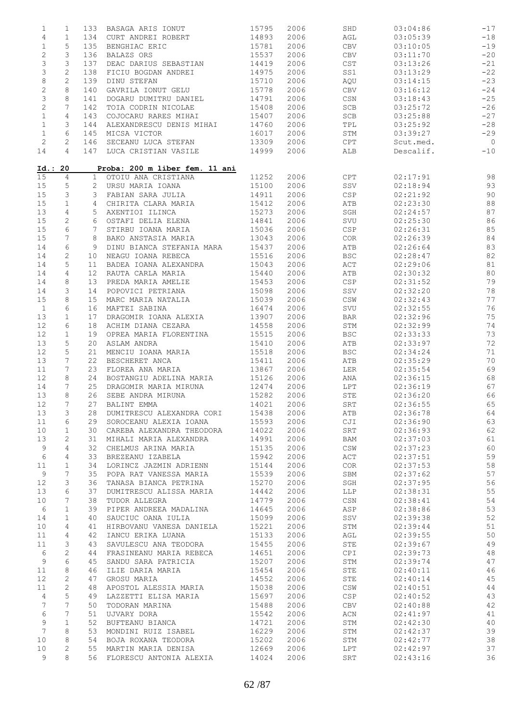| $\mathbf 1$     | $\mathbf{1}$   | 133             | BASAGA ARIS IONUT              | 15795 | 2006 | SHD                              | 03:04:86  | $-17$          |
|-----------------|----------------|-----------------|--------------------------------|-------|------|----------------------------------|-----------|----------------|
| $\overline{4}$  | $\mathbf{1}$   | 134             | CURT ANDREI ROBERT             | 14893 | 2006 | AGL                              | 03:05:39  | $-18$          |
| $\mathbf 1$     | 5              | 135             | BENGHIAC ERIC                  | 15781 | 2006 | CBV                              | 03:10:05  | $-19$          |
|                 |                |                 |                                |       |      |                                  |           |                |
| $\sqrt{2}$      | 3              | 136             | BALAZS ORS                     | 15537 | 2006 | CBV                              | 03:11:70  | $-20$          |
| 3               | 3              | 137             | DEAC DARIUS SEBASTIAN          | 14419 | 2006 | CST                              | 03:13:26  | $-21$          |
| 3               | $\mathbf{2}$   | 138             | FICIU BOGDAN ANDREI            | 14975 | 2006 | SS1                              | 03:13:29  | $-22$          |
|                 |                |                 |                                |       |      |                                  |           |                |
| $\,8\,$         | $\mathbf{2}$   | 139             | DINU STEFAN                    | 15710 | 2006 | AQU                              | 03:14:15  | $-23$          |
| $\sqrt{2}$      | 8              | 140             | GAVRILA IONUT GELU             | 15778 | 2006 | CBV                              | 03:16:12  | $-24$          |
| 3               | 8              | 141             | DOGARU DUMITRU DANIEL          | 14791 | 2006 | $\mathbb{C}\mathbb{S}\mathbb{N}$ | 03:18:43  | $-25$          |
|                 |                |                 |                                |       |      |                                  |           |                |
| $\mathbf{2}$    | 7              | 142             | TOIA CODRIN NICOLAE            | 15408 | 2006 | SCB                              | 03:25:72  | $-26$          |
| $\mathbf 1$     | 4              | 143             | COJOCARU RARES MIHAI           | 15407 | 2006 | SCB                              | 03:25:88  | $-27$          |
| $\mathbf 1$     | 3              | 144             | ALEXANDRESCU DENIS MIHAI       | 14760 | 2006 | TPL                              | 03:25:92  | $-28$          |
|                 |                |                 |                                |       |      |                                  |           |                |
| $\mathbf{1}$    | 6              | 145             | MICSA VICTOR                   | 16017 | 2006 | STM                              | 03:39:27  | $-29$          |
| $\sqrt{2}$      | 2              | 146             | SECEANU LUCA STEFAN            | 13309 | 2006 | CPT                              | Scut.med. | $\overline{0}$ |
| 14              | 4              | 147             | LUCA CRISTIAN VASILE           | 14999 | 2006 | ALB                              | Descalif. | $-10$          |
|                 |                |                 |                                |       |      |                                  |           |                |
| Id.: 20         |                |                 | Proba: 200 m liber fem. 11 ani |       |      |                                  |           |                |
| 15              | $\overline{4}$ | 1               | OTOIU ANA CRISTIANA            | 11252 | 2006 | CPT                              | 02:17:91  | 98             |
| 15              | 5              | $\mathbf{2}$    | URSU MARIA IOANA               | 15100 | 2006 | SSV                              | 02:18:94  | 93             |
|                 |                |                 |                                |       |      |                                  |           |                |
| 15              | 3              | 3               | FABIAN SARA JULIA              | 14911 | 2006 | CSP                              | 02:21:92  | 90             |
| 15              | $\mathbf{1}$   | $4 -$           | CHIRITA CLARA MARIA            | 15412 | 2006 | ATB                              | 02:23:30  | $8\,8$         |
| 13              | 4              | 5               | AXENTIOI ILINCA                | 15273 | 2006 | SGH                              | 02:24:57  | 87             |
|                 |                |                 |                                |       |      |                                  |           |                |
| 15              | $\mathbf{2}$   | 6               | OSTAFI DELIA ELENA             | 14841 | 2006 | SVU                              | 02:25:30  | 86             |
| 15              | 6              | $7^{\circ}$     | STIRBU IOANA MARIA             | 15036 | 2006 | CSP                              | 02:26:31  | 85             |
|                 |                |                 |                                |       |      |                                  |           |                |
| 15              | 7              | 8               | BAKO ANSTASIA MARIA            | 13043 | 2006 | COR                              | 02:26:39  | 84             |
| 14              | 6              | 9               | DINU BIANCA STEFANIA MARA      | 15437 | 2006 | ATB                              | 02:26:64  | 83             |
| 14              | $\mathbf{2}$   | 10              | NEAGU IOANA REBECA             | 15516 | 2006 | <b>BSC</b>                       | 02:28:47  | 82             |
|                 |                |                 |                                |       |      |                                  |           |                |
| 14              | 5              | 11              | BADEA IOANA ALEXANDRA          | 15043 | 2006 | ACT                              | 02:29:06  | $8\,1$         |
| 14              | 4              | 12 <sub>1</sub> | RAUTA CARLA MARIA              | 15440 | 2006 | ATB                              | 02:30:32  | 80             |
| 14              | 8              | 13              | PREDA MARIA AMELIE             | 15453 | 2006 | CSP                              |           | 79             |
|                 |                |                 |                                |       |      |                                  | 02:31:52  |                |
| 14              | 3              | 14              | POPOVICI PETRIANA              | 15098 | 2006 | SSV                              | 02:32:20  | 78             |
| 15              | 8              | 15              | MARC MARIA NATALIA             | 15039 | 2006 | $\mathbb{CSW}$                   | 02:32:43  | 77             |
|                 |                |                 |                                |       |      |                                  |           |                |
| $\mathbf{1}$    | 6              | 16              | MAFTEI SABINA                  | 16474 | 2006 | SVU                              | 02:32:55  | 76             |
| 13              | $\mathbf 1$    | 17              | DRAGOMIR IOANA ALEXIA          | 13907 | 2006 | <b>BAR</b>                       | 02:32:96  | 75             |
| 12              | 6              | 18              | ACHIM DIANA CEZARA             | 14558 | 2006 | STM                              | 02:32:99  | 74             |
|                 |                |                 |                                |       |      |                                  |           |                |
| 12              | $\mathbf{1}$   | 19              | OPREA MARIA FLORENTINA         | 15515 | 2006 | <b>BSC</b>                       | 02:33:33  | 73             |
| 13              | 5              | 20              | ASLAM ANDRA                    | 15410 | 2006 | ATB                              | 02:33:97  | 72             |
| 12              | 5              |                 | MENCIU IOANA MARIA             | 15518 | 2006 | <b>BSC</b>                       | 02:34:24  | 71             |
|                 |                | 21              |                                |       |      |                                  |           |                |
| 13              | 7              | 22              | BESCHERET ANCA                 | 15411 | 2006 | ATB                              | 02:35:29  | 70             |
| 11              | 7              | 23              | FLOREA ANA MARIA               | 13867 | 2006 | LER                              | 02:35:54  | 69             |
|                 |                |                 |                                |       |      |                                  |           |                |
| 12              | 8              | 24              | BOSTANGIU ADELINA MARIA        | 15126 | 2006 | ANA                              | 02:36:15  | 68             |
| 14              | 7              | 25              | DRAGOMIR MARIA MIRUNA          | 12474 | 2006 | LPT                              | 02:36:19  | 67             |
| 13              | 8              | 26              |                                | 15282 | 2006 | ${\tt STE}$                      | 02:36:20  | 66             |
|                 |                |                 | SEBE ANDRA MIRUNA              |       |      |                                  |           |                |
| 12              | 7              | 27              | BALINT EMMA                    | 14021 | 2006 | SRT                              | 02:36:55  | 65             |
| 13              | 3              | 28              | DUMITRESCU ALEXANDRA CORI      | 15438 | 2006 | ATB                              | 02:36:78  | 64             |
|                 |                |                 |                                |       |      |                                  |           |                |
| 11              | 6              | 29              | SOROCEANU ALEXIA IOANA         | 15593 | 2006 | CJI                              | 02:36:90  | 63             |
| 10              | $\mathbf{1}$   | 30              | CAREBA ALEXANDRA THEODORA      | 14022 | 2006 | SRT                              | 02:36:93  | 62             |
| 13              | 2              | 31              | MIHALI MARIA ALEXANDRA         | 14991 | 2006 | BAM                              | 02:37:03  | 61             |
|                 |                |                 |                                |       |      |                                  |           |                |
| 9               | 4              | 32              | CHELMUS ARINA MARIA            | 15135 | 2006 | $\mathbb{CSW}$                   | 02:37:23  | 60             |
| $\sqrt{6}$      | 4              | 33              | BREZEANU IZABELA               | 15942 | 2006 | ACT                              | 02:37:51  | 59             |
|                 |                |                 |                                |       |      |                                  |           |                |
| 11              | $\mathbf 1$    | 34              | LORINCZ JAZMIN ADRIENN         | 15144 | 2006 | COR                              | 02:37:53  | 58             |
| 9               | 7              | 35              | POPA RAT VANESSA MARIA         | 15539 | 2006 | SBM                              | 02:37:62  | 57             |
| 12              | 3              | 36              | TANASA BIANCA PETRINA          | 15270 | 2006 | SGH                              | 02:37:95  | 56             |
|                 |                |                 |                                |       |      |                                  |           |                |
| 13              | 6              | 37              | DUMITRESCU ALISSA MARIA        | 14442 | 2006 | LLP                              | 02:38:31  | 55             |
| 10              | 7              | 38              | TUDOR ALLEGRA                  | 14779 | 2006 | $\mathbb{CSN}$                   | 02:38:41  | 54             |
|                 |                |                 |                                |       |      |                                  |           |                |
| 6               | $\mathbf{1}$   | 39              | PIPER ANDREEA MADALINA         | 14645 | 2006 | ASP                              | 02:38:86  | 53             |
| 14              | $\mathbf{1}$   | 40              | SAUCIUC OANA IULIA             | 15099 | 2006 | SSV                              | 02:39:38  | 52             |
| 10              | 4              | 41              | HIRBOVANU VANESA DANIELA       | 15221 | 2006 | STM                              | 02:39:44  | 51             |
|                 |                |                 |                                |       |      |                                  |           |                |
| 11              | 4              | 42              | IANCU ERIKA LUANA              | 15133 | 2006 | AGL                              | 02:39:55  | 50             |
| 11              | 3              | 43              | SAVULESCU ANA TEODORA          | 15455 | 2006 | STE                              | 02:39:67  | 49             |
|                 |                |                 |                                |       |      |                                  |           |                |
| 6               | $\mathbf{2}$   | 44              | FRASINEANU MARIA REBECA        | 14651 | 2006 | CPI                              | 02:39:73  | 48             |
| 9               | 6              | 45              | SANDU SARA PATRICIA            | 15207 | 2006 | STM                              | 02:39:74  | 47             |
| 11              | 8              | 46              | ILIE DARIA MARIA               | 15454 | 2006 | STE                              | 02:40:11  | 46             |
|                 |                |                 |                                |       |      |                                  |           |                |
| 12              | $\mathbf{2}$   | 47              | GROSU MARIA                    | 14552 | 2006 | STE                              | 02:40:14  | 45             |
| 11              | $\mathbf{2}$   | 48              | APOSTOL ALESSIA MARIA          | 15038 | 2006 | $\mathbb{CSW}$                   | 02:40:51  | 44             |
|                 |                |                 |                                |       |      |                                  |           |                |
| 4               | 5              | 49              | LAZZETTI ELISA MARIA           | 15697 | 2006 | CSP                              | 02:40:52  | 43             |
| 7               | 7              | 50              | TODORAN MARINA                 | 15488 | 2006 | CBV                              | 02:40:88  | 42             |
| 6               | 7              | 51              | UJVARY DORA                    | 15542 | 2006 | ACN                              | 02:41:97  | 41             |
|                 |                |                 |                                |       |      |                                  |           |                |
| 9               | $\mathbf{1}$   | 52              | BUFTEANU BIANCA                | 14721 | 2006 | STM                              | 02:42:30  | 40             |
| $7\phantom{.0}$ | 8              | 53              | MONDINI RUIZ ISABEL            | 16229 | 2006 | STM                              | 02:42:37  | 39             |
|                 |                |                 |                                |       |      |                                  |           |                |
| 10              | 8              | 54              | BOJA ROXANA TEODORA            | 15202 | 2006 | STM                              | 02:42:77  | 38             |
| 10              | $\mathbf{2}$   | 55              | MARTIN MARIA DENISA            | 12669 | 2006 | LPT                              | 02:42:97  | 37             |
| 9               | 8              | 56              | FLORESCU ANTONIA ALEXIA        | 14024 | 2006 | SRT                              | 02:43:16  | 36             |
|                 |                |                 |                                |       |      |                                  |           |                |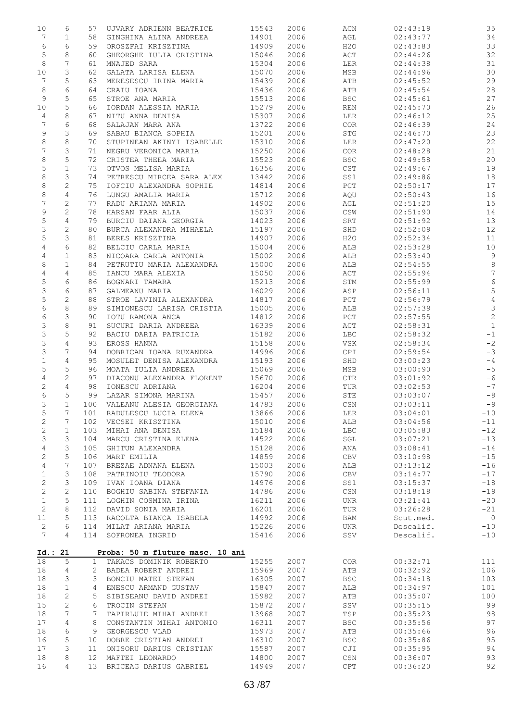| 10                          | 6                   | 57           | UJVARY ADRIENN BEATRICE                                    | 15543          | 2006         | ACN               | 02:43:19             | 35                              |
|-----------------------------|---------------------|--------------|------------------------------------------------------------|----------------|--------------|-------------------|----------------------|---------------------------------|
| 7                           | $\mathbf 1$         | 58           | GINGHINA ALINA ANDREEA                                     | 14901          | 2006         | AGL               | 02:43:77             | 34                              |
| 6                           | 6                   | 59           | OROSZFAI KRISZTINA                                         | 14909          | 2006         | H2O               | 02:43:83             | 33                              |
| $\mathsf S$<br>8            | 8<br>7              | 60<br>61     | GHEORGHE IULIA CRISTINA<br>MNAJED SARA                     | 15046<br>15304 | 2006<br>2006 | ACT<br>LER        | 02:44:26<br>02:44:38 | 32<br>31                        |
| 10                          | 3                   | 62           | GALATA LARISA ELENA                                        | 15070          | 2006         | MSB               | 02:44:96             | 30                              |
| 7                           | 5                   | 63           | MERESESCU IRINA MARIA                                      | 15439          | 2006         | ATB               | 02:45:52             | 29                              |
| 8                           | 6                   | 64           | CRAIU IOANA                                                | 15436          | 2006         | ATB               | 02:45:54             | 28                              |
| 9                           | 5                   | 65           | STROE ANA MARIA                                            | 15513          | 2006         | <b>BSC</b>        | 02:45:61             | 27                              |
| 10                          | 5                   | 66           | IORDAN ALESSIA MARIA                                       | 15279          | 2006         | REN               | 02:45:70             | 26                              |
| 4                           | 8                   | 67           | NITU ANNA DENISA                                           | 15307          | 2006         | LER               | 02:46:12             | 25                              |
| 7<br>9                      | 6<br>3              | 68<br>69     | SALAJAN MARA ANA<br>SABAU BIANCA SOPHIA                    | 13722<br>15201 | 2006<br>2006 | COR<br>STG        | 02:46:39<br>02:46:70 | 24<br>23                        |
| $\,8\,$                     | 8                   | 70           | STUPINEAN AKINYI ISABELLE                                  | 15310          | 2006         | LER               | 02:47:20             | 22                              |
| $\overline{7}$              | 3                   | 71           | NEGRU VERONICA MARIA                                       | 15250          | 2006         | COR               | 02:48:28             | 21                              |
| $\,8\,$                     | 5                   | 72           | CRISTEA THEEA MARIA                                        | 15523          | 2006         | <b>BSC</b>        | 02:49:58             | 20                              |
| $\mathsf S$                 | $1\,$               | 73           | OTVOS MELISA MARIA                                         | 16356          | 2006         | CST               | 02:49:67             | 19                              |
| $\,8\,$                     | 3                   | 74           | PETRESCU MIRCEA SARA ALEX                                  | 13442          | 2006         | SS1               | 02:49:86             | 18                              |
| 8<br>8                      | $\sqrt{2}$<br>4     | 75<br>76     | IOFCIU ALEXANDRA SOPHIE<br>LUNGU AMALIA MARIA              | 14814<br>15712 | 2006<br>2006 | PCT<br>AQU        | 02:50:17<br>02:50:43 | 17<br>16                        |
| $\overline{7}$              | $\sqrt{2}$          | 77           | RADU ARIANA MARIA                                          | 14902          | 2006         | AGL               | 02:51:20             | 15                              |
| 9                           | $\sqrt{2}$          | 78           | HARSAN FAAR ALIA                                           | 15037          | 2006         | CSW               | 02:51:90             | 14                              |
| 5                           | 4                   | 79           | BURCIU DAIANA GEORGIA                                      | 14023          | 2006         | SRT               | 02:51:92             | 13                              |
| 3                           | $\overline{c}$      | 80           | BURCA ALEXANDRA MIHAELA                                    | 15197          | 2006         | SHD               | 02:52:09             | 12                              |
| 5                           | 3                   | 81           | BERES KRISZTINA                                            | 14907          | 2006         | H2O               | 02:52:34             | 11                              |
| $\overline{4}$<br>4         | 6<br>$\mathbf 1$    | 82<br>83     | BELCIU CARLA MARIA<br>NICOARA CARLA ANTONIA                | 15004<br>15002 | 2006<br>2006 | ALB<br>ALB        | 02:53:28<br>02:53:40 | 10<br>$\overline{9}$            |
| 8                           | $\mathbf{1}$        | 84           | PETRUTIU MARIA ALEXANDRA                                   | 15000          | 2006         | ALB               | 02:54:55             | $\,8\,$                         |
| 4                           | 4                   | 85           | IANCU MARA ALEXIA                                          | 15050          | 2006         | ACT               | 02:55:94             | $\sqrt{ }$                      |
| 5                           | 6                   | 86           | BOGNARI TAMARA                                             | 15213          | 2006         | STM               | 02:55:99             | $6\,$                           |
| 3                           | 6                   | 87           | GALMEANU MARIA                                             | 16029          | 2006         | ASP               | 02:56:11             | $\mathsf S$                     |
| 5                           | $\mathbf{2}$        | 88           | STROE LAVINIA ALEXANDRA                                    | 14817          | 2006         | PCT               | 02:56:79             | $\sqrt{4}$                      |
| 6<br>$\epsilon$             | 8<br>3              | 89<br>90     | SIMIONESCU LARISA CRISTIA<br>IOTU RAMONA ANCA              | 15005<br>14812 | 2006<br>2006 | ALB<br>PCT        | 02:57:39<br>02:57:55 | $\mathcal{S}$<br>$\overline{c}$ |
| 3                           | 8                   | 91           | SUCURI DARIA ANDREEA                                       | 16339          | 2006         | ACT               | 02:58:31             | $\overline{1}$                  |
| 3                           | 5                   | 92           | BACIU DARIA PATRICIA                                       | 15182          | 2006         | LBC               | 02:58:32             | $^{\rm -1}$                     |
| $\mathsf S$                 | $\overline{4}$      | 93           | EROSS HANNA                                                | 15158          | 2006         | VSK               | 02:58:34             | $-2$                            |
| 3                           | 7                   | 94           | DOBRICAN IOANA RUXANDRA                                    | 14996          | 2006         | CPI               | 02:59:54             | $-3$                            |
| $\mathbf 1$                 | $\overline{4}$<br>5 | 95           | MOSULET DENISA ALEXANDRA                                   | 15193          | 2006         | SHD               | 03:00:23             | $-4$<br>$-5$                    |
| 5<br>4                      | $\mathbf{2}$        | 96<br>97     | MOATA IULIA ANDREEA<br>DIACONU ALEXANDRA FLORENT           | 15069<br>15670 | 2006<br>2006 | MSB<br>CTR        | 03:00:90<br>03:01:92 | $-6$                            |
| 2                           | 4                   | 98           | IONESCU ADRIANA                                            | 16204          | 2006         | TUR               | 03:02:53             | $-7$                            |
| 6                           | 5                   | 99           | LAZAR SIMONA MARINA                                        | 15457          | 2006         | STE               | 03:03:07             | $-8$                            |
| 3                           | $\mathbf{1}$        |              | 100 VALEANU ALESIA GEORGIANA                               | 14783          | 2006         | CSN               | 03:03:11             | $-9$                            |
| 5                           | 7                   | 101          | RADULESCU LUCIA ELENA                                      | 13866          | 2006         | LER               | 03:04:01             | $-10$                           |
| $\mathbf{2}$                | 7                   | 102          | VECSEI KRISZTINA                                           | 15010          | 2006         | ALB               | 03:04:56             | $-11$                           |
| $\sqrt{2}$<br>3             | $\mathbf 1$<br>3    | 103<br>104   | MIHAI ANA DENISA<br>MARCU CRISTINA ELENA                   | 15184<br>14522 | 2006<br>2006 | <b>LBC</b><br>SGL | 03:05:83<br>03:07:21 | $-12$<br>$-13$                  |
| 4                           | 3                   | 105          | GHITUN ALEXANDRA                                           | 15128          | 2006         | ANA               | 03:08:41             | $-14$                           |
| 2                           | 5                   | 106          | MART EMILIA                                                | 14859          | 2006         | CBV               | 03:10:98             | $-15$                           |
| $\overline{4}$              | $\overline{7}$      | 107          | BREZAE ADNANA ELENA                                        | 15003          | 2006         | ALB               | 03:13:12             | $-16$                           |
| $\mathbf 1$                 | 3                   | 108          | PATRINOIU TEODORA                                          | 15790          | 2006         | <b>CBV</b>        | 03:14:77             | $-17$                           |
| 2                           | 3                   | 109          | IVAN IOANA DIANA                                           | 14976          | 2006         | SS1               | 03:15:37             | $-18$                           |
| $\mathbf{2}$<br>$\mathbf 1$ | $\sqrt{2}$<br>5     | 110<br>111   | BOGHIU SABINA STEFANIA<br>LOGHIN COSMINA IRINA             | 14786<br>16211 | 2006<br>2006 | CSN<br><b>UNR</b> | 03:18:18<br>03:21:41 | $-19$<br>$-20$                  |
| 2                           | 8                   | 112          | DAVID SONIA MARIA                                          | 16201          | 2006         | TUR               | 03:26:28             | $-21$                           |
| 11                          | 5                   | 113          | RACOLTA BIANCA ISABELA                                     | 14992          | 2006         | BAM               | Scut.med.            | $\overline{0}$                  |
| $\mathbf{2}$                | 6                   | 114          | MILAT ARIANA MARIA                                         | 15226          | 2006         | <b>UNR</b>        | Descalif.            | $-10$                           |
| 7                           | 4                   | 114          | SOFRONEA INGRID                                            | 15416          | 2006         | SSV               | Descalif.            | $-10$                           |
|                             |                     |              |                                                            |                |              |                   |                      |                                 |
| 18                          | Id.: 21<br>5        | $\mathbf{1}$ | Proba: 50 m fluture masc. 10 ani<br>TAKACS DOMINIK ROBERTO | 15255          | 2007         | COR <sub>.</sub>  | 00:32:71             | 111                             |
| 18                          | 4                   | 2            | BADEA ROBERT ANDREI                                        | 15969          | 2007         | ATB               | 00:32:92             | 106                             |
| 18                          | 3                   | 3            | BONCIU MATEI STEFAN                                        | 16305          | 2007         | <b>BSC</b>        | 00:34:18             | 103                             |
| 18                          | $\mathbf 1$         | 4            | ENESCU ARMAND GUSTAV                                       | 15847          | 2007         | ALB               | 00:34:97             | 101                             |
| 18                          | $\mathbf{2}$        | 5            | SIBISEANU DAVID ANDREI                                     | 15982          | 2007         | ATB               | 00:35:07             | 100                             |
| 15<br>18                    | $\sqrt{2}$<br>7     | 6<br>7       | TROCIN STEFAN<br>TAPIRLUIE MIHAI ANDREI                    | 15872<br>13968 | 2007<br>2007 | SSV<br>TSP        | 00:35:15<br>00:35:23 | 99<br>98                        |
| 17                          | 4                   | 8            | CONSTANTIN MIHAI ANTONIO                                   | 16311          | 2007         | <b>BSC</b>        | 00:35:56             | 97                              |
| 18                          | 6                   | 9            | GEORGESCU VLAD                                             | 15973          | 2007         | ATB               | 00:35:66             | 96                              |
| 16                          | 5                   | 10           | DOBRE CRISTIAN ANDREI                                      | 16310          | 2007         | <b>BSC</b>        | 00:35:86             | 95                              |
| 17                          | 3                   | 11           | ONISORU DARIUS CRISTIAN                                    | 15587          | 2007         | CJI               | 00:35:95             | 94                              |
| 18                          | 8                   | 12           | MAFTEI LEONARDO                                            | 14800          | 2007         | CSN               | 00:36:07             | 93                              |
| 16                          | 4                   | 13           | BRICEAG DARIUS GABRIEL                                     | 14949          | 2007         | CPT               | 00:36:20             | 92                              |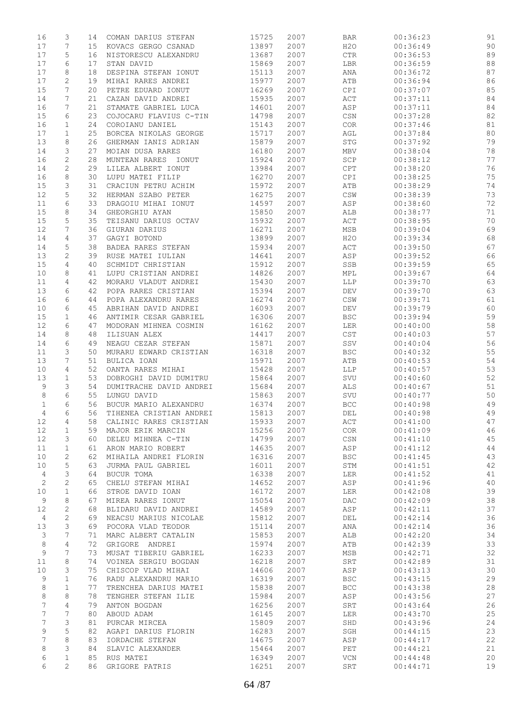| 16         | 3              | 14 | COMAN DARIUS STEFAN     | 15725 | 2007 | <b>BAR</b>                       | 00:36:23 | 91 |
|------------|----------------|----|-------------------------|-------|------|----------------------------------|----------|----|
| 17         | 7              | 15 | KOVACS GERGO CSANAD     | 13897 | 2007 | H2O                              | 00:36:49 | 90 |
| 17         | 5              | 16 | NISTORESCU ALEXANDRU    | 13687 | 2007 | ${\rm CTR}$                      | 00:36:53 | 89 |
|            | 6              |    |                         |       |      |                                  |          | 88 |
| 17         |                | 17 | STAN DAVID              | 15869 | 2007 | LBR                              | 00:36:59 |    |
| 17         | 8              | 18 | DESPINA STEFAN IONUT    | 15113 | 2007 | ANA                              | 00:36:72 | 87 |
| 17         | 2              | 19 | MIHAI RARES ANDREI      | 15977 | 2007 | ATB                              | 00:36:94 | 86 |
| 15         | 7              | 20 | PETRE EDUARD IONUT      | 16269 | 2007 | CPI                              | 00:37:07 | 85 |
| 14         | 7              | 21 | CAZAN DAVID ANDREI      | 15935 | 2007 | ACT                              | 00:37:11 | 84 |
| 16         | 7              | 21 | STAMATE GABRIEL LUCA    | 14601 | 2007 | ASP                              | 00:37:11 | 84 |
| 15         | 6              | 23 | COJOCARU FLAVIUS C-TIN  | 14798 | 2007 | $\mathbb{C}\mathbb{S}\mathbb{N}$ | 00:37:28 | 82 |
|            |                |    |                         |       |      |                                  |          |    |
| 16         | 1              | 24 | COROIANU DANIEL         | 15143 | 2007 | COR                              | 00:37:46 | 81 |
| 17         | $\mathbf{1}$   | 25 | BORCEA NIKOLAS GEORGE   | 15717 | 2007 | AGL                              | 00:37:84 | 80 |
| 13         | 8              | 26 | GHERMAN IANIS ADRIAN    | 15879 | 2007 | $_{\mathrm{STG}}$                | 00:37:92 | 79 |
| 14         | 3              | 27 | MOIAN DUSA RARES        | 16180 | 2007 | MBV                              | 00:38:04 | 78 |
| 16         | 2              | 28 | MUNTEAN RARES IONUT     | 15924 | 2007 | SCP                              | 00:38:12 | 77 |
| 14         | $\mathbf{2}$   | 29 | LILEA ALBERT IONUT      | 13984 | 2007 | CPT                              | 00:38:20 | 76 |
| 16         | 8              | 30 | LUPU MATEI FILIP        | 16270 | 2007 | CPI                              | 00:38:25 | 75 |
|            |                |    |                         |       |      |                                  |          |    |
| 15         | 3              | 31 | CRACIUN PETRU ACHIM     | 15972 | 2007 | ATB                              | 00:38:29 | 74 |
| 12         | 5              | 32 | HERMAN SZABO PETER      | 16275 | 2007 | $\mathbb{CSW}$                   | 00:38:39 | 73 |
| 11         | 6              | 33 | DRAGOIU MIHAI IONUT     | 14597 | 2007 | ASP                              | 00:38:60 | 72 |
| 15         | 8              | 34 | GHEORGHIU AYAN          | 15850 | 2007 | ALB                              | 00:38:77 | 71 |
| 15         | 5              | 35 | TEISANU DARIUS OCTAV    | 15932 | 2007 | $\mathtt{ACT}$                   | 00:38:95 | 70 |
| 12         | 7              | 36 | GIURAN DARIUS           | 16271 | 2007 | MSB                              | 00:39:04 | 69 |
|            |                |    |                         |       |      |                                  |          |    |
| 14         | 4              | 37 | GAGYI BOTOND            | 13899 | 2007 | H2O                              | 00:39:34 | 68 |
| 14         | 5              | 38 | BADEA RARES STEFAN      | 15934 | 2007 | ACT                              | 00:39:50 | 67 |
| 13         | 2              | 39 | RUSE MATEI IULIAN       | 14641 | 2007 | ASP                              | 00:39:52 | 66 |
| 15         | 4              | 40 | SCHMIDT CHRISTIAN       | 15912 | 2007 | SSB                              | 00:39:59 | 65 |
| 10         | 8              | 41 | LUPU CRISTIAN ANDREI    | 14826 | 2007 | MPL                              | 00:39:67 | 64 |
| 11         | 4              | 42 | MORARU VLADUT ANDREI    | 15430 | 2007 | LLP                              | 00:39:70 | 63 |
|            |                |    |                         |       |      |                                  |          |    |
| 13         | 6              | 42 | POPA RARES CRISTIAN     | 15394 | 2007 | $\mathrm{DEV}$                   | 00:39:70 | 63 |
| 16         | 6              | 44 | POPA ALEXANDRU RARES    | 16274 | 2007 | $\mathbb{CSW}$                   | 00:39:71 | 61 |
| 10         | 6              | 45 | ABRIHAN DAVID ANDREI    | 16093 | 2007 | DEV                              | 00:39:79 | 60 |
| 15         | 1              | 46 | ANTIMIR CESAR GABRIEL   | 16306 | 2007 | <b>BSC</b>                       | 00:39:94 | 59 |
| 12         | 6              | 47 | MODORAN MIHNEA COSMIN   | 16162 | 2007 | LER                              | 00:40:00 | 58 |
| 14         | 8              | 48 | ILISUAN ALEX            | 14417 | 2007 | CST                              | 00:40:03 | 57 |
|            |                |    |                         |       |      |                                  |          |    |
| 14         | 6              | 49 | NEAGU CEZAR STEFAN      | 15871 | 2007 | SSV                              | 00:40:04 | 56 |
| 11         | 3              | 50 | MURARU EDWARD CRISTIAN  | 16318 | 2007 | <b>BSC</b>                       | 00:40:32 | 55 |
| 13         | 7              | 51 | BULICA IOAN             | 15971 | 2007 | ATB                              | 00:40:53 | 54 |
| 10         | 4              | 52 | OANTA RARES MIHAI       | 15428 | 2007 | LLP                              | 00:40:57 | 53 |
| 13         | $\mathbf{1}$   | 53 | DOBROGHI DAVID DUMITRU  | 15864 | 2007 | SVU                              | 00:40:60 | 52 |
| 9          | 3              | 54 | DUMITRACHE DAVID ANDREI | 15684 | 2007 | ALS                              | 00:40:67 | 51 |
| 8          | 6              | 55 | LUNGU DAVID             | 15863 | 2007 | SVU                              | 00:40:77 | 50 |
|            |                |    |                         |       |      |                                  | 00:40:98 |    |
| 1          | 6              | 56 | BUCUR MARIO ALEXANDRU   | 16374 | 2007 | $_{\rm BCC}$                     |          | 49 |
| 4          | 6              | 56 | TIHENEA CRISTIAN ANDREI | 15813 | 2007 | DEL                              | 00:40:98 | 49 |
| 12         | 4              | 58 | CALINIC RARES CRISTIAN  | 15933 | 2007 | ACT                              | 00:41:00 | 47 |
| 12         | $\mathbf 1$    | 59 | MAJOR ERIK MARCIN       | 15256 | 2007 | COR                              | 00:41:09 | 46 |
| 12         | 3              | 60 | DELEU MIHNEA C-TIN      | 14799 | 2007 | $\mathbb{C}\mathbb{S}\mathbb{N}$ | 00:41:10 | 45 |
| 11         | $\mathbf{1}$   | 61 | ARON MARIO ROBERT       | 14635 | 2007 | ASP                              | 00:41:12 | 44 |
|            |                |    |                         |       |      |                                  |          |    |
| 10         | $\mathbf{2}$   | 62 | MIHAILA ANDREI FLORIN   | 16316 | 2007 | <b>BSC</b>                       | 00:41:45 | 43 |
| 10         | 5              | 63 | JURMA PAUL GABRIEL      | 16011 | 2007 | STM                              | 00:41:51 | 42 |
| 4          | 3              | 64 | BUCUR TOMA              | 16338 | 2007 | LER                              | 00:41:52 | 41 |
| $\sqrt{2}$ | $\mathbf{2}$   | 65 | CHELU STEFAN MIHAI      | 14652 | 2007 | ASP                              | 00:41:96 | 40 |
| 10         | $\mathbf 1$    | 66 | STROE DAVID IOAN        | 16172 | 2007 | LER                              | 00:42:08 | 39 |
| 9          | 8              | 67 | MIREA RARES IONUT       | 15054 | 2007 | DAC                              | 00:42:09 | 38 |
| 12         | 2              | 68 | BLIDARU DAVID ANDREI    | 14589 | 2007 | ASP                              | 00:42:11 | 37 |
|            |                |    |                         |       |      |                                  |          |    |
| 4          | $\mathbf{2}$   | 69 | NEACSU MARIUS NICOLAE   | 15812 | 2007 | DEL                              | 00:42:14 | 36 |
| 13         | 3              | 69 | POCORA VLAD TEODOR      | 15114 | 2007 | ANA                              | 00:42:14 | 36 |
| 3          | 7              | 71 | MARC ALBERT CATALIN     | 15853 | 2007 | ALB                              | 00:42:20 | 34 |
| 8          | 4              | 72 | GRIGORE ANDREI          | 15974 | 2007 | ATB                              | 00:42:39 | 33 |
| 9          | 7              | 73 | MUSAT TIBERIU GABRIEL   | 16233 | 2007 | MSB                              | 00:42:71 | 32 |
| 11         | 8              | 74 | VOINEA SERGIU BOGDAN    | 16218 | 2007 | SRT                              | 00:42:89 | 31 |
|            | 3              |    | CHISCOP VLAD MIHAI      |       |      |                                  |          |    |
| 10         |                | 75 |                         | 14606 | 2007 | ASP                              | 00:43:13 | 30 |
| 9          | $\mathbf{1}$   | 76 | RADU ALEXANDRU MARIO    | 16319 | 2007 | <b>BSC</b>                       | 00:43:15 | 29 |
| 8          | $\mathbf{1}$   | 77 | TRENCHEA DARIUS MATEI   | 15838 | 2007 | $_{\rm BCC}$                     | 00:43:38 | 28 |
| 8          | 8              | 78 | TENGHER STEFAN ILIE     | 15984 | 2007 | ASP                              | 00:43:56 | 27 |
| 7          | $\overline{4}$ | 79 | ANTON BOGDAN            | 16256 | 2007 | SRT                              | 00:43:64 | 26 |
| 7          | $\overline{7}$ | 80 | ABOUD ADAM              | 16145 | 2007 | LER                              | 00:43:70 | 25 |
| 7          | 3              | 81 |                         | 15809 | 2007 | SHD                              | 00:43:96 | 24 |
|            |                |    | PURCAR MIRCEA           |       |      |                                  |          |    |
| 9          | 5              | 82 | AGAPI DARIUS FLORIN     | 16283 | 2007 | SGH                              | 00:44:15 | 23 |
| 7          | 8              | 83 | IORDACHE STEFAN         | 14675 | 2007 | ASP                              | 00:44:17 | 22 |
| 8          | 3              | 84 | SLAVIC ALEXANDER        | 15464 | 2007 | PET                              | 00:44:21 | 21 |
| 6          | $\mathbf 1$    | 85 | RUS MATEI               | 16349 | 2007 | $\ensuremath{\text{VCN}}$        | 00:44:48 | 20 |
| 6          | 2              | 86 | GRIGORE PATRIS          | 16251 | 2007 | SRT                              | 00:44:71 | 19 |
|            |                |    |                         |       |      |                                  |          |    |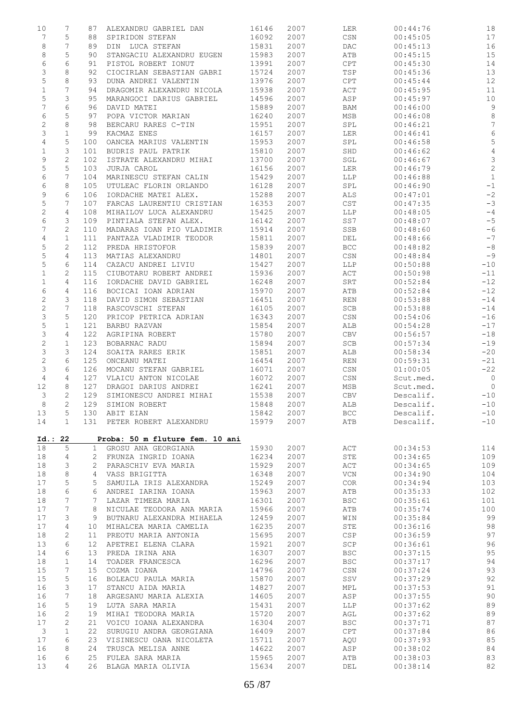| 10 | 7                              | 87             | ALEXANDRU GABRIEL DAN           | 16146 | 2007 | <b>LER</b>                       | 00:44:76  | 18             |
|----|--------------------------------|----------------|---------------------------------|-------|------|----------------------------------|-----------|----------------|
|    | 7<br>5                         | 88             | SPIRIDON STEFAN                 | 16092 | 2007 | CSN                              | 00:45:05  | 17             |
|    | $\,8\,$<br>7                   | 89             | DIN LUCA STEFAN                 | 15831 | 2007 | DAC                              | 00:45:13  | 16             |
|    | $\,8\,$<br>5                   | 90             | STANGACIU ALEXANDRU EUGEN       | 15983 | 2007 | ATB                              | 00:45:15  | 15             |
|    | 6<br>6                         | 91             | PISTOL ROBERT IONUT             | 13991 | 2007 | CPT                              | 00:45:30  | 14             |
|    | 3<br>8                         | 92             | CIOCIRLAN SEBASTIAN GABRI       | 15724 | 2007 | TSP                              | 00:45:36  | 13             |
|    | 5<br>8                         | 93             | DUNA ANDREI VALENTIN            | 13976 | 2007 | CPT                              | 00:45:44  | 12             |
|    | 7<br>$\mathbf 1$               | 94             | DRAGOMIR ALEXANDRU NICOLA       | 15938 | 2007 | ACT                              | 00:45:95  | 11             |
|    | 5<br>3                         | 95             | MARANGOCI DARIUS GABRIEL        | 14596 | 2007 | ASP                              | 00:45:97  | 10             |
|    | 7<br>6                         | 96             | DAVID MATEI                     | 15889 | 2007 | BAM                              | 00:46:00  | $\mathcal{G}$  |
|    | 5<br>6                         | 97             | POPA VICTOR MARIAN              | 16240 | 2007 | MSB                              | 00:46:08  | $\,8\,$        |
|    | 2<br>8                         | 98             | BERCARU RARES C-TIN             | 15951 | 2007 | SPL                              | 00:46:21  | $\overline{7}$ |
|    | 3<br>$\mathbf 1$               | 99             | KACMAZ ENES                     | 16157 | 2007 | LER                              | 00:46:41  | $\epsilon$     |
|    | 4<br>5                         | 100            | OANCEA MARIUS VALENTIN          | 15953 | 2007 | SPL                              | 00:46:58  | 5              |
|    | $\mathbf 1$<br>3               | 101            | BUDRIS PAUL PATRIK              | 15810 | 2007 | SHD                              | 00:46:62  | $\sqrt{4}$     |
|    | 9<br>$\mathbf{2}$              | 102            | ISTRATE ALEXANDRU MIHAI         | 13700 | 2007 | SGL                              | 00:46:67  | $\mathcal{S}$  |
|    | 5<br>5                         | 103            | JURJA CAROL                     | 16156 | 2007 | LER                              | 00:46:79  | $\overline{c}$ |
|    | 6<br>7                         | 104            | MARINESCU STEFAN CALIN          | 15429 | 2007 | LLP                              | 00:46:88  | $\mathbf{1}$   |
|    | 6<br>8                         | 105            | UTULEAC FLORIN ORLANDO          | 16128 | 2007 | SPL                              | 00:46:90  | $-1$           |
|    | 6<br>9                         | 106            | IORDACHE MATEI ALEX.            | 15288 | 2007 | ALS                              | 00:47:01  | $-2$           |
|    | 5<br>7                         | 107            | FARCAS LAURENTIU CRISTIAN       | 16353 | 2007 | CST                              | 00:47:35  | $-3$           |
|    | 2<br>4                         | 108            | MIHAILOV LUCA ALEXANDRU         | 15425 | 2007 | LLP                              | 00:48:05  | $-4$           |
|    | 6<br>3                         | 109            | PINTIALA STEFAN ALEX.           | 16142 | 2007 | SS7                              | 00:48:07  | $-5$           |
|    | $\overline{7}$<br>$\mathbf{2}$ | 110            | MADARAS IOAN PIO VLADIMIR       | 15914 | 2007 | SSB                              | 00:48:60  | $-6$           |
|    | 4<br>$\mathbf 1$               | 111            | PANTAZA VLADIMIR TEODOR         | 15811 | 2007 | DEL                              | 00:48:66  | $-7$           |
|    | 5<br>2                         | 112            | PREDA HRISTOFOR                 | 15839 | 2007 | <b>BCC</b>                       | 00:48:82  | $-8$           |
|    | 5<br>4                         | 113            | MATIAS ALEXANDRU                | 14801 | 2007 | CSN                              | 00:48:84  | $-9$           |
|    | 5<br>6                         | 114            | CAZACU ANDREI LIVIU             | 15427 | 2007 | LLP                              | 00:50:88  | $-10$          |
|    | $\mathbf 1$<br>2               | 115            | CIUBOTARU ROBERT ANDREI         | 15936 | 2007 | ACT                              | 00:50:98  | $-11$          |
|    | $\mathbf 1$<br>4               | 116            | IORDACHE DAVID GABRIEL          | 16248 | 2007 | SRT                              | 00:52:84  | $-12$          |
|    | 6<br>$\overline{4}$            | 116            | BOCICAI IOAN ADRIAN             | 15970 | 2007 | ATB                              | 00:52:84  | $-12$          |
|    | 2<br>3                         | 118            | DAVID SIMON SEBASTIAN           | 16451 | 2007 | REN                              | 00:53:88  | $-14$          |
|    | $\mathbf{2}$<br>7              | 118            | RASCOVSCHI STEFAN               | 16105 | 2007 | SCB                              | 00:53:88  | $-14$          |
|    | 3<br>5                         | 120            | PRICOP PETRICA ADRIAN           | 16343 | 2007 | CSN                              | 00:54:06  | $-16$          |
|    | 5<br>$\mathbf 1$               | 121            | BARBU RAZVAN                    | 15854 | 2007 | ALB                              | 00:54:28  | $-17$          |
|    | 3<br>4                         | 122            | AGRIPINA ROBERT                 | 15780 | 2007 | CBV                              | 00:56:57  | $-18$          |
|    | 2<br>$\mathbf{1}$              | 123            | BOBARNAC RADU                   | 15894 | 2007 | SCB                              | 00:57:34  | $-19$          |
|    | 3<br>3                         | 124            | SOAITA RARES ERIK               | 15851 | 2007 | ALB                              | 00:58:34  | $-20$          |
|    | $\sqrt{2}$<br>6                | 125            | ONCEANU MATEI                   | 16454 | 2007 | REN                              | 00:59:31  | $-21$          |
|    | 3<br>6                         | 126            | MOCANU STEFAN GABRIEL           | 16071 | 2007 | CSN                              | 01:00:05  | $-22$          |
|    | $\overline{4}$<br>4            | 127            | VLAICU ANTON NICOLAE            | 16072 | 2007 | CSN                              | Scut.med. | $\overline{0}$ |
| 12 | 8                              | 127            | DRAGOI DARIUS ANDREI            | 16241 | 2007 | MSB                              | Scut.med. | $\overline{0}$ |
|    | 3<br>$\mathbf{2}$              | 129            | SIMIONESCU ANDREI MIHAI         | 15538 | 2007 | CBV                              | Descalif. | $-10$          |
|    | $\overline{2}$<br>8            | 129            | SIMION ROBERT                   | 15848 | 2007 | ALB                              | Descalif. | $-10$          |
| 13 | 5                              |                | 130 ABIT EIAN                   | 15842 | 2007 | BCC                              | Descalif. | $-10$          |
| 14 | $\mathbf{1}$                   | 131            | PETER ROBERT ALEXANDRU          | 15979 | 2007 | ATB                              | Descalif. | $-10$          |
|    |                                |                |                                 |       |      |                                  |           |                |
|    | Id.: 22                        |                | Proba: 50 m fluture fem. 10 ani |       |      |                                  |           |                |
| 18 | 5                              | $\mathbf{1}$   | GROSU ANA GEORGIANA             | 15930 | 2007 | ACT                              | 00:34:53  | 114            |
| 18 | 4                              | 2              | FRUNZA INGRID IOANA             | 16234 | 2007 | STE                              | 00:34:65  | 109            |
| 18 | 3                              | $\overline{2}$ | PARASCHIV EVA MARIA             | 15929 | 2007 | ACT                              | 00:34:65  | 109            |
| 18 | 8                              | 4              | VASS BRIGITTA                   | 16348 | 2007 | $\ensuremath{\text{VCN}}$        | 00:34:90  | 104            |
| 17 | 5                              | 5              | SAMUILA IRIS ALEXANDRA          | 15249 | 2007 | COR                              | 00:34:94  | 103            |
| 18 | 6                              | 6              | ANDREI IARINA IOANA             | 15963 | 2007 | ATB                              | 00:35:33  | 102            |
| 18 | 7                              | 7              | LAZAR TIMEEA MARIA              | 16301 | 2007 | <b>BSC</b>                       | 00:35:61  | 101            |
| 17 | 7                              | 8              | NICULAE TEODORA ANA MARIA       | 15966 | 2007 | ATB                              | 00:35:74  | 100            |
| 17 | 3                              | 9              | BUTNARU ALEXANDRA MIHAELA       | 12459 | 2007 | WIN                              | 00:35:84  | 99             |
| 17 | 4                              | 10             | MIHALCEA MARIA CAMELIA          | 16235 | 2007 | STE                              | 00:36:16  | 98             |
| 18 | $\mathbf{2}$                   | 11             | PREOTU MARIA ANTONIA            | 15695 | 2007 | CSP                              | 00:36:59  | 97             |
| 13 | 6                              | 12             | APETREI ELENA CLARA             | 15921 | 2007 | SCP                              | 00:36:61  | 96             |
| 14 | 6                              | 13             | PREDA IRINA ANA                 | 16307 | 2007 | <b>BSC</b>                       | 00:37:15  | 95             |
| 18 | $\mathbf{1}$                   | 14             | TOADER FRANCESCA                | 16296 | 2007 | <b>BSC</b>                       | 00:37:17  | 94             |
| 15 | 7                              | 15             | COZMA IOANA                     | 14796 | 2007 | $\mathbb{C}\mathbb{S}\mathbb{N}$ | 00:37:24  | 93             |
| 15 | 5                              | 16             | BOLEACU PAULA MARIA             | 15870 | 2007 | SSV                              | 00:37:29  | 92             |
| 16 | 3                              | 17             | STANCU AIDA MARIA               | 14827 | 2007 | MPL                              | 00:37:53  | 91             |
| 16 | 7                              | 18             | ARGESANU MARIA ALEXIA           | 14605 | 2007 | ASP                              | 00:37:55  | 90             |
| 16 | 5                              | 19             | LUTA SARA MARIA                 | 15431 | 2007 | LLP                              | 00:37:62  | 89             |
| 16 | 2                              | 19             | MIHAI TEODORA MARIA             | 15720 | 2007 | AGL                              | 00:37:62  | 89             |
| 17 | 2                              | 21             | VOICU IOANA ALEXANDRA           | 16304 | 2007 | <b>BSC</b>                       | 00:37:71  | 87             |
|    | 3<br>$\mathbf{1}$              | 22             | SURUGIU ANDRA GEORGIANA         | 16409 | 2007 | <b>CPT</b>                       | 00:37:84  | 86             |
| 17 | 6                              | 23             | VISINESCU OANA NICOLETA         | 15711 | 2007 | AQU                              | 00:37:93  | 85             |
| 16 | 8                              | 24             | TRUSCA MELISA ANNE              | 14622 | 2007 | ASP                              | 00:38:02  | 84             |
| 16 | 6                              | 25             | FULEA SARA MARIA                | 15965 | 2007 | ATB                              | 00:38:03  | 83             |
| 13 | 4                              | 26             | BLAGA MARIA OLIVIA              | 15634 | 2007 | DEL                              | 00:38:14  | 82             |
|    |                                |                |                                 |       |      |                                  |           |                |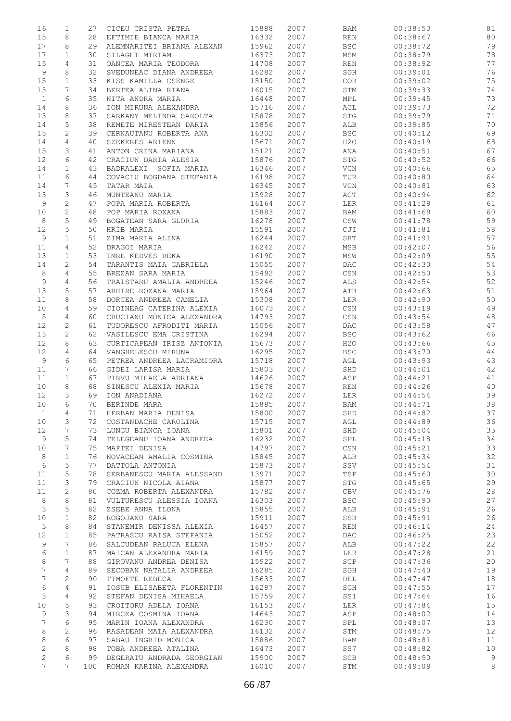| 16              | 1               | 27  | CICEU CRISTA PETRA        | 15888 | 2007 | BAM          | 00:38:53 | 81 |
|-----------------|-----------------|-----|---------------------------|-------|------|--------------|----------|----|
| 15              | 8               | 28  | EFTIMIE BIANCA MARIA      | 16332 | 2007 | <b>REN</b>   | 00:38:67 | 80 |
| 17              | 8               | 29  | ALEMNARITEI BRIANA ALEXAN | 15962 | 2007 | $_{\rm BSC}$ | 00:38:72 | 79 |
| 17              | $\mathbf{1}$    | 30  | SILAGHI MIRIAM            | 16373 | 2007 | MSM          | 00:38:79 | 78 |
| 15              | 4               | 31  | OANCEA MARIA TEODORA      | 14708 | 2007 | <b>REN</b>   | 00:38:92 | 77 |
| 9               | 8               | 32  | SVEDUNEAC DIANA ANDREEA   | 16282 | 2007 | SGH          | 00:39:01 | 76 |
|                 |                 |     |                           |       |      |              |          |    |
| 15              | $\mathbf 1$     | 33  | KISS KAMILLA CSENGE       | 15150 | 2007 | COR          | 00:39:02 | 75 |
| 13              | 7               | 34  | BERTEA ALINA RIANA        | 16015 | 2007 | STM          | 00:39:33 | 74 |
| $\mathbf{1}$    | 6               | 35  | NITA ANDRA MARIA          | 16448 | 2007 | MPL          | 00:39:45 | 73 |
| 14              | 8               | 36  | ION MIRUNA ALEXANDRA      | 15716 | 2007 | AGL          | 00:39:73 | 72 |
| 13              | 8               | 37  | SARKANY MELINDA SAROLTA   | 15878 | 2007 | STG          | 00:39:79 | 71 |
| 14              | 5               | 38  | REMETE MIRESTEAN DARIA    | 15856 | 2007 | ALB          | 00:39:85 | 70 |
| 15              | 2               | 39  | CERNAUTANU ROBERTA ANA    | 16302 | 2007 | <b>BSC</b>   | 00:40:12 | 69 |
| 14              | 4               | 40  | SZEKERES ARIENN           | 15671 | 2007 | H2O          | 00:40:19 | 68 |
|                 | 3               |     |                           |       |      |              |          |    |
| 15              |                 | 41  | ANTON CRINA MARIANA       | 15121 | 2007 | ANA          | 00:40:51 | 67 |
| 12              | 6               | 42  | CRACIUN DARIA ALESIA      | 15876 | 2007 | STG          | 00:40:52 | 66 |
| 14              | $\mathbf 1$     | 43  | BADRALEXI SOFIA MARIA     | 16346 | 2007 | VCN          | 00:40:66 | 65 |
| 11              | 6               | 44  | COVACIU BOGDANA STEFANIA  | 16198 | 2007 | TUR          | 00:40:80 | 64 |
| 14              | 7               | 45  | TATAR MAIA                | 16345 | 2007 | VCN          | 00:40:81 | 63 |
| 13              | 3               | 46  | MUNTEANU MARIA            | 15928 | 2007 | ACT          | 00:40:94 | 62 |
| 9               | 2               | 47  | POPA MARIA ROBERTA        | 16164 | 2007 | LER          | 00:41:29 | 61 |
| 10              | $\sqrt{2}$      | 48  | POP MARIA ROXANA          | 15883 | 2007 | BAM          | 00:41:69 | 60 |
| 8               | $\mathsf S$     | 49  | BOGATEAN SARA GLORIA      | 16278 | 2007 | CSW          | 00:41:78 | 59 |
| 12              | $\mathsf S$     | 50  | HRIB MARIA                | 15591 | 2007 | CJI          | 00:41:81 | 58 |
|                 |                 |     |                           |       |      |              |          |    |
| 9               | $\mathbf{1}$    | 51  | ZIMA MARIA ALINA          | 16244 | 2007 | SRT          | 00:41:91 | 57 |
| 11              | $\overline{4}$  | 52  | DRAGOI MARIA              | 16242 | 2007 | MSB          | 00:42:07 | 56 |
| 13              | $\mathbf 1$     | 53  | IMRE KEDVES REKA          | 16190 | 2007 | MSW          | 00:42:09 | 55 |
| 14              | 2               | 54  | TARANTIS MAIA GABRIELA    | 15055 | 2007 | DAC          | 00:42:30 | 54 |
| 8               | 4               | 55  | BREZAN SARA MARIA         | 15492 | 2007 | CSN          | 00:42:50 | 53 |
| 9               | 4               | 56  | TRAISTARU AMALIA ANDREEA  | 15246 | 2007 | ALS          | 00:42:54 | 52 |
| 13              | 5               | 57  | ARHIRE ROXANA MARIA       | 15964 | 2007 | ATB          | 00:42:63 | 51 |
| 11              | 8               | 58  | DORCEA ANDREEA CAMELIA    | 15308 | 2007 | LER          | 00:42:90 | 50 |
| 10              | 4               | 59  | CIOINEAG CATERINA ALEXIA  | 16073 | 2007 | CSN          | 00:43:19 | 49 |
|                 |                 |     |                           |       |      |              |          |    |
| 5               | 4               | 60  | CRUCIANU MONICA ALEXANDRA | 14793 | 2007 | CSN          | 00:43:54 | 48 |
| 12              | $\sqrt{2}$      | 61  | TUDORESCU AFRODITI MARIA  | 15056 | 2007 | DAC          | 00:43:58 | 47 |
| 13              | $\mathbf{2}$    | 62  | VASILESCU EMA CRISTINA    | 16294 | 2007 | <b>BSC</b>   | 00:43:62 | 46 |
| 12              | 8               | 63  | CURTICAPEAN IRISZ ANTONIA | 15673 | 2007 | H2O          | 00:43:66 | 45 |
| 12              | $\overline{4}$  | 64  | VANGHELESCU MIRUNA        | 16295 | 2007 | <b>BSC</b>   | 00:43:70 | 44 |
| 9               | 6               | 65  | PETREA ANDREEA LACRAMIORA | 15718 | 2007 | AGL          | 00:43:93 | 43 |
| 11              | 7               | 66  | GIDEI LARISA MARIA        | 15803 | 2007 | SHD          | 00:44:01 | 42 |
| 11              | $\mathbf{1}$    | 67  | PIRVU MIHAELA ADRIANA     | 14626 | 2007 | ASP          | 00:44:21 | 41 |
| 10              | 8               | 68  | SINESCU ALEXIA MARIA      | 15678 | 2007 | REN          | 00:44:26 | 40 |
| 12              | 3               | 69  | ION ANADIANA              | 16272 | 2007 | LER          | 00:44:54 | 39 |
| 10              | 6               | 70  |                           |       | 2007 |              |          |    |
|                 |                 |     | BERINDE MARA              | 15885 |      | BAM          | 00:44:71 | 38 |
| $\mathbf{1}$    | 4               | 71  | HERBAN MARIA DENISA       | 15800 | 2007 | SHD          | 00:44:82 | 37 |
| 10              | 3               | 72  | COSTANDACHE CAROLINA      | 15715 | 2007 | AGL          | 00:44:89 | 36 |
| 12              | 7               | 73  | LUNGU BIANCA IOANA        | 15801 | 2007 | SHD          | 00:45:04 | 35 |
| 9               | 5               | 74  | TELEGEANU IOANA ANDREEA   | 16232 | 2007 | SPL          | 00:45:18 | 34 |
| 10              | 7               | 75  | MAFTEI DENISA             | 14797 | 2007 | CSN          | 00:45:21 | 33 |
| 8               | $\mathbf{1}$    | 76  | NOVACEAN AMALIA COSMINA   | 15845 | 2007 | ALB          | 00:45:34 | 32 |
| $\epsilon$      | 5               | 77  | DATTOLA ANTONIA           | 15873 | 2007 | SSV          | 00:45:54 | 31 |
| 11              | 5               | 78  | SERBANESCU MARIA ALESSAND | 13971 | 2007 | TSP          | 00:45:60 | 30 |
| 11              | 3               | 79  | CRACIUN NICOLA AIANA      | 15877 | 2007 | STG          | 00:45:65 | 29 |
| 11              | $\mathbf{2}$    | 80  |                           | 15782 |      | CBV          |          | 28 |
|                 |                 |     | COZMA ROBERTA ALEXANDRA   |       | 2007 |              | 00:45:76 |    |
| 8               | 8               | 81  | VULTURESCU ALESSIA IOANA  | 16303 | 2007 | <b>BSC</b>   | 00:45:90 | 27 |
| 3               | 5               | 82  | ZSEBE ANNA ILONA          | 15855 | 2007 | ALB          | 00:45:91 | 26 |
| 10              | $\mathbf{1}$    | 82  | ROGOJANU SARA             | 15911 | 2007 | SSB          | 00:45:91 | 26 |
| 3               | 8               | 84  | STANEMIR DENISSA ALEXIA   | 16457 | 2007 | REN          | 00:46:14 | 24 |
| 12              | $\mathbf 1$     | 85  | PATRASCU RAISA STEFANIA   | 15052 | 2007 | DAC          | 00:46:25 | 23 |
| 9               | 7               | 86  | SALCUDEAN RALUCA ELENA    | 15857 | 2007 | ALB          | 00:47:22 | 22 |
| 6               | $\mathbf{1}$    | 87  | MAICAN ALEXANDRA MARIA    | 16159 | 2007 | LER          | 00:47:28 | 21 |
| 8               | 7               | 88  | GIROVANU ANDREA DENISA    | 15922 | 2007 | SCP          | 00:47:36 | 20 |
| $\overline{7}$  | 4               | 89  | SECOBAN NATALIA ANDREEA   | 16285 | 2007 | SGH          | 00:47:40 | 19 |
|                 |                 |     |                           |       |      |              |          |    |
| 7               | $\mathbf{2}$    | 90  | TIMOFTE REBECA            | 15633 | 2007 | DEL          | 00:47:47 | 18 |
| 6               | $\overline{4}$  | 91  | IOSUB ELISABETA FLORENTIN | 16287 | 2007 | SGH          | 00:47:55 | 17 |
| 3               | $\overline{4}$  | 92  | STEFAN DENISA MIHAELA     | 15759 | 2007 | SS1          | 00:47:64 | 16 |
| 10              | 5               | 93  | CROITORU ADELA IOANA      | 16153 | 2007 | LER          | 00:47:84 | 15 |
| 9               | 3               | 94  | MIRCEA COSMINA IOANA      | 14643 | 2007 | ASP          | 00:48:02 | 14 |
| 7               | 6               | 95  | MARIN IOANA ALEXANDRA     | 16230 | 2007 | SPL          | 00:48:07 | 13 |
| 8               | 2               | 96  | RASADEAN MAIA ALEXANDRA   | 16132 | 2007 | STM          | 00:48:75 | 12 |
| 8               | 6               | 97  | SABAU INGRID MONICA       | 15886 | 2007 | BAM          | 00:48:81 | 11 |
| 2               | 8               | 98  | TOBA ANDREEA ATALINA      | 16473 | 2007 | SS7          | 00:48:82 | 10 |
| $\overline{c}$  | 6               | 99  | DEGERATU ANDRADA GEORGIAN | 15900 | 2007 | SCB          | 00:48:90 | 9  |
| $7\overline{ }$ | $7\overline{ }$ | 100 | ROMAN KARINA ALEXANDRA    | 16010 | 2007 | STM          | 00:49:09 | 8  |
|                 |                 |     |                           |       |      |              |          |    |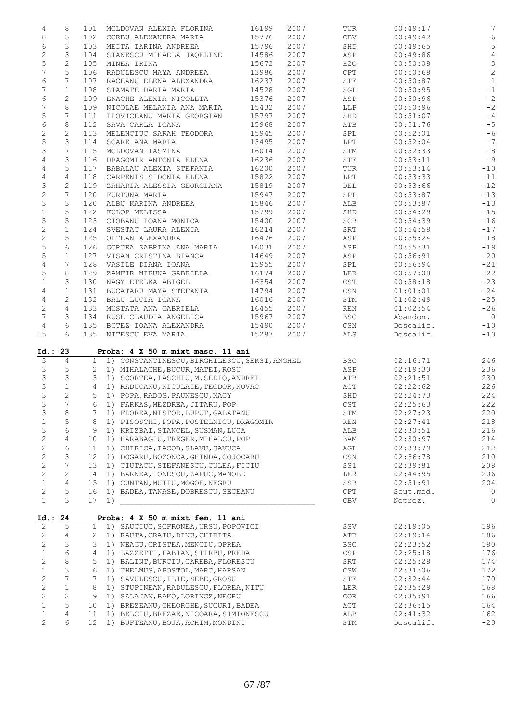| 4                      | 8               | 101             | MOLDOVAN ALEXIA FLORINA                         | 16199 | 2007 | TUR                              | 00:49:17  | $7\phantom{.0}$ |
|------------------------|-----------------|-----------------|-------------------------------------------------|-------|------|----------------------------------|-----------|-----------------|
| $\,8\,$                | 3               | 102             | CORBU ALEXANDRA MARIA                           | 15776 | 2007 | CBV                              | 00:49:42  | $\epsilon$      |
| 6                      | 3               | 103             | MEITA IARINA ANDREEA                            | 15796 | 2007 | SHD                              | 00:49:65  | $\mathsf S$     |
| $\mathbf{2}$           | 3               | 104             | STANESCU MIHAELA JAQELINE                       | 14586 | 2007 | ASP                              | 00:49:86  | $\overline{4}$  |
|                        |                 |                 |                                                 |       |      |                                  |           |                 |
| 5                      | $\mathbf{2}$    | 105             | MINEA IRINA                                     | 15672 | 2007 | H2O                              | 00:50:08  | $\mathsf 3$     |
| 7                      | 5               | 106             | RADULESCU MAYA ANDREEA                          | 13986 | 2007 | CPT                              | 00:50:68  | $\sqrt{2}$      |
| 6                      | 7               | 107             | RACEANU ELENA ALEXANDRA                         | 16237 | 2007 | STE                              | 00:50:87  | $\mathbf{1}$    |
| $\overline{7}$         | $\mathbf{1}$    | 108             | STAMATE DARIA MARIA                             | 14528 | 2007 | SGL                              | 00:50:95  | $-1$            |
| 6                      | $\mathbf{2}$    | 109             | ENACHE ALEXIA NICOLETA                          | 15376 | 2007 | ASP                              | 00:50:96  | $-2$            |
| 7                      | 8               | 109             | NICOLAE MELANIA ANA MARIA                       | 15432 | 2007 | LLP                              | 00:50:96  | $-2$            |
|                        | 7               |                 |                                                 |       |      |                                  |           |                 |
| 5                      |                 | 111             | ILOVICEANU MARIA GEORGIAN                       | 15797 | 2007 | SHD                              | 00:51:07  | $-\,4$          |
| 6                      | 8               | 112             | SAVA CARLA IOANA                                | 15968 | 2007 | ATB                              | 00:51:76  | $-5$            |
| $\mathbf{2}$           | $\mathbf{2}$    | 113             | MELENCIUC SARAH TEODORA                         | 15945 | 2007 | SPL                              | 00:52:01  | $-6$            |
| 5                      | 3               | 114             | SOARE ANA MARIA                                 | 13495 | 2007 | LPT                              | 00:52:04  | $-7$            |
| 3                      | 7               | 115             | MOLDOVAN IASMINA                                | 16014 | 2007 | STM                              | 00:52:33  | $-\,8$          |
| 4                      | 3               | 116             | DRAGOMIR ANTONIA ELENA                          | 16236 | 2007 | STE                              | 00:53:11  | $-9$            |
|                        |                 |                 |                                                 |       |      |                                  |           |                 |
| $\overline{4}$         | 5               | 117             | BABALAU ALEXIA STEFANIA                         | 16200 | 2007 | TUR                              | 00:53:14  | $-10$           |
| 4                      | $\overline{4}$  | 118             | CARPENIS SIDONIA ELENA                          | 15822 | 2007 | LPT                              | 00:53:33  | $-11$           |
| 3                      | $\mathbf{2}$    | 119             | ZAHARIA ALESSIA GEORGIANA                       | 15819 | 2007 | DEL                              | 00:53:66  | $-12$           |
| $\overline{c}$         | 7               | 120             | FURTUNA MARIA                                   | 15947 | 2007 | SPL                              | 00:53:87  | $-13$           |
| 3                      | 3               | 120             | ALBU KARINA ANDREEA                             | 15846 | 2007 | ALB                              | 00:53:87  | $-13$           |
| $\mathbf 1$            | 5               | 122             | FULOP MELISSA                                   | 15799 | 2007 | SHD                              | 00:54:29  | $-15$           |
|                        |                 |                 |                                                 |       |      |                                  |           |                 |
| $\mathsf S$            | 5               | 123             | CIOBANU IOANA MONICA                            | 15400 | 2007 | SCB                              | 00:54:39  | $-16$           |
| $\mathbf{2}$           | $\mathbf{1}$    | 124             | SVESTAC LAURA ALEXIA                            | 16214 | 2007 | SRT                              | 00:54:58  | $-17$           |
| $\mathbf 2$            | 5               | 125             | OLTEAN ALEXANDRA                                | 16476 | 2007 | ASP                              | 00:55:24  | $-18$           |
| 5                      | 6               | 126             | GORCEA SABRINA ANA MARIA                        | 16031 | 2007 | ASP                              | 00:55:31  | $-19$           |
| 5                      | $\mathbf{1}$    | 127             | VISAN CRISTINA BIANCA                           | 14649 | 2007 | ASP                              | 00:56:91  | $-20$           |
| 4                      | 7               | 128             | VASILE DIANA IOANA                              | 15955 | 2007 | SPL                              | 00:56:94  | $-21$           |
|                        |                 |                 |                                                 |       |      |                                  |           |                 |
| $\mathsf S$            | 8               | 129             | ZAMFIR MIRUNA GABRIELA                          | 16174 | 2007 | LER                              | 00:57:08  | $-22$           |
| $\mathbf 1$            | 3               | 130             | NAGY ETELKA ABIGEL                              | 16354 | 2007 | CST                              | 00:58:18  | $-23$           |
| 4                      | $\mathbf{1}$    | 131             | BUCATARU MAYA STEFANIA                          | 14794 | 2007 | CSN                              | 01:01:01  | $-24$           |
| $\overline{4}$         | 2               | 132             | BALU LUCIA IOANA                                | 16016 | 2007 | STM                              | 01:02:49  | $-25$           |
| $\mathbf{2}$           | $\overline{4}$  | 133             | MUSTATA ANA GABRIELA                            | 16455 | 2007 | REN                              | 01:02:54  | $-26$           |
| 7                      | 3               |                 |                                                 |       |      |                                  |           |                 |
|                        |                 | 134             | RUSE CLAUDIA ANGELICA                           | 15967 | 2007 | <b>BSC</b>                       | Abandon.  | $\overline{0}$  |
| $\overline{4}$         | 6               | 135             | BOTEZ IOANA ALEXANDRA                           | 15490 | 2007 | CSN                              | Descalif. | $-10$           |
| 15                     | 6               | 135             | NITESCU EVA MARIA                               | 15287 | 2007 | ALS.                             | Descalif. | $-10$           |
|                        |                 |                 |                                                 |       |      |                                  |           |                 |
| Id.: 23                |                 |                 | Proba: 4 X 50 m mixt masc. 11 ani               |       |      |                                  |           |                 |
| 3                      | $\overline{4}$  |                 | 1 1) CONSTANTINESCU, BIRGHILESCU, SEKSI, ANGHEL |       |      | BSC                              | 02:16:71  | 246             |
| 3                      | 5               |                 | 2 1) MIHALACHE, BUCUR, MATEI, ROSU              |       |      | ASP                              | 02:19:30  | 236             |
| 3                      | 3               | 3               | 1) SCORTEA, IASCHIU, M. SEDIQ, ANDREI           |       |      | ATB                              | 02:21:51  | 230             |
| 3                      | $\mathbf{1}$    | $4 -$           | 1) RADUCANU, NICULAIE, TEODOR, NOVAC            |       |      | ACT                              | 02:22:62  | 226             |
| 3                      | $\mathbf{2}$    | 5               | 1) POPA, RADOS, PAUNESCU, NAGY                  |       |      | SHD                              | 02:24:73  | 224             |
| 3                      | 7               | 6               | 1) FARKAS, MEZDREA, JITARU, POP                 |       |      | CST                              | 02:25:63  | 222             |
|                        |                 |                 |                                                 |       |      |                                  |           |                 |
| 3                      | $\,8\,$         | 7               | 1) FLOREA, NISTOR, LUPUT, GALATANU              |       |      | STM                              | 02:27:23  | 220             |
| $\mathbf 1$            | 5               | 8               | 1) PISOSCHI, POPA, POSTELNICU, DRAGOMIR         |       |      | <b>REN</b>                       | 02:27:41  | 218             |
| 3                      | 6               | 9               | 1) KRIZBAI, STANCEL, SUSMAN, LUCA               |       |      | ALB                              | 02:30:51  | 216             |
| $\mathbf 2$            | $\overline{4}$  | 10              | 1) HARABAGIU, TREGER, MIHALCU, POP              |       |      | BAM                              | 02:30:97  | 214             |
| $\mathbf{2}$           | 6               | 11              | 1) CHIRICA, IACOB, SLAVU, SAVUCA                |       |      | AGL                              | 02:33:79  | 212             |
|                        | 3               | 12              | 1) DOGARU, BOZONCA, GHINDA, COJOCARU            |       |      |                                  | 02:36:78  | 210             |
|                        |                 |                 |                                                 |       |      |                                  |           |                 |
| $\mathbf 2$            |                 |                 |                                                 |       |      | $\mathbb{C}\mathbb{S}\mathbb{N}$ |           |                 |
| $\mathbf{2}$           | $\overline{7}$  | 13              | 1) CIUTACU, STEFANESCU, CULEA, FICIU            |       |      | SS1                              | 02:39:81  | 208             |
| $\mathbf{2}$           | $\mathbf{2}$    | 14              | 1) BARNEA, IONESCU, ZAPUC, MANOLE               |       |      | LER                              | 02:44:95  | 206             |
| $\mathbf 1$            | $\overline{4}$  | 15              | 1) CUNTAN, MUTIU, MOGOE, NEGRU                  |       |      | SSB                              | 02:51:91  | 204             |
|                        |                 |                 |                                                 |       |      |                                  |           |                 |
| $\mathbf{2}$           | 5               | 16              | 1) BADEA, TANASE, DOBRESCU, SECEANU             |       |      | CPT                              | Scut.med. | 0               |
| $\mathbf 1$            | 3               | 17              | 1)                                              |       |      | ${\rm CBV}$                      | Neprez.   | 0               |
|                        |                 |                 | Proba: 4 X 50 m mixt fem. 11 ani                |       |      |                                  |           |                 |
| 2                      | 5               | $\mathbf{1}$    | 1) SAUCIUC, SOFRONEA, URSU, POPOVICI            |       |      | SSV                              | 02:19:05  | 196             |
|                        |                 |                 |                                                 |       |      |                                  |           |                 |
| $\mathbf{2}$           | $\overline{4}$  | 2               | 1) RAUTA, CRAIU, DINU, CHIRITA                  |       |      | ATB                              | 02:19:14  | 186             |
| $\mathbf{2}$           | 3               | 3               | 1) NEAGU, CRISTEA, MENCIU, OPREA                |       |      | <b>BSC</b>                       | 02:23:52  | 180             |
| Id.: 24<br>$\mathbf 1$ | $\epsilon$      | 4               | 1) LAZZETTI, FABIAN, STIRBU, PREDA              |       |      | CSP                              | 02:25:18  | 176             |
| $\mathbf{2}$           | 8               | 5               | 1) BALINT, BURCIU, CAREBA, FLORESCU             |       |      | SRT                              | 02:25:28  | 174             |
| $\mathbf 1$            | 3               | 6               | 1) CHELMUS, APOSTOL, MARC, HARSAN               |       |      | CSW                              | 02:31:06  | 172             |
|                        |                 | 7               |                                                 |       |      |                                  |           |                 |
| $\mathbf{2}$           | $7\phantom{.0}$ |                 | 1) SAVULESCU, ILIE, SEBE, GROSU                 |       |      | STE                              | 02:32:44  | 170             |
| $\mathbf 2$            | $\mathbf 1$     | 8               | 1) STUPINEAN, RADULESCU, FLOREA, NITU           |       |      | LER                              | 02:35:29  | 168             |
| $\sqrt{2}$             | $\sqrt{2}$      | 9               | 1) SALAJAN, BAKO, LORINCZ, NEGRU                |       |      | COR                              | 02:35:91  | 166             |
| $\mathbf 1$            | 5               | 10              | 1) BREZEANU, GHEORGHE, SUCURI, BADEA            |       |      | ACT                              | 02:36:15  | 164             |
| $\mathbf 1$            | 4               | 11              | 1) BELCIU, BREZAE, NICOARA, SIMIONESCU          |       |      | ALB                              | 02:41:32  | 162             |
| 2                      | 6               | 12 <sup>7</sup> | 1) BUFTEANU, BOJA, ACHIM, MONDINI               |       |      | STM                              | Descalif. | $-20$           |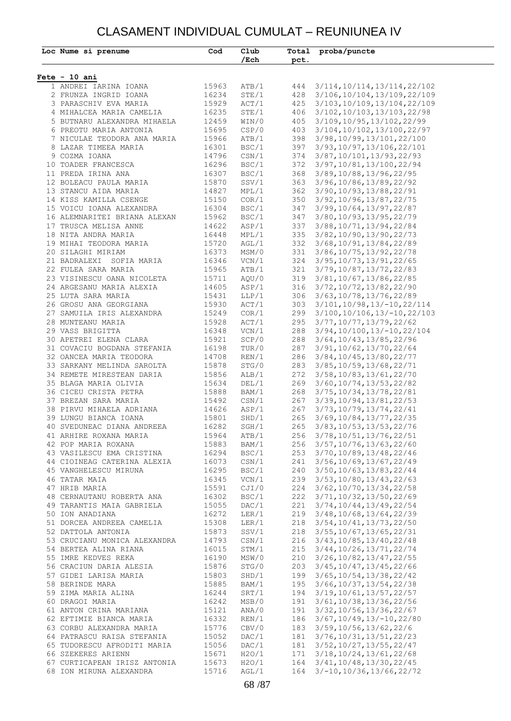#### CLASAMENT INDIVIDUAL CUMULAT – REUNIUNEA IV

| Loc Nume si prenume                                                                                                                                                                                         | Cod            | Club<br>$/$ Ech         | pct. | Total proba/puncte                                                                                       |
|-------------------------------------------------------------------------------------------------------------------------------------------------------------------------------------------------------------|----------------|-------------------------|------|----------------------------------------------------------------------------------------------------------|
|                                                                                                                                                                                                             |                |                         |      |                                                                                                          |
| $Fete - 10 ani$                                                                                                                                                                                             |                |                         |      |                                                                                                          |
| 1 ANDREI IARINA IOANA<br>2 FRUNZA INGRID IOANA                                                                                                                                                              | 15963<br>16234 | ATB/1<br>STE/1          | 444  | 3/114, 10/114, 13/114, 22/102<br>428 3/106, 10/104, 13/109, 22/109                                       |
| 3 PARASCHIV EVA MARIA                                                                                                                                                                                       | 15929          | ACT/1                   | 425  | 3/103, 10/109, 13/104, 22/109                                                                            |
| 4 MIHALCEA MARIA CAMELIA                                                                                                                                                                                    | 16235          | STE/1                   | 406  | 3/102, 10/103, 13/103, 22/98                                                                             |
| 5 BUTNARU ALEXANDRA MIHAELA                                                                                                                                                                                 | 12459          |                         | 405  | 3/109, 10/95, 13/102, 22/99                                                                              |
| 6 PREOTU MARIA ANTONIA                                                                                                                                                                                      | 15695          | WIN/0<br>CSP/0          |      | 403 3/104, 10/102, 13/100, 22/97                                                                         |
| 7 NICULAE TEODORA ANA MARIA                                                                                                                                                                                 | 15966          | ATB/1                   |      | 398 3/98, 10/99, 13/101, 22/100                                                                          |
| 8 LAZAR TIMEEA MARIA                                                                                                                                                                                        | 16301          | BSC/1                   |      | 397 3/93, 10/97, 13/106, 22/101                                                                          |
| 9 COZMA IOANA                                                                                                                                                                                               | 14796          | $\texttt{CSN}/1$        |      | 374 3/87, 10/101, 13/93, 22/93                                                                           |
| 10 TOADER FRANCESCA                                                                                                                                                                                         | 16296          | CSN/1<br>BSC/1          |      | 372 3/97, 10/81, 13/100, 22/94                                                                           |
| 11 PREDA IRINA ANA                                                                                                                                                                                          | 16307          | BSC/1                   |      | 368 3/89, 10/88, 13/96, 22/95                                                                            |
| 12 BOLEACU PAULA MARIA                                                                                                                                                                                      | 15870          | SSV/1<br>MPL/1          |      | 363 3/96, 10/86, 13/89, 22/92                                                                            |
| 13 STANCU AIDA MARIA                                                                                                                                                                                        | 14827          |                         |      | 362 3/90, 10/93, 13/88, 22/91                                                                            |
| 14 KISS KAMILLA CSENGE                                                                                                                                                                                      | 15150          | COR/1                   |      | 350 3/92, 10/96, 13/87, 22/75                                                                            |
| 15 VOICU IOANA ALEXANDRA                                                                                                                                                                                    | 16304          | BSC/1<br>BSC/1          |      | 347 3/99, 10/64, 13/97, 22/87                                                                            |
| 16 ALEMNARITEI BRIANA ALEXAN                                                                                                                                                                                | 15962          |                         |      | 347 3/80, 10/93, 13/95, 22/79                                                                            |
| 17 TRUSCA MELISA ANNE                                                                                                                                                                                       | 14622          | ASP/1                   |      | 337 3/88, 10/71, 13/94, 22/84                                                                            |
| 18 NITA ANDRA MARIA                                                                                                                                                                                         | 16448          | MPL/1                   |      | 335 3/82, 10/90, 13/90, 22/73                                                                            |
| 19 MIHAI TEODORA MARIA                                                                                                                                                                                      | 15720          | AGL/1                   |      | 332 3/68, 10/91, 13/84, 22/89                                                                            |
| 20 SILAGHI MIRIAM                                                                                                                                                                                           | 16373          | MSM/0                   |      | 331 3/86, 10/75, 13/92, 22/78                                                                            |
| 21 BADRALEXI SOFIA MARIA                                                                                                                                                                                    | 16346          | VCN/1                   |      | 324 3/95, 10/73, 13/91, 22/65                                                                            |
| 22 FULEA SARA MARIA                                                                                                                                                                                         | 15965          | ATB/1                   |      | 321 3/79, 10/87, 13/72, 22/83                                                                            |
| 23 VISINESCU OANA NICOLETA                                                                                                                                                                                  | 15711          | AQU/0                   |      | 319 3/81, 10/67, 13/86, 22/85                                                                            |
| 24 ARGESANU MARIA ALEXIA                                                                                                                                                                                    | 14605          | ASP/1                   |      | 316 3/72, 10/72, 13/82, 22/90                                                                            |
| 25 LUTA SARA MARIA                                                                                                                                                                                          | 15431          | LLP/1<br>ACT/1          |      | 306 3/63, 10/78, 13/76, 22/89                                                                            |
| 26 GROSU ANA GEORGIANA                                                                                                                                                                                      | 15930          |                         |      | 303 3/101, 10/98, 13/-10, 22/114                                                                         |
| 27 SAMUILA IRIS ALEXANDRA                                                                                                                                                                                   | 15249          | COR/1                   |      | 299 3/100, 10/106, 13/-10, 22/103                                                                        |
| 28 MUNTEANU MARIA<br>29 VASS BRIGITTA                                                                                                                                                                       | 15928          | ACT/1                   | 295  | 3/77, 10/77, 13/79, 22/62                                                                                |
| 30 APETREI ELENA CLARA                                                                                                                                                                                      | 16348<br>15921 | VCN/1<br>SCP/0          |      | 288 3/94, 10/100, 13/-10, 22/104<br>288 3/64, 10/43, 13/85, 22/96                                        |
| 31 COVACIU BOGDANA STEFANIA                                                                                                                                                                                 | 16198          | TUR/0                   | 287  | 3/91, 10/62, 13/70, 22/64                                                                                |
| 32 OANCEA MARIA TEODORA                                                                                                                                                                                     | 14708          | REN/1                   |      | 286 3/84, 10/45, 13/80, 22/77                                                                            |
| 33 SARKANY MELINDA SAROLTA                                                                                                                                                                                  | 15878          | STG/0                   |      | 283 3/85, 10/59, 13/68, 22/71                                                                            |
| 34 REMETE MIRESTEAN DARIA                                                                                                                                                                                   | 15856          | ALB/1                   |      | 272 3/58, 10/83, 13/61, 22/70                                                                            |
| 35 BLAGA MARIA OLIVIA                                                                                                                                                                                       | 15634          |                         |      | 269 3/60, 10/74, 13/53, 22/82                                                                            |
| 36 CICEU CRISTA PETRA                                                                                                                                                                                       | 15888          | DEL/1<br>BAM/1          |      | 268 3/75, 10/34, 13/78, 22/81                                                                            |
| 37 BREZAN SARA MARIA                                                                                                                                                                                        | 15492          | CSN/1                   |      | 267 3/39, 10/94, 13/81, 22/53                                                                            |
| 38 PIRVU MIHAELA ADRIANA                                                                                                                                                                                    | 14626          | ASP/1                   |      | 267 3/73, 10/79, 13/74, 22/41                                                                            |
| 39 LUNGU BIANCA IOANA                                                                                                                                                                                       | 15801          | SHD/1                   |      | 265 3/69, 10/84, 13/77, 22/35                                                                            |
| 40 SVEDUNEAC DIANA ANDREEA                                                                                                                                                                                  | 16282          | SGH/1                   |      | 265 3/83, 10/53, 13/53, 22/76                                                                            |
|                                                                                                                                                                                                             |                |                         |      |                                                                                                          |
| 41 ARHIRE ROXANA MARIA $15964$ ATB/1 $256$ 3/78,10/51,13/76,22/51<br>42 POP MARIA ROXANA $15883$ BAM/1 $256$ 3/57,10/76,13/63,22/60<br>43 VASILESCU EMA CRISTINA $16294$ BSC/1 $253$ 3/70,10/89,13/48,22/46 |                |                         |      |                                                                                                          |
|                                                                                                                                                                                                             |                |                         |      |                                                                                                          |
| 44 CIOINEAG CATERINA ALEXIA 16073                                                                                                                                                                           |                | CSN/1                   |      | 241 3/56, 10/69, 13/67, 22/49                                                                            |
| 45 VANGHELESCU MIRUNA                                                                                                                                                                                       | 16295          |                         |      |                                                                                                          |
| 46 TATAR MAIA                                                                                                                                                                                               | 16345          |                         |      | BSC/1 240 3/50,10/63,13/83,22/44<br>VCN/1 239 3/53,10/80,13/43,22/63<br>CJI/0 224 3/62,10/70,13/34,22/58 |
| 47 HRIB MARIA                                                                                                                                                                                               | 15591          |                         |      |                                                                                                          |
| 48 CERNAUTANU ROBERTA ANA 16302                                                                                                                                                                             |                | BSC/1<br>DAC/1<br>LER/1 |      | 222 3/71, 10/32, 13/50, 22/69                                                                            |
| 49 TARANTIS MAIA GABRIELA                                                                                                                                                                                   | 15055          |                         |      | 221 3/74, 10/44, 13/49, 22/54                                                                            |
| 50 ION ANADIANA                                                                                                                                                                                             | 16272          |                         |      | 219 3/48, 10/68, 13/64, 22/39                                                                            |
| 51 DORCEA ANDREEA CAMELIA 15308                                                                                                                                                                             |                | LER/1                   |      | 218 3/54, 10/41, 13/73, 22/50                                                                            |
| 52 DATTOLA ANTONIA                                                                                                                                                                                          | 15873          | SSV/1<br>CSN/1          |      | 218 3/55, 10/67, 13/65, 22/31                                                                            |
| 53 CRUCIANU MONICA ALEXANDRA 14793                                                                                                                                                                          |                |                         |      | 216 3/43, 10/85, 13/40, 22/48                                                                            |
| 54 BERTEA ALINA RIANA                                                                                                                                                                                       | 16015          | STM/1                   |      | 215 3/44, 10/26, 13/71, 22/74                                                                            |
| 55 IMRE KEDVES REKA                                                                                                                                                                                         | 16190<br>15876 | MSW/0<br>STG/0<br>SHD/1 |      | 210 3/26, 10/82, 13/47, 22/55                                                                            |
| 56 CRACIUN DARIA ALESIA                                                                                                                                                                                     |                |                         |      | 203 3/45, 10/47, 13/45, 22/66                                                                            |
| 57 GIDEI LARISA MARIA                                                                                                                                                                                       | 15803          |                         |      | 199 3/65, 10/54, 13/38, 22/42                                                                            |
| 58 BERINDE MARA                                                                                                                                                                                             | 15885          | BAM/1<br>SRT/1<br>MSB/0 |      | 195 3/66, 10/37, 13/54, 22/38                                                                            |
| 59 ZIMA MARIA ALINA                                                                                                                                                                                         | 16244          |                         |      | 194 3/19, 10/61, 13/57, 22/57                                                                            |
| 60 DRAGOI MARIA                                                                                                                                                                                             | 16242          |                         |      | 191 3/61, 10/38, 13/36, 22/56                                                                            |
| 61 ANTON CRINA MARIANA 15121                                                                                                                                                                                |                |                         |      | 191 3/32, 10/56, 13/36, 22/67                                                                            |
| 62 EFTIMIE BIANCA MARIA 16332<br>63 CORBU ALEXANDRA MARIA 15776                                                                                                                                             |                | ANA/0<br>REN/1<br>CBV/0 |      | 186 3/67, 10/49, 13/-10, 22/80                                                                           |
| 64 PATRASCU RAISA STEFANIA 15052                                                                                                                                                                            |                |                         |      | 183 3/59, 10/56, 13/62, 22/6                                                                             |
|                                                                                                                                                                                                             |                | DAC/1                   |      | 181 3/76, 10/31, 13/51, 22/23                                                                            |
| 64 FAIRMOOD NAIDN DILITTI MARIA 15056<br>65 TUDORESCU AFRODITI MARIA 15056<br>66 SZEKERES ARIENN 15671                                                                                                      |                |                         |      | DAC/1 181 3/52,10/27,13/55,22/47<br>H2O/1 171 3/18,10/24,13/61,22/68                                     |
|                                                                                                                                                                                                             |                |                         |      |                                                                                                          |
| 67 CURTICAPEAN IRISZ ANTONIA 15673 H2O/1                                                                                                                                                                    |                |                         |      | 164 3/41, 10/48, 13/30, 22/45                                                                            |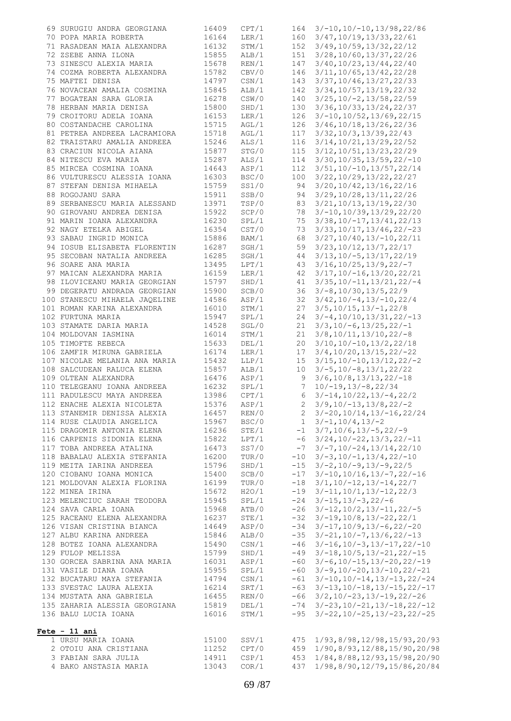| 69 SURUGIU ANDRA GEORGIANA                               | 16409 | CPT/1 | 164          | $3/-10$ , $10/-10$ , $13/98$ , 22/86     |
|----------------------------------------------------------|-------|-------|--------------|------------------------------------------|
| 70 POPA MARIA ROBERTA                                    | 16164 | LER/1 | 160          | 3/47, 10/19, 13/33, 22/61                |
| 71 RASADEAN MAIA ALEXANDRA                               | 16132 | STM/1 | 152          | 3/49, 10/59, 13/32, 22/12                |
| 72 ZSEBE ANNA ILONA                                      | 15855 | ALB/1 | 151          | 3/28,10/60,13/37,22/26                   |
| 73 SINESCU ALEXIA MARIA                                  | 15678 | REN/1 | 147          | 3/40, 10/23, 13/44, 22/40                |
| 74 COZMA ROBERTA ALEXANDRA                               | 15782 | CBV/0 | 146          | 3/11, 10/65, 13/42, 22/28                |
| 75 MAFTEI DENISA                                         | 14797 | CSN/1 | 143          | 3/37, 10/46, 13/27, 22/33                |
| 76 NOVACEAN AMALIA COSMINA                               | 15845 | ALB/1 | 142          | 3/34, 10/57, 13/19, 22/32                |
| 77 BOGATEAN SARA GLORIA                                  | 16278 | CSW/0 | 140          | $3/25$ , $10/-2$ , $13/58$ , $22/59$     |
| 78 HERBAN MARIA DENISA                                   | 15800 | SHD/1 | 130          | 3/36, 10/33, 13/24, 22/37                |
| 79 CROITORU ADELA IOANA                                  | 16153 | LER/1 | 126          | $3/-10$ , $10/52$ , $13/69$ , $22/15$    |
| 80 COSTANDACHE CAROLINA                                  | 15715 | AGL/1 | 126          | $3/46$ , $10/18$ , $13/26$ , $22/36$     |
| 81 PETREA ANDREEA LACRAMIORA                             | 15718 | AGL/1 | 117          | $3/32$ , $10/3$ , $13/39$ , $22/43$      |
| 82 TRAISTARU AMALIA ANDREEA                              | 15246 | ALS/1 | 116          | 3/14, 10/21, 13/29, 22/52                |
| 83 CRACIUN NICOLA AIANA                                  | 15877 | STG/0 | 115          | $3/12$ , $10/51$ , $13/23$ , $22/29$     |
| 84 NITESCU EVA MARIA                                     | 15287 | ALS/1 | 114          | $3/30$ , $10/35$ , $13/59$ , $22/-10$    |
| 85 MIRCEA COSMINA IOANA                                  | 14643 | ASP/1 | 112          | $3/51$ , $10/-10$ , $13/57$ , $22/14$    |
| 86 VULTURESCU ALESSIA IOANA                              | 16303 | BSC/0 | 100          | $3/22$ , $10/29$ , $13/22$ , $22/27$     |
| 87 STEFAN DENISA MIHAELA                                 | 15759 | SS1/0 | 94           | 3/20, 10/42, 13/16, 22/16                |
| 88 ROGOJANU SARA                                         | 15911 | SSB/0 | 94           | 3/29, 10/28, 13/11, 22/26                |
| 89 SERBANESCU MARIA ALESSAND                             | 13971 | TSP/0 | 83           | 3/21, 10/13, 13/19, 22/30                |
| 90 GIROVANU ANDREA DENISA                                | 15922 | SCP/0 | 78           | $3/-10, 10/39, 13/29, 22/20$             |
| 91 MARIN IOANA ALEXANDRA                                 | 16230 | SPL/1 | 75           | $3/38$ , $10/-17$ , $13/41$ , $22/13$    |
| 92 NAGY ETELKA ABIGEL                                    | 16354 | CST/0 | 73           | $3/33$ , $10/17$ , $13/46$ , $22/-23$    |
| 93 SABAU INGRID MONICA                                   | 15886 | BAM/1 | 68           | $3/27, 10/40, 13/-10, 22/11$             |
| 94 IOSUB ELISABETA FLORENTIN                             | 16287 | SGH/1 | 59           | $3/23$ , $10/12$ , $13/7$ , $22/17$      |
| 95 SECOBAN NATALIA ANDREEA                               | 16285 | SGH/1 | 44           | $3/13, 10/-5, 13/17, 22/19$              |
| 96 SOARE ANA MARIA                                       | 13495 | LPT/1 | 43           | $3/16$ , $10/25$ , $13/9$ , $22/-7$      |
| 97 MAICAN ALEXANDRA MARIA                                | 16159 | LER/1 | 42           | $3/17, 10/-16, 13/20, 22/21$             |
| 98 ILOVICEANU MARIA GEORGIAN                             | 15797 | SHD/1 | 41           | $3/35$ , $10/-11$ , $13/21$ , $22/-4$    |
| 99 DEGERATU ANDRADA GEORGIAN                             | 15900 | SCB/0 | 36           | $3/-8, 10/30, 13/5, 22/9$                |
| 100 STANESCU MIHAELA JAQELINE                            | 14586 | ASP/1 | 32           | $3/42$ , $10/-4$ , $13/-10$ , $22/4$     |
| 101 ROMAN KARINA ALEXANDRA                               | 16010 | STM/1 | 27           | $3/5$ , $10/15$ , $13/-1$ , $22/8$       |
| 102 FURTUNA MARIA                                        | 15947 | SPL/1 | 24           | $3/-4, 10/10, 13/31, 22/-13$             |
| 103 STAMATE DARIA MARIA                                  | 14528 | SGL/0 | 21           | $3/3$ , $10/-6$ , $13/25$ , $22/-1$      |
| 104 MOLDOVAN IASMINA                                     | 16014 | STM/1 | 21           | $3/8$ , $10/11$ , $13/10$ , $22/-8$      |
| 105 TIMOFTE REBECA                                       | 15633 | DEL/1 | 20           | $3/10$ , $10/-10$ , $13/2$ , $22/18$     |
| 106 ZAMFIR MIRUNA GABRIELA                               | 16174 | LER/1 | 17           | $3/4$ , $10/20$ , $13/15$ , $22/-22$     |
| 107 NICOLAE MELANIA ANA MARIA                            | 15432 | LLP/1 | 15           | $3/15$ , $10/-10$ , $13/12$ , $22/-2$    |
| 108 SALCUDEAN RALUCA ELENA                               | 15857 | ALB/1 | 10           | $3/-5$ , $10/-8$ , $13/1$ , $22/22$      |
| 109 OLTEAN ALEXANDRA                                     | 16476 | ASP/1 | 9            | $3/6$ , $10/8$ , $13/13$ , $22/-18$      |
| 110 TELEGEANU IOANA ANDREEA                              | 16232 | SPL/1 | 7            | $10/-19, 13/-8, 22/34$                   |
|                                                          | 13986 | CPT/1 | 6            | $3/-14, 10/22, 13/-4, 22/2$              |
| 111 RADULESCU MAYA ANDREEA<br>112 ENACHE ALEXIA NICOLETA | 15376 | ASP/1 | $2^{\circ}$  | $3/9$ , $10/-13$ , $13/8$ , $22/-2$      |
| 113 STANEMIR DENISSA ALEXIA                              | 16457 | REN/0 |              | $3/-20, 10/14, 13/-16, 22/24$            |
| 114 RUSE CLAUDIA ANGELICA                                | 15967 | BSC/0 | $\mathbf{1}$ | $3/-1, 10/4, 13/-2$                      |
| 115 DRAGOMIR ANTONIA ELENA                               | 16236 | STE/1 | $-1$         | $3/7$ , $10/6$ , $13/-5$ , $22/-9$       |
| 116 CARPENIS SIDONIA ELENA                               | 15822 | LPT/1 | -6           | $3/24$ , $10/-22$ , $13/3$ , $22/-11$    |
| 117 TOBA ANDREEA ATALINA                                 | 16473 | SS7/0 | $-7$         | $3/-7, 10/-24, 13/14, 22/10$             |
| 118 BABALAU ALEXIA STEFANIA                              | 16200 | TUR/0 |              | $3/-3$ , $10/-1$ , $13/4$ , $22/-10$     |
|                                                          |       |       | $-10$        |                                          |
| 119 MEITA IARINA ANDREEA                                 | 15796 | SHD/1 | $-15$        | $3/-2, 10/-9, 13/-9, 22/5$               |
| 120 CIOBANU IOANA MONICA                                 | 15400 | SCB/0 | $-17$        | $3/-10, 10/16, 13/-7, 22/-16$            |
| 121 MOLDOVAN ALEXIA FLORINA                              | 16199 | TUR/0 | $-18$        | $3/1$ , $10/-12$ , $13/-14$ , $22/7$     |
| 122 MINEA IRINA                                          | 15672 | H2O/1 | $-19$        | $3/-11, 10/1, 13/-12, 22/3$              |
| 123 MELENCIUC SARAH TEODORA                              | 15945 | SPL/1 | $-24$        | $3/-15$ , $13/-3$ , $22/-6$              |
| 124 SAVA CARLA IOANA                                     | 15968 | ATB/0 | $-26$        | $3/-12$ , $10/2$ , $13/-11$ , $22/-5$    |
| 125 RACEANU ELENA ALEXANDRA                              | 16237 | STE/1 | $-32$        | $3/-19, 10/8, 13/-22, 22/1$              |
| 126 VISAN CRISTINA BIANCA                                | 14649 | ASP/0 | $-34$        | $3/-17, 10/9, 13/-6, 22/-20$             |
| 127 ALBU KARINA ANDREEA                                  | 15846 | ALB/0 | $-35$        | $3/-21$ , $10/-7$ , $13/6$ , $22/-13$    |
| 128 BOTEZ IOANA ALEXANDRA                                | 15490 | CSN/1 | $-46$        | $3/-16$ , $10/-3$ , $13/-17$ , $22/-10$  |
| 129 FULOP MELISSA                                        | 15799 | SHD/1 | $-49$        | $3/-18$ , $10/5$ , $13/-21$ , $22/-15$   |
| 130 GORCEA SABRINA ANA MARIA                             | 16031 | ASP/1 | -60          | $3/-6$ , $10/-15$ , $13/-20$ , $22/-19$  |
| 131 VASILE DIANA IOANA                                   | 15955 | SPL/1 | -60          | $3/-9, 10/-20, 13/-10, 22/-21$           |
| 132 BUCATARU MAYA STEFANIA                               | 14794 | CSN/1 | $-61$        | $3/-10$ , $10/-14$ , $13/-13$ , $22/-24$ |
| 133 SVESTAC LAURA ALEXIA                                 | 16214 | SRT/1 | -63          | $3/-13$ , $10/-18$ , $13/-15$ , $22/-17$ |
| 134 MUSTATA ANA GABRIELA                                 | 16455 | REN/0 | -66          | $3/2$ , $10/-23$ , $13/-19$ , $22/-26$   |
| 135 ZAHARIA ALESSIA GEORGIANA                            | 15819 | DEL/1 | $-74$        | $3/-23$ , $10/-21$ , $13/-18$ , $22/-12$ |
| 136 BALU LUCIA IOANA                                     | 16016 | STM/1 | $-95$        | $3/-22$ , $10/-25$ , $13/-23$ , $22/-25$ |
| $Fete - 11 ani$                                          |       |       |              |                                          |
| 1 URSU MARIA IOANA                                       | 15100 | SSV/1 | 475          | 1/93,8/98,12/98,15/93,20/93              |
| 2 OTOIU ANA CRISTIANA                                    | 11252 | CPT/0 | 459          | 1/90,8/93,12/88,15/90,20/98              |
| 3 FABIAN SARA JULIA                                      | 14911 | CSP/1 | 453          | 1/84,8/88,12/93,15/98,20/90              |
| 4 BAKO ANSTASIA MARIA                                    | 13043 | COR/1 | 437          | 1/98,8/90,12/79,15/86,20/84              |
|                                                          |       |       |              |                                          |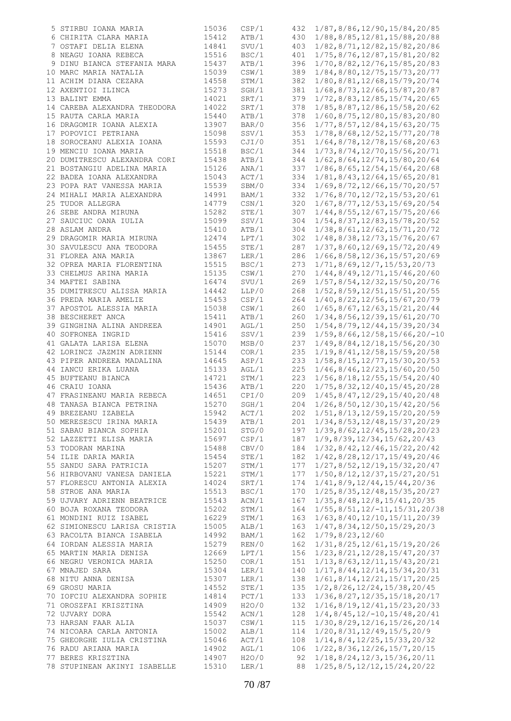| 5 STIRBU IOANA MARIA         | 15036 | CSP/1 | 432 | 1/87,8/86,12/90,15/84,20/85                    |
|------------------------------|-------|-------|-----|------------------------------------------------|
| 6 CHIRITA CLARA MARIA        | 15412 | ATB/1 | 430 | 1/88,8/85,12/81,15/88,20/88                    |
| 7 OSTAFI DELIA ELENA         | 14841 | SVU/1 | 403 | 1/82,8/71,12/82,15/82,20/86                    |
| 8 NEAGU IOANA REBECA         | 15516 | BSC/1 | 401 | 1/75,8/76,12/87,15/81,20/82                    |
| 9 DINU BIANCA STEFANIA MARA  | 15437 | ATB/1 | 396 | 1/70,8/82,12/76,15/85,20/83                    |
| 10 MARC MARIA NATALIA        | 15039 | CSW/1 | 389 | 1/84,8/80,12/75,15/73,20/77                    |
|                              |       |       |     |                                                |
| 11 ACHIM DIANA CEZARA        | 14558 | STM/1 | 382 | 1/80, 8/81, 12/68, 15/79, 20/74                |
| 12 AXENTIOI ILINCA           | 15273 | SGH/1 | 381 | 1/68, 8/73, 12/66, 15/87, 20/87                |
| 13 BALINT EMMA               | 14021 | SRT/1 | 379 | 1/72,8/83,12/85,15/74,20/65                    |
| 14 CAREBA ALEXANDRA THEODORA | 14022 | SRT/1 | 378 | 1/85, 8/87, 12/86, 15/58, 20/62                |
| 15 RAUTA CARLA MARIA         | 15440 | ATB/1 | 378 | 1/60,8/75,12/80,15/83,20/80                    |
| 16 DRAGOMIR IOANA ALEXIA     | 13907 | BAR/0 | 356 | 1/77,8/57,12/84,15/63,20/75                    |
| 17 POPOVICI PETRIANA         | 15098 | SSV/1 | 353 | 1/78,8/68,12/52,15/77,20/78                    |
| 18 SOROCEANU ALEXIA IOANA    | 15593 | CJI/0 | 351 | 1/64, 8/78, 12/78, 15/68, 20/63                |
| 19 MENCIU IOANA MARIA        | 15518 | BSC/1 | 344 | 1/73, 8/74, 12/70, 15/56, 20/71                |
|                              |       |       |     |                                                |
| 20 DUMITRESCU ALEXANDRA CORI | 15438 | ATB/1 | 344 | 1/62, 8/64, 12/74, 15/80, 20/64                |
| 21 BOSTANGIU ADELINA MARIA   | 15126 | ANA/1 | 337 | $1/86$ , $8/65$ , $12/54$ , $15/64$ , $20/68$  |
| 22 BADEA IOANA ALEXANDRA     | 15043 | ACT/1 | 334 | 1/81,8/43,12/64,15/65,20/81                    |
| 23 POPA RAT VANESSA MARIA    | 15539 | SBM/0 | 334 | 1/69, 8/72, 12/66, 15/70, 20/57                |
| 24 MIHALI MARIA ALEXANDRA    | 14991 | BAM/1 | 332 | 1/76,8/70,12/72,15/53,20/61                    |
| 25 TUDOR ALLEGRA             | 14779 | CSN/1 | 320 | 1/67, 8/77, 12/53, 15/69, 20/54                |
| 26 SEBE ANDRA MIRUNA         | 15282 | STE/1 | 307 | 1/44, 8/55, 12/67, 15/75, 20/66                |
| 27 SAUCIUC OANA IULIA        | 15099 | SSV/1 | 304 | 1/54, 8/37, 12/83, 15/78, 20/52                |
| 28 ASLAM ANDRA               | 15410 | ATB/1 | 304 | 1/38, 8/61, 12/62, 15/71, 20/72                |
| 29 DRAGOMIR MARIA MIRUNA     | 12474 | LPT/1 | 302 | 1/48, 8/38, 12/73, 15/76, 20/67                |
|                              |       |       |     |                                                |
| 30 SAVULESCU ANA TEODORA     | 15455 | STE/1 | 287 | 1/37,8/60,12/69,15/72,20/49                    |
| 31 FLOREA ANA MARIA          | 13867 | LER/1 | 286 | $1/66$ , 8/58, 12/36, 15/57, 20/69             |
| 32 OPREA MARIA FLORENTINA    | 15515 | BSC/1 | 273 | 1/71, 8/69, 12/7, 15/53, 20/73                 |
| 33 CHELMUS ARINA MARIA       | 15135 | CSW/1 | 270 | 1/44, 8/49, 12/71, 15/46, 20/60                |
| 34 MAFTEI SABINA             | 16474 | SVU/1 | 269 | 1/57, 8/54, 12/32, 15/50, 20/76                |
| 35 DUMITRESCU ALISSA MARIA   | 14442 | LLP/0 | 268 | $1/52$ , 8/59, 12/51, 15/51, 20/55             |
| 36 PREDA MARIA AMELIE        | 15453 | CSP/1 | 264 | 1/40,8/22,12/56,15/67,20/79                    |
| 37 APOSTOL ALESSIA MARIA     | 15038 | CSW/1 | 260 | 1/65, 8/67, 12/63, 15/21, 20/44                |
| 38 BESCHERET ANCA            | 15411 | ATB/1 | 260 | 1/34,8/56,12/39,15/61,20/70                    |
|                              |       |       |     |                                                |
| 39 GINGHINA ALINA ANDREEA    | 14901 | AGL/1 | 250 | 1/54, 8/79, 12/44, 15/39, 20/34                |
| 40 SOFRONEA INGRID           | 15416 | SSV/1 | 239 | $1/59, 8/66, 12/58, 15/66, 20/-10$             |
| 41 GALATA LARISA ELENA       | 15070 | MSB/0 | 237 | 1/49, 8/84, 12/18, 15/56, 20/30                |
| 42 LORINCZ JAZMIN ADRIENN    | 15144 | COR/1 | 235 | 1/19, 8/41, 12/58, 15/59, 20/58                |
| 43 PIPER ANDREEA MADALINA    | 14645 | ASP/1 | 233 | $1/58$ , $8/15$ , $12/77$ , $15/30$ , $20/53$  |
| 44 IANCU ERIKA LUANA         | 15133 | AGL/1 | 225 | $1/46$ , $8/46$ , $12/23$ , $15/60$ , $20/50$  |
| 45 BUFTEANU BIANCA           | 14721 | STM/1 | 223 | 1/56,8/18,12/55,15/54,20/40                    |
| 46 CRAIU IOANA               | 15436 | ATB/1 | 220 | 1/75, 8/32, 12/40, 15/45, 20/28                |
| 47 FRASINEANU MARIA REBECA   | 14651 | CPI/0 | 209 | 1/45, 8/47, 12/29, 15/40, 20/48                |
| 48 TANASA BIANCA PETRINA     | 15270 | SGH/1 | 204 | 1/26,8/50,12/30,15/42,20/56                    |
|                              |       |       |     |                                                |
| 49 BREZEANU IZABELA          | 15942 | ACT/1 | 202 | 1/51, 8/13, 12/59, 15/20, 20/59                |
| 50 MERESESCU IRINA MARIA     | 15439 | ATB/1 | 201 | 1/34,8/53,12/48,15/37,20/29                    |
| 51 SABAU BIANCA SOPHIA       | 15201 | STG/0 | 197 | 1/39, 8/62, 12/45, 15/28, 20/23                |
| 52 LAZZETTI ELISA MARIA      | 15697 | CSP/1 | 187 | 1/9, 8/39, 12/34, 15/62, 20/43                 |
| 53 TODORAN MARINA            | 15488 | CBV/0 | 184 | 1/32, 8/42, 12/46, 15/22, 20/42                |
| 54 ILIE DARIA MARIA          | 15454 | STE/1 | 182 | 1/42, 8/28, 12/17, 15/49, 20/46                |
| 55 SANDU SARA PATRICIA       | 15207 | STM/1 | 177 | 1/27, 8/52, 12/19, 15/32, 20/47                |
| 56 HIRBOVANU VANESA DANIELA  | 15221 | STM/1 | 177 | 1/50,8/12,12/37,15/27,20/51                    |
| 57 FLORESCU ANTONIA ALEXIA   | 14024 | SRT/1 | 174 | 1/41, 8/9, 12/44, 15/44, 20/36                 |
| 58 STROE ANA MARIA           | 15513 | BSC/1 | 170 | $1/25$ , 8/35, 12/48, 15/35, 20/27             |
| 59 UJVARY ADRIENN BEATRICE   | 15543 | ACN/1 | 167 | 1/35, 8/48, 12/8, 15/41, 20/35                 |
| 60 BOJA ROXANA TEODORA       | 15202 | STM/1 | 164 |                                                |
|                              |       |       |     | $1/55$ , $8/51$ , $12/-11$ , $15/31$ , $20/38$ |
| 61 MONDINI RUIZ ISABEL       | 16229 | STM/1 | 163 | 1/63, 8/40, 12/10, 15/11, 20/39                |
| 62 SIMIONESCU LARISA CRISTIA | 15005 | ALB/1 | 163 | 1/47, 8/34, 12/50, 15/29, 20/3                 |
| 63 RACOLTA BIANCA ISABELA    | 14992 | BAM/1 | 162 | 1/79, 8/23, 12/60                              |
| 64 IORDAN ALESSIA MARIA      | 15279 | REN/0 | 162 | 1/31,8/25,12/61,15/19,20/26                    |
| 65 MARTIN MARIA DENISA       | 12669 | LPT/1 | 156 | 1/23, 8/21, 12/28, 15/47, 20/37                |
| 66 NEGRU VERONICA MARIA      | 15250 | COR/1 | 151 | 1/13, 8/63, 12/11, 15/43, 20/21                |
| 67 MNAJED SARA               | 15304 | LER/1 | 140 | 1/17, 8/44, 12/14, 15/34, 20/31                |
| 68 NITU ANNA DENISA          | 15307 | LER/1 | 138 | 1/61, 8/14, 12/21, 15/17, 20/25                |
| 69 GROSU MARIA               | 14552 | STE/1 | 135 | 1/2, 8/26, 12/24, 15/38, 20/45                 |
|                              |       |       |     |                                                |
| 70 IOFCIU ALEXANDRA SOPHIE   | 14814 | PCT/1 | 133 | $1/36$ , $8/27$ , $12/35$ , $15/18$ , $20/17$  |
| 71 OROSZFAI KRISZTINA        | 14909 | H2O/0 | 132 | $1/16$ , $8/19$ , $12/41$ , $15/23$ , $20/33$  |
| 72 UJVARY DORA               | 15542 | ACN/1 | 128 | $1/4, 8/45, 12/-10, 15/48, 20/41$              |
| 73 HARSAN FAAR ALIA          | 15037 | CSW/1 | 115 | 1/30, 8/29, 12/16, 15/26, 20/14                |
| 74 NICOARA CARLA ANTONIA     | 15002 | ALB/1 | 114 | 1/20, 8/31, 12/49, 15/5, 20/9                  |
| 75 GHEORGHE IULIA CRISTINA   | 15046 | ACT/1 | 108 | 1/14, 8/4, 12/25, 15/33, 20/32                 |
| 76 RADU ARIANA MARIA         | 14902 | AGL/1 | 106 | $1/22$ , 8/36, 12/26, 15/7, 20/15              |
| 77 BERES KRISZTINA           | 14907 | H2O/0 | 92  | $1/18$ , $8/24$ , $12/3$ , $15/36$ , $20/11$   |
| 78 STUPINEAN AKINYI ISABELLE | 15310 | LER/1 | 88  | $1/25$ , $8/5$ , $12/12$ , $15/24$ , $20/22$   |
|                              |       |       |     |                                                |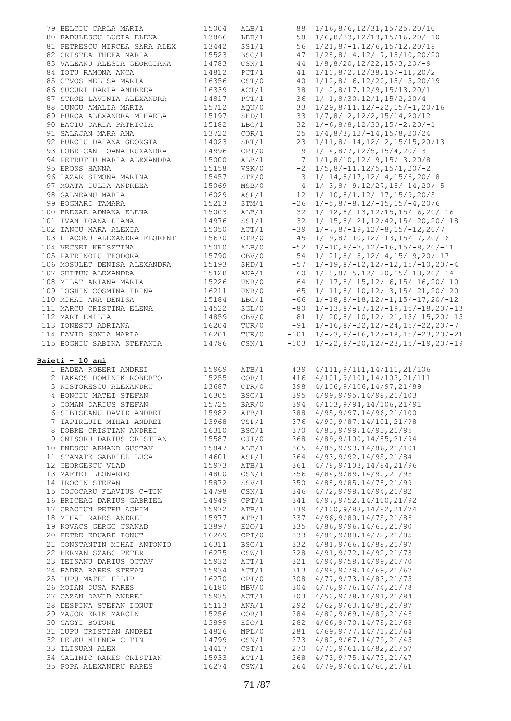| 79 BELCIU CARLA MARIA         | 15004          | ALB/1          |        | 88 1/16,8/6,12/31,15/25,20/10                             |
|-------------------------------|----------------|----------------|--------|-----------------------------------------------------------|
| 80 RADULESCU LUCIA ELENA      | 13866          | LER/1          |        | 58 $1/6$ , 8/33, 12/13, 15/16, 20/-10                     |
| 81 PETRESCU MIRCEA SARA ALEX  | 13442          | SS1/1          |        | 56 1/21, 8/-1, 12/6, 15/12, 20/18                         |
|                               |                |                |        |                                                           |
| 82 CRISTEA THEEA MARIA        | 15523          | BSC/1          |        | $47 \quad 1/28$ , $8/-4$ , $12/-7$ , $15/10$ , $20/20$    |
| 83 VALEANU ALESIA GEORGIANA   | 14783          | CSN/1          |        | $44$ $1/8$ , $8/20$ , $12/22$ , $15/3$ , $20/-9$          |
| 84 IOTU RAMONA ANCA           | 14812          | PCT/1          |        | $1/10, 8/2, 12/38, 15/-11, 20/2$                          |
| 85 OTVOS MELISA MARIA         | 16356          | CST/0          | 40     | $1/12$ , $8/-6$ , $12/20$ , $15/-5$ , $20/19$             |
| 86 SUCURI DARIA ANDREEA       | 16339          | ACT/1          |        | $38 \quad 1/-2, 8/17, 12/9, 15/13, 20/1$                  |
|                               |                |                |        |                                                           |
| 87 STROE LAVINIA ALEXANDRA    | 14817          | PCT/1          |        | $36 \quad 1/-1, 8/30, 12/1, 15/2, 20/4$                   |
| 88 LUNGU AMALIA MARIA         | 15712          | AQU/0          |        | $33 \t1/29$ , $8/11$ , $12/-22$ , $15/-1$ , $20/16$       |
| 89 BURCA ALEXANDRA MIHAELA    | 15197          | SHD/1          |        | $33 \quad 1/7$ , $8/-2$ , $12/2$ , $15/14$ , $20/12$      |
| 90 BACIU DARIA PATRICIA       | 15182          | LBC/1          |        | $32 \quad 1/-6, 8/8, 12/33, 15/-2, 20/-1$                 |
| 91 SALAJAN MARA ANA           | 13722          | COR/1          |        | $25 \quad 1/4, 8/3, 12/-14, 15/8, 20/24$                  |
| 92 BURCIU DAIANA GEORGIA      | 14023          | SRT/1          |        | $23 \quad 1/11, 8/-14, 12/-2, 15/15, 20/13$               |
|                               |                |                |        |                                                           |
| 93 DOBRICAN IOANA RUXANDRA    | 14996          | CPI/0          |        | 9 $1/-4, 8/7, 12/5, 15/4, 20/-3$                          |
| 94 PETRUTIU MARIA ALEXANDRA   | 15000          | ALB/1          |        | $7 \quad 1/1, 8/10, 12/-9, 15/-3, 20/8$                   |
| 95 EROSS HANNA                | 15158          | VSK/0          |        | $-2$ 1/5,8/-11,12/5,15/1,20/-2                            |
| 96 LAZAR SIMONA MARINA        | 15457          | STE/0          |        | $-3$ 1/-14,8/17,12/-4,15/6,20/-8                          |
| 97 MOATA IULIA ANDREEA        | 15069          | MSB/0          |        | $-4$ 1/-3,8/-9,12/27,15/-14,20/-5                         |
| 98 GALMEANU MARIA             | 16029          | ASP/1          |        | $-12$ $1/-10,8/1,12/-17,15/9,20/5$                        |
| 99 BOGNARI TAMARA             | 15213          | STM/1          |        | $-26$ 1/-5, 8/-8, 12/-15, 15/-4, 20/6                     |
|                               |                |                |        |                                                           |
| 100 BREZAE ADNANA ELENA       | 15003          | ALB/1          |        | $-32$ $1/-12$ , $8/-13$ , $12/15$ , $15/-6$ , $20/-16$    |
| 101 IVAN IOANA DIANA          | 14976          | SS1/1          |        | $-32$ 1/-15, 8/-21, 12/42, 15/-20, 20/-18                 |
| 102 IANCU MARA ALEXIA         | 15050          | ACT/1          |        | $-39$ $1/-7, 8/-19, 12/-8, 15/-12, 20/7$                  |
| 103 DIACONU ALEXANDRA FLORENT | 15670          | CTR/0          |        | $-45$ 1/-9,8/-10,12/-13,15/-7,20/-6                       |
| 104 VECSEI KRISZTINA          | 15010          | ALB/0          |        | $-52$ 1/-10, 8/-7, 12/-16, 15/-8, 20/-11                  |
| 105 PATRINOIU TEODORA         | 15790          | CBV/0          |        | $-54$ 1/-21, 8/-3, 12/-4, 15/-9, 20/-17                   |
| 106 MOSULET DENISA ALEXANDRA  | 15193          | SHD/1          |        | $-57$ $1/-19$ , $8/-12$ , $12/-12$ , $15/-10$ , $20/-4$   |
|                               |                |                |        |                                                           |
| 107 GHITUN ALEXANDRA          | 15128          | ANA/1          |        | $-60$ $1/-8$ , $8/-5$ , $12/-20$ , $15/-13$ , $20/-14$    |
| 108 MILAT ARIANA MARIA        | 15226          | UNR/0          |        | $-64$ 1/-17, 8/-15, 12/-6, 15/-16, 20/-10                 |
| 109 LOGHIN COSMINA IRINA      | 16211          | UNR/0          |        | $-65$ 1/-11, 8/-10, 12/-3, 15/-21, 20/-20                 |
| 110 MIHAI ANA DENISA          | 15184          | LBC/1          |        | $-66$ 1/-18,8/-18,12/-1,15/-17,20/-12                     |
| 111 MARCU CRISTINA ELENA      | 14522          | SGL/0          |        | $-80$ 1/-13, 8/-17, 12/-19, 15/-18, 20/-13                |
| 112 MART EMILIA               | 14859          | CBV/0          |        | $-81$ 1/-20, 8/-10, 12/-21, 15/-15, 20/-15                |
| 113 IONESCU ADRIANA           | 16204          | TUR/0          |        | $-91$ $1/-16$ , $8/-22$ , $12/-24$ , $15/-22$ , $20/-7$   |
|                               |                |                |        |                                                           |
| 114 DAVID SONIA MARIA         | 16201<br>14786 | TUR/0<br>CSN/1 |        | $-101$ $1/-23$ , $8/-16$ , $12/-18$ , $15/-23$ , $20/-21$ |
| 115 BOGHIU SABINA STEFANIA    |                |                | $-103$ |                                                           |
|                               |                |                |        | $1/-22$ , $8/-20$ , $12/-23$ , $15/-19$ , $20/-19$        |
|                               |                |                |        |                                                           |
| Baieti - 10 ani               |                |                |        |                                                           |
| 1 BADEA ROBERT ANDREI         | 15969          | ATB/1          |        | 439 4/111, 9/111, 14/111, 21/106                          |
| 2 TAKACS DOMINIK ROBERTO      |                | COR/1          |        |                                                           |
|                               | 15255          |                |        | 416 4/101, 9/101, 14/103, 21/111                          |
| 3 NISTORESCU ALEXANDRU        | 13687          | CTR/0          |        | 398 4/106, 9/106, 14/97, 21/89                            |
| 4 BONCIU MATEI STEFAN         | 16305          | BSC/1          |        | 395 4/99, 9/95, 14/98, 21/103                             |
| 5 COMAN DARIUS STEFAN         | 15725          | BAR/0          | 394    | 4/103, 9/94, 14/106, 21/91                                |
| 6 SIBISEANU DAVID ANDREI      | 15982          | ATB/1          | 388    | 4/95, 9/97, 14/96, 21/100                                 |
| 7 TAPIRLUIE MIHAI ANDREI      | 13968          | TSP/1          | 376    | 4/90, 9/87, 14/101, 21/98                                 |
| 8 DOBRE CRISTIAN ANDREI       | 16310          | BSC/1          |        | 370 4/83, 9/99, 14/93, 21/95                              |
|                               | 15587          | CJI/0          | 368    | 4/89, 9/100, 14/85, 21/94                                 |
| 9 ONISORU DARIUS CRISTIAN     |                |                |        |                                                           |
| 10 ENESCU ARMAND GUSTAV       | 15847          | ALB/1          | 365    | 4/85, 9/93, 14/86, 21/101                                 |
| 11 STAMATE GABRIEL LUCA       | 14601          | ASP/1          | 364    | 4/93, 9/92, 14/95, 21/84                                  |
| 12 GEORGESCU VLAD             | 15973          | ATB/1          | 361    | 4/78, 9/103, 14/84, 21/96                                 |
| 13 MAFTEI LEONARDO            | 14800          | CSN/1          |        | 356 4/84, 9/89, 14/90, 21/93                              |
| 14 TROCIN STEFAN              | 15872          | SSV/1          |        | $350 \quad 4/88, 9/85, 14/78, 21/99$                      |
| 15 COJOCARU FLAVIUS C-TIN     | 14798          | CSN/1          |        | 346 4/72, 9/98, 14/94, 21/82                              |
|                               |                |                | 341    | 4/97, 9/52, 14/100, 21/92                                 |
| 16 BRICEAG DARIUS GABRIEL     | 14949          | CPT/1          |        |                                                           |
| 17 CRACIUN PETRU ACHIM        | 15972          | ATB/1          | 339    | 4/100, 9/83, 14/82, 21/74                                 |
| 18 MIHAI RARES ANDREI         | 15977          | ATB/1          | 337    | 4/96, 9/80, 14/75, 21/86                                  |
| 19 KOVACS GERGO CSANAD        | 13897          | H2O/1          | 335    | 4/86, 9/96, 14/63, 21/90                                  |
| 20 PETRE EDUARD IONUT         | 16269          | CPI/0          |        | 333 4/88, 9/88, 14/72, 21/85                              |
| 21 CONSTANTIN MIHAI ANTONIO   | 16311          | BSC/1          | 332    | 4/81, 9/66, 14/88, 21/97                                  |
| 22 HERMAN SZABO PETER         | 16275          | CSW/1          |        | 328 4/91, 9/72, 14/92, 21/73                              |
| 23 TEISANU DARIUS OCTAV       | 15932          | ACT/1          | 321    | 4/94, 9/58, 14/99, 21/70                                  |
|                               |                |                |        |                                                           |
| 24 BADEA RARES STEFAN         | 15934          | ACT/1          | 313    | 4/98, 9/79, 14/69, 21/67                                  |
| 25 LUPU MATEI FILIP           | 16270          | CPI/0          |        | 308 4/77, 9/73, 14/83, 21/75                              |
| 26 MOIAN DUSA RARES           | 16180          | MBV/0          | 304    | 4/76, 9/76, 14/74, 21/78                                  |
| 27 CAZAN DAVID ANDREI         | 15935          | ACT/1          |        | 303 4/50, 9/78, 14/91, 21/84                              |
| 28 DESPINA STEFAN IONUT       | 15113          | ANA/1          | 292    | 4/62, 9/63, 14/80, 21/87                                  |
| 29 MAJOR ERIK MARCIN          | 15256          | COR/1          | 284    | 4/80, 9/69, 14/89, 21/46                                  |
| 30 GAGYI BOTOND               | 13899          | H2O/1          | 282    | 4/66, 9/70, 14/78, 21/68                                  |
|                               |                |                |        |                                                           |
| 31 LUPU CRISTIAN ANDREI       | 14826          | MPL/0          | 281    | 4/69, 9/77, 14/71, 21/64                                  |
| 32 DELEU MIHNEA C-TIN         | 14799          | CSN/1          | 273    | 4/82, 9/67, 14/79, 21/45                                  |
| 33 ILISUAN ALEX               | 14417          | CST/1          |        | 270 4/70, 9/61, 14/82, 21/57                              |
| 34 CALINIC RARES CRISTIAN     | 15933          | ACT/1          | 268    | 4/73, 9/75, 14/73, 21/47                                  |
| 35 POPA ALEXANDRU RARES       | 16274          | CSW/1          | 264    | 4/79, 9/64, 14/60, 21/61                                  |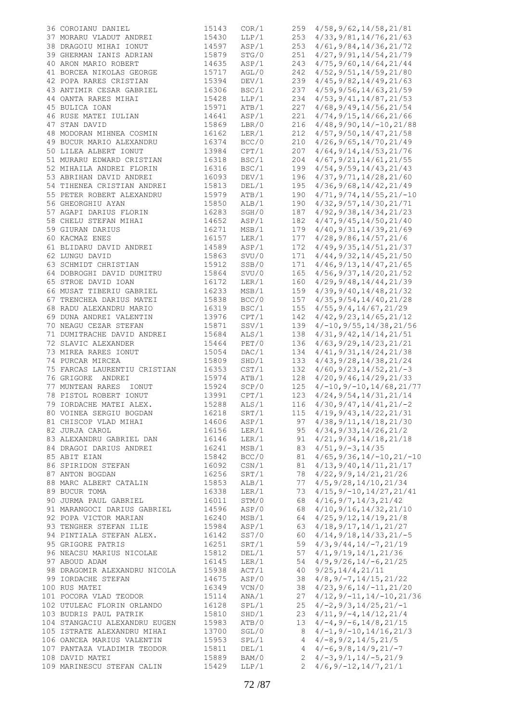| 36 COROIANU DANIEL            | 15143 | COR/1 | 259            | 4/58, 9/62, 14/58, 21/81            |
|-------------------------------|-------|-------|----------------|-------------------------------------|
| 37 MORARU VLADUT ANDREI       | 15430 | LLP/1 | 253            | 4/33, 9/81, 14/76, 21/63            |
| 38 DRAGOIU MIHAI IONUT        | 14597 | ASP/1 | 253            | 4/61, 9/84, 14/36, 21/72            |
| 39 GHERMAN IANIS ADRIAN       | 15879 | STG/0 | 251            | 4/27, 9/91, 14/54, 21/79            |
| 40 ARON MARIO ROBERT          | 14635 | ASP/1 | 243            | 4/75, 9/60, 14/64, 21/44            |
| 41 BORCEA NIKOLAS GEORGE      | 15717 | AGL/0 | 242            | 4/52, 9/51, 14/59, 21/80            |
| 42 POPA RARES CRISTIAN        | 15394 | DEV/1 | 239            | 4/45, 9/82, 14/49, 21/63            |
| 43 ANTIMIR CESAR GABRIEL      | 16306 | BSC/1 | 237            | 4/59, 9/56, 14/63, 21/59            |
| 44 OANTA RARES MIHAI          | 15428 | LLP/1 | 234            | 4/53, 9/41, 14/87, 21/53            |
| 45 BULICA IOAN                | 15971 | ATB/1 | 227            | 4/68, 9/49, 14/56, 21/54            |
| 46 RUSE MATEI IULIAN          | 14641 | ASP/1 | 221            | 4/74, 9/15, 14/66, 21/66            |
| 47 STAN DAVID                 | 15869 | LBR/0 | 216            | $4/48$ , 9/90, 14/-10, 21/88        |
| 48 MODORAN MIHNEA COSMIN      | 16162 | LER/1 | 212            | 4/57, 9/50, 14/47, 21/58            |
|                               | 16374 | BCC/0 |                |                                     |
| 49 BUCUR MARIO ALEXANDRU      |       |       | 210            | $4/26$ , 9/65, 14/70, 21/49         |
| 50 LILEA ALBERT IONUT         | 13984 | CPT/1 | 207            | 4/64, 9/14, 14/53, 21/76            |
| 51 MURARU EDWARD CRISTIAN     | 16318 | BSC/1 | 204            | 4/67, 9/21, 14/61, 21/55            |
| 52 MIHAILA ANDREI FLORIN      | 16316 | BSC/1 | 199            | 4/54, 9/59, 14/43, 21/43            |
| 53 ABRIHAN DAVID ANDREI       | 16093 | DEV/1 | 196            | 4/37, 9/71, 14/28, 21/60            |
| 54 TIHENEA CRISTIAN ANDREI    | 15813 | DEL/1 | 195            | 4/36, 9/68, 14/42, 21/49            |
| 55 PETER ROBERT ALEXANDRU     | 15979 | ATB/1 | 190            | $4/71, 9/74, 14/55, 21/-10$         |
| 56 GHEORGHIU AYAN             | 15850 | ALB/1 | 190            | $4/32$ , $9/57$ , $14/30$ , $21/71$ |
| 57 AGAPI DARIUS FLORIN        | 16283 | SGH/0 | 187            | 4/92, 9/38, 14/34, 21/23            |
| 58 CHELU STEFAN MIHAI         | 14652 | ASP/1 | 182            | 4/47, 9/45, 14/50, 21/40            |
| 59 GIURAN DARIUS              | 16271 | MSB/1 | 179            | 4/40, 9/31, 14/39, 21/69            |
| 60 KACMAZ ENES                | 16157 | LER/1 | 177            | 4/28, 9/86, 14/57, 21/6             |
| 61 BLIDARU DAVID ANDREI       | 14589 | ASP/1 | 172            | 4/49, 9/35, 14/51, 21/37            |
| 62 LUNGU DAVID                | 15863 | SVU/0 | 171            | 4/44, 9/32, 14/45, 21/50            |
| 63 SCHMIDT CHRISTIAN          | 15912 | SSB/0 | 171            | 4/46, 9/13, 14/47, 21/65            |
| 64 DOBROGHI DAVID DUMITRU     | 15864 | SVU/0 | 165            | 4/56, 9/37, 14/20, 21/52            |
| 65 STROE DAVID IOAN           | 16172 | LER/1 | 160            | 4/29, 9/48, 14/44, 21/39            |
| 66 MUSAT TIBERIU GABRIEL      | 16233 | MSB/1 | 159            | 4/39, 9/40, 14/48, 21/32            |
| 67 TRENCHEA DARIUS MATEI      | 15838 | BCC/0 | 157            | 4/35, 9/54, 14/40, 21/28            |
| 68 RADU ALEXANDRU MARIO       | 16319 | BSC/1 |                |                                     |
|                               |       |       | 155            | 4/55, 9/4, 14/67, 21/29             |
| 69 DUNA ANDREI VALENTIN       | 13976 | CPT/1 | 142            | 4/42, 9/23, 14/65, 21/12            |
| 70 NEAGU CEZAR STEFAN         | 15871 | SSV/1 | 139            | $4/-10, 9/55, 14/38, 21/56$         |
| 71 DUMITRACHE DAVID ANDREI    | 15684 | ALS/1 | 138            | 4/31, 9/42, 14/14, 21/51            |
| 72 SLAVIC ALEXANDER           | 15464 | PET/0 | 136            | 4/63, 9/29, 14/23, 21/21            |
| 73 MIREA RARES IONUT          | 15054 | DAC/1 | 134            | 4/41, 9/31, 14/24, 21/38            |
| 74 PURCAR MIRCEA              | 15809 | SHD/1 | 133            | 4/43, 9/28, 14/38, 21/24            |
| 75 FARCAS LAURENTIU CRISTIAN  | 16353 | CST/1 | 132            | $4/60, 9/23, 14/52, 21/-3$          |
| 76 GRIGORE ANDREI             | 15974 | ATB/1 | 128            | $4/20$ , $9/46$ , $14/29$ , $21/33$ |
| 77 MUNTEAN RARES<br>IONUT     | 15924 | SCP/0 | 125            | $4/-10, 9/-10, 14/68, 21/77$        |
| 78 PISTOL ROBERT IONUT        | 13991 | CPT/1 | 123            | 4/24, 9/54, 14/31, 21/14            |
| 79 IORDACHE MATEI ALEX.       | 15288 | ALS/1 | 116            | $4/30, 9/47, 14/41, 21/-2$          |
| 80 VOINEA SERGIU BOGDAN       | 16218 | SRT/1 | 115            | 4/19, 9/43, 14/22, 21/31            |
| 81 CHISCOP VLAD MIHAI         | 14606 | ASP/1 | 97             | 4/38, 9/11, 14/18, 21/30            |
| 82 JURJA CAROL                | 16156 | LER/1 |                | $95 \quad 4/34, 9/33, 14/26, 21/2$  |
| 83 ALEXANDRU GABRIEL DAN      | 16146 | LER/1 | 91             | 4/21, 9/34, 14/18, 21/18            |
| 84 DRAGOI DARIUS ANDREI       | 16241 | MSB/1 | 83             | $4/51, 9/-3, 14/35$                 |
| 85 ABIT EIAN                  | 15842 | BCC/0 | 81             | $4/65, 9/36, 14/-10, 21/-10$        |
|                               |       |       |                |                                     |
| 86 SPIRIDON STEFAN            | 16092 | CSN/1 | 81             | 4/13, 9/40, 14/11, 21/17            |
| 87 ANTON BOGDAN               | 16256 | SRT/1 | 78             | 4/22, 9/9, 14/21, 21/26             |
| 88 MARC ALBERT CATALIN        | 15853 | ALB/1 | 77             | 4/5, 9/28, 14/10, 21/34             |
| 89 BUCUR TOMA                 | 16338 | LER/1 | 73             | $4/15, 9/-10, 14/27, 21/41$         |
| 90 JURMA PAUL GABRIEL         | 16011 | STM/0 | 68             | 4/16, 9/7, 14/3, 21/42              |
| 91 MARANGOCI DARIUS GABRIEL   | 14596 | ASP/0 | 68             | 4/10, 9/16, 14/32, 21/10            |
| 92 POPA VICTOR MARIAN         | 16240 | MSB/1 | 64             | 4/25, 9/12, 14/19, 21/8             |
| 93 TENGHER STEFAN ILIE        | 15984 | ASP/1 | 63             | 4/18, 9/17, 14/1, 21/27             |
| 94 PINTIALA STEFAN ALEX.      | 16142 | SS7/0 | 60             | $4/14, 9/18, 14/33, 21/-5$          |
| 95 GRIGORE PATRIS             | 16251 | SRT/1 | 59             | $4/3, 9/44, 14/-7, 21/19$           |
| 96 NEACSU MARIUS NICOLAE      | 15812 | DEL/1 | 57             | 4/1, 9/19, 14/1, 21/36              |
| 97 ABOUD ADAM                 | 16145 | LER/1 | 54             | $4/9$ , $9/26$ , $14/-6$ , $21/25$  |
| 98 DRAGOMIR ALEXANDRU NICOLA  | 15938 | ACT/1 | 40             | 9/25, 14/4, 21/11                   |
| 99 IORDACHE STEFAN            | 14675 | ASP/0 | 38             | $4/8, 9/-7, 14/15, 21/22$           |
| 100 RUS MATEI                 | 16349 | VCN/0 | 38             | $4/23, 9/6, 14/-11, 21/20$          |
| 101 POCORA VLAD TEODOR        | 15114 | ANA/1 | 27             | $4/12, 9/-11, 14/-10, 21/36$        |
| 102 UTULEAC FLORIN ORLANDO    | 16128 | SPL/1 | 25             | $4/-2, 9/3, 14/25, 21/-1$           |
| 103 BUDRIS PAUL PATRIK        | 15810 | SHD/1 | 23             | $4/11, 9/-4, 14/12, 21/4$           |
|                               |       |       |                | $4/-4, 9/-6, 14/8, 21/15$           |
| 104 STANGACIU ALEXANDRU EUGEN | 15983 | ATB/0 | 13             |                                     |
| 105 ISTRATE ALEXANDRU MIHAI   | 13700 | SGL/0 | 8              | $4/-1, 9/-10, 14/16, 21/3$          |
| 106 OANCEA MARIUS VALENTIN    | 15953 | SPL/1 | 4              | $4/-8, 9/2, 14/5, 21/5$             |
| 107 PANTAZA VLADIMIR TEODOR   | 15811 | DEL/1 |                | $4 \frac{4}{-6}$ , 9/8, 14/9, 21/-7 |
| 108 DAVID MATEI               | 15889 | BAM/0 |                | $2 \frac{4}{-3}$ , 9/1, 14/-5, 21/9 |
| 109 MARINESCU STEFAN CALIN    | 15429 | LLP/1 | $\overline{2}$ | $4/6$ , $9/-12$ , $14/7$ , $21/1$   |
|                               |       |       |                |                                     |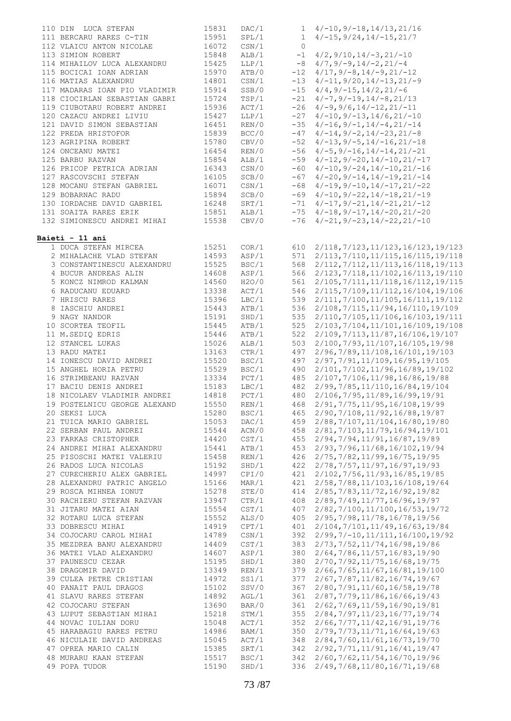| 110 DIN LUCA STEFAN           | 15831 | DAC/1 |         | $1 \quad 4/-10, 9/-18, 14/13, 21/16$          |
|-------------------------------|-------|-------|---------|-----------------------------------------------|
|                               |       |       |         |                                               |
| 111 BERCARU RARES C-TIN       | 15951 | SPL/1 |         | $1 \quad 4/-15, 9/24, 14/-15, 21/7$           |
| 112 VLAICU ANTON NICOLAE      | 16072 | CSN/1 | $\circ$ |                                               |
| 113 SIMION ROBERT             | 15848 | ALB/1 |         | $-1$ $4/2$ , $9/10$ , $14/-3$ , $21/-10$      |
|                               |       |       |         |                                               |
| 114 MIHAILOV LUCA ALEXANDRU   | 15425 | LLP/1 |         | $-8$ 4/7, 9/-9, 14/-2, 21/-4                  |
| 115 BOCICAI IOAN ADRIAN       | 15970 | ATB/0 |         | $-12$ $4/17$ , $9/-8$ , $14/-9$ , $21/-12$    |
| 116 MATIAS ALEXANDRU          | 14801 | CSN/1 |         | $-13$ $4/-11, 9/20, 14/-13, 21/-9$            |
|                               |       |       |         |                                               |
| 117 MADARAS IOAN PIO VLADIMIR | 15914 | SSB/0 |         | $-15$ 4/4, 9/-15, 14/2, 21/-6                 |
| 118 CIOCIRLAN SEBASTIAN GABRI | 15724 | TSP/1 |         | $-21$ $4/-7, 9/-19, 14/-8, 21/13$             |
| 119 CIUBOTARU ROBERT ANDREI   | 15936 | ACT/1 |         | $-26$ $4/-9$ , $9/6$ , $14/-12$ , $21/-11$    |
| 120 CAZACU ANDREI LIVIU       |       | LLP/1 |         |                                               |
|                               | 15427 |       |         | $-27$ 4/-10, 9/-13, 14/6, 21/-10              |
| 121 DAVID SIMON SEBASTIAN     | 16451 | REN/0 |         | $-35$ 4/-16, 9/-1, 14/-4, 21/-14              |
| 122 PREDA HRISTOFOR           | 15839 | BCC/0 |         | $-47$ $4/-14, 9/-2, 14/-23, 21/-8$            |
| 123 AGRIPINA ROBERT           | 15780 | CBV/0 |         | $-52$ 4/-13, 9/-5, 14/-16, 21/-18             |
|                               |       |       |         |                                               |
| 124 ONCEANU MATEI             | 16454 | REN/0 |         | $-56$ 4/-5, 9/-16, 14/-14, 21/-21             |
| 125 BARBU RAZVAN              | 15854 | ALB/1 |         | $-59$ 4/-12, 9/-20, 14/-10, 21/-17            |
| 126 PRICOP PETRICA ADRIAN     | 16343 | CSN/0 |         | $-60$ 4/-10, 9/-24, 14/-10, 21/-16            |
|                               |       |       |         |                                               |
| 127 RASCOVSCHI STEFAN         | 16105 | SCB/0 |         | $-67$ 4/-20, 9/-14, 14/-19, 21/-14            |
| 128 MOCANU STEFAN GABRIEL     | 16071 | CSN/1 |         | $-68$ 4/-19, 9/-10, 14/-17, 21/-22            |
| 129 BOBARNAC RADU             | 15894 | SCB/0 |         | $-69$ 4/-10, 9/-22, 14/-18, 21/-19            |
| 130 IORDACHE DAVID GABRIEL    | 16248 | SRT/1 |         | $-71$ $4/-17$ , $9/-21$ , $14/-21$ , $21/-12$ |
|                               |       |       |         |                                               |
| 131 SOAITA RARES ERIK         | 15851 | ALB/1 |         | $-75$ 4/-18, 9/-17, 14/-20, 21/-20            |
| 132 SIMIONESCU ANDREI MIHAI   | 15538 | CBV/0 |         | $-76$ 4/-21, 9/-23, 14/-22, 21/-10            |
|                               |       |       |         |                                               |
|                               |       |       |         |                                               |
| Baieti - 11 ani               |       |       |         |                                               |
| 1 DUCA STEFAN MIRCEA          | 15251 | COR/1 | 610     | 2/118, 7/123, 11/123, 16/123, 19/123          |
| 2 MIHALACHE VLAD STEFAN       | 14593 | ASP/1 |         | 571 2/113, 7/110, 11/115, 16/115, 19/118      |
|                               |       |       |         |                                               |
| 3 CONSTANTINESCU ALEXANDRU    | 15525 | BSC/1 |         | 568 2/112, 7/112, 11/113, 16/118, 19/113      |
| 4 BUCUR ANDREAS ALIN          | 14608 | ASP/1 |         | 566 2/123, 7/118, 11/102, 16/113, 19/110      |
| 5 KONCZ NIMROD KALMAN         | 14560 | H2O/O |         | 561 2/105, 7/111, 11/118, 16/112, 19/115      |
|                               |       |       |         |                                               |
| 6 RADUCANU EDUARD             | 13338 | ACT/1 |         | 546 2/115, 7/109, 11/112, 16/104, 19/106      |
| 7 HRISCU RARES                | 15396 | LBC/1 |         | 539 2/111, 7/100, 11/105, 16/111, 19/112      |
| 8 IASCHIU ANDREI              | 15443 | ATB/1 | 536     | 2/108, 7/115, 11/94, 16/110, 19/109           |
|                               | 15191 |       |         |                                               |
| 9 NAGY NANDOR                 |       | SHD/1 |         | 535 2/110, 7/105, 11/106, 16/103, 19/111      |
| 10 SCORTEA TEOFIL             | 15445 | ATB/1 |         | 525 2/103, 7/104, 11/101, 16/109, 19/108      |
| 11 M.SEDIQ EDRIS              | 15446 | ATB/1 |         | 522 2/109, 7/113, 11/87, 16/106, 19/107       |
| 12 STANCEL LUKAS              | 15026 | ALB/1 |         | 503 2/100, 7/93, 11/107, 16/105, 19/98        |
|                               |       |       |         |                                               |
| 13 RADU MATEI                 | 13163 | CTR/1 |         | 497 2/96, 7/89, 11/108, 16/101, 19/103        |
| 14 IONESCU DAVID ANDREI       | 15520 | BSC/1 |         | 497 2/97, 7/91, 11/109, 16/95, 19/105         |
| 15 ANGHEL HORIA PETRU         | 15529 | BSC/1 |         | 490 2/101, 7/102, 11/96, 16/89, 19/102        |
|                               |       |       |         |                                               |
| 16 STRIMBEANU RAZVAN          | 13334 | PCT/1 |         | 485 2/107, 7/106, 11/98, 16/86, 19/88         |
| 17 BACIU DENIS ANDREI         | 15183 | LBC/1 |         | 482 2/99, 7/85, 11/110, 16/84, 19/104         |
| 18 NICOLAEV VLADIMIR ANDREI   | 14818 | PCT/1 |         | 480 2/106, 7/95, 11/89, 16/99, 19/91          |
|                               |       |       |         |                                               |
| 19 POSTELNICU GEORGE ALEXAND  | 15550 | REN/1 | 468     | 2/91, 7/75, 11/95, 16/108, 19/99              |
| 20 SEKSI LUCA                 | 15280 | BSC/1 | 465     | 2/90, 7/108, 11/92, 16/88, 19/87              |
| 21 TUICA MARIO GABRIEL        | 15053 | DAC/1 | 459     | 2/88, 7/107, 11/104, 16/80, 19/80             |
| 22 SERBAN PAUL ANDREI         | 15544 | ACN/0 | 458     |                                               |
|                               |       |       |         | 2/81, 7/103, 11/79, 16/94, 19/101             |
| 23 FARKAS CRISTOPHER          | 14420 | CST/1 | 455     | 2/94, 7/94, 11/91, 16/87, 19/89               |
| 24 ANDREI MIHAI ALEXANDRU     | 15441 | ATB/1 | 453     | 2/93, 7/96, 11/68, 16/102, 19/94              |
| 25 PISOSCHI MATEI VALERIU     | 15458 | REN/1 | 426     | 2/75, 7/82, 11/99, 16/75, 19/95               |
|                               |       |       |         |                                               |
| 26 RADOS LUCA NICOLAS         | 15192 | SHD/1 | 422     | 2/78, 7/57, 11/97, 16/97, 19/93               |
| 27 CURECHERIU ALEX GABRIEL    | 14997 | CPI/0 | 421     | 2/102, 7/56, 11/93, 16/85, 19/85              |
| 28 ALEXANDRU PATRIC ANGELO    | 15166 | MAR/1 | 421     | 2/58, 7/88, 11/103, 16/108, 19/64             |
| 29 ROSCA MIHNEA IONUT         | 15278 | STE/0 | 414     | 2/85, 7/83, 11/72, 16/92, 19/82               |
|                               |       |       |         |                                               |
| 30 RACHIERU STEFAN RAZVAN     | 13947 | CTR/1 | 408     | 2/89, 7/49, 11/77, 16/96, 19/97               |
| 31 JITARU MATEI AIAN          | 15554 | CST/1 | 407     | 2/82, 7/100, 11/100, 16/53, 19/72             |
| 32 ROTARU LUCA STEFAN         | 15552 | ALS/0 | 405     | 2/95, 7/98, 11/78, 16/78, 19/56               |
|                               |       |       |         |                                               |
| 33 DOBRESCU MIHAI             | 14919 | CPT/1 | 401     | 2/104, 7/101, 11/49, 16/63, 19/84             |
| 34 COJOCARU CAROL MIHAI       | 14789 | CSN/1 | 392     | $2/99, 7/ - 10, 11/111, 16/100, 19/92$        |
| 35 MEZDREA BANU ALEXANDRU     | 14409 | CST/1 | 383     | 2/73, 7/52, 11/74, 16/98, 19/86               |
|                               |       |       |         |                                               |
| 36 MATEI VLAD ALEXANDRU       | 14607 | ASP/1 | 380     | 2/64, 7/86, 11/57, 16/83, 19/90               |
| 37 PAUNESCU CEZAR             | 15195 | SHD/1 | 380     | 2/70, 7/92, 11/75, 16/68, 19/75               |
| 38 DRAGOMIR DAVID             | 13349 | REN/1 | 379     | 2/66, 7/65, 11/67, 16/81, 19/100              |
|                               |       |       |         |                                               |
| 39 CULEA PETRE CRISTIAN       | 14972 | SS1/1 | 377     | 2/67, 7/87, 11/82, 16/74, 19/67               |
| 40 PANAIT PAUL DRAGOS         | 15102 | SSV/0 | 367     | 2/80, 7/91, 11/60, 16/58, 19/78               |
| 41 SLAVU RARES STEFAN         | 14892 | AGL/1 | 361     | 2/87, 7/79, 11/86, 16/66, 19/43               |
| 42 COJOCARU STEFAN            | 13690 | BAR/0 | 361     | 2/62, 7/69, 11/59, 16/90, 19/81               |
|                               |       |       |         |                                               |
| 43 LUPUT SEBASTIAN MIHAI      | 15218 | STM/1 | 355     | 2/84, 7/97, 11/23, 16/77, 19/74               |
| 44 NOVAC IULIAN DORU          | 15048 | ACT/1 | 352     | 2/66, 7/77, 11/42, 16/91, 19/76               |
| 45 HARABAGIU RARES PETRU      | 14986 | BAM/1 | 350     | 2/79, 7/73, 11/71, 16/64, 19/63               |
|                               |       |       |         |                                               |
| 46 NICULAIE DAVID ANDREAS     | 15045 | ACT/1 | 348     | 2/84, 7/60, 11/61, 16/73, 19/70               |
| 47 OPREA MARIO CALIN          | 15385 | SRT/1 | 342     | 2/92, 7/71, 11/91, 16/41, 19/47               |
| 48 MURARU KAAN STEFAN         | 15517 | BSC/1 | 342     | 2/60, 7/62, 11/54, 16/70, 19/96               |
| 49 POPA TUDOR                 | 15190 | SHD/1 | 336     | 2/49, 7/68, 11/80, 16/71, 19/68               |
|                               |       |       |         |                                               |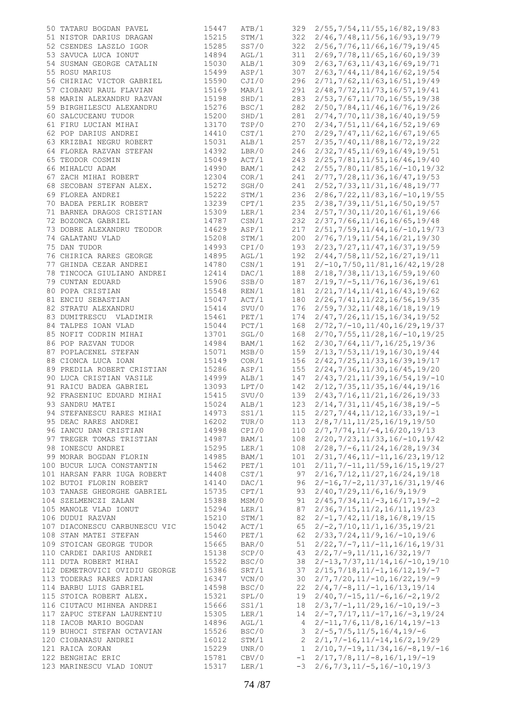| 50 TATARU BOGDAN PAVEL        | 15447 | ATB/1 | 329          | 2/55, 7/54, 11/55, 16/82, 19/83                |
|-------------------------------|-------|-------|--------------|------------------------------------------------|
| 51 NISTOR DARIUS DRAGAN       | 15215 | STM/1 | 322          | 2/46,7/48,11/56,16/93,19/79                    |
|                               |       |       |              |                                                |
| 52 CSENDES LASZLO IGOR        | 15285 | SS7/0 | 322          | 2/56, 7/76, 11/66, 16/79, 19/45                |
| 53 SAVUCA LUCA IONUT          | 14894 | AGL/1 | 311          | 2/69, 7/78, 11/65, 16/60, 19/39                |
| 54 SUSMAN GEORGE CATALIN      | 15030 | ALB/1 | 309          | 2/63, 7/63, 11/43, 16/69, 19/71                |
| 55 ROSU MARIUS                | 15499 | ASP/1 | 307          | 2/63, 7/44, 11/84, 16/62, 19/54                |
| 56 CHIRIAC VICTOR GABRIEL     | 15590 | CJI/0 | 296          | 2/71, 7/62, 11/63, 16/51, 19/49                |
|                               |       |       |              |                                                |
| 57 CIOBANU RAUL FLAVIAN       | 15169 | MAR/1 | 291          | 2/48, 7/72, 11/73, 16/57, 19/41                |
| 58 MARIN ALEXANDRU RAZVAN     | 15198 | SHD/1 | 283          | 2/53, 7/67, 11/70, 16/55, 19/38                |
| 59 BIRGHILESCU ALEXANDRU      | 15276 | BSC/1 | 282          | 2/50, 7/84, 11/46, 16/76, 19/26                |
| 60 SALCUCEANU TUDOR           | 15200 | SHD/1 | 281          | 2/74, 7/70, 11/38, 16/40, 19/59                |
| 61 FIRU LUCIAN MIHAI          | 13170 | TSP/0 | 270          | 2/34, 7/51, 11/64, 16/52, 19/69                |
|                               |       |       |              |                                                |
| 62 POP DARIUS ANDREI          | 14410 | CST/1 | 270          | 2/29, 7/47, 11/62, 16/67, 19/65                |
| 63 KRIZBAI NEGRU ROBERT       | 15031 | ALB/1 | 257          | 2/35, 7/40, 11/88, 16/72, 19/22                |
| 64 FLOREA RAZVAN STEFAN       | 14392 | LBR/0 | 246          | 2/32, 7/45, 11/69, 16/49, 19/51                |
| 65 TEODOR COSMIN              | 15049 | ACT/1 | 243          | 2/25, 7/81, 11/51, 16/46, 19/40                |
| 66 MIHALCU ADAM               | 14990 | BAM/1 | 242          | $2/55, 7/80, 11/85, 16/-10, 19/32$             |
|                               |       |       |              |                                                |
| 67 ZACH MIHAI ROBERT          | 12304 | COR/1 | 241          | 2/77, 7/28, 11/36, 16/47, 19/53                |
| 68 SECOBAN STEFAN ALEX.       | 15272 | SGH/0 | 241          | 2/52, 7/33, 11/31, 16/48, 19/77                |
| 69 FLOREA ANDREI              | 15222 | STM/1 | 236          | $2/86$ , $7/22$ , $11/83$ , $16/-10$ , $19/55$ |
| 70 BADEA PERLIK ROBERT        | 13239 | CPT/1 | 235          | 2/38, 7/39, 11/51, 16/50, 19/57                |
|                               | 15309 |       |              | 2/57, 7/30, 11/20, 16/61, 19/66                |
| 71 BARNEA DRAGOS CRISTIAN     |       | LER/1 | 234          |                                                |
| 72 BOZONCA GABRIEL            | 14787 | CSN/1 | 232          | 2/37, 7/66, 11/16, 16/65, 19/48                |
| 73 DOBRE ALEXANDRU TEODOR     | 14629 | ASP/1 | 217          | $2/51, 7/59, 11/44, 16/-10, 19/73$             |
| 74 GALATANU VLAD              | 15208 | STM/1 | 200          | 2/76, 7/19, 11/54, 16/21, 19/30                |
| 75 DAN TUDOR                  | 14993 | CPI/0 | 193          | 2/23, 7/27, 11/47, 16/37, 19/59                |
|                               |       |       |              |                                                |
| 76 CHIRICA RARES GEORGE       | 14895 | AGL/1 | 192          | 2/44, 7/58, 11/52, 16/27, 19/11                |
| 77 GHINDA CEZAR ANDREI        | 14780 | CSN/1 | 191          | $2/-10, 7/50, 11/81, 16/42, 19/28$             |
| 78 TINCOCA GIULIANO ANDREI    | 12414 | DAC/1 | 188          | 2/18, 7/38, 11/13, 16/59, 19/60                |
| 79 CUNTAN EDUARD              | 15906 | SSB/0 | 187          | $2/19, 7/-5, 11/76, 16/36, 19/61$              |
| 80 POPA CRISTIAN              | 15548 | REN/1 | 181          | 2/21, 7/14, 11/41, 16/43, 19/62                |
|                               |       |       |              |                                                |
| 81 ENCIU SEBASTIAN            | 15047 | ACT/1 | 180          | 2/26, 7/41, 11/22, 16/56, 19/35                |
| 82 STRATU ALEXANDRU           | 15414 | SVU/0 | 176          | 2/59, 7/32, 11/48, 16/18, 19/19                |
| 83 DUMITRESCU VLADIMIR        | 15461 | PET/1 | 174          | 2/47, 7/26, 11/15, 16/34, 19/52                |
| 84 TALPES IOAN VLAD           | 15044 | PCT/1 | 168          | $2/72, 7/-10, 11/40, 16/29, 19/37$             |
| 85 NOFIT CODRIN MIHAI         | 13701 | SGL/0 | 168          | $2/70$ , $7/55$ , $11/28$ , $16/-10$ , $19/25$ |
|                               |       |       |              |                                                |
| 86 POP RAZVAN TUDOR           | 14984 | BAM/1 | 162          | 2/30, 7/64, 11/7, 16/25, 19/36                 |
| 87 POPLACENEL STEFAN          | 15071 | MSB/0 | 159          | 2/13, 7/53, 11/19, 16/30, 19/44                |
| 88 CIONCA LUCA IOAN           | 15149 | COR/1 | 156          | 2/42, 7/25, 11/33, 16/39, 19/17                |
| 89 PREDILA ROBERT CRISTIAN    | 15286 | ASP/1 | 155          | 2/24, 7/36, 11/30, 16/45, 19/20                |
| 90 LUCA CRISTIAN VASILE       | 14999 | ALB/1 | 147          | $2/43, 7/21, 11/39, 16/54, 19/-10$             |
|                               |       |       |              |                                                |
| 91 RAICU BADEA GABRIEL        | 13093 | LPT/0 | 142          | 2/12, 7/35, 11/35, 16/44, 19/16                |
| 92 FRASENIUC EDUARD MIHAI     | 15415 | SVU/0 | 139          | 2/43, 7/16, 11/21, 16/26, 19/33                |
| 93 SANDRU MATEI               | 15024 | ALB/1 | 123          | $2/14, 7/31, 11/45, 16/38, 19/-5$              |
| 94 STEFANESCU RARES MIHAI     | 14973 | SS1/1 | 115          | $2/27, 7/44, 11/12, 16/33, 19/-1$              |
| 95 DEAC RARES ANDREI          | 16202 | TUR/0 | 113          | 2/8, 7/11, 11/25, 16/19, 19/50                 |
|                               |       |       |              |                                                |
| 96 IANCU DAN CRISTIAN         | 14998 | CPI/0 | 110          | $2/7, 7/74, 11/ - 4, 16/20, 19/13$             |
| 97 TREGER TOMAS TRISTIAN      | 14987 | BAM/1 | 108          | $2/20$ , $7/23$ , $11/33$ , $16/-10$ , $19/42$ |
| 98 IONESCU ANDREI             | 15295 | LER/1 | 108          | $2/28$ , $7/-6$ , $11/24$ , $16/28$ , $19/34$  |
| 99 MORAR BOGDAN FLORIN        | 14985 | BAM/1 | 101          | $2/31, 7/46, 11/ - 11, 16/23, 19/12$           |
| 100 BUCUR LUCA CONSTANTIN     | 15462 | PET/1 | 101          | $2/11, 7/-11, 11/59, 16/15, 19/27$             |
|                               |       |       |              |                                                |
| 101 HARSAN FARR IUGA ROBERT   | 14408 | CST/1 | 97           | 2/16, 7/12, 11/27, 16/24, 19/18                |
| 102 BUTOI FLORIN ROBERT       | 14140 | DAC/1 | 96           | $2/-16$ , $7/-2$ , $11/37$ , $16/31$ , $19/46$ |
| 103 TANASE GHEORGHE GABRIEL   | 15735 | CPT/1 | 93           | 2/40, 7/29, 11/6, 16/9, 19/9                   |
| 104 SZELMENCZI ZALAN          | 15388 | MSM/0 | 91           | $2/45, 7/34, 11/ - 3, 16/17, 19/ - 2$          |
| 105 MANOLE VLAD IONUT         | 15294 | LER/1 | 87           | 2/36, 7/15, 11/2, 16/11, 19/23                 |
|                               |       |       |              |                                                |
| 106 DUDUI RAZVAN              | 15210 | STM/1 | 82           | $2/-1, 7/42, 11/18, 16/8, 19/15$               |
| 107 DIACONESCU CARBUNESCU VIC | 15042 | ACT/1 | 65           | $2/-2, 7/10, 11/1, 16/35, 19/21$               |
| 108 STAN MATEI STEFAN         | 15460 | PET/1 | 62           | $2/33, 7/24, 11/9, 16/-10, 19/6$               |
| 109 STOICAN GEORGE TUDOR      | 15665 | BAR/0 | 51           | $2/22, 7/-7, 11/-11, 16/16, 19/31$             |
| 110 CARDEI DARIUS ANDREI      | 15138 | SCP/0 | 43           | $2/2, 7/-9, 11/11, 16/32, 19/7$                |
|                               |       |       |              |                                                |
| 111 DUTA ROBERT MIHAI         | 15522 | BSC/0 | 38           | $2/-13, 7/37, 11/14, 16/-10, 19/10$            |
| 112 DEMETROVICI OVIDIU GEORGE | 15386 | SRT/1 | 37           | $2/15, 7/18, 11/-1, 16/12, 19/-7$              |
| 113 TODERAS RARES ADRIAN      | 16347 | VCN/0 | 30           | $2/7, 7/20, 11/-10, 16/22, 19/-9$              |
| 114 BARBU LUIS GABRIEL        | 14598 | BSC/0 | 22           | $2/4, 7/-8, 11/-1, 16/13, 19/14$               |
| 115 STOICA ROBERT ALEX.       | 15321 | SPL/0 | 19           | $2/40, 7/-15, 11/-6, 16/-2, 19/2$              |
|                               |       |       |              |                                                |
| 116 CIUTACU MIHNEA ANDREI     | 15666 | SS1/1 | 18           | $2/3, 7/ -1, 11/29, 16/ -10, 19/ -3$           |
| 117 ZAPUC STEFAN LAURENTIU    | 15305 | LER/1 | 14           | $2/-7, 7/17, 11/-17, 16/-3, 19/24$             |
| 118 IACOB MARIO BOGDAN        | 14896 | AGL/1 | 4            | $2/-11, 7/6, 11/8, 16/14, 19/-13$              |
| 119 BUHOCI STEFAN OCTAVIAN    | 15526 | BSC/0 | 3            | $2/-5, 7/5, 11/5, 16/4, 19/-6$                 |
| 120 CIOBANASU ANDREI          | 16012 | STM/1 | 2            | $2/1, 7/-16, 11/-14, 16/2, 19/29$              |
|                               |       |       |              |                                                |
| 121 RAICA ZORAN               | 15229 | UNR/0 | $\mathbf{1}$ | $2/10, 7/-19, 11/34, 16/-8, 19/-16$            |
| 122 BENGHIAC ERIC             | 15781 | CBV/0 |              | $-1$ 2/17, 7/8, 11/-8, 16/1, 19/-19            |
| 123 MARINESCU VLAD IONUT      | 15317 | LER/1 | -3           | $2/6, 7/3, 11/ - 5, 16/ - 10, 19/3$            |
|                               |       |       |              |                                                |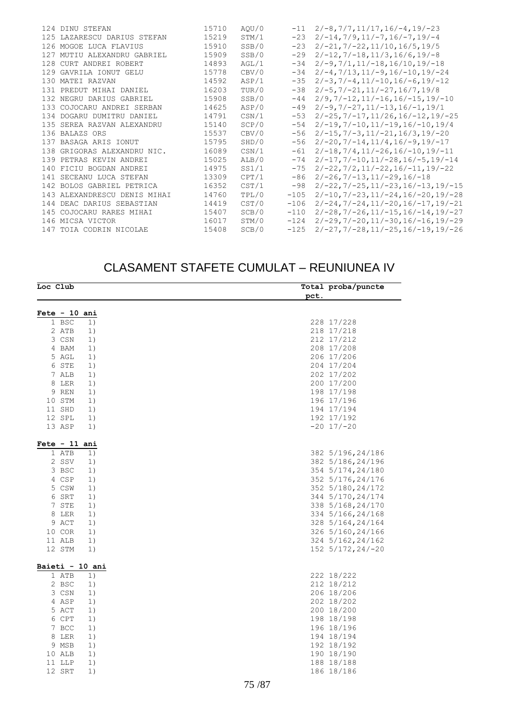|  | 124 DINU STEFAN              | 15710 | AOU/0 | $-11$  | $2/-8, 7/7, 11/17, 16/-4, 19/-23$                  |
|--|------------------------------|-------|-------|--------|----------------------------------------------------|
|  | 125 LAZARESCU DARIUS STEFAN  | 15219 | STM/1 | $-23$  | $2/-14, 7/9, 11/-7, 16/-7, 19/-4$                  |
|  | 126 MOGOE LUCA FLAVIUS       | 15910 | SSB/0 | $-23$  | $2/-21, 7/-22, 11/10, 16/5, 19/5$                  |
|  | 127 MUTIU ALEXANDRU GABRIEL  | 15909 | SSB/0 | $-29$  | $2/-12, 7/-18, 11/3, 16/6, 19/-8$                  |
|  | 128 CURT ANDREI ROBERT       | 14893 | AGL/1 | $-34$  | $2/-9, 7/1, 11/-18, 16/10, 19/-18$                 |
|  | 129 GAVRILA IONUT GELU       | 15778 | CBV/0 | $-34$  | $2/-4, 7/13, 11/-9, 16/-10, 19/-24$                |
|  | 130 MATEI RAZVAN             | 14592 | ASP/1 | $-35$  | $2/-3, 7/-4, 11/-10, 16/-6, 19/-12$                |
|  | 131 PREDUT MIHAI DANIEL      | 16203 | TUR/0 | $-38$  | $2/-5, 7/-21, 11/-27, 16/7, 19/8$                  |
|  | 132 NEGRU DARIUS GABRIEL     | 15908 | SSB/0 | $-44$  | $2/9, 7/ - 12, 11/ - 16, 16/ - 15, 19/ - 10$       |
|  | 133 COJOCARU ANDREI SERBAN   | 14625 | ASP/0 | $-49$  | $2/-9, 7/-27, 11/-13, 16/-1, 19/1$                 |
|  | 134 DOGARU DUMITRU DANIEL    | 14791 | CSN/1 | $-53$  | $2/-25$ , $7/-17$ , $11/26$ , $16/-12$ , $19/-25$  |
|  | 135 SEREA RAZVAN ALEXANDRU   | 15140 | SCP/0 | $-54$  | $2/-19, 7/-10, 11/-19, 16/-10, 19/4$               |
|  | 136 BALAZS ORS               | 15537 | CBV/0 | $-56$  | $2/-15, 7/-3, 11/-21, 16/3, 19/-20$                |
|  | 137 BASAGA ARIS IONUT        | 15795 | SHD/0 | $-56$  | $2/-20, 7/-14, 11/4, 16/-9, 19/-17$                |
|  | 138 GRIGORAS ALEXANDRU NIC.  | 16089 | CSN/1 | $-61$  | $2/-18, 7/4, 11/-26, 16/-10, 19/-11$               |
|  | 139 PETRAS KEVIN ANDREI      | 15025 | ALB/0 | $-74$  | $2/-17, 7/-10, 11/-28, 16/-5, 19/-14$              |
|  | 140 FICIU BOGDAN ANDREI      | 14975 | SS1/1 | $-75$  | $2/-22$ , $7/2$ , $11/-22$ , $16/-11$ , $19/-22$   |
|  | 141 SECEANU LUCA STEFAN      | 13309 | CPT/1 | $-86$  | $2/-26, 7/-13, 11/-29, 16/-18$                     |
|  | 142 BOLOS GABRIEL PETRICA    | 16352 | CST/1 | $-98$  | $2/-22$ , $7/-25$ , $11/-23$ , $16/-13$ , $19/-15$ |
|  | 143 ALEXANDRESCU DENIS MIHAI | 14760 | TPL/0 | $-105$ | $2/-10, 7/-23, 11/-24, 16/-20, 19/-28$             |
|  | 144 DEAC DARIUS SEBASTIAN    | 14419 | CST/0 | $-106$ | $2/-24, 7/-24, 11/-20, 16/-17, 19/-21$             |
|  | 145 COJOCARU RARES MIHAI     | 15407 | SCB/0 | $-110$ | $2/-28$ , $7/-26$ , $11/-15$ , $16/-14$ , $19/-27$ |
|  | 146 MICSA VICTOR             | 16017 | STM/0 | $-124$ | $2/-29, 7/-20, 11/-30, 16/-16, 19/-29$             |
|  | 147 TOIA CODRIN NICOLAE      | 15408 | SCB/0 | $-125$ | $2/-27, 7/-28, 11/-25, 16/-19, 19/-26$             |
|  |                              |       |       |        |                                                    |

### CLASAMENT STAFETE CUMULAT – REUNIUNEA IV

| Loc Club        |    |      | Total proba/puncte |
|-----------------|----|------|--------------------|
|                 |    | pct. |                    |
| Fete $-10$ ani  |    |      |                    |
| 1 BSC           | 1) |      | 228 17/228         |
| 2 ATB           | 1) |      | 218 17/218         |
| 3 CSN           | 1) |      | 212 17/212         |
| 4 BAM           | 1) |      | 208 17/208         |
| 5 AGL           | 1) |      | 206 17/206         |
| 6 STE           | 1) |      | 204 17/204         |
| 7 ALB           | 1) |      | 202 17/202         |
| 8 LER           | 1) |      | 200 17/200         |
| 9 REN           | 1) |      | 198 17/198         |
| 10 STM          | 1) |      | 196 17/196         |
| 11 SHD          | 1) |      | 194 17/194         |
| 12 SPL          | 1) |      | 192 17/192         |
| 13 ASP          | 1) |      | $-20$ 17/ $-20$    |
|                 |    |      |                    |
| Fete - 11 ani   |    |      |                    |
| 1 ATB           | 1) |      | 382 5/196, 24/186  |
| 2 SSV           | 1) |      | 382 5/186, 24/196  |
| 3 BSC           | 1) |      | 354 5/174, 24/180  |
| 4 CSP           | 1) |      | 352 5/176, 24/176  |
| 5 CSW           | 1) |      | 352 5/180, 24/172  |
| 6 SRT           | 1) |      | 344 5/170, 24/174  |
| 7 STE           | 1) |      | 338 5/168, 24/170  |
| 8 LER           | 1) |      | 334 5/166, 24/168  |
| 9 ACT           | 1) |      | 328 5/164, 24/164  |
| 10 COR          | 1) |      | 326 5/160, 24/166  |
| 11 ALB          | 1) |      | 324 5/162, 24/162  |
| 12 STM          | 1) |      | 152 5/172, 24/-20  |
| Baieti - 10 ani |    |      |                    |
| 1 ATB           | 1) |      | 222 18/222         |
| 2 BSC           | 1) |      | 212 18/212         |
| 3 CSN           | 1) |      | 206 18/206         |
| 4 ASP           | 1) |      | 202 18/202         |
| 5 ACT           | 1) |      | 200 18/200         |
| 6 CPT           | 1) |      | 198 18/198         |
| 7 BCC           | 1) |      | 196 18/196         |
| 8 LER           | 1) |      | 194 18/194         |
| 9 MSB           | 1) |      | 192 18/192         |
| 10 ALB          | 1) |      | 190 18/190         |
| 11 LLP          | 1) |      | 188 18/188         |
| 12 SRT          | 1) |      | 186 18/186         |
|                 |    |      |                    |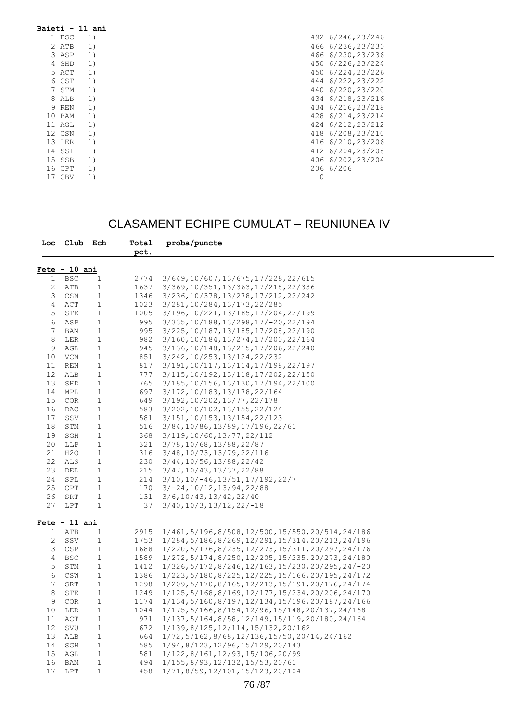| 1 BSC  | 1) |   | 492 6/246, 23/246 |
|--------|----|---|-------------------|
| 2 ATB  | 1) |   | 466 6/236, 23/230 |
| 3 ASP  | 1) |   | 466 6/230, 23/236 |
| 4 SHD  | 1) |   | 450 6/226, 23/224 |
| 5 ACT  | 1) |   | 450 6/224, 23/226 |
| 6 CST  | 1) |   | 444 6/222, 23/222 |
| 7 STM  | 1) |   | 440 6/220, 23/220 |
| 8 ALB  | 1) |   | 434 6/218, 23/216 |
| 9 REN  | 1) |   | 434 6/216, 23/218 |
| 10 BAM | 1) |   | 428 6/214, 23/214 |
| 11 AGL | 1) |   | 424 6/212, 23/212 |
| 12 CSN | 1) |   | 418 6/208, 23/210 |
| 13 LER | 1) |   | 416 6/210, 23/206 |
| 14 SS1 | 1) |   | 412 6/204, 23/208 |
| 15 SSB | 1) |   | 406 6/202, 23/204 |
| 16 CPT | 1) |   | 206 6/206         |
| 17 CBV | 1) | 0 |                   |

## CLASAMENT ECHIPE CUMULAT – REUNIUNEA IV

|                       | Loc Club Ech                  |                  | Total        | proba/puncte                                                                     |
|-----------------------|-------------------------------|------------------|--------------|----------------------------------------------------------------------------------|
|                       |                               |                  | pct.         |                                                                                  |
|                       |                               |                  |              |                                                                                  |
| $\mathbf{1}$          | $Fete - 10 ani$<br><b>BSC</b> |                  | 2774         | 3/649, 10/607, 13/675, 17/228, 22/615                                            |
| 2                     | ATB                           | 1<br>1           | 1637         | 3/369, 10/351, 13/363, 17/218, 22/336                                            |
| 3                     |                               |                  |              |                                                                                  |
| 4                     | CSN<br>ACT                    | 1<br>$\mathbf 1$ | 1346<br>1023 | 3/236, 10/378, 13/278, 17/212, 22/242                                            |
| 5                     | STE                           | $\mathbf{1}$     | 1005         | 3/281, 10/284, 13/173, 22/285                                                    |
| 6                     | ASP                           | 1                | 995          | 3/196, 10/221, 13/185, 17/204, 22/199<br>$3/335, 10/188, 13/298, 17/-20, 22/194$ |
| 7                     | <b>BAM</b>                    | $\mathbf 1$      | 995          | 3/225, 10/187, 13/185, 17/208, 22/190                                            |
| 8                     |                               | $\mathbf 1$      | 982          |                                                                                  |
| 9                     | LER<br>AGL                    | $\mathbf{1}$     | 945          | 3/160, 10/184, 13/274, 17/200, 22/164<br>3/136, 10/148, 13/215, 17/206, 22/240   |
| 10 <sub>1</sub>       | VCN                           | 1                | 851          | 3/242, 10/253, 13/124, 22/232                                                    |
| 11                    | <b>REN</b>                    | $\mathbf 1$      | 817          | 3/191, 10/117, 13/114, 17/198, 22/197                                            |
| 12                    |                               |                  | 777          |                                                                                  |
| 13                    | ALB<br>SHD                    | 1<br>$\mathbf 1$ | 765          | 3/115, 10/192, 13/118, 17/202, 22/150                                            |
|                       |                               |                  |              | 3/185, 10/156, 13/130, 17/194, 22/100                                            |
| 14                    | MPL                           | 1                | 697          | 3/172, 10/183, 13/178, 22/164                                                    |
| 15                    | <b>COR</b>                    | $\mathbf 1$      | 649          | 3/192, 10/202, 13/77, 22/178                                                     |
| 16                    | DAC                           | 1                | 583          | 3/202, 10/102, 13/155, 22/124                                                    |
| 17                    | SSV                           | $\mathbf 1$      | 581          | 3/151, 10/153, 13/154, 22/123                                                    |
| 18                    | STM                           | 1                | 516          | 3/84, 10/86, 13/89, 17/196, 22/61                                                |
| 19                    | SGH                           | $\mathbf 1$      | 368          | 3/119, 10/60, 13/77, 22/112                                                      |
| 20                    | LLP                           | $\mathbf 1$      | 321          | 3/78, 10/68, 13/88, 22/87                                                        |
| 21                    | H2O                           | $\mathbf 1$      | 316          | 3/48, 10/73, 13/79, 22/116                                                       |
| 22                    | ALS                           | $\mathbf{1}$     | 230          | 3/44, 10/56, 13/88, 22/42                                                        |
| 23                    | DEL                           | $\mathbf{1}$     | 215          | 3/47, 10/43, 13/37, 22/88                                                        |
| 24                    | SPL                           | $\mathbf{1}$     | 214          | $3/10$ , $10/-46$ , $13/51$ , $17/192$ , $22/7$                                  |
| 25                    | CPT                           | $\mathbf{1}$     | 170          | $3/-24, 10/12, 13/94, 22/88$                                                     |
| 26                    | SRT                           | $\mathbf{1}$     | 131          | $3/6$ , 10/43, 13/42, 22/40                                                      |
| 27                    | LPT                           | $\mathbf{1}$     | 37           | $3/40, 10/3, 13/12, 22/-18$                                                      |
|                       | $Fete - 11 ani$               |                  |              |                                                                                  |
| $\mathbf{1}$          | ATB                           | 1                | 2915         | 1/461, 5/196, 8/508, 12/500, 15/550, 20/514, 24/186                              |
| 2                     | SSV                           | 1                | 1753         | 1/284, 5/186, 8/269, 12/291, 15/314, 20/213, 24/196                              |
| 3                     | <b>CSP</b>                    | $\mathbf 1$      | 1688         | 1/220, 5/176, 8/235, 12/273, 15/311, 20/297, 24/176                              |
| 4                     | <b>BSC</b>                    | $\mathbf 1$      | 1589         | 1/272, 5/174, 8/250, 12/205, 15/235, 20/273, 24/180                              |
| 5                     | STM                           | $\mathbf{1}$     | 1412         | $1/326$ , 5/172, 8/246, 12/163, 15/230, 20/295, 24/-20                           |
| 6                     | CSW                           | $\mathbf 1$      | 1386         | $1/223, 5/180, 8/225, 12/225, 15/166, 20/195, 24/172$                            |
| 7                     | SRT                           | $\mathbf 1$      | 1298         | 1/209, 5/170, 8/165, 12/213, 15/191, 20/176, 24/174                              |
| 8                     | STE                           | $\mathbf{1}$     | 1249         | 1/125, 5/168, 8/169, 12/177, 15/234, 20/206, 24/170                              |
| 9                     | <b>COR</b>                    | $\mathbf 1$      | 1174         | 1/134, 5/160, 8/197, 12/134, 15/196, 20/187, 24/166                              |
| 10                    | LER                           | 1                | 1044         | 1/175, 5/166, 8/154, 12/96, 15/148, 20/137, 24/168                               |
|                       | ACT                           | $\mathbf 1$      | 971          | 1/137, 5/164, 8/58, 12/149, 15/119, 20/180, 24/164                               |
|                       |                               | 1                | 672          | 1/139, 8/125, 12/114, 15/132, 20/162                                             |
| 11                    |                               |                  |              |                                                                                  |
| 12 <sup>°</sup><br>13 | SVU<br>ALB                    | $\mathbf 1$      | 664          |                                                                                  |
| 14                    |                               |                  |              | $1/72, 5/162, 8/68, 12/136, 15/50, 20/14, 24/162$                                |
|                       | SGH                           | 1                | 585          | 1/94,8/123,12/96,15/129,20/143                                                   |
| 15<br>16              | AGL<br>BAM                    | $\mathbf 1$<br>1 | 581<br>494   | 1/122,8/161,12/93,15/106,20/99<br>1/155, 8/93, 12/132, 15/53, 20/61              |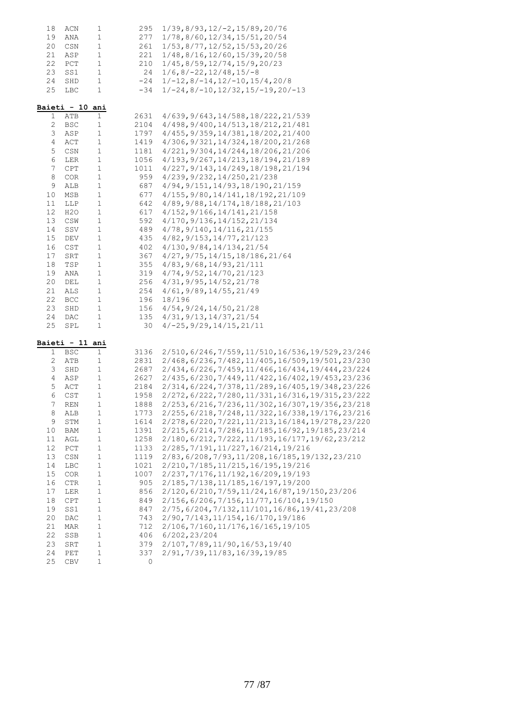| 18      | ACN                                  | 1                          | 295        | $1/39, 8/93, 12/-2, 15/89, 20/76$                                                              |
|---------|--------------------------------------|----------------------------|------------|------------------------------------------------------------------------------------------------|
| 19      | ANA                                  | 1                          | 277        | 1/78,8/60,12/34,15/51,20/54                                                                    |
| 20      | CSN                                  | $\mathbf 1$                | 261        | 1/53,8/77,12/52,15/53,20/26                                                                    |
| 21      | ASP                                  | 1                          | 221        | $1/48$ , $8/16$ , $12/60$ , $15/39$ , $20/58$                                                  |
| 22      | PCT                                  | 1                          | 210        | $1/45$ , 8/59, 12/74, 15/9, 20/23                                                              |
| 23      | $_{\rm SS1}$                         | $\mathbf 1$                | 24         | $1/6$ , 8/-22, 12/48, 15/-8                                                                    |
| 24      | SHD                                  | $\mathbf 1$                | $-24$      | $1/-12, 8/-14, 12/-10, 15/4, 20/8$                                                             |
| 25      | LBC                                  | $\mathbf 1$                | $-34$      | $1/-24, 8/-10, 12/32, 15/-19, 20/-13$                                                          |
|         |                                      |                            |            |                                                                                                |
|         | Baieti - 10 ani                      |                            |            |                                                                                                |
|         | ATB<br>1                             | $\mathbf 1$                | 2631       | 4/639, 9/643, 14/588, 18/222, 21/539                                                           |
|         | $\mathbf{2}$<br><b>BSC</b>           | 1                          | 2104       | 4/498, 9/400, 14/513, 18/212, 21/481                                                           |
|         | 3<br>ASP                             | $\mathbf 1$                | 1797       | 4/455, 9/359, 14/381, 18/202, 21/400                                                           |
|         | $\overline{4}$<br>ACT                | 1                          | 1419       | 4/306, 9/321, 14/324, 18/200, 21/268                                                           |
|         | 5<br>CSN                             | $\mathbf 1$                | 1181       | 4/221, 9/304, 14/244, 18/206, 21/206                                                           |
|         | 6<br>LER                             | $\mathbf 1$                | 1056       | 4/193, 9/267, 14/213, 18/194, 21/189                                                           |
|         | $\overline{7}$<br>$\mathop{\rm CPT}$ | $\mathbf 1$                | 1011       | 4/227, 9/143, 14/249, 18/198, 21/194                                                           |
| $\,8\,$ | COR                                  | 1                          | 959        | 4/239, 9/232, 14/250, 21/238                                                                   |
|         | 9<br>ALB                             | 1                          | 687        | 4/94, 9/151, 14/93, 18/190, 21/159                                                             |
| 10      | MSB                                  | $\mathbf 1$                | 677        | 4/155, 9/80, 14/141, 18/192, 21/109                                                            |
| 11      | LLP                                  | $\mathbf 1$                | 642        | 4/89, 9/88, 14/174, 18/188, 21/103                                                             |
| 12      | H2O                                  | $\mathbf 1$                | 617        | 4/152, 9/166, 14/141, 21/158                                                                   |
| 13      | CSW                                  | $\mathbf 1$                | 592        | 4/170, 9/136, 14/152, 21/134                                                                   |
| 14      | SSV                                  | 1                          | 489        | 4/78, 9/140, 14/116, 21/155                                                                    |
| 15      | DEV                                  | $\mathbf 1$                | 435        | 4/82, 9/153, 14/77, 21/123                                                                     |
| 16      | CST                                  | $\mathbf 1$                | 402        | 4/130, 9/84, 14/134, 21/54                                                                     |
| 17      | SRT                                  | $\mathbf 1$                | 367        | $4/27$ , $9/75$ , $14/15$ , $18/186$ , $21/64$                                                 |
| 18      | TSP                                  | 1                          | 355        | 4/83, 9/68, 14/93, 21/111                                                                      |
| 19      | ANA                                  | 1                          | 319        | 4/74, 9/52, 14/70, 21/123                                                                      |
| 20      | DEL                                  | $\mathbf 1$                | 256        | 4/31, 9/95, 14/52, 21/78                                                                       |
| 21      | ALS                                  | 1                          | 254        | 4/61, 9/89, 14/55, 21/49                                                                       |
| 22      |                                      |                            |            |                                                                                                |
| 23      | <b>BCC</b>                           | $\mathbf 1$<br>$\mathbf 1$ | 196        | 18/196                                                                                         |
| 24      | SHD                                  | $\mathbf 1$                | 156<br>135 | 4/54, 9/24, 14/50, 21/28                                                                       |
| 25      | DAC<br>SPL                           | 1                          | 30         | 4/31, 9/13, 14/37, 21/54<br>$4/-25$ , $9/29$ , $14/15$ , $21/11$                               |
|         |                                      |                            |            |                                                                                                |
|         | Baieti - 11 ani                      |                            |            |                                                                                                |
|         | $\mathbf 1$<br><b>BSC</b>            | 1                          | 3136       | 2/510, 6/246, 7/559, 11/510, 16/536, 19/529, 23/246                                            |
|         | 2<br>ATB                             | 1                          | 2831       | 2/468, 6/236, 7/482, 11/405, 16/509, 19/501, 23/230                                            |
|         | 3<br>SHD                             | $\mathbf 1$                | 2687       | 2/434, 6/226, 7/459, 11/466, 16/434, 19/444, 23/224                                            |
|         | 4<br>ASP                             | 1                          | 2627       | 2/435, 6/230, 7/449, 11/422, 16/402, 19/453, 23/236                                            |
|         | 5<br>ACT                             | $\mathbf 1$                | 2184       | 2/314,6/224,7/378,11/289,16/405,19/348,23/226                                                  |
|         | 6<br>CST                             | $\mathbf 1$                | 1958       | 2/272, 6/222, 7/280, 11/331, 16/316, 19/315, 23/222                                            |
|         | 7<br><b>REN</b>                      | 1                          | 1888       | 2/253, 6/216, 7/236, 11/302, 16/307, 19/356, 23/218                                            |
|         | 8<br>ALB                             | 1                          | 1773       | 2/255, 6/218, 7/248, 11/322, 16/338, 19/176, 23/216                                            |
|         | 9<br>STM                             | $\mathbf 1$                | 1614       | 2/278, 6/220, 7/221, 11/213, 16/184, 19/278, 23/220                                            |
| 10      | BAM                                  | $\mathbf 1$                | 1391       | 2/215, 6/214, 7/286, 11/185, 16/92, 19/185, 23/214                                             |
| 11      | AGL                                  | $\mathbf 1$                | 1258       | 2/180, 6/212, 7/222, 11/193, 16/177, 19/62, 23/212                                             |
| 12      | PCT                                  | $\mathbf 1$                | 1133       | 2/285, 7/191, 11/227, 16/214, 19/216                                                           |
| 13      | CSN                                  | $\mathbf 1$                | 1119       | 2/83, 6/208, 7/93, 11/208, 16/185, 19/132, 23/210                                              |
| 14      | LBC                                  | $\mathbf 1$                | 1021       | 2/210, 7/185, 11/215, 16/195, 19/216                                                           |
| 15      | $_{\rm COR}$                         | $\mathbf 1$                | 1007       | 2/237, 7/176, 11/192, 16/209, 19/193                                                           |
| 16      | CTR                                  | $\mathbf 1$                | 905        | 2/185, 7/138, 11/185, 16/197, 19/200                                                           |
| 17      |                                      | $\mathbf 1$                |            |                                                                                                |
| 18      | LER<br>CPT                           | $\mathbf 1$                | 856<br>849 | 2/120, 6/210, 7/59, 11/24, 16/87, 19/150, 23/206<br>2/156, 6/206, 7/156, 11/77, 16/104, 19/150 |
|         |                                      |                            |            |                                                                                                |
| 19      | SS1                                  | $\mathbf 1$                | 847        | 2/75, 6/204, 7/132, 11/101, 16/86, 19/41, 23/208                                               |
| 20      | $\mathop{\rm DAC}$                   | $\mathbf 1$                | 743        | 2/90, 7/143, 11/154, 16/170, 19/186                                                            |
| 21      | MAR                                  | $\mathbf 1$                | 712        | 2/106, 7/160, 11/176, 16/165, 19/105                                                           |
| 22      | SSB                                  | $\mathbf 1$                | 406        | 6/202, 23/204                                                                                  |
| 23      | SRT                                  | $\mathbf 1$                | 379        | 2/107, 7/89, 11/90, 16/53, 19/40                                                               |
| 24      | PET                                  | $\mathbf 1$                | 337        | 2/91, 7/39, 11/83, 16/39, 19/85                                                                |
| 25      | CBV                                  | $\mathbf 1$                | 0          |                                                                                                |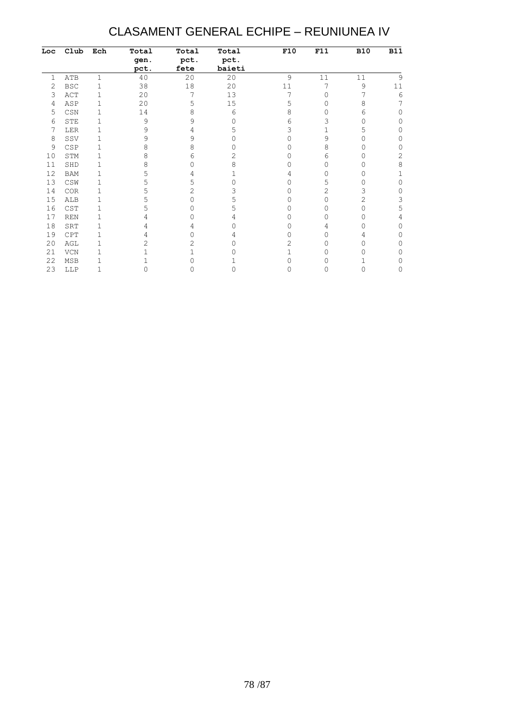## CLASAMENT GENERAL ECHIPE – REUNIUNEA IV

| Loc | Club                        | Ech          | Total | Total    | Total  | F10 | F11 | <b>B10</b> | <b>B11</b> |
|-----|-----------------------------|--------------|-------|----------|--------|-----|-----|------------|------------|
|     |                             |              | gen.  | pct.     | pct.   |     |     |            |            |
|     |                             |              | pct.  | fete     | baieti |     |     |            |            |
| 1   | ATB                         | 1            | 40    | 20       | 20     | 9   | 11  | 11         | 9          |
| 2   | <b>BSC</b>                  | $\mathbf 1$  | 38    | 18       | 20     | 11  | 7   | 9          | 11         |
| 3   | ACT                         | $\mathbf 1$  | 20    | 7        | 13     | 7   | 0   |            | 6          |
| 4   | ASP                         | $\mathbf 1$  | 20    | 5        | 15     | 5   | 0   | 8          | 7          |
| 5   | CSN                         | $\mathbf 1$  | 14    | 8        | 6      | 8   | Ω   | 6          | ∩          |
| 6   | STE                         | 1            | 9     | 9        | Ω      | 6   | 3   | Ω          | 0          |
|     | LER                         | $\mathbf 1$  | 9     | 4        | 5      | 3   | 1   | 5          | U          |
| 8   | SSV                         | $\mathbf 1$  | 9     | 9        |        |     | 9   |            | 0          |
| 9   | CSP                         | $\mathbf 1$  | 8     | 8        |        |     | 8   |            | 0          |
| 10  | STM                         | 1            | 8     | 6        | 2      |     | 6   |            | 2          |
| 11  | SHD                         | 1            | 8     | O        | 8      |     | 0   |            | 8          |
| 12  | <b>BAM</b>                  | 1            | 5     | 4        |        |     | Ω   |            |            |
| 13  | CSW                         | 1            |       | 5        |        |     | 5   |            | 0          |
| 14  | $_{\mbox{\scriptsize COR}}$ | $\mathbf 1$  |       | 2        | 3      |     | 2   | 3          | 0          |
| 15  | ALB                         | 1            |       | 0        |        | Ω   | 0   | 2          | 3          |
| 16  | CST                         | 1            |       | $\Omega$ | 5      |     | 0   |            | 5          |
| 17  | REN                         | 1            |       |          |        |     | Ω   |            |            |
| 18  | SRT                         | 1            |       | 4        |        | Ω   | 4   |            | O          |
| 19  | CPT                         | 1            |       |          | 4      |     | Ω   | 4          | ∩          |
| 20  | AGL                         | $\mathbf 1$  |       | 2        |        | 2   |     |            | 0          |
| 21  | VCN                         | $\mathbf{1}$ |       |          |        |     |     |            | 0          |
| 22  | MSB                         | 1            |       |          |        |     |     |            | 0          |
| 23  | LLP                         | 1            |       |          |        |     |     |            | 0          |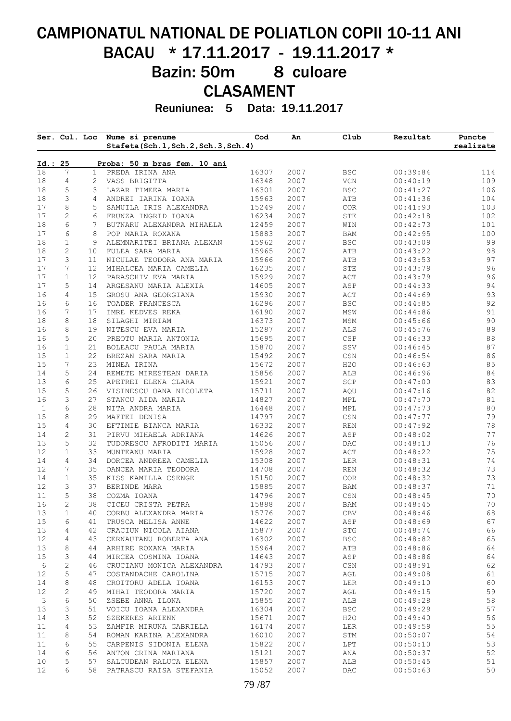# CAMPIONATUL NATIONAL DE POLIATLON COPII 10-11 ANI BACAU \* 17.11.2017 - 19.11.2017 \* Bazin: 50m 8 culoare CLASAMENT

Reuniunea: 5 Data: 19.11.2017

|              |                  | Ser. Cul. Loc   | Nume si prenume<br>Stafeta(Sch.1, Sch.2, Sch.3, Sch.4) | Cod            | An           | Club                        | Rezultat             | Puncte<br>realizate |
|--------------|------------------|-----------------|--------------------------------------------------------|----------------|--------------|-----------------------------|----------------------|---------------------|
| Id.: 25      |                  |                 | Proba: 50 m bras fem. 10 ani                           |                |              |                             |                      |                     |
| 18           | 7                | $\mathbf{1}$    | PREDA IRINA ANA                                        | 16307          | 2007         | <b>BSC</b>                  | 00:39:84             | 114                 |
| 18           | $\overline{4}$   | $\overline{2}$  | VASS BRIGITTA                                          | 16348          | 2007         | $\rm VCN$                   | 00:40:19             | 109                 |
| 18           | 5                | 3               | LAZAR TIMEEA MARIA                                     | 16301          | 2007         | <b>BSC</b>                  | 00:41:27             | 106                 |
| 18           | 3                | 4               | ANDREI IARINA IOANA                                    | 15963          | 2007         | ATB                         | 00:41:36             | 104                 |
| 17           | 8                | 5               | SAMUILA IRIS ALEXANDRA                                 | 15249          | 2007         | COR                         | 00:41:93             | 103                 |
| 17           | $\sqrt{2}$       | 6               | FRUNZA INGRID IOANA                                    | 16234          | 2007         | STE                         | 00:42:18             | 102                 |
| 18           | 6                | 7               | BUTNARU ALEXANDRA MIHAELA                              | 12459          | 2007         | WIN                         | 00:42:73             | 101                 |
| 17<br>18     | 6<br>$\mathbf 1$ | 8<br>9          | POP MARIA ROXANA<br>ALEMNARITEI BRIANA ALEXAN          | 15883<br>15962 | 2007<br>2007 | BAM<br><b>BSC</b>           | 00:42:95<br>00:43:09 | 100<br>99           |
| 18           | $\mathbf{2}$     | 10              | FULEA SARA MARIA                                       | 15965          | 2007         | ATB                         | 00:43:22             | 98                  |
| 17           | 3                | 11              | NICULAE TEODORA ANA MARIA                              | 15966          | 2007         | ATB                         | 00:43:53             | 97                  |
| 17           | 7                | 12 <sup>2</sup> | MIHALCEA MARIA CAMELIA                                 | 16235          | 2007         | ${\tt STE}$                 | 00:43:79             | 96                  |
| 17           | $\mathbf{1}$     | 12 <sup>°</sup> | PARASCHIV EVA MARIA                                    | 15929          | 2007         | ACT                         | 00:43:79             | 96                  |
| 17           | 5                | 14              | ARGESANU MARIA ALEXIA                                  | 14605          | 2007         | ASP                         | 00:44:33             | 94                  |
| 16           | 4                | 15 <sub>1</sub> | GROSU ANA GEORGIANA                                    | 15930          | 2007         | ACT                         | 00:44:69             | 93                  |
| 16           | 6                | 16              | TOADER FRANCESCA                                       | 16296          | 2007         | <b>BSC</b>                  | 00:44:85             | 92                  |
| 16           | 7                | 17              | IMRE KEDVES REKA                                       | 16190          | 2007         | MSW                         | 00:44:86             | 91                  |
| 18           | 8                | 18              | SILAGHI MIRIAM                                         | 16373          | 2007         | MSM                         | 00:45:66             | 90                  |
| 16           | 8                | 19              | NITESCU EVA MARIA                                      | 15287          | 2007         | ALS                         | 00:45:76             | 89                  |
| 16           | 5                | 20              | PREOTU MARIA ANTONIA                                   | 15695          | 2007         | CSP                         | 00:46:33             | 88                  |
| 16           | $\mathbf 1$      | 21              | BOLEACU PAULA MARIA                                    | 15870          | 2007         | SSV                         | 00:46:45             | 87                  |
| 15           | $\mathbf 1$      | 22              | BREZAN SARA MARIA                                      | 15492          | 2007         | CSN                         | 00:46:54             | 86                  |
| 15           | 7                | 23              | MINEA IRINA                                            | 15672          | 2007         | H2O                         | 00:46:63             | 85                  |
| 14           | 5                | 24              | REMETE MIRESTEAN DARIA                                 | 15856          | 2007         | ALB                         | 00:46:96             | 84                  |
| 13           | 6                | 25              | APETREI ELENA CLARA                                    | 15921          | 2007         | $\operatorname{SCP}$        | 00:47:00             | 83                  |
| 15           | 5                | 26              | VISINESCU OANA NICOLETA                                | 15711          | 2007         | AQU                         | 00:47:16             | 82                  |
| 16           | 3                | 27              | STANCU AIDA MARIA                                      | 14827          | 2007         | MPL                         | 00:47:70             | 81                  |
| $\mathbf{1}$ | 6                | 28              | NITA ANDRA MARIA                                       | 16448          | 2007         | MPL                         | 00:47:73             | 80                  |
| 15           | 8                | 29              | MAFTEI DENISA                                          | 14797          | 2007         | CSN                         | 00:47:77             | 79                  |
| 15           | 4                | 30              | EFTIMIE BIANCA MARIA                                   | 16332          | 2007         | $\mathop{\rm REN}\nolimits$ | 00:47:92             | 78                  |
| 14           | $\mathbf{2}$     | 31              | PIRVU MIHAELA ADRIANA                                  | 14626          | 2007         | ASP                         | 00:48:02             | 77                  |
| 13           | 5                | 32              | TUDORESCU AFRODITI MARIA                               | 15056          | 2007         | DAC                         | 00:48:13             | 76                  |
| 12           | $\mathbf 1$      | 33              | MUNTEANU MARIA                                         | 15928          | 2007         | ACT                         | 00:48:22             | 75                  |
| 14           | 4                | 34              | DORCEA ANDREEA CAMELIA                                 | 15308          | 2007         | LER                         | 00:48:31             | 74                  |
| 12           | 7                | 35              | OANCEA MARIA TEODORA                                   | 14708          | 2007         | REN                         | 00:48:32             | 73                  |
| 14           | $\mathbf{1}$     | 35              | KISS KAMILLA CSENGE                                    | 15150          | 2007         | COR                         | 00:48:32             | 73                  |
| 12           | 3                | 37              | BERINDE MARA                                           | 15885          | 2007         | BAM                         | 00:48:37             | 71                  |
| 11           | 5                | 38              | COZMA IOANA                                            | 14796          | 2007         | CSN                         | 00:48:45             | 70                  |
| 16           | 2                | 38              | CICEU CRISTA PETRA                                     | 15888          | 2007         | BAM                         | 00:48:45             | 70                  |
| 13           | $\mathbf 1$      | 40              | CORBU ALEXANDRA MARIA                                  | 15776          | 2007         | CBV                         | 00:48:46             | 68                  |
| 15           | 6                | 41              | TRUSCA MELISA ANNE                                     | 14622          | 2007         | ASP                         | 00:48:69             | 67                  |
| 13           | 4                | 42              | CRACIUN NICOLA AIANA                                   | 15877          | 2007         | STG                         | 00:48:74             | 66                  |
| 12           | 4                | 43              | CERNAUTANU ROBERTA ANA                                 | 16302          | 2007         | <b>BSC</b>                  | 00:48:82<br>00:48:86 | 65                  |
| 13<br>15     | 8<br>3           | 44<br>44        | ARHIRE ROXANA MARIA<br>MIRCEA COSMINA IOANA            | 15964<br>14643 | 2007<br>2007 | ATB<br>ASP                  | 00:48:86             | 64<br>64            |
| 6            | $\mathbf{2}$     | 46              | CRUCIANU MONICA ALEXANDRA                              | 14793          | 2007         | CSN                         | 00:48:91             | 62                  |
| 12           | 5                | 47              | COSTANDACHE CAROLINA                                   | 15715          | 2007         | AGL                         | 00:49:08             | 61                  |
| 14           | 8                | 48              | CROITORU ADELA IOANA                                   | 16153          | 2007         | LER                         | 00:49:10             | 60                  |
| 12           | 2                | 49              | MIHAI TEODORA MARIA                                    | 15720          | 2007         | AGL                         | 00:49:15             | 59                  |
| 3            | 6                | 50              | ZSEBE ANNA ILONA                                       | 15855          | 2007         | ALB                         | 00:49:28             | 58                  |
| 13           | 3                | 51              | VOICU IOANA ALEXANDRA                                  | 16304          | 2007         | <b>BSC</b>                  | 00:49:29             | 57                  |
| 14           | 3                | 52              | SZEKERES ARIENN                                        | 15671          | 2007         | H2O                         | 00:49:40             | 56                  |
| 11           | 4                | 53              | ZAMFIR MIRUNA GABRIELA                                 | 16174          | 2007         | LER                         | 00:49:59             | 55                  |
| 11           | 8                | 54              | ROMAN KARINA ALEXANDRA                                 | 16010          | 2007         | STM                         | 00:50:07             | 54                  |
| 11           | 6                | 55              | CARPENIS SIDONIA ELENA                                 | 15822          | 2007         | LPT                         | 00:50:10             | 53                  |
|              |                  |                 |                                                        | 15121          | 2007         | ANA                         | 00:50:37             | 52                  |
|              |                  |                 |                                                        |                |              |                             |                      |                     |
| 14<br>10     | 6<br>5           | 56<br>57        | ANTON CRINA MARIANA<br>SALCUDEAN RALUCA ELENA          | 15857          | 2007         | ALB                         | 00:50:45             | 51                  |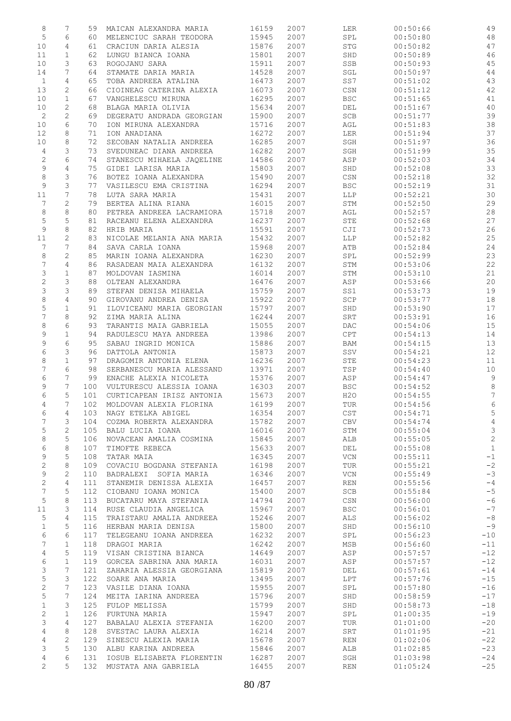| 8                                | 7              | 59         | MAICAN ALEXANDRA MARIA                          | 16159          | 2007         | LER                  | 00:50:66             | 49             |
|----------------------------------|----------------|------------|-------------------------------------------------|----------------|--------------|----------------------|----------------------|----------------|
| $\mathsf S$                      | 6              | 60         | MELENCIUC SARAH TEODORA                         | 15945          | 2007         | SPL                  | 00:50:80             | 48             |
| 10                               | 4              | 61         | CRACIUN DARIA ALESIA                            | 15876          | 2007         | STG                  | 00:50:82             | 47             |
| 11                               | $\mathbf{1}$   | 62         | LUNGU BIANCA IOANA                              | 15801          | 2007         | SHD                  | 00:50:89             | 46             |
| 10                               | 3              | 63         | ROGOJANU SARA                                   | 15911          | 2007         | SSB                  | 00:50:93             | 45             |
| 14                               | 7              | 64         | STAMATE DARIA MARIA                             | 14528          | 2007         | SGL                  | 00:50:97             | 44             |
| $\mathbf{1}$                     | $\overline{4}$ | 65         | TOBA ANDREEA ATALINA                            | 16473          | 2007         | SS7                  | 00:51:02             | 43             |
| 13                               | $\mathbf{2}$   | 66         | CIOINEAG CATERINA ALEXIA                        | 16073          | 2007         | CSN                  | 00:51:12             | 42             |
| 10                               | $\mathbf{1}$   | 67         | VANGHELESCU MIRUNA                              | 16295          | 2007         | <b>BSC</b>           | 00:51:65             | 41             |
| 10                               | 2              | 68         | BLAGA MARIA OLIVIA                              | 15634          | 2007         | DEL                  | 00:51:67             | 40             |
| $\mathbf{2}$                     | 2              | 69         | DEGERATU ANDRADA GEORGIAN                       | 15900          | 2007         | SCB                  | 00:51:77             | 39             |
| 10                               | 6              | 70         | ION MIRUNA ALEXANDRA                            | 15716          | 2007         | AGL                  | 00:51:83             | 38             |
| 12                               | 8              | 71         | ION ANADIANA                                    | 16272          | 2007         | LER                  | 00:51:94             | 37             |
| 10                               | 8              | 72         | SECOBAN NATALIA ANDREEA                         | 16285          | 2007         | SGH                  | 00:51:97             | 36             |
| $\overline{4}$                   | 3<br>6         | 73         | SVEDUNEAC DIANA ANDREEA                         | 16282          | 2007         | SGH                  | 00:51:99             | 35<br>34       |
| $\sqrt{2}$<br>$\mathsf 9$        | $\overline{4}$ | 74<br>75   | STANESCU MIHAELA JAQELINE<br>GIDEI LARISA MARIA | 14586<br>15803 | 2007<br>2007 | ASP<br>SHD           | 00:52:03<br>00:52:08 | 33             |
| $\,8\,$                          | 3              | 76         | BOTEZ IOANA ALEXANDRA                           | 15490          | 2007         | CSN                  | 00:52:18             | 32             |
| 9                                | 3              | 77         | VASILESCU EMA CRISTINA                          | 16294          | 2007         | <b>BSC</b>           | 00:52:19             | 31             |
| 11                               | 7              | 78         | LUTA SARA MARIA                                 | 15431          | 2007         | LLP                  | 00:52:21             | 30             |
| 7                                | $\overline{c}$ | 79         | BERTEA ALINA RIANA                              | 16015          | 2007         | STM                  | 00:52:50             | 29             |
| $\,8\,$                          | 8              | 80         | PETREA ANDREEA LACRAMIORA                       | 15718          | 2007         | AGL                  | 00:52:57             | 28             |
| 5                                | 5              | 81         | RACEANU ELENA ALEXANDRA                         | 16237          | 2007         | STE                  | 00:52:68             | 27             |
| $\mathsf 9$                      | 8              | 82         | HRIB MARIA                                      | 15591          | 2007         | CJI                  | 00:52:73             | 26             |
| 11                               | 2              | 83         | NICOLAE MELANIA ANA MARIA                       | 15432          | 2007         | LLP                  | 00:52:82             | 25             |
| 7                                | 7              | 84         | SAVA CARLA IOANA                                | 15968          | 2007         | ATB                  | 00:52:84             | 24             |
| 8                                | $\sqrt{2}$     | 85         | MARIN IOANA ALEXANDRA                           | 16230          | 2007         | SPL                  | 00:52:99             | 23             |
| 7                                | 4              | 86         | RASADEAN MAIA ALEXANDRA                         | 16132          | 2007         | STM                  | 00:53:06             | 22             |
| 3                                | $\mathbf 1$    | 87         | MOLDOVAN IASMINA                                | 16014          | 2007         | STM                  | 00:53:10             | 21             |
| $\sqrt{2}$                       | 3              | 88         | OLTEAN ALEXANDRA                                | 16476          | 2007         | ASP                  | 00:53:66             | 20             |
| 3                                | 3              | 89         | STEFAN DENISA MIHAELA                           | 15759          | 2007         | SS1                  | 00:53:73             | 19             |
| $\,8\,$                          | $\overline{4}$ | 90         | GIROVANU ANDREA DENISA                          | 15922          | 2007         | $\operatorname{SCP}$ | 00:53:77             | 18             |
| 5                                | $\mathbf{1}$   | 91         | ILOVICEANU MARIA GEORGIAN                       | 15797          | 2007         | SHD                  | 00:53:90             | 17             |
| $\overline{7}$                   | 8              | 92         | ZIMA MARIA ALINA                                | 16244          | 2007         | ${\tt SRT}$          | 00:53:91             | 16             |
| 8                                | 6              | 93         | TARANTIS MAIA GABRIELA                          | 15055          | 2007         | DAC.                 | 00:54:06             | 15             |
| 9                                | $\mathbf{1}$   | 94         | RADULESCU MAYA ANDREEA                          | 13986          | 2007         | CPT                  | 00:54:13             | 14             |
| 9                                | 6              | 95         | SABAU INGRID MONICA                             | 15886          | 2007         | BAM                  | 00:54:15             | 13             |
| 6                                | 3              | 96         | DATTOLA ANTONIA                                 | 15873          | 2007         | SSV                  | 00:54:21             | 12             |
| 8                                | $\mathbf 1$    | 97         | DRAGOMIR ANTONIA ELENA                          | 16236          | 2007         | STE                  | 00:54:23             | 11             |
| $\overline{7}$                   | 6              | 98         | SERBANESCU MARIA ALESSAND                       | 13971          | 2007         | TSP                  | 00:54:40             | $10$           |
| 6                                | 7              | 99         | ENACHE ALEXIA NICOLETA                          | 15376          | 2007         | ASP                  | 00:54:47             | $\,9$          |
| 9                                | 7              | 100        | VULTURESCU ALESSIA IOANA                        | 16303          | 2007         | <b>BSC</b>           | 00:54:52             | $\,8\,$        |
| 6                                | 5              | 101        | CURTICAPEAN IRISZ ANTONIA                       | 15673          | 2007         | H20                  | 00:54:55             | $\overline{7}$ |
| 4                                | 7              | 102        | MOLDOVAN ALEXIA FLORINA                         | 16199          | 2007         | TUR                  | 00:54:56             | $\sqrt{6}$     |
| 6                                | 4              | 103        | NAGY ETELKA ABIGEL                              | 16354          | 2007         | CST                  | 00:54:71             | 5              |
| 7                                | 3              | 104        | COZMA ROBERTA ALEXANDRA                         | 15782          | 2007         | CBV                  | 00:54:74             | $\overline{4}$ |
| 5                                | $\mathbf{2}$   | 105        | BALU LUCIA IOANA                                | 16016          | 2007         | STM                  | 00:55:04             | $\mathsf 3$    |
| 8                                | 5              | 106        | NOVACEAN AMALIA COSMINA                         | 15845          | 2007         | ALB                  | 00:55:05             | $\mathbf{2}$   |
| 6                                | 8              | 107        | TIMOFTE REBECA                                  | 15633          | 2007         | DEL                  | 00:55:08             | $\mathbf{1}$   |
| 9                                | 5              | 108        | TATAR MAIA                                      | 16345          | 2007         | <b>VCN</b>           | 00:55:11             | $-1$           |
| 2                                | 8              | 109        | COVACIU BOGDANA STEFANIA                        | 16198          | 2007         | TUR                  | 00:55:21             | $-2$           |
| 9                                | $\mathbf{2}$   | 110        | BADRALEXI SOFIA MARIA                           | 16346          | 2007         | <b>VCN</b>           | 00:55:49             | $-3$           |
| $\mathbf{2}$                     | 4              | 111        | STANEMIR DENISSA ALEXIA                         | 16457          | 2007         | <b>REN</b>           | 00:55:56             | $-4$           |
| 7                                | 5              | 112        | CIOBANU IOANA MONICA                            | 15400          | 2007         | SCB                  | 00:55:84             | $-5$           |
| $\mathsf S$                      | 8              | 113        | BUCATARU MAYA STEFANIA                          | 14794          | 2007         | CSN                  | 00:56:00             | $-6$           |
| 11                               | 3              | 114        | RUSE CLAUDIA ANGELICA                           | 15967          | 2007         | <b>BSC</b>           | 00:56:01             | $-7$           |
| 5                                | 4              | 115        | TRAISTARU AMALIA ANDREEA                        | 15246          | 2007         | ALS                  | 00:56:02             | $-8$           |
| $\mathbf 1$                      | 5              | 116        | HERBAN MARIA DENISA                             | 15800          | 2007         | SHD                  | 00:56:10             | $-9$           |
| 6                                | 6              | 117        | TELEGEANU IOANA ANDREEA                         | 16232          | 2007         | SPL                  | 00:56:23             | $-10$          |
| 7                                | $\mathbf{1}$   | 118        | DRAGOI MARIA                                    | 16242          | 2007         | MSB                  | 00:56:60             | $-11$          |
| 4                                | 5              | 119        | VISAN CRISTINA BIANCA                           | 14649          | 2007         | ASP                  | 00:57:57             | $-12$          |
| 6                                | $\mathbf{1}$   | 119        | GORCEA SABRINA ANA MARIA                        | 16031          | 2007         | ASP                  | 00:57:57             | $-12$          |
| 3                                | 7              | 121        | ZAHARIA ALESSIA GEORGIANA                       | 15819          | 2007         | DEL                  | 00:57:61             | $-14$          |
| 5                                | 3              | 122        | SOARE ANA MARIA                                 | 13495          | 2007         | LPT                  | 00:57:76             | $-15$          |
| 2                                | 7              | 123        | VASILE DIANA IOANA                              | 15955          | 2007         | SPL                  | 00:57:80             | $-16$          |
| 5                                | 7              | 124        | MEITA IARINA ANDREEA                            | 15796          | 2007         | SHD                  | 00:58:59             | $-17$          |
| $\mathbf 1$                      | 3              | 125        | FULOP MELISSA                                   | 15799          | 2007         | SHD                  | 00:58:73             | $-18$          |
| 2                                | $\mathbf{1}$   | 126        | FURTUNA MARIA                                   | 15947          | 2007         | SPL                  | 01:00:35             | $-19$          |
| 3                                | 4              | 127        | BABALAU ALEXIA STEFANIA                         | 16200          | 2007         | TUR                  | 01:01:00             | $-20$          |
| $\overline{4}$                   | 8              | 128        | SVESTAC LAURA ALEXIA                            | 16214          | 2007         | SRT                  | 01:01:95             | $-21$          |
| $\overline{4}$                   | $\mathbf{2}$   | 129        | SINESCU ALEXIA MARIA                            | 15678          | 2007         | <b>REN</b>           | 01:02:06             | $-22$          |
| 3                                | 5<br>6         | 130        | ALBU KARINA ANDREEA                             | 15846          | 2007         | ALB                  | 01:02:85             | $-23$          |
| $\overline{4}$<br>$\overline{2}$ | 5              | 131<br>132 | IOSUB ELISABETA FLORENTIN                       | 16287          | 2007<br>2007 | SGH<br><b>REN</b>    | 01:03:98<br>01:05:24 | $-24$<br>$-25$ |
|                                  |                |            | MUSTATA ANA GABRIELA                            | 16455          |              |                      |                      |                |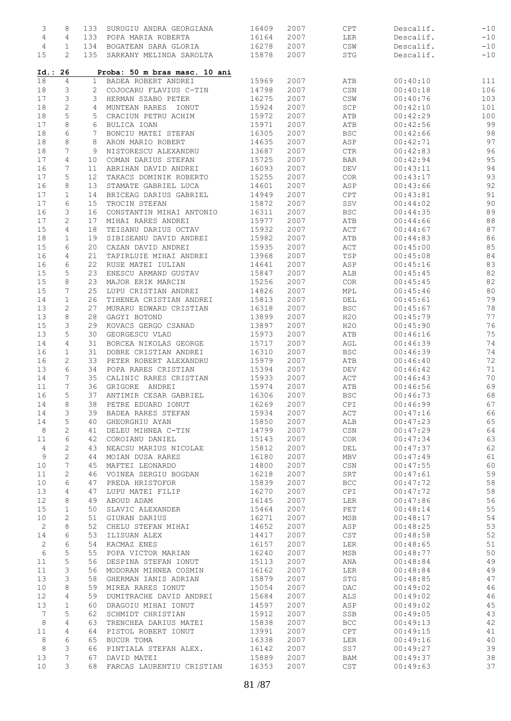| 3              | 8                 | 133          | SURUGIU ANDRA GEORGIANA                        | 16409          | 2007         | CPT                              | Descalif.            | $-10$    |
|----------------|-------------------|--------------|------------------------------------------------|----------------|--------------|----------------------------------|----------------------|----------|
| $\overline{4}$ | 4                 | 133          | POPA MARIA ROBERTA                             | 16164          | 2007         | LER                              | Descalif.            | $-10$    |
| 4              | 1                 | 134          | BOGATEAN SARA GLORIA                           | 16278          | 2007         | $\mathbb{CSW}$                   | Descalif.            | $-10$    |
| 15             | 2                 | 135          | SARKANY MELINDA SAROLTA                        | 15878          | 2007         | $\operatorname{STG}$             | Descalif.            | $-10$    |
| Id.: 26        |                   |              | Proba: 50 m bras masc. 10 ani                  |                |              |                                  |                      |          |
| 18             | 4                 | $\mathbf{1}$ | BADEA ROBERT ANDREI                            | 15969          | 2007         | ATB                              | 00:40:10             | 111      |
| 18             | 3                 | 2            | COJOCARU FLAVIUS C-TIN                         | 14798          | 2007         | CSN                              | 00:40:18             | 106      |
| 17             | 3                 | 3            | HERMAN SZABO PETER                             | 16275          | 2007         | $\mathbb{CSW}$                   | 00:40:76             | 103      |
| 18             | $\mathbf{2}$      | 4            | MUNTEAN RARES IONUT                            | 15924          | 2007         | SCP                              | 00:42:10             | 101      |
| 18             | 5                 | 5            | CRACIUN PETRU ACHIM                            | 15972          | 2007         | ATB                              | 00:42:29             | 100      |
| 17             | 8                 | 6            | BULICA IOAN                                    | 15971          | 2007         | ATB                              | 00:42:56             | 99       |
| 18             | 6                 | 7            | BONCIU MATEI STEFAN                            | 16305          | 2007         | <b>BSC</b>                       | 00:42:66             | 98       |
| 18             | 8                 | 8            | ARON MARIO ROBERT                              | 14635          | 2007         | ASP                              | 00:42:71             | 97       |
| 18             | 7                 | 9            | NISTORESCU ALEXANDRU                           | 13687          | 2007         | $\mathsf{CTR}\xspace$            | 00:42:83             | 96       |
| 17             | 4                 | 10           | COMAN DARIUS STEFAN                            | 15725          | 2007         | <b>BAR</b>                       | 00:42:94             | 95       |
| 16             | 7                 | 11           | ABRIHAN DAVID ANDREI                           | 16093          | 2007         | DEV                              | 00:43:11             | 94       |
| 17             | 5                 | 12           | TAKACS DOMINIK ROBERTO                         | 15255          | 2007         | COR.                             | 00:43:17             | 93       |
| 16             | 8                 | 13           | STAMATE GABRIEL LUCA                           | 14601          | 2007         | ASP                              | 00:43:66             | 92       |
| 17             | $\mathbf{1}$      | 14           | BRICEAG DARIUS GABRIEL                         | 14949          | 2007         | CPT                              | 00:43:81             | 91       |
| 17             | 6                 | 15           | TROCIN STEFAN                                  | 15872          | 2007         | SSV                              | 00:44:02<br>00:44:35 | 90       |
| 16             | 3                 | 16           | CONSTANTIN MIHAI ANTONIO                       | 16311          | 2007         | <b>BSC</b>                       |                      | 89       |
| 17             | 2                 | 17           | MIHAI RARES ANDREI                             | 15977          | 2007         | ATB                              | 00:44:66             | 88<br>87 |
| 15<br>18       | 4<br>$\mathbf{1}$ | 18<br>19     | TEISANU DARIUS OCTAV<br>SIBISEANU DAVID ANDREI | 15932<br>15982 | 2007<br>2007 | ACT<br>ATB                       | 00:44:67<br>00:44:83 | 86       |
| 15             | 6                 |              | CAZAN DAVID ANDREI                             | 15935          | 2007         | ACT                              | 00:45:00             | 85       |
| 16             | 4                 | 20<br>21     | TAPIRLUIE MIHAI ANDREI                         | 13968          | 2007         | TSP                              | 00:45:08             | 84       |
| 16             | 6                 | 22           | RUSE MATEI IULIAN                              | 14641          | 2007         | ASP                              | 00:45:16             | 83       |
| 15             | 5                 | 23           | ENESCU ARMAND GUSTAV                           | 15847          | 2007         | ALB                              | 00:45:45             | 82       |
| 15             | 8                 | 23           | MAJOR ERIK MARCIN                              | 15256          | 2007         | COR                              | 00:45:45             | 82       |
| 15             | 7                 | 25           | LUPU CRISTIAN ANDREI                           | 14826          | 2007         | MPL                              | 00:45:46             | 80       |
| 14             | 1                 | 26           | TIHENEA CRISTIAN ANDREI                        | 15813          | 2007         | DEL                              | 00:45:61             | 79       |
| 13             | 2                 | 27           | MURARU EDWARD CRISTIAN                         | 16318          | 2007         | <b>BSC</b>                       | 00:45:67             | 78       |
| 13             | 8                 | 28           | GAGYI BOTOND                                   | 13899          | 2007         | H2O                              | 00:45:79             | 77       |
| 15             | 3                 | 29           | KOVACS GERGO CSANAD                            | 13897          | 2007         | H2O                              | 00:45:90             | 76       |
| 13             | 5                 | 30           | GEORGESCU VLAD                                 | 15973          | 2007         | ATB                              | 00:46:16             | 75       |
| 14             | 4                 | 31           | BORCEA NIKOLAS GEORGE                          | 15717          | 2007         | AGL                              | 00:46:39             | 74       |
| 16             | 1                 | 31           | DOBRE CRISTIAN ANDREI                          | 16310          | 2007         | <b>BSC</b>                       | 00:46:39             | 74       |
| 16             | 2                 | 33           | PETER ROBERT ALEXANDRU                         | 15979          | 2007         | ATB                              | 00:46:40             | 72       |
| 13             | 6                 | 34           | POPA RARES CRISTIAN                            | 15394          | 2007         | DEV                              | 00:46:42             | 71       |
| 14             | 7                 | 35           | CALINIC RARES CRISTIAN                         | 15933          | 2007         | ACT                              | 00:46:43             | 70       |
| 11             | 7                 | 36           | GRIGORE ANDREI                                 | 15974          | 2007         | ATB                              | 00:46:56             | 69       |
| 16             | 5                 | 37           | ANTIMIR CESAR GABRIEL                          | 16306          | 2007         | <b>BSC</b>                       | 00:46:73             | 68       |
| 14             | 8                 | 38           | PETRE EDUARD IONUT                             | 16269          | 2007         | <b>CPI</b>                       | 00:46:99             | 67       |
| 14             | 3                 | 39           | BADEA RARES STEFAN                             | 15934          | 2007         | ACT                              | 00:47:16             | 66       |
| 14             | 5                 | 40           | GHEORGHIU AYAN                                 | 15850          | 2007         | ALB                              | 00:47:23             | 65       |
| 8              | $\mathbf{2}$      | 41           | DELEU MIHNEA C-TIN                             | 14799          | 2007         | $\mathbb{C}\mathbb{S}\mathbb{N}$ | 00:47:29             | 64       |
| 11             | 6                 | 42           | COROIANU DANIEL                                | 15143          | 2007         | COR                              | 00:47:34             | 63       |
| 4              | 2                 | 43           | NEACSU MARIUS NICOLAE                          | 15812          | 2007         | DEL                              | 00:47:37             | 62       |
| 9              | $\sqrt{2}$        | 44           | MOIAN DUSA RARES                               | 16180          | 2007         | MBV                              | 00:47:49             | 61       |
| 10             | 7                 | 45           | MAFTEI LEONARDO                                | 14800          | 2007         | $\mathbb{C}\mathbb{S}\mathbb{N}$ | 00:47:55             | 60       |
| 11             | 2                 | 46           | VOINEA SERGIU BOGDAN                           | 16218          | 2007         | SRT                              | 00:47:61             | 59       |
| 10             | 6                 | 47           | PREDA HRISTOFOR                                | 15839          | 2007         | BCC                              | 00:47:72             | 58       |
| 13             | 4                 | 47           | LUPU MATEI FILIP                               | 16270          | 2007         | CPI                              | 00:47:72             | 58       |
| 12             | 8                 | 49           | ABOUD ADAM                                     | 16145          | 2007         | LER                              | 00:47:86             | 56       |
| 15             | $\mathbf{1}$      | 50           | SLAVIC ALEXANDER                               | 15464          | 2007         | PET                              | 00:48:14             | 55       |
| 10             | 2                 | 51           | GIURAN DARIUS                                  | 16271          | 2007         | MSB                              | 00:48:17             | 54       |
| 2              | 8                 | 52           | CHELU STEFAN MIHAI                             | 14652          | 2007         | ASP                              | 00:48:25             | 53       |
| 14             | 6                 | 53           | ILISUAN ALEX                                   | 14417          | 2007         | CST                              | 00:48:58             | 52       |
| 2              | 6                 | 54           | KACMAZ ENES                                    | 16157          | 2007         | <b>LER</b>                       | 00:48:65             | 51       |
| 6              | 5                 | 55           | POPA VICTOR MARIAN                             | 16240          | 2007         | MSB                              | 00:48:77             | 50       |
| 11             | 5                 | 56           | DESPINA STEFAN IONUT                           | 15113          | 2007         | ANA                              | 00:48:84             | 49       |
| 11             | 3                 | 56           | MODORAN MIHNEA COSMIN                          | 16162          | 2007         | LER                              | 00:48:84             | 49       |
| 13             | 3                 | 58           | GHERMAN IANIS ADRIAN                           | 15879          | 2007         | STG                              | 00:48:85             | 47       |
| 10             | 8                 | 59           | MIREA RARES IONUT                              | 15054          | 2007         | DAC                              | 00:49:02             | 46       |
| 12             | 4                 | 59           | DUMITRACHE DAVID ANDREI                        | 15684          | 2007         | ALS                              | 00:49:02             | 46       |
| 13             | $\mathbf{1}$      | 60           | DRAGOIU MIHAI IONUT                            | 14597          | 2007         | ASP                              | 00:49:02             | 45       |
| 7              | 5<br>4            | 62<br>63     | SCHMIDT CHRISTIAN                              | 15912          | 2007         | SSB                              | 00:49:05             | 43       |
| 8              |                   |              | TRENCHEA DARIUS MATEI                          | 15838          | 2007         | <b>BCC</b>                       | 00:49:13             | 42       |
| 11             | 4                 | 64           | PISTOL ROBERT IONUT                            | 13991          | 2007         | CPT                              | 00:49:15             | 41       |
| 8              | 6                 | 65           | BUCUR TOMA                                     | 16338          | 2007         | LER                              | 00:49:16             | 40       |
| 8              | 3                 | 66           | PINTIALA STEFAN ALEX.                          | 16142          | 2007         | SS7                              | 00:49:27             | 39       |
| 13             | 7                 | 67           | DAVID MATEI                                    | 15889          | 2007         | BAM                              | 00:49:37             | 38<br>37 |
| 10             | 3                 | 68           | FARCAS LAURENTIU CRISTIAN                      | 16353          | 2007         | CST                              | 00:49:63             |          |
|                |                   |              |                                                |                |              |                                  |                      |          |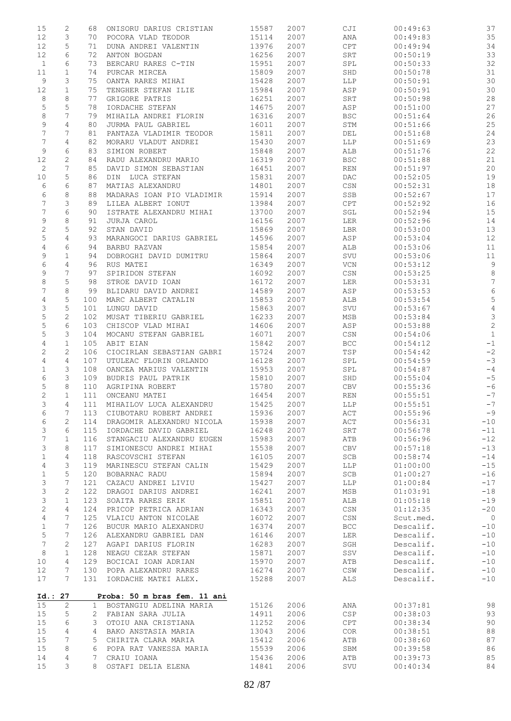| 15               | 2               | 68             | ONISORU DARIUS CRISTIAN      | 15587 | 2007 | CJI                              | 00:49:63  | 37             |
|------------------|-----------------|----------------|------------------------------|-------|------|----------------------------------|-----------|----------------|
| 12               | 3               | 70             | POCORA VLAD TEODOR           | 15114 | 2007 | ANA                              | 00:49:83  | 35             |
|                  |                 |                |                              |       |      |                                  |           |                |
| 12               | 5               | 71             | DUNA ANDREI VALENTIN         | 13976 | 2007 | CPT                              | 00:49:94  | 34             |
| 12               | 6               | 72             | ANTON BOGDAN                 | 16256 | 2007 | SRT                              | 00:50:19  | 33             |
| $\mathbf{1}$     | 6               | 73             | BERCARU RARES C-TIN          | 15951 | 2007 | SPL                              | 00:50:33  | 32             |
| 11               | $\mathbf 1$     | 74             | PURCAR MIRCEA                | 15809 | 2007 | SHD                              | 00:50:78  | $31\,$         |
| 9                | 3               | 75             | OANTA RARES MIHAI            | 15428 | 2007 | <b>LLP</b>                       | 00:50:91  | 30             |
|                  |                 |                |                              |       |      |                                  |           |                |
| 12               | $\mathbf 1$     | 75             | TENGHER STEFAN ILIE          | 15984 | 2007 | ASP                              | 00:50:91  | 30             |
| 8                | 8               | 77             | GRIGORE PATRIS               | 16251 | 2007 | SRT                              | 00:50:98  | 28             |
| 5                | 5               | 78             | IORDACHE STEFAN              | 14675 | 2007 | ASP                              | 00:51:00  | 27             |
| $\,8\,$          | 7               | 79             | MIHAILA ANDREI FLORIN        | 16316 | 2007 | <b>BSC</b>                       | 00:51:64  | 26             |
| 9                | 4               | 80             | JURMA PAUL GABRIEL           | 16011 | 2007 | STM                              | 00:51:66  | 25             |
|                  |                 |                |                              |       |      |                                  |           |                |
| $\boldsymbol{7}$ | 7               | 81             | PANTAZA VLADIMIR TEODOR      | 15811 | 2007 | DEL                              | 00:51:68  | 24             |
| $\overline{7}$   | 4               | 82             | MORARU VLADUT ANDREI         | 15430 | 2007 | LLP                              | 00:51:69  | 23             |
| 9                | 6               | 83             | SIMION ROBERT                | 15848 | 2007 | ALB                              | 00:51:76  | 22             |
| 12               | 2               | 84             | RADU ALEXANDRU MARIO         | 16319 | 2007 | <b>BSC</b>                       | 00:51:88  | 21             |
| $\mathbf{2}$     | 7               | 85             | DAVID SIMON SEBASTIAN        | 16451 | 2007 | <b>REN</b>                       | 00:51:97  | 20             |
| 10               | 5               | 86             | DIN LUCA STEFAN              | 15831 | 2007 | DAC                              | 00:52:05  | 19             |
|                  |                 |                |                              |       |      |                                  |           |                |
| 6                | 6               | 87             | MATIAS ALEXANDRU             | 14801 | 2007 | CSN                              | 00:52:31  | 18             |
| 6                | 8               | 88             | MADARAS IOAN PIO VLADIMIR    | 15914 | 2007 | SSB                              | 00:52:67  | 17             |
| 7                | 3               | 89             | LILEA ALBERT IONUT           | 13984 | 2007 | CPT                              | 00:52:92  | 16             |
| 7                | 6               | 90             | ISTRATE ALEXANDRU MIHAI      | 13700 | 2007 | SGL                              | 00:52:94  | 15             |
| 9                | 8               | 91             | JURJA CAROL                  | 16156 | 2007 | LER                              | 00:52:96  | 14             |
|                  |                 |                |                              |       |      |                                  |           |                |
| $\sqrt{2}$       | 5               | 92             | STAN DAVID                   | 15869 | 2007 | LBR                              | 00:53:00  | 13             |
| 5                | 4               | 93             | MARANGOCI DARIUS GABRIEL     | 14596 | 2007 | ASP                              | 00:53:04  | 12             |
| $\overline{4}$   | 6               | 94             | BARBU RAZVAN                 | 15854 | 2007 | ALB                              | 00:53:06  | 11             |
| 9                | $\mathbf{1}$    | 94             | DOBROGHI DAVID DUMITRU       | 15864 | 2007 | SVU                              | 00:53:06  | $11\,$         |
| 6                | $\overline{4}$  | 96             | RUS MATEI                    | 16349 | 2007 | VCN                              | 00:53:12  | $\overline{9}$ |
|                  |                 |                |                              |       |      |                                  |           |                |
| 9                | 7               | 97             | SPIRIDON STEFAN              | 16092 | 2007 | CSN                              | 00:53:25  | $\,8\,$        |
| 8                | 5               | 98             | STROE DAVID IOAN             | 16172 | 2007 | LER                              | 00:53:31  | $\overline{7}$ |
| 7                | 8               | 99             | BLIDARU DAVID ANDREI         | 14589 | 2007 | ASP                              | 00:53:53  | $\sqrt{6}$     |
| 4                | 5               | 100            | MARC ALBERT CATALIN          | 15853 | 2007 | ALB                              | 00:53:54  | 5              |
| 3                | 5               | 101            | LUNGU DAVID                  | 15863 | 2007 | SVU                              | 00:53:67  | $\sqrt{4}$     |
|                  |                 |                |                              |       |      |                                  |           |                |
| 5                | $\mathbf{2}$    | 102            | MUSAT TIBERIU GABRIEL        | 16233 | 2007 | MSB                              | 00:53:84  | $\mathcal{S}$  |
| 5                | 6               | 103            | CHISCOP VLAD MIHAI           | 14606 | 2007 | ASP                              | 00:53:88  | $\overline{c}$ |
| 5                | 3               | 104            | MOCANU STEFAN GABRIEL        | 16071 | 2007 | $\mathbb{C}\mathbb{S}\mathbb{N}$ | 00:54:06  | $\,1\,$        |
| 4                | $\mathbf{1}$    | 105            | ABIT EIAN                    | 15842 | 2007 | <b>BCC</b>                       | 00:54:12  | $-1$           |
| $\mathbf{2}$     | 2               | 106            | CIOCIRLAN SEBASTIAN GABRI    | 15724 | 2007 | TSP                              | 00:54:42  | $-2$           |
| 4                | 4               | 107            | UTULEAC FLORIN ORLANDO       | 16128 | 2007 | SPL                              | 00:54:59  | $-3$           |
|                  |                 |                |                              |       |      |                                  |           |                |
| $\mathbf 1$      | 3               | 108            | OANCEA MARIUS VALENTIN       | 15953 | 2007 | SPL                              | 00:54:87  | $-4$           |
| 6                | 3               | 109            | BUDRIS PAUL PATRIK           | 15810 | 2007 | SHD                              | 00:55:04  | $-5$           |
| 5                | 8               | 110            | AGRIPINA ROBERT              | 15780 | 2007 | CBV                              | 00:55:36  | $-6$           |
| 2                | $\mathbf 1$     | 111            | ONCEANU MATEI                | 16454 | 2007 | <b>REN</b>                       | 00:55:51  | $-7$           |
| 3                | $\overline{4}$  | 111            | MIHAILOV LUCA ALEXANDRU      | 15425 | 2007 | <b>LLP</b>                       | 00:55:51  | $-7$           |
|                  |                 |                |                              |       |      |                                  |           |                |
| 6                | 7               | 113            | CIUBOTARU ROBERT ANDREI      | 15936 | 2007 | ACT                              | 00:55:96  | $-9$           |
| 6                | $\mathbf{2}$    | 114            | DRAGOMIR ALEXANDRU NICOLA    | 15938 | 2007 | $\mathtt{ACT}$                   | 00:56:31  | $-10$          |
| 3                | 6               | 115            | IORDACHE DAVID GABRIEL       | 16248 | 2007 | SRT                              | 00:56:78  | $-11$          |
| 7                | $\mathbf{1}$    | 116            | STANGACIU ALEXANDRU EUGEN    | 15983 | 2007 | ATB                              | 00:56:96  | $-12$          |
| 3                | 8               | 117            | SIMIONESCU ANDREI MIHAI      | 15538 | 2007 | <b>CBV</b>                       | 00:57:18  | $-13$          |
|                  |                 |                |                              |       |      |                                  |           |                |
| $\mathbf 1$      | 4               | 118            | RASCOVSCHI STEFAN            | 16105 | 2007 | <b>SCB</b>                       | 00:58:74  | $-14$          |
| $\overline{4}$   | 3               | 119            | MARINESCU STEFAN CALIN       | 15429 | 2007 | <b>LLP</b>                       | 01:00:00  | $-15$          |
| $\mathbf{1}$     | 5               | 120            | BOBARNAC RADU                | 15894 | 2007 | SCB                              | 01:00:27  | $-16$          |
| 3                | 7               | 121            | CAZACU ANDREI LIVIU          | 15427 | 2007 | LLP                              | 01:00:84  | $-17$          |
| 3                | $\mathbf{2}$    | 122            | DRAGOI DARIUS ANDREI         | 16241 | 2007 | MSB                              | 01:03:91  | $-18$          |
|                  | $\mathbf{1}$    | 123            | SOAITA RARES ERIK            | 15851 | 2007 |                                  | 01:05:18  | $-19$          |
| 3                |                 |                |                              |       |      | ALB                              |           |                |
| 2                | 4               | 124            | PRICOP PETRICA ADRIAN        | 16343 | 2007 | $\mathbb{C}\mathbb{S}\mathbb{N}$ | 01:12:35  | $-20$          |
| 4                | 7               | 125            | VLAICU ANTON NICOLAE         | 16072 | 2007 | CSN                              | Scut.med. | $\overline{0}$ |
| $\mathbf 1$      | 7               | 126            | BUCUR MARIO ALEXANDRU        | 16374 | 2007 | <b>BCC</b>                       | Descalif. | $-10$          |
| 5                | 7               | 126            | ALEXANDRU GABRIEL DAN        | 16146 | 2007 | LER                              | Descalif. | $-10$          |
| 7                | 2               | 127            | AGAPI DARIUS FLORIN          | 16283 | 2007 | SGH                              | Descalif. | $-10$          |
|                  |                 |                |                              |       |      |                                  |           |                |
| 8                | $\mathbf{1}$    | 128            | NEAGU CEZAR STEFAN           | 15871 | 2007 | SSV                              | Descalif. | $-10$          |
| 10               | 4               | 129            | BOCICAI IOAN ADRIAN          | 15970 | 2007 | ATB                              | Descalif. | $-10$          |
| 12               | 7               | 130            | POPA ALEXANDRU RARES         | 16274 | 2007 | CSW                              | Descalif. | $-10$          |
| 17               | $7\phantom{.0}$ | 131            | IORDACHE MATEI ALEX.         | 15288 | 2007 | ALS.                             | Descalif. | $-10$          |
|                  |                 |                |                              |       |      |                                  |           |                |
|                  | Id.: 27         |                | Proba: 50 m bras fem. 11 ani |       |      |                                  |           |                |
|                  |                 |                |                              |       |      |                                  |           |                |
| 15               | $\mathbf{2}$    | $\mathbf{1}$   | BOSTANGIU ADELINA MARIA      | 15126 | 2006 | ANA                              | 00:37:81  | 98             |
| 15               | 5               | $\mathbf{2}^-$ | FABIAN SARA JULIA            | 14911 | 2006 | <b>CSP</b>                       | 00:38:03  | 93             |
| 15               | 6               | 3              | OTOIU ANA CRISTIANA          | 11252 | 2006 | CPT                              | 00:38:34  | 90             |
| 15               | 4               | 4              | BAKO ANSTASIA MARIA          | 13043 | 2006 | <b>COR</b>                       | 00:38:51  | 88             |
| 15               | 7               | 5              | CHIRITA CLARA MARIA          | 15412 | 2006 | ATB                              | 00:38:60  | 87             |
|                  |                 |                |                              |       |      |                                  |           |                |
| 15               | 8               | 6              | POPA RAT VANESSA MARIA       | 15539 | 2006 | SBM                              | 00:39:58  | 86             |
| 14               | 4               | 7              | CRAIU IOANA                  | 15436 | 2006 | ATB                              | 00:39:73  | 85             |
| 15               | 3               | 8              | OSTAFI DELIA ELENA           | 14841 | 2006 | SVU                              | 00:40:34  | 84             |
|                  |                 |                |                              |       |      |                                  |           |                |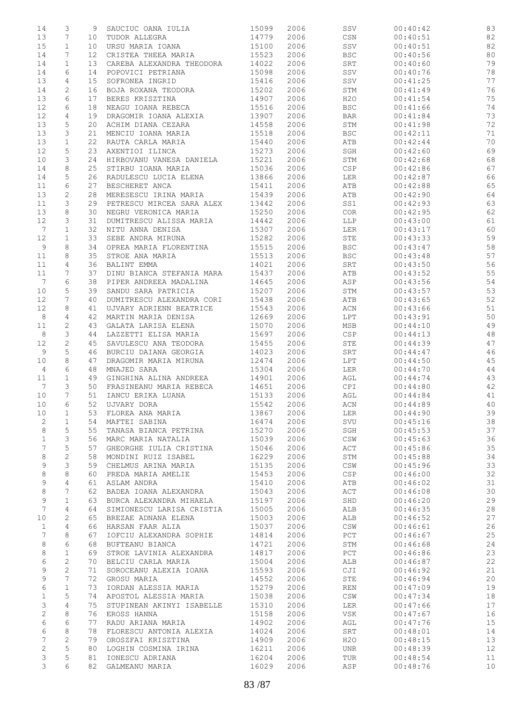| 14              | 3              |                 | SAUCIUC OANA IULIA        | 15099 | 2006 | SSV            | 00:40:42 | 83 |
|-----------------|----------------|-----------------|---------------------------|-------|------|----------------|----------|----|
|                 |                | 9               |                           |       |      |                |          |    |
| 13              | 7              | 10 <sub>o</sub> | TUDOR ALLEGRA             | 14779 | 2006 | CSN            | 00:40:51 | 82 |
| 15              | $\mathbf 1$    | 10              | URSU MARIA IOANA          | 15100 | 2006 | SSV            | 00:40:51 | 82 |
| 14              | 7              | 12 <sup>°</sup> | CRISTEA THEEA MARIA       | 15523 | 2006 | <b>BSC</b>     | 00:40:56 | 80 |
|                 |                |                 |                           |       |      |                |          |    |
| 14              | $\mathbf{1}$   | 13              | CAREBA ALEXANDRA THEODORA | 14022 | 2006 | SRT            | 00:40:60 | 79 |
| 14              | 6              | 14              | POPOVICI PETRIANA         | 15098 | 2006 | SSV            | 00:40:76 | 78 |
| 13              | 4              | 15              | SOFRONEA INGRID           | 15416 | 2006 | SSV            | 00:41:25 | 77 |
| 14              | $\mathbf{2}$   | 16              | BOJA ROXANA TEODORA       | 15202 | 2006 | STM            | 00:41:49 | 76 |
|                 |                |                 |                           |       |      |                |          |    |
| 13              | 6              | 17              | BERES KRISZTINA           | 14907 | 2006 | H2O            | 00:41:54 | 75 |
| 12              | 6              | 18              | NEAGU IOANA REBECA        | 15516 | 2006 | <b>BSC</b>     | 00:41:66 | 74 |
| 12              | 4              | 19              | DRAGOMIR IOANA ALEXIA     | 13907 | 2006 | <b>BAR</b>     | 00:41:84 | 73 |
| 13              | 5              | 20              | ACHIM DIANA CEZARA        | 14558 | 2006 | STM            | 00:41:98 | 72 |
|                 |                |                 |                           |       |      |                |          |    |
| 13              | 3              | 21              | MENCIU IOANA MARIA        | 15518 | 2006 | <b>BSC</b>     | 00:42:11 | 71 |
| 13              | $\mathbf 1$    | 22              | RAUTA CARLA MARIA         | 15440 | 2006 | ATB            | 00:42:44 | 70 |
| 12              | 5              | 23              | AXENTIOI ILINCA           | 15273 | 2006 | SGH            | 00:42:60 | 69 |
| 10              | 3              | 24              | HIRBOVANU VANESA DANIELA  | 15221 | 2006 | STM            | 00:42:68 | 68 |
| 14              | 8              | 25              | STIRBU IOANA MARIA        | 15036 | 2006 | <b>CSP</b>     | 00:42:86 | 67 |
|                 |                |                 |                           |       |      |                |          |    |
| 14              | 5              | 26              | RADULESCU LUCIA ELENA     | 13866 | 2006 | LER            | 00:42:87 | 66 |
| 11              | 6              | 27              | BESCHERET ANCA            | 15411 | 2006 | ATB            | 00:42:88 | 65 |
| 13              | $\mathbf{2}$   | 28              | MERESESCU IRINA MARIA     | 15439 | 2006 | ATB            | 00:42:90 | 64 |
| 11              | 3              | 29              | PETRESCU MIRCEA SARA ALEX | 13442 | 2006 | SS1            | 00:42:93 | 63 |
|                 |                |                 |                           |       |      |                |          |    |
| 13              | 8              | 30              | NEGRU VERONICA MARIA      | 15250 | 2006 | COR            | 00:42:95 | 62 |
| 12              | 3              | 31              | DUMITRESCU ALISSA MARIA   | 14442 | 2006 | <b>LLP</b>     | 00:43:00 | 61 |
| $7\phantom{.0}$ | $\mathbf{1}$   | 32              | NITU ANNA DENISA          | 15307 | 2006 | LER            | 00:43:17 | 60 |
| 12              | $\mathbf{1}$   | 33              | SEBE ANDRA MIRUNA         | 15282 | 2006 | STE            | 00:43:33 | 59 |
|                 |                |                 | OPREA MARIA FLORENTINA    |       |      |                |          |    |
| 9               | 8              | 34              |                           | 15515 | 2006 | <b>BSC</b>     | 00:43:47 | 58 |
| 11              | 8              | 35              | STROE ANA MARIA           | 15513 | 2006 | <b>BSC</b>     | 00:43:48 | 57 |
| 11              | 4              | 36              | BALINT EMMA               | 14021 | 2006 | SRT            | 00:43:50 | 56 |
| 11              | 7              | 37              | DINU BIANCA STEFANIA MARA | 15437 | 2006 | ATB            | 00:43:52 | 55 |
| $7\phantom{.0}$ | 6              | 38              | PIPER ANDREEA MADALINA    | 14645 | 2006 | ASP            | 00:43:56 | 54 |
|                 |                |                 |                           |       |      |                |          |    |
| 10              | 5              | 39              | SANDU SARA PATRICIA       | 15207 | 2006 | STM            | 00:43:57 | 53 |
| 12              | 7              | 40              | DUMITRESCU ALEXANDRA CORI | 15438 | 2006 | ATB            | 00:43:65 | 52 |
| 12              | 8              | 41              | UJVARY ADRIENN BEATRICE   | 15543 | 2006 | ACN            | 00:43:66 | 51 |
| 8               | $\overline{4}$ | 42              | MARTIN MARIA DENISA       | 12669 | 2006 | LPT            | 00:43:91 | 50 |
|                 |                |                 |                           |       |      |                |          |    |
| 11              | $\mathbf{2}$   | 43              | GALATA LARISA ELENA       | 15070 | 2006 | MSB            | 00:44:10 | 49 |
| 8               | 3              | 44              | LAZZETTI ELISA MARIA      | 15697 | 2006 | CSP            | 00:44:13 | 48 |
| 12              | $\overline{c}$ | 45              | SAVULESCU ANA TEODORA     | 15455 | 2006 | STE            | 00:44:39 | 47 |
| 9               | 5              | 46              | BURCIU DAIANA GEORGIA     | 14023 | 2006 | SRT            | 00:44:47 | 46 |
|                 |                |                 |                           |       | 2006 |                |          |    |
| 10              | 8              | 47              | DRAGOMIR MARIA MIRUNA     | 12474 |      | LPT            | 00:44:50 | 45 |
| 4               | 6              | 48              | MNAJED SARA               | 15304 | 2006 | LER            | 00:44:70 | 44 |
| 11              | $\mathbf 1$    | 49              | GINGHINA ALINA ANDREEA    | 14901 | 2006 | AGL            | 00:44:74 | 43 |
| $7\phantom{.0}$ | 3              | 50              | FRASINEANU MARIA REBECA   | 14651 | 2006 | CPI            | 00:44:80 | 42 |
|                 | 7              |                 |                           |       |      |                |          |    |
| 10              |                | 51              | IANCU ERIKA LUANA         | 15133 | 2006 | AGL            | 00:44:84 | 41 |
| 10              | 6              | 52              | UJVARY DORA               | 15542 | 2006 | ACN            | 00:44:89 | 40 |
| 10              | 1              | 53              | FLOREA ANA MARIA          | 13867 | 2006 | LER            | 00:44:90 | 39 |
| 2               | $\mathbf 1$    | 54              | MAFTEI SABINA             | 16474 | 2006 | SVU            | 00:45:16 | 38 |
| 8               | 5              | 55              | TANASA BIANCA PETRINA     | 15270 | 2006 | SGH            | 00:45:53 | 37 |
|                 |                |                 |                           |       |      |                |          |    |
| $\mathbf 1$     | 3              | 56              | MARC MARIA NATALIA        | 15039 | 2006 | CSW            | 00:45:63 | 36 |
| 7               | 5              | 57              | GHEORGHE IULIA CRISTINA   | 15046 | 2006 | ACT            | 00:45:86 | 35 |
| 8               | $\sqrt{2}$     | 58              | MONDINI RUIZ ISABEL       | 16229 | 2006 | STM            | 00:45:88 | 34 |
| 9               | 3              | 59              | CHELMUS ARINA MARIA       | 15135 | 2006 | $\mathbb{CSW}$ | 00:45:96 | 33 |
| 8               | 8              | 60              | PREDA MARIA AMELIE        | 15453 | 2006 | <b>CSP</b>     | 00:46:00 | 32 |
|                 |                |                 |                           |       |      |                |          |    |
| 9               | $\overline{4}$ | 61              | ASLAM ANDRA               | 15410 | 2006 | ATB            | 00:46:02 | 31 |
| 8               | 7              | 62              | BADEA IOANA ALEXANDRA     | 15043 | 2006 | ACT            | 00:46:08 | 30 |
| 9               | $\mathbf{1}$   | 63              | BURCA ALEXANDRA MIHAELA   | 15197 | 2006 | SHD            | 00:46:20 | 29 |
| $\overline{7}$  | 4              | 64              | SIMIONESCU LARISA CRISTIA | 15005 | 2006 | ALB            | 00:46:35 | 28 |
|                 |                |                 |                           |       |      |                |          |    |
| 10              | 2              | 65              | BREZAE ADNANA ELENA       | 15003 | 2006 | ALB            | 00:46:52 | 27 |
| $\mathbf{1}$    | 4              | 66              | HARSAN FAAR ALIA          | 15037 | 2006 | CSW            | 00:46:61 | 26 |
| 7               | 8              | 67              | IOFCIU ALEXANDRA SOPHIE   | 14814 | 2006 | PCT            | 00:46:67 | 25 |
| 8               | 6              | 68              | BUFTEANU BIANCA           | 14721 | 2006 | STM            | 00:46:68 | 24 |
|                 | $\mathbf 1$    |                 | STROE LAVINIA ALEXANDRA   |       | 2006 | PCT            | 00:46:86 | 23 |
| 8               |                | 69              |                           | 14817 |      |                |          |    |
| 6               | $\mathbf{2}$   | 70              | BELCIU CARLA MARIA        | 15004 | 2006 | ALB            | 00:46:87 | 22 |
| 9               | 2              | 71              | SOROCEANU ALEXIA IOANA    | 15593 | 2006 | CJI            | 00:46:92 | 21 |
| 9               | 7              | 72              | GROSU MARIA               | 14552 | 2006 | STE            | 00:46:94 | 20 |
| 6               | $\mathbf 1$    | 73              | IORDAN ALESSIA MARIA      | 15279 | 2006 | REN            | 00:47:09 | 19 |
|                 |                |                 |                           |       |      |                |          |    |
| 1               | 5              | 74              | APOSTOL ALESSIA MARIA     | 15038 | 2006 | $\mathbb{CSW}$ | 00:47:34 | 18 |
| 3               | $\overline{4}$ | 75              | STUPINEAN AKINYI ISABELLE | 15310 | 2006 | LER            | 00:47:66 | 17 |
| 2               | 8              | 76              | EROSS HANNA               | 15158 | 2006 | VSK            | 00:47:67 | 16 |
| 6               | 6              | 77              | RADU ARIANA MARIA         | 14902 | 2006 | AGL            | 00:47:76 | 15 |
| 6               | 8              | 78              | FLORESCU ANTONIA ALEXIA   | 14024 | 2006 | SRT            | 00:48:01 | 14 |
|                 |                |                 |                           |       |      |                |          |    |
| 7               | $\mathbf{2}$   | 79              | OROSZFAI KRISZTINA        | 14909 | 2006 | H2O            | 00:48:15 | 13 |
| $\mathbf{2}$    | 5              | 80              | LOGHIN COSMINA IRINA      | 16211 | 2006 | <b>UNR</b>     | 00:48:39 | 12 |
| 3               | 5              | 81              | IONESCU ADRIANA           | 16204 | 2006 | TUR            | 00:48:54 | 11 |
| 3               | 6              | 82              | GALMEANU MARIA            | 16029 | 2006 | ASP            | 00:48:76 | 10 |
|                 |                |                 |                           |       |      |                |          |    |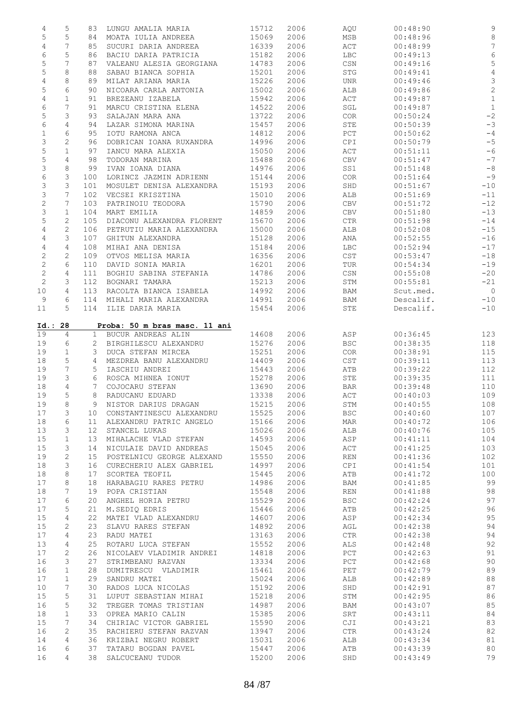| 4              | 5              | 83              | LUNGU AMALIA MARIA                      | 15712          | 2006         | AQU                         | 00:48:90             | $\mathsf 9$     |
|----------------|----------------|-----------------|-----------------------------------------|----------------|--------------|-----------------------------|----------------------|-----------------|
| 5              | $\mathsf S$    | 84              | MOATA IULIA ANDREEA                     | 15069          | 2006         | MSB                         | 00:48:96             | $\,8\,$         |
| 4              | 7              | 85              | SUCURI DARIA ANDREEA                    | 16339          | 2006         | ACT                         | 00:48:99             | $7\phantom{.0}$ |
| 6              | 5              | 86              | BACIU DARIA PATRICIA                    | 15182          | 2006         | LBC                         | 00:49:13             | $\epsilon$      |
| 5              | 7              | 87              | VALEANU ALESIA GEORGIANA                | 14783          | 2006         | CSN                         | 00:49:16             | $\mathsf S$     |
| 5              | 8              | 88              | SABAU BIANCA SOPHIA                     | 15201          | 2006         | <b>STG</b>                  | 00:49:41             | $\sqrt{4}$      |
|                |                |                 |                                         |                |              |                             |                      |                 |
| 4              | 8              | 89              | MILAT ARIANA MARIA                      | 15226          | 2006         | UNR                         | 00:49:46             | $\mathfrak{Z}$  |
| 5              | 6              | 90              | NICOARA CARLA ANTONIA                   | 15002          | 2006         | ALB                         | 00:49:86             | $\overline{c}$  |
| 4              | $\mathbf 1$    | 91              | BREZEANU IZABELA                        | 15942          | 2006         | ACT                         | 00:49:87             | $\mathbf{1}$    |
| 6              | 7              | 91              | MARCU CRISTINA ELENA                    | 14522          | 2006         | SGL                         | 00:49:87             | $\,1\,$         |
| 5              | 3              | 93              | SALAJAN MARA ANA                        | 13722          | 2006         | COR                         | 00:50:24             | $-2$            |
| 6              | 4              | 94              | LAZAR SIMONA MARINA                     | 15457          | 2006         | STE                         | 00:50:39             | $-3$            |
| $\mathbf 1$    | 6              | 95              | IOTU RAMONA ANCA                        | 14812          | 2006         | PCT                         | 00:50:62             | $-4$            |
| 3              | $\mathbf{2}$   | 96              | DOBRICAN IOANA RUXANDRA                 | 14996          | 2006         | CPI                         | 00:50:79             | $-5$            |
|                | $\mathbf 1$    |                 |                                         |                |              |                             |                      | $-6$            |
| 5              |                | 97              | IANCU MARA ALEXIA                       | 15050          | 2006         | ACT                         | 00:51:11             |                 |
| 5              | 4              | 98              | TODORAN MARINA                          | 15488          | 2006         | CBV                         | 00:51:47             | $-7$            |
| 3              | 8              | 99              | IVAN IOANA DIANA                        | 14976          | 2006         | SS1                         | 00:51:48             | $-8$            |
| $\epsilon$     | 3              | 100             | LORINCZ JAZMIN ADRIENN                  | 15144          | 2006         | COR                         | 00:51:64             | $-9$            |
| 3              | 3              | 101             | MOSULET DENISA ALEXANDRA                | 15193          | 2006         | SHD                         | 00:51:67             | $-10$           |
| 3              | 7              | 102             | VECSEI KRISZTINA                        | 15010          | 2006         | ALB                         | 00:51:69             | $-11$           |
| $\sqrt{2}$     | 7              | 103             | PATRINOIU TEODORA                       | 15790          | 2006         | CBV                         | 00:51:72             | $-12$           |
| 3              | $\mathbf{1}$   | 104             | MART EMILIA                             | 14859          | 2006         | CBV                         | 00:51:80             | $-13$           |
| 5              | 2              | 105             | DIACONU ALEXANDRA FLORENT               | 15670          | 2006         | $\mathsf{CTR}\xspace$       | 00:51:98             | $-14$           |
| 4              | $\mathbf{2}$   | 106             | PETRUTIU MARIA ALEXANDRA                | 15000          | 2006         | ALB                         | 00:52:08             | $-15$           |
| 4              | 3              | 107             | GHITUN ALEXANDRA                        | 15128          | 2006         | ANA                         | 00:52:55             | $-16$           |
|                |                |                 |                                         |                |              |                             |                      |                 |
| $\overline{4}$ | 4              | 108             | MIHAI ANA DENISA                        | 15184          | 2006         | <b>LBC</b>                  | 00:52:94             | $-17$           |
| 2              | 2              | 109             | OTVOS MELISA MARIA                      | 16356          | 2006         | CST                         | 00:53:47             | $-18$           |
| $\sqrt{2}$     | 6              | 110             | DAVID SONIA MARIA                       | 16201          | 2006         | TUR                         | 00:54:34             | $-19$           |
| $\sqrt{2}$     | 4              | 111             | BOGHIU SABINA STEFANIA                  | 14786          | 2006         | CSN                         | 00:55:08             | $-20$           |
| $\sqrt{2}$     | 3              | 112             | BOGNARI TAMARA                          | 15213          | 2006         | STM                         | 00:55:81             | $-21$           |
| 10             | $\overline{4}$ | 113             | RACOLTA BIANCA ISABELA                  | 14992          | 2006         | BAM                         | Scut.med.            | $\overline{0}$  |
| 9              | 6              | 114             | MIHALI MARIA ALEXANDRA                  | 14991          | 2006         | BAM                         | Descalif.            | $-10$           |
| 11             | 5              |                 | 114 ILIE DARIA MARIA                    | 15454          | 2006         | STE                         | Descalif.            | $-10$           |
|                |                |                 |                                         |                |              |                             |                      |                 |
| Id.: 28        |                |                 | Proba: 50 m bras masc. 11 ani           |                |              |                             |                      |                 |
| 19             | $\overline{4}$ |                 | BUCUR ANDREAS ALIN                      | 14608          | 2006         | ASP                         | 00:36:45             | 123             |
| 19             |                | 1               |                                         |                |              |                             |                      |                 |
|                |                |                 |                                         |                |              |                             |                      |                 |
|                | 6              | 2               | BIRGHILESCU ALEXANDRU                   | 15276          | 2006         | <b>BSC</b>                  | 00:38:35             | 118             |
| 19             | $\mathbf 1$    | 3               | DUCA STEFAN MIRCEA                      | 15251          | 2006         | COR                         | 00:38:91             | 115             |
| 18             | 5              | $\overline{4}$  | MEZDREA BANU ALEXANDRU                  | 14409          | 2006         | CST                         | 00:39:11             | 113             |
| 19             | 7              | 5               | IASCHIU ANDREI                          | 15443          | 2006         | ATB                         | 00:39:22             | 112             |
| 19             | 3              | 6               | ROSCA MIHNEA IONUT                      | 15278          | 2006         | STE                         | 00:39:35             | 111             |
| 18             | 4              | $7^{\circ}$     | COJOCARU STEFAN                         | 13690          | 2006         | BAR                         | 00:39:48             | 110             |
| 19             | 5              | 8               | RADUCANU EDUARD                         | 13338          | 2006         | ACT                         | 00:40:03             | 109             |
| 19             | 8              | 9               | NISTOR DARIUS DRAGAN                    | 15215          | 2006         | STM                         | 00:40:55             | 108             |
|                |                |                 |                                         |                |              |                             |                      |                 |
| 17             | 3              | 10              | CONSTANTINESCU ALEXANDRU                | 15525          | 2006         | <b>BSC</b>                  | 00:40:60             | 107             |
| 18             | 6              | 11              | ALEXANDRU PATRIC ANGELO                 | 15166          | 2006         | MAR                         | 00:40:72             | 106             |
| 13             | 3              | 12 <sup>°</sup> | STANCEL LUKAS                           | 15026          | 2006         | ALB                         | 00:40:76             | 105             |
| 15             | $\mathbf 1$    | 13              | MIHALACHE VLAD STEFAN                   | 14593          | 2006         | ASP                         | 00:41:11             | 104             |
| 15             | 3              | 14              | NICULAIE DAVID ANDREAS                  | 15045          | 2006         | ACT                         | 00:41:25             | 103             |
| 19             | $\mathbf{2}$   | 15              | POSTELNICU GEORGE ALEXAND               | 15550          | 2006         | $\mathop{\rm REN}\nolimits$ | 00:41:36             | 102             |
| 18             | 3              | 16              | CURECHERIU ALEX GABRIEL                 | 14997          | 2006         | CPI                         | 00:41:54             | 101             |
| 18             | 8              | 17              | SCORTEA TEOFIL                          | 15445          | 2006         | ATB                         | 00:41:72             | 100             |
| 17             | 8              | 18              | HARABAGIU RARES PETRU                   | 14986          | 2006         | BAM                         | 00:41:85             | 99              |
| 18             | 7              | 19              | POPA CRISTIAN                           | 15548          | 2006         | <b>REN</b>                  | 00:41:88             | 98              |
|                | 6              | 20              |                                         | 15529          |              |                             |                      |                 |
| 17             |                |                 | ANGHEL HORIA PETRU                      |                | 2006         | <b>BSC</b>                  | 00:42:24             | 97              |
| 17             | 5              | 21              | M.SEDIQ EDRIS                           | 15446          | 2006         | ATB                         | 00:42:25             | 96              |
| 15             | 4              | 22              | MATEI VLAD ALEXANDRU                    | 14607          | 2006         | ASP                         | 00:42:34             | 95              |
| 15             | $\mathbf{2}$   | 23              | SLAVU RARES STEFAN                      | 14892          | 2006         | AGL                         | 00:42:38             | 94              |
| 17             | 4              | 23              | RADU MATEI                              | 13163          | 2006         | $\mathsf{CTR}\xspace$       | 00:42:38             | 94              |
| 13             | 4              | 25              | ROTARU LUCA STEFAN                      | 15552          | 2006         | ALS                         | 00:42:48             | 92              |
| 17             | 2              | 26              | NICOLAEV VLADIMIR ANDREI                | 14818          | 2006         | PCT                         | 00:42:63             | 91              |
| 16             | 3              | 27              | STRIMBEANU RAZVAN                       | 13334          | 2006         | PCT                         | 00:42:68             | 90              |
| 16             | 1              | 28              | DUMITRESCU VLADIMIR                     | 15461          | 2006         | PET                         | 00:42:79             | 89              |
| 17             | $\mathbf 1$    | 29              | SANDRU MATEI                            | 15024          | 2006         | ALB                         | 00:42:89             | 88              |
| 10             | 7              | 30              | RADOS LUCA NICOLAS                      | 15192          | 2006         | SHD                         | 00:42:91             | 87              |
| 15             | 5              | 31              | LUPUT SEBASTIAN MIHAI                   | 15218          | 2006         | STM                         | 00:42:95             |                 |
|                |                | 32              |                                         |                |              |                             |                      | 86              |
| 16             | 5              |                 | TREGER TOMAS TRISTIAN                   | 14987          | 2006         | BAM                         | 00:43:07             | 85              |
| 18             | $\mathbf 1$    | 33              | OPREA MARIO CALIN                       | 15385          | 2006         | SRT                         | 00:43:11             | 84              |
| 15             | 7              | 34              | CHIRIAC VICTOR GABRIEL                  | 15590          | 2006         | CJI                         | 00:43:21             | 83              |
| 16             | 2              | 35              | RACHIERU STEFAN RAZVAN                  | 13947          | 2006         | <b>CTR</b>                  | 00:43:24             | 82              |
| 14             | 4              | 36              | KRIZBAI NEGRU ROBERT                    | 15031          | 2006         | ALB                         | 00:43:34             | 81              |
| 16<br>16       | 6<br>4         | 37<br>38        | TATARU BOGDAN PAVEL<br>SALCUCEANU TUDOR | 15447<br>15200 | 2006<br>2006 | ATB<br>SHD                  | 00:43:39<br>00:43:49 | 80<br>79        |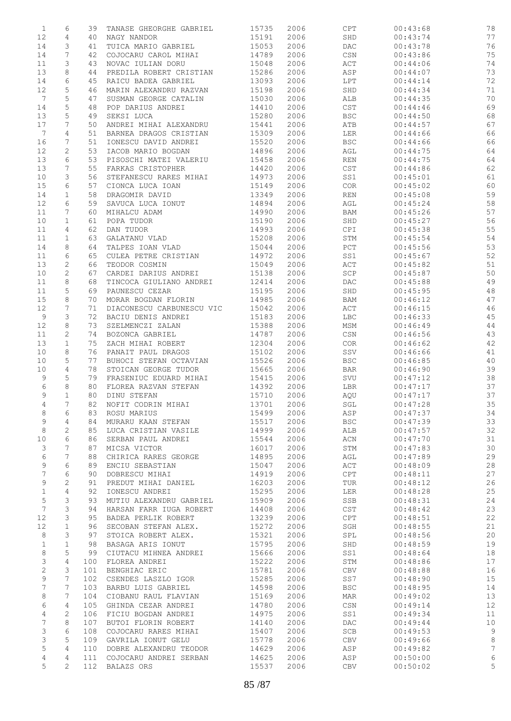| $\mathbf{1}$    | 6              | 39  | TANASE GHEORGHE GABRIEL   | 15735 | 2006 | CPT                              | 00:43:68 | 78 |
|-----------------|----------------|-----|---------------------------|-------|------|----------------------------------|----------|----|
| 12              | 4              | 40  | NAGY NANDOR               | 15191 | 2006 | SHD                              | 00:43:74 | 77 |
| 14              | 3              | 41  | TUICA MARIO GABRIEL       | 15053 | 2006 | $\mathop{\rm DAC}$               | 00:43:78 | 76 |
| 14              | 7              | 42  | COJOCARU CAROL MIHAI      | 14789 | 2006 | CSN                              | 00:43:86 | 75 |
| 11              | 3              | 43  | NOVAC IULIAN DORU         | 15048 | 2006 | ACT                              | 00:44:06 | 74 |
| 13              | 8              | 44  | PREDILA ROBERT CRISTIAN   | 15286 | 2006 | ASP                              | 00:44:07 | 73 |
|                 |                |     |                           |       |      |                                  |          |    |
| 14              | 6              | 45  | RAICU BADEA GABRIEL       | 13093 | 2006 | LPT                              | 00:44:14 | 72 |
| 12              | 5              | 46  | MARIN ALEXANDRU RAZVAN    | 15198 | 2006 | SHD                              | 00:44:34 | 71 |
| $7\phantom{.0}$ | 5              | 47  | SUSMAN GEORGE CATALIN     | 15030 | 2006 | ALB                              | 00:44:35 | 70 |
| 14              | $\mathsf S$    | 48  | POP DARIUS ANDREI         | 14410 | 2006 | CST                              | 00:44:46 | 69 |
| 13              | 5              | 49  | SEKSI LUCA                | 15280 | 2006 | $_{\rm BSC}$                     | 00:44:50 | 68 |
| 17              | 7              | 50  | ANDREI MIHAI ALEXANDRU    | 15441 | 2006 | ATB                              | 00:44:57 | 67 |
| 7               | 4              | 51  | BARNEA DRAGOS CRISTIAN    | 15309 | 2006 | LER                              | 00:44:66 | 66 |
| 16              | 7              | 51  | IONESCU DAVID ANDREI      | 15520 | 2006 | <b>BSC</b>                       | 00:44:66 | 66 |
|                 |                |     |                           |       |      |                                  |          |    |
| 12              | 2              | 53  | IACOB MARIO BOGDAN        | 14896 | 2006 | AGL                              | 00:44:75 | 64 |
| 13              | 6              | 53  | PISOSCHI MATEI VALERIU    | 15458 | 2006 | <b>REN</b>                       | 00:44:75 | 64 |
| 13              | 7              | 55  | FARKAS CRISTOPHER         | 14420 | 2006 | CST                              | 00:44:86 | 62 |
| 10              | 3              | 56  | STEFANESCU RARES MIHAI    | 14973 | 2006 | SS1                              | 00:45:01 | 61 |
| 15              | 6              | 57  | CIONCA LUCA IOAN          | 15149 | 2006 | COR                              | 00:45:02 | 60 |
| 14              | $\mathbf 1$    | 58  | DRAGOMIR DAVID            | 13349 | 2006 | REN                              | 00:45:08 | 59 |
| 12              | 6              | 59  | SAVUCA LUCA IONUT         | 14894 | 2006 | AGL                              | 00:45:24 | 58 |
| 11              | 7              | 60  | MIHALCU ADAM              | 14990 | 2006 | BAM                              | 00:45:26 | 57 |
| 10              | $\mathbf 1$    | 61  | POPA TUDOR                | 15190 | 2006 | SHD                              | 00:45:27 | 56 |
|                 |                |     |                           |       |      |                                  |          |    |
| 11              | 4              | 62  | DAN TUDOR                 | 14993 | 2006 | CPI                              | 00:45:38 | 55 |
| 11              | $\mathbf{1}$   | 63  | GALATANU VLAD             | 15208 | 2006 | STM                              | 00:45:54 | 54 |
| 14              | 8              | 64  | TALPES IOAN VLAD          | 15044 | 2006 | PCT                              | 00:45:56 | 53 |
| 11              | 6              | 65  | CULEA PETRE CRISTIAN      | 14972 | 2006 | SS1                              | 00:45:67 | 52 |
| 13              | 2              | 66  | TEODOR COSMIN             | 15049 | 2006 | ACT                              | 00:45:82 | 51 |
| 10              | $\mathbf{2}$   | 67  | CARDEI DARIUS ANDREI      | 15138 | 2006 | $\ensuremath{\mathsf{SCP}}$      | 00:45:87 | 50 |
| 11              | 8              | 68  | TINCOCA GIULIANO ANDREI   | 12414 | 2006 | $\mathop{\rm DAC}$               | 00:45:88 | 49 |
|                 |                |     |                           |       |      |                                  |          |    |
| 11              | 5              | 69  | PAUNESCU CEZAR            | 15195 | 2006 | SHD                              | 00:45:95 | 48 |
| 15              | 8              | 70  | MORAR BOGDAN FLORIN       | 14985 | 2006 | BAM                              | 00:46:12 | 47 |
| 12              | 7              | 71  | DIACONESCU CARBUNESCU VIC | 15042 | 2006 | $\mathtt{ACT}$                   | 00:46:15 | 46 |
| 9               | 3              | 72  | BACIU DENIS ANDREI        | 15183 | 2006 | LBC                              | 00:46:33 | 45 |
| 12              | 8              | 73  | SZELMENCZI ZALAN          | 15388 | 2006 | MSM                              | 00:46:49 | 44 |
| 11              | 2              | 74  | BOZONCA GABRIEL           | 14787 | 2006 | $\mathbb{C}\mathbb{S}\mathbb{N}$ | 00:46:56 | 43 |
| 13              | $\mathbf 1$    | 75  | ZACH MIHAI ROBERT         | 12304 | 2006 | COR                              | 00:46:62 | 42 |
| 10              | 8              | 76  | PANAIT PAUL DRAGOS        | 15102 | 2006 | SSV                              | 00:46:66 | 41 |
|                 |                |     | BUHOCI STEFAN OCTAVIAN    |       |      |                                  |          |    |
| 10              | 5              | 77  |                           | 15526 | 2006 | <b>BSC</b>                       | 00:46:85 | 40 |
| 10              | 4              | 78  | STOICAN GEORGE TUDOR      | 15665 | 2006 | <b>BAR</b>                       | 00:46:90 | 39 |
| 9               | 5              | 79  | FRASENIUC EDUARD MIHAI    | 15415 | 2006 | SVU                              | 00:47:12 | 38 |
| 6               | 8              | 80  | FLOREA RAZVAN STEFAN      | 14392 | 2006 | LBR                              | 00:47:17 | 37 |
| 9               | $\mathbf{1}$   | 80  | DINU STEFAN               | 15710 | 2006 | AQU                              | 00:47:17 | 37 |
| $\overline{4}$  | 7              | 82  | NOFIT CODRIN MIHAI        | 13701 | 2006 | SGL                              | 00:47:28 | 35 |
| 8               | 6              | 83  | ROSU MARIUS               | 15499 | 2006 | ASP                              | 00:47:37 | 34 |
| 9               | 4              | 84  | MURARU KAAN STEFAN        | 15517 | 2006 | <b>BSC</b>                       | 00:47:39 | 33 |
| $\,8\,$         | 2              | 85  | LUCA CRISTIAN VASILE      | 14999 | 2006 | ALB                              | 00:47:57 | 32 |
|                 | 6              |     |                           |       |      |                                  |          |    |
| 10              |                | 86  | SERBAN PAUL ANDREI        | 15544 | 2006 | ACN                              | 00:47:70 | 31 |
| 3               | 7              | 87  | MICSA VICTOR              | 16017 | 2006 | STM                              | 00:47:83 | 30 |
| 6               | 7              | 88  | CHIRICA RARES GEORGE      | 14895 | 2006 | AGL                              | 00:47:89 | 29 |
| 9               | 6              | 89  | ENCIU SEBASTIAN           | 15047 | 2006 | ACT                              | 00:48:09 | 28 |
| 7               | 6              | 90  | DOBRESCU MIHAI            | 14919 | 2006 | $\tt CPT$                        | 00:48:11 | 27 |
| 9               | 2              | 91  | PREDUT MIHAI DANIEL       | 16203 | 2006 | TUR                              | 00:48:12 | 26 |
| $\mathbf 1$     | $\overline{4}$ | 92  | IONESCU ANDREI            | 15295 | 2006 | LER                              | 00:48:28 | 25 |
| 5               | 3              | 93  | MUTIU ALEXANDRU GABRIEL   | 15909 | 2006 | SSB                              | 00:48:31 | 24 |
| $7\phantom{.0}$ |                |     |                           |       |      |                                  |          |    |
|                 | 3              | 94  | HARSAN FARR IUGA ROBERT   | 14408 | 2006 | CST                              | 00:48:42 | 23 |
| 12              | 3              | 95  | BADEA PERLIK ROBERT       | 13239 | 2006 | CPT                              | 00:48:51 | 22 |
| 12              | $\mathbf{1}$   | 96  | SECOBAN STEFAN ALEX.      | 15272 | 2006 | $\operatorname{\mathsf{SGH}}$    | 00:48:55 | 21 |
| 8               | 3              | 97  | STOICA ROBERT ALEX.       | 15321 | 2006 | SPL                              | 00:48:56 | 20 |
| $\mathbf 1$     | $\mathbf{1}$   | 98  | BASAGA ARIS IONUT         | 15795 | 2006 | SHD                              | 00:48:59 | 19 |
| 8               | 5              | 99  | CIUTACU MIHNEA ANDREI     | 15666 | 2006 | SS1                              | 00:48:64 | 18 |
| 3               | 4              | 100 | FLOREA ANDREI             | 15222 | 2006 | STM                              | 00:48:86 | 17 |
| $\mathbf{2}$    | 3              | 101 | BENGHIAC ERIC             | 15781 | 2006 | ${\tt CBV}$                      | 00:48:88 | 16 |
|                 | 7              |     |                           |       |      |                                  |          |    |
| 9               |                | 102 | CSENDES LASZLO IGOR       | 15285 | 2006 | SS7                              | 00:48:90 | 15 |
| 7               | 7              | 103 | BARBU LUIS GABRIEL        | 14598 | 2006 | <b>BSC</b>                       | 00:48:95 | 14 |
| 8               | 7              | 104 | CIOBANU RAUL FLAVIAN      | 15169 | 2006 | MAR                              | 00:49:02 | 13 |
| 6               | 4              | 105 | GHINDA CEZAR ANDREI       | 14780 | 2006 | CSN                              | 00:49:14 | 12 |
| 4               | 2              | 106 | FICIU BOGDAN ANDREI       | 14975 | 2006 | SS1                              | 00:49:34 | 11 |
| 7               | 8              | 107 | BUTOI FLORIN ROBERT       | 14140 | 2006 | DAC                              | 00:49:44 | 10 |
| 3               | 6              | 108 | COJOCARU RARES MIHAI      | 15407 | 2006 | $_{\rm SCB}$                     | 00:49:53 | 9  |
| 3               | 5              | 109 | GAVRILA IONUT GELU        | 15778 | 2006 | CBV                              | 00:49:66 | 8  |
|                 |                |     |                           |       |      |                                  |          |    |
| 5               | 4              | 110 | DOBRE ALEXANDRU TEODOR    | 14629 | 2006 | ASP                              | 00:49:82 | 7  |
| 4               | 4              | 111 | COJOCARU ANDREI SERBAN    | 14625 | 2006 | ASP                              | 00:50:00 | 6  |
| 5               | $\overline{2}$ | 112 | BALAZS ORS                | 15537 | 2006 | CBV                              | 00:50:02 | 5  |
|                 |                |     |                           |       |      |                                  |          |    |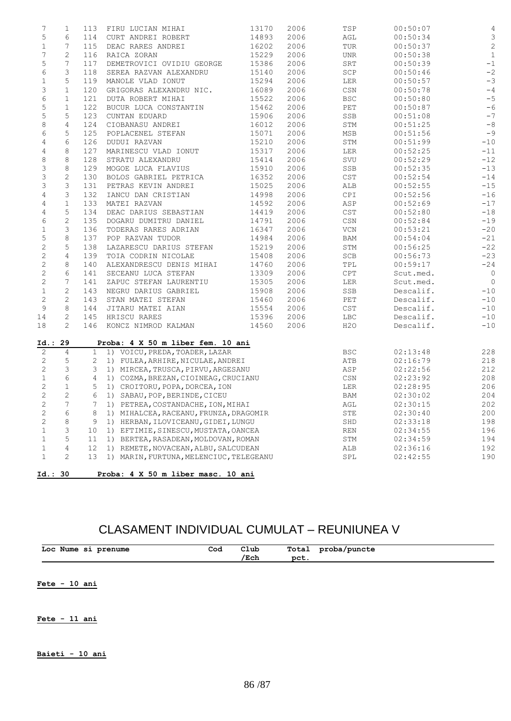| 7                            | 1              | 113         | FIRU LUCIAN MIHAI                                                            | 13170 | 2006 | TSP                         | 00:50:07             | 4              |
|------------------------------|----------------|-------------|------------------------------------------------------------------------------|-------|------|-----------------------------|----------------------|----------------|
| $\mathsf S$                  | 6              | 114         | CURT ANDREI ROBERT                                                           | 14893 | 2006 | AGL                         | 00:50:34             | $\mathsf 3$    |
| $\mathbf 1$                  | 7              | 115         | DEAC RARES ANDREI                                                            | 16202 | 2006 | TUR                         | 00:50:37             | $\sqrt{2}$     |
| 7                            | 2              | 116         | RAICA ZORAN                                                                  | 15229 | 2006 | <b>UNR</b>                  | 00:50:38             | $1\,$          |
| $\mathsf S$                  | 7              | 117         | DEMETROVICI OVIDIU GEORGE                                                    | 15386 | 2006 | SRT                         | 00:50:39             | $^{\rm -1}$    |
| 6                            | 3              | 118         | SEREA RAZVAN ALEXANDRU                                                       | 15140 | 2006 | SCP                         | 00:50:46             | $^{\rm -2}$    |
| $\mathbf 1$                  | 5              | 119         | MANOLE VLAD IONUT                                                            | 15294 | 2006 | LER                         | 00:50:57             | $-3$           |
| $\ensuremath{\mathsf{3}}$    | $\mathbf{1}$   | 120         | GRIGORAS ALEXANDRU NIC.                                                      | 16089 | 2006 | CSN                         | 00:50:78             | $-4$           |
| $\epsilon$                   | $\mathbf{1}$   | 121         | DUTA ROBERT MIHAI                                                            | 15522 | 2006 | <b>BSC</b>                  | 00:50:80             | $-5$           |
| 5                            | $\mathbf 1$    | 122         |                                                                              | 15462 | 2006 | PET                         | 00:50:87             | $-6$           |
|                              | 5              |             | BUCUR LUCA CONSTANTIN                                                        |       |      |                             |                      | $-7$           |
| 5                            |                | 123         | CUNTAN EDUARD                                                                | 15906 | 2006 | SSB                         | 00:51:08             | $-\,8$         |
| $\,8\,$                      | 4              | 124         | CIOBANASU ANDREI                                                             | 16012 | 2006 | STM                         | 00:51:25             |                |
| 6                            | 5              | 125         | POPLACENEL STEFAN                                                            | 15071 | 2006 | MSB                         | 00:51:56             | $-9$           |
| 4                            | 6              | 126         | DUDUI RAZVAN                                                                 | 15210 | 2006 | STM                         | 00:51:99             | $-10$          |
| $\overline{4}$               | 8              | 127         | MARINESCU VLAD IONUT                                                         | 15317 | 2006 | LER                         | 00:52:25             | $-11$          |
| 8                            | 8              | 128         | STRATU ALEXANDRU                                                             | 15414 | 2006 | SVU                         | 00:52:29             | $-12$          |
| 3                            | 8              | 129         | MOGOE LUCA FLAVIUS                                                           | 15910 | 2006 | SSB                         | 00:52:35             | $-13$          |
| $\ensuremath{\mathsf{3}}$    | $\mathbf{2}$   | 130         | BOLOS GABRIEL PETRICA                                                        | 16352 | 2006 | CST                         | 00:52:54             | $-14$          |
| 3                            | 3              | 131         | PETRAS KEVIN ANDREI                                                          | 15025 | 2006 | ALB                         | 00:52:55             | $-15$          |
| $\overline{4}$               | 3              | 132         | IANCU DAN CRISTIAN                                                           | 14998 | 2006 | CPI                         | 00:52:56             | $-16$          |
| 4                            | $\mathbf{1}$   | 133         | MATEI RAZVAN                                                                 | 14592 | 2006 | ASP                         | 00:52:69             | $-17$          |
| 4                            | 5              | 134         | DEAC DARIUS SEBASTIAN                                                        | 14419 | 2006 | $\mathop{\tt CST}\nolimits$ | 00:52:80             | $-18$          |
| 6                            | $\mathbf{2}$   | 135         | DOGARU DUMITRU DANIEL                                                        | 14791 | 2006 | CSN                         | 00:52:84             | $-19$          |
| $\mathbf 1$                  | 3              | 136         | TODERAS RARES ADRIAN                                                         | 16347 | 2006 | VCN                         | 00:53:21             | $-20$          |
| $\mathsf S$                  | 8              | 137         | POP RAZVAN TUDOR                                                             | 14984 | 2006 | BAM                         | 00:54:04             | $-21$          |
| $\sqrt{2}$                   | 5              | 138         | LAZARESCU DARIUS STEFAN                                                      | 15219 | 2006 | STM                         | 00:56:25             | $-22$          |
| $\mathbf{2}$                 | 4              | 139         | TOIA CODRIN NICOLAE                                                          | 15408 | 2006 | SCB                         | 00:56:73             | $-23$          |
| $\sqrt{2}$                   | 8              | 140         | ALEXANDRESCU DENIS MIHAI                                                     | 14760 | 2006 | TPL                         | 00:59:17             | $-24$          |
| $\sqrt{2}$                   | 6              | 141         | SECEANU LUCA STEFAN                                                          | 13309 | 2006 | CPT                         | Scut.med.            | $\overline{0}$ |
| $\mathbf{2}$                 | 7              | 141         | ZAPUC STEFAN LAURENTIU                                                       | 15305 | 2006 | LER                         | Scut.med.            | $\overline{0}$ |
| $\mathbf 1$                  | $\mathbf{2}$   | 143         | NEGRU DARIUS GABRIEL                                                         | 15908 | 2006 | SSB                         | Descalif.            | $-10$          |
| $\sqrt{2}$                   | $\mathbf{2}$   | 143         | STAN MATEI STEFAN                                                            | 15460 | 2006 | PET                         | Descalif.            | $-10$          |
| 9                            | 8              | 144         | JITARU MATEI AIAN                                                            | 15554 | 2006 | CST                         | Descalif.            | $-10$          |
| 14                           | $\mathbf{2}$   | 145         | HRISCU RARES                                                                 | 15396 | 2006 | <b>LBC</b>                  | Descalif.            | $-10$          |
| 18                           | $\overline{2}$ | 146         | KONCZ NIMROD KALMAN                                                          | 14560 | 2006 | H2O                         | Descalif.            | $-10$          |
|                              |                |             | Proba: 4 X 50 m liber fem. 10 ani                                            |       |      |                             |                      |                |
|                              |                |             |                                                                              |       |      |                             |                      | 228            |
| Id.: 29<br>2                 | 4              |             | 1 1) VOICU, PREDA, TOADER, LAZAR                                             |       |      | <b>BSC</b>                  | 02:13:48             |                |
| $\mathbf{2}$                 | 5              |             | 2 1) FULEA, ARHIRE, NICULAE, ANDREI                                          |       |      | ATB                         | 02:16:79             | 218            |
| $\mathbf{2}$                 | 3              | 3           | 1) MIRCEA, TRUSCA, PIRVU, ARGESANU                                           |       |      | ASP                         | 02:22:56             | 212            |
| $\mathbf 1$                  | 6              | 4           | 1) COZMA, BREZAN, CIOINEAG, CRUCIANU                                         |       |      | CSN                         | 02:23:92             | 208            |
|                              | $\mathbf{1}$   | 5           | 1) CROITORU, POPA, DORCEA, ION                                               |       |      | LER                         | 02:28:95             | 206            |
| $\mathbf{2}$                 | 2              | 6           | 1) SABAU, POP, BERINDE, CICEU                                                |       |      | BAM                         | 02:30:02             | 204            |
| $\sqrt{2}$<br>$\overline{2}$ | $\overline{7}$ | $7^{\circ}$ |                                                                              |       |      |                             |                      |                |
|                              |                |             | 1) PETREA, COSTANDACHE, ION, MIHAI<br>1) MIHALCEA, RACEANU, FRUNZA, DRAGOMIR |       |      | AGL                         | 02:30:15             | $202$          |
| $\mathbf{2}$                 | 6              | 8           |                                                                              |       |      | STE                         | 02:30:40             |                |
| $\mathbf{2}$                 | 8              | 9           | 1) HERBAN, ILOVICEANU, GIDEI, LUNGU                                          |       |      | SHD                         | 02:33:18             | 200<br>198     |
| $1\,$                        | 3              | 10          | 1) EFTIMIE, SINESCU, MUSTATA, OANCEA                                         |       |      | $\mathop{\rm REN}\nolimits$ | 02:34:55             | 196            |
| $\mathbf 1$<br>$\mathbf 1$   | 5<br>4         | 11<br>12    | 1) BERTEA, RASADEAN, MOLDOVAN, ROMAN<br>1) REMETE, NOVACEAN, ALBU, SALCUDEAN |       |      | STM<br>ALB                  | 02:34:59<br>02:36:16 | 194<br>192     |

## CLASAMENT INDIVIDUAL CUMULAT – REUNIUNEA V

| Loc<br>prenume<br>Nume<br>- 51<br>$ -$<br>_____ | Cod | Club<br>. | Total | ouncte'<br>-opa<br>. |  |
|-------------------------------------------------|-----|-----------|-------|----------------------|--|
|                                                 |     | Ech       | ne t  |                      |  |

**Fete - 10 ani**

**Fete - 11 ani**

**Baieti - 10 ani**